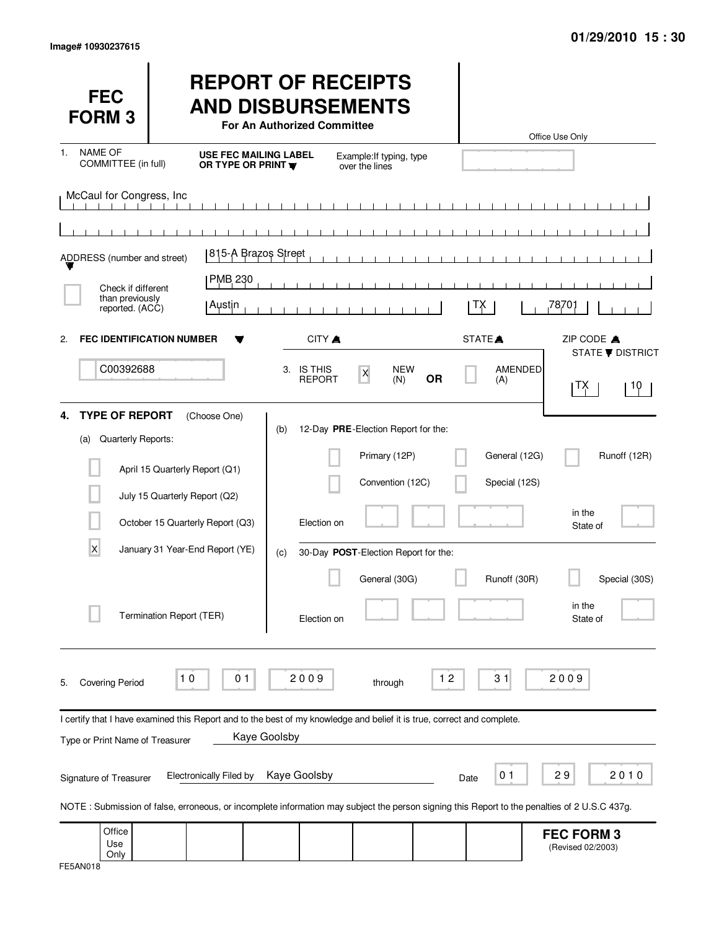| <b>FEC</b><br><b>FORM3</b>                               |                                                                                                                                              | <b>REPORT OF RECEIPTS</b><br><b>AND DISBURSEMENTS</b><br>For An Authorized Committee |                                                                          |                   |                                | Office Use Only                        |
|----------------------------------------------------------|----------------------------------------------------------------------------------------------------------------------------------------------|--------------------------------------------------------------------------------------|--------------------------------------------------------------------------|-------------------|--------------------------------|----------------------------------------|
| <b>NAME OF</b><br>1.<br>COMMITTEE (in full)              | <b>USE FEC MAILING LABEL</b><br>OR TYPE OR PRINT                                                                                             |                                                                                      | Example: If typing, type<br>over the lines                               |                   |                                |                                        |
| McCaul for Congress, Inc                                 |                                                                                                                                              | $\mathbf{I}$                                                                         | $\mathbf{1}$ $\mathbf{1}$ $\mathbf{1}$                                   | $\sim$ 1 $\sim$ 1 |                                |                                        |
| ADDRESS (number and street)                              | 815-A Brazos Street                                                                                                                          |                                                                                      |                                                                          |                   |                                |                                        |
| Check if different<br>than previously<br>reported. (ACC) | PMB <sub>230</sub><br>  Austin                                                                                                               |                                                                                      |                                                                          |                   | ТX                             | 78,701                                 |
| <b>FEC IDENTIFICATION NUMBER</b><br>2.                   |                                                                                                                                              | CITY A                                                                               |                                                                          |                   | STATE <sup>A</sup>             | ZIP CODE A<br><b>STATE ▼ DISTRICT</b>  |
| C00392688                                                |                                                                                                                                              | 3. IS THIS<br><b>REPORT</b>                                                          | <b>NEW</b><br>$\boldsymbol{\mathsf{X}}$<br>(N)                           | <b>OR</b>         | <b>AMENDED</b><br>(A)          | TX<br>10                               |
| <b>TYPE OF REPORT</b><br>4.<br>Quarterly Reports:<br>(a) | (Choose One)<br>April 15 Quarterly Report (Q1)                                                                                               | (b)                                                                                  | 12-Day PRE-Election Report for the:<br>Primary (12P)<br>Convention (12C) |                   | General (12G)<br>Special (12S) | Runoff (12R)                           |
|                                                          | July 15 Quarterly Report (Q2)<br>October 15 Quarterly Report (Q3)                                                                            | Election on                                                                          |                                                                          |                   |                                | in the<br>State of                     |
| X                                                        | January 31 Year-End Report (YE)<br>Termination Report (TER)                                                                                  | (c)<br>Election on                                                                   | 30-Day POST-Election Report for the:<br>General (30G)                    |                   | Runoff (30R)                   | Special (30S)<br>in the<br>State of    |
| <b>Covering Period</b><br>5.                             | 10<br>01                                                                                                                                     | 2009                                                                                 | through                                                                  | $12$              | 31                             | 2009                                   |
| Type or Print Name of Treasurer                          | I certify that I have examined this Report and to the best of my knowledge and belief it is true, correct and complete.                      | Kaye Goolsby                                                                         |                                                                          |                   |                                |                                        |
| Signature of Treasurer                                   | <b>Electronically Filed by</b>                                                                                                               | Kaye Goolsby                                                                         |                                                                          | Date              | 0 <sub>1</sub>                 | 29<br>2010                             |
|                                                          | NOTE: Submission of false, erroneous, or incomplete information may subject the person signing this Report to the penalties of 2 U.S.C 437g. |                                                                                      |                                                                          |                   |                                |                                        |
| Office<br>Use<br>Only                                    |                                                                                                                                              |                                                                                      |                                                                          |                   |                                | <b>FEC FORM 3</b><br>(Revised 02/2003) |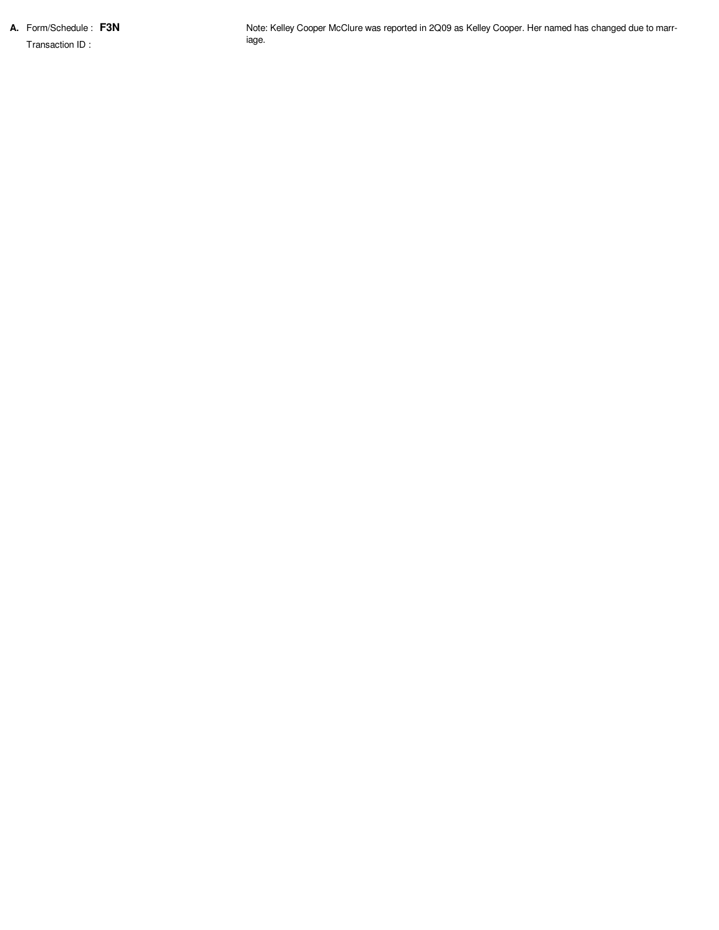**A.** Form/Schedule : **F3N**

Transaction ID :

Note: Kelley Cooper McClure was reported in 2Q09 as Kelley Cooper. Her named has changed due to marriage.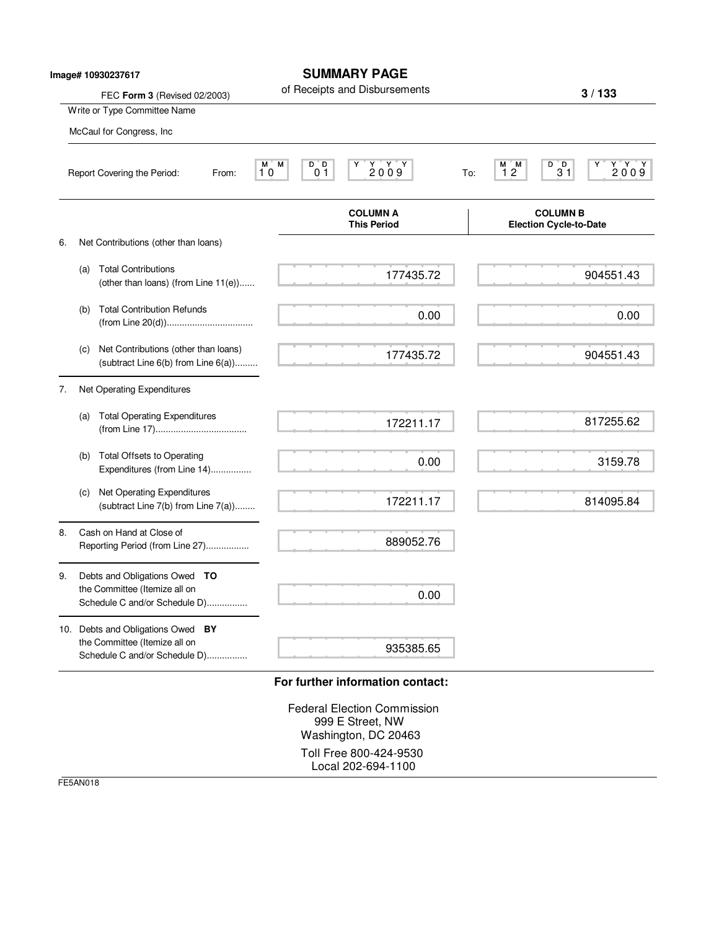|    |     | Image# 10930237617<br>FEC Form 3 (Revised 02/2003)                                              |                                        | <b>SUMMARY PAGE</b><br>of Receipts and Disbursements                                       |     |                                                  | 3/133                                             |
|----|-----|-------------------------------------------------------------------------------------------------|----------------------------------------|--------------------------------------------------------------------------------------------|-----|--------------------------------------------------|---------------------------------------------------|
|    |     | Write or Type Committee Name                                                                    |                                        |                                                                                            |     |                                                  |                                                   |
|    |     | McCaul for Congress, Inc                                                                        |                                        |                                                                                            |     |                                                  |                                                   |
|    |     | Report Covering the Period:<br>From:                                                            | М<br>D D<br>M.<br>0 <sub>1</sub><br>10 | $\begin{array}{c}\nY & Y & Y \\ 2009\n\end{array}$                                         | To: | $M$ $M$<br>$\frac{D^{\top}D}{31}$<br>12          | $\begin{array}{c}\nY \ Y \ Y \ 2009\n\end{array}$ |
|    |     |                                                                                                 |                                        | <b>COLUMN A</b><br><b>This Period</b>                                                      |     | <b>COLUMN B</b><br><b>Election Cycle-to-Date</b> |                                                   |
| 6. |     | Net Contributions (other than loans)                                                            |                                        |                                                                                            |     |                                                  |                                                   |
|    | (a) | <b>Total Contributions</b><br>(other than loans) (from Line 11(e))                              |                                        | 177435.72                                                                                  |     |                                                  | 904551.43                                         |
|    | (b) | <b>Total Contribution Refunds</b>                                                               |                                        | 0.00                                                                                       |     |                                                  | 0.00                                              |
|    | (c) | Net Contributions (other than loans)<br>(subtract Line 6(b) from Line 6(a))                     |                                        | 177435.72                                                                                  |     |                                                  | 904551.43                                         |
| 7. |     | Net Operating Expenditures                                                                      |                                        |                                                                                            |     |                                                  |                                                   |
|    | (a) | <b>Total Operating Expenditures</b>                                                             |                                        | 172211.17                                                                                  |     |                                                  | 817255.62                                         |
|    | (b) | <b>Total Offsets to Operating</b><br>Expenditures (from Line 14)                                |                                        | 0.00                                                                                       |     |                                                  | 3159.78                                           |
|    | (c) | Net Operating Expenditures<br>(subtract Line 7(b) from Line 7(a))                               |                                        | 172211.17                                                                                  |     |                                                  | 814095.84                                         |
| 8. |     | Cash on Hand at Close of<br>Reporting Period (from Line 27)                                     |                                        | 889052.76                                                                                  |     |                                                  |                                                   |
| 9. |     | Debts and Obligations Owed TO<br>the Committee (Itemize all on<br>Schedule C and/or Schedule D) |                                        | 0.00                                                                                       |     |                                                  |                                                   |
|    |     | 10. Debts and Obligations Owed BY<br>the Committee (Itemize all on                              |                                        |                                                                                            |     |                                                  |                                                   |
|    |     | Schedule C and/or Schedule D)                                                                   |                                        | 935385.65                                                                                  |     |                                                  |                                                   |
|    |     |                                                                                                 |                                        | For further information contact:<br><b>Federal Election Commission</b><br>999 E Street, NW |     |                                                  |                                                   |

Washington, DC 20463 Toll Free 800-424-9530 Local 202-694-1100

FE5AN018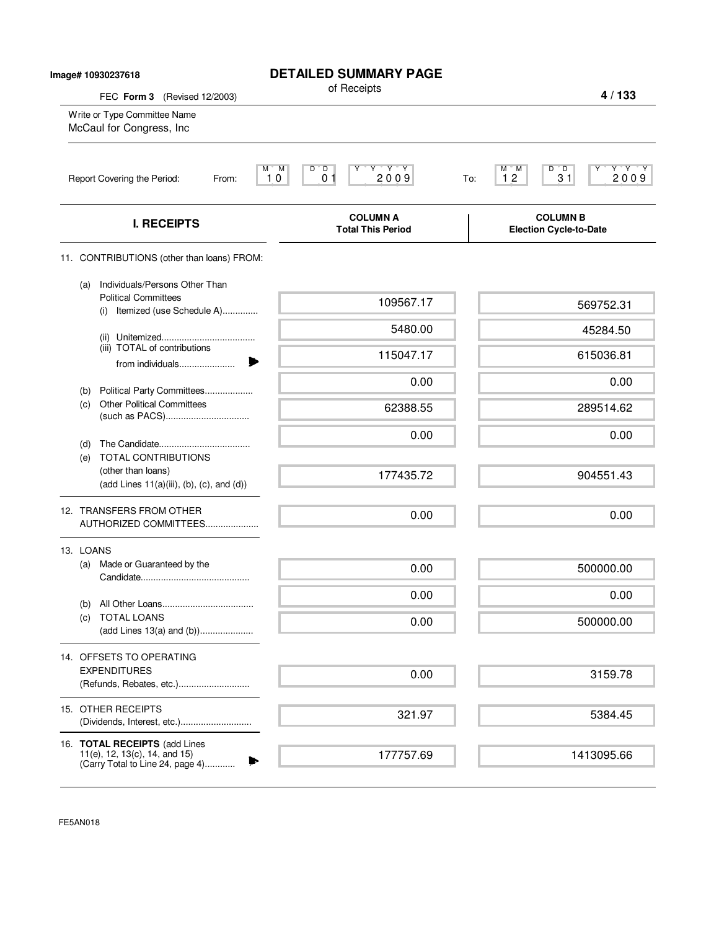| Image# 10930237618           |                                                                                                              | <b>DETAILED SUMMARY PAGE</b>                                                                                                                                                          |                                                              |
|------------------------------|--------------------------------------------------------------------------------------------------------------|---------------------------------------------------------------------------------------------------------------------------------------------------------------------------------------|--------------------------------------------------------------|
| FEC Form 3 (Revised 12/2003) |                                                                                                              | of Receipts                                                                                                                                                                           | 4/133                                                        |
|                              | Write or Type Committee Name<br>McCaul for Congress, Inc                                                     |                                                                                                                                                                                       |                                                              |
|                              | Report Covering the Period:<br>From:                                                                         | $\begin{array}{c}\n\mathbf{Y} & \mathbf{Y} & \mathbf{Y} \\ \mathbf{2} & \mathbf{0} & \mathbf{0} & \mathbf{9}\n\end{array}$<br>M<br>M<br>$D^{\prime}$ $D$<br>Υ<br>0 <sub>1</sub><br>10 | Y Y Y<br>$D^{\prime}D$<br>М<br>'M<br>12<br>2009<br>31<br>To: |
|                              | <b>I. RECEIPTS</b>                                                                                           | <b>COLUMN A</b><br><b>Total This Period</b>                                                                                                                                           | <b>COLUMN B</b><br><b>Election Cycle-to-Date</b>             |
|                              | 11. CONTRIBUTIONS (other than loans) FROM:                                                                   |                                                                                                                                                                                       |                                                              |
|                              | Individuals/Persons Other Than<br>(a)<br><b>Political Committees</b><br>Itemized (use Schedule A)<br>(i)     | 109567.17                                                                                                                                                                             | 569752.31                                                    |
|                              |                                                                                                              | 5480.00                                                                                                                                                                               | 45284.50                                                     |
|                              | (iii) TOTAL of contributions<br>from individuals                                                             | 115047.17                                                                                                                                                                             | 615036.81                                                    |
|                              | Political Party Committees<br>(b)                                                                            | 0.00                                                                                                                                                                                  | 0.00                                                         |
|                              | <b>Other Political Committees</b><br>(c)                                                                     | 62388.55                                                                                                                                                                              | 289514.62                                                    |
|                              | (d)                                                                                                          | 0.00                                                                                                                                                                                  | 0.00                                                         |
|                              | (e) TOTAL CONTRIBUTIONS<br>(other than loans)<br>$(\text{add Lines } 11(a)(iii), (b), (c), \text{and } (d))$ | 177435.72                                                                                                                                                                             | 904551.43                                                    |
|                              | 12. TRANSFERS FROM OTHER<br>AUTHORIZED COMMITTEES                                                            | 0.00                                                                                                                                                                                  | 0.00                                                         |
|                              | 13. LOANS                                                                                                    |                                                                                                                                                                                       |                                                              |
|                              | Made or Guaranteed by the<br>(a)                                                                             | 0.00                                                                                                                                                                                  | 500000.00                                                    |
|                              | (b)                                                                                                          | 0.00                                                                                                                                                                                  | 0.00                                                         |
|                              | <b>TOTAL LOANS</b><br>(C)<br>(add Lines 13(a) and (b))                                                       | 0.00                                                                                                                                                                                  | 500000.00                                                    |
|                              | 14. OFFSETS TO OPERATING                                                                                     |                                                                                                                                                                                       |                                                              |
|                              | <b>EXPENDITURES</b><br>(Refunds, Rebates, etc.)                                                              | 0.00                                                                                                                                                                                  | 3159.78                                                      |
|                              | 15. OTHER RECEIPTS                                                                                           | 321.97                                                                                                                                                                                | 5384.45                                                      |
|                              | 16. TOTAL RECEIPTS (add Lines<br>11(e), 12, 13(c), 14, and 15)<br>(Carry Total to Line 24, page 4)           | 177757.69                                                                                                                                                                             | 1413095.66                                                   |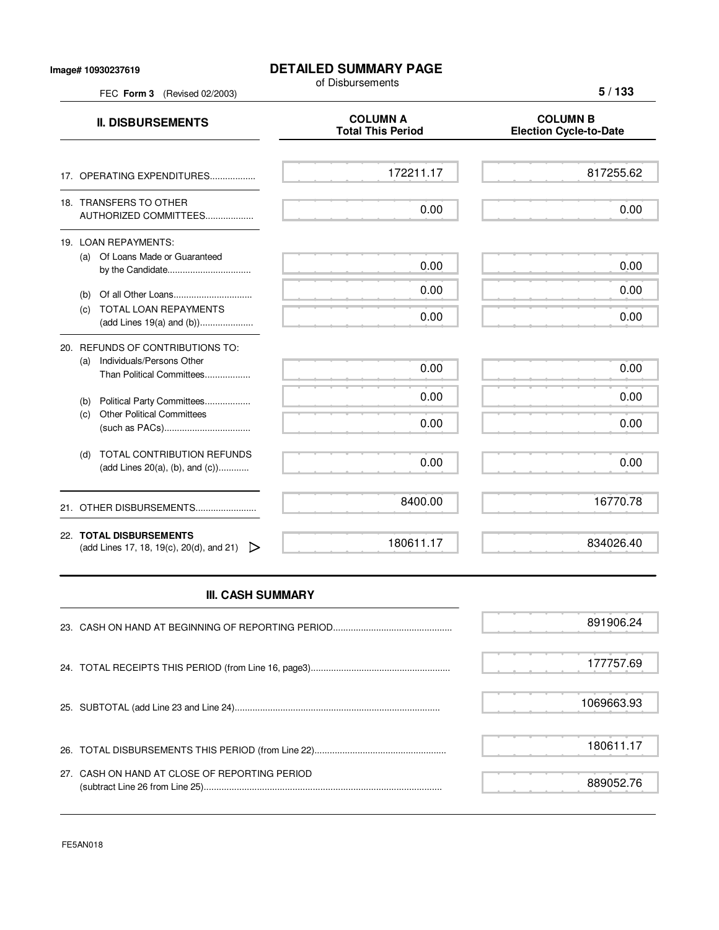FEC **Form 3** (Revised 02/2003)

## **DETAILED SUMMARY PAGE**

of Disbursements

**5 / 133**

| <b>II. DISBURSEMENTS</b>                                                                          | <b>COLUMN A</b><br><b>Total This Period</b> | <b>COLUMN B</b><br><b>Election Cycle-to-Date</b> |
|---------------------------------------------------------------------------------------------------|---------------------------------------------|--------------------------------------------------|
| 17. OPERATING EXPENDITURES                                                                        | 172211.17                                   | 817255.62                                        |
| 18. TRANSFERS TO OTHER<br>AUTHORIZED COMMITTEES                                                   | 0.00                                        | 0.00                                             |
| 19. LOAN REPAYMENTS:<br>(a) Of Loans Made or Guaranteed                                           | 0.00                                        | 0.00                                             |
| (b)<br>TOTAL LOAN REPAYMENTS<br>(C)<br>(add Lines 19(a) and (b))                                  | 0.00<br>0.00                                | 0.00<br>0.00                                     |
| 20. REFUNDS OF CONTRIBUTIONS TO:<br>Individuals/Persons Other<br>(a)<br>Than Political Committees | 0.00                                        | 0.00                                             |
| Political Party Committees<br>(b)<br><b>Other Political Committees</b><br>(c)                     | 0.00<br>0.00                                | 0.00<br>0.00                                     |
| TOTAL CONTRIBUTION REFUNDS<br>(d)<br>(add Lines $20(a)$ , (b), and (c))                           | 0.00                                        | 0.00                                             |
| 21. OTHER DISBURSEMENTS                                                                           | 8400.00                                     | 16770.78                                         |
| 22. TOTAL DISBURSEMENTS<br>(add Lines 17, 18, 19(c), 20(d), and 21)<br>▷                          | 180611.17                                   | 834026.40                                        |

## **III. CASH SUMMARY**

|                                               | 891906.24  |
|-----------------------------------------------|------------|
|                                               | 177757.69  |
|                                               | 1069663.93 |
|                                               | 180611.17  |
| 27. CASH ON HAND AT CLOSE OF REPORTING PERIOD | 889052.76  |

FE5AN018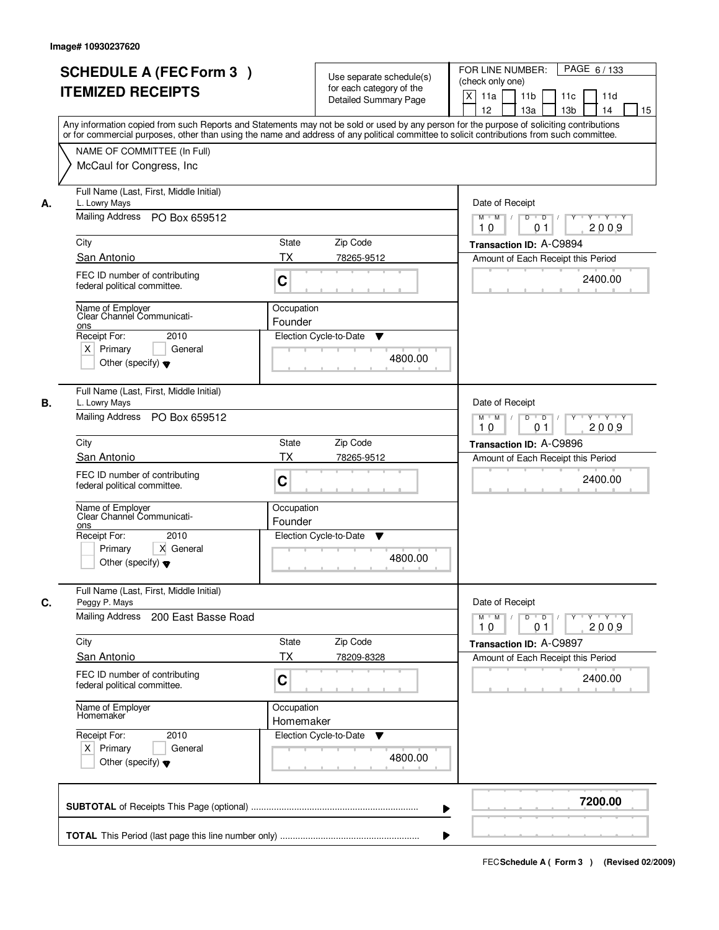|    | <b>SCHEDULE A (FEC Form 3)</b><br><b>ITEMIZED RECEIPTS</b><br>Any information copied from such Reports and Statements may not be sold or used by any person for the purpose of soliciting contributions<br>or for commercial purposes, other than using the name and address of any political committee to solicit contributions from such committee. |                           | Use separate schedule(s)<br>for each category of the<br><b>Detailed Summary Page</b> | PAGE 6/133<br>FOR LINE NUMBER:<br>(check only one)<br>$\boldsymbol{\mathsf{X}}$<br>11a<br>11 <sub>b</sub><br>11c<br>11d<br>12<br>13 <sub>b</sub><br>13a<br>14<br>15 |
|----|-------------------------------------------------------------------------------------------------------------------------------------------------------------------------------------------------------------------------------------------------------------------------------------------------------------------------------------------------------|---------------------------|--------------------------------------------------------------------------------------|---------------------------------------------------------------------------------------------------------------------------------------------------------------------|
|    | NAME OF COMMITTEE (In Full)<br>McCaul for Congress, Inc.                                                                                                                                                                                                                                                                                              |                           |                                                                                      |                                                                                                                                                                     |
| А. | Full Name (Last, First, Middle Initial)<br>L. Lowry Mays<br>Mailing Address PO Box 659512                                                                                                                                                                                                                                                             |                           |                                                                                      | Date of Receipt<br>$M$ $M$<br>$D$ $D$ $1$<br>Y TYTEY<br>$Y^+$<br>2009<br>10<br>01                                                                                   |
|    | City                                                                                                                                                                                                                                                                                                                                                  | State                     | Zip Code                                                                             | Transaction ID: A-C9894                                                                                                                                             |
|    | San Antonio                                                                                                                                                                                                                                                                                                                                           | ТX                        | 78265-9512                                                                           | Amount of Each Receipt this Period                                                                                                                                  |
|    | FEC ID number of contributing<br>federal political committee.                                                                                                                                                                                                                                                                                         | C                         |                                                                                      | 2400.00                                                                                                                                                             |
|    | Name of Employer<br>Clear Channel Communicati-<br>ons<br>Receipt For:<br>2010                                                                                                                                                                                                                                                                         | Occupation<br>Founder     | Election Cycle-to-Date<br>▼                                                          |                                                                                                                                                                     |
|    | $X$ Primary<br>General<br>Other (specify) $\blacktriangledown$                                                                                                                                                                                                                                                                                        |                           | 4800.00                                                                              |                                                                                                                                                                     |
| В. | Full Name (Last, First, Middle Initial)<br>L. Lowry Mays<br>Mailing Address PO Box 659512                                                                                                                                                                                                                                                             |                           |                                                                                      | Date of Receipt<br>$Y \vdash Y \vdash Y$<br>$M$ $M$ /<br>D<br>$\overline{D}$                                                                                        |
|    |                                                                                                                                                                                                                                                                                                                                                       |                           |                                                                                      | 2009<br>10<br>01                                                                                                                                                    |
|    | City<br>San Antonio                                                                                                                                                                                                                                                                                                                                   | <b>State</b><br><b>TX</b> | Zip Code<br>78265-9512                                                               | Transaction ID: A-C9896                                                                                                                                             |
|    | FEC ID number of contributing<br>federal political committee.                                                                                                                                                                                                                                                                                         | C                         |                                                                                      | Amount of Each Receipt this Period<br>2400.00                                                                                                                       |
|    | Name of Employer<br>Clear Channel Communicati-<br>ons                                                                                                                                                                                                                                                                                                 | Occupation<br>Founder     |                                                                                      |                                                                                                                                                                     |
|    | Receipt For:<br>2010<br>X General<br>Primary<br>Other (specify) $\blacktriangledown$                                                                                                                                                                                                                                                                  |                           | Election Cycle-to-Date<br>v<br>4800.00                                               |                                                                                                                                                                     |
| C. | Full Name (Last, First, Middle Initial)<br>Peggy P. Mays<br><b>Mailing Address</b>                                                                                                                                                                                                                                                                    |                           |                                                                                      | Date of Receipt                                                                                                                                                     |
|    | 200 East Basse Road                                                                                                                                                                                                                                                                                                                                   |                           |                                                                                      | $D$ $D$ $/$<br>$M$ $M$ /<br>$Y + Y + Y$<br>$Y^{\top}$<br>2009<br>10<br>01                                                                                           |
|    | City                                                                                                                                                                                                                                                                                                                                                  | State                     | Zip Code                                                                             | Transaction ID: A-C9897                                                                                                                                             |
|    | <b>San Antonio</b>                                                                                                                                                                                                                                                                                                                                    | ТX                        | 78209-8328                                                                           | Amount of Each Receipt this Period                                                                                                                                  |
|    | FEC ID number of contributing<br>federal political committee.                                                                                                                                                                                                                                                                                         | C                         |                                                                                      | 2400.00                                                                                                                                                             |
|    | Name of Employer<br>Homemaker                                                                                                                                                                                                                                                                                                                         | Occupation<br>Homemaker   |                                                                                      |                                                                                                                                                                     |
|    | Receipt For:<br>2010<br>$X$ Primary<br>General<br>Other (specify) $\blacktriangledown$                                                                                                                                                                                                                                                                |                           | Election Cycle-to-Date<br>v<br>4800.00                                               |                                                                                                                                                                     |
|    |                                                                                                                                                                                                                                                                                                                                                       |                           | ▶                                                                                    | 7200.00                                                                                                                                                             |
|    |                                                                                                                                                                                                                                                                                                                                                       |                           |                                                                                      |                                                                                                                                                                     |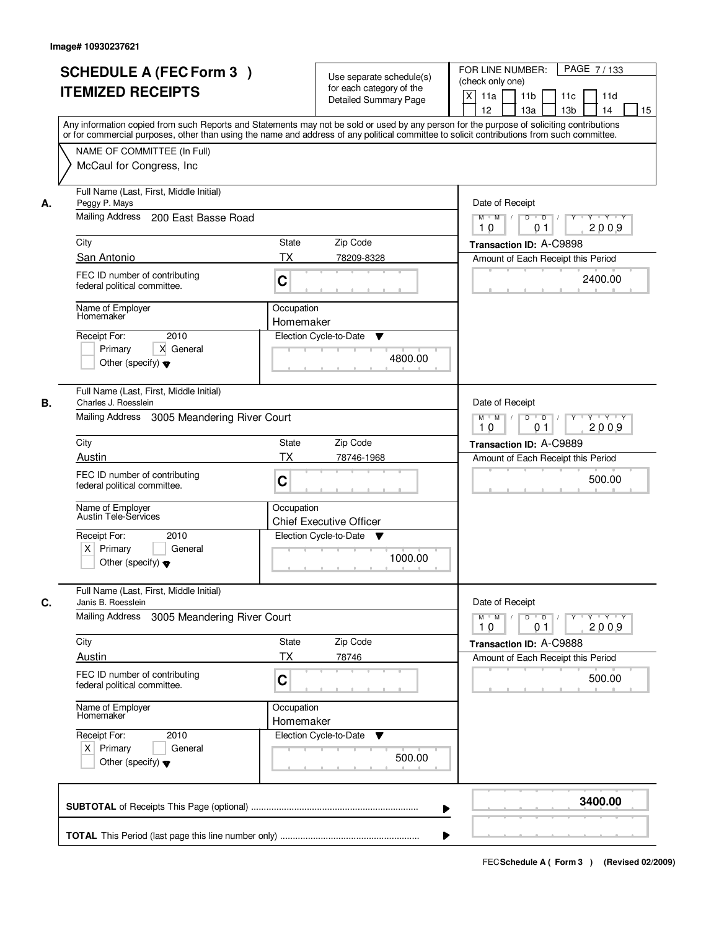|    | <b>SCHEDULE A (FEC Form 3)</b><br><b>ITEMIZED RECEIPTS</b>                                                     | Use separate schedule(s)<br>for each category of the<br><b>Detailed Summary Page</b> | PAGE 7/133<br>FOR LINE NUMBER:<br>(check only one)<br>$\times$<br>11 <sub>b</sub><br>11a<br>11 <sub>c</sub><br>11d<br>12<br>13 <sub>b</sub><br>13a<br>14<br>15                                                                                                                          |
|----|----------------------------------------------------------------------------------------------------------------|--------------------------------------------------------------------------------------|-----------------------------------------------------------------------------------------------------------------------------------------------------------------------------------------------------------------------------------------------------------------------------------------|
|    | NAME OF COMMITTEE (In Full)<br>McCaul for Congress, Inc.                                                       |                                                                                      | Any information copied from such Reports and Statements may not be sold or used by any person for the purpose of soliciting contributions<br>or for commercial purposes, other than using the name and address of any political committee to solicit contributions from such committee. |
| А. | Full Name (Last, First, Middle Initial)<br>Peggy P. Mays<br>Mailing Address 200 East Basse Road                |                                                                                      | Date of Receipt<br>$M$ $M$ $/$<br>$D$ $D$ $1$<br>Y Y Y Y<br>$Y$ <sup>U</sup>                                                                                                                                                                                                            |
|    |                                                                                                                |                                                                                      | 2009<br>10<br>0 <sub>1</sub>                                                                                                                                                                                                                                                            |
|    | City<br>San Antonio                                                                                            | <b>State</b><br>Zip Code<br><b>TX</b><br>78209-8328                                  | Transaction ID: A-C9898                                                                                                                                                                                                                                                                 |
|    | FEC ID number of contributing<br>federal political committee.                                                  | C                                                                                    | Amount of Each Receipt this Period<br>2400.00                                                                                                                                                                                                                                           |
|    | Name of Employer<br>Homemaker<br>2010                                                                          | Occupation<br>Homemaker                                                              |                                                                                                                                                                                                                                                                                         |
|    | Receipt For:<br>X General<br>Primary<br>Other (specify) $\blacktriangledown$                                   | Election Cycle-to-Date<br>▼<br>4800.00                                               |                                                                                                                                                                                                                                                                                         |
| В. | Full Name (Last, First, Middle Initial)<br>Charles J. Roesslein<br>Mailing Address 3005 Meandering River Court |                                                                                      | Date of Receipt<br>$Y - Y - Y$<br>$M$ $M$ /<br>D<br>$\overline{D}$                                                                                                                                                                                                                      |
|    |                                                                                                                |                                                                                      | 2009<br>10<br>01                                                                                                                                                                                                                                                                        |
|    | City<br>Austin                                                                                                 | Zip Code<br><b>State</b><br><b>TX</b>                                                | Transaction ID: A-C9889                                                                                                                                                                                                                                                                 |
|    | FEC ID number of contributing<br>federal political committee.                                                  | 78746-1968<br>C                                                                      | Amount of Each Receipt this Period<br>500.00                                                                                                                                                                                                                                            |
|    | Name of Employer<br>Austin Tele-Services                                                                       | Occupation<br><b>Chief Executive Officer</b>                                         |                                                                                                                                                                                                                                                                                         |
|    | Receipt For:<br>2010<br>$X$ Primary<br>General<br>Other (specify) $\blacktriangledown$                         | Election Cycle-to-Date<br>▼<br>1000.00                                               |                                                                                                                                                                                                                                                                                         |
| C. | Full Name (Last, First, Middle Initial)<br>Janis B. Roesslein                                                  |                                                                                      | Date of Receipt                                                                                                                                                                                                                                                                         |
|    | <b>Mailing Address</b><br>3005 Meandering River Court                                                          |                                                                                      | $M$ $M$ $/$<br>$D$ $D$ $I$<br>Y<br>Y Y Y Y<br>2009<br>10<br>01                                                                                                                                                                                                                          |
|    | City                                                                                                           | Zip Code<br><b>State</b>                                                             | Transaction ID: A-C9888                                                                                                                                                                                                                                                                 |
|    | <b>Austin</b><br>FEC ID number of contributing<br>federal political committee.                                 | ТX<br>78746<br>C                                                                     | Amount of Each Receipt this Period<br>500.00                                                                                                                                                                                                                                            |
|    | Name of Employer<br>Homemaker                                                                                  | Occupation<br>Homemaker                                                              |                                                                                                                                                                                                                                                                                         |
|    | Receipt For:<br>2010<br>$X$ Primary<br>General<br>Other (specify) $\blacktriangledown$                         | Election Cycle-to-Date<br>v<br>500.00                                                |                                                                                                                                                                                                                                                                                         |
|    |                                                                                                                |                                                                                      | 3400.00                                                                                                                                                                                                                                                                                 |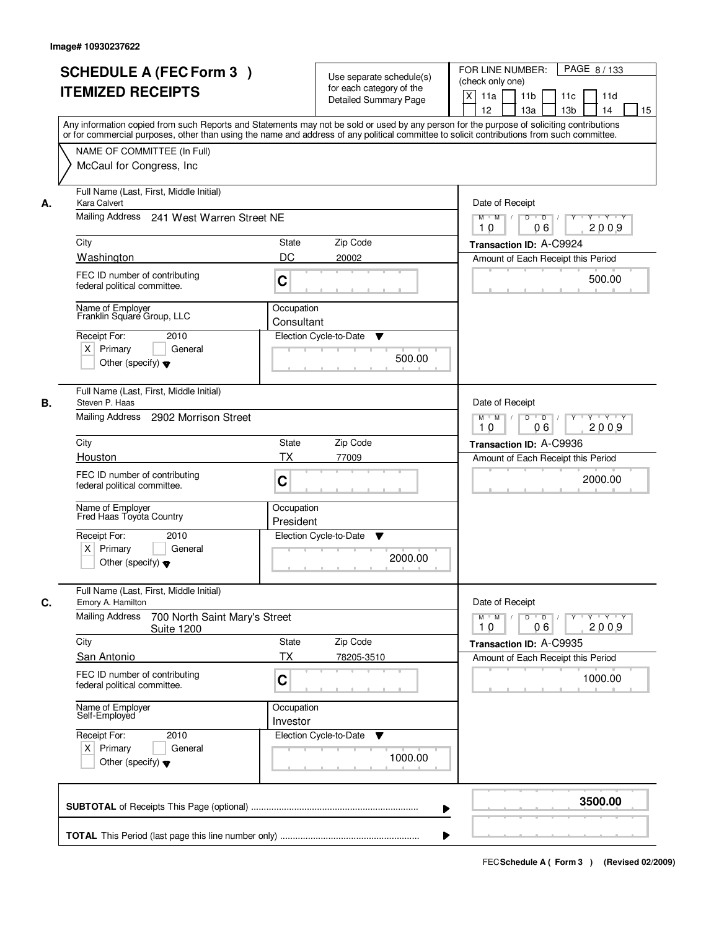|    | <b>SCHEDULE A (FEC Form 3)</b><br><b>ITEMIZED RECEIPTS</b><br>Any information copied from such Reports and Statements may not be sold or used by any person for the purpose of soliciting contributions<br>or for commercial purposes, other than using the name and address of any political committee to solicit contributions from such committee. |                          | Use separate schedule(s)<br>for each category of the<br><b>Detailed Summary Page</b> | PAGE 8/133<br>FOR LINE NUMBER:<br>(check only one)<br>X<br>11a<br>11 <sub>b</sub><br>11c<br>11d<br>12<br>13 <sub>b</sub><br>13a<br>14<br>15 |
|----|-------------------------------------------------------------------------------------------------------------------------------------------------------------------------------------------------------------------------------------------------------------------------------------------------------------------------------------------------------|--------------------------|--------------------------------------------------------------------------------------|---------------------------------------------------------------------------------------------------------------------------------------------|
|    | NAME OF COMMITTEE (In Full)<br>McCaul for Congress, Inc.                                                                                                                                                                                                                                                                                              |                          |                                                                                      |                                                                                                                                             |
| А. | Full Name (Last, First, Middle Initial)<br>Kara Calvert<br>Mailing Address 241 West Warren Street NE                                                                                                                                                                                                                                                  |                          |                                                                                      | Date of Receipt<br>$M$ $M$ /<br>$D$ $D$ $/$<br>$Y^+$<br>Y Y Y Y                                                                             |
|    | City                                                                                                                                                                                                                                                                                                                                                  | State                    | Zip Code                                                                             | 2009<br>10<br>06<br>Transaction ID: A-C9924                                                                                                 |
|    | Washington                                                                                                                                                                                                                                                                                                                                            | DC                       | 20002                                                                                | Amount of Each Receipt this Period                                                                                                          |
|    | FEC ID number of contributing<br>federal political committee.                                                                                                                                                                                                                                                                                         | C                        |                                                                                      | 500.00                                                                                                                                      |
|    | Name of Employer<br>Franklin Square Group, LLC<br>Receipt For:<br>2010                                                                                                                                                                                                                                                                                | Occupation<br>Consultant | Election Cycle-to-Date<br>▼                                                          |                                                                                                                                             |
|    | $X$ Primary<br>General<br>Other (specify) $\blacktriangledown$                                                                                                                                                                                                                                                                                        |                          | 500.00                                                                               |                                                                                                                                             |
| В. | Full Name (Last, First, Middle Initial)<br>Steven P. Haas<br>Mailing Address<br>2902 Morrison Street                                                                                                                                                                                                                                                  |                          |                                                                                      | Date of Receipt<br>$Y \vdash Y \vdash Y$<br>$M$ $M$ /<br>D<br>$\overline{D}$<br>2009<br>06<br>10                                            |
|    | City                                                                                                                                                                                                                                                                                                                                                  | <b>State</b>             | Zip Code                                                                             | Transaction ID: A-C9936                                                                                                                     |
|    | Houston                                                                                                                                                                                                                                                                                                                                               | <b>TX</b>                | 77009                                                                                | Amount of Each Receipt this Period                                                                                                          |
|    | FEC ID number of contributing<br>federal political committee.                                                                                                                                                                                                                                                                                         | C                        |                                                                                      | 2000.00                                                                                                                                     |
|    | Name of Employer<br>Fred Haas Toyota Country                                                                                                                                                                                                                                                                                                          | Occupation<br>President  |                                                                                      |                                                                                                                                             |
|    | Receipt For:<br>2010<br>$X$ Primary<br>General<br>Other (specify) $\blacktriangledown$                                                                                                                                                                                                                                                                |                          | Election Cycle-to-Date<br>v<br>2000.00                                               |                                                                                                                                             |
| C. | Full Name (Last, First, Middle Initial)<br>Emory A. Hamilton                                                                                                                                                                                                                                                                                          |                          |                                                                                      | Date of Receipt                                                                                                                             |
|    | <b>Mailing Address</b><br>700 North Saint Mary's Street<br><b>Suite 1200</b>                                                                                                                                                                                                                                                                          |                          |                                                                                      | $D$ $D$ $/$<br>$M$ $M$ /<br>$Y$ <sup><math>\top</math></sup><br>Y Y Y Y<br>2009<br>10<br>06                                                 |
|    | City<br><b>San Antonio</b>                                                                                                                                                                                                                                                                                                                            | State<br>ТX              | Zip Code<br>78205-3510                                                               | Transaction ID: A-C9935<br>Amount of Each Receipt this Period                                                                               |
|    | FEC ID number of contributing<br>federal political committee.                                                                                                                                                                                                                                                                                         | C                        |                                                                                      | 1000.00                                                                                                                                     |
|    | Name of Employer<br>Self-Employed                                                                                                                                                                                                                                                                                                                     | Occupation<br>Investor   |                                                                                      |                                                                                                                                             |
|    | Receipt For:<br>2010<br>$X$ Primary<br>General<br>Other (specify) $\blacktriangledown$                                                                                                                                                                                                                                                                |                          | Election Cycle-to-Date<br>v<br>1000.00                                               |                                                                                                                                             |
|    |                                                                                                                                                                                                                                                                                                                                                       |                          | ▶                                                                                    | 3500.00                                                                                                                                     |
|    |                                                                                                                                                                                                                                                                                                                                                       |                          |                                                                                      |                                                                                                                                             |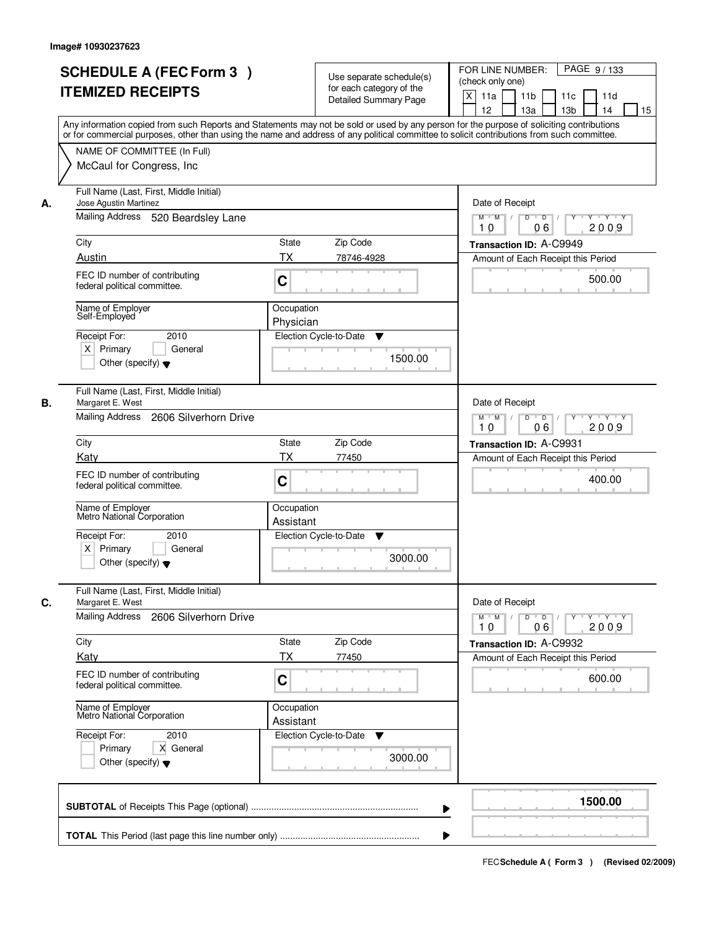| <b>SCHEDULE A (FEC Form 3)</b><br><b>ITEMIZED RECEIPTS</b>                                                      | Use separate schedule(s)<br>for each category of the<br><b>Detailed Summary Page</b><br>Any information copied from such Reports and Statements may not be sold or used by any person for the purpose of soliciting contributions | PAGE 9/133<br>FOR LINE NUMBER:<br>(check only one)<br>X<br>11 <sub>b</sub><br>11a<br>11 <sub>c</sub><br>11d<br>12<br>13 <sub>b</sub><br>14<br>13a<br>15                            |
|-----------------------------------------------------------------------------------------------------------------|-----------------------------------------------------------------------------------------------------------------------------------------------------------------------------------------------------------------------------------|------------------------------------------------------------------------------------------------------------------------------------------------------------------------------------|
| NAME OF COMMITTEE (In Full)<br>McCaul for Congress, Inc.                                                        | or for commercial purposes, other than using the name and address of any political committee to solicit contributions from such committee.                                                                                        |                                                                                                                                                                                    |
| Full Name (Last, First, Middle Initial)<br>Jose Agustin Martinez<br>А.<br>Mailing Address<br>520 Beardsley Lane |                                                                                                                                                                                                                                   | Date of Receipt<br>$D$ $D$<br>Y TY Y Y<br>$M$ $M$ /<br>Y                                                                                                                           |
| City                                                                                                            | <b>State</b><br>Zip Code                                                                                                                                                                                                          | 2009<br>10<br>06                                                                                                                                                                   |
| Austin                                                                                                          | ТX<br>78746-4928                                                                                                                                                                                                                  | Transaction ID: A-C9949<br>Amount of Each Receipt this Period                                                                                                                      |
| FEC ID number of contributing<br>federal political committee.                                                   | C                                                                                                                                                                                                                                 | 500.00                                                                                                                                                                             |
| Name of Employer<br>Self-Employed                                                                               | Occupation<br>Physician                                                                                                                                                                                                           |                                                                                                                                                                                    |
| 2010<br>Receipt For:<br>$X$ Primary<br>General<br>Other (specify) $\blacktriangledown$                          | Election Cycle-to-Date<br>▼<br>1500.00                                                                                                                                                                                            |                                                                                                                                                                                    |
| Full Name (Last, First, Middle Initial)<br>Margaret E. West<br>В.<br>Mailing Address<br>2606 Silverhorn Drive   |                                                                                                                                                                                                                                   | Date of Receipt<br>D<br>$Y + Y + Y$                                                                                                                                                |
|                                                                                                                 |                                                                                                                                                                                                                                   | $M$ $M$ /<br>$\overline{\phantom{0}}$ D<br>06<br>2009<br>10                                                                                                                        |
| City                                                                                                            | Zip Code<br>State                                                                                                                                                                                                                 | Transaction ID: A-C9931                                                                                                                                                            |
| Katy<br>FEC ID number of contributing<br>federal political committee.                                           | TX<br>77450<br>C                                                                                                                                                                                                                  | Amount of Each Receipt this Period<br>400.00                                                                                                                                       |
| Name of Employer<br>Metro National Corporation                                                                  | Occupation<br>Assistant                                                                                                                                                                                                           |                                                                                                                                                                                    |
| Receipt For:<br>2010<br>$X$ Primary<br>General<br>Other (specify) $\blacktriangledown$                          | Election Cycle-to-Date<br>▼<br>3000.00                                                                                                                                                                                            |                                                                                                                                                                                    |
| Full Name (Last, First, Middle Initial)<br>C.<br>Margaret E. West                                               |                                                                                                                                                                                                                                   | Date of Receipt                                                                                                                                                                    |
| Mailing Address<br>2606 Silverhorn Drive                                                                        |                                                                                                                                                                                                                                   | $M$ $M$<br>$D$ $D$ $I$<br>$\begin{array}{c c c c c c} \hline \textbf{Y} & \textbf{I} & \textbf{Y} & \textbf{I} & \textbf{Y} & \textbf{Y} \\\hline \end{array}$<br>2009<br>10<br>06 |
| City<br>Katy                                                                                                    | Zip Code<br>State<br>ТX<br>77450                                                                                                                                                                                                  | Transaction ID: A-C9932<br>Amount of Each Receipt this Period                                                                                                                      |
| FEC ID number of contributing<br>federal political committee.                                                   | C                                                                                                                                                                                                                                 | 600.00                                                                                                                                                                             |
| Name of Employer<br>Metro National Corporation                                                                  | Occupation<br>Assistant                                                                                                                                                                                                           |                                                                                                                                                                                    |
| Receipt For:<br>2010<br>Primary<br>X General<br>Other (specify) $\blacktriangledown$                            | Election Cycle-to-Date<br>v<br>3000.00                                                                                                                                                                                            |                                                                                                                                                                                    |
|                                                                                                                 |                                                                                                                                                                                                                                   | 1500.00                                                                                                                                                                            |
|                                                                                                                 |                                                                                                                                                                                                                                   |                                                                                                                                                                                    |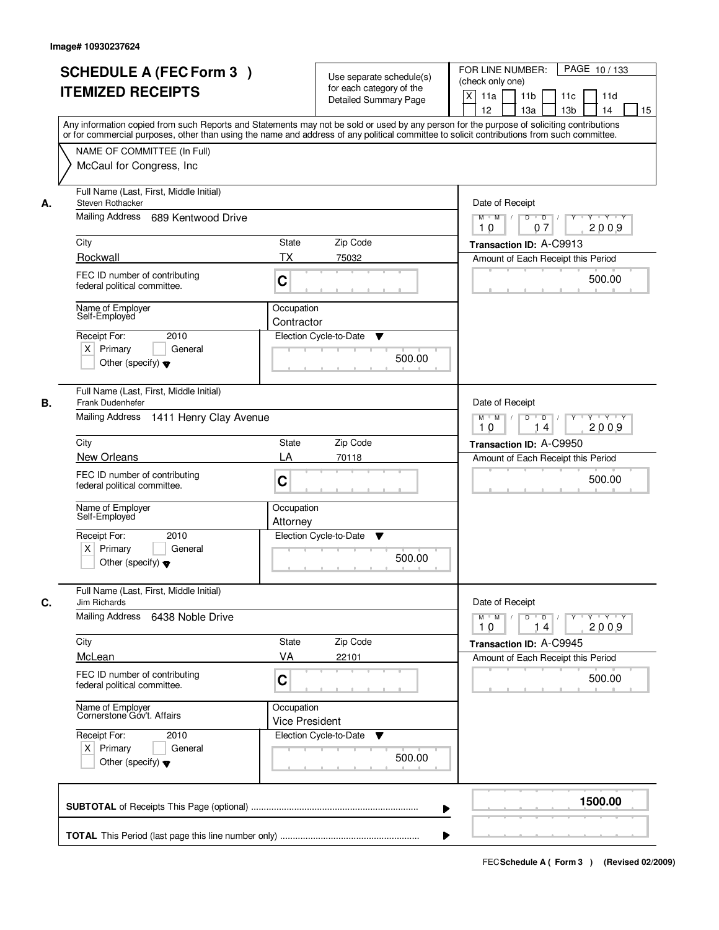| <b>SCHEDULE A (FEC Form 3)</b><br><b>ITEMIZED RECEIPTS</b>                                                 | Use separate schedule(s)<br>for each category of the<br><b>Detailed Summary Page</b><br>Any information copied from such Reports and Statements may not be sold or used by any person for the purpose of soliciting contributions | PAGE 10/133<br>FOR LINE NUMBER:<br>(check only one)<br>$\boldsymbol{\mathsf{X}}$<br>11 <sub>b</sub><br>11a<br>11 <sub>c</sub><br>11d<br>12<br>13 <sub>b</sub><br>14<br>13a<br>15 |
|------------------------------------------------------------------------------------------------------------|-----------------------------------------------------------------------------------------------------------------------------------------------------------------------------------------------------------------------------------|----------------------------------------------------------------------------------------------------------------------------------------------------------------------------------|
| NAME OF COMMITTEE (In Full)<br>McCaul for Congress, Inc.                                                   | or for commercial purposes, other than using the name and address of any political committee to solicit contributions from such committee.                                                                                        |                                                                                                                                                                                  |
| Full Name (Last, First, Middle Initial)<br>Steven Rothacker<br>А.<br>Mailing Address<br>689 Kentwood Drive |                                                                                                                                                                                                                                   | Date of Receipt<br>$D$ $D$<br>$Y - Y - Y - Y$<br>$M$ $M$ /<br>Y                                                                                                                  |
| City                                                                                                       | <b>State</b><br>Zip Code                                                                                                                                                                                                          | 2009<br>07<br>10<br>Transaction ID: A-C9913                                                                                                                                      |
| Rockwall                                                                                                   | ТX<br>75032                                                                                                                                                                                                                       | Amount of Each Receipt this Period                                                                                                                                               |
| FEC ID number of contributing<br>federal political committee.                                              | C                                                                                                                                                                                                                                 | 500.00                                                                                                                                                                           |
| Name of Employer<br>Self-Employed                                                                          | Occupation<br>Contractor                                                                                                                                                                                                          |                                                                                                                                                                                  |
| 2010<br>Receipt For:<br>$X$ Primary<br>General<br>Other (specify) $\blacktriangledown$                     | Election Cycle-to-Date<br>▼<br>500.00                                                                                                                                                                                             |                                                                                                                                                                                  |
| Full Name (Last, First, Middle Initial)<br>Frank Dudenhefer<br>В.                                          |                                                                                                                                                                                                                                   | Date of Receipt                                                                                                                                                                  |
| Mailing Address<br>1411 Henry Clay Avenue                                                                  |                                                                                                                                                                                                                                   | $M$ $M$ /<br>D<br>$\overline{\phantom{0}}$<br>$Y + Y + Y$<br>2009<br>10<br>14                                                                                                    |
| City                                                                                                       | Zip Code<br>State                                                                                                                                                                                                                 | Transaction ID: A-C9950                                                                                                                                                          |
| New Orleans                                                                                                | LA<br>70118                                                                                                                                                                                                                       | Amount of Each Receipt this Period                                                                                                                                               |
| FEC ID number of contributing<br>federal political committee.                                              | C                                                                                                                                                                                                                                 | 500.00                                                                                                                                                                           |
| Name of Employer<br>Self-Employed                                                                          | Occupation<br>Attorney                                                                                                                                                                                                            |                                                                                                                                                                                  |
| 2010<br>Receipt For:<br>$X$ Primary<br>General<br>Other (specify) $\blacktriangledown$                     | Election Cycle-to-Date<br>▼<br>500.00                                                                                                                                                                                             |                                                                                                                                                                                  |
| Full Name (Last, First, Middle Initial)<br>C.<br>Jim Richards                                              |                                                                                                                                                                                                                                   | Date of Receipt                                                                                                                                                                  |
| Mailing Address<br>6438 Noble Drive                                                                        |                                                                                                                                                                                                                                   | $M$ $M$<br>$D$ $D$ $l$<br>$\gamma$ $\gamma$ $\gamma$ $\gamma$ $\gamma$ $\gamma$<br>2009<br>10<br>14                                                                              |
| City<br>McLean                                                                                             | State<br>Zip Code<br>VA<br>22101                                                                                                                                                                                                  | Transaction ID: A-C9945<br>Amount of Each Receipt this Period                                                                                                                    |
| FEC ID number of contributing<br>federal political committee.                                              | C                                                                                                                                                                                                                                 | 500.00                                                                                                                                                                           |
| Name of Employer<br>Cornerstone Gov't. Affairs                                                             | Occupation<br><b>Vice President</b>                                                                                                                                                                                               |                                                                                                                                                                                  |
| Receipt For:<br>2010<br>$X$ Primary<br>General<br>Other (specify) $\blacktriangledown$                     | Election Cycle-to-Date<br>▼<br>500.00                                                                                                                                                                                             |                                                                                                                                                                                  |
|                                                                                                            |                                                                                                                                                                                                                                   | 1500.00                                                                                                                                                                          |
|                                                                                                            |                                                                                                                                                                                                                                   |                                                                                                                                                                                  |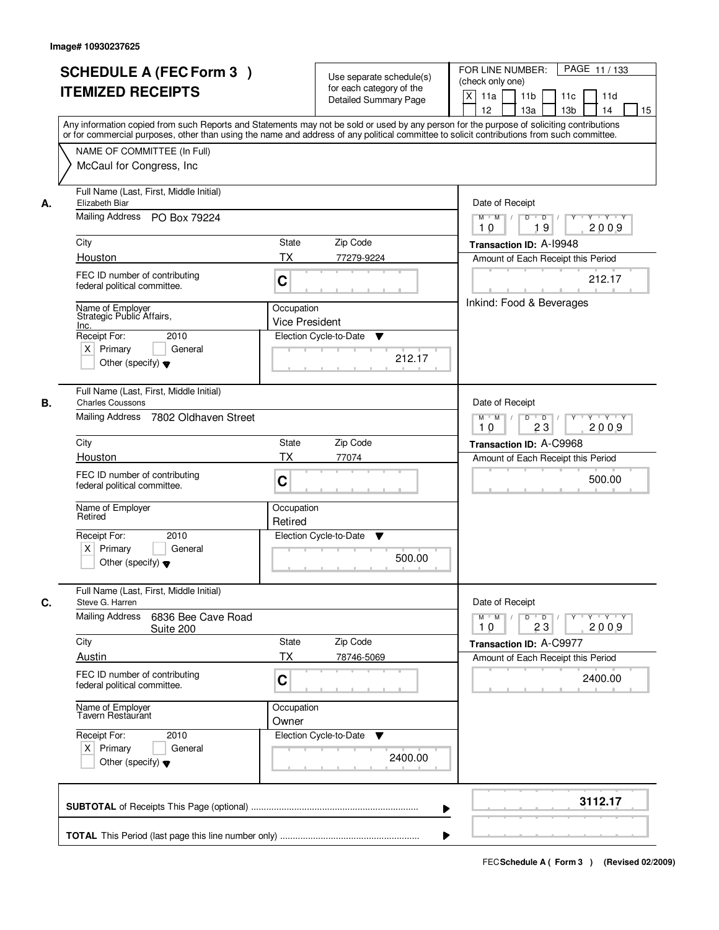|    | <b>SCHEDULE A (FEC Form 3)</b><br><b>ITEMIZED RECEIPTS</b><br>Any information copied from such Reports and Statements may not be sold or used by any person for the purpose of soliciting contributions<br>or for commercial purposes, other than using the name and address of any political committee to solicit contributions from such committee. |                                     | Use separate schedule(s)<br>for each category of the<br><b>Detailed Summary Page</b> | PAGE 11/133<br>FOR LINE NUMBER:<br>(check only one)<br>$\boldsymbol{\mathsf{X}}$<br>11a<br>11 <sub>b</sub><br>11c<br>11d<br>12<br>13 <sub>b</sub><br>13a<br>14<br>15 |
|----|-------------------------------------------------------------------------------------------------------------------------------------------------------------------------------------------------------------------------------------------------------------------------------------------------------------------------------------------------------|-------------------------------------|--------------------------------------------------------------------------------------|----------------------------------------------------------------------------------------------------------------------------------------------------------------------|
|    | NAME OF COMMITTEE (In Full)<br>McCaul for Congress, Inc.                                                                                                                                                                                                                                                                                              |                                     |                                                                                      |                                                                                                                                                                      |
| А. | Full Name (Last, First, Middle Initial)<br>Elizabeth Biar<br>Mailing Address PO Box 79224                                                                                                                                                                                                                                                             |                                     |                                                                                      | Date of Receipt<br>$M$ $M$ /<br>$D$ $D$ $1$<br>Y 'Y 'Y<br>Y<br>19<br>2009<br>10                                                                                      |
|    | City                                                                                                                                                                                                                                                                                                                                                  | State                               | Zip Code                                                                             | Transaction ID: A-19948                                                                                                                                              |
|    | Houston                                                                                                                                                                                                                                                                                                                                               | ТX                                  | 77279-9224                                                                           | Amount of Each Receipt this Period                                                                                                                                   |
|    | FEC ID number of contributing<br>federal political committee.                                                                                                                                                                                                                                                                                         | C                                   |                                                                                      | 212.17                                                                                                                                                               |
|    | Name of Employer<br>Strategic Public Affairs,<br>Inc.                                                                                                                                                                                                                                                                                                 | Occupation<br><b>Vice President</b> |                                                                                      | Inkind: Food & Beverages                                                                                                                                             |
|    | Receipt For:<br>2010<br>$X$ Primary<br>General<br>Other (specify) $\blacktriangledown$                                                                                                                                                                                                                                                                |                                     | Election Cycle-to-Date<br>▼<br>212.17                                                |                                                                                                                                                                      |
| В. | Full Name (Last, First, Middle Initial)<br><b>Charles Coussons</b><br>Mailing Address 7802 Oldhaven Street                                                                                                                                                                                                                                            |                                     |                                                                                      | Date of Receipt<br>$Y \vdash Y \vdash Y$<br>$M$ $M$ /<br>D<br>$\overline{D}$<br>Y<br>2009<br>23<br>10                                                                |
|    | City                                                                                                                                                                                                                                                                                                                                                  | State                               | Zip Code                                                                             | Transaction ID: A-C9968                                                                                                                                              |
|    | Houston                                                                                                                                                                                                                                                                                                                                               | <b>TX</b>                           | 77074                                                                                | Amount of Each Receipt this Period                                                                                                                                   |
|    | FEC ID number of contributing<br>federal political committee.                                                                                                                                                                                                                                                                                         | C                                   |                                                                                      | 500.00                                                                                                                                                               |
|    | Name of Employer<br>Retired                                                                                                                                                                                                                                                                                                                           | Occupation<br>Retired               |                                                                                      |                                                                                                                                                                      |
|    | Receipt For:<br>2010<br>$X$ Primary<br>General<br>Other (specify) $\blacktriangledown$                                                                                                                                                                                                                                                                |                                     | Election Cycle-to-Date<br>v<br>500.00                                                |                                                                                                                                                                      |
| C. | Full Name (Last, First, Middle Initial)<br>Steve G. Harren                                                                                                                                                                                                                                                                                            |                                     |                                                                                      | Date of Receipt                                                                                                                                                      |
|    | <b>Mailing Address</b><br>6836 Bee Cave Road<br>Suite 200                                                                                                                                                                                                                                                                                             |                                     |                                                                                      | $M$ $M$<br>$D$ $D$ $I$<br>$Y + Y + Y$<br>$Y$ <sup><math>V</math></sup><br>23<br>2009<br>10                                                                           |
|    | City<br>Austin                                                                                                                                                                                                                                                                                                                                        | State<br>ТX                         | Zip Code<br>78746-5069                                                               | Transaction ID: A-C9977<br>Amount of Each Receipt this Period                                                                                                        |
|    | FEC ID number of contributing<br>federal political committee.                                                                                                                                                                                                                                                                                         | C                                   |                                                                                      | 2400.00                                                                                                                                                              |
|    | Name of Employer<br>Tavern Restaurant                                                                                                                                                                                                                                                                                                                 | Occupation<br>Owner                 |                                                                                      |                                                                                                                                                                      |
|    | Receipt For:<br>2010<br>$X$ Primary<br>General<br>Other (specify) $\blacktriangledown$                                                                                                                                                                                                                                                                |                                     | Election Cycle-to-Date<br>v<br>2400.00                                               |                                                                                                                                                                      |
|    |                                                                                                                                                                                                                                                                                                                                                       |                                     | ▶                                                                                    | 3112.17                                                                                                                                                              |
|    |                                                                                                                                                                                                                                                                                                                                                       |                                     |                                                                                      |                                                                                                                                                                      |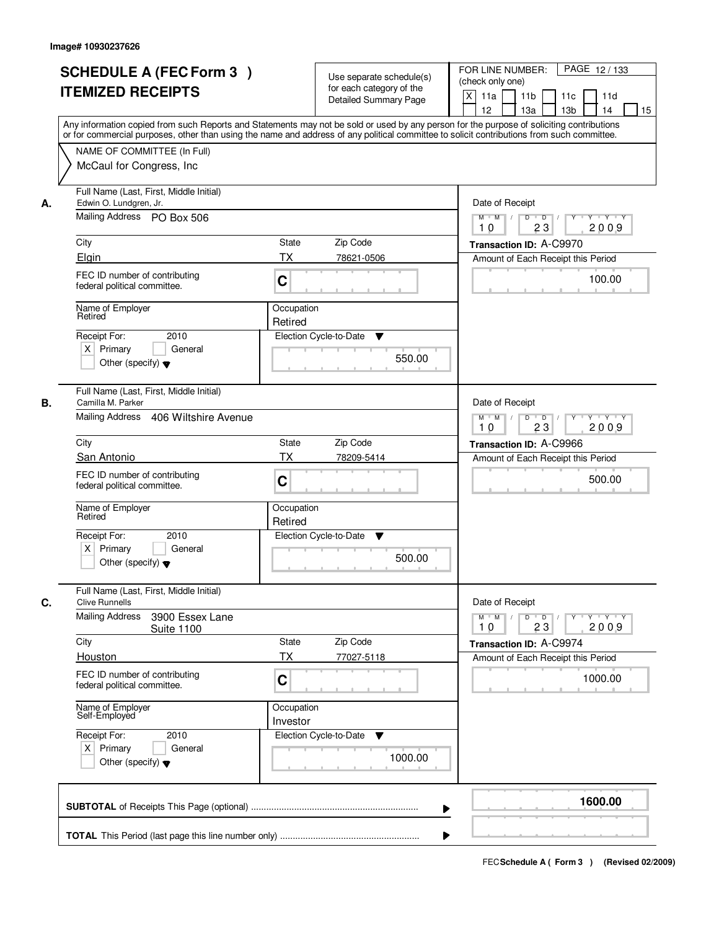| <b>SCHEDULE A (FEC Form 3)</b><br><b>ITEMIZED RECEIPTS</b>                                                            | Use separate schedule(s)<br>for each category of the<br><b>Detailed Summary Page</b><br>Any information copied from such Reports and Statements may not be sold or used by any person for the purpose of soliciting contributions | PAGE 12/133<br>FOR LINE NUMBER:<br>(check only one)<br>$\boldsymbol{\mathsf{X}}$<br>11 <sub>b</sub><br>11a<br>11c<br>11d<br>12<br>13 <sub>b</sub><br>14<br>13a<br>15 |
|-----------------------------------------------------------------------------------------------------------------------|-----------------------------------------------------------------------------------------------------------------------------------------------------------------------------------------------------------------------------------|----------------------------------------------------------------------------------------------------------------------------------------------------------------------|
| NAME OF COMMITTEE (In Full)<br>McCaul for Congress, Inc.                                                              | or for commercial purposes, other than using the name and address of any political committee to solicit contributions from such committee.                                                                                        |                                                                                                                                                                      |
| Full Name (Last, First, Middle Initial)<br>Edwin O. Lundgren, Jr.<br>А.<br>Mailing Address PO Box 506                 |                                                                                                                                                                                                                                   | Date of Receipt<br>$D$ $D$<br>$Y + Y + Y$<br>$M$ $M$ /<br>Y                                                                                                          |
| City<br>Elgin                                                                                                         | <b>State</b><br>Zip Code<br><b>TX</b><br>78621-0506                                                                                                                                                                               | 2009<br>23<br>10<br>Transaction ID: A-C9970<br>Amount of Each Receipt this Period                                                                                    |
| FEC ID number of contributing<br>federal political committee.                                                         | C                                                                                                                                                                                                                                 | 100.00                                                                                                                                                               |
| Name of Employer<br>Retired<br>2010<br>Receipt For:<br>$X$ Primary<br>General<br>Other (specify) $\blacktriangledown$ | Occupation<br>Retired<br>Election Cycle-to-Date<br>▼<br>550.00                                                                                                                                                                    |                                                                                                                                                                      |
| Full Name (Last, First, Middle Initial)<br>Camilla M. Parker<br>В.<br>Mailing Address 406 Wiltshire Avenue            |                                                                                                                                                                                                                                   | Date of Receipt<br>$M$ $M$ /<br>D<br>$\overline{D}$ /<br>$Y + Y + Y$<br>23<br>2009<br>10                                                                             |
| City                                                                                                                  | Zip Code<br>State                                                                                                                                                                                                                 | Transaction ID: A-C9966                                                                                                                                              |
| San Antonio<br>FEC ID number of contributing<br>federal political committee.                                          | TX<br>78209-5414<br>C                                                                                                                                                                                                             | Amount of Each Receipt this Period<br>500.00                                                                                                                         |
| Name of Employer<br>Retired                                                                                           | Occupation<br>Retired                                                                                                                                                                                                             |                                                                                                                                                                      |
| Receipt For:<br>2010<br>$X$ Primary<br>General<br>Other (specify) $\blacktriangledown$                                | Election Cycle-to-Date<br>v<br>500.00                                                                                                                                                                                             |                                                                                                                                                                      |
| Full Name (Last, First, Middle Initial)<br>C.<br><b>Clive Runnells</b>                                                |                                                                                                                                                                                                                                   | Date of Receipt                                                                                                                                                      |
| <b>Mailing Address</b><br>3900 Essex Lane<br><b>Suite 1100</b>                                                        |                                                                                                                                                                                                                                   | $M$ $M$ $/$<br>$D$ $D$ $/$<br>$Y + Y + Y$<br>Y "<br>2009<br>10<br>23                                                                                                 |
| City<br>Houston                                                                                                       | Zip Code<br>State<br>ТX<br>77027-5118                                                                                                                                                                                             | Transaction ID: A-C9974<br>Amount of Each Receipt this Period                                                                                                        |
| FEC ID number of contributing<br>federal political committee.                                                         | C                                                                                                                                                                                                                                 | 1000.00                                                                                                                                                              |
| Name of Employer<br>Self-Employed                                                                                     | Occupation<br>Investor                                                                                                                                                                                                            |                                                                                                                                                                      |
| Receipt For:<br>2010<br>$X$ Primary<br>General<br>Other (specify) $\blacktriangledown$                                | Election Cycle-to-Date<br>v<br>1000.00                                                                                                                                                                                            |                                                                                                                                                                      |
|                                                                                                                       |                                                                                                                                                                                                                                   | 1600.00                                                                                                                                                              |
|                                                                                                                       |                                                                                                                                                                                                                                   |                                                                                                                                                                      |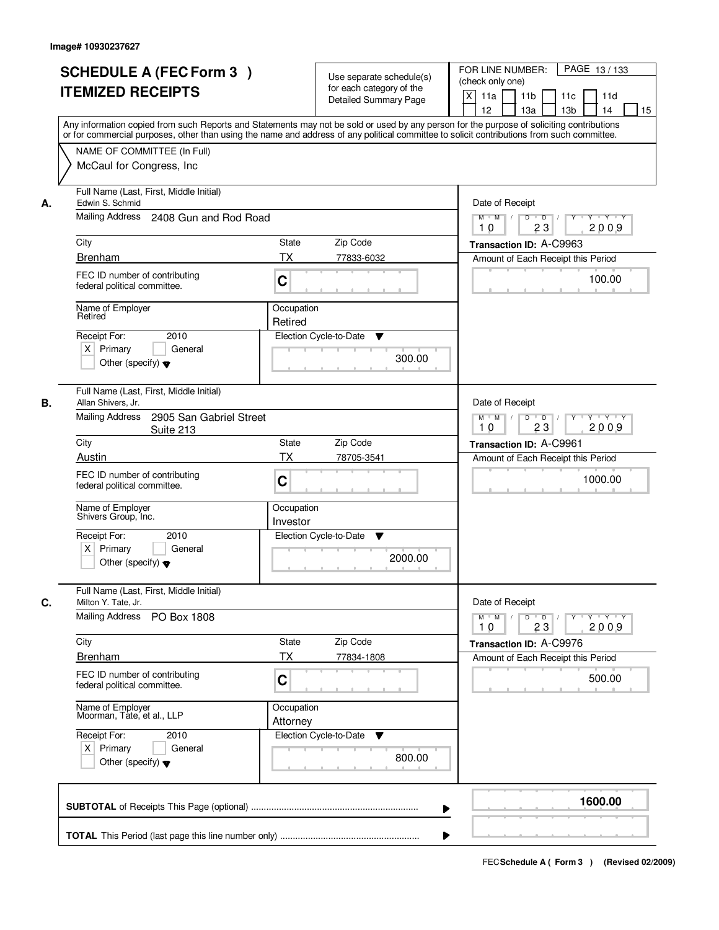|    | <b>SCHEDULE A (FEC Form 3)</b><br><b>ITEMIZED RECEIPTS</b>                                                                                                                                                                                                                              |                           | Use separate schedule(s)<br>for each category of the<br><b>Detailed Summary Page</b> | PAGE 13/133<br>FOR LINE NUMBER:<br>(check only one)<br>$\boldsymbol{\mathsf{X}}$<br>11a<br>11 <sub>b</sub><br>11c<br>11d<br>12<br>13 <sub>b</sub><br>13a<br>14<br>15 |
|----|-----------------------------------------------------------------------------------------------------------------------------------------------------------------------------------------------------------------------------------------------------------------------------------------|---------------------------|--------------------------------------------------------------------------------------|----------------------------------------------------------------------------------------------------------------------------------------------------------------------|
|    | Any information copied from such Reports and Statements may not be sold or used by any person for the purpose of soliciting contributions<br>or for commercial purposes, other than using the name and address of any political committee to solicit contributions from such committee. |                           |                                                                                      |                                                                                                                                                                      |
|    | NAME OF COMMITTEE (In Full)<br>McCaul for Congress, Inc.                                                                                                                                                                                                                                |                           |                                                                                      |                                                                                                                                                                      |
| А. | Full Name (Last, First, Middle Initial)<br>Edwin S. Schmid                                                                                                                                                                                                                              |                           |                                                                                      | Date of Receipt                                                                                                                                                      |
|    | Mailing Address 2408 Gun and Rod Road                                                                                                                                                                                                                                                   |                           |                                                                                      | $M$ $M$<br>$D$ $D$<br>Y 'Y 'Y<br>$Y^+$<br>$\sqrt{ }$<br>23<br>2009<br>10                                                                                             |
|    | City                                                                                                                                                                                                                                                                                    | State                     | Zip Code                                                                             | Transaction ID: A-C9963                                                                                                                                              |
|    | <b>Brenham</b>                                                                                                                                                                                                                                                                          | <b>TX</b>                 | 77833-6032                                                                           | Amount of Each Receipt this Period                                                                                                                                   |
|    | FEC ID number of contributing<br>federal political committee.                                                                                                                                                                                                                           | C                         |                                                                                      | 100.00                                                                                                                                                               |
|    | Name of Employer<br>Retired                                                                                                                                                                                                                                                             | Occupation<br>Retired     |                                                                                      |                                                                                                                                                                      |
|    | 2010<br>Receipt For:                                                                                                                                                                                                                                                                    |                           | Election Cycle-to-Date<br>▼                                                          |                                                                                                                                                                      |
|    | $X$ Primary<br>General<br>Other (specify) $\blacktriangledown$                                                                                                                                                                                                                          |                           | 300.00                                                                               |                                                                                                                                                                      |
| В. | Full Name (Last, First, Middle Initial)<br>Allan Shivers, Jr.                                                                                                                                                                                                                           |                           |                                                                                      | Date of Receipt                                                                                                                                                      |
|    | <b>Mailing Address</b><br>2905 San Gabriel Street<br>Suite 213                                                                                                                                                                                                                          |                           |                                                                                      | $Y \vdash Y \vdash Y$<br>$M$ $M$ /<br>D<br>$\overline{D}$<br>Y<br>2009<br>23<br>10                                                                                   |
|    | City                                                                                                                                                                                                                                                                                    | <b>State</b><br><b>TX</b> | Zip Code                                                                             | Transaction ID: A-C9961                                                                                                                                              |
|    | Austin<br>FEC ID number of contributing<br>federal political committee.                                                                                                                                                                                                                 | C                         | 78705-3541                                                                           | Amount of Each Receipt this Period<br>1000.00                                                                                                                        |
|    | Name of Employer<br>Shivers Group, Inc.                                                                                                                                                                                                                                                 | Occupation<br>Investor    |                                                                                      |                                                                                                                                                                      |
|    | Receipt For:<br>2010<br>$X$ Primary<br>General<br>Other (specify) $\blacktriangledown$                                                                                                                                                                                                  |                           | Election Cycle-to-Date<br>v<br>2000.00                                               |                                                                                                                                                                      |
| C. | Full Name (Last, First, Middle Initial)<br>Milton Y. Tate, Jr.                                                                                                                                                                                                                          |                           |                                                                                      | Date of Receipt                                                                                                                                                      |
|    | Mailing Address<br>PO Box 1808                                                                                                                                                                                                                                                          |                           |                                                                                      | $D$ $D$ $I$<br>$M$ $M$ /<br>$Y$ <sup><math>\top</math></sup><br>Y Y Y Y<br>23<br>2009<br>10                                                                          |
|    | City                                                                                                                                                                                                                                                                                    | State                     | Zip Code                                                                             | Transaction ID: A-C9976                                                                                                                                              |
|    | <b>Brenham</b>                                                                                                                                                                                                                                                                          | ТX                        | 77834-1808                                                                           | Amount of Each Receipt this Period                                                                                                                                   |
|    | FEC ID number of contributing<br>federal political committee.                                                                                                                                                                                                                           | C                         |                                                                                      | 500.00                                                                                                                                                               |
|    | Name of Employer<br>Moorman, Tate, et al., LLP                                                                                                                                                                                                                                          | Occupation<br>Attorney    |                                                                                      |                                                                                                                                                                      |
|    | Receipt For:<br>2010<br>$X$ Primary<br>General<br>Other (specify) $\blacktriangledown$                                                                                                                                                                                                  |                           | Election Cycle-to-Date<br>v<br>800.00                                                |                                                                                                                                                                      |
|    |                                                                                                                                                                                                                                                                                         |                           |                                                                                      | 1600.00<br>▶                                                                                                                                                         |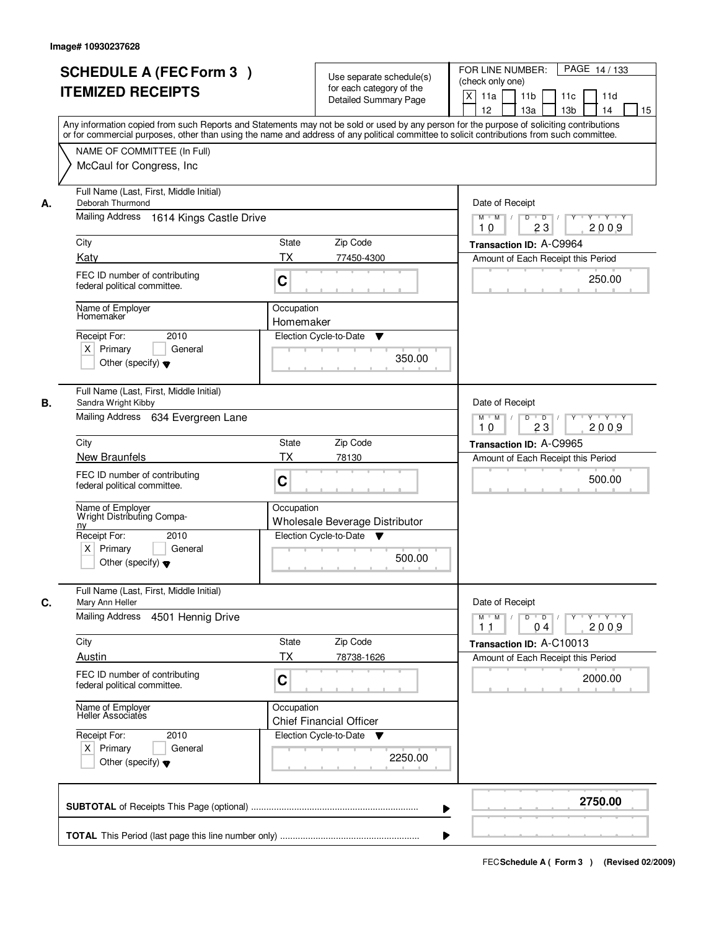|    | <b>SCHEDULE A (FEC Form 3)</b>                                                                                                             |                                                            | PAGE 14/133<br>FOR LINE NUMBER:                                                                   |
|----|--------------------------------------------------------------------------------------------------------------------------------------------|------------------------------------------------------------|---------------------------------------------------------------------------------------------------|
|    | <b>ITEMIZED RECEIPTS</b>                                                                                                                   | Use separate schedule(s)<br>for each category of the       | (check only one)                                                                                  |
|    |                                                                                                                                            | <b>Detailed Summary Page</b>                               | $\boldsymbol{\mathsf{X}}$<br>11a<br>11 <sub>b</sub><br>11c<br>11d                                 |
|    | Any information copied from such Reports and Statements may not be sold or used by any person for the purpose of soliciting contributions  |                                                            | 12<br>13a<br>13 <sub>b</sub><br>14<br>15                                                          |
|    | or for commercial purposes, other than using the name and address of any political committee to solicit contributions from such committee. |                                                            |                                                                                                   |
|    | NAME OF COMMITTEE (In Full)                                                                                                                |                                                            |                                                                                                   |
|    | McCaul for Congress, Inc.                                                                                                                  |                                                            |                                                                                                   |
| А. | Full Name (Last, First, Middle Initial)<br>Deborah Thurmond                                                                                |                                                            | Date of Receipt                                                                                   |
|    | Mailing Address 1614 Kings Castle Drive                                                                                                    |                                                            | $M$ $M$ /<br>D<br>$\overline{D}$<br><u>TYTY</u><br>Y<br>2009<br>23<br>10                          |
|    | City                                                                                                                                       | <b>State</b><br>Zip Code                                   | Transaction ID: A-C9964                                                                           |
|    | Katy                                                                                                                                       | <b>TX</b><br>77450-4300                                    | Amount of Each Receipt this Period                                                                |
|    | FEC ID number of contributing<br>federal political committee.                                                                              | C                                                          | 250.00                                                                                            |
|    | Name of Employer<br>Homemaker                                                                                                              | Occupation                                                 |                                                                                                   |
|    |                                                                                                                                            | Homemaker                                                  |                                                                                                   |
|    | 2010<br>Receipt For:                                                                                                                       | Election Cycle-to-Date<br>v                                |                                                                                                   |
|    | $X$ Primary<br>General<br>Other (specify) $\blacktriangledown$                                                                             | 350.00                                                     |                                                                                                   |
|    |                                                                                                                                            |                                                            |                                                                                                   |
| В. | Full Name (Last, First, Middle Initial)<br>Sandra Wright Kibby                                                                             |                                                            | Date of Receipt                                                                                   |
|    | Mailing Address 634 Evergreen Lane                                                                                                         |                                                            | $M$ $M$ /<br>D<br>$\overline{D}$<br>$Y + Y + Y$                                                   |
|    |                                                                                                                                            |                                                            | 23<br>2009<br>10                                                                                  |
|    | City                                                                                                                                       | Zip Code<br>State<br>TX                                    | Transaction ID: A-C9965                                                                           |
|    | New Braunfels                                                                                                                              | 78130                                                      | Amount of Each Receipt this Period                                                                |
|    | FEC ID number of contributing<br>federal political committee.                                                                              | C                                                          | 500.00                                                                                            |
|    | Name of Employer<br>Wright Distributing Compa-                                                                                             | Occupation                                                 |                                                                                                   |
|    | ny<br>Receipt For:<br>2010                                                                                                                 | Wholesale Beverage Distributor<br>Election Cycle-to-Date ▼ |                                                                                                   |
|    | $X$ Primary<br>General                                                                                                                     |                                                            |                                                                                                   |
|    | Other (specify) $\blacktriangledown$                                                                                                       | 500.00                                                     |                                                                                                   |
| C. | Full Name (Last, First, Middle Initial)<br>Mary Ann Heller                                                                                 |                                                            | Date of Receipt                                                                                   |
|    | Mailing Address<br>4501 Hennig Drive                                                                                                       |                                                            | $M$ $M$<br>$D$ $D$ $/$<br>$Y - Y - Y - Y$<br>$Y$ <sup><math>\top</math></sup><br>2009<br>11<br>04 |
|    | City                                                                                                                                       | Zip Code<br>State                                          | Transaction ID: A-C10013                                                                          |
|    | Austin                                                                                                                                     | <b>TX</b><br>78738-1626                                    | Amount of Each Receipt this Period                                                                |
|    | FEC ID number of contributing<br>federal political committee.                                                                              | C                                                          | 2000.00                                                                                           |
|    | Name of Employer<br>Heller Associatés                                                                                                      | Occupation<br><b>Chief Financial Officer</b>               |                                                                                                   |
|    | Receipt For:<br>2010                                                                                                                       | Election Cycle-to-Date<br>v                                |                                                                                                   |
|    | $X$ Primary<br>General<br>Other (specify) $\blacktriangledown$                                                                             | 2250.00                                                    |                                                                                                   |
|    |                                                                                                                                            |                                                            |                                                                                                   |
|    |                                                                                                                                            |                                                            | 2750.00                                                                                           |
|    |                                                                                                                                            |                                                            |                                                                                                   |
|    |                                                                                                                                            |                                                            |                                                                                                   |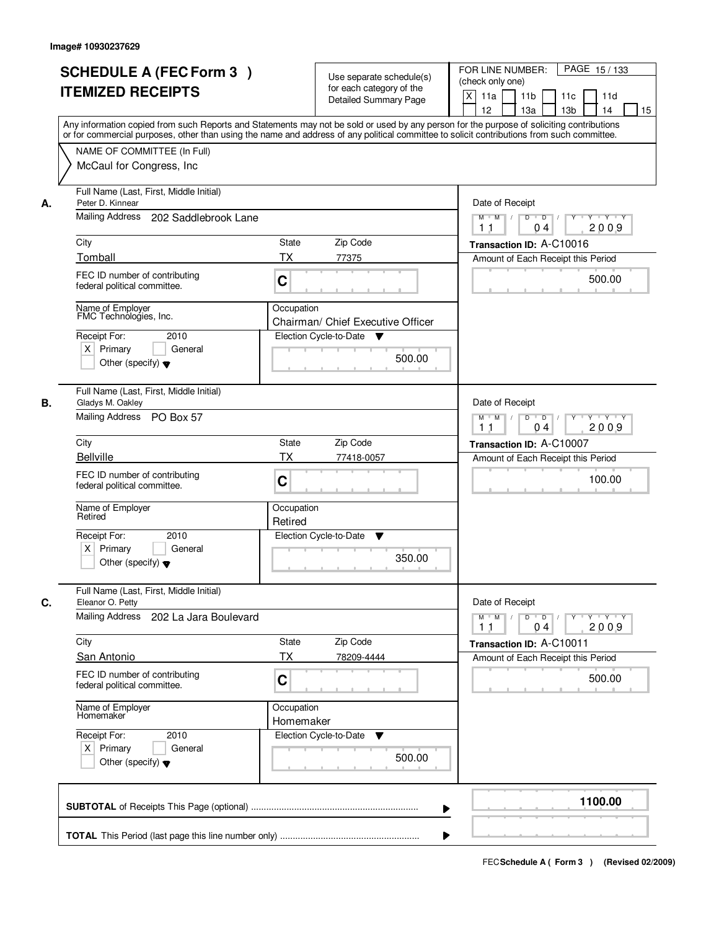|    | <b>SCHEDULE A (FEC Form 3)</b><br><b>ITEMIZED RECEIPTS</b>                                                                           | Use separate schedule(s)<br>for each category of the<br><b>Detailed Summary Page</b><br>Any information copied from such Reports and Statements may not be sold or used by any person for the purpose of soliciting contributions | PAGE 15/133<br>FOR LINE NUMBER:<br>(check only one)<br>$\boldsymbol{\mathsf{X}}$<br>11 <sub>b</sub><br>11a<br>11c<br>11d<br>12<br>13 <sub>b</sub><br>14<br>13a<br>15 |
|----|--------------------------------------------------------------------------------------------------------------------------------------|-----------------------------------------------------------------------------------------------------------------------------------------------------------------------------------------------------------------------------------|----------------------------------------------------------------------------------------------------------------------------------------------------------------------|
|    | NAME OF COMMITTEE (In Full)<br>McCaul for Congress, Inc.                                                                             | or for commercial purposes, other than using the name and address of any political committee to solicit contributions from such committee.                                                                                        |                                                                                                                                                                      |
| А. | Full Name (Last, First, Middle Initial)<br>Peter D. Kinnear<br>Mailing Address<br>202 Saddlebrook Lane                               |                                                                                                                                                                                                                                   | Date of Receipt<br>$D$ $D$ $1$<br>Y<br>$Y - Y - Y - Y$<br>$M$ $M$<br>2009<br>1 <sub>1</sub><br>04                                                                    |
|    | City<br>Tomball                                                                                                                      | <b>State</b><br>Zip Code<br>TX<br>77375                                                                                                                                                                                           | Transaction ID: A-C10016<br>Amount of Each Receipt this Period                                                                                                       |
|    | FEC ID number of contributing<br>federal political committee.                                                                        | C                                                                                                                                                                                                                                 | 500.00                                                                                                                                                               |
|    | Name of Employer<br>FMC Technologies, Inc.<br>Receipt For:<br>2010<br>$X$ Primary<br>General<br>Other (specify) $\blacktriangledown$ | Occupation<br>Chairman/ Chief Executive Officer<br>Election Cycle-to-Date<br>v<br>500.00                                                                                                                                          |                                                                                                                                                                      |
| В. | Full Name (Last, First, Middle Initial)<br>Gladys M. Oakley<br>Mailing Address PO Box 57                                             |                                                                                                                                                                                                                                   | Date of Receipt<br>$M$ $M$ /<br>D<br>$\overline{\phantom{0}}$ D<br>Y<br>Y Y Y Y<br>2009<br>11<br>04                                                                  |
|    | City<br><b>Bellville</b>                                                                                                             | Zip Code<br>State<br>TX<br>77418-0057                                                                                                                                                                                             | Transaction ID: A-C10007<br>Amount of Each Receipt this Period                                                                                                       |
|    | FEC ID number of contributing<br>federal political committee.                                                                        | C                                                                                                                                                                                                                                 | 100.00                                                                                                                                                               |
|    | Name of Employer<br>Retired<br>Receipt For:<br>2010                                                                                  | Occupation<br>Retired<br>Election Cycle-to-Date                                                                                                                                                                                   |                                                                                                                                                                      |
|    | $X$ Primary<br>General<br>Other (specify) $\blacktriangledown$                                                                       | v<br>350.00                                                                                                                                                                                                                       |                                                                                                                                                                      |
| C. | Full Name (Last, First, Middle Initial)<br>Eleanor O. Petty                                                                          |                                                                                                                                                                                                                                   | Date of Receipt                                                                                                                                                      |
|    | Mailing Address<br>202 La Jara Boulevard                                                                                             |                                                                                                                                                                                                                                   | $D$ $D$ $/$<br>$M$ $M$<br>$Y - Y - Y - Y$<br>$Y^+$<br>2009<br>11<br>04                                                                                               |
|    | City<br>San Antonio                                                                                                                  | State<br>Zip Code<br>ТX<br>78209-4444                                                                                                                                                                                             | Transaction ID: A-C10011<br>Amount of Each Receipt this Period                                                                                                       |
|    | FEC ID number of contributing<br>federal political committee.                                                                        | C                                                                                                                                                                                                                                 | 500.00                                                                                                                                                               |
|    | Name of Employer<br>Homemaker                                                                                                        | Occupation<br>Homemaker                                                                                                                                                                                                           |                                                                                                                                                                      |
|    | Receipt For:<br>2010<br>$X$ Primary<br>General<br>Other (specify) $\blacktriangledown$                                               | Election Cycle-to-Date<br>▼<br>500.00                                                                                                                                                                                             |                                                                                                                                                                      |
|    |                                                                                                                                      |                                                                                                                                                                                                                                   | 1100.00                                                                                                                                                              |
|    |                                                                                                                                      |                                                                                                                                                                                                                                   |                                                                                                                                                                      |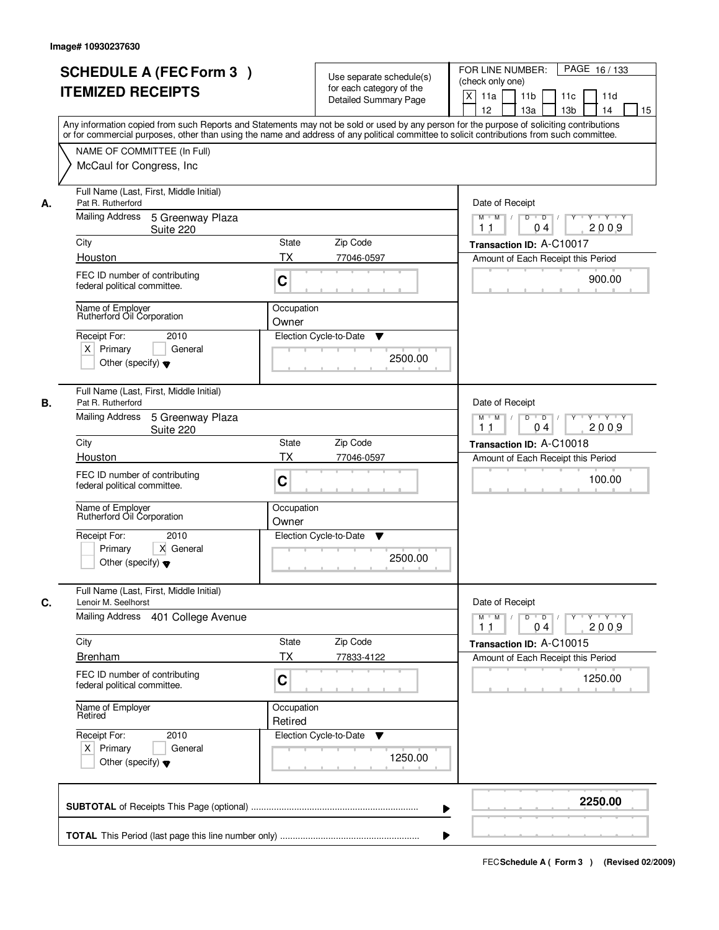|    | <b>SCHEDULE A (FEC Form 3)</b><br><b>ITEMIZED RECEIPTS</b><br>Any information copied from such Reports and Statements may not be sold or used by any person for the purpose of soliciting contributions |                       | Use separate schedule(s)<br>for each category of the<br><b>Detailed Summary Page</b> | PAGE 16/133<br>FOR LINE NUMBER:<br>(check only one)<br>$\boldsymbol{\mathsf{X}}$<br>11 <sub>b</sub><br>11a<br>11 <sub>c</sub><br>11d<br>12<br>13 <sub>b</sub><br>14<br>13a<br>15   |
|----|---------------------------------------------------------------------------------------------------------------------------------------------------------------------------------------------------------|-----------------------|--------------------------------------------------------------------------------------|------------------------------------------------------------------------------------------------------------------------------------------------------------------------------------|
|    | or for commercial purposes, other than using the name and address of any political committee to solicit contributions from such committee.<br>NAME OF COMMITTEE (In Full)<br>McCaul for Congress, Inc.  |                       |                                                                                      |                                                                                                                                                                                    |
| А. | Full Name (Last, First, Middle Initial)<br>Pat R. Rutherford<br>Mailing Address<br>5 Greenway Plaza<br>Suite 220                                                                                        |                       |                                                                                      | Date of Receipt<br>$D$ $D$ $1$<br>Y<br>$Y - Y - Y - Y$<br>$M$ $M$ /<br>2009<br>1 <sub>1</sub><br>04                                                                                |
|    | City                                                                                                                                                                                                    | <b>State</b>          | Zip Code                                                                             | Transaction ID: A-C10017                                                                                                                                                           |
|    | Houston                                                                                                                                                                                                 | ТX                    | 77046-0597                                                                           | Amount of Each Receipt this Period                                                                                                                                                 |
|    | FEC ID number of contributing<br>federal political committee.                                                                                                                                           | C                     |                                                                                      | 900.00                                                                                                                                                                             |
|    | Name of Employer<br>Rutherford Oil Corporation                                                                                                                                                          | Occupation<br>Owner   |                                                                                      |                                                                                                                                                                                    |
|    | Receipt For:<br>2010<br>$X$ Primary<br>General<br>Other (specify) $\blacktriangledown$                                                                                                                  |                       | Election Cycle-to-Date<br>▼<br>2500.00                                               |                                                                                                                                                                                    |
| В. | Full Name (Last, First, Middle Initial)<br>Pat R. Rutherford                                                                                                                                            |                       |                                                                                      | Date of Receipt                                                                                                                                                                    |
|    | Mailing Address<br>5 Greenway Plaza<br>Suite 220                                                                                                                                                        |                       |                                                                                      | $M$ $M$ /<br>D<br>$\overline{D}$<br>Y Y Y Y<br>2009<br>11<br>04                                                                                                                    |
|    | City<br>Houston                                                                                                                                                                                         | State<br>TX           | Zip Code<br>77046-0597                                                               | Transaction ID: A-C10018                                                                                                                                                           |
|    | FEC ID number of contributing<br>federal political committee.                                                                                                                                           | C                     |                                                                                      | Amount of Each Receipt this Period<br>100.00                                                                                                                                       |
|    | Name of Employer<br>Rutherford Oil Corporation                                                                                                                                                          | Occupation<br>Owner   |                                                                                      |                                                                                                                                                                                    |
|    | Receipt For:<br>2010<br>Primary<br>X General<br>Other (specify) $\blacktriangledown$                                                                                                                    |                       | Election Cycle-to-Date<br>▼<br>2500.00                                               |                                                                                                                                                                                    |
| C. | Full Name (Last, First, Middle Initial)<br>Lenoir M. Seelhorst                                                                                                                                          |                       |                                                                                      | Date of Receipt                                                                                                                                                                    |
|    | <b>Mailing Address</b><br>401 College Avenue                                                                                                                                                            |                       |                                                                                      | $M$ $M$<br>$D$ $D$ $I$<br>$\begin{array}{c c c c c c} \hline \textbf{Y} & \textbf{I} & \textbf{Y} & \textbf{I} & \textbf{Y} & \textbf{Y} \\\hline \end{array}$<br>2009<br>11<br>04 |
|    | City                                                                                                                                                                                                    | State                 | Zip Code                                                                             | Transaction ID: A-C10015                                                                                                                                                           |
|    | <b>Brenham</b>                                                                                                                                                                                          | ТX                    | 77833-4122                                                                           | Amount of Each Receipt this Period                                                                                                                                                 |
|    | FEC ID number of contributing<br>federal political committee.                                                                                                                                           | C                     |                                                                                      | 1250.00                                                                                                                                                                            |
|    | Name of Employer<br>Retired                                                                                                                                                                             | Occupation<br>Retired |                                                                                      |                                                                                                                                                                                    |
|    | Receipt For:<br>2010<br>$X$ Primary<br>General<br>Other (specify) $\blacktriangledown$                                                                                                                  |                       | Election Cycle-to-Date<br>▼<br>1250.00                                               |                                                                                                                                                                                    |
|    |                                                                                                                                                                                                         |                       |                                                                                      | 2250.00                                                                                                                                                                            |
|    |                                                                                                                                                                                                         |                       |                                                                                      |                                                                                                                                                                                    |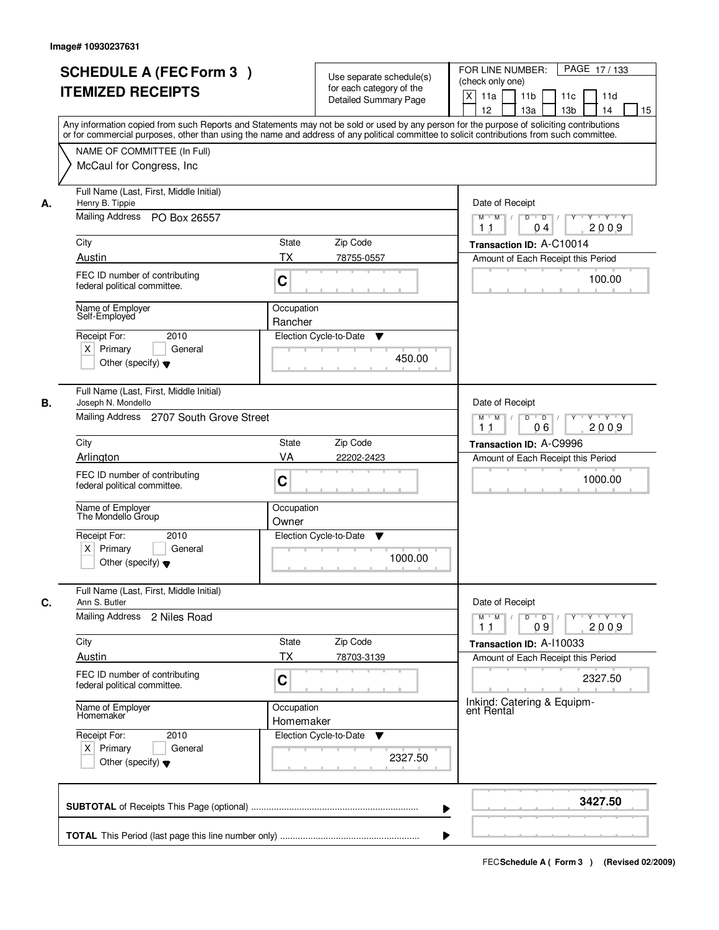|    | <b>SCHEDULE A (FEC Form 3)</b><br><b>ITEMIZED RECEIPTS</b>                                                                                                                                                                                                                              |                         | Use separate schedule(s)<br>for each category of the<br><b>Detailed Summary Page</b> | PAGE 17/133<br>FOR LINE NUMBER:<br>(check only one)<br>X<br>11a<br>11 <sub>b</sub><br>11c<br>11d |
|----|-----------------------------------------------------------------------------------------------------------------------------------------------------------------------------------------------------------------------------------------------------------------------------------------|-------------------------|--------------------------------------------------------------------------------------|--------------------------------------------------------------------------------------------------|
|    | Any information copied from such Reports and Statements may not be sold or used by any person for the purpose of soliciting contributions<br>or for commercial purposes, other than using the name and address of any political committee to solicit contributions from such committee. |                         |                                                                                      | 12<br>13 <sub>b</sub><br>13a<br>14<br>15                                                         |
|    | NAME OF COMMITTEE (In Full)<br>McCaul for Congress, Inc.                                                                                                                                                                                                                                |                         |                                                                                      |                                                                                                  |
| А. | Full Name (Last, First, Middle Initial)<br>Henry B. Tippie<br>Mailing Address PO Box 26557                                                                                                                                                                                              |                         |                                                                                      | Date of Receipt<br>$M$ $M$<br>$D$ $D$ $/$<br>$Y^+$<br>Y Y Y Y                                    |
|    |                                                                                                                                                                                                                                                                                         |                         |                                                                                      | 2009<br>11<br>04                                                                                 |
|    | City<br>Austin                                                                                                                                                                                                                                                                          | State<br>ТX             | Zip Code                                                                             | Transaction ID: A-C10014                                                                         |
|    | FEC ID number of contributing<br>federal political committee.                                                                                                                                                                                                                           | C                       | 78755-0557                                                                           | Amount of Each Receipt this Period<br>100.00                                                     |
|    | Name of Employer<br>Self-Employed                                                                                                                                                                                                                                                       | Occupation<br>Rancher   |                                                                                      |                                                                                                  |
|    | 2010<br>Receipt For:<br>$X$ Primary<br>General<br>Other (specify) $\blacktriangledown$                                                                                                                                                                                                  |                         | Election Cycle-to-Date<br>▼<br>450.00                                                |                                                                                                  |
| В. | Full Name (Last, First, Middle Initial)<br>Joseph N. Mondello                                                                                                                                                                                                                           |                         |                                                                                      | Date of Receipt                                                                                  |
|    | Mailing Address 2707 South Grove Street                                                                                                                                                                                                                                                 |                         |                                                                                      | $Y \vdash Y \vdash Y$<br>$M$ $M$ /<br>D<br>$\overline{D}$<br>Y<br>06<br>2009<br>11               |
|    | City                                                                                                                                                                                                                                                                                    | State                   | Zip Code                                                                             | Transaction ID: A-C9996                                                                          |
|    | Arlington                                                                                                                                                                                                                                                                               | VA                      | 22202-2423                                                                           | Amount of Each Receipt this Period                                                               |
|    | FEC ID number of contributing<br>federal political committee.                                                                                                                                                                                                                           | C                       |                                                                                      | 1000.00                                                                                          |
|    | Name of Employer<br>The Mondello Group                                                                                                                                                                                                                                                  | Occupation<br>Owner     |                                                                                      |                                                                                                  |
|    | Receipt For:<br>2010<br>$X$ Primary<br>General<br>Other (specify) $\blacktriangledown$                                                                                                                                                                                                  |                         | Election Cycle-to-Date<br>v<br>1000.00                                               |                                                                                                  |
| C. | Full Name (Last, First, Middle Initial)<br>Ann S. Butler                                                                                                                                                                                                                                |                         |                                                                                      | Date of Receipt                                                                                  |
|    | Mailing Address 2 Niles Road                                                                                                                                                                                                                                                            |                         |                                                                                      | $D$ $D$ $/$<br>$M$ $M$ /<br>$Y + Y + Y$<br>Y "<br>2009<br>11<br>09                               |
|    | City<br>Austin                                                                                                                                                                                                                                                                          | State<br>ТX             | Zip Code<br>78703-3139                                                               | Transaction ID: A-110033<br>Amount of Each Receipt this Period                                   |
|    | FEC ID number of contributing<br>federal political committee.                                                                                                                                                                                                                           | C                       |                                                                                      | 2327.50                                                                                          |
|    | Name of Employer<br>Homemaker                                                                                                                                                                                                                                                           | Occupation<br>Homemaker |                                                                                      | Inkind: Catering & Equipm-<br>ent Rental                                                         |
|    | Receipt For:<br>2010<br>$X$ Primary<br>General<br>Other (specify) $\blacktriangledown$                                                                                                                                                                                                  |                         | Election Cycle-to-Date<br>v<br>2327.50                                               |                                                                                                  |
|    |                                                                                                                                                                                                                                                                                         |                         |                                                                                      | 3427.50<br>▶                                                                                     |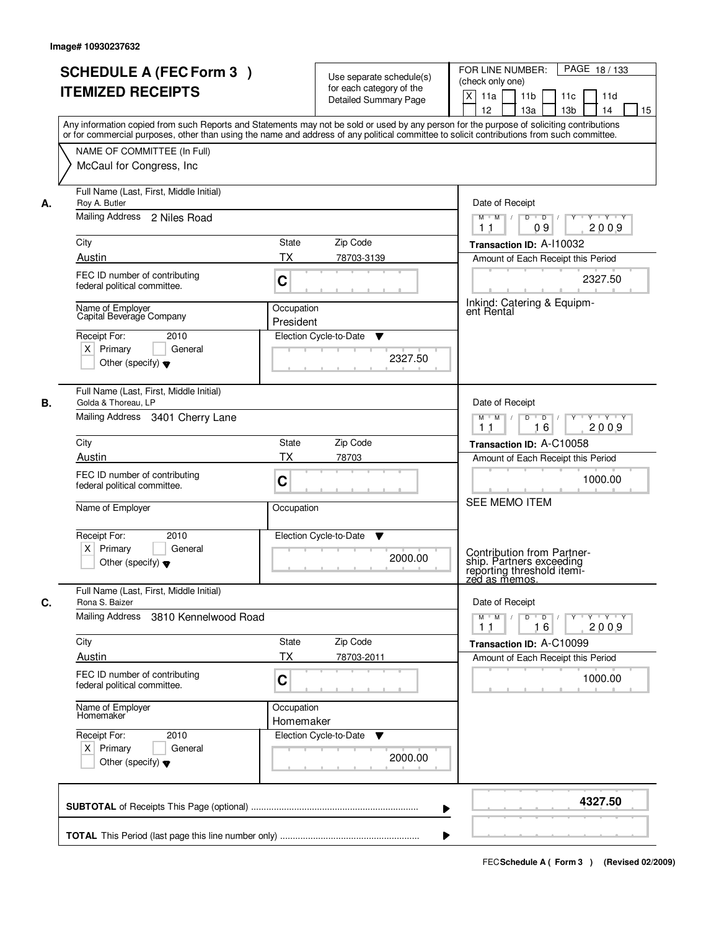|    | <b>SCHEDULE A (FEC Form 3)</b><br><b>ITEMIZED RECEIPTS</b><br>Any information copied from such Reports and Statements may not be sold or used by any person for the purpose of soliciting contributions<br>or for commercial purposes, other than using the name and address of any political committee to solicit contributions from such committee. |                         | Use separate schedule(s)<br>for each category of the<br><b>Detailed Summary Page</b> | PAGE 18/133<br>FOR LINE NUMBER:<br>(check only one)<br>$\mathsf{X}$<br>11 <sub>b</sub><br>11a<br>11c<br>11d<br>13 <sub>b</sub><br>12<br>13a<br>14<br>15 |
|----|-------------------------------------------------------------------------------------------------------------------------------------------------------------------------------------------------------------------------------------------------------------------------------------------------------------------------------------------------------|-------------------------|--------------------------------------------------------------------------------------|---------------------------------------------------------------------------------------------------------------------------------------------------------|
|    | NAME OF COMMITTEE (In Full)<br>McCaul for Congress, Inc.                                                                                                                                                                                                                                                                                              |                         |                                                                                      |                                                                                                                                                         |
| А. | Full Name (Last, First, Middle Initial)<br>Roy A. Butler<br>Mailing Address 2 Niles Road                                                                                                                                                                                                                                                              |                         |                                                                                      | Date of Receipt<br>$D$ $D$ $/$<br>$Y + Y + Y$<br>$M$ $M$ /<br>$\overline{Y}$<br>09<br>2009<br>1 <sub>1</sub>                                            |
|    | City                                                                                                                                                                                                                                                                                                                                                  | State                   | Zip Code                                                                             | Transaction ID: A-110032                                                                                                                                |
|    | Austin                                                                                                                                                                                                                                                                                                                                                | ТX                      | 78703-3139                                                                           | Amount of Each Receipt this Period                                                                                                                      |
|    | FEC ID number of contributing<br>federal political committee.                                                                                                                                                                                                                                                                                         | C                       |                                                                                      | 2327.50                                                                                                                                                 |
|    | Name of Employer<br>Capital Beverage Company                                                                                                                                                                                                                                                                                                          | Occupation<br>President |                                                                                      | Inkind: Catering & Equipm-<br>ent Rental                                                                                                                |
|    | Receipt For:<br>2010<br>$X$ Primary<br>General<br>Other (specify) $\blacktriangledown$                                                                                                                                                                                                                                                                |                         | Election Cycle-to-Date<br>▼<br>2327.50                                               |                                                                                                                                                         |
| В. | Full Name (Last, First, Middle Initial)<br>Golda & Thoreau, LP                                                                                                                                                                                                                                                                                        |                         |                                                                                      | Date of Receipt                                                                                                                                         |
|    | Mailing Address 3401 Cherry Lane                                                                                                                                                                                                                                                                                                                      |                         |                                                                                      | $Y \vdash Y \vdash Y$<br>$M$ $M$ /<br>D<br>$\overline{\phantom{0}}$<br>16<br>2009<br>11                                                                 |
|    | City                                                                                                                                                                                                                                                                                                                                                  | <b>State</b>            | Zip Code                                                                             | Transaction ID: A-C10058                                                                                                                                |
|    | Austin<br>FEC ID number of contributing<br>federal political committee.                                                                                                                                                                                                                                                                               | <b>TX</b><br>C          | 78703                                                                                | Amount of Each Receipt this Period<br>1000.00                                                                                                           |
|    | Name of Employer                                                                                                                                                                                                                                                                                                                                      | Occupation              |                                                                                      | SEE MEMO ITEM                                                                                                                                           |
|    | Receipt For:<br>2010<br>$X$ Primary<br>General<br>Other (specify) $\blacktriangledown$                                                                                                                                                                                                                                                                |                         | Election Cycle-to-Date<br>v<br>2000.00                                               | Contribution from Partner-<br>ship. Partners exceeding<br>reporting threshold itemi-<br><u>zed as memos.</u>                                            |
|    | Full Name (Last, First, Middle Initial)                                                                                                                                                                                                                                                                                                               |                         |                                                                                      |                                                                                                                                                         |
| C. | Rona S. Baizer<br>Mailing Address<br>3810 Kennelwood Road                                                                                                                                                                                                                                                                                             |                         |                                                                                      | Date of Receipt<br>$M$ $M$<br>$D$ $D$ $l$<br>$Y$ <sup>-1</sup><br>$Y + Y + Y$<br>2009<br>11<br>16                                                       |
|    | City                                                                                                                                                                                                                                                                                                                                                  | <b>State</b>            | Zip Code                                                                             | Transaction ID: A-C10099                                                                                                                                |
|    | Austin                                                                                                                                                                                                                                                                                                                                                | ТX                      | 78703-2011                                                                           | Amount of Each Receipt this Period                                                                                                                      |
|    | FEC ID number of contributing<br>federal political committee.                                                                                                                                                                                                                                                                                         | C                       |                                                                                      | 1000.00                                                                                                                                                 |
|    | Name of Employer<br>Homemaker                                                                                                                                                                                                                                                                                                                         | Occupation<br>Homemaker |                                                                                      |                                                                                                                                                         |
|    | Receipt For:<br>2010<br>$X$ Primary<br>General<br>Other (specify) $\blacktriangledown$                                                                                                                                                                                                                                                                |                         | Election Cycle-to-Date<br>v<br>2000.00                                               |                                                                                                                                                         |
|    |                                                                                                                                                                                                                                                                                                                                                       |                         | ▶                                                                                    | 4327.50                                                                                                                                                 |
|    |                                                                                                                                                                                                                                                                                                                                                       |                         |                                                                                      |                                                                                                                                                         |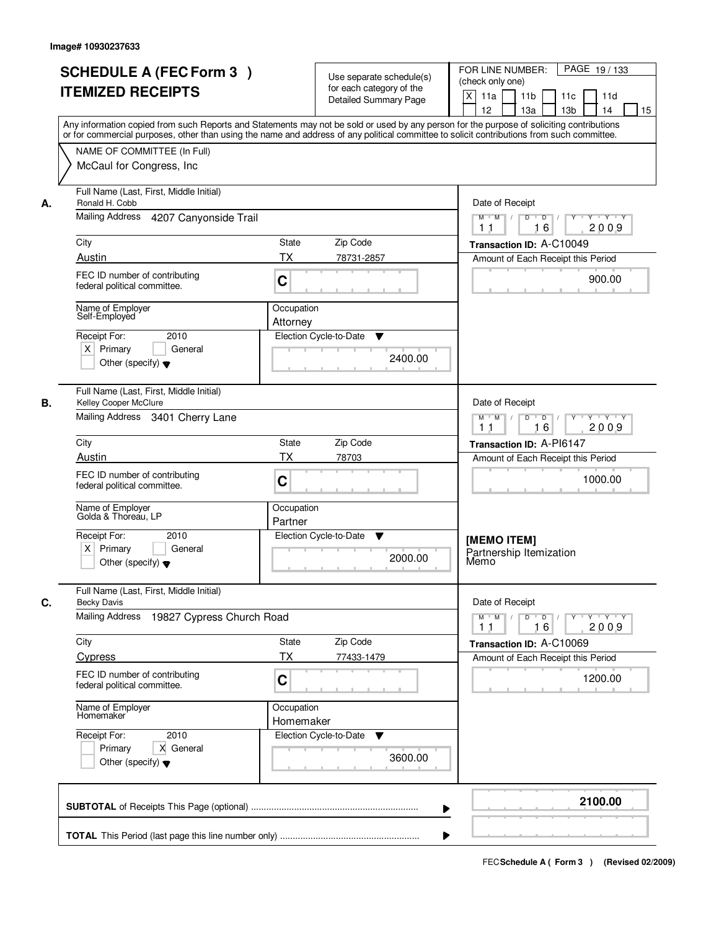|    | <b>SCHEDULE A (FEC Form 3)</b><br><b>ITEMIZED RECEIPTS</b>                                                                  | Use separate schedule(s)<br>for each category of the<br><b>Detailed Summary Page</b><br>Any information copied from such Reports and Statements may not be sold or used by any person for the purpose of soliciting contributions<br>or for commercial purposes, other than using the name and address of any political committee to solicit contributions from such committee. | PAGE 19/133<br>FOR LINE NUMBER:<br>(check only one)<br>$\times$<br>11 <sub>b</sub><br>11a<br>11d<br>11c<br>12<br>13 <sub>b</sub><br>15<br>13a<br>14 |
|----|-----------------------------------------------------------------------------------------------------------------------------|---------------------------------------------------------------------------------------------------------------------------------------------------------------------------------------------------------------------------------------------------------------------------------------------------------------------------------------------------------------------------------|-----------------------------------------------------------------------------------------------------------------------------------------------------|
|    | NAME OF COMMITTEE (In Full)<br>McCaul for Congress, Inc.                                                                    |                                                                                                                                                                                                                                                                                                                                                                                 |                                                                                                                                                     |
| А. | Full Name (Last, First, Middle Initial)<br>Ronald H. Cobb<br><b>Mailing Address</b><br>4207 Canyonside Trail                |                                                                                                                                                                                                                                                                                                                                                                                 | Date of Receipt<br>$M$ $M$ /<br>$D$ $D$ $I$<br>$Y^+$<br>Y Y Y Y<br>2009<br>1 <sub>1</sub><br>16                                                     |
|    | City<br>Austin                                                                                                              | <b>State</b><br>Zip Code<br><b>TX</b><br>78731-2857                                                                                                                                                                                                                                                                                                                             | Transaction ID: A-C10049<br>Amount of Each Receipt this Period                                                                                      |
|    | FEC ID number of contributing<br>federal political committee.                                                               | C                                                                                                                                                                                                                                                                                                                                                                               | 900.00                                                                                                                                              |
|    | Name of Employer<br>Self-Employed<br>Receipt For:<br>2010<br>$X$ Primary<br>General<br>Other (specify) $\blacktriangledown$ | Occupation<br>Attorney<br>Election Cycle-to-Date<br>▼<br>2400.00                                                                                                                                                                                                                                                                                                                |                                                                                                                                                     |
| В. | Full Name (Last, First, Middle Initial)<br>Kelley Cooper McClure<br>Mailing Address 3401 Cherry Lane                        |                                                                                                                                                                                                                                                                                                                                                                                 | Date of Receipt<br>D<br>$\overline{D}$ $\overline{I}$<br>$Y \vdash Y \vdash Y$<br>$M$ $M$ /<br>16<br>2009<br>11                                     |
|    | City                                                                                                                        | Zip Code<br><b>State</b>                                                                                                                                                                                                                                                                                                                                                        | Transaction ID: A-PI6147                                                                                                                            |
|    | Austin                                                                                                                      | TX<br>78703                                                                                                                                                                                                                                                                                                                                                                     | Amount of Each Receipt this Period                                                                                                                  |
|    | FEC ID number of contributing<br>federal political committee.                                                               | C                                                                                                                                                                                                                                                                                                                                                                               | 1000.00                                                                                                                                             |
|    | Name of Employer<br>Golda & Thoreau, LP                                                                                     | Occupation<br>Partner                                                                                                                                                                                                                                                                                                                                                           |                                                                                                                                                     |
|    | Receipt For:<br>2010<br>$X$ Primary<br>General<br>Other (specify) $\blacktriangledown$                                      | Election Cycle-to-Date<br>v<br>2000.00                                                                                                                                                                                                                                                                                                                                          | [MEMO ITEM]<br>Partnership Itemization<br>Memo                                                                                                      |
| С. | Full Name (Last, First, Middle Initial)<br><b>Becky Davis</b><br>Mailing Address<br>19827 Cypress Church Road               |                                                                                                                                                                                                                                                                                                                                                                                 | Date of Receipt<br>$M$ $M$<br>$\mathsf D$<br>$\overline{D}$ /<br>$Y + Y + Y$                                                                        |
|    |                                                                                                                             | Zip Code<br>State                                                                                                                                                                                                                                                                                                                                                               | 2009<br>11<br>16                                                                                                                                    |
|    | City<br><b>Cypress</b>                                                                                                      | ТX<br>77433-1479                                                                                                                                                                                                                                                                                                                                                                | Transaction ID: A-C10069<br>Amount of Each Receipt this Period                                                                                      |
|    | FEC ID number of contributing<br>federal political committee.                                                               | C                                                                                                                                                                                                                                                                                                                                                                               | 1200.00                                                                                                                                             |
|    | Name of Employer<br>Homemaker                                                                                               | Occupation<br>Homemaker                                                                                                                                                                                                                                                                                                                                                         |                                                                                                                                                     |
|    | Receipt For:<br>2010<br>Primary<br>X General<br>Other (specify) $\blacktriangledown$                                        | Election Cycle-to-Date<br>v<br>3600.00                                                                                                                                                                                                                                                                                                                                          |                                                                                                                                                     |
|    |                                                                                                                             |                                                                                                                                                                                                                                                                                                                                                                                 | 2100.00                                                                                                                                             |
|    |                                                                                                                             |                                                                                                                                                                                                                                                                                                                                                                                 |                                                                                                                                                     |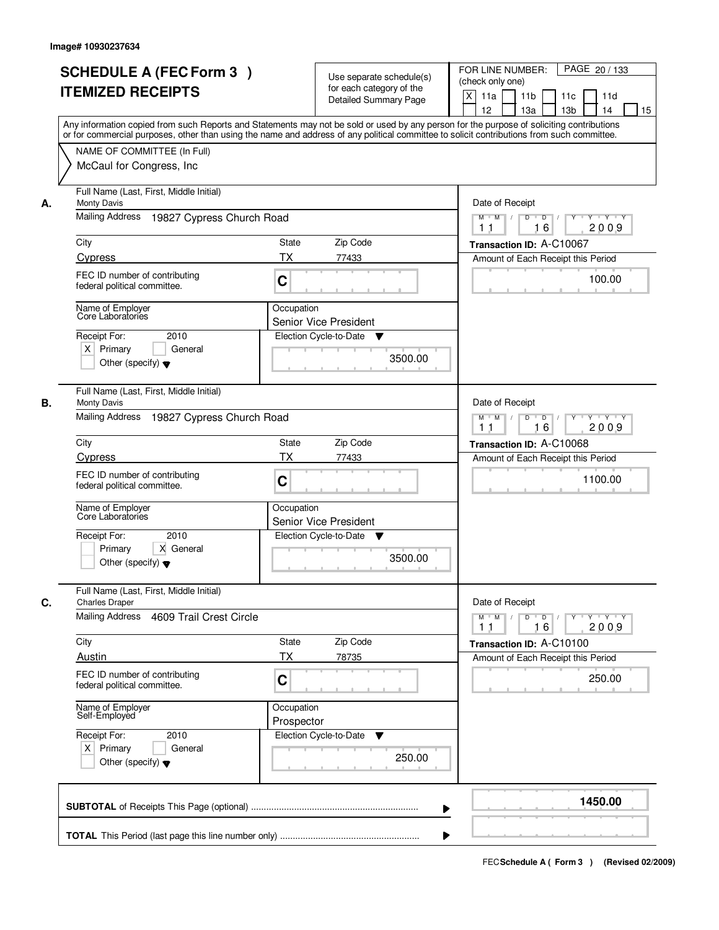|    | <b>SCHEDULE A (FEC Form 3)</b><br><b>ITEMIZED RECEIPTS</b><br>Any information copied from such Reports and Statements may not be sold or used by any person for the purpose of soliciting contributions<br>or for commercial purposes, other than using the name and address of any political committee to solicit contributions from such committee. | Use separate schedule(s)<br>for each category of the<br><b>Detailed Summary Page</b> | PAGE 20 / 133<br>FOR LINE NUMBER:<br>(check only one)<br>$\times$<br>11 <sub>b</sub><br>11a<br>11d<br>11c<br>12<br>13 <sub>b</sub><br>15<br>13a<br>14 |
|----|-------------------------------------------------------------------------------------------------------------------------------------------------------------------------------------------------------------------------------------------------------------------------------------------------------------------------------------------------------|--------------------------------------------------------------------------------------|-------------------------------------------------------------------------------------------------------------------------------------------------------|
|    | NAME OF COMMITTEE (In Full)<br>McCaul for Congress, Inc.                                                                                                                                                                                                                                                                                              |                                                                                      |                                                                                                                                                       |
| А. | Full Name (Last, First, Middle Initial)<br><b>Monty Davis</b><br><b>Mailing Address</b><br>19827 Cypress Church Road                                                                                                                                                                                                                                  |                                                                                      | Date of Receipt<br>$D$ $D$ $I$<br>$Y$ <sup>U</sup><br>Y Y Y Y<br>$M$ $M$ /                                                                            |
|    | City<br>Cypress                                                                                                                                                                                                                                                                                                                                       | State<br>Zip Code<br>ТX<br>77433                                                     | 2009<br>1 <sub>1</sub><br>16<br>Transaction ID: A-C10067<br>Amount of Each Receipt this Period                                                        |
|    | FEC ID number of contributing<br>federal political committee.                                                                                                                                                                                                                                                                                         | C                                                                                    | 100.00                                                                                                                                                |
|    | Name of Employer<br>Core Laboratories<br>Receipt For:<br>2010<br>$X$ Primary<br>General<br>Other (specify) $\blacktriangledown$                                                                                                                                                                                                                       | Occupation<br><b>Senior Vice President</b><br>Election Cycle-to-Date<br>v<br>3500.00 |                                                                                                                                                       |
| В. | Full Name (Last, First, Middle Initial)<br><b>Monty Davis</b><br>Mailing Address<br>19827 Cypress Church Road                                                                                                                                                                                                                                         |                                                                                      | Date of Receipt<br>D<br>$\Box$ D $\Box$ /<br>Y Y Y Y<br>$M$ $M$ /<br>16<br>2009<br>11                                                                 |
|    | City                                                                                                                                                                                                                                                                                                                                                  | Zip Code<br><b>State</b>                                                             | Transaction ID: A-C10068                                                                                                                              |
|    | Cypress                                                                                                                                                                                                                                                                                                                                               | TX<br>77433                                                                          | Amount of Each Receipt this Period                                                                                                                    |
|    | FEC ID number of contributing<br>federal political committee.                                                                                                                                                                                                                                                                                         | C                                                                                    | 1100.00                                                                                                                                               |
|    | Name of Employer<br>Core Laboratories<br>Receipt For:<br>2010<br>Primary<br>X General<br>Other (specify) $\blacktriangledown$                                                                                                                                                                                                                         | Occupation<br><b>Senior Vice President</b><br>Election Cycle-to-Date<br>v<br>3500.00 |                                                                                                                                                       |
|    | Full Name (Last, First, Middle Initial)                                                                                                                                                                                                                                                                                                               |                                                                                      |                                                                                                                                                       |
| C. | <b>Charles Draper</b><br>Mailing Address<br>4609 Trail Crest Circle                                                                                                                                                                                                                                                                                   |                                                                                      | Date of Receipt<br>$M$ $M$<br>$\mathsf D$<br>$\overline{D}$ /<br>$Y + Y + Y$<br>Y<br>16<br>2009<br>11                                                 |
|    | City                                                                                                                                                                                                                                                                                                                                                  | Zip Code<br>State                                                                    | Transaction ID: A-C10100                                                                                                                              |
|    | Austin<br>FEC ID number of contributing<br>federal political committee.                                                                                                                                                                                                                                                                               | ТX<br>78735<br>C                                                                     | Amount of Each Receipt this Period<br>250.00                                                                                                          |
|    | Name of Employer<br>Self-Employed                                                                                                                                                                                                                                                                                                                     | Occupation<br>Prospector                                                             |                                                                                                                                                       |
|    | Receipt For:<br>2010<br>$X$ Primary<br>General<br>Other (specify) $\blacktriangledown$                                                                                                                                                                                                                                                                | Election Cycle-to-Date<br>v<br>250.00                                                |                                                                                                                                                       |
|    |                                                                                                                                                                                                                                                                                                                                                       |                                                                                      | 1450.00<br>▶                                                                                                                                          |
|    |                                                                                                                                                                                                                                                                                                                                                       |                                                                                      |                                                                                                                                                       |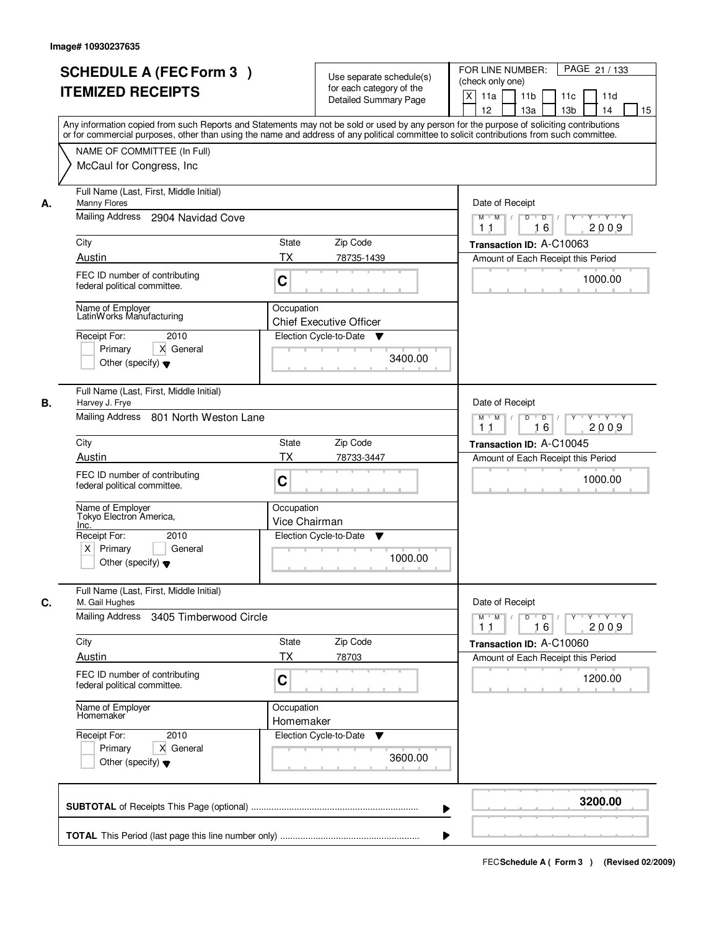|    | <b>SCHEDULE A (FEC Form 3)</b><br><b>ITEMIZED RECEIPTS</b><br>Any information copied from such Reports and Statements may not be sold or used by any person for the purpose of soliciting contributions<br>or for commercial purposes, other than using the name and address of any political committee to solicit contributions from such committee. |                             | Use separate schedule(s)<br>for each category of the<br><b>Detailed Summary Page</b> | PAGE 21 / 133<br>FOR LINE NUMBER:<br>(check only one)<br>X<br>11 <sub>b</sub><br>11a<br>11c<br>11d<br>12<br>13 <sub>b</sub><br>13a<br>14<br>15 |
|----|-------------------------------------------------------------------------------------------------------------------------------------------------------------------------------------------------------------------------------------------------------------------------------------------------------------------------------------------------------|-----------------------------|--------------------------------------------------------------------------------------|------------------------------------------------------------------------------------------------------------------------------------------------|
|    | NAME OF COMMITTEE (In Full)<br>McCaul for Congress, Inc.                                                                                                                                                                                                                                                                                              |                             |                                                                                      |                                                                                                                                                |
| А. | Full Name (Last, First, Middle Initial)<br>Manny Flores<br>Mailing Address<br>2904 Navidad Cove                                                                                                                                                                                                                                                       |                             |                                                                                      | Date of Receipt<br>$M$ $M$ /<br>$D$ $D$ $/$<br>$\overline{Y}$<br>Y 'Y 'Y<br>2009<br>11<br>16                                                   |
|    | City                                                                                                                                                                                                                                                                                                                                                  | State                       | Zip Code                                                                             | Transaction ID: A-C10063                                                                                                                       |
|    | Austin<br>FEC ID number of contributing<br>federal political committee.                                                                                                                                                                                                                                                                               | ТX<br>C                     | 78735-1439                                                                           | Amount of Each Receipt this Period<br>1000.00                                                                                                  |
|    | Name of Employer<br>LatinWorks Manufacturing<br>Receipt For:<br>2010<br>Primary<br>X General<br>Other (specify) $\blacktriangledown$                                                                                                                                                                                                                  | Occupation                  | <b>Chief Executive Officer</b><br>Election Cycle-to-Date<br>▼<br>3400.00             |                                                                                                                                                |
| В. | Full Name (Last, First, Middle Initial)<br>Harvey J. Frye<br>Mailing Address 801 North Weston Lane                                                                                                                                                                                                                                                    |                             |                                                                                      | Date of Receipt<br>$Y \vdash Y \vdash Y$<br>$M$ $M$ /<br>D<br>$\overline{\phantom{0}}$<br>Y<br>16<br>2009<br>11                                |
|    | City                                                                                                                                                                                                                                                                                                                                                  | <b>State</b>                | Zip Code                                                                             | Transaction ID: A-C10045                                                                                                                       |
|    | Austin<br>FEC ID number of contributing<br>federal political committee.                                                                                                                                                                                                                                                                               | <b>TX</b><br>C              | 78733-3447                                                                           | Amount of Each Receipt this Period<br>1000.00                                                                                                  |
|    | Name of Employer<br>Tokyo Electron America,<br>Inc.                                                                                                                                                                                                                                                                                                   | Occupation<br>Vice Chairman |                                                                                      |                                                                                                                                                |
|    | Receipt For:<br>2010<br>$X$ Primary<br>General<br>Other (specify) $\blacktriangledown$                                                                                                                                                                                                                                                                |                             | Election Cycle-to-Date<br>▼<br>1000.00                                               |                                                                                                                                                |
| C. | Full Name (Last, First, Middle Initial)<br>M. Gail Hughes                                                                                                                                                                                                                                                                                             |                             |                                                                                      | Date of Receipt                                                                                                                                |
|    | Mailing Address<br>3405 Timberwood Circle                                                                                                                                                                                                                                                                                                             |                             |                                                                                      | $D$ $D$ $l$<br>$M$ $M$ /<br>$Y$ <sup>U</sup><br>$Y + Y + Y$<br>2009<br>11<br>16                                                                |
|    | City<br>Austin                                                                                                                                                                                                                                                                                                                                        | State<br>ТX                 | Zip Code<br>78703                                                                    | Transaction ID: A-C10060                                                                                                                       |
|    | FEC ID number of contributing<br>federal political committee.                                                                                                                                                                                                                                                                                         | C                           |                                                                                      | Amount of Each Receipt this Period<br>1200.00                                                                                                  |
|    | Name of Employer<br>Homemaker                                                                                                                                                                                                                                                                                                                         | Occupation<br>Homemaker     |                                                                                      |                                                                                                                                                |
|    | Receipt For:<br>2010<br>Primary<br>X General<br>Other (specify) $\blacktriangledown$                                                                                                                                                                                                                                                                  |                             | Election Cycle-to-Date<br>v<br>3600.00                                               |                                                                                                                                                |
|    |                                                                                                                                                                                                                                                                                                                                                       |                             | ▶                                                                                    | 3200.00                                                                                                                                        |
|    |                                                                                                                                                                                                                                                                                                                                                       |                             |                                                                                      |                                                                                                                                                |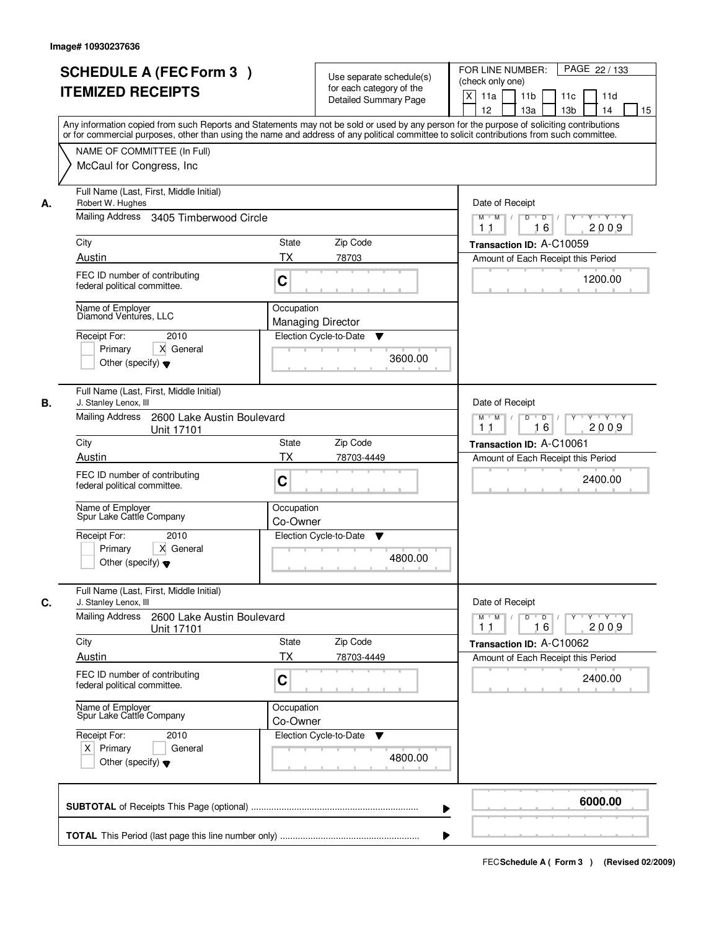|    | <b>SCHEDULE A (FEC Form 3)</b><br><b>ITEMIZED RECEIPTS</b>                                                                                                                                                                                                                                                             |                                        | Use separate schedule(s)<br>for each category of the<br><b>Detailed Summary Page</b> | PAGE 22 / 133<br>FOR LINE NUMBER:<br>(check only one)<br>X<br>11 <sub>b</sub><br>11a<br>11c<br>11d<br>12<br>13 <sub>b</sub><br>13a<br>14<br>15 |
|----|------------------------------------------------------------------------------------------------------------------------------------------------------------------------------------------------------------------------------------------------------------------------------------------------------------------------|----------------------------------------|--------------------------------------------------------------------------------------|------------------------------------------------------------------------------------------------------------------------------------------------|
|    | Any information copied from such Reports and Statements may not be sold or used by any person for the purpose of soliciting contributions<br>or for commercial purposes, other than using the name and address of any political committee to solicit contributions from such committee.<br>NAME OF COMMITTEE (In Full) |                                        |                                                                                      |                                                                                                                                                |
|    | McCaul for Congress, Inc.                                                                                                                                                                                                                                                                                              |                                        |                                                                                      |                                                                                                                                                |
| А. | Full Name (Last, First, Middle Initial)<br>Robert W. Hughes<br>Mailing Address 3405 Timberwood Circle                                                                                                                                                                                                                  |                                        |                                                                                      | Date of Receipt<br>$D$ $D$ $/$                                                                                                                 |
|    |                                                                                                                                                                                                                                                                                                                        |                                        |                                                                                      | $M$ $M$ /<br>$Y^+$<br>Y 'Y 'Y<br>2009<br>11<br>16                                                                                              |
|    | City                                                                                                                                                                                                                                                                                                                   | State                                  | Zip Code                                                                             | Transaction ID: A-C10059                                                                                                                       |
|    | Austin                                                                                                                                                                                                                                                                                                                 | ТX                                     | 78703                                                                                | Amount of Each Receipt this Period                                                                                                             |
|    | FEC ID number of contributing<br>federal political committee.                                                                                                                                                                                                                                                          | C                                      |                                                                                      | 1200.00                                                                                                                                        |
|    | Name of Employer<br>Diamond Ventures, LLC                                                                                                                                                                                                                                                                              | Occupation<br><b>Managing Director</b> |                                                                                      |                                                                                                                                                |
|    | 2010<br>Receipt For:                                                                                                                                                                                                                                                                                                   |                                        | Election Cycle-to-Date<br>▼                                                          |                                                                                                                                                |
|    | Primary<br>X General<br>Other (specify) $\blacktriangledown$                                                                                                                                                                                                                                                           |                                        | 3600.00                                                                              |                                                                                                                                                |
| В. | Full Name (Last, First, Middle Initial)<br>J. Stanley Lenox, III                                                                                                                                                                                                                                                       |                                        |                                                                                      | Date of Receipt                                                                                                                                |
|    | Mailing Address<br>2600 Lake Austin Boulevard<br>Unit 17101                                                                                                                                                                                                                                                            |                                        |                                                                                      | $Y \vdash Y \vdash Y$<br>$M$ $M$ /<br>D<br>$\overline{\phantom{0}}$<br>Y<br>16<br>2009<br>11                                                   |
|    | City                                                                                                                                                                                                                                                                                                                   | <b>State</b>                           | Zip Code                                                                             | Transaction ID: A-C10061                                                                                                                       |
|    | Austin                                                                                                                                                                                                                                                                                                                 | <b>TX</b>                              | 78703-4449                                                                           | Amount of Each Receipt this Period                                                                                                             |
|    | FEC ID number of contributing<br>federal political committee.                                                                                                                                                                                                                                                          | C                                      |                                                                                      | 2400.00                                                                                                                                        |
|    | Name of Employer<br>Spur Lake Cattle Company                                                                                                                                                                                                                                                                           | Occupation<br>Co-Owner                 |                                                                                      |                                                                                                                                                |
|    | Receipt For:<br>2010<br>Primary<br>X General<br>Other (specify) $\blacktriangledown$                                                                                                                                                                                                                                   |                                        | Election Cycle-to-Date<br>v<br>4800.00                                               |                                                                                                                                                |
| C. | Full Name (Last, First, Middle Initial)<br>J. Stanley Lenox, III                                                                                                                                                                                                                                                       |                                        |                                                                                      | Date of Receipt                                                                                                                                |
|    | Mailing Address<br>2600 Lake Austin Boulevard<br>Unit 17101                                                                                                                                                                                                                                                            |                                        |                                                                                      | $D$ $D$ $l$<br>$M$ $M$ /<br>$Y + Y + Y$<br>Y "<br>2009<br>11<br>16                                                                             |
|    | City                                                                                                                                                                                                                                                                                                                   | State                                  | Zip Code                                                                             | Transaction ID: A-C10062                                                                                                                       |
|    | <b>Austin</b>                                                                                                                                                                                                                                                                                                          | ТX                                     | 78703-4449                                                                           | Amount of Each Receipt this Period                                                                                                             |
|    | FEC ID number of contributing<br>federal political committee.                                                                                                                                                                                                                                                          | C                                      |                                                                                      | 2400.00                                                                                                                                        |
|    | Name of Employer<br>Spur Lake Cattle Company                                                                                                                                                                                                                                                                           | Occupation<br>Co-Owner                 |                                                                                      |                                                                                                                                                |
|    | Receipt For:<br>2010<br>$X$ Primary<br>General                                                                                                                                                                                                                                                                         |                                        | Election Cycle-to-Date<br>v                                                          |                                                                                                                                                |
|    | Other (specify) $\blacktriangledown$                                                                                                                                                                                                                                                                                   |                                        | 4800.00                                                                              |                                                                                                                                                |
|    |                                                                                                                                                                                                                                                                                                                        |                                        | ▶                                                                                    | 6000.00                                                                                                                                        |
|    |                                                                                                                                                                                                                                                                                                                        |                                        |                                                                                      |                                                                                                                                                |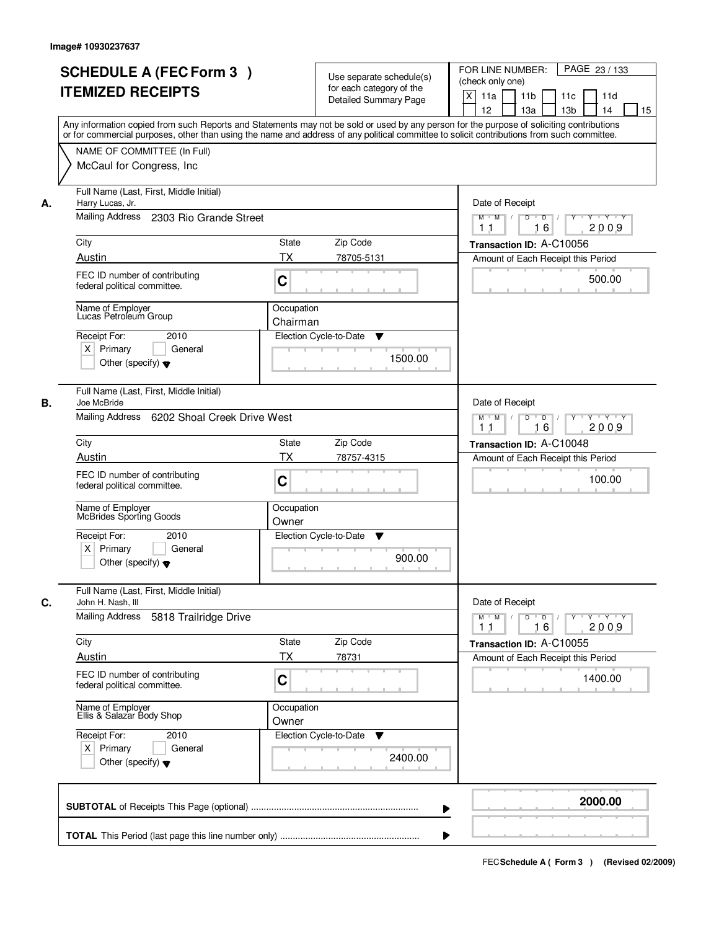| <b>ITEMIZED RECEIPTS</b>                                            | <b>SCHEDULE A (FEC Form 3)</b>                           |                        | Use separate schedule(s)<br>for each category of the<br><b>Detailed Summary Page</b> | PAGE 23 / 133<br>FOR LINE NUMBER:<br>(check only one)<br>X<br>11a<br>11 <sub>b</sub><br>11c<br>11d                                                                                                                                                                                                                                  |
|---------------------------------------------------------------------|----------------------------------------------------------|------------------------|--------------------------------------------------------------------------------------|-------------------------------------------------------------------------------------------------------------------------------------------------------------------------------------------------------------------------------------------------------------------------------------------------------------------------------------|
|                                                                     |                                                          |                        |                                                                                      | 12<br>13 <sub>b</sub><br>13a<br>14<br>15<br>Any information copied from such Reports and Statements may not be sold or used by any person for the purpose of soliciting contributions<br>or for commercial purposes, other than using the name and address of any political committee to solicit contributions from such committee. |
|                                                                     | NAME OF COMMITTEE (In Full)<br>McCaul for Congress, Inc. |                        |                                                                                      |                                                                                                                                                                                                                                                                                                                                     |
| Harry Lucas, Jr.<br>А.<br>Mailing Address                           | Full Name (Last, First, Middle Initial)                  |                        |                                                                                      | Date of Receipt                                                                                                                                                                                                                                                                                                                     |
|                                                                     | 2303 Rio Grande Street                                   |                        |                                                                                      | $M$ $M$ /<br>$D$ $D$ $/$<br>$\overline{Y}$<br>Y 'Y 'Y<br>2009<br>11<br>16                                                                                                                                                                                                                                                           |
| City                                                                |                                                          | State                  | Zip Code                                                                             | Transaction ID: A-C10056                                                                                                                                                                                                                                                                                                            |
| Austin                                                              |                                                          | ТX                     | 78705-5131                                                                           | Amount of Each Receipt this Period                                                                                                                                                                                                                                                                                                  |
| federal political committee.                                        | FEC ID number of contributing                            | C                      |                                                                                      | 500.00                                                                                                                                                                                                                                                                                                                              |
| Name of Employer<br>Lucas Petroleum Group                           |                                                          | Occupation<br>Chairman |                                                                                      |                                                                                                                                                                                                                                                                                                                                     |
| Receipt For:                                                        | 2010                                                     |                        | Election Cycle-to-Date<br>▼                                                          |                                                                                                                                                                                                                                                                                                                                     |
| $X$ Primary<br>Other (specify) $\blacktriangledown$                 | General                                                  |                        | 1500.00                                                                              |                                                                                                                                                                                                                                                                                                                                     |
| Joe McBride<br>В.                                                   | Full Name (Last, First, Middle Initial)                  |                        |                                                                                      | Date of Receipt                                                                                                                                                                                                                                                                                                                     |
| Mailing Address                                                     | 6202 Shoal Creek Drive West                              |                        |                                                                                      | $Y \vdash Y \vdash Y$<br>$M$ $M$ /<br>D<br>$\overline{\phantom{0}}$<br>Y<br>16<br>2009<br>11                                                                                                                                                                                                                                        |
| City                                                                |                                                          | <b>State</b>           | Zip Code                                                                             | Transaction ID: A-C10048                                                                                                                                                                                                                                                                                                            |
| Austin                                                              |                                                          | <b>TX</b>              | 78757-4315                                                                           | Amount of Each Receipt this Period                                                                                                                                                                                                                                                                                                  |
| federal political committee.                                        | FEC ID number of contributing                            | C                      |                                                                                      | 100.00                                                                                                                                                                                                                                                                                                                              |
| Name of Employer<br>McBrides Sporting Goods                         |                                                          | Occupation<br>Owner    |                                                                                      |                                                                                                                                                                                                                                                                                                                                     |
| Receipt For:<br>$X$ Primary<br>Other (specify) $\blacktriangledown$ | 2010<br>General                                          |                        | Election Cycle-to-Date<br>v<br>900.00                                                |                                                                                                                                                                                                                                                                                                                                     |
| C.<br>John H. Nash, III                                             | Full Name (Last, First, Middle Initial)                  |                        |                                                                                      | Date of Receipt                                                                                                                                                                                                                                                                                                                     |
| <b>Mailing Address</b>                                              | 5818 Trailridge Drive                                    |                        |                                                                                      | $D$ $D$ $l$<br>$M$ $M$ /<br>$Y$ <sup>U</sup><br>$Y + Y + Y$<br>2009<br>11<br>16                                                                                                                                                                                                                                                     |
| City                                                                |                                                          | State                  | Zip Code                                                                             | Transaction ID: A-C10055                                                                                                                                                                                                                                                                                                            |
| Austin                                                              |                                                          | ТX                     | 78731                                                                                | Amount of Each Receipt this Period                                                                                                                                                                                                                                                                                                  |
| federal political committee.                                        | FEC ID number of contributing                            | C                      |                                                                                      | 1400.00                                                                                                                                                                                                                                                                                                                             |
| Name of Employer<br>Ellis & Salazar Body Shop                       |                                                          | Occupation<br>Owner    |                                                                                      |                                                                                                                                                                                                                                                                                                                                     |
| Receipt For:<br>$X$ Primary<br>Other (specify) $\blacktriangledown$ | 2010<br>General                                          |                        | Election Cycle-to-Date<br>v<br>2400.00                                               |                                                                                                                                                                                                                                                                                                                                     |
|                                                                     |                                                          |                        | ▶                                                                                    | 2000.00                                                                                                                                                                                                                                                                                                                             |
|                                                                     |                                                          |                        |                                                                                      |                                                                                                                                                                                                                                                                                                                                     |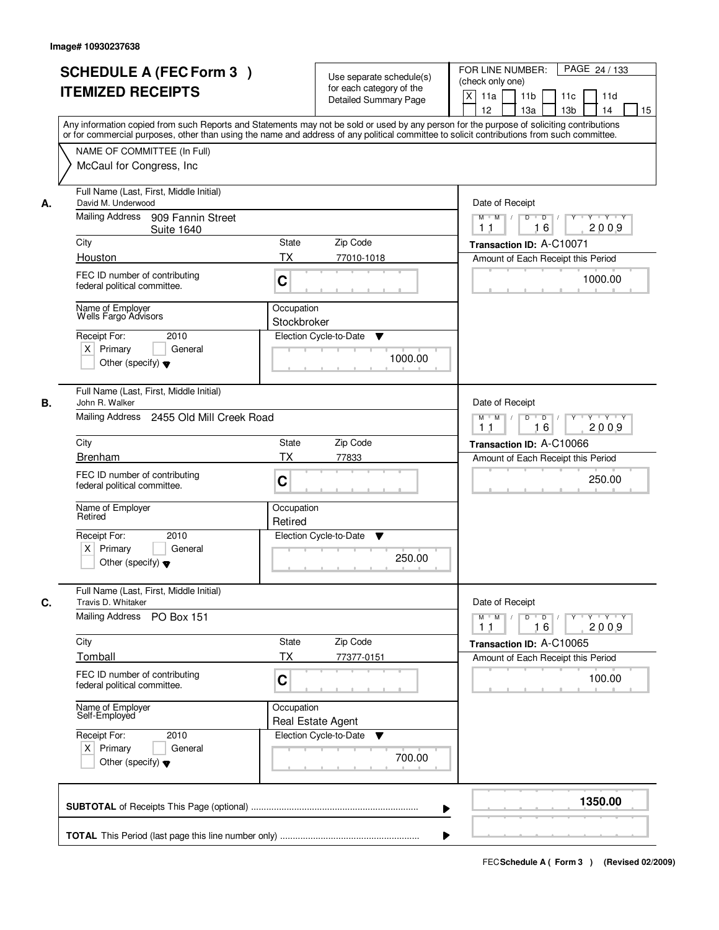|    | <b>SCHEDULE A (FEC Form 3)</b><br><b>ITEMIZED RECEIPTS</b>                                                                 | Use separate schedule(s)<br>for each category of the<br><b>Detailed Summary Page</b><br>Any information copied from such Reports and Statements may not be sold or used by any person for the purpose of soliciting contributions | PAGE 24 / 133<br>FOR LINE NUMBER:<br>(check only one)<br>$\boldsymbol{\mathsf{X}}$<br>11 <sub>b</sub><br>11a<br>11c<br>11d<br>12<br>13 <sub>b</sub><br>14<br>13a<br>15 |
|----|----------------------------------------------------------------------------------------------------------------------------|-----------------------------------------------------------------------------------------------------------------------------------------------------------------------------------------------------------------------------------|------------------------------------------------------------------------------------------------------------------------------------------------------------------------|
|    | NAME OF COMMITTEE (In Full)<br>McCaul for Congress, Inc.                                                                   | or for commercial purposes, other than using the name and address of any political committee to solicit contributions from such committee.                                                                                        |                                                                                                                                                                        |
| А. | Full Name (Last, First, Middle Initial)<br>David M. Underwood<br>Mailing Address<br>909 Fannin Street<br><b>Suite 1640</b> |                                                                                                                                                                                                                                   | Date of Receipt<br>$M$ $M$<br>$D$ $D$ $/$<br>Y<br>$Y - Y - Y - Y$<br>2009<br>16<br>1 <sub>1</sub>                                                                      |
|    | City                                                                                                                       | <b>State</b><br>Zip Code                                                                                                                                                                                                          | Transaction ID: A-C10071                                                                                                                                               |
|    | Houston                                                                                                                    | ТX<br>77010-1018                                                                                                                                                                                                                  | Amount of Each Receipt this Period                                                                                                                                     |
|    | FEC ID number of contributing<br>federal political committee.                                                              | C                                                                                                                                                                                                                                 | 1000.00                                                                                                                                                                |
|    | Name of Employer<br>Wells Fargo Advisors                                                                                   | Occupation<br>Stockbroker                                                                                                                                                                                                         |                                                                                                                                                                        |
|    | Receipt For:<br>2010<br>$X$ Primary<br>General<br>Other (specify) $\blacktriangledown$                                     | Election Cycle-to-Date<br>▼<br>1000.00                                                                                                                                                                                            |                                                                                                                                                                        |
| В. | Full Name (Last, First, Middle Initial)<br>John R. Walker<br>Mailing Address<br>2455 Old Mill Creek Road                   |                                                                                                                                                                                                                                   | Date of Receipt<br>$M$ $M$ /<br>D<br>$\overline{D}$ /<br>Y<br>Y Y Y Y                                                                                                  |
|    |                                                                                                                            |                                                                                                                                                                                                                                   | 16<br>2009<br>11                                                                                                                                                       |
|    | City                                                                                                                       | Zip Code<br>State                                                                                                                                                                                                                 | Transaction ID: A-C10066                                                                                                                                               |
|    | Brenham                                                                                                                    | TX<br>77833                                                                                                                                                                                                                       | Amount of Each Receipt this Period                                                                                                                                     |
|    | FEC ID number of contributing<br>federal political committee.                                                              | C                                                                                                                                                                                                                                 | 250.00                                                                                                                                                                 |
|    | Name of Employer<br>Retired                                                                                                | Occupation<br>Retired                                                                                                                                                                                                             |                                                                                                                                                                        |
|    | Receipt For:<br>2010<br>$X$ Primary<br>General<br>Other (specify) $\blacktriangledown$                                     | Election Cycle-to-Date<br>v<br>250.00                                                                                                                                                                                             |                                                                                                                                                                        |
| C. | Full Name (Last, First, Middle Initial)<br>Travis D. Whitaker                                                              |                                                                                                                                                                                                                                   | Date of Receipt                                                                                                                                                        |
|    | <b>Mailing Address</b><br><b>PO Box 151</b>                                                                                |                                                                                                                                                                                                                                   | $M$ $M$ $/$<br>$D$ $D$ $I$<br>$\gamma$ $\gamma$ $\gamma$ $\gamma$ $\gamma$ $\gamma$<br>2009<br>11<br>16                                                                |
|    | City                                                                                                                       | State<br>Zip Code                                                                                                                                                                                                                 | Transaction ID: A-C10065                                                                                                                                               |
|    | Tomball<br>FEC ID number of contributing<br>federal political committee.                                                   | ТX<br>77377-0151<br>C                                                                                                                                                                                                             | Amount of Each Receipt this Period<br>100.00                                                                                                                           |
|    | Name of Employer<br>Self-Employed                                                                                          | Occupation<br>Real Estate Agent                                                                                                                                                                                                   |                                                                                                                                                                        |
|    | Receipt For:<br>2010<br>$X$ Primary<br>General<br>Other (specify) $\blacktriangledown$                                     | Election Cycle-to-Date<br>▼<br>700.00                                                                                                                                                                                             |                                                                                                                                                                        |
|    |                                                                                                                            |                                                                                                                                                                                                                                   | 1350.00                                                                                                                                                                |
|    |                                                                                                                            |                                                                                                                                                                                                                                   |                                                                                                                                                                        |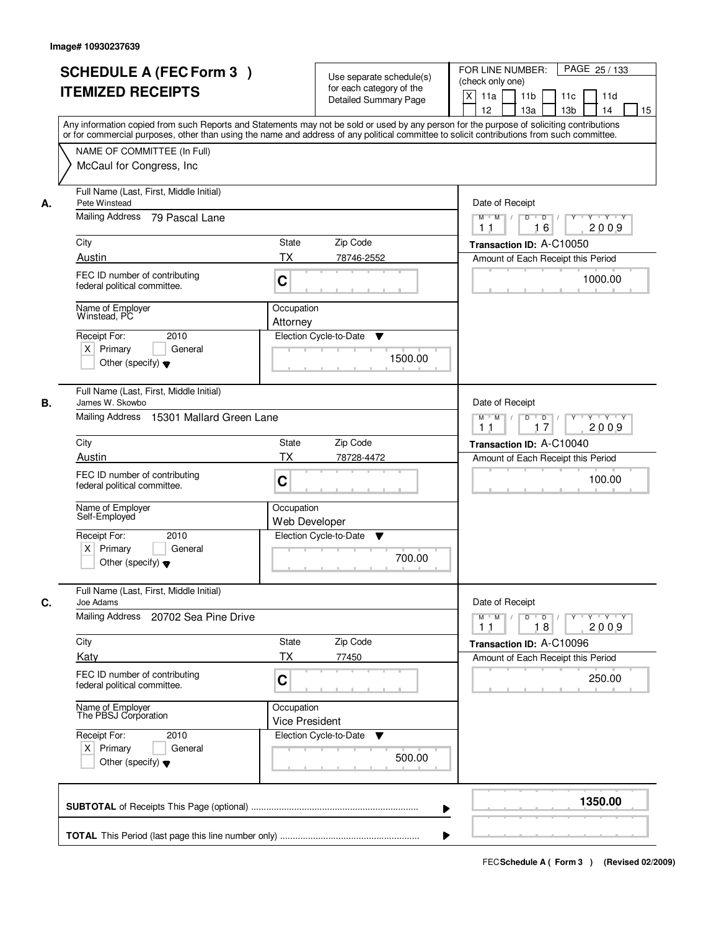|    | <b>SCHEDULE A (FEC Form 3)</b><br><b>ITEMIZED RECEIPTS</b><br>Any information copied from such Reports and Statements may not be sold or used by any person for the purpose of soliciting contributions<br>or for commercial purposes, other than using the name and address of any political committee to solicit contributions from such committee. | Use separate schedule(s)<br>for each category of the<br><b>Detailed Summary Page</b> | $\times$ | PAGE 25 / 133<br>FOR LINE NUMBER:<br>(check only one)<br>11 <sub>b</sub><br>11a<br>11c<br>11d<br>12<br>13a<br>13 <sub>b</sub><br>15<br>14 |
|----|-------------------------------------------------------------------------------------------------------------------------------------------------------------------------------------------------------------------------------------------------------------------------------------------------------------------------------------------------------|--------------------------------------------------------------------------------------|----------|-------------------------------------------------------------------------------------------------------------------------------------------|
|    | NAME OF COMMITTEE (In Full)<br>McCaul for Congress, Inc.                                                                                                                                                                                                                                                                                              |                                                                                      |          |                                                                                                                                           |
| А. | Full Name (Last, First, Middle Initial)<br>Pete Winstead<br>Mailing Address 79 Pascal Lane                                                                                                                                                                                                                                                            |                                                                                      |          | Date of Receipt<br>$M$ $M$ /<br>$D$ $D$ $/$<br>$Y^+$<br>Y Y Y Y                                                                           |
|    | City                                                                                                                                                                                                                                                                                                                                                  | State<br>Zip Code                                                                    |          | 2009<br>11<br>16<br>Transaction ID: A-C10050                                                                                              |
|    | Austin<br>FEC ID number of contributing<br>federal political committee.                                                                                                                                                                                                                                                                               | <b>TX</b><br>78746-2552<br>C                                                         |          | Amount of Each Receipt this Period<br>1000.00                                                                                             |
|    | Name of Employer<br>Winstead, PC<br>Receipt For:<br>2010<br>$X$ Primary<br>General<br>Other (specify) $\blacktriangledown$                                                                                                                                                                                                                            | Occupation<br>Attorney<br>Election Cycle-to-Date<br>▼                                | 1500.00  |                                                                                                                                           |
| В. | Full Name (Last, First, Middle Initial)<br>James W. Skowbo<br>Mailing Address 15301 Mallard Green Lane                                                                                                                                                                                                                                                |                                                                                      |          | Date of Receipt<br>$M$ $M$ /<br>D<br>$\overline{D}$ /<br>$\mathsf{Y} \dashv \neg \mathsf{Y} \dashv \neg \mathsf{Y}$                       |
|    | City                                                                                                                                                                                                                                                                                                                                                  | Zip Code<br><b>State</b>                                                             |          | 17<br>2009<br>11<br>Transaction ID: A-C10040                                                                                              |
|    | Austin<br>FEC ID number of contributing<br>federal political committee.                                                                                                                                                                                                                                                                               | <b>TX</b><br>78728-4472<br>C                                                         |          | Amount of Each Receipt this Period<br>100.00                                                                                              |
|    | Name of Employer<br>Self-Employed                                                                                                                                                                                                                                                                                                                     | Occupation<br>Web Developer                                                          |          |                                                                                                                                           |
|    | Receipt For:<br>2010<br>$X$ Primary<br>General<br>Other (specify) $\blacktriangledown$                                                                                                                                                                                                                                                                | Election Cycle-to-Date<br>v                                                          | 700.00   |                                                                                                                                           |
| С. | Full Name (Last, First, Middle Initial)<br>Joe Adams                                                                                                                                                                                                                                                                                                  |                                                                                      |          | Date of Receipt                                                                                                                           |
|    | Mailing Address<br>20702 Sea Pine Drive                                                                                                                                                                                                                                                                                                               |                                                                                      |          | $M$ $M$<br>$\mathsf D$<br>$\overline{D}$ /<br>Y<br>Y Y Y Y<br>18<br>2009<br>11                                                            |
|    | City<br>Katy                                                                                                                                                                                                                                                                                                                                          | Zip Code<br>State<br>ТX<br>77450                                                     |          | Transaction ID: A-C10096<br>Amount of Each Receipt this Period                                                                            |
|    | FEC ID number of contributing<br>federal political committee.                                                                                                                                                                                                                                                                                         | C                                                                                    |          | 250.00                                                                                                                                    |
|    | Name of Employer<br>The PBSJ Corporation                                                                                                                                                                                                                                                                                                              | Occupation<br><b>Vice President</b>                                                  |          |                                                                                                                                           |
|    | Receipt For:<br>2010<br>$X$ Primary<br>General<br>Other (specify) $\blacktriangledown$                                                                                                                                                                                                                                                                | Election Cycle-to-Date<br>v                                                          | 500.00   |                                                                                                                                           |
|    |                                                                                                                                                                                                                                                                                                                                                       |                                                                                      | ▶        | 1350.00                                                                                                                                   |
|    |                                                                                                                                                                                                                                                                                                                                                       |                                                                                      |          |                                                                                                                                           |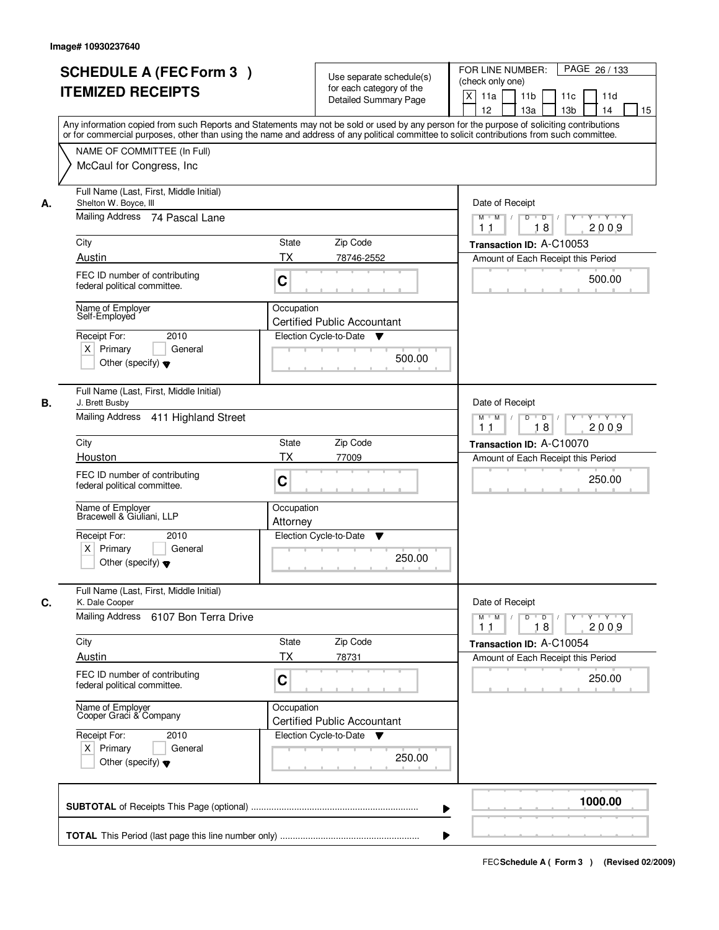|    | <b>SCHEDULE A (FEC Form 3)</b><br><b>ITEMIZED RECEIPTS</b><br>Any information copied from such Reports and Statements may not be sold or used by any person for the purpose of soliciting contributions |                        | Use separate schedule(s)<br>for each category of the<br><b>Detailed Summary Page</b> | PAGE 26 / 133<br>FOR LINE NUMBER:<br>(check only one)<br>X<br>11a<br>11 <sub>b</sub><br>11c<br>11d<br>12<br>13 <sub>b</sub><br>13a<br>14<br>15 |
|----|---------------------------------------------------------------------------------------------------------------------------------------------------------------------------------------------------------|------------------------|--------------------------------------------------------------------------------------|------------------------------------------------------------------------------------------------------------------------------------------------|
|    | or for commercial purposes, other than using the name and address of any political committee to solicit contributions from such committee.<br>NAME OF COMMITTEE (In Full)<br>McCaul for Congress, Inc.  |                        |                                                                                      |                                                                                                                                                |
| А. | Full Name (Last, First, Middle Initial)<br>Shelton W. Boyce, III<br>Mailing Address 74 Pascal Lane                                                                                                      |                        |                                                                                      | Date of Receipt<br>$M$ $M$<br>$D$ $D$ $/$<br>$Y^+$<br>Y 'Y 'Y<br>18<br>2009<br>11                                                              |
|    | City                                                                                                                                                                                                    | State                  | Zip Code                                                                             | Transaction ID: A-C10053                                                                                                                       |
|    | Austin                                                                                                                                                                                                  | ТX                     | 78746-2552                                                                           | Amount of Each Receipt this Period                                                                                                             |
|    | FEC ID number of contributing<br>federal political committee.                                                                                                                                           | C                      |                                                                                      | 500.00                                                                                                                                         |
|    | Name of Employer<br>Self-Employed                                                                                                                                                                       | Occupation             | <b>Certified Public Accountant</b>                                                   |                                                                                                                                                |
|    | 2010<br>Receipt For:<br>$X$ Primary<br>General<br>Other (specify) $\blacktriangledown$                                                                                                                  |                        | Election Cycle-to-Date ▼<br>500.00                                                   |                                                                                                                                                |
| В. | Full Name (Last, First, Middle Initial)<br>J. Brett Busby<br>Mailing Address 411 Highland Street                                                                                                        |                        |                                                                                      | Date of Receipt<br>Y<br>Y Y Y Y<br>$M$ $M$ /<br>D<br>$\overline{D}$ /                                                                          |
|    |                                                                                                                                                                                                         |                        |                                                                                      | 18<br>2009<br>11                                                                                                                               |
|    | City                                                                                                                                                                                                    | State                  | Zip Code                                                                             | Transaction ID: A-C10070                                                                                                                       |
|    | Houston<br>FEC ID number of contributing<br>federal political committee.                                                                                                                                | <b>TX</b><br>C         | 77009                                                                                | Amount of Each Receipt this Period<br>250.00                                                                                                   |
|    | Name of Employer<br>Bracewell & Giuliani, LLP                                                                                                                                                           | Occupation<br>Attorney |                                                                                      |                                                                                                                                                |
|    | Receipt For:<br>2010<br>$X$ Primary<br>General<br>Other (specify) $\blacktriangledown$                                                                                                                  |                        | Election Cycle-to-Date<br>v<br>250.00                                                |                                                                                                                                                |
| C. | Full Name (Last, First, Middle Initial)<br>K. Dale Cooper<br>Mailing Address<br>6107 Bon Terra Drive                                                                                                    |                        |                                                                                      | Date of Receipt<br>$D$ $D$ $l$<br>$M$ $M$ /<br>$Y + Y + Y$<br>Y "                                                                              |
|    | City                                                                                                                                                                                                    | State                  | Zip Code                                                                             | 2009<br>11<br>18                                                                                                                               |
|    | Austin                                                                                                                                                                                                  | ТX                     | 78731                                                                                | Transaction ID: A-C10054<br>Amount of Each Receipt this Period                                                                                 |
|    | FEC ID number of contributing<br>federal political committee.                                                                                                                                           | C                      |                                                                                      | 250.00                                                                                                                                         |
|    | Name of Employer<br>Cooper Graci & Company                                                                                                                                                              | Occupation             | <b>Certified Public Accountant</b>                                                   |                                                                                                                                                |
|    | Receipt For:<br>2010<br>$X$ Primary<br>General<br>Other (specify) $\blacktriangledown$                                                                                                                  |                        | Election Cycle-to-Date<br>v<br>250.00                                                |                                                                                                                                                |
|    |                                                                                                                                                                                                         |                        | ▶                                                                                    | 1000.00                                                                                                                                        |
|    |                                                                                                                                                                                                         |                        |                                                                                      |                                                                                                                                                |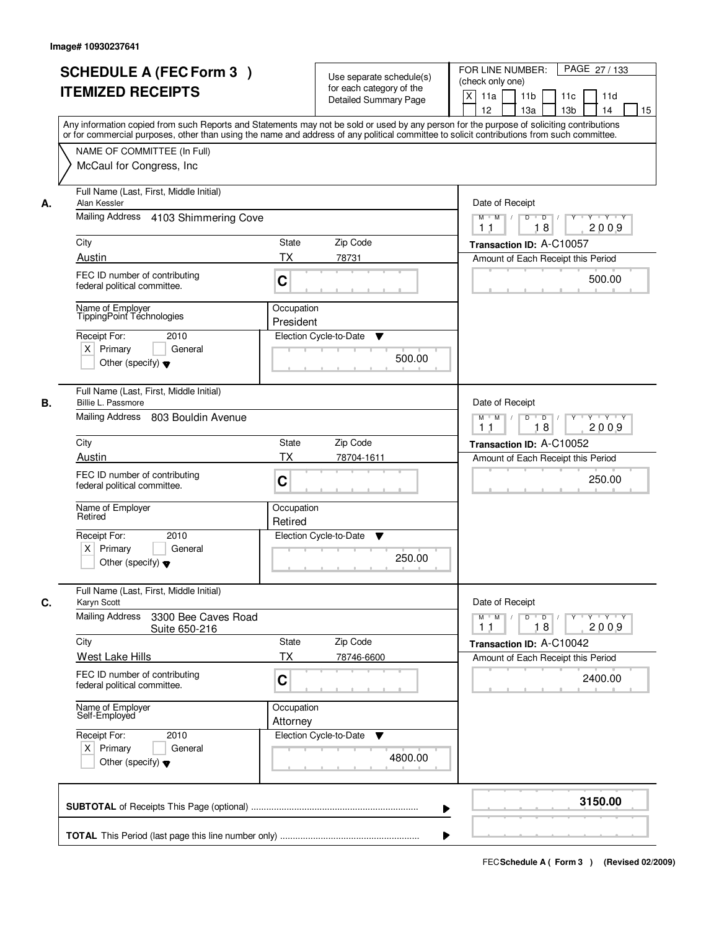|    | <b>SCHEDULE A (FEC Form 3)</b><br><b>ITEMIZED RECEIPTS</b><br>Any information copied from such Reports and Statements may not be sold or used by any person for the purpose of soliciting contributions |                         | Use separate schedule(s)<br>for each category of the<br><b>Detailed Summary Page</b> | PAGE 27 / 133<br>FOR LINE NUMBER:<br>(check only one)<br>X<br>11a<br>11 <sub>b</sub><br>11c<br>11d<br>12<br>13 <sub>b</sub><br>13a<br>14<br>15 |
|----|---------------------------------------------------------------------------------------------------------------------------------------------------------------------------------------------------------|-------------------------|--------------------------------------------------------------------------------------|------------------------------------------------------------------------------------------------------------------------------------------------|
|    | or for commercial purposes, other than using the name and address of any political committee to solicit contributions from such committee.<br>NAME OF COMMITTEE (In Full)<br>McCaul for Congress, Inc.  |                         |                                                                                      |                                                                                                                                                |
| А. | Full Name (Last, First, Middle Initial)<br>Alan Kessler<br>Mailing Address 4103 Shimmering Cove                                                                                                         |                         |                                                                                      | Date of Receipt<br>$M$ $M$ /<br>$D$ $D$ $/$<br>$\overline{Y}$<br>Y Y Y Y                                                                       |
|    |                                                                                                                                                                                                         |                         |                                                                                      | 2009<br>11<br>18                                                                                                                               |
|    | City<br>Austin                                                                                                                                                                                          | <b>State</b><br>ТX      | Zip Code<br>78731                                                                    | Transaction ID: A-C10057<br>Amount of Each Receipt this Period                                                                                 |
|    | FEC ID number of contributing<br>federal political committee.                                                                                                                                           | C                       |                                                                                      | 500.00                                                                                                                                         |
|    | Name of Employer<br>TippingPoint Téchnologies<br>Receipt For:<br>2010<br>$X$ Primary<br>General<br>Other (specify) $\blacktriangledown$                                                                 | Occupation<br>President | Election Cycle-to-Date<br>▼<br>500.00                                                |                                                                                                                                                |
| В. | Full Name (Last, First, Middle Initial)<br>Billie L. Passmore<br>Mailing Address 803 Bouldin Avenue                                                                                                     |                         |                                                                                      | Date of Receipt<br>Y<br>Y Y Y Y<br>$M$ $M$ /<br>D<br>$\overline{D}$ /<br>18<br>2009<br>11                                                      |
|    | City                                                                                                                                                                                                    | State                   | Zip Code                                                                             | Transaction ID: A-C10052                                                                                                                       |
|    | Austin                                                                                                                                                                                                  | <b>TX</b>               | 78704-1611                                                                           | Amount of Each Receipt this Period                                                                                                             |
|    | FEC ID number of contributing<br>federal political committee.                                                                                                                                           | C                       |                                                                                      | 250.00                                                                                                                                         |
|    | Name of Employer<br>Retired                                                                                                                                                                             | Occupation<br>Retired   |                                                                                      |                                                                                                                                                |
|    | Receipt For:<br>2010<br>$X$ Primary<br>General<br>Other (specify) $\blacktriangledown$                                                                                                                  |                         | Election Cycle-to-Date<br>v<br>250.00                                                |                                                                                                                                                |
| C. | Full Name (Last, First, Middle Initial)<br>Karyn Scott                                                                                                                                                  |                         |                                                                                      | Date of Receipt                                                                                                                                |
|    | <b>Mailing Address</b><br>3300 Bee Caves Road<br>Suite 650-216                                                                                                                                          |                         |                                                                                      | $D$ $D$ $l$<br>$M$ $M$ /<br>$Y + Y + Y$<br>$Y^+$<br>2009<br>11<br>18                                                                           |
|    | City                                                                                                                                                                                                    | State                   | Zip Code                                                                             | Transaction ID: A-C10042                                                                                                                       |
|    | <b>West Lake Hills</b><br>FEC ID number of contributing<br>federal political committee.                                                                                                                 | ТX<br>C                 | 78746-6600                                                                           | Amount of Each Receipt this Period<br>2400.00                                                                                                  |
|    | Name of Employer<br>Self-Employed                                                                                                                                                                       | Occupation<br>Attorney  |                                                                                      |                                                                                                                                                |
|    | Receipt For:<br>2010<br>$X$ Primary<br>General<br>Other (specify) $\blacktriangledown$                                                                                                                  |                         | Election Cycle-to-Date<br>v<br>4800.00                                               |                                                                                                                                                |
|    |                                                                                                                                                                                                         |                         | ▶                                                                                    | 3150.00                                                                                                                                        |
|    |                                                                                                                                                                                                         |                         |                                                                                      |                                                                                                                                                |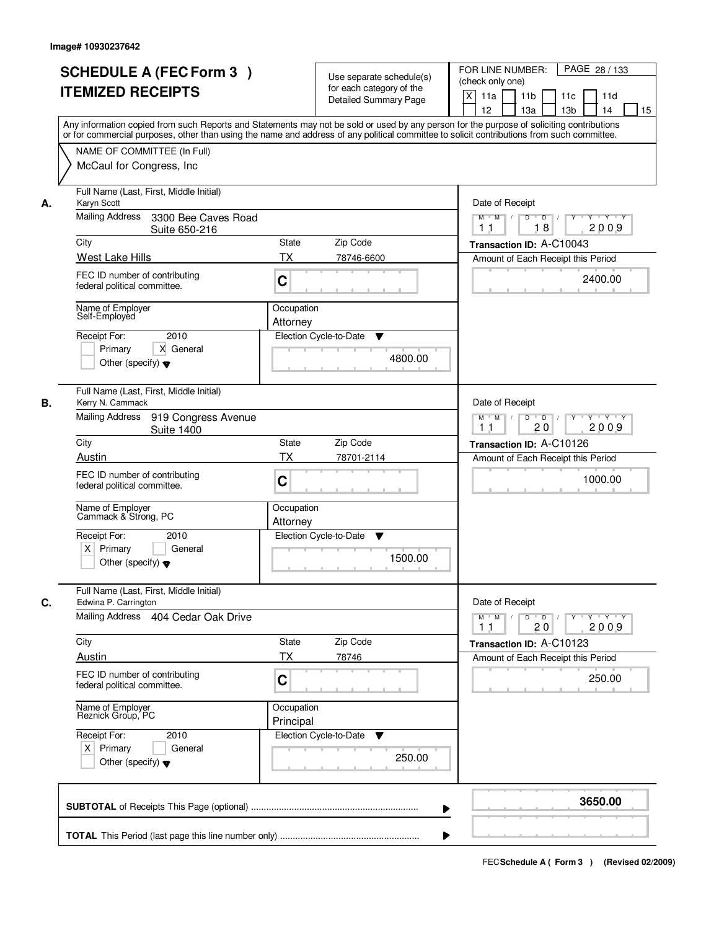|    | <b>SCHEDULE A (FEC Form 3)</b><br><b>ITEMIZED RECEIPTS</b><br>Any information copied from such Reports and Statements may not be sold or used by any person for the purpose of soliciting contributions |                         | Use separate schedule(s)<br>for each category of the<br><b>Detailed Summary Page</b> | PAGE 28 / 133<br>FOR LINE NUMBER:<br>(check only one)<br>X<br>11a<br>11 <sub>b</sub><br>11c<br>11d<br>12<br>13a<br>13 <sub>b</sub><br>14<br>15 |
|----|---------------------------------------------------------------------------------------------------------------------------------------------------------------------------------------------------------|-------------------------|--------------------------------------------------------------------------------------|------------------------------------------------------------------------------------------------------------------------------------------------|
|    | or for commercial purposes, other than using the name and address of any political committee to solicit contributions from such committee.<br>NAME OF COMMITTEE (In Full)<br>McCaul for Congress, Inc.  |                         |                                                                                      |                                                                                                                                                |
| А. | Full Name (Last, First, Middle Initial)<br>Karyn Scott<br><b>Mailing Address</b><br>3300 Bee Caves Road                                                                                                 |                         |                                                                                      | Date of Receipt<br>$M$ $M$ /<br>$D$ $D$ $/$<br>$Y^+$<br>Y 'Y 'Y                                                                                |
|    | Suite 650-216<br>City<br>West Lake Hills                                                                                                                                                                | State<br>ТX             | Zip Code<br>78746-6600                                                               | 18<br>2009<br>11<br>Transaction ID: A-C10043<br>Amount of Each Receipt this Period                                                             |
|    | FEC ID number of contributing<br>federal political committee.                                                                                                                                           | C                       |                                                                                      | 2400.00                                                                                                                                        |
|    | Name of Employer<br>Self-Employed<br>2010<br>Receipt For:<br>X General<br>Primary<br>Other (specify) $\blacktriangledown$                                                                               | Occupation<br>Attorney  | Election Cycle-to-Date<br>▼<br>4800.00                                               |                                                                                                                                                |
| В. | Full Name (Last, First, Middle Initial)<br>Kerry N. Cammack<br>Mailing Address<br>919 Congress Avenue                                                                                                   |                         |                                                                                      | Date of Receipt<br>$Y \vdash Y \vdash Y$<br>$M$ M<br>D<br>$\overline{D}$                                                                       |
|    | <b>Suite 1400</b><br>City                                                                                                                                                                               | State                   | Zip Code                                                                             | 20<br>2009<br>11<br>Transaction ID: A-C10126                                                                                                   |
|    | Austin<br>FEC ID number of contributing<br>federal political committee.                                                                                                                                 | <b>TX</b><br>C          | 78701-2114                                                                           | Amount of Each Receipt this Period<br>1000.00                                                                                                  |
|    | Name of Employer<br>Cammack & Strong, PC<br>Receipt For:<br>2010                                                                                                                                        | Occupation<br>Attorney  | Election Cycle-to-Date<br>v                                                          |                                                                                                                                                |
|    | $X$ Primary<br>General<br>Other (specify) $\blacktriangledown$                                                                                                                                          |                         | 1500.00                                                                              |                                                                                                                                                |
| C. | Full Name (Last, First, Middle Initial)<br>Edwina P. Carrington<br>Mailing Address 404 Cedar Oak Drive                                                                                                  |                         |                                                                                      | Date of Receipt<br>$D$ $D$ $/$<br>$M$ $M$ /<br>$Y + Y + Y$<br>$Y$ <sup><math>\top</math></sup><br>2009<br>11<br>20                             |
|    | City                                                                                                                                                                                                    | State                   | Zip Code                                                                             | Transaction ID: A-C10123                                                                                                                       |
|    | Austin<br>FEC ID number of contributing<br>federal political committee.                                                                                                                                 | ТX<br>C                 | 78746                                                                                | Amount of Each Receipt this Period<br>250.00                                                                                                   |
|    | Name of Employer<br>Reznick Group, PC                                                                                                                                                                   | Occupation<br>Principal |                                                                                      |                                                                                                                                                |
|    | Receipt For:<br>2010<br>$X$ Primary<br>General<br>Other (specify) $\blacktriangledown$                                                                                                                  |                         | Election Cycle-to-Date<br>v<br>250.00                                                |                                                                                                                                                |
|    |                                                                                                                                                                                                         |                         | ▶                                                                                    | 3650.00                                                                                                                                        |
|    |                                                                                                                                                                                                         |                         |                                                                                      |                                                                                                                                                |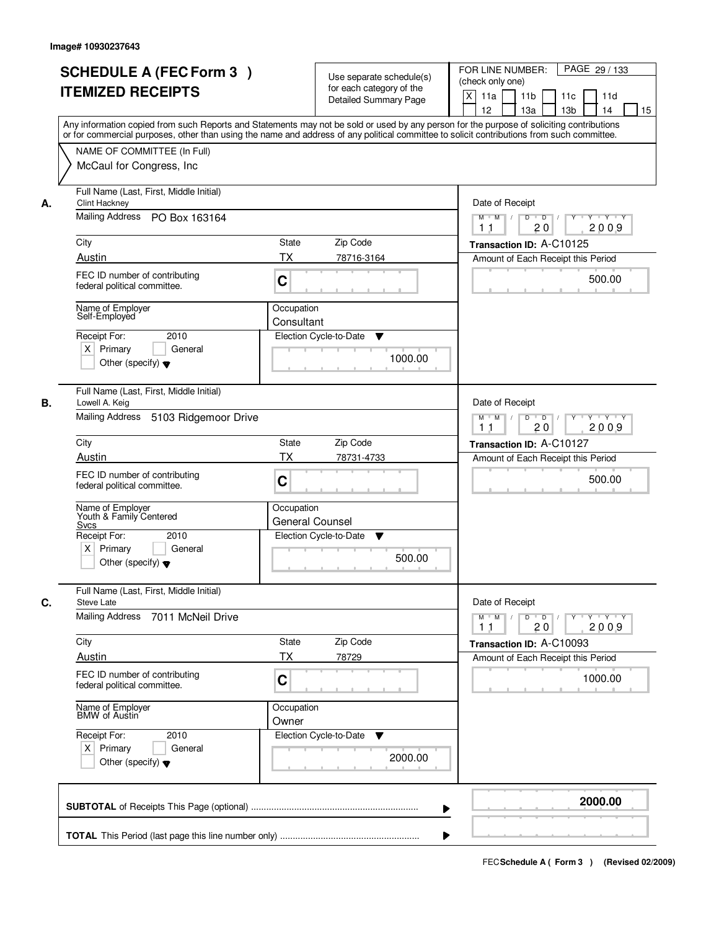| <b>SCHEDULE A (FEC Form 3)</b><br><b>ITEMIZED RECEIPTS</b>                                                                                                                                                                                                                                                                                  | Use separate schedule(s)<br>for each category of the<br><b>Detailed Summary Page</b><br>Any information copied from such Reports and Statements may not be sold or used by any person for the purpose of soliciting contributions<br>or for commercial purposes, other than using the name and address of any political committee to solicit contributions from such committee. | PAGE 29 / 133<br>FOR LINE NUMBER:<br>(check only one)<br>$\times$<br>11 <sub>b</sub><br>11a<br>11c<br>11d<br>12<br>13a<br>13 <sub>b</sub><br>15<br>14                    |
|---------------------------------------------------------------------------------------------------------------------------------------------------------------------------------------------------------------------------------------------------------------------------------------------------------------------------------------------|---------------------------------------------------------------------------------------------------------------------------------------------------------------------------------------------------------------------------------------------------------------------------------------------------------------------------------------------------------------------------------|--------------------------------------------------------------------------------------------------------------------------------------------------------------------------|
| NAME OF COMMITTEE (In Full)<br>McCaul for Congress, Inc.                                                                                                                                                                                                                                                                                    |                                                                                                                                                                                                                                                                                                                                                                                 |                                                                                                                                                                          |
| Full Name (Last, First, Middle Initial)<br><b>Clint Hackney</b><br>А.<br>Mailing Address PO Box 163164<br>City<br>Austin<br>FEC ID number of contributing<br>federal political committee.<br>Name of Employer<br>Self-Employed<br>2010<br>Receipt For:<br>$X$ Primary<br>General<br>Other (specify) $\blacktriangledown$                    | State<br>Zip Code<br><b>TX</b><br>78716-3164<br>C<br>Occupation<br>Consultant<br>Election Cycle-to-Date<br>▼<br>1000.00                                                                                                                                                                                                                                                         | Date of Receipt<br>$D$ $D$ $1$<br>Y Y Y Y<br>$M$ $M$ /<br>$Y^+$<br>2009<br>11<br>20<br>Transaction ID: A-C10125<br>Amount of Each Receipt this Period<br>500.00          |
| Full Name (Last, First, Middle Initial)<br>В.<br>Lowell A. Keig<br>Mailing Address 5103 Ridgemoor Drive<br>City<br>Austin<br>FEC ID number of contributing<br>federal political committee.<br>Name of Employer<br>Youth & Family Centered<br>Svcs<br>Receipt For:<br>2010<br>$X$ Primary<br>General<br>Other (specify) $\blacktriangledown$ | State<br>Zip Code<br><b>TX</b><br>78731-4733<br>C<br>Occupation<br>General Counsel<br>Election Cycle-to-Date<br>▼<br>500.00                                                                                                                                                                                                                                                     | Date of Receipt<br>D<br>$\overline{D}$ /<br>Y 'Y 'Y<br>$M$ $M$ /<br>Y<br>20<br>2009<br>11<br>Transaction ID: A-C10127<br>Amount of Each Receipt this Period<br>500.00    |
| Full Name (Last, First, Middle Initial)<br>С.<br><b>Steve Late</b><br>Mailing Address<br>7011 McNeil Drive<br>City<br>Austin<br>FEC ID number of contributing<br>federal political committee.<br>Name of Employer<br>BMW of Austin<br>Receipt For:<br>2010<br>$X$ Primary<br>General<br>Other (specify) $\blacktriangledown$                | Zip Code<br>State<br>ТX<br>78729<br>C<br>Occupation<br>Owner<br>Election Cycle-to-Date<br>v<br>2000.00                                                                                                                                                                                                                                                                          | Date of Receipt<br>$M$ $M$<br>$\mathsf D$<br>$\Box$ D $\Box$<br>Y Y Y Y<br>2009<br>11<br>20<br>Transaction ID: A-C10093<br>Amount of Each Receipt this Period<br>1000.00 |
|                                                                                                                                                                                                                                                                                                                                             |                                                                                                                                                                                                                                                                                                                                                                                 | 2000.00                                                                                                                                                                  |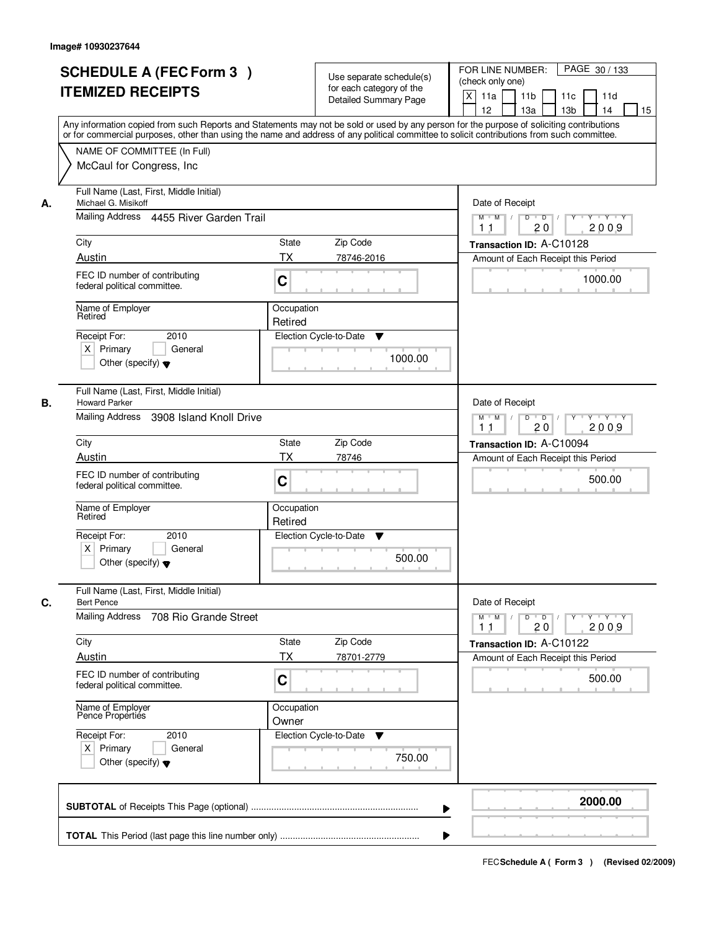|    | <b>SCHEDULE A (FEC Form 3)</b><br><b>ITEMIZED RECEIPTS</b><br>Any information copied from such Reports and Statements may not be sold or used by any person for the purpose of soliciting contributions<br>or for commercial purposes, other than using the name and address of any political committee to solicit contributions from such committee. |                       | Use separate schedule(s)<br>for each category of the<br><b>Detailed Summary Page</b> | PAGE 30 / 133<br>FOR LINE NUMBER:<br>(check only one)<br>$\boldsymbol{\mathsf{X}}$<br>11a<br>11 <sub>b</sub><br>11c<br>11d<br>12<br>13 <sub>b</sub><br>13a<br>14<br>15 |
|----|-------------------------------------------------------------------------------------------------------------------------------------------------------------------------------------------------------------------------------------------------------------------------------------------------------------------------------------------------------|-----------------------|--------------------------------------------------------------------------------------|------------------------------------------------------------------------------------------------------------------------------------------------------------------------|
|    | NAME OF COMMITTEE (In Full)<br>McCaul for Congress, Inc.                                                                                                                                                                                                                                                                                              |                       |                                                                                      |                                                                                                                                                                        |
| А. | Full Name (Last, First, Middle Initial)<br>Michael G. Misikoff<br>Mailing Address 4455 River Garden Trail                                                                                                                                                                                                                                             |                       |                                                                                      | Date of Receipt<br>$M$ $M$<br>$D$ $D$ $/$<br>$Y^+$<br>Y 'Y 'Y                                                                                                          |
|    | City                                                                                                                                                                                                                                                                                                                                                  | State                 | Zip Code                                                                             | 20<br>2009<br>11<br>Transaction ID: A-C10128                                                                                                                           |
|    | Austin                                                                                                                                                                                                                                                                                                                                                | <b>TX</b>             | 78746-2016                                                                           | Amount of Each Receipt this Period                                                                                                                                     |
|    | FEC ID number of contributing<br>federal political committee.                                                                                                                                                                                                                                                                                         | C                     |                                                                                      | 1000.00                                                                                                                                                                |
|    | Name of Employer<br>Retired                                                                                                                                                                                                                                                                                                                           | Occupation<br>Retired |                                                                                      |                                                                                                                                                                        |
|    | 2010<br>Receipt For:<br>$X$ Primary<br>General<br>Other (specify) $\blacktriangledown$                                                                                                                                                                                                                                                                |                       | Election Cycle-to-Date<br>▼<br>1000.00                                               |                                                                                                                                                                        |
| В. | Full Name (Last, First, Middle Initial)<br><b>Howard Parker</b><br>Mailing Address<br>3908 Island Knoll Drive                                                                                                                                                                                                                                         |                       |                                                                                      | Date of Receipt<br>Y Y Y Y<br>$M$ M<br>D<br>$\overline{D}$<br>Y<br>20<br>2009<br>11                                                                                    |
|    | City                                                                                                                                                                                                                                                                                                                                                  | <b>State</b>          | Zip Code                                                                             | Transaction ID: A-C10094                                                                                                                                               |
|    | Austin                                                                                                                                                                                                                                                                                                                                                | <b>TX</b>             | 78746                                                                                | Amount of Each Receipt this Period                                                                                                                                     |
|    | FEC ID number of contributing<br>federal political committee.                                                                                                                                                                                                                                                                                         | C                     |                                                                                      | 500.00                                                                                                                                                                 |
|    | Name of Employer<br>Retired                                                                                                                                                                                                                                                                                                                           | Occupation<br>Retired |                                                                                      |                                                                                                                                                                        |
|    | Receipt For:<br>2010<br>$X$ Primary<br>General<br>Other (specify) $\blacktriangledown$                                                                                                                                                                                                                                                                |                       | Election Cycle-to-Date<br>v<br>500.00                                                |                                                                                                                                                                        |
| C. | Full Name (Last, First, Middle Initial)<br><b>Bert Pence</b><br><b>Mailing Address</b><br>708 Rio Grande Street                                                                                                                                                                                                                                       |                       |                                                                                      | Date of Receipt<br>$D$ $D$ $I$<br>$M$ $M$ /<br>$Y + Y + Y$<br>$Y$ <sup><math>\top</math></sup>                                                                         |
|    |                                                                                                                                                                                                                                                                                                                                                       |                       |                                                                                      | 2009<br>11<br>20                                                                                                                                                       |
|    | City<br><b>Austin</b>                                                                                                                                                                                                                                                                                                                                 | State<br>ТX           | Zip Code<br>78701-2779                                                               | Transaction ID: A-C10122<br>Amount of Each Receipt this Period                                                                                                         |
|    | FEC ID number of contributing<br>federal political committee.                                                                                                                                                                                                                                                                                         | C                     |                                                                                      | 500.00                                                                                                                                                                 |
|    | Name of Employer<br>Pence Properties                                                                                                                                                                                                                                                                                                                  | Occupation<br>Owner   |                                                                                      |                                                                                                                                                                        |
|    | Receipt For:<br>2010<br>$X$ Primary<br>General<br>Other (specify) $\blacktriangledown$                                                                                                                                                                                                                                                                |                       | Election Cycle-to-Date<br>v<br>750.00                                                |                                                                                                                                                                        |
|    |                                                                                                                                                                                                                                                                                                                                                       |                       | ▶                                                                                    | 2000.00                                                                                                                                                                |
|    |                                                                                                                                                                                                                                                                                                                                                       |                       |                                                                                      |                                                                                                                                                                        |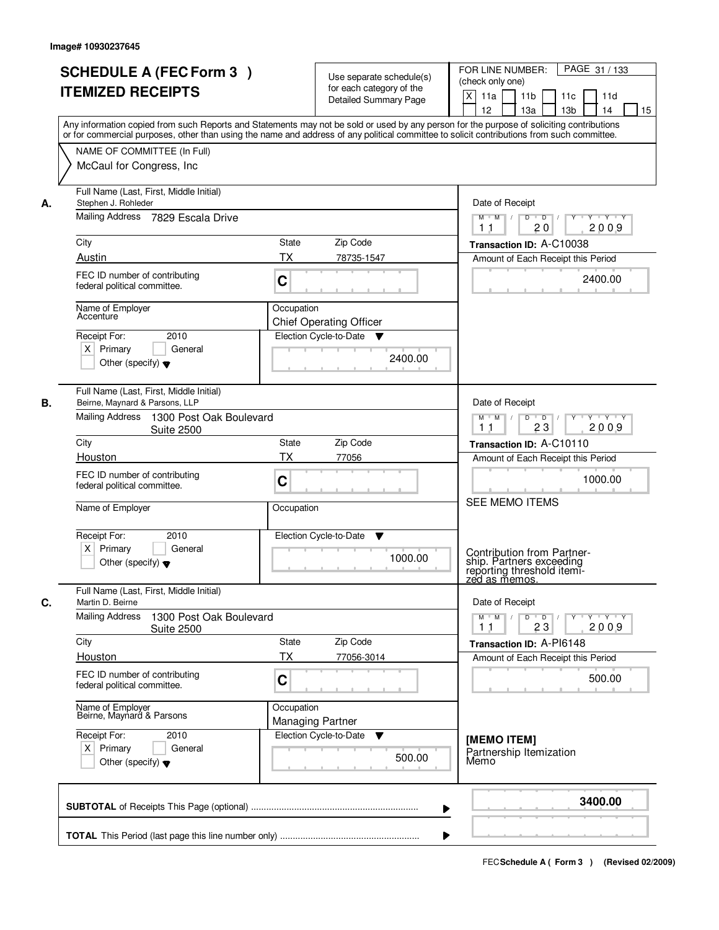|      | <b>SCHEDULE A (FEC Form 3)</b><br><b>ITEMIZED RECEIPTS</b>                                                                                                                                                                                                                                                                                          |                                              | Use separate schedule(s)<br>for each category of the<br><b>Detailed Summary Page</b> | PAGE 31 / 133<br>FOR LINE NUMBER:<br>(check only one)<br>X<br>11a<br>11 <sub>b</sub><br>11c<br>11d<br>12<br>13a<br>13 <sub>b</sub><br>14<br>15 |
|------|-----------------------------------------------------------------------------------------------------------------------------------------------------------------------------------------------------------------------------------------------------------------------------------------------------------------------------------------------------|----------------------------------------------|--------------------------------------------------------------------------------------|------------------------------------------------------------------------------------------------------------------------------------------------|
|      | Any information copied from such Reports and Statements may not be sold or used by any person for the purpose of soliciting contributions<br>or for commercial purposes, other than using the name and address of any political committee to solicit contributions from such committee.<br>NAME OF COMMITTEE (In Full)<br>McCaul for Congress, Inc. |                                              |                                                                                      |                                                                                                                                                |
| А.   | Full Name (Last, First, Middle Initial)<br>Stephen J. Rohleder<br>Mailing Address<br>7829 Escala Drive                                                                                                                                                                                                                                              |                                              |                                                                                      | Date of Receipt<br>$M$ $M$ /<br>$D$ $D$ $/$<br>$Y^+$<br>Y 'Y 'Y                                                                                |
| City |                                                                                                                                                                                                                                                                                                                                                     | State                                        | Zip Code                                                                             | 20<br>2009<br>11                                                                                                                               |
|      | Austin                                                                                                                                                                                                                                                                                                                                              | <b>TX</b>                                    | 78735-1547                                                                           | Transaction ID: A-C10038<br>Amount of Each Receipt this Period                                                                                 |
|      | FEC ID number of contributing<br>federal political committee.                                                                                                                                                                                                                                                                                       | C                                            |                                                                                      | 2400.00                                                                                                                                        |
|      | Name of Employer<br>Accenture                                                                                                                                                                                                                                                                                                                       | Occupation<br><b>Chief Operating Officer</b> |                                                                                      |                                                                                                                                                |
|      | 2010<br>Receipt For:<br>$X$ Primary<br>General<br>Other (specify) $\blacktriangledown$                                                                                                                                                                                                                                                              | Election Cycle-to-Date ▼                     | 2400.00                                                                              |                                                                                                                                                |
| В.   | Full Name (Last, First, Middle Initial)<br>Beirne, Maynard & Parsons, LLP                                                                                                                                                                                                                                                                           |                                              |                                                                                      | Date of Receipt                                                                                                                                |
|      | Mailing Address<br>1300 Post Oak Boulevard<br><b>Suite 2500</b>                                                                                                                                                                                                                                                                                     |                                              |                                                                                      | $Y \vdash Y \vdash Y$<br>$M$ $M$ /<br>D<br>$\overline{\phantom{0}}$ D<br>Y<br>23<br>2009<br>11                                                 |
| City |                                                                                                                                                                                                                                                                                                                                                     | State                                        | Zip Code                                                                             | Transaction ID: A-C10110                                                                                                                       |
|      | Houston                                                                                                                                                                                                                                                                                                                                             | <b>TX</b>                                    | 77056                                                                                | Amount of Each Receipt this Period                                                                                                             |
|      | FEC ID number of contributing<br>federal political committee.                                                                                                                                                                                                                                                                                       | C                                            |                                                                                      | 1000.00<br><b>SEE MEMO ITEMS</b>                                                                                                               |
|      | Name of Employer                                                                                                                                                                                                                                                                                                                                    | Occupation                                   |                                                                                      |                                                                                                                                                |
|      | Receipt For:<br>2010<br>$X$ Primary<br>General                                                                                                                                                                                                                                                                                                      | Election Cycle-to-Date                       | v                                                                                    | Contribution from Partner-                                                                                                                     |
|      | Other (specify) $\blacktriangledown$                                                                                                                                                                                                                                                                                                                |                                              | 1000.00                                                                              | ship. Partners exceeding<br>reporting threshold itemi-<br>zed as memos.                                                                        |
| C.   | Full Name (Last, First, Middle Initial)<br>Martin D. Beirne                                                                                                                                                                                                                                                                                         |                                              |                                                                                      | Date of Receipt                                                                                                                                |
|      | <b>Mailing Address</b><br>1300 Post Oak Boulevard<br><b>Suite 2500</b>                                                                                                                                                                                                                                                                              |                                              |                                                                                      | $D$ $D$ $/$<br>$M$ $M$ /<br>$Y$ <sup><math>\top</math></sup><br>Y Y Y Y<br>23<br>2009<br>11                                                    |
| City |                                                                                                                                                                                                                                                                                                                                                     | State                                        | Zip Code                                                                             | Transaction ID: A-PI6148                                                                                                                       |
|      | Houston                                                                                                                                                                                                                                                                                                                                             | ТX                                           | 77056-3014                                                                           | Amount of Each Receipt this Period                                                                                                             |
|      | FEC ID number of contributing<br>federal political committee.                                                                                                                                                                                                                                                                                       | C                                            |                                                                                      | 500.00                                                                                                                                         |
|      | Name of Employer<br>Beirne, Maynard & Parsons                                                                                                                                                                                                                                                                                                       | Occupation<br><b>Managing Partner</b>        |                                                                                      |                                                                                                                                                |
|      | Receipt For:<br>2010<br>$X$ Primary<br>General<br>Other (specify) $\blacktriangledown$                                                                                                                                                                                                                                                              | Election Cycle-to-Date                       | v<br>500.00                                                                          | [MEMO ITEM]<br>Partnership Itemization<br>Memo                                                                                                 |
|      |                                                                                                                                                                                                                                                                                                                                                     |                                              |                                                                                      | 3400.00                                                                                                                                        |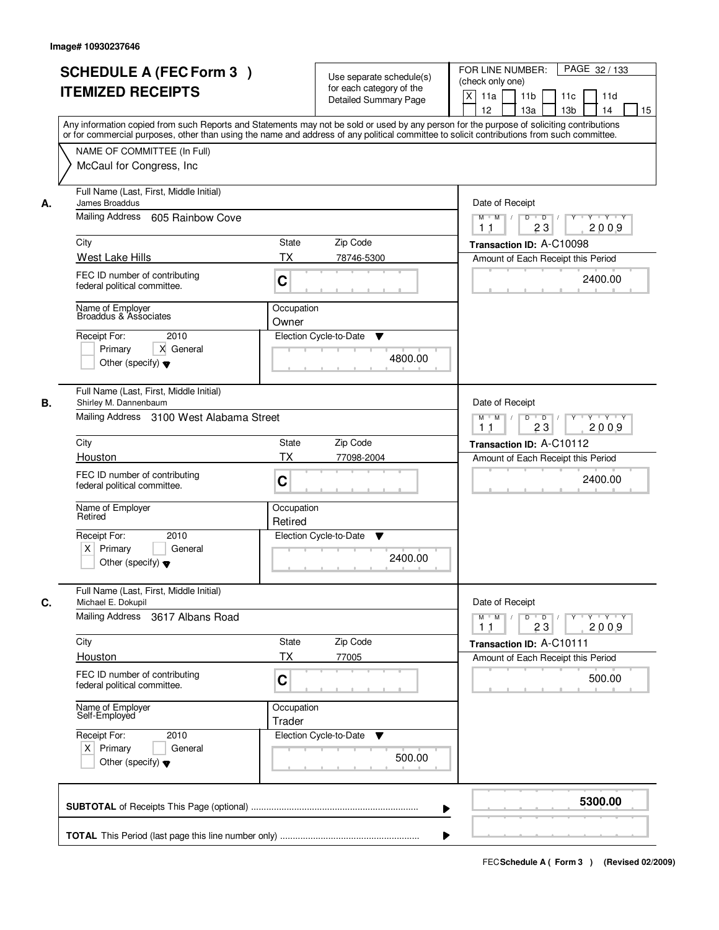|    | <b>SCHEDULE A (FEC Form 3)</b><br><b>ITEMIZED RECEIPTS</b><br>Any information copied from such Reports and Statements may not be sold or used by any person for the purpose of soliciting contributions |                       | Use separate schedule(s)<br>for each category of the<br><b>Detailed Summary Page</b> | PAGE 32 / 133<br>FOR LINE NUMBER:<br>(check only one)<br>$\boldsymbol{\mathsf{X}}$<br>11a<br>11 <sub>b</sub><br>11c<br>11d<br>12<br>13 <sub>b</sub><br>13a<br>14<br>15 |
|----|---------------------------------------------------------------------------------------------------------------------------------------------------------------------------------------------------------|-----------------------|--------------------------------------------------------------------------------------|------------------------------------------------------------------------------------------------------------------------------------------------------------------------|
|    | or for commercial purposes, other than using the name and address of any political committee to solicit contributions from such committee.<br>NAME OF COMMITTEE (In Full)<br>McCaul for Congress, Inc.  |                       |                                                                                      |                                                                                                                                                                        |
| А. | Full Name (Last, First, Middle Initial)<br>James Broaddus<br>Mailing Address<br>605 Rainbow Cove                                                                                                        |                       |                                                                                      | Date of Receipt<br>$M$ $M$<br>$D$ $D$ $I$<br>$Y^+$<br>Y 'Y 'Y<br>23<br>2009<br>11                                                                                      |
|    | City                                                                                                                                                                                                    | State                 | Zip Code                                                                             | Transaction ID: A-C10098                                                                                                                                               |
|    | West Lake Hills                                                                                                                                                                                         | ТX                    | 78746-5300                                                                           | Amount of Each Receipt this Period                                                                                                                                     |
|    | FEC ID number of contributing<br>federal political committee.                                                                                                                                           | C                     |                                                                                      | 2400.00                                                                                                                                                                |
|    | Name of Employer<br>Broaddus & Associates                                                                                                                                                               | Occupation<br>Owner   |                                                                                      |                                                                                                                                                                        |
|    | Receipt For:<br>2010<br>X General<br>Primary<br>Other (specify) $\blacktriangledown$                                                                                                                    |                       | Election Cycle-to-Date<br>▼<br>4800.00                                               |                                                                                                                                                                        |
| В. | Full Name (Last, First, Middle Initial)<br>Shirley M. Dannenbaum<br>Mailing Address 3100 West Alabama Street                                                                                            |                       |                                                                                      | Date of Receipt<br>Y Y Y Y<br>$M$ M<br>D<br>$\overline{\phantom{0}}$ D<br>Y<br>23<br>2009<br>11                                                                        |
|    | City                                                                                                                                                                                                    | <b>State</b>          | Zip Code                                                                             | Transaction ID: A-C10112                                                                                                                                               |
|    | Houston                                                                                                                                                                                                 | <b>TX</b>             | 77098-2004                                                                           | Amount of Each Receipt this Period                                                                                                                                     |
|    | FEC ID number of contributing<br>federal political committee.                                                                                                                                           | C                     |                                                                                      | 2400.00                                                                                                                                                                |
|    | Name of Employer<br>Retired                                                                                                                                                                             | Occupation<br>Retired |                                                                                      |                                                                                                                                                                        |
|    | Receipt For:<br>2010<br>$X$ Primary<br>General<br>Other (specify) $\blacktriangledown$                                                                                                                  |                       | Election Cycle-to-Date<br>v<br>2400.00                                               |                                                                                                                                                                        |
| C. | Full Name (Last, First, Middle Initial)<br>Michael E. Dokupil                                                                                                                                           |                       |                                                                                      | Date of Receipt                                                                                                                                                        |
|    | <b>Mailing Address</b><br>3617 Albans Road                                                                                                                                                              |                       |                                                                                      | $D$ $D$ $/$<br>$M$ $M$ /<br>$Y + Y + Y$<br>$Y$ <sup><math>\top</math></sup><br>23<br>2009<br>11                                                                        |
|    | City                                                                                                                                                                                                    | State                 | Zip Code                                                                             | Transaction ID: A-C10111                                                                                                                                               |
|    | Houston<br>FEC ID number of contributing<br>federal political committee.                                                                                                                                | ТX<br>C               | 77005                                                                                | Amount of Each Receipt this Period<br>500.00                                                                                                                           |
|    | Name of Employer<br>Self-Employed                                                                                                                                                                       | Occupation<br>Trader  |                                                                                      |                                                                                                                                                                        |
|    | Receipt For:<br>2010<br>$X$ Primary<br>General<br>Other (specify) $\blacktriangledown$                                                                                                                  |                       | Election Cycle-to-Date<br>v<br>500.00                                                |                                                                                                                                                                        |
|    |                                                                                                                                                                                                         |                       | ▶                                                                                    | 5300.00                                                                                                                                                                |
|    |                                                                                                                                                                                                         |                       |                                                                                      |                                                                                                                                                                        |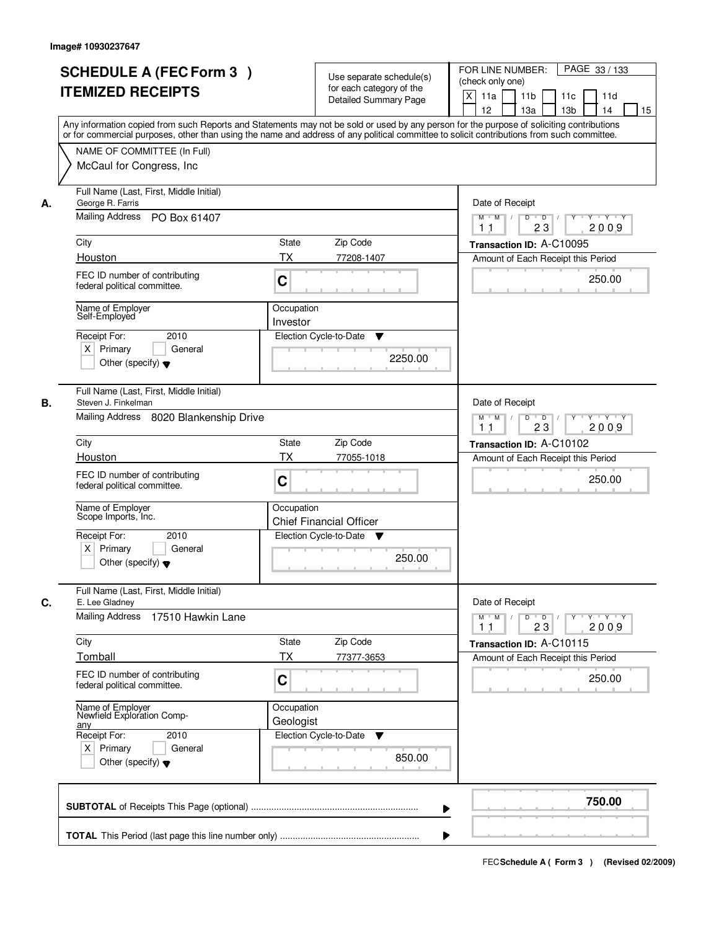|    | <b>SCHEDULE A (FEC Form 3)</b><br><b>ITEMIZED RECEIPTS</b>                                                                                                                                                              | Use separate schedule(s)<br>for each category of the<br><b>Detailed Summary Page</b><br>Any information copied from such Reports and Statements may not be sold or used by any person for the purpose of soliciting contributions<br>or for commercial purposes, other than using the name and address of any political committee to solicit contributions from such committee. | PAGE 33 / 133<br>FOR LINE NUMBER:<br>(check only one)<br>$\times$<br>11 <sub>b</sub><br>11a<br>11c<br>11d<br>12<br>13a<br>13 <sub>b</sub><br>15<br>14           |
|----|-------------------------------------------------------------------------------------------------------------------------------------------------------------------------------------------------------------------------|---------------------------------------------------------------------------------------------------------------------------------------------------------------------------------------------------------------------------------------------------------------------------------------------------------------------------------------------------------------------------------|-----------------------------------------------------------------------------------------------------------------------------------------------------------------|
|    | NAME OF COMMITTEE (In Full)<br>McCaul for Congress, Inc.                                                                                                                                                                |                                                                                                                                                                                                                                                                                                                                                                                 |                                                                                                                                                                 |
| А. | Full Name (Last, First, Middle Initial)<br>George R. Farris<br>Mailing Address<br>PO Box 61407<br>City<br>Houston<br>FEC ID number of contributing<br>federal political committee.<br>Name of Employer<br>Self-Employed | State<br>Zip Code<br>TX<br>77208-1407<br>C<br>Occupation<br>Investor                                                                                                                                                                                                                                                                                                            | Date of Receipt<br>$D$ $D$ $1$<br>Y Y Y Y<br>$M$ $M$ /<br>$Y^+$<br>2009<br>11<br>23<br>Transaction ID: A-C10095<br>Amount of Each Receipt this Period<br>250.00 |
|    | 2010<br>Receipt For:<br>$X$ Primary<br>General<br>Other (specify) $\blacktriangledown$                                                                                                                                  | Election Cycle-to-Date<br>▼<br>2250.00                                                                                                                                                                                                                                                                                                                                          |                                                                                                                                                                 |
| В. | Full Name (Last, First, Middle Initial)<br>Steven J. Finkelman<br>Mailing Address 8020 Blankenship Drive<br>City                                                                                                        | Zip Code<br><b>State</b>                                                                                                                                                                                                                                                                                                                                                        | Date of Receipt<br>D<br>$\overline{D}$ /<br>Y<br>Y Y Y Y<br>$M$ $M$ /<br>23<br>2009<br>11<br>Transaction ID: A-C10102                                           |
|    | Houston<br>FEC ID number of contributing<br>federal political committee.                                                                                                                                                | <b>TX</b><br>77055-1018<br>C                                                                                                                                                                                                                                                                                                                                                    | Amount of Each Receipt this Period<br>250.00                                                                                                                    |
|    | Name of Employer<br>Scope Imports, Inc.<br>Receipt For:<br>2010<br>$X$ Primary<br>General<br>Other (specify) $\blacktriangledown$                                                                                       | Occupation<br><b>Chief Financial Officer</b><br>Election Cycle-to-Date<br>v<br>250.00                                                                                                                                                                                                                                                                                           |                                                                                                                                                                 |
| C. | Full Name (Last, First, Middle Initial)<br>E. Lee Gladney<br>Mailing Address<br>17510 Hawkin Lane                                                                                                                       |                                                                                                                                                                                                                                                                                                                                                                                 | Date of Receipt<br>$M$ $M$<br>$\mathsf D$<br>$\Box$ D $\Box$<br>Y Y Y Y                                                                                         |
|    | City<br>Tomball<br>FEC ID number of contributing<br>federal political committee.                                                                                                                                        | Zip Code<br>State<br>ТX<br>77377-3653<br>C                                                                                                                                                                                                                                                                                                                                      | 2009<br>11<br>23<br>Transaction ID: A-C10115<br>Amount of Each Receipt this Period<br>250.00                                                                    |
|    | Name of Employer<br>Newfield Exploration Comp-<br>any<br>Receipt For:<br>2010<br>$X$ Primary<br>General<br>Other (specify) $\blacktriangledown$                                                                         | Occupation<br>Geologist<br>Election Cycle-to-Date<br>v<br>850.00                                                                                                                                                                                                                                                                                                                |                                                                                                                                                                 |
|    |                                                                                                                                                                                                                         |                                                                                                                                                                                                                                                                                                                                                                                 | 750.00                                                                                                                                                          |
|    |                                                                                                                                                                                                                         |                                                                                                                                                                                                                                                                                                                                                                                 |                                                                                                                                                                 |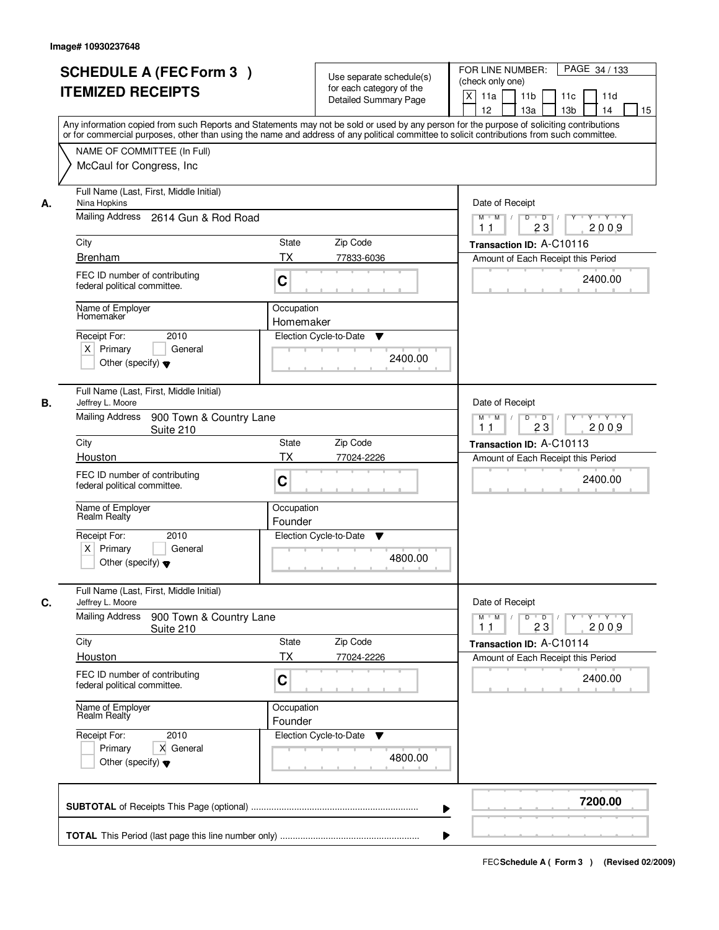|    | <b>SCHEDULE A (FEC Form 3)</b><br><b>ITEMIZED RECEIPTS</b>                                                                    | Use separate schedule(s)<br>for each category of the<br><b>Detailed Summary Page</b> | PAGE 34 / 133<br>FOR LINE NUMBER:<br>(check only one)<br>$\boldsymbol{\mathsf{X}}$<br>11a<br>11 <sub>b</sub><br>11c<br>11d<br>12<br>13 <sub>b</sub><br>13a<br>14<br>15                                                                                                                  |
|----|-------------------------------------------------------------------------------------------------------------------------------|--------------------------------------------------------------------------------------|-----------------------------------------------------------------------------------------------------------------------------------------------------------------------------------------------------------------------------------------------------------------------------------------|
|    | NAME OF COMMITTEE (In Full)<br>McCaul for Congress, Inc.                                                                      |                                                                                      | Any information copied from such Reports and Statements may not be sold or used by any person for the purpose of soliciting contributions<br>or for commercial purposes, other than using the name and address of any political committee to solicit contributions from such committee. |
| А. | Full Name (Last, First, Middle Initial)<br>Nina Hopkins<br>Mailing Address 2614 Gun & Rod Road<br>City                        | State<br>Zip Code                                                                    | Date of Receipt<br>$M$ $M$<br>$D$ $D$ $I$<br>$Y^+$<br>Y 'Y 'Y<br>23<br>2009<br>11<br>Transaction ID: A-C10116                                                                                                                                                                           |
|    | <b>Brenham</b>                                                                                                                | <b>TX</b><br>77833-6036                                                              | Amount of Each Receipt this Period                                                                                                                                                                                                                                                      |
|    | FEC ID number of contributing<br>federal political committee.                                                                 | C                                                                                    | 2400.00                                                                                                                                                                                                                                                                                 |
|    | Name of Employer<br>Homemaker<br>2010<br>Receipt For:<br>$X$ Primary<br>General<br>Other (specify) $\blacktriangledown$       | Occupation<br>Homemaker<br>Election Cycle-to-Date<br>▼                               | 2400.00                                                                                                                                                                                                                                                                                 |
| В. | Full Name (Last, First, Middle Initial)<br>Jeffrey L. Moore<br><b>Mailing Address</b><br>900 Town & Country Lane<br>Suite 210 |                                                                                      | Date of Receipt<br>$Y \vdash Y \vdash Y$<br>$M$ M<br>D<br>$\overline{\phantom{0}}$<br>Y<br>23<br>2009<br>11                                                                                                                                                                             |
|    | City                                                                                                                          | State<br>Zip Code                                                                    | Transaction ID: A-C10113                                                                                                                                                                                                                                                                |
|    | Houston                                                                                                                       | <b>TX</b><br>77024-2226                                                              | Amount of Each Receipt this Period                                                                                                                                                                                                                                                      |
|    | FEC ID number of contributing<br>federal political committee.                                                                 | C                                                                                    | 2400.00                                                                                                                                                                                                                                                                                 |
|    | Name of Employer<br>Realm Realty                                                                                              | Occupation<br>Founder                                                                |                                                                                                                                                                                                                                                                                         |
|    | Receipt For:<br>2010<br>$X$ Primary<br>General<br>Other (specify) $\blacktriangledown$                                        | Election Cycle-to-Date<br>v                                                          | 4800.00                                                                                                                                                                                                                                                                                 |
| C. | Full Name (Last, First, Middle Initial)<br>Jeffrey L. Moore                                                                   |                                                                                      | Date of Receipt                                                                                                                                                                                                                                                                         |
|    | <b>Mailing Address</b><br>900 Town & Country Lane<br>Suite 210                                                                |                                                                                      | $D$ $D$ $I$<br>$M$ $M$ /<br>$Y$ <sup><math>\top</math></sup><br>Y Y Y Y<br>23<br>2009<br>11                                                                                                                                                                                             |
|    | City                                                                                                                          | State<br>Zip Code<br>ТX                                                              | Transaction ID: A-C10114                                                                                                                                                                                                                                                                |
|    | Houston<br>FEC ID number of contributing<br>federal political committee.                                                      | 77024-2226<br>C                                                                      | Amount of Each Receipt this Period<br>2400.00                                                                                                                                                                                                                                           |
|    | Name of Employer<br>Realm Realty                                                                                              | Occupation<br>Founder                                                                |                                                                                                                                                                                                                                                                                         |
|    | Receipt For:<br>2010<br>Primary<br>X General<br>Other (specify) $\blacktriangledown$                                          | Election Cycle-to-Date<br>v                                                          | 4800.00                                                                                                                                                                                                                                                                                 |
|    |                                                                                                                               |                                                                                      | 7200.00<br>▶                                                                                                                                                                                                                                                                            |
|    |                                                                                                                               |                                                                                      |                                                                                                                                                                                                                                                                                         |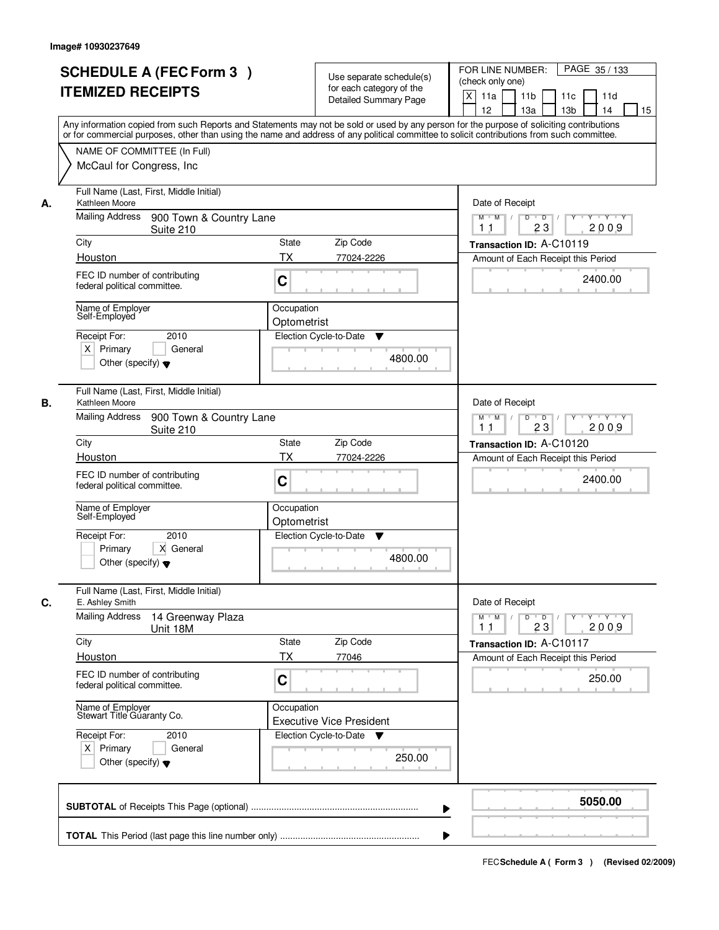|    | <b>SCHEDULE A (FEC Form 3)</b><br><b>ITEMIZED RECEIPTS</b>                                                                  | Use separate schedule(s)<br>for each category of the<br><b>Detailed Summary Page</b><br>Any information copied from such Reports and Statements may not be sold or used by any person for the purpose of soliciting contributions | PAGE 35 / 133<br>FOR LINE NUMBER:<br>(check only one)<br>X<br>11 <sub>b</sub><br>11a<br>11 <sub>c</sub><br>11d<br>12<br>13 <sub>b</sub><br>14<br>13a<br>15 |
|----|-----------------------------------------------------------------------------------------------------------------------------|-----------------------------------------------------------------------------------------------------------------------------------------------------------------------------------------------------------------------------------|------------------------------------------------------------------------------------------------------------------------------------------------------------|
|    | NAME OF COMMITTEE (In Full)<br>McCaul for Congress, Inc.                                                                    | or for commercial purposes, other than using the name and address of any political committee to solicit contributions from such committee.                                                                                        |                                                                                                                                                            |
| А. | Full Name (Last, First, Middle Initial)<br>Kathleen Moore<br>Mailing Address<br>900 Town & Country Lane                     |                                                                                                                                                                                                                                   | Date of Receipt<br>$D$ $D$<br>Y<br>Y TY Y Y<br>$M$ $M$ /<br>2009<br>23<br>1 <sub>1</sub>                                                                   |
|    | Suite 210<br>City                                                                                                           | <b>State</b><br>Zip Code                                                                                                                                                                                                          | Transaction ID: A-C10119                                                                                                                                   |
|    | Houston                                                                                                                     | <b>TX</b><br>77024-2226                                                                                                                                                                                                           | Amount of Each Receipt this Period                                                                                                                         |
|    | FEC ID number of contributing<br>federal political committee.                                                               | C                                                                                                                                                                                                                                 | 2400.00                                                                                                                                                    |
|    | Name of Employer<br>Self-Employed<br>2010<br>Receipt For:<br>$X$ Primary<br>General<br>Other (specify) $\blacktriangledown$ | Occupation<br>Optometrist<br>Election Cycle-to-Date<br>▼<br>4800.00                                                                                                                                                               |                                                                                                                                                            |
| В. | Full Name (Last, First, Middle Initial)<br>Kathleen Moore<br><b>Mailing Address</b>                                         |                                                                                                                                                                                                                                   | Date of Receipt                                                                                                                                            |
|    | 900 Town & Country Lane<br>Suite 210                                                                                        |                                                                                                                                                                                                                                   | $M$ $M$ /<br>D<br>$\overline{D}$ /<br>$Y + Y + Y$<br>23<br>2009<br>11                                                                                      |
|    | City                                                                                                                        | Zip Code<br>State                                                                                                                                                                                                                 | Transaction ID: A-C10120                                                                                                                                   |
|    | Houston<br>FEC ID number of contributing<br>federal political committee.                                                    | TX<br>77024-2226<br>C                                                                                                                                                                                                             | Amount of Each Receipt this Period<br>2400.00                                                                                                              |
|    | Name of Employer<br>Self-Employed<br>2010<br>Receipt For:<br>Primary<br>X General<br>Other (specify) $\blacktriangledown$   | Occupation<br>Optometrist<br>Election Cycle-to-Date<br>▼<br>4800.00                                                                                                                                                               |                                                                                                                                                            |
| C. | Full Name (Last, First, Middle Initial)<br>E. Ashley Smith                                                                  |                                                                                                                                                                                                                                   | Date of Receipt                                                                                                                                            |
|    | <b>Mailing Address</b><br>14 Greenway Plaza<br>Unit 18M                                                                     |                                                                                                                                                                                                                                   | $M$ $M$<br>$D$ $D$ $/$<br>$Y + Y + Y$<br>Y "<br>2009<br>23<br>11                                                                                           |
|    | City                                                                                                                        | Zip Code<br>State                                                                                                                                                                                                                 | Transaction ID: A-C10117                                                                                                                                   |
|    | Houston<br>FEC ID number of contributing<br>federal political committee.                                                    | ТX<br>77046<br>C                                                                                                                                                                                                                  | Amount of Each Receipt this Period<br>250.00                                                                                                               |
|    | Name of Employer<br>Stewart Title Guaranty Co.                                                                              | Occupation<br><b>Executive Vice President</b>                                                                                                                                                                                     |                                                                                                                                                            |
|    | Receipt For:<br>2010<br>$X$ Primary<br>General<br>Other (specify) $\blacktriangledown$                                      | Election Cycle-to-Date<br>v<br>250.00                                                                                                                                                                                             |                                                                                                                                                            |
|    |                                                                                                                             |                                                                                                                                                                                                                                   | 5050.00                                                                                                                                                    |
|    |                                                                                                                             |                                                                                                                                                                                                                                   |                                                                                                                                                            |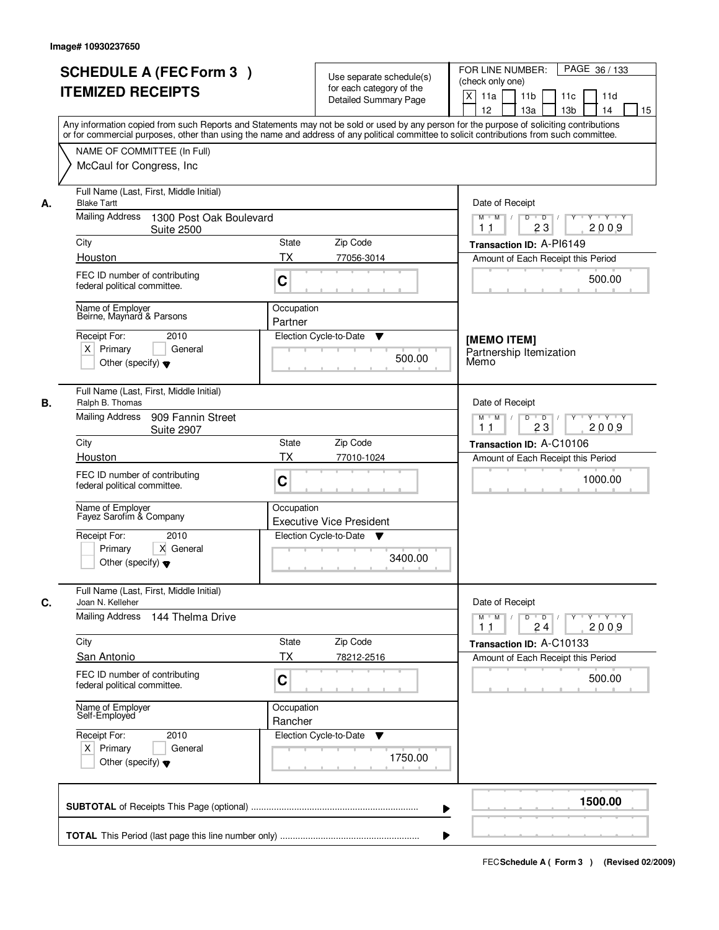|    |                                                                                                                                            |                                                   | PAGE 36 / 133<br>FOR LINE NUMBER:                                                                                  |
|----|--------------------------------------------------------------------------------------------------------------------------------------------|---------------------------------------------------|--------------------------------------------------------------------------------------------------------------------|
|    | <b>SCHEDULE A (FEC Form 3)</b>                                                                                                             | Use separate schedule(s)                          | (check only one)                                                                                                   |
|    | <b>ITEMIZED RECEIPTS</b>                                                                                                                   | for each category of the<br>Detailed Summary Page | $\mathsf{X}$<br>11a<br>11 <sub>b</sub><br>11c<br>11d                                                               |
|    |                                                                                                                                            |                                                   | 12<br>13a<br>13 <sub>b</sub><br>14<br>15                                                                           |
|    | Any information copied from such Reports and Statements may not be sold or used by any person for the purpose of soliciting contributions  |                                                   |                                                                                                                    |
|    | or for commercial purposes, other than using the name and address of any political committee to solicit contributions from such committee. |                                                   |                                                                                                                    |
|    | NAME OF COMMITTEE (In Full)                                                                                                                |                                                   |                                                                                                                    |
|    | McCaul for Congress, Inc.                                                                                                                  |                                                   |                                                                                                                    |
| А. | Full Name (Last, First, Middle Initial)<br><b>Blake Tartt</b>                                                                              |                                                   | Date of Receipt                                                                                                    |
|    | <b>Mailing Address</b><br>1300 Post Oak Boulevard<br><b>Suite 2500</b>                                                                     |                                                   | $\overline{D}$<br><b>TY TY</b><br>$M$ $M$ /<br>D<br>Y<br>23<br>2009<br>11                                          |
|    | City                                                                                                                                       | Zip Code<br><b>State</b>                          | Transaction ID: A-PI6149                                                                                           |
|    | Houston                                                                                                                                    | <b>TX</b><br>77056-3014                           | Amount of Each Receipt this Period                                                                                 |
|    | FEC ID number of contributing<br>federal political committee.                                                                              | C                                                 | 500.00                                                                                                             |
|    | Name of Employer<br>Beirne, Maynard & Parsons                                                                                              | Occupation                                        |                                                                                                                    |
|    |                                                                                                                                            | Partner                                           |                                                                                                                    |
|    | Receipt For:<br>2010                                                                                                                       | Election Cycle-to-Date<br>▼                       | [MEMO ITEM]                                                                                                        |
|    | $X$ Primary<br>General                                                                                                                     | 500.00                                            | Partnership Itemization                                                                                            |
|    | Other (specify) $\blacktriangledown$                                                                                                       |                                                   | Memo                                                                                                               |
|    | Full Name (Last, First, Middle Initial)                                                                                                    |                                                   |                                                                                                                    |
| В. | Ralph B. Thomas<br><b>Mailing Address</b>                                                                                                  |                                                   | Date of Receipt                                                                                                    |
|    | 909 Fannin Street<br><b>Suite 2907</b>                                                                                                     |                                                   | $M$ $M$ /<br>D<br>$\overline{D}$ $\overline{I}$<br>Y Y Y Y<br>$Y$ <sup><math>\top</math></sup><br>23<br>2009<br>11 |
|    | City                                                                                                                                       | Zip Code<br><b>State</b>                          | Transaction ID: A-C10106                                                                                           |
|    | Houston                                                                                                                                    | <b>TX</b><br>77010-1024                           | Amount of Each Receipt this Period                                                                                 |
|    | FEC ID number of contributing<br>federal political committee.                                                                              | C                                                 | 1000.00                                                                                                            |
|    | Name of Employer<br>Fayez Sarofim & Company                                                                                                | Occupation<br><b>Executive Vice President</b>     |                                                                                                                    |
|    | Receipt For:<br>2010                                                                                                                       | Election Cycle-to-Date ▼                          |                                                                                                                    |
|    | Primary<br>X General<br>Other (specify) $\blacktriangledown$                                                                               | 3400.00                                           |                                                                                                                    |
| C. | Full Name (Last, First, Middle Initial)<br>Joan N. Kelleher                                                                                |                                                   | Date of Receipt                                                                                                    |
|    | Mailing Address<br>144 Thelma Drive                                                                                                        |                                                   | $M$ $M$<br>$D$ $D$ $/$<br>Y FY FY<br>$Y$ <sup>U</sup><br>2009<br>24<br>11                                          |
|    | City                                                                                                                                       | Zip Code<br>State                                 | Transaction ID: A-C10133                                                                                           |
|    | <b>San Antonio</b>                                                                                                                         | <b>TX</b><br>78212-2516                           | Amount of Each Receipt this Period                                                                                 |
|    | FEC ID number of contributing                                                                                                              |                                                   |                                                                                                                    |
|    | federal political committee.                                                                                                               | C                                                 | 500.00                                                                                                             |
|    | Name of Employer<br>Self-Employed                                                                                                          | Occupation<br>Rancher                             |                                                                                                                    |
|    | Receipt For:<br>2010                                                                                                                       | Election Cycle-to-Date<br>v                       |                                                                                                                    |
|    | $X$ Primary<br>General                                                                                                                     |                                                   |                                                                                                                    |
|    | Other (specify) $\blacktriangledown$                                                                                                       | 1750.00                                           |                                                                                                                    |
|    |                                                                                                                                            |                                                   | 1500.00                                                                                                            |
|    |                                                                                                                                            |                                                   | ▶                                                                                                                  |
|    |                                                                                                                                            |                                                   |                                                                                                                    |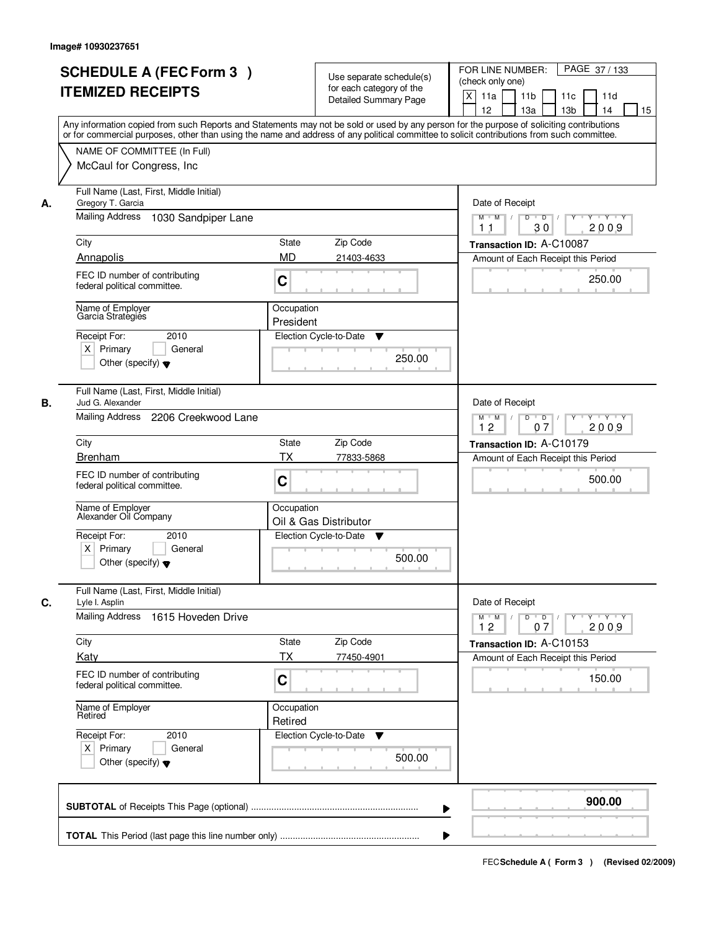|    | <b>SCHEDULE A (FEC Form 3)</b><br><b>ITEMIZED RECEIPTS</b><br>Any information copied from such Reports and Statements may not be sold or used by any person for the purpose of soliciting contributions<br>or for commercial purposes, other than using the name and address of any political committee to solicit contributions from such committee. | Use separate schedule(s)<br>for each category of the<br><b>Detailed Summary Page</b> | PAGE 37/133<br>FOR LINE NUMBER:<br>(check only one)<br>X<br>11a<br>11 <sub>b</sub><br>11c<br>11d<br>12<br>13 <sub>b</sub><br>13a<br>14<br>15 |
|----|-------------------------------------------------------------------------------------------------------------------------------------------------------------------------------------------------------------------------------------------------------------------------------------------------------------------------------------------------------|--------------------------------------------------------------------------------------|----------------------------------------------------------------------------------------------------------------------------------------------|
|    | NAME OF COMMITTEE (In Full)<br>McCaul for Congress, Inc.                                                                                                                                                                                                                                                                                              |                                                                                      |                                                                                                                                              |
| А. | Full Name (Last, First, Middle Initial)<br>Gregory T. Garcia<br><b>Mailing Address</b><br>1030 Sandpiper Lane                                                                                                                                                                                                                                         |                                                                                      | Date of Receipt<br>$M$ $M$<br>$D$ $D$ $1$<br>$Y$ <sup>U</sup><br>Y 'Y 'Y<br>30<br>2009<br>11                                                 |
|    | City                                                                                                                                                                                                                                                                                                                                                  | State<br>Zip Code                                                                    | Transaction ID: A-C10087                                                                                                                     |
|    | Annapolis                                                                                                                                                                                                                                                                                                                                             | <b>MD</b><br>21403-4633                                                              | Amount of Each Receipt this Period                                                                                                           |
|    | FEC ID number of contributing<br>federal political committee.                                                                                                                                                                                                                                                                                         | C                                                                                    | 250.00                                                                                                                                       |
|    | Name of Employer<br>Garcia Strategies                                                                                                                                                                                                                                                                                                                 | Occupation<br>President                                                              |                                                                                                                                              |
|    | 2010<br>Receipt For:<br>$X$ Primary<br>General<br>Other (specify) $\blacktriangledown$                                                                                                                                                                                                                                                                | Election Cycle-to-Date<br>▼<br>250.00                                                |                                                                                                                                              |
| В. | Full Name (Last, First, Middle Initial)<br>Jud G. Alexander<br>Mailing Address<br>2206 Creekwood Lane                                                                                                                                                                                                                                                 |                                                                                      | Date of Receipt<br>$Y \vdash Y \vdash Y$<br>$M$ M<br>D<br>$\overline{\phantom{0}}$ D<br>Y<br>12<br>07<br>2009                                |
|    | City                                                                                                                                                                                                                                                                                                                                                  | State<br>Zip Code                                                                    | Transaction ID: A-C10179                                                                                                                     |
|    | <b>Brenham</b>                                                                                                                                                                                                                                                                                                                                        | <b>TX</b><br>77833-5868                                                              | Amount of Each Receipt this Period                                                                                                           |
|    | FEC ID number of contributing<br>federal political committee.                                                                                                                                                                                                                                                                                         | C                                                                                    | 500.00                                                                                                                                       |
|    | Name of Employer<br>Alexander Oil Company                                                                                                                                                                                                                                                                                                             | Occupation<br>Oil & Gas Distributor                                                  |                                                                                                                                              |
|    | Receipt For:<br>2010<br>$X$ Primary<br>General<br>Other (specify) $\blacktriangledown$                                                                                                                                                                                                                                                                | Election Cycle-to-Date<br>v<br>500.00                                                |                                                                                                                                              |
| C. | Full Name (Last, First, Middle Initial)<br>Lyle I. Asplin<br>Mailing Address<br>1615 Hoveden Drive                                                                                                                                                                                                                                                    |                                                                                      | Date of Receipt<br>$D$ $D$ $/$<br>$M$ $M$ /<br>Y "<br>Y Y Y Y<br>12<br>2009<br>07                                                            |
|    | City                                                                                                                                                                                                                                                                                                                                                  | Zip Code<br>State                                                                    | Transaction ID: A-C10153                                                                                                                     |
|    | Katy                                                                                                                                                                                                                                                                                                                                                  | ТX<br>77450-4901                                                                     | Amount of Each Receipt this Period                                                                                                           |
|    | FEC ID number of contributing<br>federal political committee.                                                                                                                                                                                                                                                                                         | C                                                                                    | 150.00                                                                                                                                       |
|    | Name of Employer<br>Retired                                                                                                                                                                                                                                                                                                                           | Occupation<br>Retired                                                                |                                                                                                                                              |
|    | Receipt For:<br>2010<br>$X$ Primary<br>General<br>Other (specify) $\blacktriangledown$                                                                                                                                                                                                                                                                | Election Cycle-to-Date<br>v<br>500.00                                                |                                                                                                                                              |
|    |                                                                                                                                                                                                                                                                                                                                                       |                                                                                      | 900.00<br>▶                                                                                                                                  |
|    |                                                                                                                                                                                                                                                                                                                                                       |                                                                                      |                                                                                                                                              |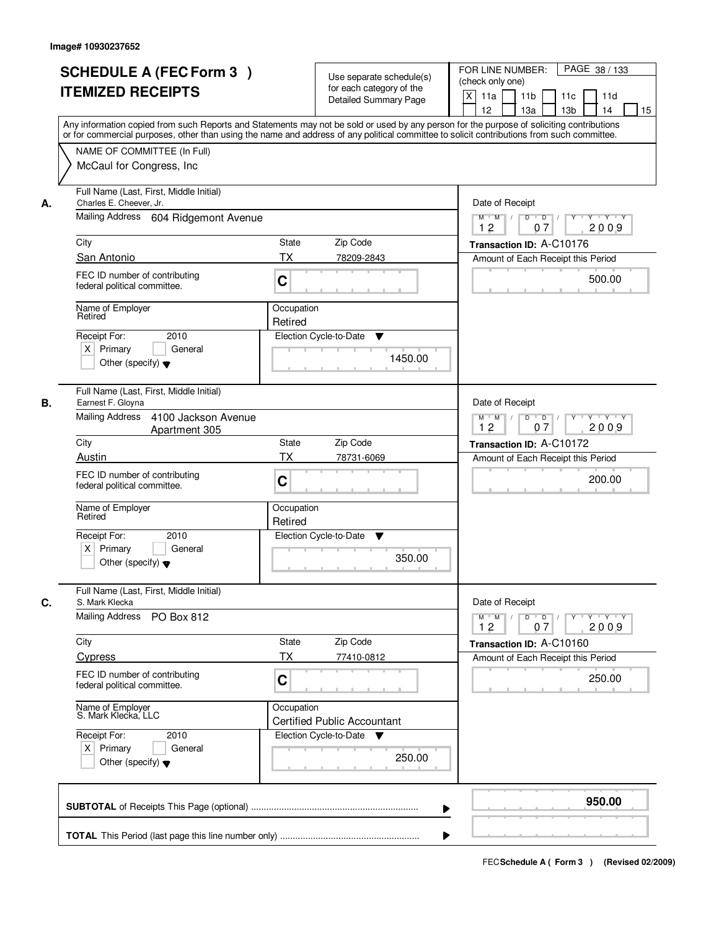| <b>SCHEDULE A (FEC Form 3)</b><br><b>ITEMIZED RECEIPTS</b>                                                       | Use separate schedule(s)<br>for each category of the<br><b>Detailed Summary Page</b><br>Any information copied from such Reports and Statements may not be sold or used by any person for the purpose of soliciting contributions | PAGE 38 / 133<br>FOR LINE NUMBER:<br>(check only one)<br>$\boldsymbol{\mathsf{X}}$<br>11 <sub>b</sub><br>11a<br>11c<br>11d<br>12<br>13 <sub>b</sub><br>14<br>13a<br>15 |
|------------------------------------------------------------------------------------------------------------------|-----------------------------------------------------------------------------------------------------------------------------------------------------------------------------------------------------------------------------------|------------------------------------------------------------------------------------------------------------------------------------------------------------------------|
| NAME OF COMMITTEE (In Full)<br>McCaul for Congress, Inc.                                                         | or for commercial purposes, other than using the name and address of any political committee to solicit contributions from such committee.                                                                                        |                                                                                                                                                                        |
| Full Name (Last, First, Middle Initial)<br>Charles E. Cheever, Jr.<br>А.<br>Mailing Address 604 Ridgemont Avenue |                                                                                                                                                                                                                                   | Date of Receipt<br>$D$ $D$<br>Y<br>$Y - Y - Y - Y$<br>$M$ $M$ /<br>2009<br>12<br>07                                                                                    |
| City                                                                                                             | <b>State</b><br>Zip Code                                                                                                                                                                                                          | Transaction ID: A-C10176                                                                                                                                               |
| San Antonio                                                                                                      | <b>TX</b><br>78209-2843                                                                                                                                                                                                           | Amount of Each Receipt this Period                                                                                                                                     |
| FEC ID number of contributing<br>federal political committee.                                                    | C                                                                                                                                                                                                                                 | 500.00                                                                                                                                                                 |
| Name of Employer<br>Retired                                                                                      | Occupation<br>Retired                                                                                                                                                                                                             |                                                                                                                                                                        |
| 2010<br>Receipt For:<br>$X$ Primary<br>General<br>Other (specify) $\blacktriangledown$                           | Election Cycle-to-Date<br>▼<br>1450.00                                                                                                                                                                                            |                                                                                                                                                                        |
| Full Name (Last, First, Middle Initial)<br>Earnest F. Gloyna<br>В.                                               |                                                                                                                                                                                                                                   | Date of Receipt                                                                                                                                                        |
| Mailing Address<br>4100 Jackson Avenue<br>Apartment 305                                                          |                                                                                                                                                                                                                                   | $M$ $M$ /<br>D<br>$\overline{\phantom{0}}$ D<br>Y Y Y Y<br>12<br>07<br>2009                                                                                            |
| City                                                                                                             | Zip Code<br>State                                                                                                                                                                                                                 | Transaction ID: A-C10172                                                                                                                                               |
| Austin<br>FEC ID number of contributing<br>federal political committee.                                          | <b>TX</b><br>78731-6069<br>C                                                                                                                                                                                                      | Amount of Each Receipt this Period<br>200.00                                                                                                                           |
| Name of Employer<br>Retired                                                                                      | Occupation<br>Retired                                                                                                                                                                                                             |                                                                                                                                                                        |
| Receipt For:<br>2010<br>$X$ Primary<br>General<br>Other (specify) $\blacktriangledown$                           | Election Cycle-to-Date<br>v<br>350.00                                                                                                                                                                                             |                                                                                                                                                                        |
| Full Name (Last, First, Middle Initial)<br>C.<br>S. Mark Klecka                                                  |                                                                                                                                                                                                                                   | Date of Receipt                                                                                                                                                        |
| <b>Mailing Address</b><br>PO Box 812                                                                             |                                                                                                                                                                                                                                   | $M$ $M$<br>$D$ $D$ $/$<br>$Y^+$<br>$Y + Y + Y$<br>2009<br>12<br>07                                                                                                     |
| City                                                                                                             | State<br>Zip Code                                                                                                                                                                                                                 | Transaction ID: A-C10160                                                                                                                                               |
| Cypress<br>FEC ID number of contributing<br>federal political committee.                                         | ТX<br>77410-0812<br>C                                                                                                                                                                                                             | Amount of Each Receipt this Period<br>250.00                                                                                                                           |
| Name of Employer<br>S. Mark Klecka, LLC                                                                          | Occupation<br><b>Certified Public Accountant</b>                                                                                                                                                                                  |                                                                                                                                                                        |
| Receipt For:<br>2010<br>$X$ Primary<br>General<br>Other (specify) $\blacktriangledown$                           | Election Cycle-to-Date ▼<br>250.00                                                                                                                                                                                                |                                                                                                                                                                        |
|                                                                                                                  |                                                                                                                                                                                                                                   | 950.00                                                                                                                                                                 |
|                                                                                                                  |                                                                                                                                                                                                                                   |                                                                                                                                                                        |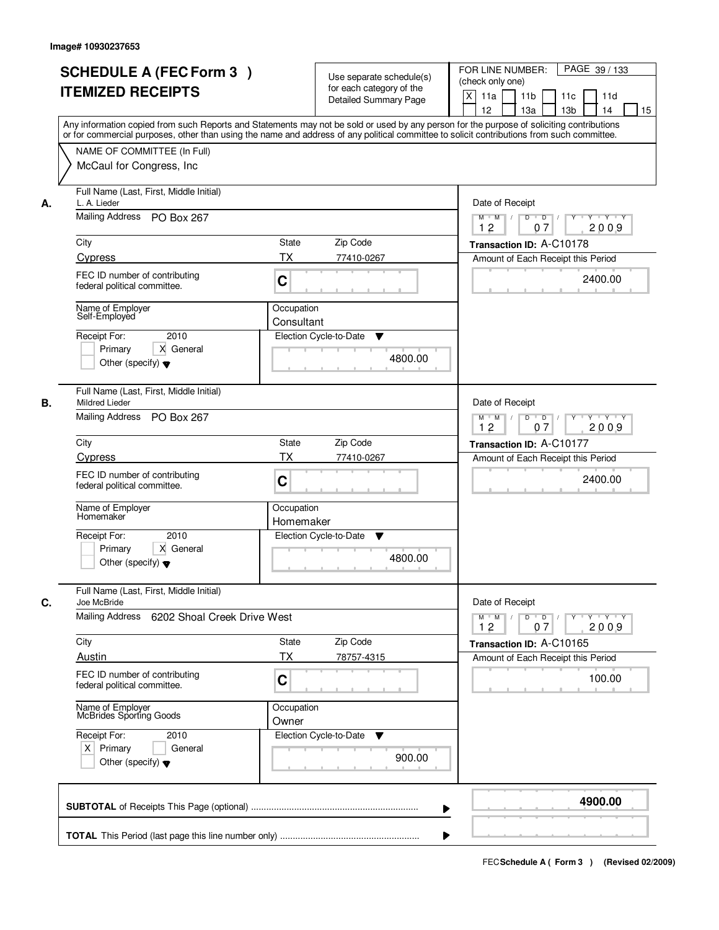|    | <b>SCHEDULE A (FEC Form 3)</b><br><b>ITEMIZED RECEIPTS</b><br>Any information copied from such Reports and Statements may not be sold or used by any person for the purpose of soliciting contributions<br>or for commercial purposes, other than using the name and address of any political committee to solicit contributions from such committee. |                          | Use separate schedule(s)<br>for each category of the<br><b>Detailed Summary Page</b> | PAGE 39 / 133<br>FOR LINE NUMBER:<br>(check only one)<br>$\boldsymbol{\mathsf{X}}$<br>11a<br>11 <sub>b</sub><br>11c<br>11d<br>12<br>13 <sub>b</sub><br>13a<br>14<br>15 |
|----|-------------------------------------------------------------------------------------------------------------------------------------------------------------------------------------------------------------------------------------------------------------------------------------------------------------------------------------------------------|--------------------------|--------------------------------------------------------------------------------------|------------------------------------------------------------------------------------------------------------------------------------------------------------------------|
|    | NAME OF COMMITTEE (In Full)<br>McCaul for Congress, Inc.                                                                                                                                                                                                                                                                                              |                          |                                                                                      |                                                                                                                                                                        |
| А. | Full Name (Last, First, Middle Initial)<br>L. A. Lieder<br>Mailing Address PO Box 267                                                                                                                                                                                                                                                                 |                          |                                                                                      | Date of Receipt<br>$D$ $D$ $/$<br>$\overline{Y}$<br>Y Y Y Y<br>$M$ $M$ /                                                                                               |
|    | City                                                                                                                                                                                                                                                                                                                                                  | State                    | Zip Code                                                                             | 12<br>07<br>2009<br>Transaction ID: A-C10178                                                                                                                           |
|    | Cypress                                                                                                                                                                                                                                                                                                                                               | ТX                       | 77410-0267                                                                           | Amount of Each Receipt this Period                                                                                                                                     |
|    | FEC ID number of contributing<br>federal political committee.                                                                                                                                                                                                                                                                                         | C                        |                                                                                      | 2400.00                                                                                                                                                                |
|    | Name of Employer<br>Self-Employed                                                                                                                                                                                                                                                                                                                     | Occupation<br>Consultant |                                                                                      |                                                                                                                                                                        |
|    | 2010<br>Receipt For:<br>X General<br>Primary<br>Other (specify) $\blacktriangledown$                                                                                                                                                                                                                                                                  |                          | Election Cycle-to-Date<br>▼<br>4800.00                                               |                                                                                                                                                                        |
| В. | Full Name (Last, First, Middle Initial)<br><b>Mildred Lieder</b><br>Mailing Address PO Box 267                                                                                                                                                                                                                                                        |                          |                                                                                      | Date of Receipt<br>$Y \vdash Y \vdash Y$<br>$M$ M<br>D<br>$\overline{\phantom{0}}$ D<br>Y<br>12<br>07<br>2009                                                          |
|    | City                                                                                                                                                                                                                                                                                                                                                  | <b>State</b>             | Zip Code                                                                             | Transaction ID: A-C10177                                                                                                                                               |
|    | Cypress                                                                                                                                                                                                                                                                                                                                               | <b>TX</b>                | 77410-0267                                                                           | Amount of Each Receipt this Period                                                                                                                                     |
|    | FEC ID number of contributing<br>federal political committee.                                                                                                                                                                                                                                                                                         | C                        |                                                                                      | 2400.00                                                                                                                                                                |
|    | Name of Employer<br>Homemaker                                                                                                                                                                                                                                                                                                                         | Occupation<br>Homemaker  |                                                                                      |                                                                                                                                                                        |
|    | Receipt For:<br>2010<br>Primary<br>X General<br>Other (specify) $\blacktriangledown$                                                                                                                                                                                                                                                                  |                          | Election Cycle-to-Date<br>v<br>4800.00                                               |                                                                                                                                                                        |
| C. | Full Name (Last, First, Middle Initial)<br>Joe McBride                                                                                                                                                                                                                                                                                                |                          |                                                                                      | Date of Receipt                                                                                                                                                        |
|    | Mailing Address<br>6202 Shoal Creek Drive West                                                                                                                                                                                                                                                                                                        |                          |                                                                                      | $M$ $M$ $/$<br>$D$ $D$ $I$<br>$Y^+$<br>Y Y Y Y<br>12<br>2009<br>07                                                                                                     |
|    | City                                                                                                                                                                                                                                                                                                                                                  | State                    | Zip Code                                                                             | Transaction ID: A-C10165                                                                                                                                               |
|    | Austin<br>FEC ID number of contributing<br>federal political committee.                                                                                                                                                                                                                                                                               | ТX<br>C                  | 78757-4315                                                                           | Amount of Each Receipt this Period<br>100.00                                                                                                                           |
|    | Name of Employer<br>McBrides Sporting Goods                                                                                                                                                                                                                                                                                                           | Occupation<br>Owner      |                                                                                      |                                                                                                                                                                        |
|    | Receipt For:<br>2010<br>$X$ Primary<br>General<br>Other (specify) $\blacktriangledown$                                                                                                                                                                                                                                                                |                          | Election Cycle-to-Date<br>v<br>900.00                                                |                                                                                                                                                                        |
|    |                                                                                                                                                                                                                                                                                                                                                       |                          | ▶                                                                                    | 4900.00                                                                                                                                                                |
|    |                                                                                                                                                                                                                                                                                                                                                       |                          |                                                                                      |                                                                                                                                                                        |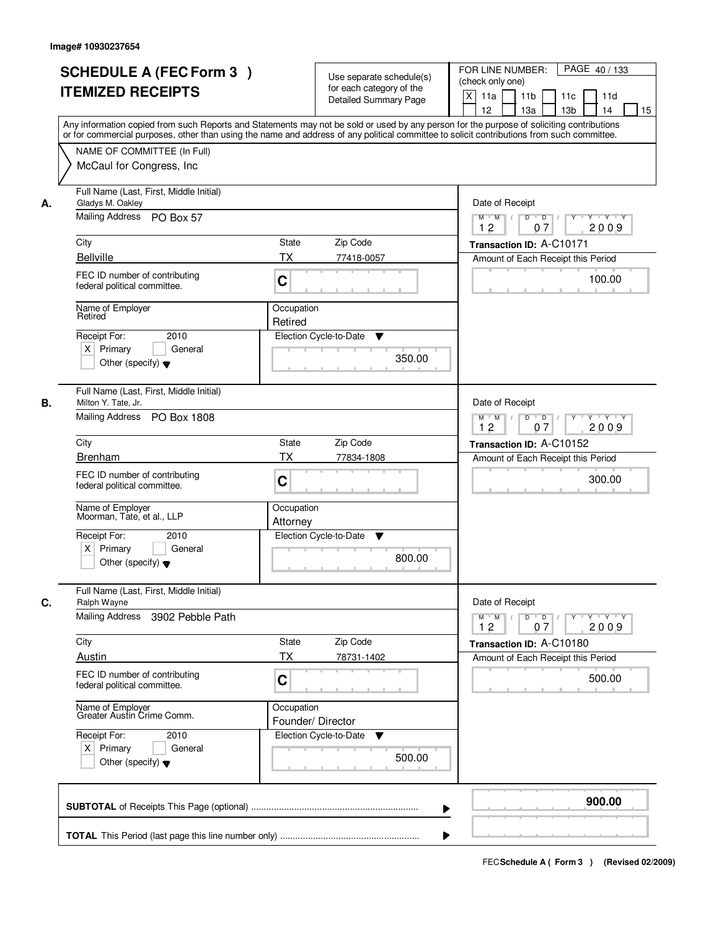|    | <b>SCHEDULE A (FEC Form 3)</b><br><b>ITEMIZED RECEIPTS</b><br>Any information copied from such Reports and Statements may not be sold or used by any person for the purpose of soliciting contributions<br>or for commercial purposes, other than using the name and address of any political committee to solicit contributions from such committee. |                                 | Use separate schedule(s)<br>for each category of the<br><b>Detailed Summary Page</b> | PAGE 40 / 133<br>FOR LINE NUMBER:<br>(check only one)<br>$\boldsymbol{\mathsf{X}}$<br>11a<br>11 <sub>b</sub><br>11c<br>11d<br>12<br>13 <sub>b</sub><br>13a<br>14<br>15 |
|----|-------------------------------------------------------------------------------------------------------------------------------------------------------------------------------------------------------------------------------------------------------------------------------------------------------------------------------------------------------|---------------------------------|--------------------------------------------------------------------------------------|------------------------------------------------------------------------------------------------------------------------------------------------------------------------|
|    | NAME OF COMMITTEE (In Full)<br>McCaul for Congress, Inc.                                                                                                                                                                                                                                                                                              |                                 |                                                                                      |                                                                                                                                                                        |
| А. | Full Name (Last, First, Middle Initial)<br>Gladys M. Oakley<br>Mailing Address PO Box 57                                                                                                                                                                                                                                                              |                                 |                                                                                      | Date of Receipt<br>$D$ $D$ $/$<br>$\overline{Y}$<br>Y Y Y Y<br>$M$ $M$ /<br>12<br>07<br>2009                                                                           |
|    | City                                                                                                                                                                                                                                                                                                                                                  | State                           | Zip Code                                                                             | Transaction ID: A-C10171                                                                                                                                               |
|    | <b>Bellville</b>                                                                                                                                                                                                                                                                                                                                      | ТX                              | 77418-0057                                                                           | Amount of Each Receipt this Period                                                                                                                                     |
|    | FEC ID number of contributing<br>federal political committee.                                                                                                                                                                                                                                                                                         | C                               |                                                                                      | 100.00                                                                                                                                                                 |
|    | Name of Employer<br>Retired                                                                                                                                                                                                                                                                                                                           | Occupation<br>Retired           |                                                                                      |                                                                                                                                                                        |
|    | 2010<br>Receipt For:<br>$X$ Primary<br>General<br>Other (specify) $\blacktriangledown$                                                                                                                                                                                                                                                                |                                 | Election Cycle-to-Date<br>▼<br>350.00                                                |                                                                                                                                                                        |
| В. | Full Name (Last, First, Middle Initial)<br>Milton Y. Tate, Jr.<br>Mailing Address PO Box 1808                                                                                                                                                                                                                                                         |                                 |                                                                                      | Date of Receipt<br>$Y \vdash Y \vdash Y$<br>$M$ $M$ /<br>D<br>$\Box$<br>Y<br>12<br>07<br>2009                                                                          |
|    | City                                                                                                                                                                                                                                                                                                                                                  | <b>State</b>                    | Zip Code                                                                             |                                                                                                                                                                        |
|    | <b>Brenham</b>                                                                                                                                                                                                                                                                                                                                        | <b>TX</b>                       | 77834-1808                                                                           | Transaction ID: A-C10152<br>Amount of Each Receipt this Period                                                                                                         |
|    | FEC ID number of contributing<br>federal political committee.                                                                                                                                                                                                                                                                                         | C                               |                                                                                      | 300.00                                                                                                                                                                 |
|    | Name of Employer<br>Moorman, Tate, et al., LLP                                                                                                                                                                                                                                                                                                        | Occupation<br>Attorney          |                                                                                      |                                                                                                                                                                        |
|    | Receipt For:<br>2010<br>$X$ Primary<br>General<br>Other (specify) $\blacktriangledown$                                                                                                                                                                                                                                                                |                                 | Election Cycle-to-Date<br>v<br>800.00                                                |                                                                                                                                                                        |
| C. | Full Name (Last, First, Middle Initial)<br>Ralph Wayne                                                                                                                                                                                                                                                                                                |                                 |                                                                                      | Date of Receipt                                                                                                                                                        |
|    | Mailing Address<br>3902 Pebble Path                                                                                                                                                                                                                                                                                                                   |                                 |                                                                                      | $D$ $D$ $/$<br>$M$ $M$ /<br>$Y$ <sup><math>\top</math></sup><br>Y Y Y Y<br>12<br>2009<br>07                                                                            |
|    | City                                                                                                                                                                                                                                                                                                                                                  | State                           | Zip Code                                                                             | Transaction ID: A-C10180                                                                                                                                               |
|    | Austin                                                                                                                                                                                                                                                                                                                                                | ТX                              | 78731-1402                                                                           | Amount of Each Receipt this Period                                                                                                                                     |
|    | FEC ID number of contributing<br>federal political committee.                                                                                                                                                                                                                                                                                         | C                               |                                                                                      | 500.00                                                                                                                                                                 |
|    | Name of Employer<br>Greater Austin Crime Comm.                                                                                                                                                                                                                                                                                                        | Occupation<br>Founder/ Director |                                                                                      |                                                                                                                                                                        |
|    | Receipt For:<br>2010<br>$X$ Primary<br>General<br>Other (specify) $\blacktriangledown$                                                                                                                                                                                                                                                                |                                 | Election Cycle-to-Date<br>v<br>500.00                                                |                                                                                                                                                                        |
|    |                                                                                                                                                                                                                                                                                                                                                       |                                 | ▶                                                                                    | 900.00                                                                                                                                                                 |
|    |                                                                                                                                                                                                                                                                                                                                                       |                                 |                                                                                      |                                                                                                                                                                        |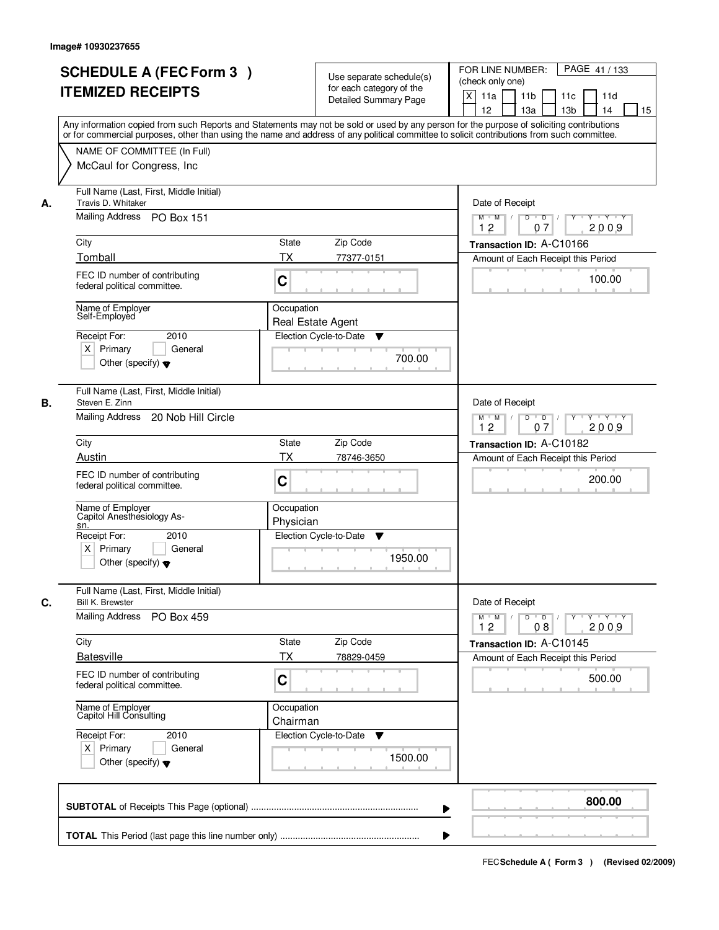| <b>SCHEDULE A (FEC Form 3)</b><br><b>ITEMIZED RECEIPTS</b>                                                                                                                                                                                                                                                                                       | Use separate schedule(s)<br>for each category of the<br><b>Detailed Summary Page</b><br>Any information copied from such Reports and Statements may not be sold or used by any person for the purpose of soliciting contributions | PAGE 41 / 133<br>FOR LINE NUMBER:<br>(check only one)<br>X<br>11a<br>11 <sub>b</sub><br>11c<br>11d<br>12<br>13 <sub>b</sub><br>13a<br>14<br>15                                                         |
|--------------------------------------------------------------------------------------------------------------------------------------------------------------------------------------------------------------------------------------------------------------------------------------------------------------------------------------------------|-----------------------------------------------------------------------------------------------------------------------------------------------------------------------------------------------------------------------------------|--------------------------------------------------------------------------------------------------------------------------------------------------------------------------------------------------------|
| NAME OF COMMITTEE (In Full)<br>McCaul for Congress, Inc.                                                                                                                                                                                                                                                                                         | or for commercial purposes, other than using the name and address of any political committee to solicit contributions from such committee.                                                                                        |                                                                                                                                                                                                        |
| Full Name (Last, First, Middle Initial)<br>Travis D. Whitaker<br>А.<br>Mailing Address PO Box 151<br>City<br>Tomball                                                                                                                                                                                                                             | State<br>Zip Code<br>ТX<br>77377-0151                                                                                                                                                                                             | Date of Receipt<br>$D$ $D$ $1$<br>$Y^+$<br>Y 'Y 'Y<br>$M$ $M$ /<br>12<br>07<br>2009<br>Transaction ID: A-C10166<br>Amount of Each Receipt this Period                                                  |
| FEC ID number of contributing<br>federal political committee.<br>Name of Employer<br>Self-Employed<br>2010<br>Receipt For:<br>$X$ Primary<br>General<br>Other (specify) $\blacktriangledown$                                                                                                                                                     | C<br>Occupation<br><b>Real Estate Agent</b><br>Election Cycle-to-Date<br>▼<br>700.00                                                                                                                                              | 100.00                                                                                                                                                                                                 |
| Full Name (Last, First, Middle Initial)<br>Steven E. Zinn<br>В.<br>Mailing Address<br>20 Nob Hill Circle<br>City<br>Austin<br>FEC ID number of contributing<br>federal political committee.<br>Name of Employer<br>Capitol Anesthesiology As-<br>sn.<br>Receipt For:<br>2010<br>$X$ Primary<br>General<br>Other (specify) $\blacktriangledown$   | Zip Code<br><b>State</b><br><b>TX</b><br>78746-3650<br>C<br>Occupation<br>Physician<br>Election Cycle-to-Date<br>v<br>1950.00                                                                                                     | Date of Receipt<br>$Y \vdash Y \vdash Y$<br>$M$ M<br>D<br>$\overline{\phantom{0}}$ D<br>12<br>07<br>2009<br>Transaction ID: A-C10182<br>Amount of Each Receipt this Period<br>200.00                   |
| Full Name (Last, First, Middle Initial)<br>C.<br><b>Bill K. Brewster</b><br>Mailing Address<br>PO Box 459<br>City<br><b>Batesville</b><br>FEC ID number of contributing<br>federal political committee.<br>Name of Employer<br>Capitol Hill Consulting<br>Receipt For:<br>2010<br>$X$ Primary<br>General<br>Other (specify) $\blacktriangledown$ | Zip Code<br>State<br>ТX<br>78829-0459<br>C<br>Occupation<br>Chairman<br>Election Cycle-to-Date<br>v<br>1500.00                                                                                                                    | Date of Receipt<br>$D$ $D$ $/$<br>$M^+$ M<br>$\top$<br>$Y + Y + Y$<br>$Y$ <sup><math>\top</math></sup><br>12<br>2009<br>08<br>Transaction ID: A-C10145<br>Amount of Each Receipt this Period<br>500.00 |
|                                                                                                                                                                                                                                                                                                                                                  | ▶                                                                                                                                                                                                                                 | 800.00                                                                                                                                                                                                 |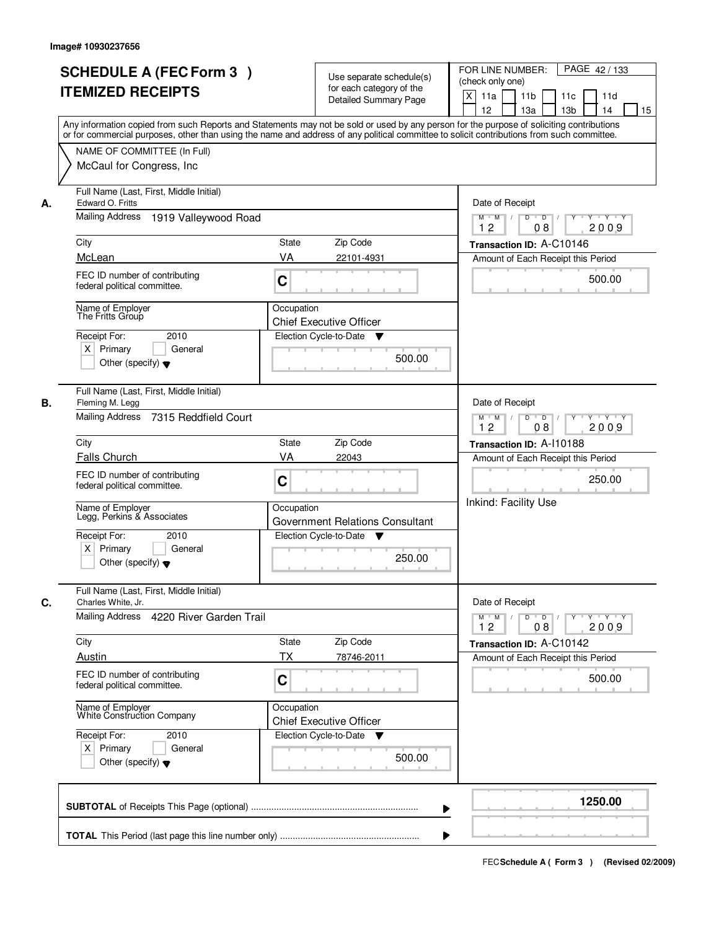|    | <b>SCHEDULE A (FEC Form 3)</b><br><b>ITEMIZED RECEIPTS</b><br>Any information copied from such Reports and Statements may not be sold or used by any person for the purpose of soliciting contributions |                                              | Use separate schedule(s)<br>for each category of the<br><b>Detailed Summary Page</b> | PAGE 42/133<br>FOR LINE NUMBER:<br>(check only one)<br>X<br>11a<br>11 <sub>b</sub><br>11c<br>11d<br>12<br>13 <sub>b</sub><br>13a<br>14<br>15 |
|----|---------------------------------------------------------------------------------------------------------------------------------------------------------------------------------------------------------|----------------------------------------------|--------------------------------------------------------------------------------------|----------------------------------------------------------------------------------------------------------------------------------------------|
|    | or for commercial purposes, other than using the name and address of any political committee to solicit contributions from such committee.<br>NAME OF COMMITTEE (In Full)<br>McCaul for Congress, Inc.  |                                              |                                                                                      |                                                                                                                                              |
| А. | Full Name (Last, First, Middle Initial)<br>Edward O. Fritts<br><b>Mailing Address</b><br>1919 Valleywood Road                                                                                           |                                              |                                                                                      | Date of Receipt<br>$M$ $M$<br>$D$ $D$ $1$<br>$Y^+$<br>Y 'Y 'Y<br>12<br>2009<br>08                                                            |
|    | City<br>State<br>Zip Code                                                                                                                                                                               |                                              |                                                                                      | Transaction ID: A-C10146                                                                                                                     |
|    | McLean                                                                                                                                                                                                  | VA                                           | 22101-4931                                                                           | Amount of Each Receipt this Period                                                                                                           |
|    | FEC ID number of contributing<br>federal political committee.                                                                                                                                           | C                                            |                                                                                      | 500.00                                                                                                                                       |
|    | Name of Employer<br>The Fritts Group                                                                                                                                                                    | Occupation<br><b>Chief Executive Officer</b> |                                                                                      |                                                                                                                                              |
|    | 2010<br>Receipt For:<br>$X$ Primary<br>General<br>Other (specify) $\blacktriangledown$                                                                                                                  | Election Cycle-to-Date                       | ▼<br>500.00                                                                          |                                                                                                                                              |
| В. | Full Name (Last, First, Middle Initial)<br>Fleming M. Legg<br>Mailing Address 7315 Reddfield Court                                                                                                      |                                              |                                                                                      | Date of Receipt<br>$Y \vdash Y \vdash Y$<br>$M$ M<br>D<br>$\overline{D}$                                                                     |
|    | City                                                                                                                                                                                                    | State                                        | Zip Code                                                                             | 12<br>08<br>2009                                                                                                                             |
|    | Falls Church                                                                                                                                                                                            | VA<br>22043                                  |                                                                                      | Transaction ID: A-110188<br>Amount of Each Receipt this Period                                                                               |
|    | FEC ID number of contributing<br>federal political committee.                                                                                                                                           | C                                            |                                                                                      | 250.00                                                                                                                                       |
|    | Name of Employer<br>Legg, Perkins & Associates                                                                                                                                                          | Occupation                                   | Government Relations Consultant                                                      | Inkind: Facility Use                                                                                                                         |
|    | Receipt For:<br>2010<br>$X$ Primary<br>General<br>Other (specify) $\blacktriangledown$                                                                                                                  | Election Cycle-to-Date                       | <b>V</b><br>250.00                                                                   |                                                                                                                                              |
| C. | Full Name (Last, First, Middle Initial)<br>Charles White, Jr.                                                                                                                                           |                                              |                                                                                      | Date of Receipt                                                                                                                              |
|    | Mailing Address 4220 River Garden Trail                                                                                                                                                                 |                                              |                                                                                      | $D$ $D$ $/$<br>$M$ $M$ $/$<br>$Y$ <sup><math>\top</math></sup><br>Y Y Y Y<br>12<br>2009<br>08                                                |
|    | City                                                                                                                                                                                                    | State                                        | Zip Code                                                                             | Transaction ID: A-C10142                                                                                                                     |
|    | Austin                                                                                                                                                                                                  | ТX                                           | 78746-2011                                                                           | Amount of Each Receipt this Period                                                                                                           |
|    | FEC ID number of contributing<br>federal political committee.                                                                                                                                           | C                                            |                                                                                      | 500.00                                                                                                                                       |
|    | Name of Employer<br>White Construction Company                                                                                                                                                          | Occupation<br><b>Chief Executive Officer</b> |                                                                                      |                                                                                                                                              |
|    | Receipt For:<br>2010<br>$X$ Primary<br>General<br>Other (specify) $\blacktriangledown$                                                                                                                  | Election Cycle-to-Date ▼                     | 500.00                                                                               |                                                                                                                                              |
|    |                                                                                                                                                                                                         |                                              | ▶                                                                                    | 1250.00                                                                                                                                      |
|    |                                                                                                                                                                                                         |                                              |                                                                                      |                                                                                                                                              |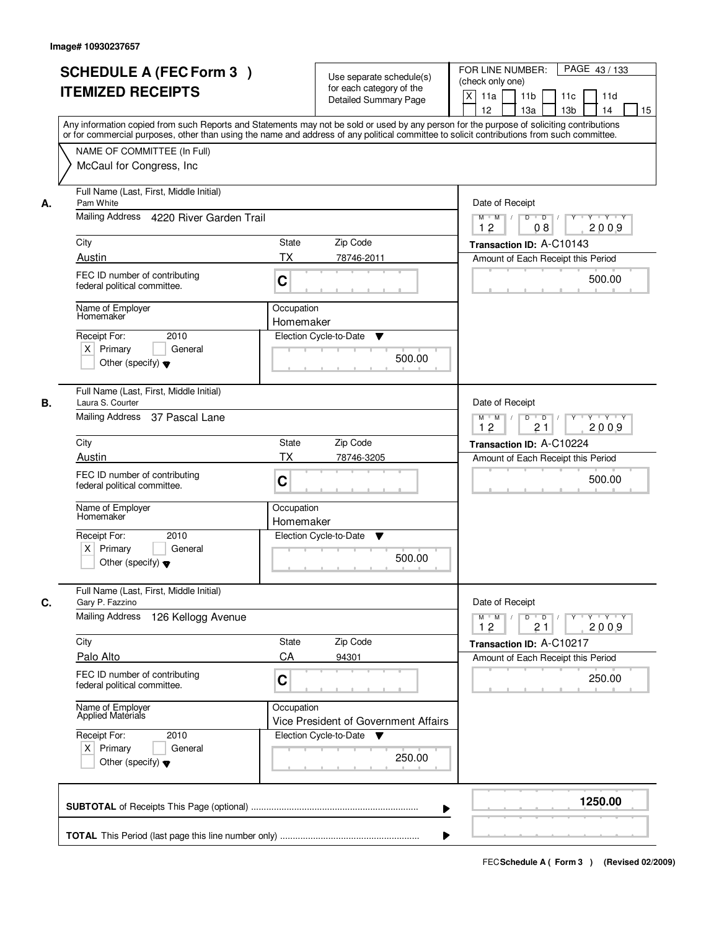|    | <b>SCHEDULE A (FEC Form 3)</b><br><b>ITEMIZED RECEIPTS</b>                                                                                                                                                                                                                              |                         | Use separate schedule(s)<br>for each category of the<br><b>Detailed Summary Page</b> | PAGE 43/133<br>FOR LINE NUMBER:<br>(check only one)<br>$\boldsymbol{\mathsf{X}}$<br>11a<br>11 <sub>b</sub><br>11c<br>11d |
|----|-----------------------------------------------------------------------------------------------------------------------------------------------------------------------------------------------------------------------------------------------------------------------------------------|-------------------------|--------------------------------------------------------------------------------------|--------------------------------------------------------------------------------------------------------------------------|
|    | Any information copied from such Reports and Statements may not be sold or used by any person for the purpose of soliciting contributions<br>or for commercial purposes, other than using the name and address of any political committee to solicit contributions from such committee. |                         |                                                                                      | 12<br>13 <sub>b</sub><br>13a<br>14<br>15                                                                                 |
|    | NAME OF COMMITTEE (In Full)<br>McCaul for Congress, Inc.                                                                                                                                                                                                                                |                         |                                                                                      |                                                                                                                          |
| А. | Full Name (Last, First, Middle Initial)<br>Pam White                                                                                                                                                                                                                                    |                         |                                                                                      | Date of Receipt                                                                                                          |
|    | Mailing Address 4220 River Garden Trail                                                                                                                                                                                                                                                 |                         |                                                                                      | $M$ $M$<br>$D$ $D$ $/$<br>$\overline{Y}$<br>Y 'Y 'Y<br>12<br>2009<br>08                                                  |
|    | City                                                                                                                                                                                                                                                                                    | State                   | Zip Code                                                                             | Transaction ID: A-C10143                                                                                                 |
|    | Austin                                                                                                                                                                                                                                                                                  | ТX                      | 78746-2011                                                                           | Amount of Each Receipt this Period                                                                                       |
|    | FEC ID number of contributing<br>federal political committee.                                                                                                                                                                                                                           | C                       |                                                                                      | 500.00                                                                                                                   |
|    | Name of Employer<br>Homemaker                                                                                                                                                                                                                                                           | Occupation<br>Homemaker |                                                                                      |                                                                                                                          |
|    | 2010<br>Receipt For:                                                                                                                                                                                                                                                                    |                         | Election Cycle-to-Date<br>▼                                                          |                                                                                                                          |
|    | $X$ Primary<br>General<br>Other (specify) $\blacktriangledown$                                                                                                                                                                                                                          |                         | 500.00                                                                               |                                                                                                                          |
| В. | Full Name (Last, First, Middle Initial)<br>Laura S. Courter                                                                                                                                                                                                                             |                         |                                                                                      | Date of Receipt                                                                                                          |
|    | Mailing Address 37 Pascal Lane                                                                                                                                                                                                                                                          |                         |                                                                                      | $Y \vdash Y \vdash Y$<br>$M$ M<br>D<br>$\overline{D}$<br>12<br>21<br>2009                                                |
|    | City                                                                                                                                                                                                                                                                                    | <b>State</b>            | Zip Code                                                                             | Transaction ID: A-C10224                                                                                                 |
|    | Austin                                                                                                                                                                                                                                                                                  | <b>TX</b>               | 78746-3205                                                                           | Amount of Each Receipt this Period                                                                                       |
|    | FEC ID number of contributing<br>federal political committee.                                                                                                                                                                                                                           | C                       |                                                                                      | 500.00                                                                                                                   |
|    | Name of Employer<br>Homemaker                                                                                                                                                                                                                                                           | Occupation<br>Homemaker |                                                                                      |                                                                                                                          |
|    | Receipt For:<br>2010                                                                                                                                                                                                                                                                    |                         | Election Cycle-to-Date<br>v                                                          |                                                                                                                          |
|    | $X$ Primary<br>General<br>Other (specify) $\blacktriangledown$                                                                                                                                                                                                                          |                         | 500.00                                                                               |                                                                                                                          |
| C. | Full Name (Last, First, Middle Initial)<br>Gary P. Fazzino                                                                                                                                                                                                                              |                         |                                                                                      | Date of Receipt                                                                                                          |
|    | <b>Mailing Address</b><br>126 Kellogg Avenue                                                                                                                                                                                                                                            |                         |                                                                                      | $M$ $M$ /<br>D<br>$\overline{D}$<br>$Y$ <sup><math>\top</math></sup><br>Y Y Y Y<br>12<br>2009<br>21                      |
|    | City                                                                                                                                                                                                                                                                                    | State                   | Zip Code                                                                             | Transaction ID: A-C10217                                                                                                 |
|    | Palo Alto                                                                                                                                                                                                                                                                               | CA                      | 94301                                                                                | Amount of Each Receipt this Period                                                                                       |
|    | FEC ID number of contributing<br>federal political committee.                                                                                                                                                                                                                           | C                       |                                                                                      | 250.00                                                                                                                   |
|    | Name of Employer<br>Applied Materials                                                                                                                                                                                                                                                   | Occupation              | Vice President of Government Affairs                                                 |                                                                                                                          |
|    | Receipt For:<br>2010                                                                                                                                                                                                                                                                    |                         | Election Cycle-to-Date<br>v                                                          |                                                                                                                          |
|    | $X$ Primary<br>General<br>Other (specify) $\blacktriangledown$                                                                                                                                                                                                                          |                         | 250.00                                                                               |                                                                                                                          |
|    |                                                                                                                                                                                                                                                                                         |                         | ▶                                                                                    | 1250.00                                                                                                                  |
|    |                                                                                                                                                                                                                                                                                         |                         |                                                                                      |                                                                                                                          |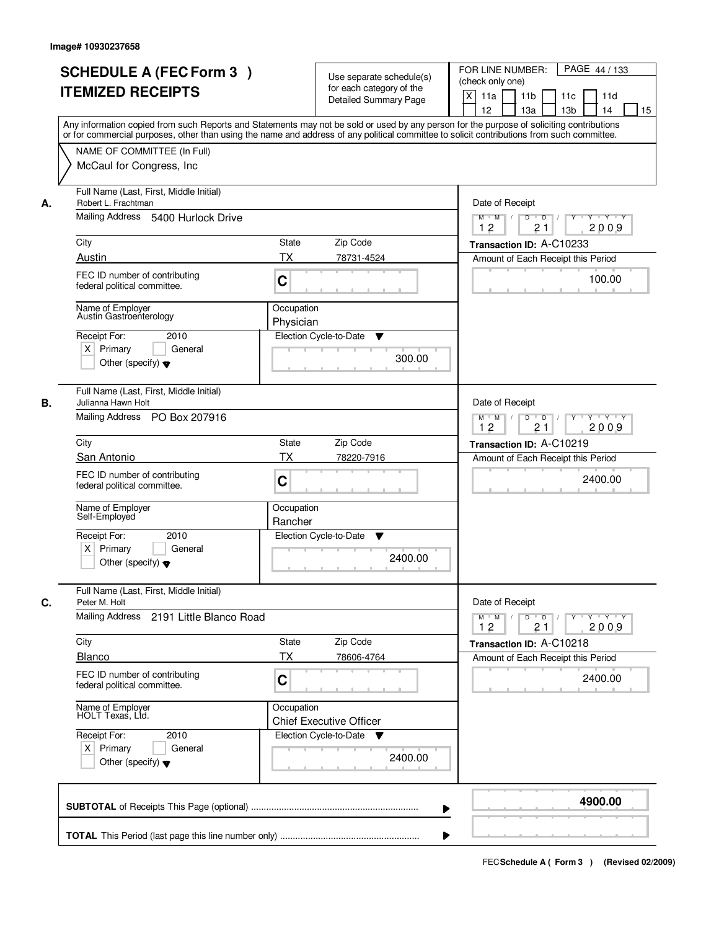|    | <b>SCHEDULE A (FEC Form 3)</b><br><b>ITEMIZED RECEIPTS</b><br>Any information copied from such Reports and Statements may not be sold or used by any person for the purpose of soliciting contributions<br>or for commercial purposes, other than using the name and address of any political committee to solicit contributions from such committee. |                                              | Use separate schedule(s)<br>for each category of the<br><b>Detailed Summary Page</b> | PAGE 44 / 133<br>FOR LINE NUMBER:<br>(check only one)<br>X<br>11a<br>11 <sub>b</sub><br>11c<br>11d<br>12<br>13 <sub>b</sub><br>13a<br>14<br>15 |
|----|-------------------------------------------------------------------------------------------------------------------------------------------------------------------------------------------------------------------------------------------------------------------------------------------------------------------------------------------------------|----------------------------------------------|--------------------------------------------------------------------------------------|------------------------------------------------------------------------------------------------------------------------------------------------|
|    | NAME OF COMMITTEE (In Full)<br>McCaul for Congress, Inc.                                                                                                                                                                                                                                                                                              |                                              |                                                                                      |                                                                                                                                                |
| А. | Full Name (Last, First, Middle Initial)<br>Robert L. Frachtman<br>Mailing Address 5400 Hurlock Drive                                                                                                                                                                                                                                                  |                                              |                                                                                      | Date of Receipt<br>$D$ $D$ $1$<br>Y 'Y 'Y<br>$M$ $M$ /<br>$Y^+$<br>12<br>21<br>2009                                                            |
|    | City                                                                                                                                                                                                                                                                                                                                                  | State<br>Zip Code                            |                                                                                      |                                                                                                                                                |
|    | Austin                                                                                                                                                                                                                                                                                                                                                | ТX                                           | 78731-4524                                                                           | Transaction ID: A-C10233<br>Amount of Each Receipt this Period                                                                                 |
|    | FEC ID number of contributing<br>federal political committee.                                                                                                                                                                                                                                                                                         | C                                            |                                                                                      | 100.00                                                                                                                                         |
|    | Name of Employer<br>Austin Gastroenterology                                                                                                                                                                                                                                                                                                           | Occupation<br>Physician                      |                                                                                      |                                                                                                                                                |
|    | Receipt For:<br>2010<br>$X$ Primary<br>General<br>Other (specify) $\blacktriangledown$                                                                                                                                                                                                                                                                | Election Cycle-to-Date                       | ▼<br>300.00                                                                          |                                                                                                                                                |
| В. | Full Name (Last, First, Middle Initial)<br>Julianna Hawn Holt<br>Mailing Address PO Box 207916                                                                                                                                                                                                                                                        |                                              |                                                                                      | Date of Receipt<br>$Y \vdash Y \vdash Y$<br>$M$ M<br>D<br>$\overline{D}$                                                                       |
|    |                                                                                                                                                                                                                                                                                                                                                       |                                              |                                                                                      | 12<br>21<br>2009                                                                                                                               |
|    | City<br>San Antonio                                                                                                                                                                                                                                                                                                                                   | Zip Code<br><b>State</b><br><b>TX</b>        | 78220-7916                                                                           | Transaction ID: A-C10219                                                                                                                       |
|    | FEC ID number of contributing<br>federal political committee.                                                                                                                                                                                                                                                                                         | C                                            |                                                                                      | Amount of Each Receipt this Period<br>2400.00                                                                                                  |
|    | Name of Employer<br>Self-Employed                                                                                                                                                                                                                                                                                                                     | Occupation<br>Rancher                        |                                                                                      |                                                                                                                                                |
|    | Receipt For:<br>2010<br>$X$ Primary<br>General<br>Other (specify) $\blacktriangledown$                                                                                                                                                                                                                                                                | Election Cycle-to-Date                       | v<br>2400.00                                                                         |                                                                                                                                                |
| C. | Full Name (Last, First, Middle Initial)<br>Peter M. Holt<br>Mailing Address 2191 Little Blanco Road                                                                                                                                                                                                                                                   |                                              |                                                                                      | Date of Receipt<br>$\mathsf D$<br>$M$ $M$ /<br>$\overline{D}$<br>$Y + Y + Y$<br>$Y$ <sup><math>\top</math></sup><br>12<br>2009<br>21           |
|    | City                                                                                                                                                                                                                                                                                                                                                  | Zip Code<br>State                            |                                                                                      | Transaction ID: A-C10218                                                                                                                       |
|    | <b>Blanco</b>                                                                                                                                                                                                                                                                                                                                         | ТX<br>78606-4764                             |                                                                                      | Amount of Each Receipt this Period                                                                                                             |
|    | FEC ID number of contributing<br>federal political committee.                                                                                                                                                                                                                                                                                         | C                                            |                                                                                      | 2400.00                                                                                                                                        |
|    | Name of Employer<br>HOLT Texas, Ltd.                                                                                                                                                                                                                                                                                                                  | Occupation<br><b>Chief Executive Officer</b> |                                                                                      |                                                                                                                                                |
|    | Receipt For:<br>2010<br>$X$ Primary<br>General<br>Other (specify) $\blacktriangledown$                                                                                                                                                                                                                                                                | Election Cycle-to-Date                       | v<br>2400.00                                                                         |                                                                                                                                                |
|    |                                                                                                                                                                                                                                                                                                                                                       |                                              | ▶                                                                                    | 4900.00                                                                                                                                        |
|    |                                                                                                                                                                                                                                                                                                                                                       |                                              |                                                                                      |                                                                                                                                                |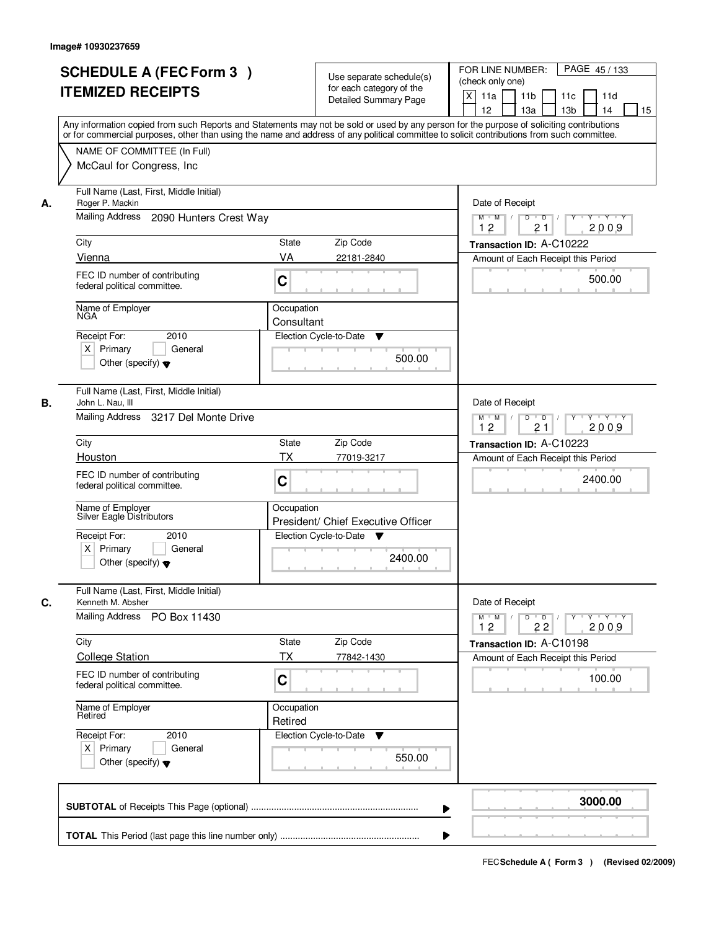|    | <b>SCHEDULE A (FEC Form 3)</b><br><b>ITEMIZED RECEIPTS</b><br>Any information copied from such Reports and Statements may not be sold or used by any person for the purpose of soliciting contributions<br>or for commercial purposes, other than using the name and address of any political committee to solicit contributions from such committee. |                          | Use separate schedule(s)<br>for each category of the<br><b>Detailed Summary Page</b> | PAGE 45/133<br>FOR LINE NUMBER:<br>(check only one)<br>X<br>11a<br>11 <sub>b</sub><br>11c<br>11d<br>12<br>13 <sub>b</sub><br>13a<br>14<br>15 |
|----|-------------------------------------------------------------------------------------------------------------------------------------------------------------------------------------------------------------------------------------------------------------------------------------------------------------------------------------------------------|--------------------------|--------------------------------------------------------------------------------------|----------------------------------------------------------------------------------------------------------------------------------------------|
|    | NAME OF COMMITTEE (In Full)<br>McCaul for Congress, Inc.                                                                                                                                                                                                                                                                                              |                          |                                                                                      |                                                                                                                                              |
| А. | Full Name (Last, First, Middle Initial)<br>Roger P. Mackin<br>Mailing Address<br>2090 Hunters Crest Way                                                                                                                                                                                                                                               |                          |                                                                                      | Date of Receipt<br>$D$ $D$ $I$<br>Y 'Y 'Y<br>$M$ $M$ /<br>$Y^+$                                                                              |
|    | City                                                                                                                                                                                                                                                                                                                                                  | State                    | Zip Code                                                                             | 12<br>21<br>2009                                                                                                                             |
|    | Vienna                                                                                                                                                                                                                                                                                                                                                | VA                       | 22181-2840                                                                           | Transaction ID: A-C10222<br>Amount of Each Receipt this Period                                                                               |
|    | FEC ID number of contributing<br>federal political committee.                                                                                                                                                                                                                                                                                         | C                        |                                                                                      | 500.00                                                                                                                                       |
|    | Name of Employer<br>NGA                                                                                                                                                                                                                                                                                                                               | Occupation<br>Consultant |                                                                                      |                                                                                                                                              |
|    | 2010<br>Receipt For:<br>$X$ Primary<br>General<br>Other (specify) $\blacktriangledown$                                                                                                                                                                                                                                                                |                          | Election Cycle-to-Date<br>▼<br>500.00                                                |                                                                                                                                              |
| В. | Full Name (Last, First, Middle Initial)<br>John L. Nau, III<br>Mailing Address 3217 Del Monte Drive                                                                                                                                                                                                                                                   |                          |                                                                                      | Date of Receipt<br>$Y \vdash Y \vdash Y$<br>$M$ M<br>D<br>$\overline{D}$<br>12<br>21<br>2009                                                 |
|    | City                                                                                                                                                                                                                                                                                                                                                  | State                    | Zip Code                                                                             | Transaction ID: A-C10223                                                                                                                     |
|    | Houston                                                                                                                                                                                                                                                                                                                                               | <b>TX</b>                | 77019-3217                                                                           | Amount of Each Receipt this Period                                                                                                           |
|    | FEC ID number of contributing<br>federal political committee.                                                                                                                                                                                                                                                                                         | C                        |                                                                                      | 2400.00                                                                                                                                      |
|    | Name of Employer<br>Silver Eagle Distributors                                                                                                                                                                                                                                                                                                         | Occupation               | President/ Chief Executive Officer                                                   |                                                                                                                                              |
|    | Receipt For:<br>2010<br>$X$ Primary<br>General<br>Other (specify) $\blacktriangledown$                                                                                                                                                                                                                                                                |                          | Election Cycle-to-Date<br>v<br>2400.00                                               |                                                                                                                                              |
| C. | Full Name (Last, First, Middle Initial)<br>Kenneth M. Absher                                                                                                                                                                                                                                                                                          |                          |                                                                                      | Date of Receipt                                                                                                                              |
|    | <b>Mailing Address</b><br>PO Box 11430                                                                                                                                                                                                                                                                                                                |                          |                                                                                      | $D$ $D$ $/$<br>$M$ $M$ /<br>$Y$ <sup><math>\top</math></sup><br>Y Y Y Y<br>12<br>22<br>2009                                                  |
|    | City                                                                                                                                                                                                                                                                                                                                                  | State                    | Zip Code                                                                             | Transaction ID: A-C10198                                                                                                                     |
|    | <b>College Station</b>                                                                                                                                                                                                                                                                                                                                | ТX                       | 77842-1430                                                                           | Amount of Each Receipt this Period                                                                                                           |
|    | FEC ID number of contributing<br>federal political committee.                                                                                                                                                                                                                                                                                         | C                        |                                                                                      | 100.00                                                                                                                                       |
|    | Name of Employer<br>Retired                                                                                                                                                                                                                                                                                                                           | Occupation<br>Retired    |                                                                                      |                                                                                                                                              |
|    | Receipt For:<br>2010<br>$X$ Primary<br>General<br>Other (specify) $\blacktriangledown$                                                                                                                                                                                                                                                                |                          | Election Cycle-to-Date<br>v<br>550.00                                                |                                                                                                                                              |
|    |                                                                                                                                                                                                                                                                                                                                                       |                          | ▶                                                                                    | 3000.00                                                                                                                                      |
|    |                                                                                                                                                                                                                                                                                                                                                       |                          |                                                                                      |                                                                                                                                              |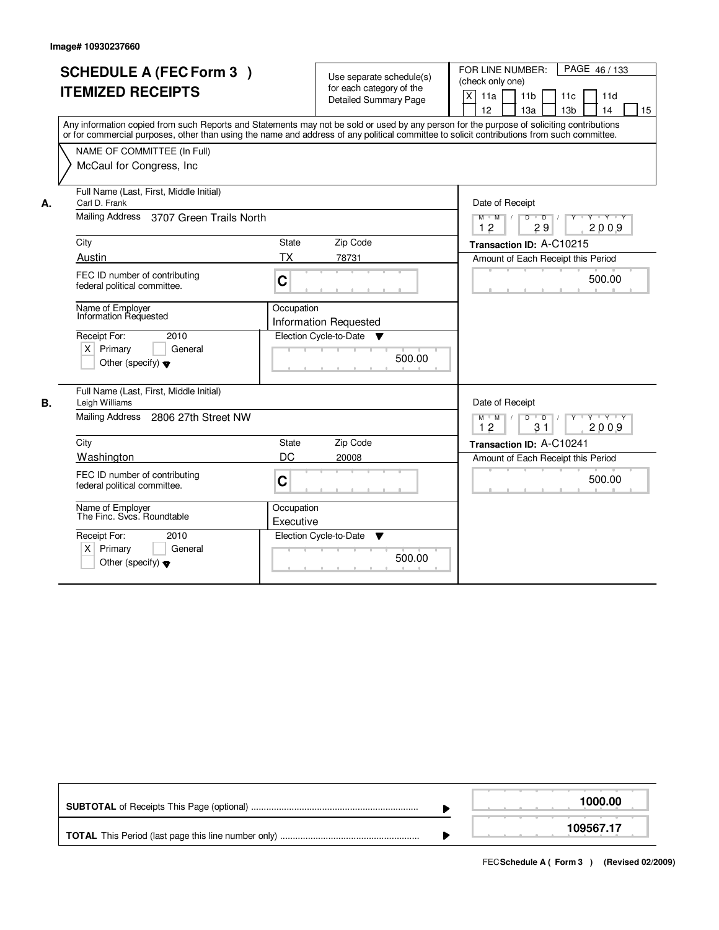f

|    | <b>SCHEDULE A (FEC Form 3)</b><br><b>ITEMIZED RECEIPTS</b><br>Any information copied from such Reports and Statements may not be sold or used by any person for the purpose of soliciting contributions<br>or for commercial purposes, other than using the name and address of any political committee to solicit contributions from such committee. |                                   | Use separate schedule(s)<br>for each category of the<br><b>Detailed Summary Page</b> |        | FOR LINE NUMBER:<br>PAGE 46 / 133<br>(check only one)<br>$\pmb{\times}$<br>11a<br>11 <sub>b</sub><br>11c<br>11d<br>12<br>13a<br>13 <sub>b</sub><br>14<br>15 |
|----|-------------------------------------------------------------------------------------------------------------------------------------------------------------------------------------------------------------------------------------------------------------------------------------------------------------------------------------------------------|-----------------------------------|--------------------------------------------------------------------------------------|--------|-------------------------------------------------------------------------------------------------------------------------------------------------------------|
|    | NAME OF COMMITTEE (In Full)<br>McCaul for Congress, Inc.                                                                                                                                                                                                                                                                                              |                                   |                                                                                      |        |                                                                                                                                                             |
| А. | Full Name (Last, First, Middle Initial)<br>Carl D. Frank<br><b>Mailing Address</b><br>3707 Green Trails North                                                                                                                                                                                                                                         |                                   |                                                                                      |        | Date of Receipt<br>$Y + Y + Y$<br>$M$ $M$<br>D<br>$\overline{D}$<br>12<br>29<br>2009                                                                        |
|    | City<br>Austin<br>FEC ID number of contributing<br>federal political committee.                                                                                                                                                                                                                                                                       | State<br>ТX<br>$\overline{C}$     | Zip Code<br>78731                                                                    |        | Transaction ID: A-C10215<br>Amount of Each Receipt this Period<br>500.00                                                                                    |
|    | Name of Employer<br><b>Information Requested</b><br>Receipt For:<br>2010<br>$X$ Primary<br>General<br>Other (specify) $\blacktriangledown$                                                                                                                                                                                                            | Occupation                        | <b>Information Requested</b><br>Election Cycle-to-Date ▼                             | 500.00 |                                                                                                                                                             |
| В. | Full Name (Last, First, Middle Initial)<br>Leigh Williams<br>Mailing Address 2806 27th Street NW<br>City<br>Washington<br>FEC ID number of contributing<br>federal political committee.                                                                                                                                                               | <b>State</b><br>DC<br>$\mathbf C$ | Zip Code<br>20008                                                                    |        | Date of Receipt<br>$M$ $M$ /<br>$D$ $D$ $/$<br>Y Y Y Y Y Y<br>2009<br>12<br>31<br>Transaction ID: A-C10241<br>Amount of Each Receipt this Period<br>500.00  |
|    | Name of Employer<br>The Finc. Svcs. Roundtable<br>Receipt For:<br>2010<br>Primary<br>$\times$<br>General<br>Other (specify) $\blacktriangledown$                                                                                                                                                                                                      | Occupation<br>Executive           | Election Cycle-to-Date<br>▼                                                          | 500.00 |                                                                                                                                                             |

|  | 1000.00   |
|--|-----------|
|  | 109567.17 |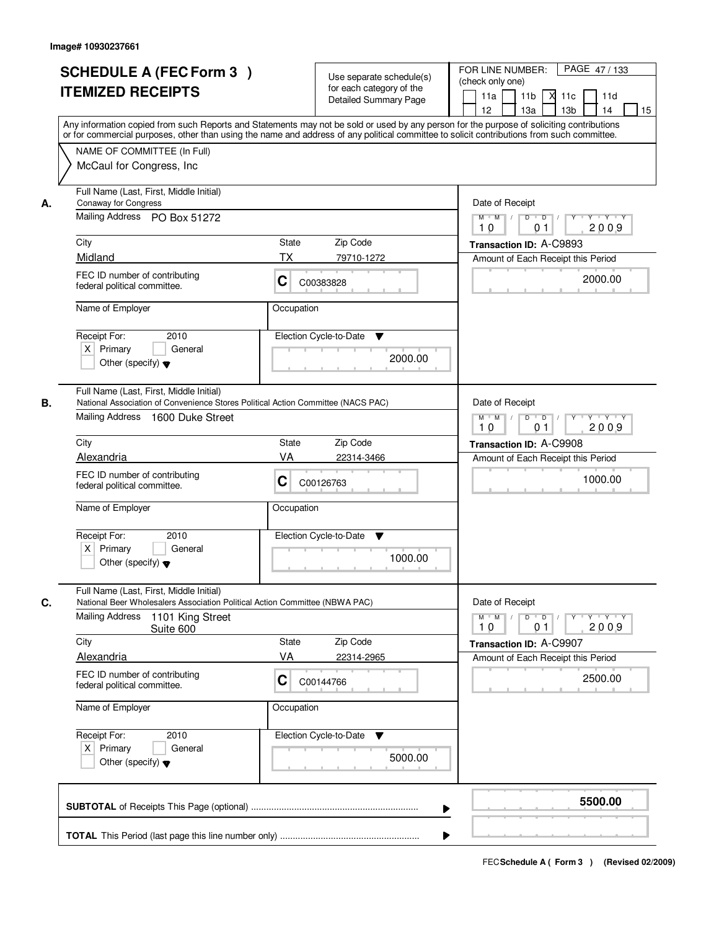|    | <b>SCHEDULE A (FEC Form 3)</b><br><b>ITEMIZED RECEIPTS</b>                                                                                                      | Use separate schedule(s)<br>for each category of the<br><b>Detailed Summary Page</b>                                                                                                                                                                                                    | PAGE 47/133<br>FOR LINE NUMBER:<br>(check only one)<br>11 <sub>b</sub><br>11a<br>-XI<br>11c<br>11d<br>13 <sub>b</sub><br>12<br>13a<br>14<br>15 |
|----|-----------------------------------------------------------------------------------------------------------------------------------------------------------------|-----------------------------------------------------------------------------------------------------------------------------------------------------------------------------------------------------------------------------------------------------------------------------------------|------------------------------------------------------------------------------------------------------------------------------------------------|
|    | NAME OF COMMITTEE (In Full)<br>McCaul for Congress, Inc.                                                                                                        | Any information copied from such Reports and Statements may not be sold or used by any person for the purpose of soliciting contributions<br>or for commercial purposes, other than using the name and address of any political committee to solicit contributions from such committee. |                                                                                                                                                |
| А. | Full Name (Last, First, Middle Initial)<br><b>Conaway for Congress</b><br>Mailing Address PO Box 51272                                                          |                                                                                                                                                                                                                                                                                         | Date of Receipt<br>$M$ $M$<br>$D$ $D$ $/$<br>$\overline{Y}$<br>Y 'Y 'Y<br>2009<br>10<br>0 <sub>1</sub>                                         |
|    | City                                                                                                                                                            | Zip Code<br>State                                                                                                                                                                                                                                                                       | Transaction ID: A-C9893                                                                                                                        |
|    | Midland                                                                                                                                                         | ТX<br>79710-1272                                                                                                                                                                                                                                                                        | Amount of Each Receipt this Period                                                                                                             |
|    | FEC ID number of contributing<br>federal political committee.                                                                                                   | C<br>C00383828                                                                                                                                                                                                                                                                          | 2000.00                                                                                                                                        |
|    | Name of Employer                                                                                                                                                | Occupation                                                                                                                                                                                                                                                                              |                                                                                                                                                |
|    | Receipt For:<br>2010<br>$X$ Primary<br>General<br>Other (specify) $\blacktriangledown$                                                                          | Election Cycle-to-Date<br>▼<br>2000.00                                                                                                                                                                                                                                                  |                                                                                                                                                |
| В. | Full Name (Last, First, Middle Initial)<br>National Association of Convenience Stores Political Action Committee (NACS PAC)<br>Mailing Address 1600 Duke Street |                                                                                                                                                                                                                                                                                         | Date of Receipt<br>$M$ $M$ /<br>Y Y Y Y<br>D<br>$\overline{D}$<br>Y<br>10<br>2009<br>01                                                        |
|    | City                                                                                                                                                            | <b>State</b><br>Zip Code                                                                                                                                                                                                                                                                | Transaction ID: A-C9908                                                                                                                        |
|    | Alexandria                                                                                                                                                      | VA<br>22314-3466                                                                                                                                                                                                                                                                        | Amount of Each Receipt this Period                                                                                                             |
|    | FEC ID number of contributing<br>federal political committee.                                                                                                   | С<br>C00126763                                                                                                                                                                                                                                                                          | 1000.00                                                                                                                                        |
|    | Name of Employer                                                                                                                                                | Occupation                                                                                                                                                                                                                                                                              |                                                                                                                                                |
|    | Receipt For:<br>2010<br>$X$ Primary<br>General<br>Other (specify) $\blacktriangledown$                                                                          | Election Cycle-to-Date<br>v<br>1000.00                                                                                                                                                                                                                                                  |                                                                                                                                                |
| C. | Full Name (Last, First, Middle Initial)<br>National Beer Wholesalers Association Political Action Committee (NBWA PAC)                                          |                                                                                                                                                                                                                                                                                         | Date of Receipt                                                                                                                                |
|    | <b>Mailing Address</b><br>1101 King Street<br>Suite 600                                                                                                         |                                                                                                                                                                                                                                                                                         | $D$ $D$ $/$<br>$M$ $M$ $/$<br>$Y + Y + Y$<br>$Y$ <sup><math>\top</math></sup><br>2009<br>10<br>01                                              |
|    | City                                                                                                                                                            | State<br>Zip Code                                                                                                                                                                                                                                                                       | Transaction ID: A-C9907                                                                                                                        |
|    | <b>Alexandria</b><br>FEC ID number of contributing<br>federal political committee.                                                                              | VA<br>22314-2965<br>C<br>C00144766                                                                                                                                                                                                                                                      | Amount of Each Receipt this Period<br>2500.00                                                                                                  |
|    | Name of Employer                                                                                                                                                | Occupation                                                                                                                                                                                                                                                                              |                                                                                                                                                |
|    | Receipt For:<br>2010<br>$X$ Primary<br>General<br>Other (specify) $\blacktriangledown$                                                                          | Election Cycle-to-Date<br>v<br>5000.00                                                                                                                                                                                                                                                  |                                                                                                                                                |
|    |                                                                                                                                                                 |                                                                                                                                                                                                                                                                                         | 5500.00<br>▶                                                                                                                                   |
|    |                                                                                                                                                                 |                                                                                                                                                                                                                                                                                         |                                                                                                                                                |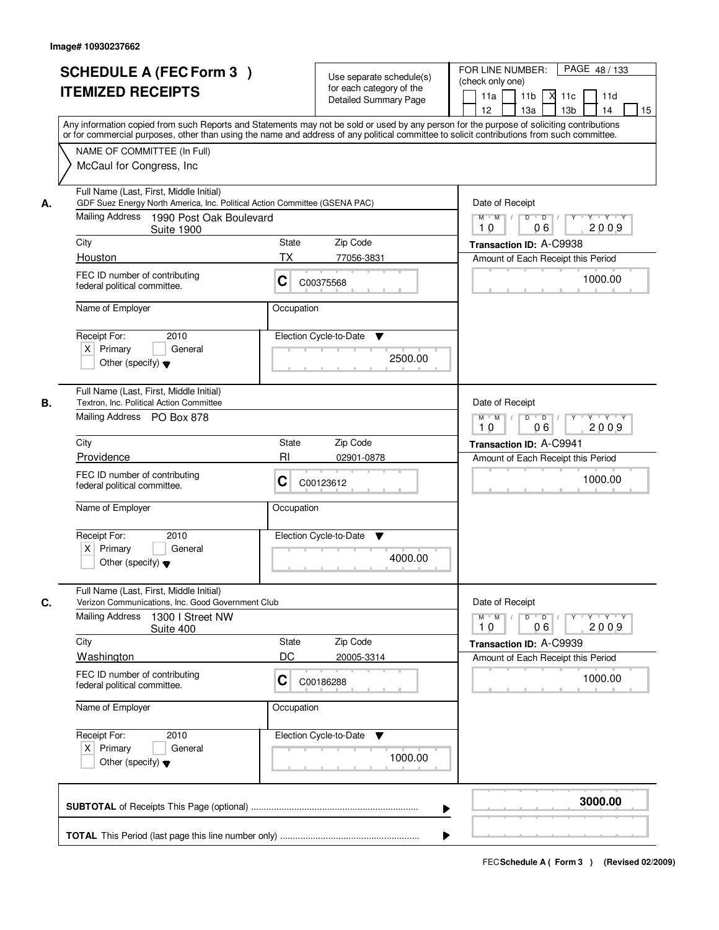|    | <b>SCHEDULE A (FEC Form 3)</b><br><b>ITEMIZED RECEIPTS</b><br>Any information copied from such Reports and Statements may not be sold or used by any person for the purpose of soliciting contributions |                                                                                     | Use separate schedule(s)<br>for each category of the<br><b>Detailed Summary Page</b> | PAGE 48 / 133<br>FOR LINE NUMBER:<br>(check only one)<br>11 <sub>b</sub><br>11a<br>11c<br>11d<br>⋊<br>12<br>13a<br>13 <sub>b</sub><br>14<br>15 |
|----|---------------------------------------------------------------------------------------------------------------------------------------------------------------------------------------------------------|-------------------------------------------------------------------------------------|--------------------------------------------------------------------------------------|------------------------------------------------------------------------------------------------------------------------------------------------|
|    | or for commercial purposes, other than using the name and address of any political committee to solicit contributions from such committee.<br>NAME OF COMMITTEE (In Full)<br>McCaul for Congress, Inc.  |                                                                                     |                                                                                      |                                                                                                                                                |
| А. | Full Name (Last, First, Middle Initial)<br>GDF Suez Energy North America, Inc. Political Action Committee (GSENA PAC)<br>Mailing Address 1990 Post Oak Boulevard<br><b>Suite 1900</b>                   | Date of Receipt<br>$D$ $D$ $I$<br>$Y^+$<br>Y Y Y Y<br>$M$ $M$ /<br>2009<br>10<br>06 |                                                                                      |                                                                                                                                                |
|    | City                                                                                                                                                                                                    | Zip Code<br>State                                                                   |                                                                                      | Transaction ID: A-C9938                                                                                                                        |
|    | Houston                                                                                                                                                                                                 | <b>TX</b><br>77056-3831                                                             |                                                                                      | Amount of Each Receipt this Period                                                                                                             |
|    | FEC ID number of contributing<br>federal political committee.                                                                                                                                           | C<br>C00375568                                                                      |                                                                                      | 1000.00                                                                                                                                        |
|    | Name of Employer                                                                                                                                                                                        | Occupation                                                                          |                                                                                      |                                                                                                                                                |
|    | Receipt For:<br>2010<br>$X$ Primary<br>General<br>Other (specify) $\blacktriangledown$                                                                                                                  | Election Cycle-to-Date                                                              | ▼<br>2500.00                                                                         |                                                                                                                                                |
| В. | Full Name (Last, First, Middle Initial)<br>Textron, Inc. Political Action Committee<br>Mailing Address PO Box 878                                                                                       |                                                                                     |                                                                                      | Date of Receipt<br>$M$ $M$ /<br>D<br>$\overline{D}$ $\overline{I}$<br>Y<br>Y 'Y 'Y<br>06<br>2009<br>10                                         |
|    | City                                                                                                                                                                                                    | Zip Code<br>State                                                                   |                                                                                      |                                                                                                                                                |
|    | Providence                                                                                                                                                                                              | R <sub>l</sub>                                                                      | 02901-0878                                                                           | Transaction ID: A-C9941<br>Amount of Each Receipt this Period                                                                                  |
|    | FEC ID number of contributing<br>federal political committee.                                                                                                                                           | С<br>C00123612                                                                      |                                                                                      | 1000.00                                                                                                                                        |
|    | Name of Employer                                                                                                                                                                                        | Occupation                                                                          |                                                                                      |                                                                                                                                                |
|    | Receipt For:<br>2010<br>$X$ Primary<br>General<br>Other (specify) $\blacktriangledown$                                                                                                                  | Election Cycle-to-Date                                                              | ▼<br>4000.00                                                                         |                                                                                                                                                |
| C. | Full Name (Last, First, Middle Initial)<br>Verizon Communications, Inc. Good Government Club                                                                                                            |                                                                                     |                                                                                      | Date of Receipt                                                                                                                                |
|    | Mailing Address<br>1300 I Street NW<br>Suite 400                                                                                                                                                        |                                                                                     |                                                                                      | $M$ $M$<br>D<br>$\Box$ D $\Box$<br>$Y + Y + Y$<br>2009<br>10<br>06                                                                             |
|    | City                                                                                                                                                                                                    | Zip Code<br>State                                                                   |                                                                                      | Transaction ID: A-C9939                                                                                                                        |
|    | <b>Washington</b>                                                                                                                                                                                       | DC                                                                                  | 20005-3314                                                                           | Amount of Each Receipt this Period                                                                                                             |
|    | FEC ID number of contributing<br>federal political committee.                                                                                                                                           | C<br>C00186288                                                                      |                                                                                      | 1000.00                                                                                                                                        |
|    | Name of Employer                                                                                                                                                                                        | Occupation                                                                          |                                                                                      |                                                                                                                                                |
|    | Receipt For:<br>2010<br>$X$ Primary<br>General<br>Other (specify) $\blacktriangledown$                                                                                                                  | Election Cycle-to-Date                                                              | v<br>1000.00                                                                         |                                                                                                                                                |
|    |                                                                                                                                                                                                         |                                                                                     | ▶                                                                                    | 3000.00                                                                                                                                        |
|    |                                                                                                                                                                                                         |                                                                                     |                                                                                      |                                                                                                                                                |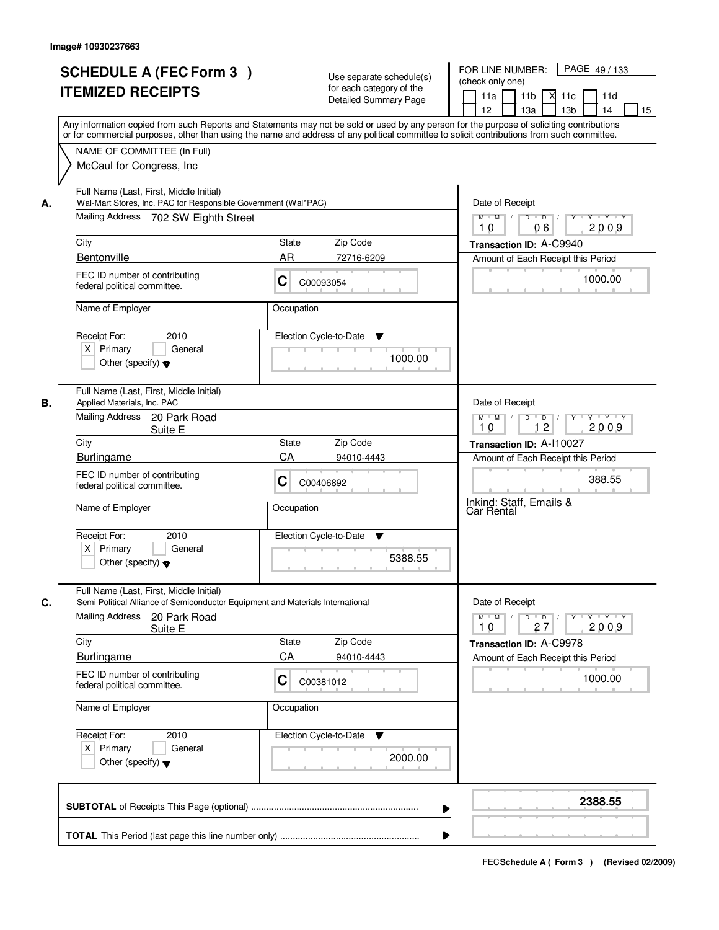|    | <b>SCHEDULE A (FEC Form 3)</b><br><b>ITEMIZED RECEIPTS</b><br>Any information copied from such Reports and Statements may not be sold or used by any person for the purpose of soliciting contributions<br>or for commercial purposes, other than using the name and address of any political committee to solicit contributions from such committee. |                                                                                              | Use separate schedule(s)<br>for each category of the<br><b>Detailed Summary Page</b> | PAGE 49 / 133<br>FOR LINE NUMBER:<br>(check only one)<br>11 <sub>b</sub><br>11d<br>11a<br>-XI<br>11c<br>13 <sub>b</sub><br>12<br>13a<br>14<br>15 |
|----|-------------------------------------------------------------------------------------------------------------------------------------------------------------------------------------------------------------------------------------------------------------------------------------------------------------------------------------------------------|----------------------------------------------------------------------------------------------|--------------------------------------------------------------------------------------|--------------------------------------------------------------------------------------------------------------------------------------------------|
|    | NAME OF COMMITTEE (In Full)<br>McCaul for Congress, Inc.                                                                                                                                                                                                                                                                                              |                                                                                              |                                                                                      |                                                                                                                                                  |
| А. | Full Name (Last, First, Middle Initial)<br>Wal-Mart Stores, Inc. PAC for Responsible Government (Wal*PAC)<br>Mailing Address 702 SW Eighth Street                                                                                                                                                                                                     | Date of Receipt<br>$M$ $M$ /<br>$D$ $D$ $/$<br>$\overline{Y}$<br>Y Y Y Y<br>2009<br>10<br>06 |                                                                                      |                                                                                                                                                  |
|    | City                                                                                                                                                                                                                                                                                                                                                  | State                                                                                        | Zip Code                                                                             | Transaction ID: A-C9940                                                                                                                          |
|    | Bentonville                                                                                                                                                                                                                                                                                                                                           | AR                                                                                           | 72716-6209                                                                           | Amount of Each Receipt this Period                                                                                                               |
|    | FEC ID number of contributing<br>federal political committee.                                                                                                                                                                                                                                                                                         | C                                                                                            | C00093054                                                                            | 1000.00                                                                                                                                          |
|    | Name of Employer                                                                                                                                                                                                                                                                                                                                      | Occupation                                                                                   |                                                                                      |                                                                                                                                                  |
|    | Receipt For:<br>2010<br>$X$ Primary<br>General<br>Other (specify) $\blacktriangledown$                                                                                                                                                                                                                                                                |                                                                                              | Election Cycle-to-Date<br>▼<br>1000.00                                               |                                                                                                                                                  |
| В. | Full Name (Last, First, Middle Initial)<br>Applied Materials, Inc. PAC<br>Mailing Address<br>20 Park Road<br>Suite E                                                                                                                                                                                                                                  |                                                                                              |                                                                                      | Date of Receipt<br>$M$ $M$ /<br>Y Y Y Y<br>D<br>$\overline{\phantom{0}}$ D<br>Y<br>12<br>10<br>2009                                              |
|    | City                                                                                                                                                                                                                                                                                                                                                  | State                                                                                        | Zip Code                                                                             | Transaction ID: A-110027                                                                                                                         |
|    | <b>Burlingame</b>                                                                                                                                                                                                                                                                                                                                     | CA                                                                                           | 94010-4443                                                                           | Amount of Each Receipt this Period                                                                                                               |
|    | FEC ID number of contributing<br>С<br>federal political committee.<br>Name of Employer<br>Occupation                                                                                                                                                                                                                                                  |                                                                                              | C00406892                                                                            | 388.55<br>Inkind: Staff, Emails &                                                                                                                |
|    |                                                                                                                                                                                                                                                                                                                                                       |                                                                                              |                                                                                      | Car Rental                                                                                                                                       |
|    | Receipt For:<br>2010<br>$X$ Primary<br>General<br>Other (specify) $\blacktriangledown$                                                                                                                                                                                                                                                                |                                                                                              | Election Cycle-to-Date<br>v<br>5388.55                                               |                                                                                                                                                  |
| C. | Full Name (Last, First, Middle Initial)<br>Semi Political Alliance of Semiconductor Equipment and Materials International                                                                                                                                                                                                                             |                                                                                              |                                                                                      | Date of Receipt                                                                                                                                  |
|    | <b>Mailing Address</b><br>20 Park Road<br>Suite E                                                                                                                                                                                                                                                                                                     |                                                                                              |                                                                                      | $D$ $D$ $I$<br>$M$ $M$ $/$<br>$Y$ <sup><math>V</math></sup><br>Y Y Y Y<br>2009<br>10<br>27                                                       |
|    | City                                                                                                                                                                                                                                                                                                                                                  | State                                                                                        | Zip Code                                                                             | Transaction ID: A-C9978                                                                                                                          |
|    | <b>Burlingame</b>                                                                                                                                                                                                                                                                                                                                     | CA                                                                                           | 94010-4443                                                                           | Amount of Each Receipt this Period                                                                                                               |
|    | FEC ID number of contributing<br>federal political committee.                                                                                                                                                                                                                                                                                         | C                                                                                            | C00381012                                                                            | 1000.00                                                                                                                                          |
|    | Name of Employer                                                                                                                                                                                                                                                                                                                                      | Occupation                                                                                   |                                                                                      |                                                                                                                                                  |
|    | Receipt For:<br>2010<br>$X$ Primary<br>General<br>Other (specify) $\blacktriangledown$                                                                                                                                                                                                                                                                |                                                                                              | Election Cycle-to-Date<br>v<br>2000.00                                               |                                                                                                                                                  |
|    |                                                                                                                                                                                                                                                                                                                                                       |                                                                                              | ▶                                                                                    | 2388.55                                                                                                                                          |
|    |                                                                                                                                                                                                                                                                                                                                                       |                                                                                              |                                                                                      |                                                                                                                                                  |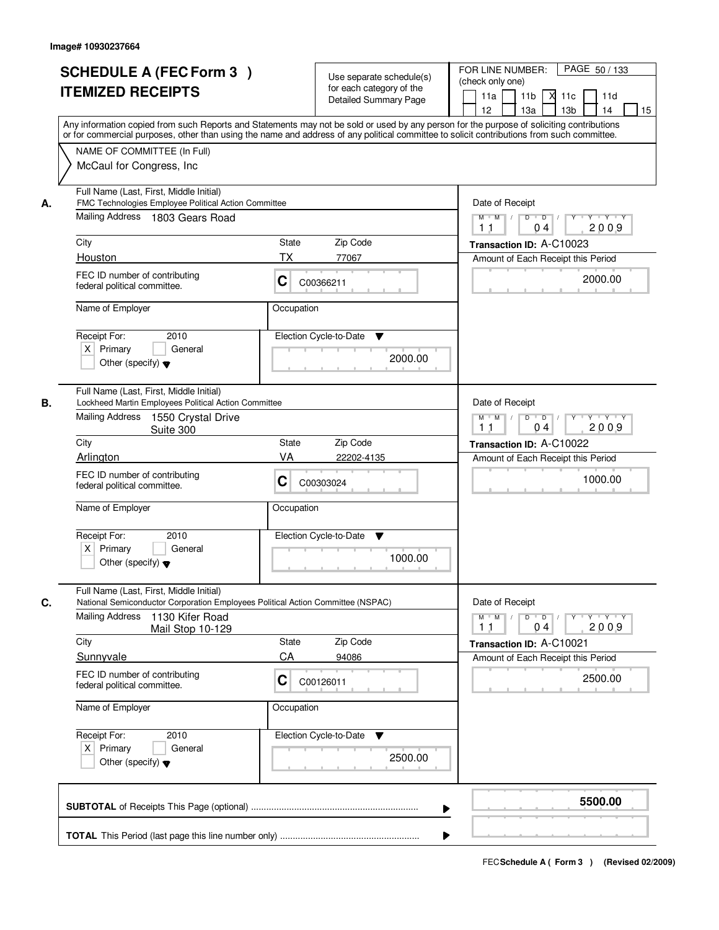| <b>SCHEDULE A (FEC Form 3)</b><br><b>ITEMIZED RECEIPTS</b>                                                                                     | Use separate schedule(s)<br>for each category of the<br><b>Detailed Summary Page</b><br>Any information copied from such Reports and Statements may not be sold or used by any person for the purpose of soliciting contributions | PAGE 50 / 133<br>FOR LINE NUMBER:<br>(check only one)<br>11 <sub>b</sub><br>м<br>11a<br>11c<br>11d<br>12 <sup>2</sup><br>13 <sub>b</sub><br>14<br>13a<br>15 |  |
|------------------------------------------------------------------------------------------------------------------------------------------------|-----------------------------------------------------------------------------------------------------------------------------------------------------------------------------------------------------------------------------------|-------------------------------------------------------------------------------------------------------------------------------------------------------------|--|
| NAME OF COMMITTEE (In Full)<br>McCaul for Congress, Inc.                                                                                       | or for commercial purposes, other than using the name and address of any political committee to solicit contributions from such committee.                                                                                        |                                                                                                                                                             |  |
| Full Name (Last, First, Middle Initial)<br>FMC Technologies Employee Political Action Committee<br>А.<br>Mailing Address 1803 Gears Road       |                                                                                                                                                                                                                                   | Date of Receipt<br>$M$ $M$<br>$D$ $D$ $1$<br>$Y$ $Y$ $Y$<br>Y<br>2009<br>04<br>11                                                                           |  |
| City                                                                                                                                           | <b>State</b><br>Zip Code                                                                                                                                                                                                          | Transaction ID: A-C10023                                                                                                                                    |  |
| Houston                                                                                                                                        | <b>TX</b><br>77067                                                                                                                                                                                                                | Amount of Each Receipt this Period                                                                                                                          |  |
| FEC ID number of contributing<br>federal political committee.                                                                                  | C<br>C00366211                                                                                                                                                                                                                    | 2000.00                                                                                                                                                     |  |
| Name of Employer                                                                                                                               | Occupation                                                                                                                                                                                                                        |                                                                                                                                                             |  |
| Receipt For:<br>2010<br>$X$ Primary<br>General<br>Other (specify) $\blacktriangledown$                                                         | Election Cycle-to-Date<br>▼<br>2000.00                                                                                                                                                                                            |                                                                                                                                                             |  |
| Full Name (Last, First, Middle Initial)<br>Lockheed Martin Employees Political Action Committee<br>В.<br>Mailing Address<br>1550 Crystal Drive |                                                                                                                                                                                                                                   | Date of Receipt<br>$M$ $M$ /<br>D<br>$\overline{D}$<br>$Y + Y + Y$                                                                                          |  |
| Suite 300                                                                                                                                      |                                                                                                                                                                                                                                   | 2009<br>11<br>04                                                                                                                                            |  |
| City                                                                                                                                           | Zip Code<br><b>State</b>                                                                                                                                                                                                          | Transaction ID: A-C10022                                                                                                                                    |  |
| Arlington<br>FEC ID number of contributing<br>federal political committee.                                                                     | VA<br>22202-4135<br>C<br>C00303024                                                                                                                                                                                                | Amount of Each Receipt this Period<br>1000.00                                                                                                               |  |
| Name of Employer<br>Receipt For:<br>2010<br>$X$ Primary<br>General<br>Other (specify) $\blacktriangledown$                                     | Occupation<br>Election Cycle-to-Date<br>▼<br>1000.00                                                                                                                                                                              |                                                                                                                                                             |  |
| Full Name (Last, First, Middle Initial)<br>C.                                                                                                  | National Semiconductor Corporation Employees Political Action Committee (NSPAC)                                                                                                                                                   | Date of Receipt                                                                                                                                             |  |
| <b>Mailing Address</b><br>1130 Kifer Road<br>Mail Stop 10-129                                                                                  |                                                                                                                                                                                                                                   | $M^{\prime}$ M $\rightarrow$<br>$D$ $D$ $/$<br>Y 'Y 'Y 'Y<br>2009<br>11<br>04                                                                               |  |
| City                                                                                                                                           | Zip Code<br><b>State</b><br>CA                                                                                                                                                                                                    | Transaction ID: A-C10021                                                                                                                                    |  |
| Sunnyvale<br>FEC ID number of contributing<br>federal political committee.                                                                     | 94086<br>C<br>C00126011                                                                                                                                                                                                           | Amount of Each Receipt this Period<br>2500.00                                                                                                               |  |
| Name of Employer                                                                                                                               | Occupation                                                                                                                                                                                                                        |                                                                                                                                                             |  |
| Receipt For:<br>2010<br>$X$ Primary<br>General<br>Other (specify) $\blacktriangledown$                                                         | Election Cycle-to-Date<br>v<br>2500.00                                                                                                                                                                                            |                                                                                                                                                             |  |
|                                                                                                                                                |                                                                                                                                                                                                                                   | 5500.00                                                                                                                                                     |  |
|                                                                                                                                                |                                                                                                                                                                                                                                   |                                                                                                                                                             |  |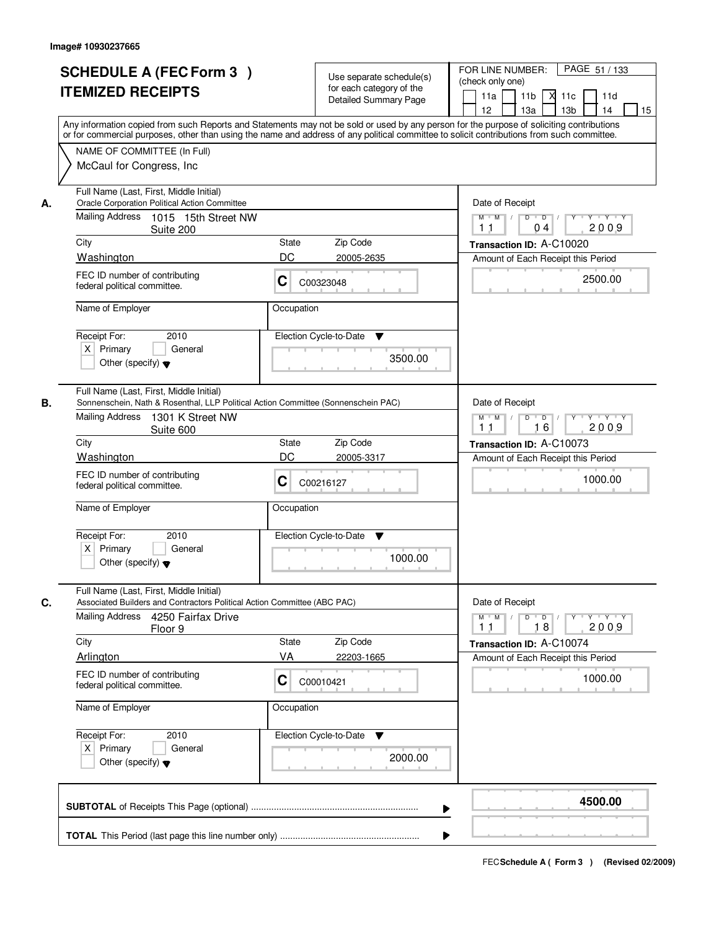|    | <b>SCHEDULE A (FEC Form 3)</b><br><b>ITEMIZED RECEIPTS</b><br>Any information copied from such Reports and Statements may not be sold or used by any person for the purpose of soliciting contributions | Use separate schedule(s)<br>for each category of the<br><b>Detailed Summary Page</b>             | PAGE 51 / 133<br>FOR LINE NUMBER:<br>(check only one)<br>11 <sub>b</sub><br>11a<br>XI 11c<br>11d<br>12<br>13a<br>13 <sub>b</sub><br>14<br>15 |
|----|---------------------------------------------------------------------------------------------------------------------------------------------------------------------------------------------------------|--------------------------------------------------------------------------------------------------|----------------------------------------------------------------------------------------------------------------------------------------------|
|    | or for commercial purposes, other than using the name and address of any political committee to solicit contributions from such committee.<br>NAME OF COMMITTEE (In Full)<br>McCaul for Congress, Inc.  |                                                                                                  |                                                                                                                                              |
| А. | Full Name (Last, First, Middle Initial)<br><b>Oracle Corporation Political Action Committee</b><br>Mailing Address 1015 15th Street NW<br>Suite 200                                                     | Date of Receipt<br>$Y - Y - Y$<br>$M$ $M$<br>D<br>$\overline{D}$<br>2009<br>1 <sub>1</sub><br>04 |                                                                                                                                              |
|    | City                                                                                                                                                                                                    | Zip Code<br>State                                                                                | Transaction ID: A-C10020                                                                                                                     |
|    | Washington                                                                                                                                                                                              | DC<br>20005-2635                                                                                 | Amount of Each Receipt this Period                                                                                                           |
|    | FEC ID number of contributing<br>federal political committee.                                                                                                                                           | C<br>C00323048                                                                                   | 2500.00                                                                                                                                      |
|    | Name of Employer                                                                                                                                                                                        | Occupation                                                                                       |                                                                                                                                              |
|    | 2010<br>Receipt For:<br>$X$ Primary<br>General<br>Other (specify) $\blacktriangledown$                                                                                                                  | Election Cycle-to-Date<br>▼<br>3500.00                                                           |                                                                                                                                              |
| В. | Full Name (Last, First, Middle Initial)<br>Sonnenschein, Nath & Rosenthal, LLP Political Action Committee (Sonnenschein PAC)<br>Mailing Address<br>1301 K Street NW<br>Suite 600                        |                                                                                                  | Date of Receipt<br>$M$ $M$<br>$D$ $D$ $/$<br>Y<br>$Y + Y + Y$<br>16<br>2009<br>1 <sub>1</sub>                                                |
|    | City                                                                                                                                                                                                    | Zip Code<br>State                                                                                | Transaction ID: A-C10073                                                                                                                     |
|    | Washington                                                                                                                                                                                              | DC<br>20005-3317                                                                                 | Amount of Each Receipt this Period                                                                                                           |
|    | FEC ID number of contributing<br>federal political committee.                                                                                                                                           | C<br>C00216127                                                                                   | 1000.00                                                                                                                                      |
|    | Name of Employer                                                                                                                                                                                        | Occupation                                                                                       |                                                                                                                                              |
|    | Receipt For:<br>2010<br>$X$ Primary<br>General<br>Other (specify) $\blacktriangledown$                                                                                                                  | Election Cycle-to-Date<br>v<br>1000.00                                                           |                                                                                                                                              |
| C. | Full Name (Last, First, Middle Initial)<br>Associated Builders and Contractors Political Action Committee (ABC PAC)                                                                                     |                                                                                                  | Date of Receipt                                                                                                                              |
|    | Mailing Address<br>4250 Fairfax Drive<br>Floor 9                                                                                                                                                        |                                                                                                  | $M$ $M$ $/$<br>$D$ $D$ $I$<br>$Y \rightarrow Y \rightarrow Y$<br>$Y$ <sup>-1</sup><br>2009<br>11<br>18                                       |
|    | City                                                                                                                                                                                                    | State<br>Zip Code                                                                                | Transaction ID: A-C10074                                                                                                                     |
|    | Arlington                                                                                                                                                                                               | VA<br>22203-1665                                                                                 | Amount of Each Receipt this Period                                                                                                           |
|    | FEC ID number of contributing<br>federal political committee.                                                                                                                                           | C<br>C00010421                                                                                   | 1000.00                                                                                                                                      |
|    | Name of Employer                                                                                                                                                                                        | Occupation                                                                                       |                                                                                                                                              |
|    | Receipt For:<br>2010<br>$X$ Primary<br>General<br>Other (specify) $\blacktriangledown$                                                                                                                  | Election Cycle-to-Date<br>v<br>2000.00                                                           |                                                                                                                                              |
|    |                                                                                                                                                                                                         |                                                                                                  | 4500.00<br>▶                                                                                                                                 |
|    |                                                                                                                                                                                                         |                                                                                                  |                                                                                                                                              |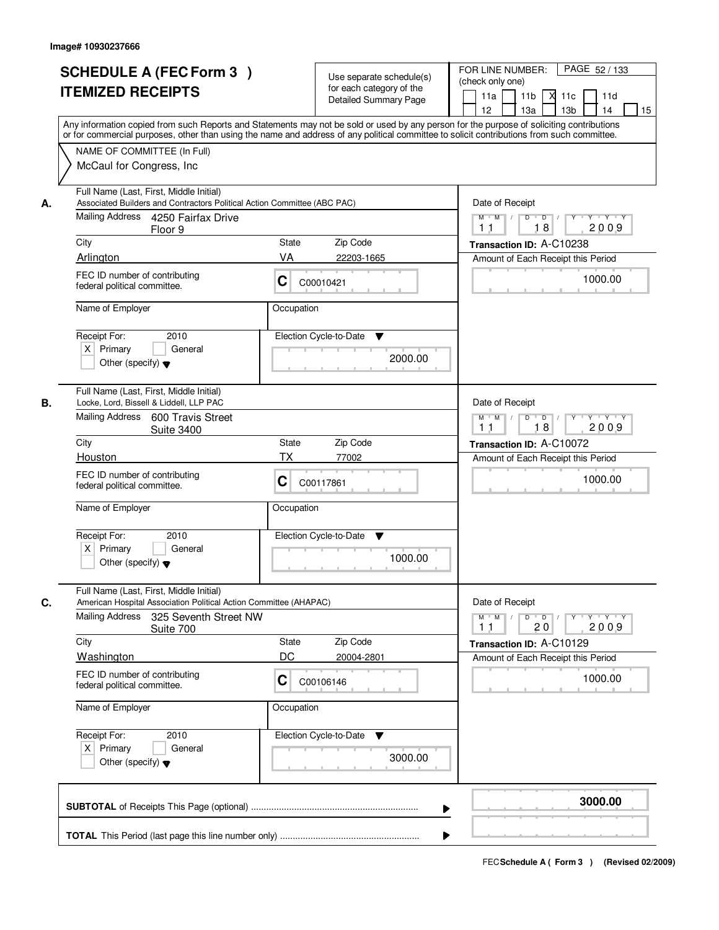|    | <b>SCHEDULE A (FEC Form 3)</b><br><b>ITEMIZED RECEIPTS</b><br>Any information copied from such Reports and Statements may not be sold or used by any person for the purpose of soliciting contributions<br>or for commercial purposes, other than using the name and address of any political committee to solicit contributions from such committee. |              | Use separate schedule(s)<br>for each category of the<br><b>Detailed Summary Page</b> | PAGE 52 / 133<br>FOR LINE NUMBER:<br>(check only one)<br>11 <sub>b</sub><br>11a<br>×<br>11c<br>11d<br>13 <sub>b</sub><br>14<br>15<br>12<br>13a |
|----|-------------------------------------------------------------------------------------------------------------------------------------------------------------------------------------------------------------------------------------------------------------------------------------------------------------------------------------------------------|--------------|--------------------------------------------------------------------------------------|------------------------------------------------------------------------------------------------------------------------------------------------|
|    | NAME OF COMMITTEE (In Full)<br>McCaul for Congress, Inc.                                                                                                                                                                                                                                                                                              |              |                                                                                      |                                                                                                                                                |
| А. | Full Name (Last, First, Middle Initial)<br>Associated Builders and Contractors Political Action Committee (ABC PAC)                                                                                                                                                                                                                                   |              |                                                                                      | Date of Receipt                                                                                                                                |
|    | Mailing Address 4250 Fairfax Drive<br>Floor 9                                                                                                                                                                                                                                                                                                         |              |                                                                                      | $M$ $M$<br>$D$ $D$ $1$<br>$Y$ <sup>U</sup><br>Y TY TY<br>18<br>2009<br>1 <sub>1</sub>                                                          |
|    | City                                                                                                                                                                                                                                                                                                                                                  | <b>State</b> | Zip Code                                                                             | Transaction ID: A-C10238                                                                                                                       |
|    | Arlington<br>FEC ID number of contributing                                                                                                                                                                                                                                                                                                            | VA           | 22203-1665                                                                           | Amount of Each Receipt this Period                                                                                                             |
|    | federal political committee.                                                                                                                                                                                                                                                                                                                          | С            | C00010421                                                                            | 1000.00                                                                                                                                        |
|    | Name of Employer                                                                                                                                                                                                                                                                                                                                      | Occupation   |                                                                                      |                                                                                                                                                |
|    | Receipt For:<br>2010<br>$X$ Primary<br>General<br>Other (specify) $\blacktriangledown$                                                                                                                                                                                                                                                                |              | Election Cycle-to-Date<br>$\blacktriangledown$<br>2000.00                            |                                                                                                                                                |
| В. | Full Name (Last, First, Middle Initial)<br>Locke, Lord, Bissell & Liddell, LLP PAC                                                                                                                                                                                                                                                                    |              |                                                                                      | Date of Receipt                                                                                                                                |
|    | Mailing Address<br>600 Travis Street<br><b>Suite 3400</b>                                                                                                                                                                                                                                                                                             |              |                                                                                      | $Y \vdash Y \vdash Y$<br>$M$ $M$ /<br>D<br>$\overline{D}$<br>18<br>11<br>2009                                                                  |
|    | City                                                                                                                                                                                                                                                                                                                                                  | <b>State</b> | Zip Code                                                                             | Transaction ID: A-C10072                                                                                                                       |
|    | Houston                                                                                                                                                                                                                                                                                                                                               | <b>TX</b>    | 77002                                                                                | Amount of Each Receipt this Period                                                                                                             |
|    | FEC ID number of contributing<br>federal political committee.                                                                                                                                                                                                                                                                                         | C            | C00117861                                                                            | 1000.00                                                                                                                                        |
|    | Name of Employer                                                                                                                                                                                                                                                                                                                                      | Occupation   |                                                                                      |                                                                                                                                                |
|    | Receipt For:<br>2010<br>$X$ Primary<br>General<br>Other (specify) $\blacktriangledown$                                                                                                                                                                                                                                                                |              | Election Cycle-to-Date<br>v<br>1000.00                                               |                                                                                                                                                |
| C. | Full Name (Last, First, Middle Initial)<br>American Hospital Association Political Action Committee (AHAPAC)                                                                                                                                                                                                                                          |              |                                                                                      | Date of Receipt                                                                                                                                |
|    | Mailing Address<br>325 Seventh Street NW<br>Suite 700                                                                                                                                                                                                                                                                                                 |              |                                                                                      | $\mathsf D$<br>$M$ $M$ /<br>$\overline{D}$ /<br>Y Y Y Y<br>Y<br>2009<br>11<br>20                                                               |
|    | City                                                                                                                                                                                                                                                                                                                                                  | State        | Zip Code                                                                             | Transaction ID: A-C10129                                                                                                                       |
|    | <b>Washington</b>                                                                                                                                                                                                                                                                                                                                     | DC           | 20004-2801                                                                           | Amount of Each Receipt this Period                                                                                                             |
|    | FEC ID number of contributing<br>federal political committee.                                                                                                                                                                                                                                                                                         | С            | C00106146                                                                            | 1000.00                                                                                                                                        |
|    | Name of Employer                                                                                                                                                                                                                                                                                                                                      | Occupation   |                                                                                      |                                                                                                                                                |
|    | Receipt For:<br>2010<br>$X$ Primary<br>General<br>Other (specify) $\blacktriangledown$                                                                                                                                                                                                                                                                |              | Election Cycle-to-Date<br>v<br>3000.00                                               |                                                                                                                                                |
|    |                                                                                                                                                                                                                                                                                                                                                       |              | ▶                                                                                    | 3000.00                                                                                                                                        |
|    |                                                                                                                                                                                                                                                                                                                                                       |              |                                                                                      |                                                                                                                                                |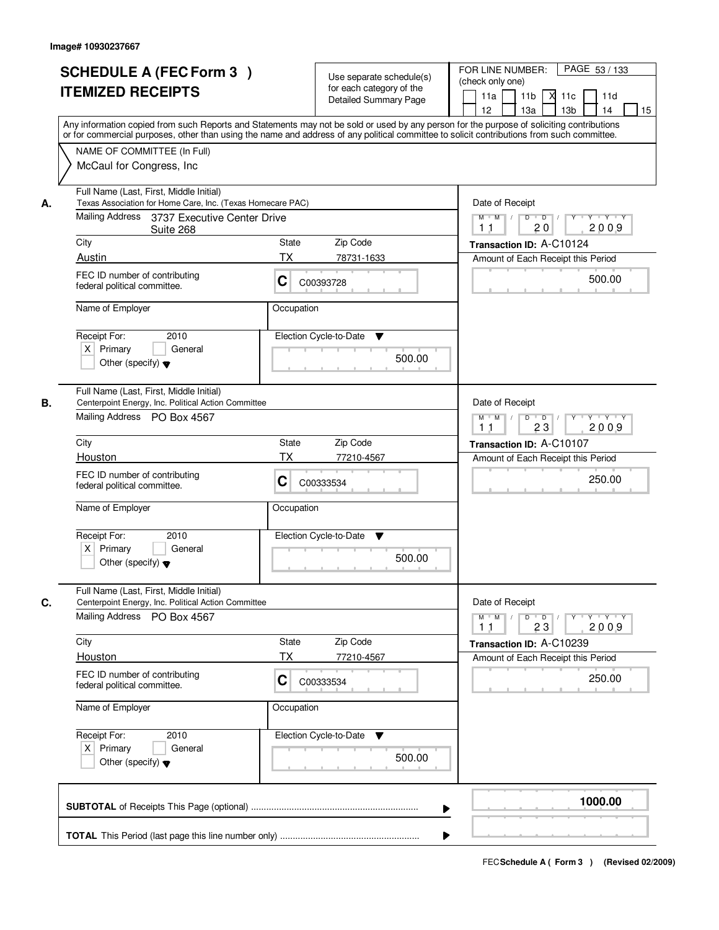|    | <b>SCHEDULE A (FEC Form 3)</b><br><b>ITEMIZED RECEIPTS</b><br>Any information copied from such Reports and Statements may not be sold or used by any person for the purpose of soliciting contributions<br>or for commercial purposes, other than using the name and address of any political committee to solicit contributions from such committee. |                                                                                            | Use separate schedule(s)<br>for each category of the<br><b>Detailed Summary Page</b> | PAGE 53 / 133<br>FOR LINE NUMBER:<br>(check only one)<br>11 <sub>b</sub><br>11d<br>11a<br>-XI<br>11c<br>13 <sub>b</sub><br>12<br>13a<br>14<br>15 |
|----|-------------------------------------------------------------------------------------------------------------------------------------------------------------------------------------------------------------------------------------------------------------------------------------------------------------------------------------------------------|--------------------------------------------------------------------------------------------|--------------------------------------------------------------------------------------|--------------------------------------------------------------------------------------------------------------------------------------------------|
|    | NAME OF COMMITTEE (In Full)<br>McCaul for Congress, Inc.                                                                                                                                                                                                                                                                                              |                                                                                            |                                                                                      |                                                                                                                                                  |
| А. | Full Name (Last, First, Middle Initial)<br>Texas Association for Home Care, Inc. (Texas Homecare PAC)<br>Mailing Address 3737 Executive Center Drive                                                                                                                                                                                                  | Date of Receipt<br>$M$ $M$ /<br>$D$ $D$ $/$<br>$Y$ <sup><math>\top</math></sup><br>Y Y Y Y |                                                                                      |                                                                                                                                                  |
|    | Suite 268                                                                                                                                                                                                                                                                                                                                             |                                                                                            |                                                                                      | 20<br>2009<br>1 <sub>1</sub>                                                                                                                     |
|    | City<br>Austin                                                                                                                                                                                                                                                                                                                                        | State<br>ТX                                                                                | Zip Code                                                                             | Transaction ID: A-C10124                                                                                                                         |
|    | FEC ID number of contributing<br>federal political committee.                                                                                                                                                                                                                                                                                         | C                                                                                          | 78731-1633<br>C00393728                                                              | Amount of Each Receipt this Period<br>500.00                                                                                                     |
|    | Name of Employer                                                                                                                                                                                                                                                                                                                                      | Occupation                                                                                 |                                                                                      |                                                                                                                                                  |
|    | Receipt For:<br>2010<br>$X$ Primary<br>General<br>Other (specify) $\blacktriangledown$                                                                                                                                                                                                                                                                |                                                                                            | Election Cycle-to-Date<br>▼<br>500.00                                                |                                                                                                                                                  |
| В. | Full Name (Last, First, Middle Initial)<br>Centerpoint Energy, Inc. Political Action Committee                                                                                                                                                                                                                                                        |                                                                                            |                                                                                      | Date of Receipt                                                                                                                                  |
|    | Mailing Address PO Box 4567                                                                                                                                                                                                                                                                                                                           |                                                                                            |                                                                                      | Y Y Y Y<br>$M$ M<br>D<br>$\overline{\phantom{0}}$ D<br>Y<br>23<br>2009<br>11                                                                     |
|    | City                                                                                                                                                                                                                                                                                                                                                  | State                                                                                      | Zip Code                                                                             | Transaction ID: A-C10107                                                                                                                         |
|    | Houston                                                                                                                                                                                                                                                                                                                                               | TX                                                                                         | 77210-4567                                                                           | Amount of Each Receipt this Period                                                                                                               |
|    | FEC ID number of contributing<br>federal political committee.                                                                                                                                                                                                                                                                                         | С                                                                                          | C00333534                                                                            | 250.00                                                                                                                                           |
|    | Name of Employer                                                                                                                                                                                                                                                                                                                                      | Occupation                                                                                 |                                                                                      |                                                                                                                                                  |
|    | Receipt For:<br>2010<br>$X$ Primary<br>General<br>Other (specify) $\blacktriangledown$                                                                                                                                                                                                                                                                |                                                                                            | Election Cycle-to-Date<br>v<br>500.00                                                |                                                                                                                                                  |
| C. | Full Name (Last, First, Middle Initial)<br>Centerpoint Energy, Inc. Political Action Committee                                                                                                                                                                                                                                                        |                                                                                            |                                                                                      | Date of Receipt                                                                                                                                  |
|    | Mailing Address PO Box 4567                                                                                                                                                                                                                                                                                                                           |                                                                                            |                                                                                      | $M$ $M$<br>$D$ $D$ $I$<br>$Y + Y + Y$<br>$Y$ <sup><math>\top</math></sup><br>2009<br>23<br>11                                                    |
|    | City                                                                                                                                                                                                                                                                                                                                                  | State                                                                                      | Zip Code                                                                             | Transaction ID: A-C10239                                                                                                                         |
|    | Houston                                                                                                                                                                                                                                                                                                                                               | ТX                                                                                         | 77210-4567                                                                           | Amount of Each Receipt this Period                                                                                                               |
|    | FEC ID number of contributing<br>federal political committee.                                                                                                                                                                                                                                                                                         | C                                                                                          | C00333534                                                                            | 250.00                                                                                                                                           |
|    | Name of Employer                                                                                                                                                                                                                                                                                                                                      | Occupation                                                                                 |                                                                                      |                                                                                                                                                  |
|    | Receipt For:<br>2010<br>$X$ Primary<br>General<br>Other (specify) $\blacktriangledown$                                                                                                                                                                                                                                                                |                                                                                            | Election Cycle-to-Date ▼<br>500.00                                                   |                                                                                                                                                  |
|    |                                                                                                                                                                                                                                                                                                                                                       |                                                                                            | ▶                                                                                    | 1000.00                                                                                                                                          |
|    |                                                                                                                                                                                                                                                                                                                                                       |                                                                                            |                                                                                      |                                                                                                                                                  |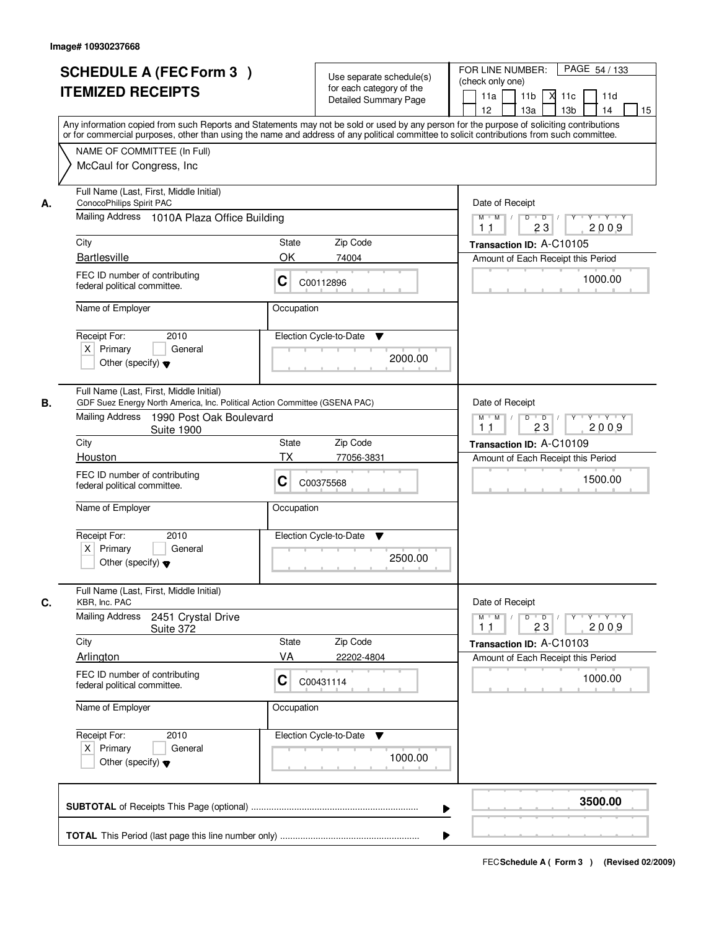|    | <b>SCHEDULE A (FEC Form 3)</b><br><b>ITEMIZED RECEIPTS</b><br>Any information copied from such Reports and Statements may not be sold or used by any person for the purpose of soliciting contributions<br>or for commercial purposes, other than using the name and address of any political committee to solicit contributions from such committee. |                                                                          | Use separate schedule(s)<br>for each category of the<br><b>Detailed Summary Page</b> | PAGE 54 / 133<br>FOR LINE NUMBER:<br>(check only one)<br>11 <sub>b</sub><br>11a<br><b>X</b><br>11c<br>11d<br>13 <sub>b</sub><br>12<br>13a<br>14<br>15 |
|----|-------------------------------------------------------------------------------------------------------------------------------------------------------------------------------------------------------------------------------------------------------------------------------------------------------------------------------------------------------|--------------------------------------------------------------------------|--------------------------------------------------------------------------------------|-------------------------------------------------------------------------------------------------------------------------------------------------------|
|    | NAME OF COMMITTEE (In Full)<br>McCaul for Congress, Inc.                                                                                                                                                                                                                                                                                              |                                                                          |                                                                                      |                                                                                                                                                       |
| А. | Full Name (Last, First, Middle Initial)<br>ConocoPhilips Spirit PAC<br>Mailing Address 1010A Plaza Office Building                                                                                                                                                                                                                                    | Date of Receipt<br>$M$ $M$ /<br>$D$ $D$ $/$<br>$\overline{Y}$<br>Y Y Y Y |                                                                                      |                                                                                                                                                       |
|    |                                                                                                                                                                                                                                                                                                                                                       |                                                                          |                                                                                      | 23<br>2009<br>11                                                                                                                                      |
|    | City<br><b>Bartlesville</b>                                                                                                                                                                                                                                                                                                                           | State<br>OK                                                              | Zip Code<br>74004                                                                    | Transaction ID: A-C10105<br>Amount of Each Receipt this Period                                                                                        |
|    | FEC ID number of contributing<br>federal political committee.                                                                                                                                                                                                                                                                                         | C                                                                        | C00112896                                                                            | 1000.00                                                                                                                                               |
|    | Name of Employer                                                                                                                                                                                                                                                                                                                                      | Occupation                                                               |                                                                                      |                                                                                                                                                       |
|    | Receipt For:<br>2010<br>$X$ Primary<br>General<br>Other (specify) $\blacktriangledown$                                                                                                                                                                                                                                                                |                                                                          | Election Cycle-to-Date<br>▼<br>2000.00                                               |                                                                                                                                                       |
| В. | Full Name (Last, First, Middle Initial)<br>GDF Suez Energy North America, Inc. Political Action Committee (GSENA PAC)<br>Mailing Address<br>1990 Post Oak Boulevard<br><b>Suite 1900</b>                                                                                                                                                              |                                                                          |                                                                                      | Date of Receipt<br>Y Y Y Y<br>$M$ $M$ /<br>D<br>$\overline{\phantom{0}}$ D<br>Y<br>23<br>2009<br>11                                                   |
|    | City                                                                                                                                                                                                                                                                                                                                                  | <b>State</b>                                                             | Zip Code                                                                             | Transaction ID: A-C10109                                                                                                                              |
|    | Houston                                                                                                                                                                                                                                                                                                                                               | <b>TX</b>                                                                | 77056-3831                                                                           | Amount of Each Receipt this Period                                                                                                                    |
|    | FEC ID number of contributing<br>C<br>federal political committee.                                                                                                                                                                                                                                                                                    |                                                                          | C00375568                                                                            | 1500.00                                                                                                                                               |
|    | Name of Employer                                                                                                                                                                                                                                                                                                                                      | Occupation                                                               |                                                                                      |                                                                                                                                                       |
|    | Receipt For:<br>2010<br>$X$ Primary<br>General<br>Other (specify) $\blacktriangledown$                                                                                                                                                                                                                                                                |                                                                          | Election Cycle-to-Date<br>v<br>2500.00                                               |                                                                                                                                                       |
| C. | Full Name (Last, First, Middle Initial)<br>KBR, Inc. PAC                                                                                                                                                                                                                                                                                              |                                                                          |                                                                                      | Date of Receipt                                                                                                                                       |
|    | <b>Mailing Address</b><br>2451 Crystal Drive<br>Suite 372                                                                                                                                                                                                                                                                                             |                                                                          |                                                                                      | $M$ $M$<br>$D$ $D$ $I$<br>$Y + Y + Y$<br>$Y$ <sup><math>V</math></sup><br>2009<br>23<br>11                                                            |
|    | City                                                                                                                                                                                                                                                                                                                                                  | State                                                                    | Zip Code                                                                             | Transaction ID: A-C10103                                                                                                                              |
|    | Arlington                                                                                                                                                                                                                                                                                                                                             | VA                                                                       | 22202-4804                                                                           | Amount of Each Receipt this Period                                                                                                                    |
|    | FEC ID number of contributing<br>federal political committee.                                                                                                                                                                                                                                                                                         | C                                                                        | C00431114                                                                            | 1000.00                                                                                                                                               |
|    | Name of Employer                                                                                                                                                                                                                                                                                                                                      | Occupation                                                               |                                                                                      |                                                                                                                                                       |
|    | Receipt For:<br>2010<br>$X$ Primary<br>General<br>Other (specify) $\blacktriangledown$                                                                                                                                                                                                                                                                |                                                                          | Election Cycle-to-Date<br>v<br>1000.00                                               |                                                                                                                                                       |
|    |                                                                                                                                                                                                                                                                                                                                                       |                                                                          | ▶                                                                                    | 3500.00                                                                                                                                               |
|    |                                                                                                                                                                                                                                                                                                                                                       |                                                                          |                                                                                      |                                                                                                                                                       |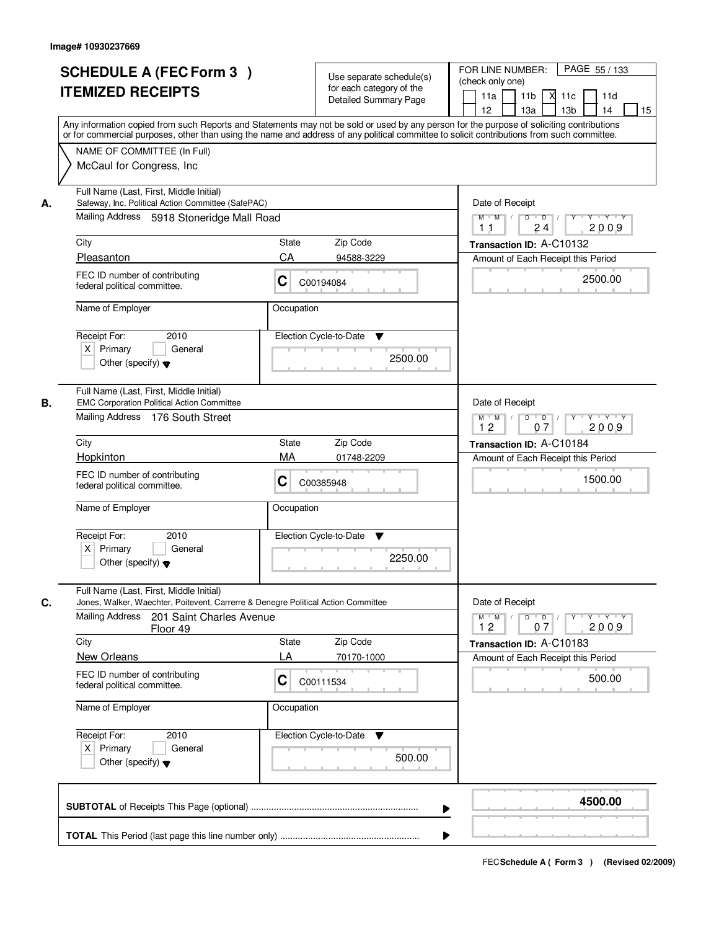| <b>SCHEDULE A (FEC Form 3)</b><br><b>ITEMIZED RECEIPTS</b>                                                                                       | Use separate schedule(s)<br>for each category of the<br><b>Detailed Summary Page</b><br>Any information copied from such Reports and Statements may not be sold or used by any person for the purpose of soliciting contributions | PAGE 55 / 133<br>FOR LINE NUMBER:<br>(check only one)<br>11 <sub>b</sub><br>м<br>11a<br>11c<br>11d<br>13 <sub>b</sub><br>14<br>12 <sup>°</sup><br>13a<br>15 |
|--------------------------------------------------------------------------------------------------------------------------------------------------|-----------------------------------------------------------------------------------------------------------------------------------------------------------------------------------------------------------------------------------|-------------------------------------------------------------------------------------------------------------------------------------------------------------|
| NAME OF COMMITTEE (In Full)<br>McCaul for Congress, Inc.                                                                                         | or for commercial purposes, other than using the name and address of any political committee to solicit contributions from such committee.                                                                                        |                                                                                                                                                             |
| Full Name (Last, First, Middle Initial)<br>Safeway, Inc. Political Action Committee (SafePAC)<br>А.<br>Mailing Address 5918 Stoneridge Mall Road |                                                                                                                                                                                                                                   | Date of Receipt<br>$M$ $M$<br>$D$ $D$<br>$Y$ $Y$ $Y$<br>Y<br>2009<br>24<br>11                                                                               |
| City                                                                                                                                             | <b>State</b><br>Zip Code                                                                                                                                                                                                          | Transaction ID: A-C10132                                                                                                                                    |
| Pleasanton                                                                                                                                       | CA<br>94588-3229                                                                                                                                                                                                                  | Amount of Each Receipt this Period                                                                                                                          |
| FEC ID number of contributing<br>federal political committee.                                                                                    | C<br>C00194084                                                                                                                                                                                                                    | 2500.00                                                                                                                                                     |
| Name of Employer                                                                                                                                 | Occupation                                                                                                                                                                                                                        |                                                                                                                                                             |
| Receipt For:<br>2010<br>$X$ Primary<br>General<br>Other (specify) $\blacktriangledown$                                                           | Election Cycle-to-Date<br>▼<br>2500.00                                                                                                                                                                                            |                                                                                                                                                             |
| Full Name (Last, First, Middle Initial)<br><b>EMC Corporation Political Action Committee</b><br>В.<br>Mailing Address 176 South Street           |                                                                                                                                                                                                                                   | Date of Receipt<br>$M$ $M$ /<br>D<br>$\Box$<br>$Y + Y + Y$<br>12<br>07<br>2009                                                                              |
| City                                                                                                                                             | Zip Code<br><b>State</b>                                                                                                                                                                                                          | Transaction ID: A-C10184                                                                                                                                    |
| Hopkinton                                                                                                                                        | MA<br>01748-2209                                                                                                                                                                                                                  | Amount of Each Receipt this Period                                                                                                                          |
| FEC ID number of contributing<br>federal political committee.                                                                                    | С<br>C00385948                                                                                                                                                                                                                    | 1500.00                                                                                                                                                     |
| Name of Employer                                                                                                                                 | Occupation                                                                                                                                                                                                                        |                                                                                                                                                             |
| Receipt For:<br>2010<br>$X$ Primary<br>General<br>Other (specify) $\blacktriangledown$                                                           | Election Cycle-to-Date<br>▼<br>2250.00                                                                                                                                                                                            |                                                                                                                                                             |
| Full Name (Last, First, Middle Initial)<br>C.                                                                                                    | Jones, Walker, Waechter, Poitevent, Carrerre & Denegre Political Action Committee                                                                                                                                                 | Date of Receipt                                                                                                                                             |
| Mailing Address<br>201 Saint Charles Avenue<br>Floor 49                                                                                          |                                                                                                                                                                                                                                   | $M = M$<br>$D$ $D$ $/$<br>Y 'Y 'Y 'Y<br>2009<br>12<br>07                                                                                                    |
| City                                                                                                                                             | Zip Code<br><b>State</b>                                                                                                                                                                                                          | Transaction ID: A-C10183                                                                                                                                    |
| <b>New Orleans</b><br>FEC ID number of contributing<br>federal political committee.                                                              | LA<br>70170-1000<br>C<br>C00111534                                                                                                                                                                                                | Amount of Each Receipt this Period<br>500.00                                                                                                                |
| Name of Employer                                                                                                                                 | Occupation                                                                                                                                                                                                                        |                                                                                                                                                             |
| Receipt For:<br>2010<br>$X$ Primary<br>General<br>Other (specify) $\blacktriangledown$                                                           | Election Cycle-to-Date<br>v<br>500.00                                                                                                                                                                                             |                                                                                                                                                             |
|                                                                                                                                                  |                                                                                                                                                                                                                                   | 4500.00                                                                                                                                                     |
|                                                                                                                                                  |                                                                                                                                                                                                                                   |                                                                                                                                                             |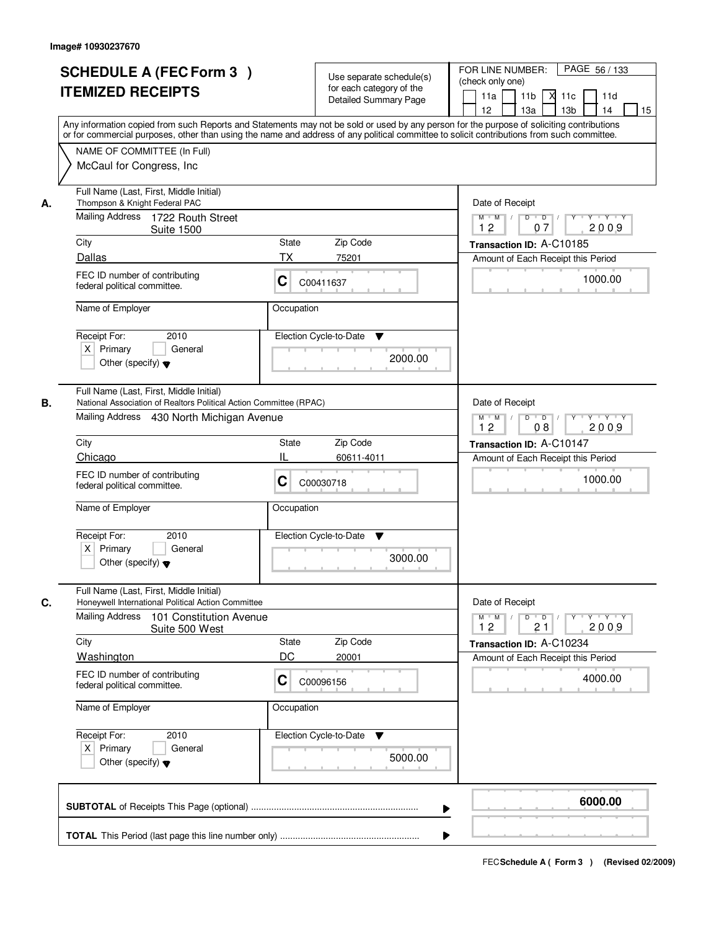|    | <b>SCHEDULE A (FEC Form 3)</b><br><b>ITEMIZED RECEIPTS</b>                                                                                                 | Use separate schedule(s)<br>for each category of the<br><b>Detailed Summary Page</b><br>Any information copied from such Reports and Statements may not be sold or used by any person for the purpose of soliciting contributions<br>or for commercial purposes, other than using the name and address of any political committee to solicit contributions from such committee. | PAGE 56 / 133<br>FOR LINE NUMBER:<br>(check only one)<br>11 <sub>b</sub><br>11a<br><b>X</b><br>11c<br>11d<br>13 <sub>b</sub><br>14<br>12<br>13a<br>15 |
|----|------------------------------------------------------------------------------------------------------------------------------------------------------------|---------------------------------------------------------------------------------------------------------------------------------------------------------------------------------------------------------------------------------------------------------------------------------------------------------------------------------------------------------------------------------|-------------------------------------------------------------------------------------------------------------------------------------------------------|
|    | NAME OF COMMITTEE (In Full)<br>McCaul for Congress, Inc.                                                                                                   |                                                                                                                                                                                                                                                                                                                                                                                 |                                                                                                                                                       |
| А. | Full Name (Last, First, Middle Initial)<br>Thompson & Knight Federal PAC<br>Mailing Address 1722 Routh Street                                              |                                                                                                                                                                                                                                                                                                                                                                                 | Date of Receipt<br>$D$ $D$<br>Y<br>$Y + Y + Y$<br>$M$ $M$ /                                                                                           |
|    | <b>Suite 1500</b>                                                                                                                                          |                                                                                                                                                                                                                                                                                                                                                                                 | 2009<br>12<br>07                                                                                                                                      |
|    | City<br>Dallas                                                                                                                                             | <b>State</b><br>Zip Code<br>ТX<br>75201                                                                                                                                                                                                                                                                                                                                         | Transaction ID: A-C10185<br>Amount of Each Receipt this Period                                                                                        |
|    | FEC ID number of contributing<br>federal political committee.                                                                                              | C<br>C00411637                                                                                                                                                                                                                                                                                                                                                                  | 1000.00                                                                                                                                               |
|    | Name of Employer                                                                                                                                           | Occupation                                                                                                                                                                                                                                                                                                                                                                      |                                                                                                                                                       |
|    | 2010<br>Receipt For:<br>$X$ Primary<br>General<br>Other (specify) $\blacktriangledown$                                                                     | Election Cycle-to-Date<br>▼<br>2000.00                                                                                                                                                                                                                                                                                                                                          |                                                                                                                                                       |
| В. | Full Name (Last, First, Middle Initial)<br>National Association of Realtors Political Action Committee (RPAC)<br>Mailing Address 430 North Michigan Avenue |                                                                                                                                                                                                                                                                                                                                                                                 | Date of Receipt<br>$M$ $M$ /<br>D<br>$\overline{D}$<br>Y Y Y Y<br>12<br>08<br>2009                                                                    |
|    | City                                                                                                                                                       | Zip Code<br>State                                                                                                                                                                                                                                                                                                                                                               | Transaction ID: A-C10147                                                                                                                              |
|    | Chicago                                                                                                                                                    | Ш<br>60611-4011                                                                                                                                                                                                                                                                                                                                                                 | Amount of Each Receipt this Period                                                                                                                    |
|    | FEC ID number of contributing<br>federal political committee.                                                                                              | С<br>C00030718                                                                                                                                                                                                                                                                                                                                                                  | 1000.00                                                                                                                                               |
|    | Name of Employer                                                                                                                                           | Occupation                                                                                                                                                                                                                                                                                                                                                                      |                                                                                                                                                       |
|    | Receipt For:<br>2010<br>$X$ Primary<br>General<br>Other (specify) $\blacktriangledown$                                                                     | Election Cycle-to-Date<br>v<br>3000.00                                                                                                                                                                                                                                                                                                                                          |                                                                                                                                                       |
| C. | Full Name (Last, First, Middle Initial)<br>Honeywell International Political Action Committee                                                              |                                                                                                                                                                                                                                                                                                                                                                                 | Date of Receipt                                                                                                                                       |
|    | <b>Mailing Address</b><br>101 Constitution Avenue<br>Suite 500 West                                                                                        |                                                                                                                                                                                                                                                                                                                                                                                 | $M$ $M$ $M$<br>$D$ $D$ $/$<br>$Y$ <sup>-1</sup><br>$Y + Y + Y$<br>2009<br>12<br>21                                                                    |
|    | City                                                                                                                                                       | Zip Code<br><b>State</b>                                                                                                                                                                                                                                                                                                                                                        | Transaction ID: A-C10234                                                                                                                              |
|    | Washington<br>FEC ID number of contributing<br>federal political committee.                                                                                | DC<br>20001<br>C<br>C00096156                                                                                                                                                                                                                                                                                                                                                   | Amount of Each Receipt this Period<br>4000.00                                                                                                         |
|    | Name of Employer                                                                                                                                           | Occupation                                                                                                                                                                                                                                                                                                                                                                      |                                                                                                                                                       |
|    | Receipt For:<br>2010<br>$X$ Primary<br>General<br>Other (specify) $\blacktriangledown$                                                                     | Election Cycle-to-Date<br>v<br>5000.00                                                                                                                                                                                                                                                                                                                                          |                                                                                                                                                       |
|    |                                                                                                                                                            |                                                                                                                                                                                                                                                                                                                                                                                 | 6000.00                                                                                                                                               |
|    |                                                                                                                                                            |                                                                                                                                                                                                                                                                                                                                                                                 |                                                                                                                                                       |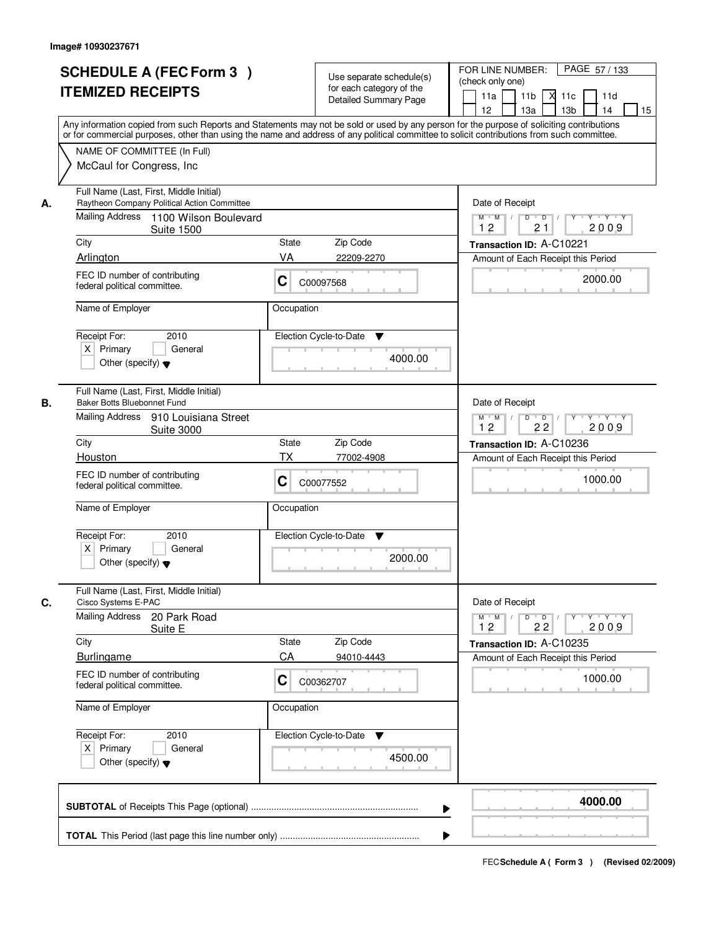|    | <b>SCHEDULE A (FEC Form 3)</b><br><b>ITEMIZED RECEIPTS</b>                                                                                                                                                                                                                                                                            | Use separate schedule(s)<br>for each category of the<br><b>Detailed Summary Page</b>                 | PAGE 57/133<br>FOR LINE NUMBER:<br>(check only one)<br>11 <sub>b</sub><br>11a<br>XI 11c<br>11d<br>12<br>13a<br>13 <sub>b</sub><br>14<br>15<br>Any information copied from such Reports and Statements may not be sold or used by any person for the purpose of soliciting contributions |
|----|---------------------------------------------------------------------------------------------------------------------------------------------------------------------------------------------------------------------------------------------------------------------------------------------------------------------------------------|------------------------------------------------------------------------------------------------------|-----------------------------------------------------------------------------------------------------------------------------------------------------------------------------------------------------------------------------------------------------------------------------------------|
|    | NAME OF COMMITTEE (In Full)<br>McCaul for Congress, Inc.                                                                                                                                                                                                                                                                              |                                                                                                      | or for commercial purposes, other than using the name and address of any political committee to solicit contributions from such committee.                                                                                                                                              |
| А. | Full Name (Last, First, Middle Initial)<br>Raytheon Company Political Action Committee<br>Mailing Address 1100 Wilson Boulevard<br><b>Suite 1500</b><br>City<br>Arlington<br>FEC ID number of contributing<br>federal political committee.                                                                                            | Zip Code<br>State<br>VA<br>22209-2270<br>C<br>C00097568                                              | Date of Receipt<br>$Y - Y - Y$<br>$M$ $M$ /<br>D<br>$\overline{D}$<br>2009<br>12<br>21<br>Transaction ID: A-C10221<br>Amount of Each Receipt this Period<br>2000.00                                                                                                                     |
|    | Name of Employer<br>Receipt For:<br>2010<br>$X$ Primary<br>General<br>Other (specify) $\blacktriangledown$                                                                                                                                                                                                                            | Occupation<br>Election Cycle-to-Date<br>▼                                                            | 4000.00                                                                                                                                                                                                                                                                                 |
| В. | Full Name (Last, First, Middle Initial)<br>Baker Botts Bluebonnet Fund<br>Mailing Address 910 Louisiana Street<br><b>Suite 3000</b><br>City<br>Houston<br>FEC ID number of contributing<br>federal political committee.<br>Name of Employer<br>Receipt For:<br>2010<br>$X$ Primary<br>General<br>Other (specify) $\blacktriangledown$ | State<br>Zip Code<br>TX<br>77002-4908<br>C<br>C00077552<br>Occupation<br>Election Cycle-to-Date<br>v | Date of Receipt<br>$D$ $D$ $/$<br>$M$ $M$ /<br>Y<br>$Y + Y + Y$<br>12<br>22<br>2009<br>Transaction ID: A-C10236<br>Amount of Each Receipt this Period<br>1000.00<br>2000.00                                                                                                             |
| C. | Full Name (Last, First, Middle Initial)<br>Cisco Systems E-PAC<br>Mailing Address<br>20 Park Road<br>Suite E<br>City<br><b>Burlingame</b><br>FEC ID number of contributing<br>federal political committee.<br>Name of Employer<br>Receipt For:<br>2010<br>$X$ Primary<br>General<br>Other (specify) $\blacktriangledown$              | State<br>Zip Code<br>CA<br>94010-4443<br>C<br>C00362707<br>Occupation<br>Election Cycle-to-Date<br>v | Date of Receipt<br>$M^+$ M<br>$D$ $D$ $l$<br>$Y - Y - Y$<br>$\sqrt{ }$<br>Y<br>12<br>2009<br>22<br>Transaction ID: A-C10235<br>Amount of Each Receipt this Period<br>1000.00<br>4500.00                                                                                                 |
|    |                                                                                                                                                                                                                                                                                                                                       |                                                                                                      | 4000.00<br>▶                                                                                                                                                                                                                                                                            |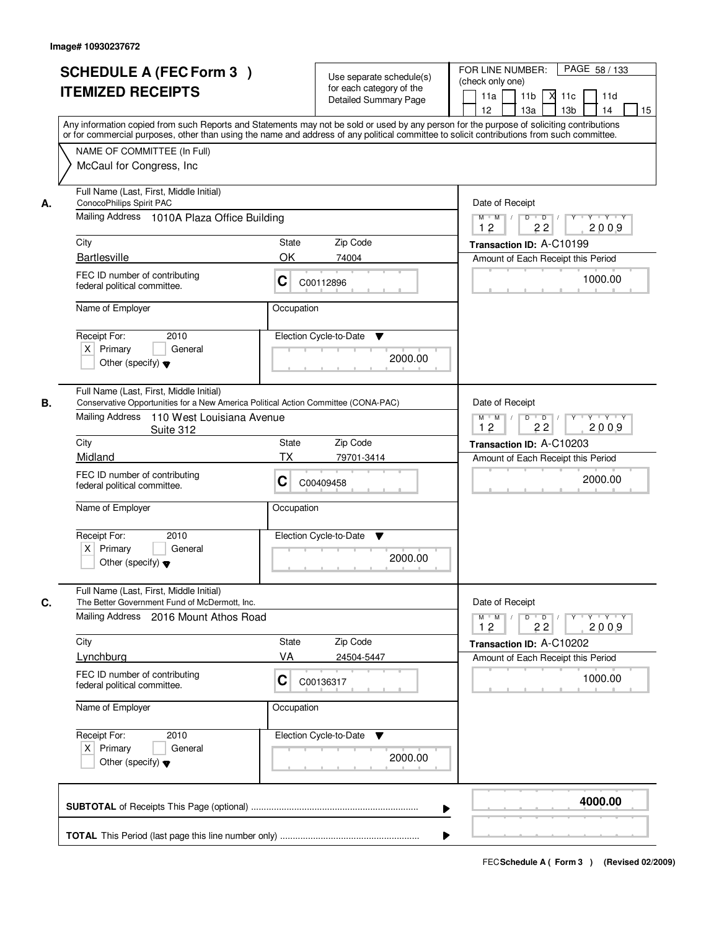|    | <b>SCHEDULE A (FEC Form 3)</b><br><b>ITEMIZED RECEIPTS</b><br>Any information copied from such Reports and Statements may not be sold or used by any person for the purpose of soliciting contributions<br>or for commercial purposes, other than using the name and address of any political committee to solicit contributions from such committee.<br>NAME OF COMMITTEE (In Full) |                                                               | Use separate schedule(s)<br>for each category of the<br><b>Detailed Summary Page</b> | PAGE 58 / 133<br>FOR LINE NUMBER:<br>(check only one)<br>11 <sub>b</sub><br>11a<br><b>X</b><br>11c<br>11d<br>13 <sub>b</sub><br>12<br>13a<br>14<br>15 |
|----|--------------------------------------------------------------------------------------------------------------------------------------------------------------------------------------------------------------------------------------------------------------------------------------------------------------------------------------------------------------------------------------|---------------------------------------------------------------|--------------------------------------------------------------------------------------|-------------------------------------------------------------------------------------------------------------------------------------------------------|
| А. | McCaul for Congress, Inc.<br>Full Name (Last, First, Middle Initial)<br>ConocoPhilips Spirit PAC<br>Mailing Address 1010A Plaza Office Building                                                                                                                                                                                                                                      | Date of Receipt<br>$M$ $M$<br>$D$ $D$ $I$<br>$Y^+$<br>Y Y Y Y |                                                                                      |                                                                                                                                                       |
|    | City<br><b>Bartlesville</b>                                                                                                                                                                                                                                                                                                                                                          | State<br>OK                                                   | Zip Code<br>74004                                                                    | 12<br>22<br>2009<br>Transaction ID: A-C10199<br>Amount of Each Receipt this Period                                                                    |
|    | FEC ID number of contributing<br>federal political committee.<br>Name of Employer                                                                                                                                                                                                                                                                                                    | C<br>C00112896<br>Occupation                                  |                                                                                      | 1000.00                                                                                                                                               |
|    | 2010<br>Receipt For:<br>$X$ Primary<br>General<br>Other (specify) $\blacktriangledown$                                                                                                                                                                                                                                                                                               | Election Cycle-to-Date                                        | ▼<br>2000.00                                                                         |                                                                                                                                                       |
| В. | Full Name (Last, First, Middle Initial)<br>Conservative Opportunities for a New America Political Action Committee (CONA-PAC)<br>Mailing Address<br>110 West Louisiana Avenue<br>Suite 312                                                                                                                                                                                           |                                                               |                                                                                      | Date of Receipt<br>Y Y Y Y<br>$M$ M<br>D<br>$\overline{D}$<br>Y<br>12<br>22<br>2009                                                                   |
|    | City<br>Midland                                                                                                                                                                                                                                                                                                                                                                      | <b>State</b><br>TX                                            | Zip Code<br>79701-3414                                                               | Transaction ID: A-C10203                                                                                                                              |
|    | FEC ID number of contributing<br>С<br>federal political committee.                                                                                                                                                                                                                                                                                                                   |                                                               | C00409458                                                                            | Amount of Each Receipt this Period<br>2000.00                                                                                                         |
|    | Name of Employer<br>Receipt For:<br>2010<br>$X$ Primary<br>General<br>Other (specify) $\blacktriangledown$                                                                                                                                                                                                                                                                           | Occupation<br>Election Cycle-to-Date                          | v<br>2000.00                                                                         |                                                                                                                                                       |
| C. | Full Name (Last, First, Middle Initial)<br>The Better Government Fund of McDermott, Inc.<br>Mailing Address 2016 Mount Athos Road                                                                                                                                                                                                                                                    |                                                               |                                                                                      | Date of Receipt<br>$D$ $D$ $I$<br>$M$ $M$ $/$<br>$Y + Y + Y$<br>Y                                                                                     |
|    | City                                                                                                                                                                                                                                                                                                                                                                                 | State                                                         | Zip Code                                                                             | 2009<br>12<br>22<br>Transaction ID: A-C10202                                                                                                          |
|    | Lynchburg                                                                                                                                                                                                                                                                                                                                                                            | VA                                                            | 24504-5447                                                                           | Amount of Each Receipt this Period                                                                                                                    |
|    | FEC ID number of contributing<br>federal political committee.                                                                                                                                                                                                                                                                                                                        | C<br>C00136317                                                |                                                                                      | 1000.00                                                                                                                                               |
|    | Name of Employer                                                                                                                                                                                                                                                                                                                                                                     | Occupation                                                    |                                                                                      |                                                                                                                                                       |
|    | Receipt For:<br>2010<br>$X$ Primary<br>General<br>Other (specify) $\blacktriangledown$                                                                                                                                                                                                                                                                                               | Election Cycle-to-Date                                        | v<br>2000.00                                                                         |                                                                                                                                                       |
|    |                                                                                                                                                                                                                                                                                                                                                                                      |                                                               | ▶                                                                                    | 4000.00                                                                                                                                               |
|    |                                                                                                                                                                                                                                                                                                                                                                                      |                                                               |                                                                                      |                                                                                                                                                       |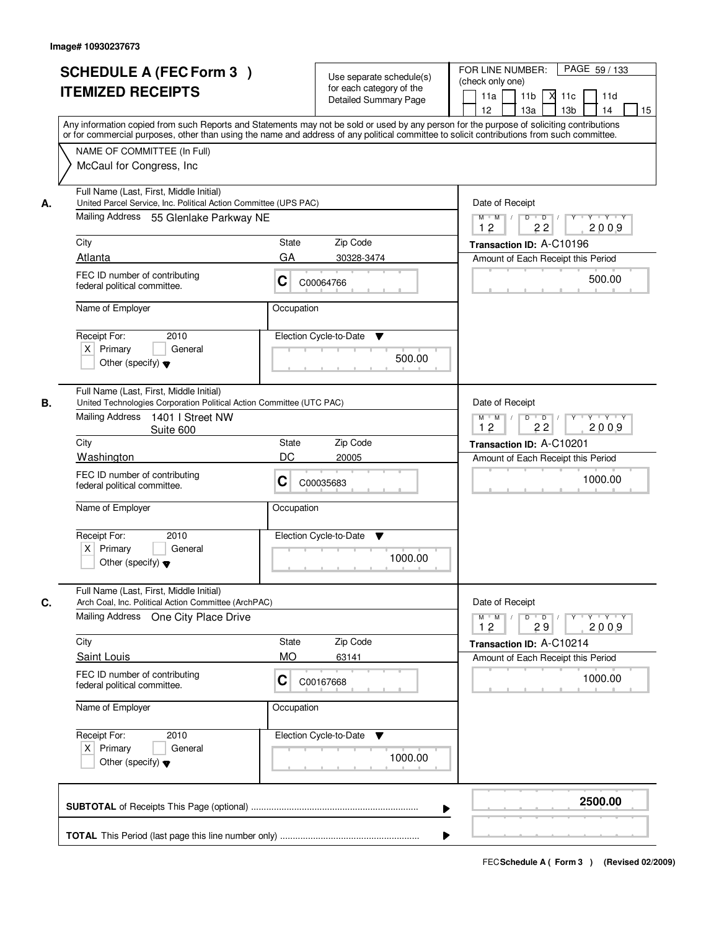|    | <b>SCHEDULE A (FEC Form 3)</b><br><b>ITEMIZED RECEIPTS</b><br>Any information copied from such Reports and Statements may not be sold or used by any person for the purpose of soliciting contributions<br>or for commercial purposes, other than using the name and address of any political committee to solicit contributions from such committee.<br>NAME OF COMMITTEE (In Full) |                                                                  | Use separate schedule(s)<br>for each category of the<br><b>Detailed Summary Page</b> | PAGE 59 / 133<br>FOR LINE NUMBER:<br>(check only one)<br>11 <sub>b</sub><br>11a<br>-XI<br>11c<br>11d<br>13 <sub>b</sub><br>12<br>13a<br>14<br>15 |
|----|--------------------------------------------------------------------------------------------------------------------------------------------------------------------------------------------------------------------------------------------------------------------------------------------------------------------------------------------------------------------------------------|------------------------------------------------------------------|--------------------------------------------------------------------------------------|--------------------------------------------------------------------------------------------------------------------------------------------------|
| А. | McCaul for Congress, Inc.<br>Full Name (Last, First, Middle Initial)<br>United Parcel Service, Inc. Political Action Committee (UPS PAC)                                                                                                                                                                                                                                             | Date of Receipt                                                  |                                                                                      |                                                                                                                                                  |
|    | Mailing Address 55 Glenlake Parkway NE                                                                                                                                                                                                                                                                                                                                               | $D$ $D$ $I$<br>$Y^+$<br>Y 'Y 'Y<br>$M$ $M$ /<br>12<br>22<br>2009 |                                                                                      |                                                                                                                                                  |
|    | City                                                                                                                                                                                                                                                                                                                                                                                 | State                                                            | Zip Code                                                                             | Transaction ID: A-C10196                                                                                                                         |
|    | Atlanta                                                                                                                                                                                                                                                                                                                                                                              | GA                                                               | 30328-3474                                                                           | Amount of Each Receipt this Period                                                                                                               |
|    | FEC ID number of contributing<br>federal political committee.                                                                                                                                                                                                                                                                                                                        | C                                                                | C00064766                                                                            | 500.00                                                                                                                                           |
|    | Name of Employer                                                                                                                                                                                                                                                                                                                                                                     | Occupation                                                       |                                                                                      |                                                                                                                                                  |
|    | Receipt For:<br>2010<br>$X$ Primary<br>General<br>Other (specify) $\blacktriangledown$                                                                                                                                                                                                                                                                                               |                                                                  | Election Cycle-to-Date<br>▼<br>500.00                                                |                                                                                                                                                  |
| В. | Full Name (Last, First, Middle Initial)<br>United Technologies Corporation Political Action Committee (UTC PAC)<br>Mailing Address<br>1401 I Street NW<br>Suite 600                                                                                                                                                                                                                  |                                                                  |                                                                                      | Date of Receipt<br>Y Y Y Y<br>$M$ M<br>D<br>$\overline{D}$<br>Y<br>12<br>22<br>2009                                                              |
|    | City<br><b>State</b>                                                                                                                                                                                                                                                                                                                                                                 |                                                                  | Zip Code                                                                             | Transaction ID: A-C10201                                                                                                                         |
|    | Washington                                                                                                                                                                                                                                                                                                                                                                           | DC                                                               | 20005                                                                                | Amount of Each Receipt this Period                                                                                                               |
|    | FEC ID number of contributing<br>C<br>federal political committee.                                                                                                                                                                                                                                                                                                                   |                                                                  | C00035683                                                                            | 1000.00                                                                                                                                          |
|    | Name of Employer                                                                                                                                                                                                                                                                                                                                                                     | Occupation                                                       |                                                                                      |                                                                                                                                                  |
|    | Receipt For:<br>2010<br>$X$ Primary<br>General<br>Other (specify) $\blacktriangledown$                                                                                                                                                                                                                                                                                               |                                                                  | Election Cycle-to-Date<br>v<br>1000.00                                               |                                                                                                                                                  |
| C. | Full Name (Last, First, Middle Initial)<br>Arch Coal, Inc. Political Action Committee (ArchPAC)                                                                                                                                                                                                                                                                                      |                                                                  |                                                                                      | Date of Receipt                                                                                                                                  |
|    | Mailing Address<br>One City Place Drive                                                                                                                                                                                                                                                                                                                                              |                                                                  |                                                                                      | $D$ $D$ $I$<br>$M$ $M$ $/$<br>$Y$ <sup><math>V</math></sup><br>Y Y Y Y<br>2009<br>12<br>29                                                       |
|    | City                                                                                                                                                                                                                                                                                                                                                                                 | State                                                            | Zip Code                                                                             | Transaction ID: A-C10214                                                                                                                         |
|    | Saint Louis                                                                                                                                                                                                                                                                                                                                                                          | <b>MO</b>                                                        | 63141                                                                                | Amount of Each Receipt this Period                                                                                                               |
|    | FEC ID number of contributing<br>federal political committee.                                                                                                                                                                                                                                                                                                                        | C                                                                | C00167668                                                                            | 1000.00                                                                                                                                          |
|    | Name of Employer                                                                                                                                                                                                                                                                                                                                                                     | Occupation                                                       |                                                                                      |                                                                                                                                                  |
|    | Receipt For:<br>2010<br>$X$ Primary<br>General<br>Other (specify) $\blacktriangledown$                                                                                                                                                                                                                                                                                               |                                                                  | Election Cycle-to-Date<br>v<br>1000.00                                               |                                                                                                                                                  |
|    |                                                                                                                                                                                                                                                                                                                                                                                      |                                                                  | ▶                                                                                    | 2500.00                                                                                                                                          |
|    |                                                                                                                                                                                                                                                                                                                                                                                      |                                                                  |                                                                                      |                                                                                                                                                  |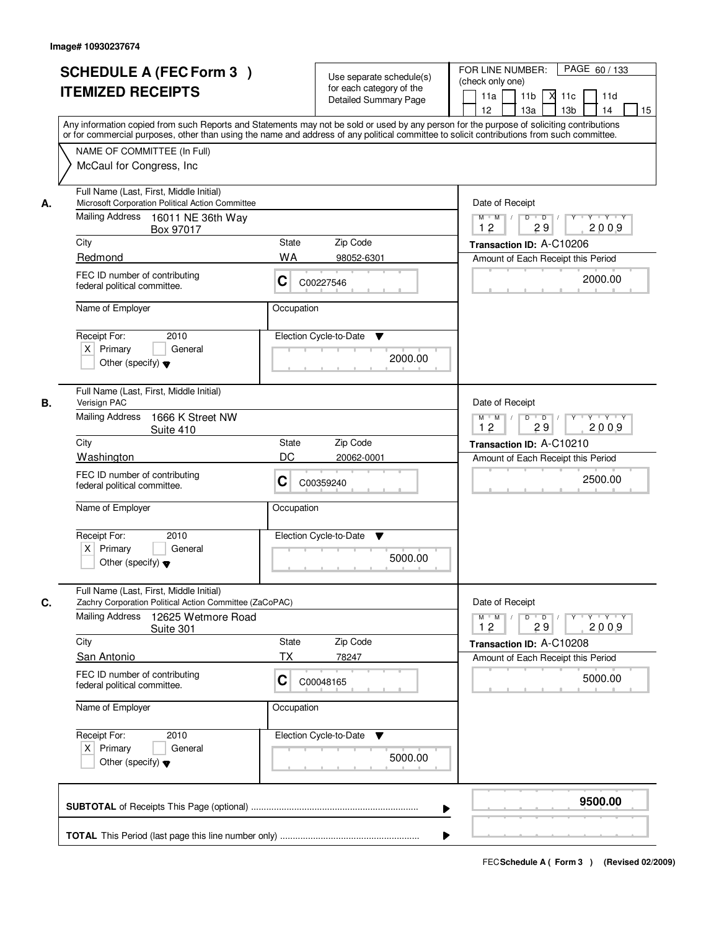| Any information copied from such Reports and Statements may not be sold or used by any person for the purpose of soliciting contributions<br>or for commercial purposes, other than using the name and address of any political committee to solicit contributions from such committee.<br>NAME OF COMMITTEE (In Full)<br>McCaul for Congress, Inc.<br>Full Name (Last, First, Middle Initial)<br>Microsoft Corporation Political Action Committee<br>Date of Receipt<br>А.<br>Mailing Address 16011 NE 36th Way<br>$M$ $M$ /<br>D<br>$\overline{D}$<br>12<br>29<br>Box 97017<br>City<br>Zip Code<br>State<br>Transaction ID: A-C10206<br>Redmond<br><b>WA</b><br>98052-6301<br>Amount of Each Receipt this Period<br>FEC ID number of contributing<br>C<br>C00227546<br>federal political committee.<br>Name of Employer<br>Occupation | $Y - Y - Y$<br>2009                     |
|-----------------------------------------------------------------------------------------------------------------------------------------------------------------------------------------------------------------------------------------------------------------------------------------------------------------------------------------------------------------------------------------------------------------------------------------------------------------------------------------------------------------------------------------------------------------------------------------------------------------------------------------------------------------------------------------------------------------------------------------------------------------------------------------------------------------------------------------|-----------------------------------------|
|                                                                                                                                                                                                                                                                                                                                                                                                                                                                                                                                                                                                                                                                                                                                                                                                                                         |                                         |
|                                                                                                                                                                                                                                                                                                                                                                                                                                                                                                                                                                                                                                                                                                                                                                                                                                         | 2000.00                                 |
| 2010<br>Election Cycle-to-Date<br>Receipt For:<br>▼<br>$X$ Primary<br>General<br>2000.00<br>Other (specify) $\blacktriangledown$                                                                                                                                                                                                                                                                                                                                                                                                                                                                                                                                                                                                                                                                                                        |                                         |
| Full Name (Last, First, Middle Initial)<br>В.<br>Verisign PAC<br>Date of Receipt<br><b>Mailing Address</b><br>1666 K Street NW<br>D<br>$M$ $M$ /<br>$\overline{D}$<br>12<br>29<br>Suite 410<br>City<br>Zip Code<br>State<br>Transaction ID: A-C10210<br>DC<br>Washington<br>20062-0001<br>Amount of Each Receipt this Period<br>FEC ID number of contributing<br>C<br>C00359240<br>federal political committee.<br>Name of Employer<br>Occupation<br>Receipt For:<br>2010<br>Election Cycle-to-Date<br>v<br>$X$ Primary<br>General<br>5000.00<br>Other (specify) $\blacktriangledown$                                                                                                                                                                                                                                                   | $Y + Y + Y$<br>2009<br>2500.00          |
| Full Name (Last, First, Middle Initial)<br>Date of Receipt<br>C.<br>Zachry Corporation Political Action Committee (ZaCoPAC)<br><b>Mailing Address</b><br>12625 Wetmore Road<br>$M$ M<br>$D$ $D$<br>$\sqrt{ }$<br>12<br>29<br>Suite 301<br>City<br>State<br>Zip Code<br>Transaction ID: A-C10208<br><b>TX</b><br>San Antonio<br>78247<br>Amount of Each Receipt this Period<br>FEC ID number of contributing<br>C<br>C00048165<br>federal political committee.<br>Name of Employer<br>Occupation<br>Receipt For:<br>Election Cycle-to-Date<br>2010<br>v<br>$X$ Primary<br>General<br>5000.00<br>Other (specify) $\blacktriangledown$                                                                                                                                                                                                     | $Y$ $Y$ $Y$ $Y$<br>Y<br>2009<br>5000.00 |
|                                                                                                                                                                                                                                                                                                                                                                                                                                                                                                                                                                                                                                                                                                                                                                                                                                         |                                         |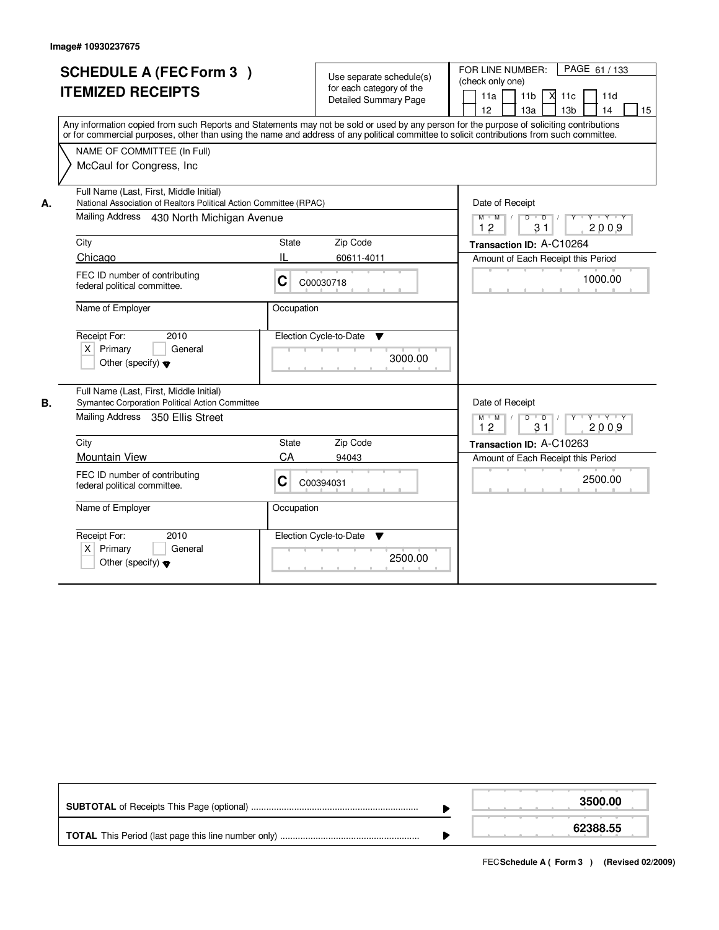|    | <b>SCHEDULE A (FEC Form 3)</b><br><b>ITEMIZED RECEIPTS</b><br>Any information copied from such Reports and Statements may not be sold or used by any person for the purpose of soliciting contributions<br>or for commercial purposes, other than using the name and address of any political committee to solicit contributions from such committee.<br>NAME OF COMMITTEE (In Full)<br>McCaul for Congress, Inc. |            | Use separate schedule(s)<br>for each category of the<br><b>Detailed Summary Page</b> | FOR LINE NUMBER:<br>PAGE 61 / 133<br>(check only one)<br>$X$ 11 $c$<br>11a<br>11 <sub>b</sub><br>11d<br>12<br>13 <sub>b</sub><br>14<br>13a<br>15 |
|----|-------------------------------------------------------------------------------------------------------------------------------------------------------------------------------------------------------------------------------------------------------------------------------------------------------------------------------------------------------------------------------------------------------------------|------------|--------------------------------------------------------------------------------------|--------------------------------------------------------------------------------------------------------------------------------------------------|
| А. | Full Name (Last, First, Middle Initial)<br>National Association of Realtors Political Action Committee (RPAC)<br>Mailing Address 430 North Michigan Avenue                                                                                                                                                                                                                                                        |            |                                                                                      | Date of Receipt<br>D<br>$M$ M<br>$\sqrt{ }$<br>$\overline{D}$<br>$Y + Y + Y$<br>12<br>2009<br>31                                                 |
|    | City                                                                                                                                                                                                                                                                                                                                                                                                              | State      | Zip Code                                                                             | Transaction ID: A-C10264                                                                                                                         |
|    | Chicago                                                                                                                                                                                                                                                                                                                                                                                                           | Ш          | 60611-4011                                                                           | Amount of Each Receipt this Period                                                                                                               |
|    | FEC ID number of contributing<br>federal political committee.                                                                                                                                                                                                                                                                                                                                                     | C          | C00030718                                                                            | 1000.00                                                                                                                                          |
|    | Name of Employer                                                                                                                                                                                                                                                                                                                                                                                                  | Occupation |                                                                                      |                                                                                                                                                  |
|    | Receipt For:<br>2010<br>$X$ Primary<br>General<br>Other (specify) $\blacktriangledown$                                                                                                                                                                                                                                                                                                                            |            | Election Cycle-to-Date<br>▼<br>3000.00                                               |                                                                                                                                                  |
| В. | Full Name (Last, First, Middle Initial)<br>Symantec Corporation Political Action Committee                                                                                                                                                                                                                                                                                                                        |            |                                                                                      | Date of Receipt                                                                                                                                  |
|    | Mailing Address 350 Ellis Street                                                                                                                                                                                                                                                                                                                                                                                  |            |                                                                                      | $M$ $M$ /<br>D<br><b>TY TY TY</b><br>$\overline{D}$ /<br>12<br>31<br>2009                                                                        |
|    | City                                                                                                                                                                                                                                                                                                                                                                                                              | State      | Zip Code                                                                             | Transaction ID: A-C10263                                                                                                                         |
|    | <b>Mountain View</b>                                                                                                                                                                                                                                                                                                                                                                                              | CA         | 94043                                                                                | Amount of Each Receipt this Period                                                                                                               |
|    | FEC ID number of contributing<br>federal political committee.                                                                                                                                                                                                                                                                                                                                                     | C          | C00394031                                                                            | 2500.00                                                                                                                                          |
|    | Name of Employer                                                                                                                                                                                                                                                                                                                                                                                                  | Occupation |                                                                                      |                                                                                                                                                  |
|    | Receipt For:<br>2010<br>$X$ Primary<br>General<br>Other (specify) $\blacktriangledown$                                                                                                                                                                                                                                                                                                                            |            | Election Cycle-to-Date<br>v<br>2500.00                                               |                                                                                                                                                  |

|  | 3500.00  |
|--|----------|
|  | 62388.55 |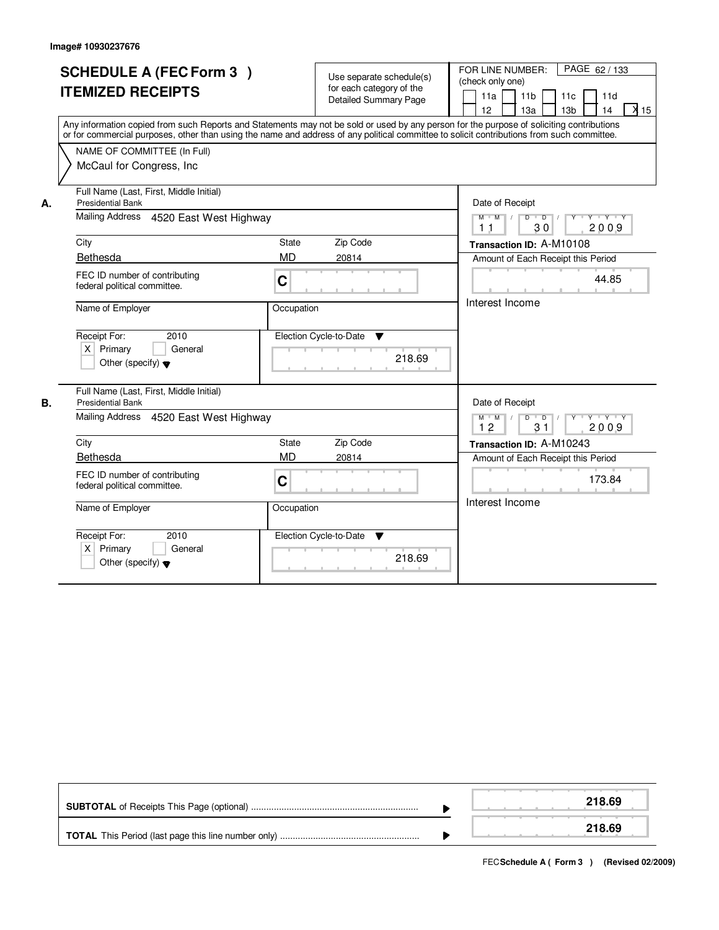ľ

|    | <b>SCHEDULE A (FEC Form 3)</b><br><b>ITEMIZED RECEIPTS</b><br>Any information copied from such Reports and Statements may not be sold or used by any person for the purpose of soliciting contributions<br>or for commercial purposes, other than using the name and address of any political committee to solicit contributions from such committee.<br>NAME OF COMMITTEE (In Full)<br>McCaul for Congress, Inc. |                              | Use separate schedule(s)<br>for each category of the<br><b>Detailed Summary Page</b> | PAGE 62 / 133<br>FOR LINE NUMBER:<br>(check only one)<br>11a<br>11 <sub>b</sub><br>11c<br>11d<br>13 <sub>b</sub><br>14<br>X <sub>15</sub><br>12<br>13a |
|----|-------------------------------------------------------------------------------------------------------------------------------------------------------------------------------------------------------------------------------------------------------------------------------------------------------------------------------------------------------------------------------------------------------------------|------------------------------|--------------------------------------------------------------------------------------|--------------------------------------------------------------------------------------------------------------------------------------------------------|
| А. | Full Name (Last, First, Middle Initial)<br><b>Presidential Bank</b><br>Mailing Address 4520 East West Highway                                                                                                                                                                                                                                                                                                     |                              |                                                                                      | Date of Receipt<br>$Y + Y + Y$<br>$M$ $M$<br>$\overline{D}$<br>$\overline{D}$<br>Y<br>30<br>2009<br>1 <sub>1</sub>                                     |
|    | City<br>Bethesda<br>FEC ID number of contributing<br>federal political committee.                                                                                                                                                                                                                                                                                                                                 | State<br><b>MD</b><br>C      | Zip Code<br>20814                                                                    | Transaction ID: A-M10108<br>Amount of Each Receipt this Period<br>44.85                                                                                |
|    | Name of Employer<br>Receipt For:<br>2010<br>$X$ Primary<br>General<br>Other (specify) $\blacktriangledown$                                                                                                                                                                                                                                                                                                        | Occupation                   | Election Cycle-to-Date<br>$\blacktriangledown$<br>218.69                             | Interest Income                                                                                                                                        |
| В. | Full Name (Last, First, Middle Initial)<br><b>Presidential Bank</b><br>4520 East West Highway<br>Mailing Address                                                                                                                                                                                                                                                                                                  |                              |                                                                                      | Date of Receipt<br>$D$ $D$ $/$<br>$M$ $M$ /<br>$Y$ <sup>U</sup><br>Y Y Y Y<br>12<br>31<br>2009                                                         |
|    | City                                                                                                                                                                                                                                                                                                                                                                                                              | <b>State</b>                 | Zip Code                                                                             | Transaction ID: A-M10243                                                                                                                               |
|    | Bethesda<br>FEC ID number of contributing<br>federal political committee.<br>Name of Employer                                                                                                                                                                                                                                                                                                                     | <b>MD</b><br>C<br>Occupation | 20814                                                                                | Amount of Each Receipt this Period<br>173.84<br>Interest Income                                                                                        |
|    | Receipt For:<br>2010<br>$X$ Primary<br>General<br>Other (specify) $\blacktriangledown$                                                                                                                                                                                                                                                                                                                            |                              | Election Cycle-to-Date<br>▼<br>218.69                                                |                                                                                                                                                        |

|  | 218.69 |
|--|--------|
|  | 218.69 |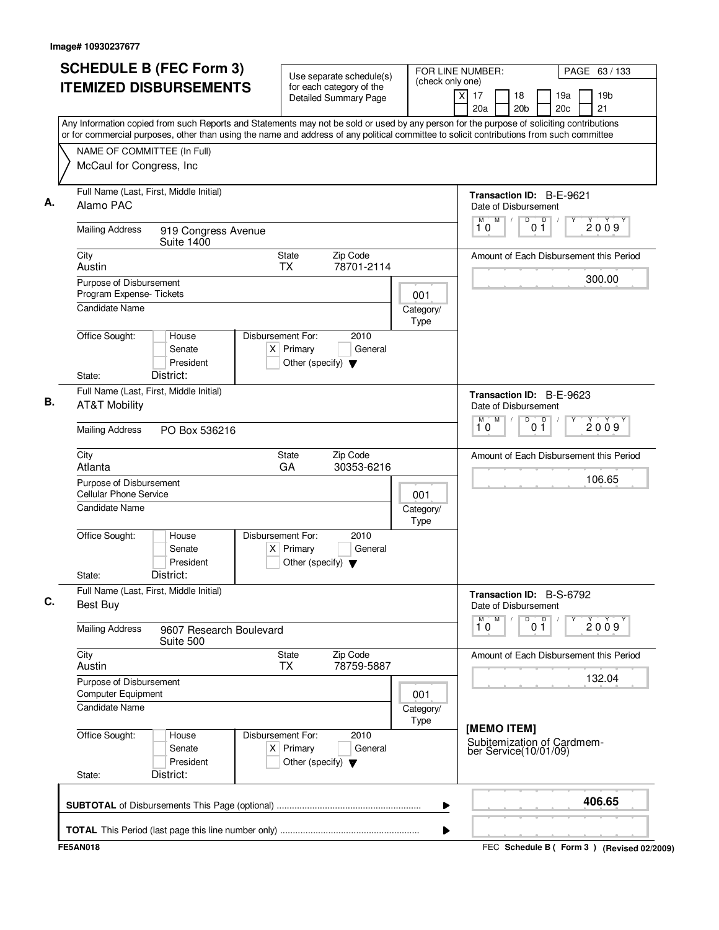|                                                          | <b>SCHEDULE B (FEC Form 3)</b>            | Use separate schedule(s)                                                                                                                                                                                                                                                               |                   | FOR LINE NUMBER:                        | PAGE 63 / 133                                   |
|----------------------------------------------------------|-------------------------------------------|----------------------------------------------------------------------------------------------------------------------------------------------------------------------------------------------------------------------------------------------------------------------------------------|-------------------|-----------------------------------------|-------------------------------------------------|
|                                                          | <b>ITEMIZED DISBURSEMENTS</b>             | for each category of the<br><b>Detailed Summary Page</b>                                                                                                                                                                                                                               | (check only one)  | x<br>17<br>18<br>20a<br>20 <sub>b</sub> | 19 <sub>b</sub><br>19a<br>20 <sub>c</sub><br>21 |
|                                                          |                                           | Any Information copied from such Reports and Statements may not be sold or used by any person for the purpose of soliciting contributions<br>or for commercial purposes, other than using the name and address of any political committee to solicit contributions from such committee |                   |                                         |                                                 |
|                                                          | NAME OF COMMITTEE (In Full)               |                                                                                                                                                                                                                                                                                        |                   |                                         |                                                 |
| McCaul for Congress, Inc                                 |                                           |                                                                                                                                                                                                                                                                                        |                   |                                         |                                                 |
| Alamo PAC                                                | Full Name (Last, First, Middle Initial)   |                                                                                                                                                                                                                                                                                        |                   | Date of Disbursement                    | <b>Transaction ID: B-E-9621</b>                 |
| <b>Mailing Address</b>                                   | 919 Congress Avenue<br><b>Suite 1400</b>  |                                                                                                                                                                                                                                                                                        |                   | M<br>D<br>10                            | $\mathsf D$<br>2009<br>01                       |
| City<br>Austin                                           |                                           | State<br>Zip Code<br>78701-2114<br><b>TX</b>                                                                                                                                                                                                                                           |                   |                                         | Amount of Each Disbursement this Period         |
| Purpose of Disbursement<br>Program Expense-Tickets       |                                           |                                                                                                                                                                                                                                                                                        | 001               |                                         | 300.00                                          |
| <b>Candidate Name</b>                                    |                                           |                                                                                                                                                                                                                                                                                        | Category/<br>Type |                                         |                                                 |
| Office Sought:<br>State:                                 | House<br>Senate<br>President<br>District: | Disbursement For:<br>2010<br>$X$ Primary<br>General<br>Other (specify) $\blacktriangledown$                                                                                                                                                                                            |                   |                                         |                                                 |
| <b>AT&amp;T Mobility</b>                                 | Full Name (Last, First, Middle Initial)   |                                                                                                                                                                                                                                                                                        |                   | Date of Disbursement                    | Transaction ID: B-E-9623                        |
| <b>Mailing Address</b>                                   | PO Box 536216                             |                                                                                                                                                                                                                                                                                        |                   | M<br>М<br>10                            | D<br>$0^{\circ}$<br>2009                        |
| City<br>Atlanta                                          |                                           | Zip Code<br>State<br>GA<br>30353-6216                                                                                                                                                                                                                                                  |                   |                                         | Amount of Each Disbursement this Period         |
| Purpose of Disbursement<br><b>Cellular Phone Service</b> |                                           |                                                                                                                                                                                                                                                                                        | 001               |                                         | 106.65                                          |
| Candidate Name                                           |                                           |                                                                                                                                                                                                                                                                                        | Category/<br>Type |                                         |                                                 |
| Office Sought:<br>State:                                 | House<br>Senate<br>President<br>District: | Disbursement For:<br>2010<br>$X$ Primary<br>General<br>Other (specify) $\blacktriangledown$                                                                                                                                                                                            |                   |                                         |                                                 |
| Best Buy                                                 | Full Name (Last, First, Middle Initial)   |                                                                                                                                                                                                                                                                                        |                   | Date of Disbursement                    | Transaction ID: B-S-6792                        |
| <b>Mailing Address</b>                                   | 9607 Research Boulevard<br>Suite 500      |                                                                                                                                                                                                                                                                                        |                   | М<br>M<br>10                            | 0 <sup>0</sup><br>D<br>2009                     |
| City<br>Austin                                           |                                           | Zip Code<br>State<br>78759-5887<br><b>TX</b>                                                                                                                                                                                                                                           |                   |                                         | Amount of Each Disbursement this Period         |
| Purpose of Disbursement<br><b>Computer Equipment</b>     |                                           |                                                                                                                                                                                                                                                                                        | 001               |                                         | 132.04                                          |
| <b>Candidate Name</b>                                    |                                           |                                                                                                                                                                                                                                                                                        | Category/<br>Type | [MEMO ITEM]                             |                                                 |
| Office Sought:<br>State:                                 | House<br>Senate<br>President<br>District: | Disbursement For:<br>2010<br>$X$ Primary<br>General<br>Other (specify) $\blacktriangledown$                                                                                                                                                                                            |                   | ber Service(10/01/09)                   | Subitemization of Cardmem-                      |
|                                                          |                                           |                                                                                                                                                                                                                                                                                        | ▶                 |                                         | 406.65                                          |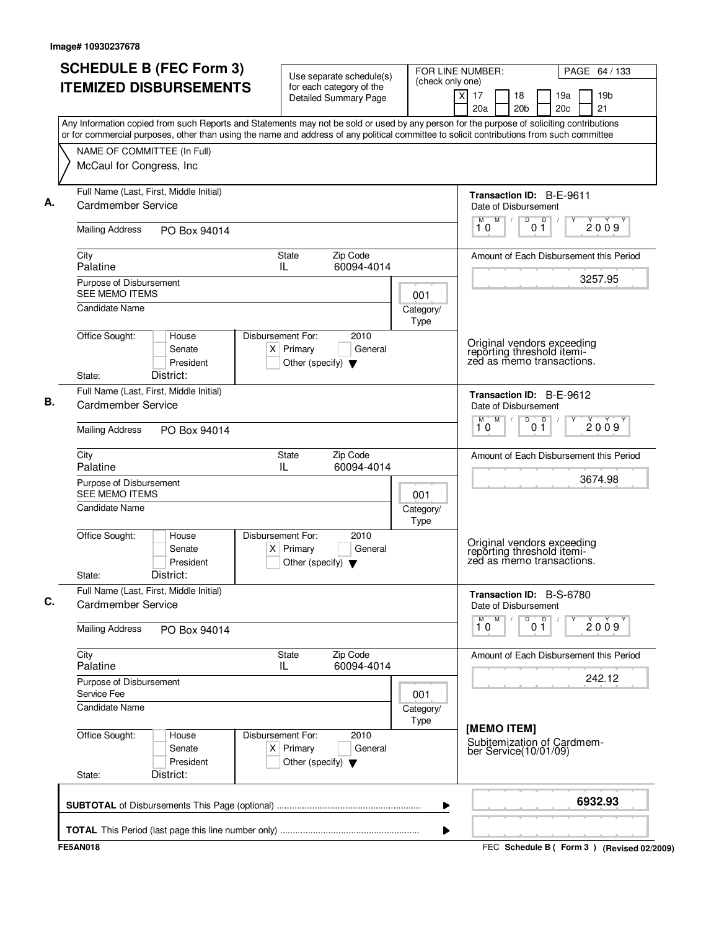|                                                                    | <b>SCHEDULE B (FEC Form 3)</b>                          | Use separate schedule(s)                                                                                                                                                                                                                                                               |         | FOR LINE NUMBER:<br>(check only one) |                                                                                            |                                                | PAGE 64 / 133         |
|--------------------------------------------------------------------|---------------------------------------------------------|----------------------------------------------------------------------------------------------------------------------------------------------------------------------------------------------------------------------------------------------------------------------------------------|---------|--------------------------------------|--------------------------------------------------------------------------------------------|------------------------------------------------|-----------------------|
|                                                                    | <b>ITEMIZED DISBURSEMENTS</b>                           | for each category of the<br><b>Detailed Summary Page</b>                                                                                                                                                                                                                               |         |                                      | $\times$<br>17<br>18<br>20a<br>20 <sub>b</sub>                                             | 19a<br>20c                                     | 19 <sub>b</sub><br>21 |
|                                                                    |                                                         | Any Information copied from such Reports and Statements may not be sold or used by any person for the purpose of soliciting contributions<br>or for commercial purposes, other than using the name and address of any political committee to solicit contributions from such committee |         |                                      |                                                                                            |                                                |                       |
| McCaul for Congress, Inc                                           | NAME OF COMMITTEE (In Full)                             |                                                                                                                                                                                                                                                                                        |         |                                      |                                                                                            |                                                |                       |
| Cardmember Service                                                 | Full Name (Last, First, Middle Initial)                 |                                                                                                                                                                                                                                                                                        |         |                                      | Transaction ID: B-E-9611<br>Date of Disbursement                                           |                                                |                       |
| <b>Mailing Address</b>                                             | PO Box 94014                                            |                                                                                                                                                                                                                                                                                        |         |                                      | D<br>M <sub>1</sub><br>$\sqrt{2}$<br>10                                                    | D<br>01                                        | 2009                  |
| City<br>Palatine                                                   |                                                         | <b>State</b><br>Zip Code<br>60094-4014<br>IL.                                                                                                                                                                                                                                          |         |                                      | Amount of Each Disbursement this Period                                                    |                                                |                       |
| Purpose of Disbursement<br><b>SEE MEMO ITEMS</b><br>Candidate Name |                                                         |                                                                                                                                                                                                                                                                                        |         | 001<br>Category/                     |                                                                                            |                                                | 3257.95               |
| Office Sought:<br>State:                                           | House<br>Senate<br>President<br>District:               | Disbursement For:<br>2010<br>$X$ Primary<br>Other (specify) $\blacktriangledown$                                                                                                                                                                                                       | General | Type                                 | Original vendors exceeding<br>reporting threshold itemi-<br>zed as memo transactions.      |                                                |                       |
| Cardmember Service<br><b>Mailing Address</b>                       | Full Name (Last, First, Middle Initial)<br>PO Box 94014 |                                                                                                                                                                                                                                                                                        |         |                                      | <b>Transaction ID: B-E-9612</b><br>Date of Disbursement<br>M<br>$\overline{D}$<br>M.<br>10 | 0 <sup>0</sup>                                 | 2009                  |
| City<br>Palatine<br>Purpose of Disbursement                        |                                                         | State<br>Zip Code<br>IL<br>60094-4014                                                                                                                                                                                                                                                  |         |                                      | Amount of Each Disbursement this Period                                                    |                                                | 3674.98               |
| <b>SEE MEMO ITEMS</b><br>Candidate Name                            |                                                         |                                                                                                                                                                                                                                                                                        |         | 001<br>Category/<br>Type             |                                                                                            |                                                |                       |
| Office Sought:<br>State:                                           | House<br>Senate<br>President<br>District:               | Disbursement For:<br>2010<br>$X$ Primary<br>Other (specify) $\blacktriangledown$                                                                                                                                                                                                       | General |                                      | Original vendors exceeding<br>reporting threshold itemi-<br>zed as memo transactions.      |                                                |                       |
| Cardmember Service                                                 | Full Name (Last, First, Middle Initial)                 |                                                                                                                                                                                                                                                                                        |         |                                      | Transaction ID: B-S-6780<br>Date of Disbursement                                           |                                                |                       |
| <b>Mailing Address</b>                                             | PO Box 94014                                            |                                                                                                                                                                                                                                                                                        |         |                                      | $\overline{1}^M$ 0<br>M                                                                    | $\begin{bmatrix} 0 & 0 \\ 0 & 1 \end{bmatrix}$ | 2009                  |
| City<br>Palatine                                                   |                                                         | <b>State</b><br>Zip Code<br>60094-4014<br>IL.                                                                                                                                                                                                                                          |         |                                      | Amount of Each Disbursement this Period                                                    |                                                |                       |
| Purpose of Disbursement<br>Service Fee<br><b>Candidate Name</b>    |                                                         |                                                                                                                                                                                                                                                                                        |         | 001<br>Category/<br>Type             |                                                                                            |                                                | 242.12                |
| Office Sought:<br>State:                                           | House<br>Senate<br>President<br>District:               | Disbursement For:<br>2010<br>$X$ Primary<br>Other (specify) $\blacktriangledown$                                                                                                                                                                                                       | General |                                      | [MEMO ITEM]<br>Subitemization of Cardmem-<br>ber Service(10/01/09)                         |                                                |                       |
|                                                                    |                                                         |                                                                                                                                                                                                                                                                                        |         |                                      |                                                                                            |                                                | 6932.93               |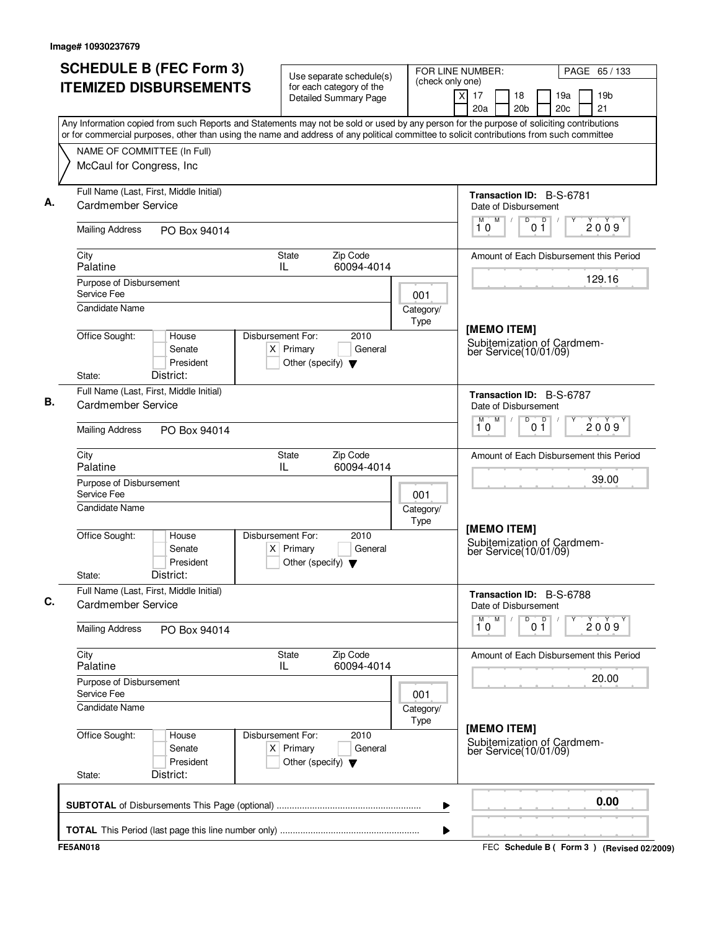|                                                                                                                                                                                                                                                                                        | for each category of the<br><b>Detailed Summary Page</b>                                    |                          | (check only one)<br>$\overline{\mathsf{x}}$<br>17<br>18            | 19a<br>19 <sub>b</sub>                      |
|----------------------------------------------------------------------------------------------------------------------------------------------------------------------------------------------------------------------------------------------------------------------------------------|---------------------------------------------------------------------------------------------|--------------------------|--------------------------------------------------------------------|---------------------------------------------|
|                                                                                                                                                                                                                                                                                        |                                                                                             |                          | 20a<br>20 <sub>b</sub>                                             | 21<br>20c                                   |
| Any Information copied from such Reports and Statements may not be sold or used by any person for the purpose of soliciting contributions<br>or for commercial purposes, other than using the name and address of any political committee to solicit contributions from such committee |                                                                                             |                          |                                                                    |                                             |
| NAME OF COMMITTEE (In Full)                                                                                                                                                                                                                                                            |                                                                                             |                          |                                                                    |                                             |
| McCaul for Congress, Inc                                                                                                                                                                                                                                                               |                                                                                             |                          |                                                                    |                                             |
| Full Name (Last, First, Middle Initial)<br>Cardmember Service                                                                                                                                                                                                                          |                                                                                             |                          | Transaction ID: B-S-6781<br>Date of Disbursement                   |                                             |
| <b>Mailing Address</b><br>PO Box 94014                                                                                                                                                                                                                                                 |                                                                                             |                          | M<br>D<br>D<br>M<br>$\sqrt{2}$<br>10<br>01                         | 2009                                        |
| City<br>Palatine                                                                                                                                                                                                                                                                       | Zip Code<br><b>State</b><br>60094-4014<br>IL                                                |                          |                                                                    | Amount of Each Disbursement this Period     |
| Purpose of Disbursement<br>Service Fee                                                                                                                                                                                                                                                 |                                                                                             | 001                      |                                                                    | 129.16                                      |
| Candidate Name                                                                                                                                                                                                                                                                         |                                                                                             | Category/<br>Type        |                                                                    |                                             |
| Office Sought:<br>House<br>Senate<br>President<br>District:<br>State:                                                                                                                                                                                                                  | Disbursement For:<br>2010<br>$X$ Primary<br>General<br>Other (specify) $\blacktriangledown$ |                          | [MEMO ITEM]<br>Subitemization of Cardmem-<br>ber Service(10/01/09) |                                             |
| Full Name (Last, First, Middle Initial)                                                                                                                                                                                                                                                |                                                                                             |                          | Transaction ID: B-S-6787                                           |                                             |
| Cardmember Service                                                                                                                                                                                                                                                                     |                                                                                             |                          | Date of Disbursement                                               |                                             |
| <b>Mailing Address</b><br>PO Box 94014                                                                                                                                                                                                                                                 |                                                                                             |                          | M<br>D<br>0 <sup>0</sup><br>M<br>10                                | 2009                                        |
| City<br>Palatine                                                                                                                                                                                                                                                                       | Zip Code<br>State<br>IL<br>60094-4014                                                       |                          |                                                                    | Amount of Each Disbursement this Period     |
| Purpose of Disbursement<br>Service Fee                                                                                                                                                                                                                                                 |                                                                                             | 001                      |                                                                    | 39.00                                       |
| Candidate Name                                                                                                                                                                                                                                                                         |                                                                                             | Category/<br><b>Type</b> | [MEMO ITEM]                                                        |                                             |
| Office Sought:<br>House<br>Senate<br>President<br>District:<br>State:                                                                                                                                                                                                                  | Disbursement For:<br>2010<br>$X$ Primary<br>General<br>Other (specify) $\blacktriangledown$ |                          | Subitemization of Cardmem-<br>ber Service(10/01/09)                |                                             |
| Full Name (Last, First, Middle Initial)<br>Cardmember Service                                                                                                                                                                                                                          |                                                                                             |                          | Transaction ID: B-S-6788<br>Date of Disbursement                   |                                             |
| <b>Mailing Address</b><br>PO Box 94014                                                                                                                                                                                                                                                 |                                                                                             |                          | M<br>D<br>0 <sup>D</sup><br>$\overline{1}^M$ 0                     | 2009                                        |
| City<br>Palatine                                                                                                                                                                                                                                                                       | <b>State</b><br>Zip Code<br>60094-4014<br>IL                                                |                          |                                                                    | Amount of Each Disbursement this Period     |
| Purpose of Disbursement<br>Service Fee                                                                                                                                                                                                                                                 |                                                                                             | 001                      |                                                                    | 20.00                                       |
| <b>Candidate Name</b>                                                                                                                                                                                                                                                                  |                                                                                             | Category/<br>Type        |                                                                    |                                             |
| Office Sought:<br>House<br>Senate<br>President<br>District:<br>State:                                                                                                                                                                                                                  | Disbursement For:<br>2010<br>$X$ Primary<br>General<br>Other (specify) $\blacktriangledown$ |                          | [MEMO ITEM]<br>Subitemization of Cardmem-<br>ber Service(10/01/09) |                                             |
|                                                                                                                                                                                                                                                                                        |                                                                                             | ▶                        |                                                                    | 0.00                                        |
|                                                                                                                                                                                                                                                                                        |                                                                                             | ▶                        |                                                                    |                                             |
| <b>FE5AN018</b>                                                                                                                                                                                                                                                                        |                                                                                             |                          |                                                                    | FEC Schedule B ( Form 3 ) (Revised 02/2009) |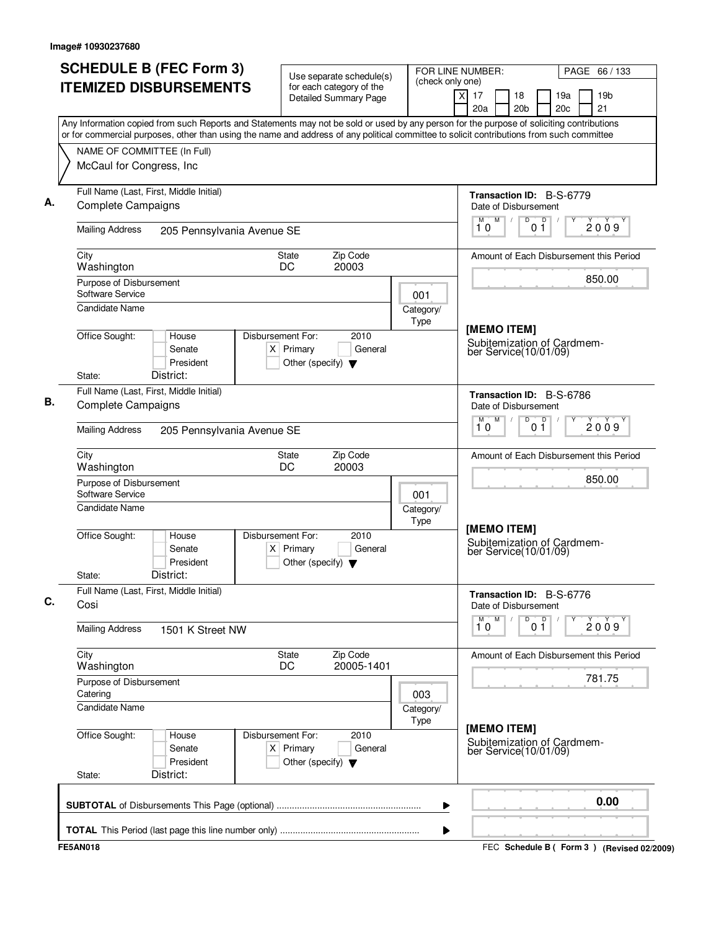| <b>SCHEDULE B (FEC Form 3)</b><br><b>ITEMIZED DISBURSEMENTS</b>                                                                                                                                                                                                                        | Use separate schedule(s)<br>for each category of the                                        | (check only one)  | FOR LINE NUMBER:                                                    | PAGE 66 / 133                               |
|----------------------------------------------------------------------------------------------------------------------------------------------------------------------------------------------------------------------------------------------------------------------------------------|---------------------------------------------------------------------------------------------|-------------------|---------------------------------------------------------------------|---------------------------------------------|
|                                                                                                                                                                                                                                                                                        | <b>Detailed Summary Page</b>                                                                |                   | $\times$<br>17<br>18<br>20a<br>20 <sub>b</sub>                      | 19a<br>19 <sub>b</sub><br>21<br>20c         |
| Any Information copied from such Reports and Statements may not be sold or used by any person for the purpose of soliciting contributions<br>or for commercial purposes, other than using the name and address of any political committee to solicit contributions from such committee |                                                                                             |                   |                                                                     |                                             |
| NAME OF COMMITTEE (In Full)<br>McCaul for Congress, Inc                                                                                                                                                                                                                                |                                                                                             |                   |                                                                     |                                             |
|                                                                                                                                                                                                                                                                                        |                                                                                             |                   |                                                                     |                                             |
| Full Name (Last, First, Middle Initial)<br><b>Complete Campaigns</b>                                                                                                                                                                                                                   |                                                                                             |                   | Transaction ID: B-S-6779<br>Date of Disbursement                    |                                             |
| <b>Mailing Address</b><br>205 Pennsylvania Avenue SE                                                                                                                                                                                                                                   |                                                                                             |                   | M<br>$\overline{D}$<br>D<br>M<br>$\sqrt{2}$<br>10<br>01             | 2009                                        |
| City<br>Washington                                                                                                                                                                                                                                                                     | Zip Code<br><b>State</b><br>20003<br>DC                                                     |                   |                                                                     | Amount of Each Disbursement this Period     |
| Purpose of Disbursement<br>Software Service                                                                                                                                                                                                                                            |                                                                                             | 001               |                                                                     | 850.00                                      |
| Candidate Name                                                                                                                                                                                                                                                                         |                                                                                             | Category/<br>Type |                                                                     |                                             |
| Office Sought:<br>House<br>Senate<br>President<br>District:<br>State:                                                                                                                                                                                                                  | Disbursement For:<br>2010<br>$X$ Primary<br>General<br>Other (specify) $\blacktriangledown$ |                   | [MEMO ITEM]<br>Subitemization of Cardmem-<br>ber Service(10/01/09)  |                                             |
| Full Name (Last, First, Middle Initial)                                                                                                                                                                                                                                                |                                                                                             |                   | Transaction ID: B-S-6786                                            |                                             |
| <b>Complete Campaigns</b>                                                                                                                                                                                                                                                              |                                                                                             |                   | Date of Disbursement<br>M<br>D<br>0 <sup>0</sup><br>M               | 2009                                        |
| <b>Mailing Address</b><br>205 Pennsylvania Avenue SE                                                                                                                                                                                                                                   |                                                                                             |                   | 10                                                                  |                                             |
| City<br>Washington                                                                                                                                                                                                                                                                     | Zip Code<br>State<br>DC<br>20003                                                            |                   |                                                                     | Amount of Each Disbursement this Period     |
| Purpose of Disbursement<br>Software Service                                                                                                                                                                                                                                            |                                                                                             | 001               |                                                                     | 850.00                                      |
| Candidate Name                                                                                                                                                                                                                                                                         |                                                                                             | Category/<br>Type |                                                                     |                                             |
| Office Sought:<br>House<br>Senate<br>President<br>District:<br>State:                                                                                                                                                                                                                  | Disbursement For:<br>2010<br>$X$ Primary<br>General<br>Other (specify) $\blacktriangledown$ |                   | [MEMO ITEM]<br>Subitemization of Cardmem-<br>ber Service (10/01/09) |                                             |
| Full Name (Last, First, Middle Initial)<br>Cosi                                                                                                                                                                                                                                        |                                                                                             |                   | Transaction ID: B-S-6776<br>Date of Disbursement                    |                                             |
| <b>Mailing Address</b><br>1501 K Street NW                                                                                                                                                                                                                                             |                                                                                             |                   | M<br>D<br>0 <sup>0</sup><br>$\overline{1}^M$ 0                      | 2009                                        |
| City<br>Washington                                                                                                                                                                                                                                                                     | Zip Code<br>State<br>DC<br>20005-1401                                                       |                   |                                                                     | Amount of Each Disbursement this Period     |
| Purpose of Disbursement<br>Catering                                                                                                                                                                                                                                                    |                                                                                             | 003               |                                                                     | 781.75                                      |
| <b>Candidate Name</b>                                                                                                                                                                                                                                                                  |                                                                                             | Category/<br>Type |                                                                     |                                             |
| Office Sought:<br>House<br>Senate<br>President<br>District:<br>State:                                                                                                                                                                                                                  | Disbursement For:<br>2010<br>$X$ Primary<br>General<br>Other (specify) $\blacktriangledown$ |                   | [MEMO ITEM]<br>Subitemization of Cardmem-<br>ber Service(10/01/09)  |                                             |
|                                                                                                                                                                                                                                                                                        |                                                                                             | ▶                 |                                                                     | 0.00                                        |
|                                                                                                                                                                                                                                                                                        |                                                                                             | ▶                 |                                                                     |                                             |
| <b>FE5AN018</b>                                                                                                                                                                                                                                                                        |                                                                                             |                   |                                                                     | FEC Schedule B ( Form 3 ) (Revised 02/2009) |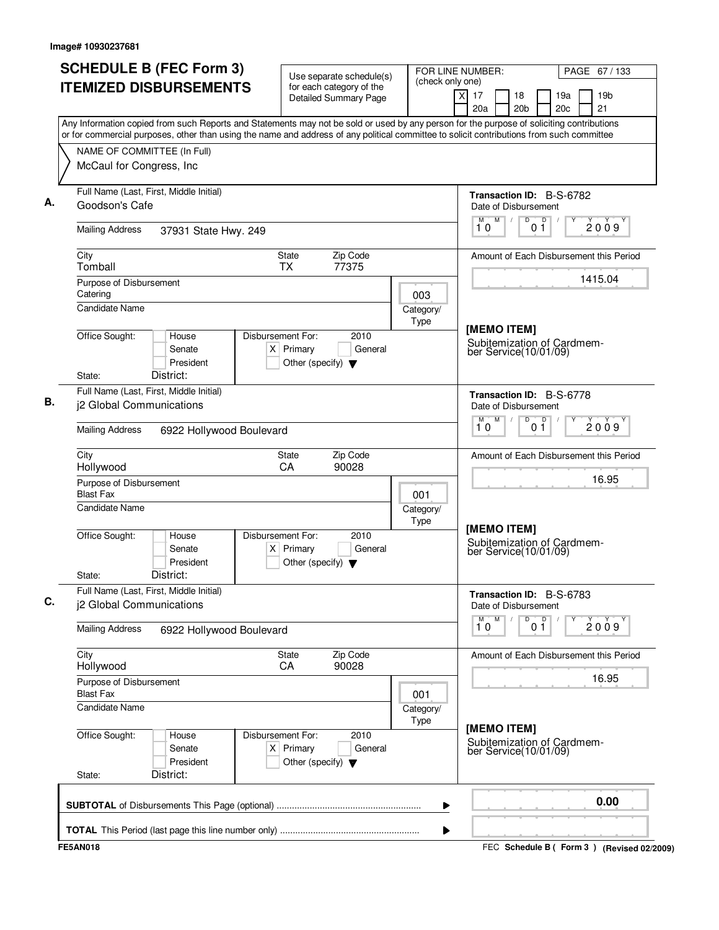| <b>SCHEDULE B (FEC Form 3)</b>                                                                                                                                                                                                                                                         | Use separate schedule(s)                                                                    | (check only one)  | FOR LINE NUMBER:                                                   |                     |            | PAGE 67 / 133                               |
|----------------------------------------------------------------------------------------------------------------------------------------------------------------------------------------------------------------------------------------------------------------------------------------|---------------------------------------------------------------------------------------------|-------------------|--------------------------------------------------------------------|---------------------|------------|---------------------------------------------|
| <b>ITEMIZED DISBURSEMENTS</b>                                                                                                                                                                                                                                                          | for each category of the<br><b>Detailed Summary Page</b>                                    |                   | $\overline{\mathsf{x}}$<br>17<br>18<br>20a                         | 20 <sub>b</sub>     | 19a<br>20c | 19 <sub>b</sub><br>21                       |
| Any Information copied from such Reports and Statements may not be sold or used by any person for the purpose of soliciting contributions<br>or for commercial purposes, other than using the name and address of any political committee to solicit contributions from such committee |                                                                                             |                   |                                                                    |                     |            |                                             |
| NAME OF COMMITTEE (In Full)                                                                                                                                                                                                                                                            |                                                                                             |                   |                                                                    |                     |            |                                             |
| McCaul for Congress, Inc                                                                                                                                                                                                                                                               |                                                                                             |                   |                                                                    |                     |            |                                             |
| Full Name (Last, First, Middle Initial)<br>Goodson's Cafe                                                                                                                                                                                                                              |                                                                                             |                   | Transaction ID: B-S-6782<br>Date of Disbursement                   |                     |            |                                             |
| <b>Mailing Address</b><br>37931 State Hwy. 249                                                                                                                                                                                                                                         |                                                                                             |                   | M<br>M<br>10                                                       | D<br>p<br>01        |            | 2009                                        |
| City<br>Tomball                                                                                                                                                                                                                                                                        | Zip Code<br>State<br>77375<br><b>TX</b>                                                     |                   |                                                                    |                     |            | Amount of Each Disbursement this Period     |
| Purpose of Disbursement<br>Catering                                                                                                                                                                                                                                                    |                                                                                             | 003               |                                                                    |                     |            | 1415.04                                     |
| <b>Candidate Name</b>                                                                                                                                                                                                                                                                  |                                                                                             | Category/<br>Type |                                                                    |                     |            |                                             |
| Office Sought:<br>House<br>Senate<br>President<br>District:<br>State:                                                                                                                                                                                                                  | Disbursement For:<br>2010<br>$X$ Primary<br>General<br>Other (specify) $\blacktriangledown$ |                   | [MEMO ITEM]<br>Subitemization of Cardmem-<br>ber Service(10/01/09) |                     |            |                                             |
| Full Name (Last, First, Middle Initial)<br>j2 Global Communications                                                                                                                                                                                                                    |                                                                                             |                   | Transaction ID: B-S-6778<br>Date of Disbursement                   |                     |            |                                             |
| <b>Mailing Address</b><br>6922 Hollywood Boulevard                                                                                                                                                                                                                                     |                                                                                             |                   | M<br>M<br>10                                                       | D<br>0 <sup>0</sup> |            | 2009                                        |
| City<br>Hollywood                                                                                                                                                                                                                                                                      | Zip Code<br>State<br>CA<br>90028                                                            |                   |                                                                    |                     |            | Amount of Each Disbursement this Period     |
| Purpose of Disbursement<br><b>Blast Fax</b>                                                                                                                                                                                                                                            |                                                                                             | 001               |                                                                    |                     |            | 16.95                                       |
| <b>Candidate Name</b>                                                                                                                                                                                                                                                                  |                                                                                             | Category/<br>Type |                                                                    |                     |            |                                             |
| Office Sought:<br>House<br>Senate<br>President<br>District:<br>State:                                                                                                                                                                                                                  | Disbursement For:<br>2010<br>$X$ Primary<br>General<br>Other (specify) $\blacktriangledown$ |                   | [MEMO ITEM]<br>Subitemization of Cardmem-<br>ber Service(10/01/09) |                     |            |                                             |
| Full Name (Last, First, Middle Initial)<br>j2 Global Communications                                                                                                                                                                                                                    |                                                                                             |                   | Transaction ID: B-S-6783<br>Date of Disbursement                   |                     |            |                                             |
| <b>Mailing Address</b><br>6922 Hollywood Boulevard                                                                                                                                                                                                                                     |                                                                                             |                   | M<br>М<br>10                                                       | D<br>0 <sup>0</sup> | Υ          | 2009                                        |
| City<br>Hollywood                                                                                                                                                                                                                                                                      | State<br>Zip Code<br>90028<br>CA                                                            |                   |                                                                    |                     |            | Amount of Each Disbursement this Period     |
| Purpose of Disbursement<br><b>Blast Fax</b>                                                                                                                                                                                                                                            |                                                                                             | 001               |                                                                    |                     |            | 16.95                                       |
| <b>Candidate Name</b>                                                                                                                                                                                                                                                                  |                                                                                             | Category/<br>Type |                                                                    |                     |            |                                             |
| Office Sought:<br>House<br>Senate<br>President<br>District:<br>State:                                                                                                                                                                                                                  | Disbursement For:<br>2010<br>$X$ Primary<br>General<br>Other (specify) $\blacktriangledown$ |                   | [MEMO ITEM]<br>Subitemization of Cardmem-<br>ber Service(10/01/09) |                     |            |                                             |
|                                                                                                                                                                                                                                                                                        |                                                                                             | ▶                 |                                                                    |                     |            | 0.00                                        |
|                                                                                                                                                                                                                                                                                        |                                                                                             | ▶                 |                                                                    |                     |            |                                             |
| <b>FE5AN018</b>                                                                                                                                                                                                                                                                        |                                                                                             |                   |                                                                    |                     |            | FEC Schedule B ( Form 3 ) (Revised 02/2009) |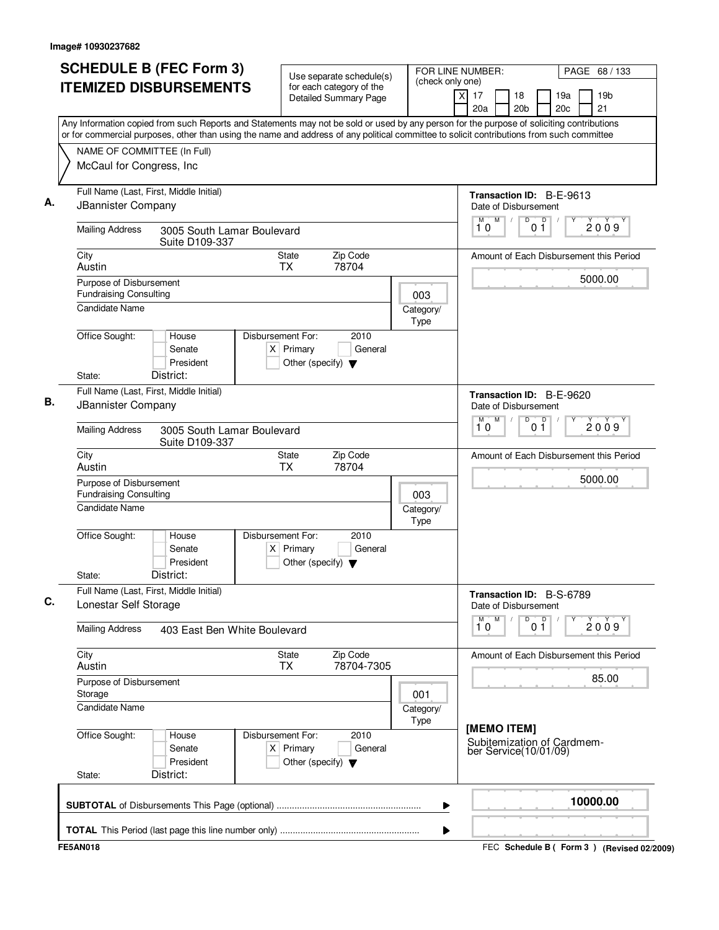|                                                          | <b>SCHEDULE B (FEC Form 3)</b><br><b>ITEMIZED DISBURSEMENTS</b> | Use separate schedule(s)<br>for each category of the                                        | FOR LINE NUMBER:<br>(check only one) | PAGE 68 / 133                                                                                                                                                                                                                                                                          |
|----------------------------------------------------------|-----------------------------------------------------------------|---------------------------------------------------------------------------------------------|--------------------------------------|----------------------------------------------------------------------------------------------------------------------------------------------------------------------------------------------------------------------------------------------------------------------------------------|
|                                                          |                                                                 | <b>Detailed Summary Page</b>                                                                |                                      | $\times$<br>17<br>18<br>19a<br>19 <sub>b</sub><br>20c<br>21<br>20a<br>20 <sub>b</sub>                                                                                                                                                                                                  |
|                                                          |                                                                 |                                                                                             |                                      | Any Information copied from such Reports and Statements may not be sold or used by any person for the purpose of soliciting contributions<br>or for commercial purposes, other than using the name and address of any political committee to solicit contributions from such committee |
| NAME OF COMMITTEE (In Full)                              |                                                                 |                                                                                             |                                      |                                                                                                                                                                                                                                                                                        |
| McCaul for Congress, Inc                                 |                                                                 |                                                                                             |                                      |                                                                                                                                                                                                                                                                                        |
| JBannister Company                                       | Full Name (Last, First, Middle Initial)                         |                                                                                             |                                      | Transaction ID: B-E-9613<br>Date of Disbursement                                                                                                                                                                                                                                       |
| <b>Mailing Address</b>                                   | 3005 South Lamar Boulevard<br>Suite D109-337                    |                                                                                             |                                      | M<br>$\overline{D}$<br>M<br>D<br>2009<br>0 <sub>1</sub><br>10                                                                                                                                                                                                                          |
| City<br>Austin                                           |                                                                 | Zip Code<br>State<br><b>TX</b><br>78704                                                     |                                      | Amount of Each Disbursement this Period                                                                                                                                                                                                                                                |
| Purpose of Disbursement                                  |                                                                 |                                                                                             |                                      | 5000.00                                                                                                                                                                                                                                                                                |
| <b>Fundraising Consulting</b>                            |                                                                 |                                                                                             | 003                                  |                                                                                                                                                                                                                                                                                        |
| <b>Candidate Name</b>                                    |                                                                 |                                                                                             | Category/<br>Type                    |                                                                                                                                                                                                                                                                                        |
| Office Sought:<br>State:                                 | House<br>Senate<br>President<br>District:                       | Disbursement For:<br>2010<br>$X$ Primary<br>General<br>Other (specify) $\blacktriangledown$ |                                      |                                                                                                                                                                                                                                                                                        |
|                                                          | Full Name (Last, First, Middle Initial)                         |                                                                                             |                                      | Transaction ID: B-E-9620                                                                                                                                                                                                                                                               |
| <b>JBannister Company</b>                                |                                                                 |                                                                                             |                                      | Date of Disbursement<br>M<br>D<br>$\Box$                                                                                                                                                                                                                                               |
| <b>Mailing Address</b>                                   | 3005 South Lamar Boulevard<br>Suite D109-337                    |                                                                                             |                                      | 2009<br>10<br>01                                                                                                                                                                                                                                                                       |
| City<br>Austin                                           |                                                                 | Zip Code<br>State<br><b>TX</b><br>78704                                                     |                                      | Amount of Each Disbursement this Period                                                                                                                                                                                                                                                |
| Purpose of Disbursement<br><b>Fundraising Consulting</b> |                                                                 |                                                                                             | 003                                  | 5000.00                                                                                                                                                                                                                                                                                |
| <b>Candidate Name</b>                                    |                                                                 |                                                                                             | Category/<br>Type                    |                                                                                                                                                                                                                                                                                        |
| Office Sought:<br>State:                                 | House<br>Senate<br>President<br>District:                       | Disbursement For:<br>2010<br>General<br>$X$ Primary<br>Other (specify) $\blacktriangledown$ |                                      |                                                                                                                                                                                                                                                                                        |
| Lonestar Self Storage                                    | Full Name (Last, First, Middle Initial)                         |                                                                                             |                                      | Transaction ID: B-S-6789<br>Date of Disbursement                                                                                                                                                                                                                                       |
| <b>Mailing Address</b>                                   | 403 East Ben White Boulevard                                    |                                                                                             |                                      | $\overline{p}$<br>М<br>M<br>D<br>2009<br>01<br>10                                                                                                                                                                                                                                      |
| City<br>Austin                                           |                                                                 | Zip Code<br>State<br>78704-7305<br>TX                                                       |                                      | Amount of Each Disbursement this Period                                                                                                                                                                                                                                                |
| Purpose of Disbursement<br>Storage                       |                                                                 |                                                                                             | 001                                  | 85.00                                                                                                                                                                                                                                                                                  |
| Candidate Name                                           |                                                                 |                                                                                             | Category/<br>Type                    |                                                                                                                                                                                                                                                                                        |
| Office Sought:<br>State:                                 | House<br>Senate<br>President<br>District:                       | 2010<br>Disbursement For:<br>$X$ Primary<br>General<br>Other (specify) $\blacktriangledown$ |                                      | [MEMO ITEM]<br>Subitemization of Cardmem-<br>ber Service(10/01/09)                                                                                                                                                                                                                     |
|                                                          |                                                                 |                                                                                             | ▶                                    | 10000.00                                                                                                                                                                                                                                                                               |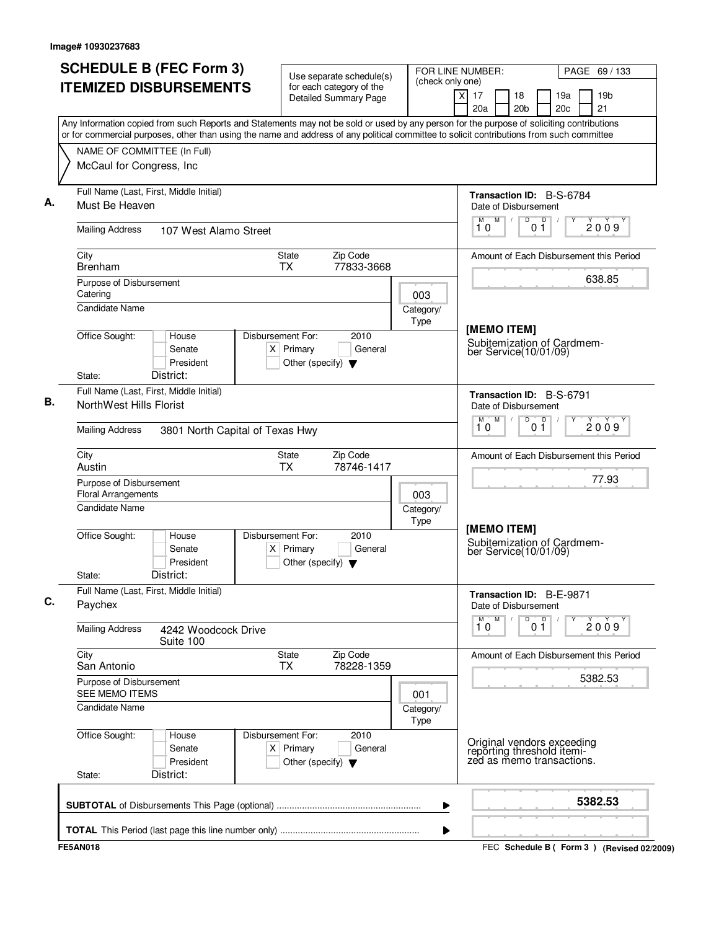| Any Information copied from such Reports and Statements may not be sold or used by any person for the purpose of soliciting contributions<br>or for commercial purposes, other than using the name and address of any political committee to solicit contributions from such committee<br>NAME OF COMMITTEE (In Full)<br>McCaul for Congress, Inc<br>Full Name (Last, First, Middle Initial)<br>Must Be Heaven<br><b>Mailing Address</b><br>107 West Alamo Street<br>City<br>State<br><b>Brenham</b><br><b>TX</b><br>Purpose of Disbursement<br>Catering<br><b>Candidate Name</b><br>Office Sought:<br>Disbursement For:<br>House<br>$X$ Primary<br>Senate<br>President<br>Other (specify) $\blacktriangledown$<br>District:<br>State:<br>Full Name (Last, First, Middle Initial)<br>NorthWest Hills Florist<br><b>Mailing Address</b><br>3801 North Capital of Texas Hwy<br>City<br>State<br>Austin<br>TX<br>Purpose of Disbursement<br><b>Floral Arrangements</b><br><b>Candidate Name</b><br>Office Sought:<br>Disbursement For:<br>House<br>Senate<br>$X$ Primary<br>President<br>Other (specify) $\blacktriangledown$<br>District:<br>State:<br>Full Name (Last, First, Middle Initial)<br>Paychex<br><b>Mailing Address</b><br>4242 Woodcock Drive<br>Suite 100<br>City<br><b>State</b> | <b>Detailed Summary Page</b><br>Zip Code<br>77833-3668<br>2010<br>General<br>Zip Code<br>78746-1417 | 003<br>Category/<br>Type<br>003 | $\times$<br>17<br>18<br>19a<br>19 <sub>b</sub><br>21<br>20a<br>20 <sub>b</sub><br>20c<br>Transaction ID: B-S-6784<br>Date of Disbursement<br>M<br>D<br>D<br>M<br>$\sqrt{2}$<br>2009<br>10<br>01<br>638.85<br>[MEMO ITEM]<br>Subitemization of Cardmem-<br>ber Service(10/01/09)<br>Transaction ID: B-S-6791<br>Date of Disbursement<br>M<br>D<br>0 <sup>0</sup><br>M<br>2009<br>10<br>77.93 |
|-----------------------------------------------------------------------------------------------------------------------------------------------------------------------------------------------------------------------------------------------------------------------------------------------------------------------------------------------------------------------------------------------------------------------------------------------------------------------------------------------------------------------------------------------------------------------------------------------------------------------------------------------------------------------------------------------------------------------------------------------------------------------------------------------------------------------------------------------------------------------------------------------------------------------------------------------------------------------------------------------------------------------------------------------------------------------------------------------------------------------------------------------------------------------------------------------------------------------------------------------------------------------------------------------|-----------------------------------------------------------------------------------------------------|---------------------------------|---------------------------------------------------------------------------------------------------------------------------------------------------------------------------------------------------------------------------------------------------------------------------------------------------------------------------------------------------------------------------------------------|
|                                                                                                                                                                                                                                                                                                                                                                                                                                                                                                                                                                                                                                                                                                                                                                                                                                                                                                                                                                                                                                                                                                                                                                                                                                                                                               |                                                                                                     |                                 |                                                                                                                                                                                                                                                                                                                                                                                             |
|                                                                                                                                                                                                                                                                                                                                                                                                                                                                                                                                                                                                                                                                                                                                                                                                                                                                                                                                                                                                                                                                                                                                                                                                                                                                                               |                                                                                                     |                                 |                                                                                                                                                                                                                                                                                                                                                                                             |
|                                                                                                                                                                                                                                                                                                                                                                                                                                                                                                                                                                                                                                                                                                                                                                                                                                                                                                                                                                                                                                                                                                                                                                                                                                                                                               |                                                                                                     |                                 | Amount of Each Disbursement this Period<br>Amount of Each Disbursement this Period                                                                                                                                                                                                                                                                                                          |
|                                                                                                                                                                                                                                                                                                                                                                                                                                                                                                                                                                                                                                                                                                                                                                                                                                                                                                                                                                                                                                                                                                                                                                                                                                                                                               |                                                                                                     |                                 |                                                                                                                                                                                                                                                                                                                                                                                             |
|                                                                                                                                                                                                                                                                                                                                                                                                                                                                                                                                                                                                                                                                                                                                                                                                                                                                                                                                                                                                                                                                                                                                                                                                                                                                                               |                                                                                                     |                                 |                                                                                                                                                                                                                                                                                                                                                                                             |
|                                                                                                                                                                                                                                                                                                                                                                                                                                                                                                                                                                                                                                                                                                                                                                                                                                                                                                                                                                                                                                                                                                                                                                                                                                                                                               |                                                                                                     |                                 |                                                                                                                                                                                                                                                                                                                                                                                             |
|                                                                                                                                                                                                                                                                                                                                                                                                                                                                                                                                                                                                                                                                                                                                                                                                                                                                                                                                                                                                                                                                                                                                                                                                                                                                                               |                                                                                                     |                                 |                                                                                                                                                                                                                                                                                                                                                                                             |
|                                                                                                                                                                                                                                                                                                                                                                                                                                                                                                                                                                                                                                                                                                                                                                                                                                                                                                                                                                                                                                                                                                                                                                                                                                                                                               |                                                                                                     |                                 |                                                                                                                                                                                                                                                                                                                                                                                             |
|                                                                                                                                                                                                                                                                                                                                                                                                                                                                                                                                                                                                                                                                                                                                                                                                                                                                                                                                                                                                                                                                                                                                                                                                                                                                                               |                                                                                                     |                                 |                                                                                                                                                                                                                                                                                                                                                                                             |
|                                                                                                                                                                                                                                                                                                                                                                                                                                                                                                                                                                                                                                                                                                                                                                                                                                                                                                                                                                                                                                                                                                                                                                                                                                                                                               |                                                                                                     |                                 |                                                                                                                                                                                                                                                                                                                                                                                             |
|                                                                                                                                                                                                                                                                                                                                                                                                                                                                                                                                                                                                                                                                                                                                                                                                                                                                                                                                                                                                                                                                                                                                                                                                                                                                                               |                                                                                                     |                                 |                                                                                                                                                                                                                                                                                                                                                                                             |
|                                                                                                                                                                                                                                                                                                                                                                                                                                                                                                                                                                                                                                                                                                                                                                                                                                                                                                                                                                                                                                                                                                                                                                                                                                                                                               |                                                                                                     |                                 |                                                                                                                                                                                                                                                                                                                                                                                             |
|                                                                                                                                                                                                                                                                                                                                                                                                                                                                                                                                                                                                                                                                                                                                                                                                                                                                                                                                                                                                                                                                                                                                                                                                                                                                                               |                                                                                                     | Category/<br><b>Type</b>        | [MEMO ITEM]                                                                                                                                                                                                                                                                                                                                                                                 |
|                                                                                                                                                                                                                                                                                                                                                                                                                                                                                                                                                                                                                                                                                                                                                                                                                                                                                                                                                                                                                                                                                                                                                                                                                                                                                               | 2010<br>General                                                                                     |                                 | Subitemization of Cardmem-<br>ber Service(10/01/09)                                                                                                                                                                                                                                                                                                                                         |
|                                                                                                                                                                                                                                                                                                                                                                                                                                                                                                                                                                                                                                                                                                                                                                                                                                                                                                                                                                                                                                                                                                                                                                                                                                                                                               |                                                                                                     |                                 | Transaction ID: B-E-9871<br>Date of Disbursement                                                                                                                                                                                                                                                                                                                                            |
|                                                                                                                                                                                                                                                                                                                                                                                                                                                                                                                                                                                                                                                                                                                                                                                                                                                                                                                                                                                                                                                                                                                                                                                                                                                                                               |                                                                                                     |                                 | M<br>D<br>0 <sup>D</sup><br>$\overline{1}^M$ 0<br>2009                                                                                                                                                                                                                                                                                                                                      |
| San Antonio<br>TX.                                                                                                                                                                                                                                                                                                                                                                                                                                                                                                                                                                                                                                                                                                                                                                                                                                                                                                                                                                                                                                                                                                                                                                                                                                                                            | Zip Code<br>78228-1359                                                                              |                                 | Amount of Each Disbursement this Period                                                                                                                                                                                                                                                                                                                                                     |
| Purpose of Disbursement<br>SEE MEMO ITEMS                                                                                                                                                                                                                                                                                                                                                                                                                                                                                                                                                                                                                                                                                                                                                                                                                                                                                                                                                                                                                                                                                                                                                                                                                                                     |                                                                                                     | 001                             | 5382.53                                                                                                                                                                                                                                                                                                                                                                                     |
| <b>Candidate Name</b>                                                                                                                                                                                                                                                                                                                                                                                                                                                                                                                                                                                                                                                                                                                                                                                                                                                                                                                                                                                                                                                                                                                                                                                                                                                                         |                                                                                                     | Category/<br>Type               |                                                                                                                                                                                                                                                                                                                                                                                             |
| Office Sought:<br>Disbursement For:<br>House<br>Senate<br>$X$ Primary<br>President<br>Other (specify) $\blacktriangledown$<br>District:<br>State:                                                                                                                                                                                                                                                                                                                                                                                                                                                                                                                                                                                                                                                                                                                                                                                                                                                                                                                                                                                                                                                                                                                                             | 2010<br>General                                                                                     |                                 | Original vendors exceeding<br>reporting threshold itemi-<br>zed as memo transactions.                                                                                                                                                                                                                                                                                                       |
|                                                                                                                                                                                                                                                                                                                                                                                                                                                                                                                                                                                                                                                                                                                                                                                                                                                                                                                                                                                                                                                                                                                                                                                                                                                                                               |                                                                                                     |                                 | 5382.53                                                                                                                                                                                                                                                                                                                                                                                     |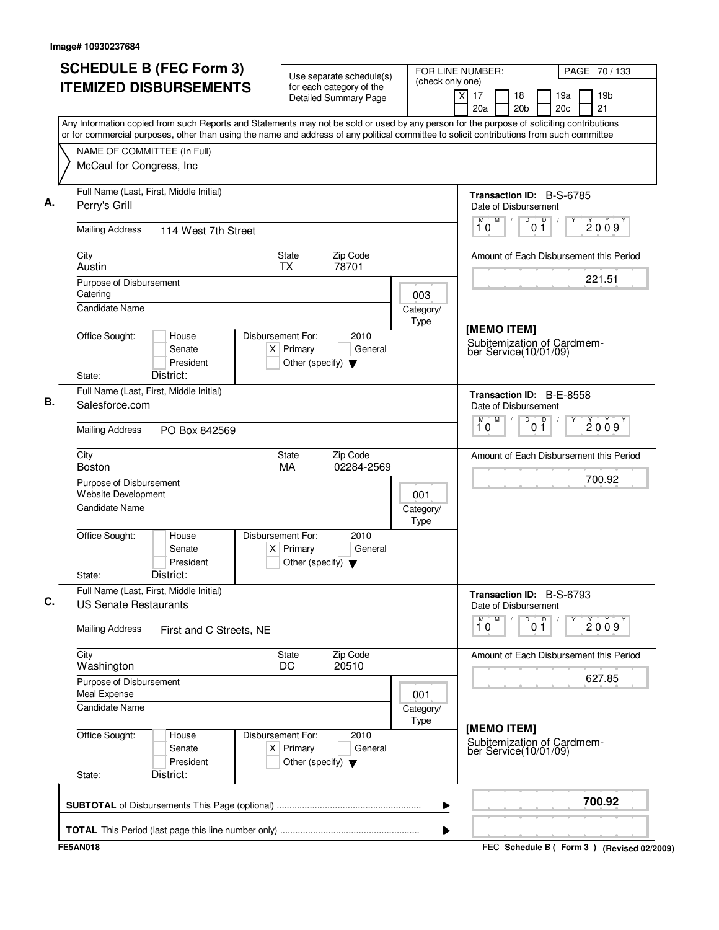| <b>SCHEDULE B (FEC Form 3)</b>                                                                                                                                                                                                                                                         | Use separate schedule(s)                                 | FOR LINE NUMBER:<br>(check only one) |                                                     | PAGE 70 / 133         |            |                                             |  |
|----------------------------------------------------------------------------------------------------------------------------------------------------------------------------------------------------------------------------------------------------------------------------------------|----------------------------------------------------------|--------------------------------------|-----------------------------------------------------|-----------------------|------------|---------------------------------------------|--|
| <b>ITEMIZED DISBURSEMENTS</b>                                                                                                                                                                                                                                                          | for each category of the<br><b>Detailed Summary Page</b> |                                      | $\overline{\mathsf{x}}$<br>17<br>20a                | 18<br>20 <sub>b</sub> | 19a<br>20c | 19 <sub>b</sub><br>21                       |  |
| Any Information copied from such Reports and Statements may not be sold or used by any person for the purpose of soliciting contributions<br>or for commercial purposes, other than using the name and address of any political committee to solicit contributions from such committee |                                                          |                                      |                                                     |                       |            |                                             |  |
| NAME OF COMMITTEE (In Full)                                                                                                                                                                                                                                                            |                                                          |                                      |                                                     |                       |            |                                             |  |
| McCaul for Congress, Inc                                                                                                                                                                                                                                                               |                                                          |                                      |                                                     |                       |            |                                             |  |
|                                                                                                                                                                                                                                                                                        |                                                          |                                      |                                                     |                       |            |                                             |  |
| Full Name (Last, First, Middle Initial)                                                                                                                                                                                                                                                |                                                          |                                      | Transaction ID: B-S-6785                            |                       |            |                                             |  |
| Perry's Grill                                                                                                                                                                                                                                                                          |                                                          |                                      | Date of Disbursement<br>M<br>M                      | D                     | p          |                                             |  |
| <b>Mailing Address</b><br>114 West 7th Street                                                                                                                                                                                                                                          |                                                          |                                      | 10                                                  | 01                    |            | 2009                                        |  |
| City                                                                                                                                                                                                                                                                                   | Zip Code<br>State                                        |                                      | Amount of Each Disbursement this Period             |                       |            |                                             |  |
| Austin                                                                                                                                                                                                                                                                                 | 78701<br><b>TX</b>                                       |                                      |                                                     |                       |            |                                             |  |
| Purpose of Disbursement<br>Catering                                                                                                                                                                                                                                                    |                                                          |                                      |                                                     |                       |            | 221.51                                      |  |
| <b>Candidate Name</b>                                                                                                                                                                                                                                                                  |                                                          | 003                                  |                                                     |                       |            |                                             |  |
|                                                                                                                                                                                                                                                                                        |                                                          | Category/<br>Type                    |                                                     |                       |            |                                             |  |
| Office Sought:<br>House                                                                                                                                                                                                                                                                | Disbursement For:<br>2010                                |                                      | [MEMO ITEM]                                         |                       |            |                                             |  |
| Senate                                                                                                                                                                                                                                                                                 | $X$ Primary<br>General                                   |                                      | Subitemization of Cardmem-<br>ber Service(10/01/09) |                       |            |                                             |  |
| President                                                                                                                                                                                                                                                                              | Other (specify) $\blacktriangledown$                     |                                      |                                                     |                       |            |                                             |  |
| District:<br>State:                                                                                                                                                                                                                                                                    |                                                          |                                      |                                                     |                       |            |                                             |  |
| Full Name (Last, First, Middle Initial)                                                                                                                                                                                                                                                |                                                          |                                      | <b>Transaction ID: B-E-8558</b>                     |                       |            |                                             |  |
| Salesforce.com                                                                                                                                                                                                                                                                         |                                                          |                                      | Date of Disbursement                                |                       |            |                                             |  |
| <b>Mailing Address</b><br>PO Box 842569                                                                                                                                                                                                                                                |                                                          |                                      | M<br>м<br>10                                        | D<br>0 <sup>0</sup>   |            | 2009                                        |  |
| City                                                                                                                                                                                                                                                                                   | Zip Code<br>State                                        |                                      | Amount of Each Disbursement this Period             |                       |            |                                             |  |
| <b>Boston</b>                                                                                                                                                                                                                                                                          | 02284-2569<br>MA                                         |                                      |                                                     |                       |            | 700.92                                      |  |
| Purpose of Disbursement<br>Website Development                                                                                                                                                                                                                                         |                                                          | 001                                  |                                                     |                       |            |                                             |  |
| Candidate Name                                                                                                                                                                                                                                                                         |                                                          | Category/                            |                                                     |                       |            |                                             |  |
|                                                                                                                                                                                                                                                                                        |                                                          | Type                                 |                                                     |                       |            |                                             |  |
| Office Sought:<br>House                                                                                                                                                                                                                                                                | Disbursement For:<br>2010                                |                                      |                                                     |                       |            |                                             |  |
| Senate                                                                                                                                                                                                                                                                                 | $X$ Primary<br>General                                   |                                      |                                                     |                       |            |                                             |  |
| President                                                                                                                                                                                                                                                                              | Other (specify) $\blacktriangledown$                     |                                      |                                                     |                       |            |                                             |  |
| District:<br>State:                                                                                                                                                                                                                                                                    |                                                          |                                      |                                                     |                       |            |                                             |  |
| Full Name (Last, First, Middle Initial)<br><b>US Senate Restaurants</b>                                                                                                                                                                                                                |                                                          |                                      | Transaction ID: B-S-6793<br>Date of Disbursement    |                       |            |                                             |  |
|                                                                                                                                                                                                                                                                                        |                                                          |                                      | M<br>М<br>10                                        | D<br>0 <sup>D</sup>   | Υ          | 2009                                        |  |
| <b>Mailing Address</b><br>First and C Streets, NE                                                                                                                                                                                                                                      |                                                          |                                      |                                                     |                       |            |                                             |  |
| City<br>Washington                                                                                                                                                                                                                                                                     | Zip Code<br>State<br>20510<br>DC                         |                                      | Amount of Each Disbursement this Period             |                       |            |                                             |  |
| Purpose of Disbursement                                                                                                                                                                                                                                                                |                                                          |                                      |                                                     |                       |            | 627.85                                      |  |
| Meal Expense                                                                                                                                                                                                                                                                           |                                                          | 001                                  |                                                     |                       |            |                                             |  |
| Candidate Name                                                                                                                                                                                                                                                                         |                                                          | Category/                            |                                                     |                       |            |                                             |  |
| Office Sought:<br>House                                                                                                                                                                                                                                                                | Disbursement For:<br>2010                                | Type                                 | [MEMO ITEM]                                         |                       |            |                                             |  |
| Senate                                                                                                                                                                                                                                                                                 | $X$ Primary<br>General                                   |                                      | Subitemization of Cardmem-<br>ber Service(10/01/09) |                       |            |                                             |  |
| President                                                                                                                                                                                                                                                                              | Other (specify) $\blacktriangledown$                     |                                      |                                                     |                       |            |                                             |  |
| District:<br>State:                                                                                                                                                                                                                                                                    |                                                          |                                      |                                                     |                       |            |                                             |  |
|                                                                                                                                                                                                                                                                                        |                                                          | ▶                                    |                                                     |                       |            | 700.92                                      |  |
|                                                                                                                                                                                                                                                                                        |                                                          |                                      |                                                     |                       |            |                                             |  |
|                                                                                                                                                                                                                                                                                        |                                                          | ▶                                    |                                                     |                       |            |                                             |  |
| <b>FE5AN018</b>                                                                                                                                                                                                                                                                        |                                                          |                                      |                                                     |                       |            | FEC Schedule B ( Form 3 ) (Revised 02/2009) |  |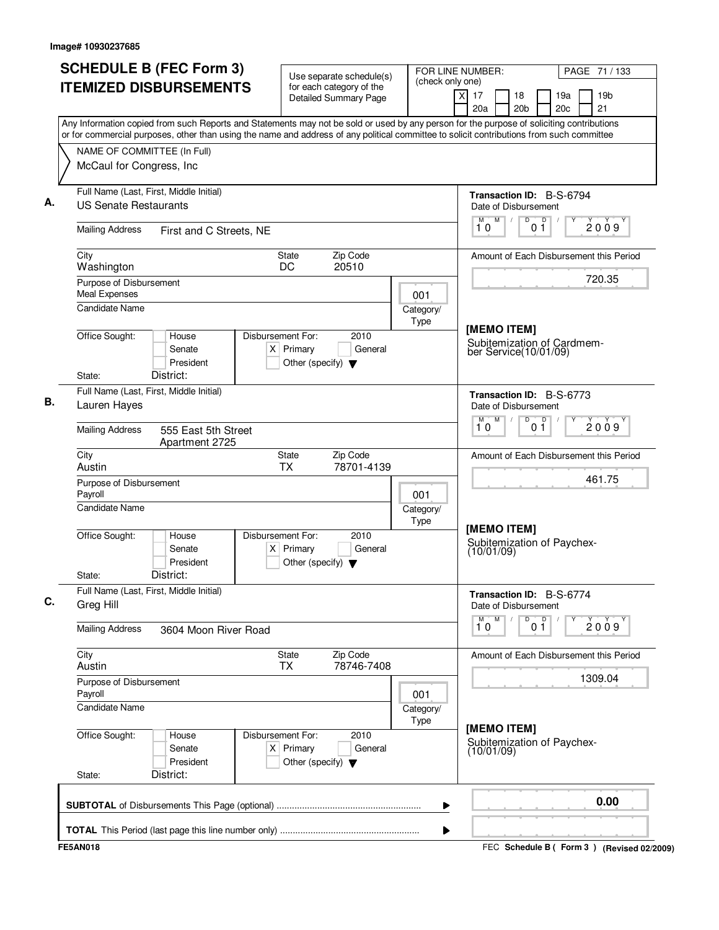| <b>SCHEDULE B (FEC Form 3)</b>                                                                                                                                                                                                                                                         | Use separate schedule(s)                                                                    | (check only one)  | FOR LINE NUMBER:                                                   | PAGE 71 / 133                                   |  |  |
|----------------------------------------------------------------------------------------------------------------------------------------------------------------------------------------------------------------------------------------------------------------------------------------|---------------------------------------------------------------------------------------------|-------------------|--------------------------------------------------------------------|-------------------------------------------------|--|--|
| <b>ITEMIZED DISBURSEMENTS</b>                                                                                                                                                                                                                                                          | for each category of the<br><b>Detailed Summary Page</b>                                    |                   | $\overline{\mathsf{x}}$<br>17<br>18<br>20a<br>20 <sub>b</sub>      | 19a<br>19 <sub>b</sub><br>21<br>20c             |  |  |
| Any Information copied from such Reports and Statements may not be sold or used by any person for the purpose of soliciting contributions<br>or for commercial purposes, other than using the name and address of any political committee to solicit contributions from such committee |                                                                                             |                   |                                                                    |                                                 |  |  |
| NAME OF COMMITTEE (In Full)                                                                                                                                                                                                                                                            |                                                                                             |                   |                                                                    |                                                 |  |  |
| McCaul for Congress, Inc                                                                                                                                                                                                                                                               |                                                                                             |                   |                                                                    |                                                 |  |  |
| Full Name (Last, First, Middle Initial)<br><b>US Senate Restaurants</b>                                                                                                                                                                                                                |                                                                                             |                   | Transaction ID: B-S-6794<br>Date of Disbursement                   |                                                 |  |  |
| <b>Mailing Address</b><br>First and C Streets, NE                                                                                                                                                                                                                                      |                                                                                             |                   | M<br>M<br>10                                                       | D<br>p<br>2009<br>01                            |  |  |
| City<br>Washington                                                                                                                                                                                                                                                                     | Zip Code<br><b>State</b><br>DC<br>20510                                                     |                   |                                                                    | Amount of Each Disbursement this Period         |  |  |
| Purpose of Disbursement<br><b>Meal Expenses</b><br><b>Candidate Name</b>                                                                                                                                                                                                               |                                                                                             | 001               |                                                                    | 720.35                                          |  |  |
|                                                                                                                                                                                                                                                                                        |                                                                                             | Category/<br>Type | [MEMO ITEM]<br>Subitemization of Cardmem-<br>ber Service(10/01/09) |                                                 |  |  |
| Office Sought:<br>House<br>Senate<br>President<br>District:<br>State:                                                                                                                                                                                                                  | Disbursement For:<br>2010<br>$X$ Primary<br>General<br>Other (specify) $\blacktriangledown$ |                   |                                                                    |                                                 |  |  |
| Full Name (Last, First, Middle Initial)                                                                                                                                                                                                                                                |                                                                                             |                   |                                                                    |                                                 |  |  |
| Lauren Hayes                                                                                                                                                                                                                                                                           |                                                                                             |                   | Date of Disbursement<br>M<br>M                                     | Transaction ID: B-S-6773<br>D<br>0 <sup>0</sup> |  |  |
| <b>Mailing Address</b><br>555 East 5th Street<br>Apartment 2725                                                                                                                                                                                                                        |                                                                                             |                   | 10                                                                 | 2009                                            |  |  |
| City<br>Austin                                                                                                                                                                                                                                                                         | Zip Code<br>State<br><b>TX</b><br>78701-4139                                                |                   |                                                                    | Amount of Each Disbursement this Period         |  |  |
| Purpose of Disbursement<br>Payroll                                                                                                                                                                                                                                                     |                                                                                             | 001               |                                                                    | 461.75                                          |  |  |
| <b>Candidate Name</b>                                                                                                                                                                                                                                                                  |                                                                                             | Category/<br>Type | [MEMO ITEM]                                                        |                                                 |  |  |
| Office Sought:<br>House<br>Senate<br>President<br>District:<br>State:                                                                                                                                                                                                                  | Disbursement For:<br>2010<br>$X$ Primary<br>General<br>Other (specify) $\blacktriangledown$ |                   | Subitemization of Paychex-<br>(10/01/09)                           |                                                 |  |  |
| Full Name (Last, First, Middle Initial)<br>Greg Hill                                                                                                                                                                                                                                   |                                                                                             |                   | Date of Disbursement                                               | Transaction ID: B-S-6774                        |  |  |
| <b>Mailing Address</b><br>3604 Moon River Road                                                                                                                                                                                                                                         |                                                                                             |                   | M<br>М<br>10                                                       | D<br>0 <sup>D</sup><br>Υ<br>2009                |  |  |
| City<br>Austin                                                                                                                                                                                                                                                                         | State<br>Zip Code<br><b>TX</b><br>78746-7408                                                |                   |                                                                    | Amount of Each Disbursement this Period         |  |  |
| Purpose of Disbursement<br>Payroll                                                                                                                                                                                                                                                     |                                                                                             | 001               |                                                                    | 1309.04                                         |  |  |
| <b>Candidate Name</b>                                                                                                                                                                                                                                                                  |                                                                                             | Category/<br>Type |                                                                    |                                                 |  |  |
| Office Sought:<br>House<br>Senate<br>President<br>District:<br>State:                                                                                                                                                                                                                  | Disbursement For:<br>2010<br>$X$ Primary<br>General<br>Other (specify) $\blacktriangledown$ |                   | [MEMO ITEM]<br>(10/01/09)                                          | Subitemization of Paychex-                      |  |  |
|                                                                                                                                                                                                                                                                                        |                                                                                             | ▶                 |                                                                    | 0.00                                            |  |  |
|                                                                                                                                                                                                                                                                                        |                                                                                             | ▶                 |                                                                    |                                                 |  |  |
| <b>FE5AN018</b>                                                                                                                                                                                                                                                                        |                                                                                             |                   |                                                                    | FEC Schedule B ( Form 3 ) (Revised 02/2009)     |  |  |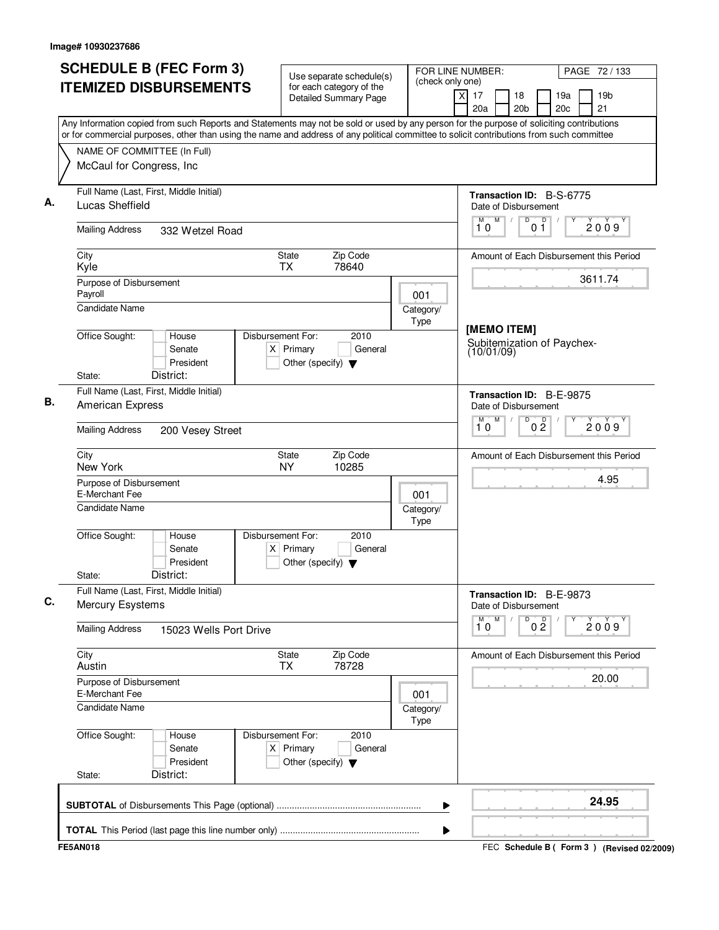|                                                                                                                                                                                                                                                                                        | <b>SCHEDULE B (FEC Form 3)</b> | Use separate schedule(s)                                                 |                   | FOR LINE NUMBER:<br>(check only one) |                                                  | PAGE 72 / 133                                   |
|----------------------------------------------------------------------------------------------------------------------------------------------------------------------------------------------------------------------------------------------------------------------------------------|--------------------------------|--------------------------------------------------------------------------|-------------------|--------------------------------------|--------------------------------------------------|-------------------------------------------------|
| <b>ITEMIZED DISBURSEMENTS</b>                                                                                                                                                                                                                                                          |                                | for each category of the<br><b>Detailed Summary Page</b>                 |                   |                                      | xl<br>17<br>18<br>20a<br>20 <sub>b</sub>         | 19a<br>19 <sub>b</sub><br>20 <sub>c</sub><br>21 |
| Any Information copied from such Reports and Statements may not be sold or used by any person for the purpose of soliciting contributions<br>or for commercial purposes, other than using the name and address of any political committee to solicit contributions from such committee |                                |                                                                          |                   |                                      |                                                  |                                                 |
| NAME OF COMMITTEE (In Full)                                                                                                                                                                                                                                                            |                                |                                                                          |                   |                                      |                                                  |                                                 |
| McCaul for Congress, Inc                                                                                                                                                                                                                                                               |                                |                                                                          |                   |                                      |                                                  |                                                 |
| Full Name (Last, First, Middle Initial)<br>Lucas Sheffield                                                                                                                                                                                                                             |                                |                                                                          |                   |                                      | Transaction ID: B-S-6775<br>Date of Disbursement |                                                 |
| <b>Mailing Address</b>                                                                                                                                                                                                                                                                 | 332 Wetzel Road                |                                                                          |                   |                                      | M<br>D<br>p<br>M<br>0 <sub>1</sub><br>10         | 2009                                            |
| City<br>Kyle                                                                                                                                                                                                                                                                           |                                | <b>State</b><br><b>TX</b>                                                | Zip Code<br>78640 |                                      |                                                  | Amount of Each Disbursement this Period         |
| Purpose of Disbursement<br>Payroll                                                                                                                                                                                                                                                     |                                |                                                                          |                   | 001                                  |                                                  | 3611.74                                         |
| Candidate Name                                                                                                                                                                                                                                                                         |                                |                                                                          |                   | Category/<br>Type                    | [MEMO ITEM]                                      |                                                 |
| Office Sought:                                                                                                                                                                                                                                                                         | House<br>Senate<br>President   | Disbursement For:<br>$X$ Primary<br>Other (specify) $\blacktriangledown$ | 2010<br>General   |                                      | Subitemization of Paychex-<br>(10/01/09)         |                                                 |
| District:<br>State:                                                                                                                                                                                                                                                                    |                                |                                                                          |                   |                                      |                                                  |                                                 |
| Full Name (Last, First, Middle Initial)<br>American Express                                                                                                                                                                                                                            |                                |                                                                          |                   |                                      | Transaction ID: B-E-9875<br>Date of Disbursement |                                                 |
| <b>Mailing Address</b>                                                                                                                                                                                                                                                                 | 200 Vesey Street               |                                                                          |                   |                                      | M<br>D<br>0 <sup>0</sup><br>M<br>10              | 2009                                            |
| City<br>New York                                                                                                                                                                                                                                                                       |                                | State<br><b>NY</b>                                                       | Zip Code<br>10285 |                                      |                                                  | Amount of Each Disbursement this Period         |
| Purpose of Disbursement<br>E-Merchant Fee                                                                                                                                                                                                                                              |                                |                                                                          |                   | 001                                  |                                                  | 4.95                                            |
| <b>Candidate Name</b>                                                                                                                                                                                                                                                                  |                                |                                                                          |                   | Category/<br>Type                    |                                                  |                                                 |
| Office Sought:                                                                                                                                                                                                                                                                         | House<br>Senate<br>President   | Disbursement For:<br>$X$ Primary<br>Other (specify) $\blacktriangledown$ | 2010<br>General   |                                      |                                                  |                                                 |
| District:<br>State:                                                                                                                                                                                                                                                                    |                                |                                                                          |                   |                                      |                                                  |                                                 |
| Full Name (Last, First, Middle Initial)<br><b>Mercury Esystems</b>                                                                                                                                                                                                                     |                                |                                                                          |                   |                                      | Transaction ID: B-E-9873<br>Date of Disbursement |                                                 |
| <b>Mailing Address</b>                                                                                                                                                                                                                                                                 | 15023 Wells Port Drive         |                                                                          |                   |                                      | M<br>M<br>D<br>0 <sup>0</sup><br>10              | Υ<br>2009                                       |
| City<br>Austin                                                                                                                                                                                                                                                                         |                                | State<br><b>TX</b>                                                       | Zip Code<br>78728 |                                      |                                                  | Amount of Each Disbursement this Period         |
| Purpose of Disbursement<br>E-Merchant Fee                                                                                                                                                                                                                                              |                                |                                                                          |                   | 001                                  |                                                  | 20.00                                           |
| <b>Candidate Name</b>                                                                                                                                                                                                                                                                  |                                |                                                                          |                   | Category/<br>Type                    |                                                  |                                                 |
| Office Sought:                                                                                                                                                                                                                                                                         | House<br>Senate<br>President   | Disbursement For:<br>$X$ Primary<br>Other (specify) $\blacktriangledown$ | 2010<br>General   |                                      |                                                  |                                                 |
| District:<br>State:                                                                                                                                                                                                                                                                    |                                |                                                                          |                   |                                      |                                                  |                                                 |
|                                                                                                                                                                                                                                                                                        |                                |                                                                          |                   | ▶                                    |                                                  | 24.95                                           |

FEC **Schedule B ( ) Form 3 FE5AN018 (Revised 02/2009)**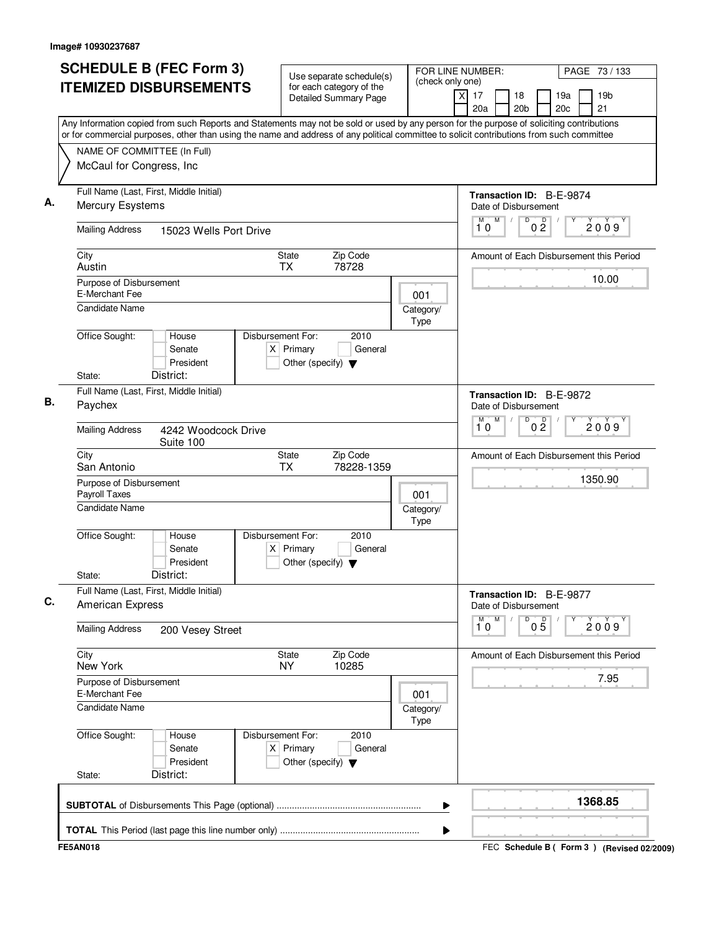| (check only one)<br><b>ITEMIZED DISBURSEMENTS</b><br>for each category of the<br>$\times$<br>17<br>18<br>19a<br>19b<br><b>Detailed Summary Page</b><br>20a<br>20 <sub>b</sub><br>20c<br>21<br>Any Information copied from such Reports and Statements may not be sold or used by any person for the purpose of soliciting contributions<br>or for commercial purposes, other than using the name and address of any political committee to solicit contributions from such committee<br>NAME OF COMMITTEE (In Full)<br>McCaul for Congress, Inc<br>Full Name (Last, First, Middle Initial)<br>Transaction ID: B-E-9874<br>А.<br><b>Mercury Esystems</b><br>Date of Disbursement<br>D<br>M<br>M<br>0 <sup>D</sup><br>2009<br>10<br><b>Mailing Address</b><br>15023 Wells Port Drive<br>City<br>State<br>Zip Code<br>Amount of Each Disbursement this Period<br>Austin<br><b>TX</b><br>78728<br>10.00<br>Purpose of Disbursement<br>E-Merchant Fee<br>001<br><b>Candidate Name</b><br>Category/<br>Type<br>Office Sought:<br>Disbursement For:<br>2010<br>House<br>$X$ Primary<br>Senate<br>General<br>President<br>Other (specify) $\blacktriangledown$<br>District:<br>State:<br>Full Name (Last, First, Middle Initial)<br>Transaction ID: B-E-9872<br>В.<br>Paychex<br>Date of Disbursement<br>D<br>M<br>M<br>0 <sup>0</sup><br>2009<br>10<br><b>Mailing Address</b><br>4242 Woodcock Drive<br>Suite 100<br>City<br>State<br>Zip Code<br>Amount of Each Disbursement this Period<br><b>TX</b><br>San Antonio<br>78228-1359<br>1350.90<br>Purpose of Disbursement<br>Payroll Taxes<br>001<br>Candidate Name<br>Category/<br>Type<br>Office Sought:<br>Disbursement For:<br>2010<br>House<br>$X$ Primary<br>Senate<br>General<br>President<br>Other (specify) $\blacktriangledown$<br>District:<br>State:<br>Full Name (Last, First, Middle Initial)<br>Transaction ID: B-E-9877<br>C.<br>American Express<br>Date of Disbursement<br>D<br>$\overline{\mathbf{1}}^{\mathsf{M}}\mathbf{0}$<br>M<br>$0\overline{5}$<br>Υ<br>2009<br><b>Mailing Address</b><br>200 Vesey Street<br>City<br>State<br>Zip Code<br>Amount of Each Disbursement this Period<br>New York<br><b>NY</b><br>10285<br>7.95<br>Purpose of Disbursement<br>E-Merchant Fee<br>001<br><b>Candidate Name</b><br>Category/<br>Type<br>Office Sought:<br>Disbursement For:<br>2010<br>House<br>$X$ Primary<br>Senate<br>General<br>President<br>Other (specify) $\blacktriangledown$<br>District:<br>State:<br>1368.85<br>▶ | <b>SCHEDULE B (FEC Form 3)</b> | Use separate schedule(s) | FOR LINE NUMBER: |  | PAGE 73 / 133 |
|------------------------------------------------------------------------------------------------------------------------------------------------------------------------------------------------------------------------------------------------------------------------------------------------------------------------------------------------------------------------------------------------------------------------------------------------------------------------------------------------------------------------------------------------------------------------------------------------------------------------------------------------------------------------------------------------------------------------------------------------------------------------------------------------------------------------------------------------------------------------------------------------------------------------------------------------------------------------------------------------------------------------------------------------------------------------------------------------------------------------------------------------------------------------------------------------------------------------------------------------------------------------------------------------------------------------------------------------------------------------------------------------------------------------------------------------------------------------------------------------------------------------------------------------------------------------------------------------------------------------------------------------------------------------------------------------------------------------------------------------------------------------------------------------------------------------------------------------------------------------------------------------------------------------------------------------------------------------------------------------------------------------------------------------------------------------------------------------------------------------------------------------------------------------------------------------------------------------------------------------------------------------------------------------------------------------------------------------------------------------------------------------------------------------------------------------------------------------------------------|--------------------------------|--------------------------|------------------|--|---------------|
|                                                                                                                                                                                                                                                                                                                                                                                                                                                                                                                                                                                                                                                                                                                                                                                                                                                                                                                                                                                                                                                                                                                                                                                                                                                                                                                                                                                                                                                                                                                                                                                                                                                                                                                                                                                                                                                                                                                                                                                                                                                                                                                                                                                                                                                                                                                                                                                                                                                                                          |                                |                          |                  |  |               |
|                                                                                                                                                                                                                                                                                                                                                                                                                                                                                                                                                                                                                                                                                                                                                                                                                                                                                                                                                                                                                                                                                                                                                                                                                                                                                                                                                                                                                                                                                                                                                                                                                                                                                                                                                                                                                                                                                                                                                                                                                                                                                                                                                                                                                                                                                                                                                                                                                                                                                          |                                |                          |                  |  |               |
|                                                                                                                                                                                                                                                                                                                                                                                                                                                                                                                                                                                                                                                                                                                                                                                                                                                                                                                                                                                                                                                                                                                                                                                                                                                                                                                                                                                                                                                                                                                                                                                                                                                                                                                                                                                                                                                                                                                                                                                                                                                                                                                                                                                                                                                                                                                                                                                                                                                                                          |                                |                          |                  |  |               |
|                                                                                                                                                                                                                                                                                                                                                                                                                                                                                                                                                                                                                                                                                                                                                                                                                                                                                                                                                                                                                                                                                                                                                                                                                                                                                                                                                                                                                                                                                                                                                                                                                                                                                                                                                                                                                                                                                                                                                                                                                                                                                                                                                                                                                                                                                                                                                                                                                                                                                          |                                |                          |                  |  |               |
|                                                                                                                                                                                                                                                                                                                                                                                                                                                                                                                                                                                                                                                                                                                                                                                                                                                                                                                                                                                                                                                                                                                                                                                                                                                                                                                                                                                                                                                                                                                                                                                                                                                                                                                                                                                                                                                                                                                                                                                                                                                                                                                                                                                                                                                                                                                                                                                                                                                                                          |                                |                          |                  |  |               |
|                                                                                                                                                                                                                                                                                                                                                                                                                                                                                                                                                                                                                                                                                                                                                                                                                                                                                                                                                                                                                                                                                                                                                                                                                                                                                                                                                                                                                                                                                                                                                                                                                                                                                                                                                                                                                                                                                                                                                                                                                                                                                                                                                                                                                                                                                                                                                                                                                                                                                          |                                |                          |                  |  |               |
|                                                                                                                                                                                                                                                                                                                                                                                                                                                                                                                                                                                                                                                                                                                                                                                                                                                                                                                                                                                                                                                                                                                                                                                                                                                                                                                                                                                                                                                                                                                                                                                                                                                                                                                                                                                                                                                                                                                                                                                                                                                                                                                                                                                                                                                                                                                                                                                                                                                                                          |                                |                          |                  |  |               |
|                                                                                                                                                                                                                                                                                                                                                                                                                                                                                                                                                                                                                                                                                                                                                                                                                                                                                                                                                                                                                                                                                                                                                                                                                                                                                                                                                                                                                                                                                                                                                                                                                                                                                                                                                                                                                                                                                                                                                                                                                                                                                                                                                                                                                                                                                                                                                                                                                                                                                          |                                |                          |                  |  |               |
|                                                                                                                                                                                                                                                                                                                                                                                                                                                                                                                                                                                                                                                                                                                                                                                                                                                                                                                                                                                                                                                                                                                                                                                                                                                                                                                                                                                                                                                                                                                                                                                                                                                                                                                                                                                                                                                                                                                                                                                                                                                                                                                                                                                                                                                                                                                                                                                                                                                                                          |                                |                          |                  |  |               |
|                                                                                                                                                                                                                                                                                                                                                                                                                                                                                                                                                                                                                                                                                                                                                                                                                                                                                                                                                                                                                                                                                                                                                                                                                                                                                                                                                                                                                                                                                                                                                                                                                                                                                                                                                                                                                                                                                                                                                                                                                                                                                                                                                                                                                                                                                                                                                                                                                                                                                          |                                |                          |                  |  |               |
|                                                                                                                                                                                                                                                                                                                                                                                                                                                                                                                                                                                                                                                                                                                                                                                                                                                                                                                                                                                                                                                                                                                                                                                                                                                                                                                                                                                                                                                                                                                                                                                                                                                                                                                                                                                                                                                                                                                                                                                                                                                                                                                                                                                                                                                                                                                                                                                                                                                                                          |                                |                          |                  |  |               |
|                                                                                                                                                                                                                                                                                                                                                                                                                                                                                                                                                                                                                                                                                                                                                                                                                                                                                                                                                                                                                                                                                                                                                                                                                                                                                                                                                                                                                                                                                                                                                                                                                                                                                                                                                                                                                                                                                                                                                                                                                                                                                                                                                                                                                                                                                                                                                                                                                                                                                          |                                |                          |                  |  |               |
|                                                                                                                                                                                                                                                                                                                                                                                                                                                                                                                                                                                                                                                                                                                                                                                                                                                                                                                                                                                                                                                                                                                                                                                                                                                                                                                                                                                                                                                                                                                                                                                                                                                                                                                                                                                                                                                                                                                                                                                                                                                                                                                                                                                                                                                                                                                                                                                                                                                                                          |                                |                          |                  |  |               |
|                                                                                                                                                                                                                                                                                                                                                                                                                                                                                                                                                                                                                                                                                                                                                                                                                                                                                                                                                                                                                                                                                                                                                                                                                                                                                                                                                                                                                                                                                                                                                                                                                                                                                                                                                                                                                                                                                                                                                                                                                                                                                                                                                                                                                                                                                                                                                                                                                                                                                          |                                |                          |                  |  |               |
|                                                                                                                                                                                                                                                                                                                                                                                                                                                                                                                                                                                                                                                                                                                                                                                                                                                                                                                                                                                                                                                                                                                                                                                                                                                                                                                                                                                                                                                                                                                                                                                                                                                                                                                                                                                                                                                                                                                                                                                                                                                                                                                                                                                                                                                                                                                                                                                                                                                                                          |                                |                          |                  |  |               |
|                                                                                                                                                                                                                                                                                                                                                                                                                                                                                                                                                                                                                                                                                                                                                                                                                                                                                                                                                                                                                                                                                                                                                                                                                                                                                                                                                                                                                                                                                                                                                                                                                                                                                                                                                                                                                                                                                                                                                                                                                                                                                                                                                                                                                                                                                                                                                                                                                                                                                          |                                |                          |                  |  |               |
|                                                                                                                                                                                                                                                                                                                                                                                                                                                                                                                                                                                                                                                                                                                                                                                                                                                                                                                                                                                                                                                                                                                                                                                                                                                                                                                                                                                                                                                                                                                                                                                                                                                                                                                                                                                                                                                                                                                                                                                                                                                                                                                                                                                                                                                                                                                                                                                                                                                                                          |                                |                          |                  |  |               |
|                                                                                                                                                                                                                                                                                                                                                                                                                                                                                                                                                                                                                                                                                                                                                                                                                                                                                                                                                                                                                                                                                                                                                                                                                                                                                                                                                                                                                                                                                                                                                                                                                                                                                                                                                                                                                                                                                                                                                                                                                                                                                                                                                                                                                                                                                                                                                                                                                                                                                          |                                |                          |                  |  |               |
|                                                                                                                                                                                                                                                                                                                                                                                                                                                                                                                                                                                                                                                                                                                                                                                                                                                                                                                                                                                                                                                                                                                                                                                                                                                                                                                                                                                                                                                                                                                                                                                                                                                                                                                                                                                                                                                                                                                                                                                                                                                                                                                                                                                                                                                                                                                                                                                                                                                                                          |                                |                          |                  |  |               |
|                                                                                                                                                                                                                                                                                                                                                                                                                                                                                                                                                                                                                                                                                                                                                                                                                                                                                                                                                                                                                                                                                                                                                                                                                                                                                                                                                                                                                                                                                                                                                                                                                                                                                                                                                                                                                                                                                                                                                                                                                                                                                                                                                                                                                                                                                                                                                                                                                                                                                          |                                |                          |                  |  |               |
|                                                                                                                                                                                                                                                                                                                                                                                                                                                                                                                                                                                                                                                                                                                                                                                                                                                                                                                                                                                                                                                                                                                                                                                                                                                                                                                                                                                                                                                                                                                                                                                                                                                                                                                                                                                                                                                                                                                                                                                                                                                                                                                                                                                                                                                                                                                                                                                                                                                                                          |                                |                          |                  |  |               |
|                                                                                                                                                                                                                                                                                                                                                                                                                                                                                                                                                                                                                                                                                                                                                                                                                                                                                                                                                                                                                                                                                                                                                                                                                                                                                                                                                                                                                                                                                                                                                                                                                                                                                                                                                                                                                                                                                                                                                                                                                                                                                                                                                                                                                                                                                                                                                                                                                                                                                          |                                |                          |                  |  |               |
|                                                                                                                                                                                                                                                                                                                                                                                                                                                                                                                                                                                                                                                                                                                                                                                                                                                                                                                                                                                                                                                                                                                                                                                                                                                                                                                                                                                                                                                                                                                                                                                                                                                                                                                                                                                                                                                                                                                                                                                                                                                                                                                                                                                                                                                                                                                                                                                                                                                                                          |                                |                          |                  |  |               |
|                                                                                                                                                                                                                                                                                                                                                                                                                                                                                                                                                                                                                                                                                                                                                                                                                                                                                                                                                                                                                                                                                                                                                                                                                                                                                                                                                                                                                                                                                                                                                                                                                                                                                                                                                                                                                                                                                                                                                                                                                                                                                                                                                                                                                                                                                                                                                                                                                                                                                          |                                |                          |                  |  |               |
|                                                                                                                                                                                                                                                                                                                                                                                                                                                                                                                                                                                                                                                                                                                                                                                                                                                                                                                                                                                                                                                                                                                                                                                                                                                                                                                                                                                                                                                                                                                                                                                                                                                                                                                                                                                                                                                                                                                                                                                                                                                                                                                                                                                                                                                                                                                                                                                                                                                                                          |                                |                          |                  |  |               |
|                                                                                                                                                                                                                                                                                                                                                                                                                                                                                                                                                                                                                                                                                                                                                                                                                                                                                                                                                                                                                                                                                                                                                                                                                                                                                                                                                                                                                                                                                                                                                                                                                                                                                                                                                                                                                                                                                                                                                                                                                                                                                                                                                                                                                                                                                                                                                                                                                                                                                          |                                |                          |                  |  |               |
|                                                                                                                                                                                                                                                                                                                                                                                                                                                                                                                                                                                                                                                                                                                                                                                                                                                                                                                                                                                                                                                                                                                                                                                                                                                                                                                                                                                                                                                                                                                                                                                                                                                                                                                                                                                                                                                                                                                                                                                                                                                                                                                                                                                                                                                                                                                                                                                                                                                                                          |                                |                          |                  |  |               |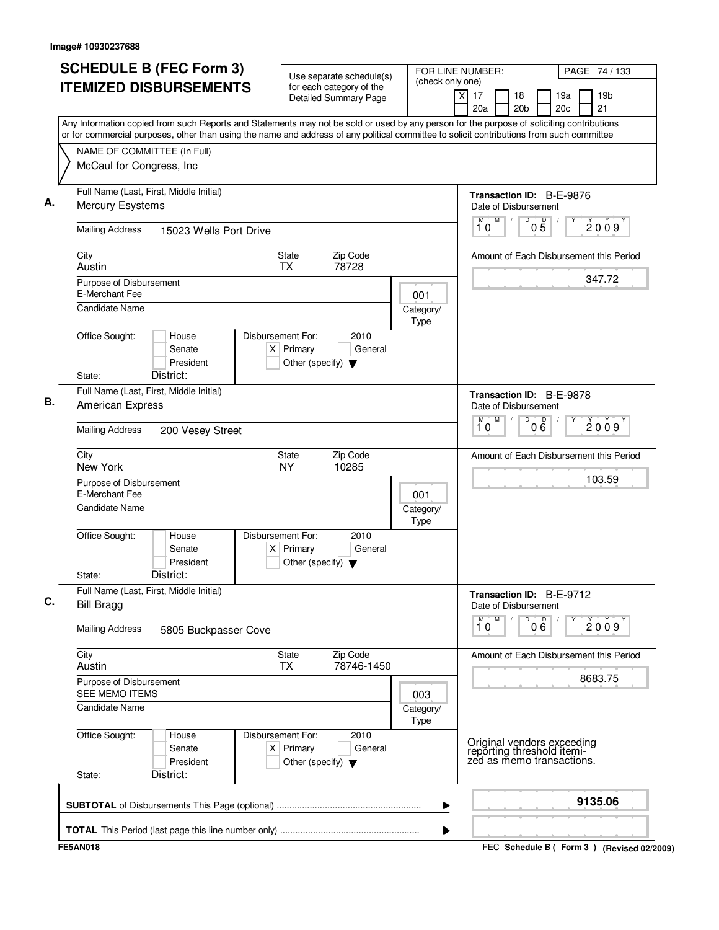| <b>SCHEDULE B (FEC Form 3)</b>                                                                                                                                                                                                                                                         | Use separate schedule(s)                                                                    | (check only one)  | FOR LINE NUMBER: |                                                                                       |     |            | PAGE 74 / 133                               |
|----------------------------------------------------------------------------------------------------------------------------------------------------------------------------------------------------------------------------------------------------------------------------------------|---------------------------------------------------------------------------------------------|-------------------|------------------|---------------------------------------------------------------------------------------|-----|------------|---------------------------------------------|
| <b>ITEMIZED DISBURSEMENTS</b>                                                                                                                                                                                                                                                          | for each category of the<br>$\overline{\mathsf{x}}$<br><b>Detailed Summary Page</b>         |                   |                  |                                                                                       |     | 19a<br>20c | 19 <sub>b</sub><br>21                       |
| Any Information copied from such Reports and Statements may not be sold or used by any person for the purpose of soliciting contributions<br>or for commercial purposes, other than using the name and address of any political committee to solicit contributions from such committee |                                                                                             |                   |                  |                                                                                       |     |            |                                             |
| NAME OF COMMITTEE (In Full)                                                                                                                                                                                                                                                            |                                                                                             |                   |                  |                                                                                       |     |            |                                             |
| McCaul for Congress, Inc                                                                                                                                                                                                                                                               |                                                                                             |                   |                  |                                                                                       |     |            |                                             |
|                                                                                                                                                                                                                                                                                        |                                                                                             |                   |                  |                                                                                       |     |            |                                             |
| Full Name (Last, First, Middle Initial)                                                                                                                                                                                                                                                |                                                                                             |                   |                  | Transaction ID: B-E-9876                                                              |     |            |                                             |
| Mercury Esystems                                                                                                                                                                                                                                                                       |                                                                                             |                   |                  | Date of Disbursement                                                                  |     |            |                                             |
| <b>Mailing Address</b><br>15023 Wells Port Drive                                                                                                                                                                                                                                       |                                                                                             |                   | M<br>10          | M<br>D                                                                                | 05  |            | 2009                                        |
| City                                                                                                                                                                                                                                                                                   | Zip Code<br><b>State</b>                                                                    |                   |                  |                                                                                       |     |            | Amount of Each Disbursement this Period     |
| Austin                                                                                                                                                                                                                                                                                 | <b>TX</b><br>78728                                                                          |                   |                  |                                                                                       |     |            | 347.72                                      |
| Purpose of Disbursement<br>E-Merchant Fee                                                                                                                                                                                                                                              |                                                                                             | 001               |                  |                                                                                       |     |            |                                             |
| <b>Candidate Name</b>                                                                                                                                                                                                                                                                  |                                                                                             | Category/         |                  |                                                                                       |     |            |                                             |
|                                                                                                                                                                                                                                                                                        |                                                                                             | Type              |                  |                                                                                       |     |            |                                             |
| Office Sought:<br>House<br>Senate<br>President                                                                                                                                                                                                                                         | Disbursement For:<br>2010<br>$X$ Primary<br>General<br>Other (specify) $\blacktriangledown$ |                   |                  |                                                                                       |     |            |                                             |
| District:<br>State:                                                                                                                                                                                                                                                                    |                                                                                             |                   |                  |                                                                                       |     |            |                                             |
| Full Name (Last, First, Middle Initial)                                                                                                                                                                                                                                                |                                                                                             |                   |                  | Transaction ID: B-E-9878                                                              |     |            |                                             |
| American Express                                                                                                                                                                                                                                                                       |                                                                                             |                   |                  | Date of Disbursement                                                                  |     |            |                                             |
| <b>Mailing Address</b><br>200 Vesey Street                                                                                                                                                                                                                                             |                                                                                             |                   | м<br>10          | M<br>D                                                                                | 000 |            | 2009                                        |
| City<br>New York                                                                                                                                                                                                                                                                       | Zip Code<br>State<br><b>NY</b><br>10285                                                     |                   |                  |                                                                                       |     |            | Amount of Each Disbursement this Period     |
| Purpose of Disbursement<br>E-Merchant Fee                                                                                                                                                                                                                                              |                                                                                             | 001               |                  |                                                                                       |     |            | 103.59                                      |
| Candidate Name                                                                                                                                                                                                                                                                         |                                                                                             | Category/<br>Type |                  |                                                                                       |     |            |                                             |
| Office Sought:<br>House<br>Senate<br>President<br>District:<br>State:                                                                                                                                                                                                                  | Disbursement For:<br>2010<br>$X$ Primary<br>General<br>Other (specify) $\blacktriangledown$ |                   |                  |                                                                                       |     |            |                                             |
| Full Name (Last, First, Middle Initial)<br><b>Bill Bragg</b>                                                                                                                                                                                                                           |                                                                                             |                   |                  | Transaction ID: B-E-9712<br>Date of Disbursement                                      |     |            |                                             |
| <b>Mailing Address</b><br>5805 Buckpasser Cove                                                                                                                                                                                                                                         |                                                                                             |                   | M<br>М<br>10     | D                                                                                     | 000 | Υ          | 2009                                        |
| City<br>Austin                                                                                                                                                                                                                                                                         | State<br>Zip Code<br><b>TX</b><br>78746-1450                                                |                   |                  |                                                                                       |     |            | Amount of Each Disbursement this Period     |
| Purpose of Disbursement<br>SEE MEMO ITEMS                                                                                                                                                                                                                                              |                                                                                             | 003               |                  |                                                                                       |     |            | 8683.75                                     |
| <b>Candidate Name</b>                                                                                                                                                                                                                                                                  |                                                                                             | Category/<br>Type |                  |                                                                                       |     |            |                                             |
| Office Sought:<br>House<br>Senate<br>President<br>District:<br>State:                                                                                                                                                                                                                  | Disbursement For:<br>2010<br>$X$ Primary<br>General<br>Other (specify) $\blacktriangledown$ |                   |                  | Original vendors exceeding<br>reporting threshold itemi-<br>zed as memo transactions. |     |            |                                             |
|                                                                                                                                                                                                                                                                                        |                                                                                             | ▶                 |                  |                                                                                       |     |            | 9135.06                                     |
|                                                                                                                                                                                                                                                                                        |                                                                                             | ▶                 |                  |                                                                                       |     |            |                                             |
| <b>FE5AN018</b>                                                                                                                                                                                                                                                                        |                                                                                             |                   |                  |                                                                                       |     |            | FEC Schedule B ( Form 3 ) (Revised 02/2009) |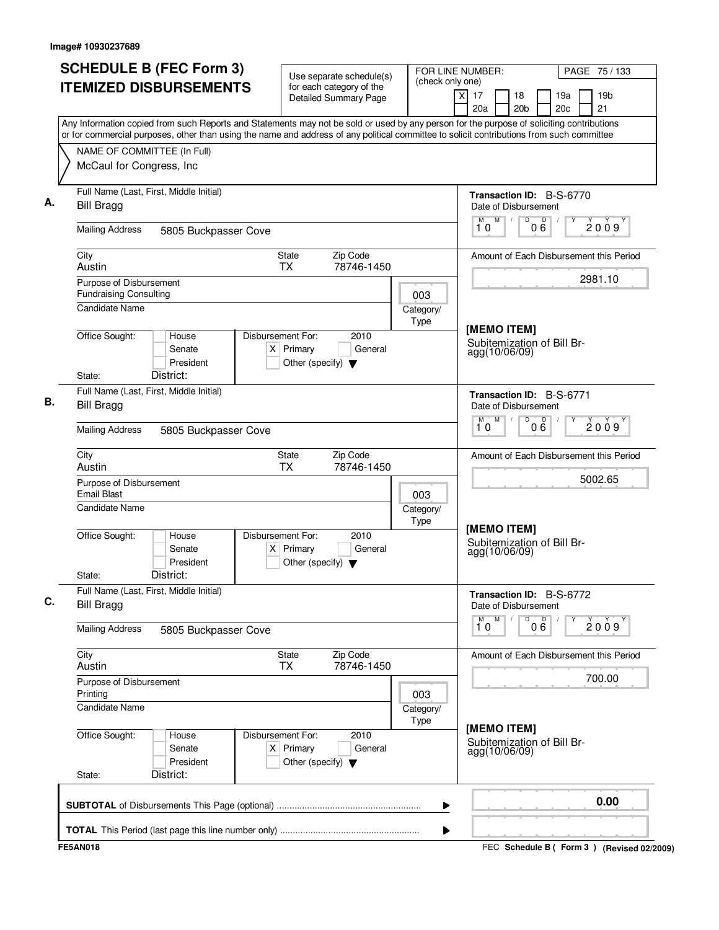| <b>SCHEDULE B (FEC Form 3)</b>                                                                                                            | Use separate schedule(s)                                                                    | FOR LINE NUMBER:                            |                                                            | PAGE 75 / 133                                   |
|-------------------------------------------------------------------------------------------------------------------------------------------|---------------------------------------------------------------------------------------------|---------------------------------------------|------------------------------------------------------------|-------------------------------------------------|
| <b>ITEMIZED DISBURSEMENTS</b>                                                                                                             | for each category of the<br><b>Detailed Summary Page</b>                                    | (check only one)<br>$\overline{\mathsf{x}}$ | 17<br>18<br>20 <sub>b</sub><br>20a                         | 19 <sub>b</sub><br>19a<br>20 <sub>c</sub><br>21 |
| Any Information copied from such Reports and Statements may not be sold or used by any person for the purpose of soliciting contributions |                                                                                             |                                             |                                                            |                                                 |
| or for commercial purposes, other than using the name and address of any political committee to solicit contributions from such committee |                                                                                             |                                             |                                                            |                                                 |
| NAME OF COMMITTEE (In Full)<br>McCaul for Congress, Inc.                                                                                  |                                                                                             |                                             |                                                            |                                                 |
| Full Name (Last, First, Middle Initial)<br><b>Bill Bragg</b>                                                                              |                                                                                             |                                             | Transaction ID: B-S-6770<br>Date of Disbursement           |                                                 |
| <b>Mailing Address</b><br>5805 Buckpasser Cove                                                                                            |                                                                                             |                                             | M<br>D<br>000<br>М<br>10                                   | 2009                                            |
| City<br>Austin                                                                                                                            | State<br>Zip Code<br><b>TX</b><br>78746-1450                                                |                                             |                                                            | Amount of Each Disbursement this Period         |
| Purpose of Disbursement<br><b>Fundraising Consulting</b>                                                                                  |                                                                                             | 003                                         |                                                            | 2981.10                                         |
| Candidate Name                                                                                                                            |                                                                                             | Category/<br>Type                           | [MEMO ITEM]                                                |                                                 |
| Office Sought:<br>House<br>Senate<br>President<br>District:<br>State:                                                                     | Disbursement For:<br>2010<br>$X$ Primary<br>General<br>Other (specify) $\blacktriangledown$ |                                             | Subitemization of Bill Br-<br>agg(10/06/09)                |                                                 |
| Full Name (Last, First, Middle Initial)                                                                                                   |                                                                                             |                                             | <b>Transaction ID: B-S-6771</b>                            |                                                 |
| <b>Bill Bragg</b>                                                                                                                         |                                                                                             |                                             | Date of Disbursement<br>$\overline{D}$<br>M<br>M           |                                                 |
| <b>Mailing Address</b><br>5805 Buckpasser Cove                                                                                            |                                                                                             |                                             | 000<br>10                                                  | 2009                                            |
| City<br>Austin                                                                                                                            | Zip Code<br><b>State</b><br>78746-1450<br><b>TX</b>                                         |                                             |                                                            | Amount of Each Disbursement this Period         |
| Purpose of Disbursement<br><b>Email Blast</b>                                                                                             |                                                                                             | 003                                         |                                                            | 5002.65                                         |
| Candidate Name                                                                                                                            |                                                                                             | Category/<br>Type                           |                                                            |                                                 |
| Office Sought:<br>House<br>Senate<br>President<br>District:<br>State:                                                                     | Disbursement For:<br>2010<br>$X$ Primary<br>General<br>Other (specify) $\blacktriangledown$ |                                             | [MEMO ITEM]<br>Subitemization of Bill Br-<br>agg(10/06/09) |                                                 |
| Full Name (Last, First, Middle Initial)<br><b>Bill Bragg</b>                                                                              |                                                                                             |                                             | Transaction ID: B-S-6772<br>Date of Disbursement           |                                                 |
| <b>Mailing Address</b><br>5805 Buckpasser Cove                                                                                            |                                                                                             |                                             | M<br>M<br>D<br>000<br>10                                   | Υ<br>2009                                       |
| City<br>Austin                                                                                                                            | Zip Code<br>State<br><b>TX</b><br>78746-1450                                                |                                             |                                                            | Amount of Each Disbursement this Period         |
| Purpose of Disbursement<br>Printing                                                                                                       |                                                                                             | 003                                         |                                                            | 700.00                                          |
| <b>Candidate Name</b>                                                                                                                     |                                                                                             | Category/<br>Type                           |                                                            |                                                 |
| Office Sought:<br>House<br>Senate<br>President<br>District:<br>State:                                                                     | Disbursement For:<br>2010<br>$X$ Primary<br>General<br>Other (specify) $\blacktriangledown$ |                                             | [MEMO ITEM]<br>Subitemization of Bill Br-<br>agg(10/06/09) |                                                 |
|                                                                                                                                           |                                                                                             | ▶                                           |                                                            | 0.00                                            |
|                                                                                                                                           |                                                                                             | ▶                                           |                                                            |                                                 |
| <b>FE5AN018</b>                                                                                                                           |                                                                                             |                                             |                                                            | FEC Schedule B ( Form 3 ) (Revised 02/2009)     |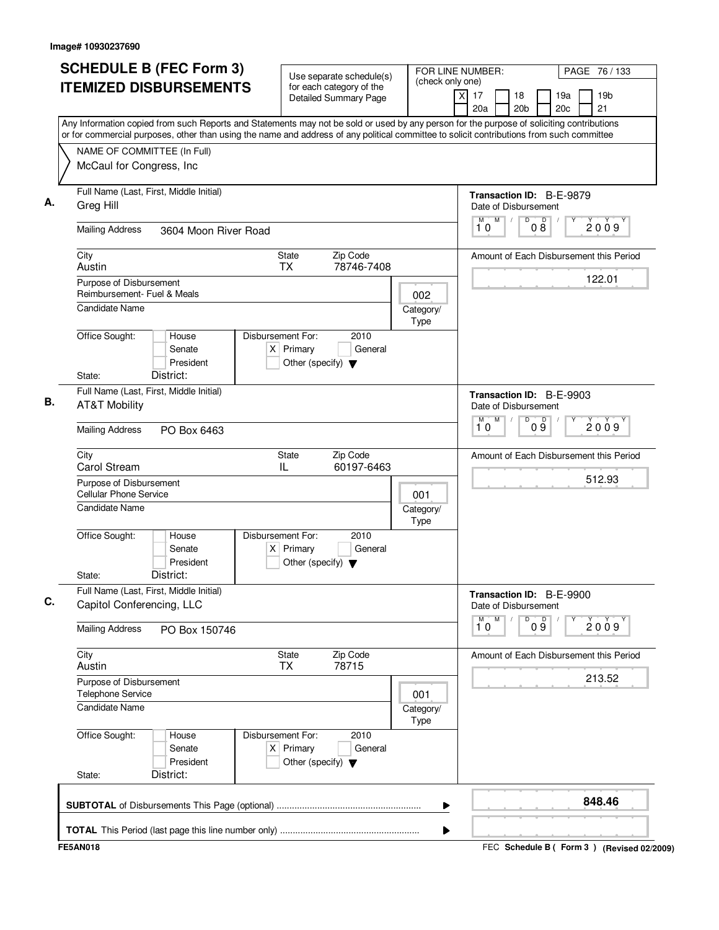| <b>SCHEDULE B (FEC Form 3)</b><br><b>ITEMIZED DISBURSEMENTS</b>                                                                                                                                                                                                                        | Use separate schedule(s)<br>for each category of the                                        | FOR LINE NUMBER:<br>(check only one) | PAGE 76 / 133                                                                   |
|----------------------------------------------------------------------------------------------------------------------------------------------------------------------------------------------------------------------------------------------------------------------------------------|---------------------------------------------------------------------------------------------|--------------------------------------|---------------------------------------------------------------------------------|
|                                                                                                                                                                                                                                                                                        | <b>Detailed Summary Page</b>                                                                |                                      | 19 <sub>b</sub><br>xl<br>17<br>18<br>19a<br>21<br>20a<br>20 <sub>b</sub><br>20c |
| Any Information copied from such Reports and Statements may not be sold or used by any person for the purpose of soliciting contributions<br>or for commercial purposes, other than using the name and address of any political committee to solicit contributions from such committee |                                                                                             |                                      |                                                                                 |
| NAME OF COMMITTEE (In Full)                                                                                                                                                                                                                                                            |                                                                                             |                                      |                                                                                 |
| McCaul for Congress, Inc                                                                                                                                                                                                                                                               |                                                                                             |                                      |                                                                                 |
| Full Name (Last, First, Middle Initial)<br>Greg Hill                                                                                                                                                                                                                                   |                                                                                             |                                      | Transaction ID: B-E-9879<br>Date of Disbursement                                |
| <b>Mailing Address</b><br>3604 Moon River Road                                                                                                                                                                                                                                         |                                                                                             |                                      | D<br>08<br>M<br>M<br>2009<br>10                                                 |
| City<br>Austin                                                                                                                                                                                                                                                                         | State<br>Zip Code<br>78746-7408<br><b>TX</b>                                                |                                      | Amount of Each Disbursement this Period                                         |
| Purpose of Disbursement<br>Reimbursement- Fuel & Meals                                                                                                                                                                                                                                 |                                                                                             | 002                                  | 122.01                                                                          |
| Candidate Name                                                                                                                                                                                                                                                                         |                                                                                             | Category/<br>Type                    |                                                                                 |
| Office Sought:<br>House<br>Senate<br>President                                                                                                                                                                                                                                         | Disbursement For:<br>2010<br>$X$ Primary<br>General<br>Other (specify) $\blacktriangledown$ |                                      |                                                                                 |
| District:<br>State:                                                                                                                                                                                                                                                                    |                                                                                             |                                      |                                                                                 |
| Full Name (Last, First, Middle Initial)<br><b>AT&amp;T Mobility</b>                                                                                                                                                                                                                    |                                                                                             |                                      | Transaction ID: B-E-9903<br>Date of Disbursement                                |
| <b>Mailing Address</b><br>PO Box 6463                                                                                                                                                                                                                                                  |                                                                                             |                                      | $\overline{D}$<br>M<br>09<br>M<br>2009<br>10                                    |
| City<br><b>Carol Stream</b>                                                                                                                                                                                                                                                            | Zip Code<br>State<br>IL<br>60197-6463                                                       |                                      | Amount of Each Disbursement this Period                                         |
| Purpose of Disbursement<br><b>Cellular Phone Service</b>                                                                                                                                                                                                                               |                                                                                             | 001                                  | 512.93                                                                          |
| <b>Candidate Name</b>                                                                                                                                                                                                                                                                  |                                                                                             | Category/<br>Type                    |                                                                                 |
| Office Sought:<br>House<br>Senate<br>President                                                                                                                                                                                                                                         | Disbursement For:<br>2010<br>$X$ Primary<br>General<br>Other (specify) $\blacktriangledown$ |                                      |                                                                                 |
| District:<br>State:                                                                                                                                                                                                                                                                    |                                                                                             |                                      |                                                                                 |
| Full Name (Last, First, Middle Initial)<br>Capitol Conferencing, LLC                                                                                                                                                                                                                   |                                                                                             |                                      | Transaction ID: B-E-9900<br>Date of Disbursement                                |
| <b>Mailing Address</b><br>PO Box 150746                                                                                                                                                                                                                                                |                                                                                             |                                      | $\overline{1}^M$ 0<br>M<br>D<br>09<br>2009                                      |
| City<br>Austin                                                                                                                                                                                                                                                                         | State<br>Zip Code<br>78715<br><b>TX</b>                                                     |                                      | Amount of Each Disbursement this Period                                         |
| Purpose of Disbursement<br>Telephone Service                                                                                                                                                                                                                                           |                                                                                             | 001                                  | 213.52                                                                          |
| <b>Candidate Name</b>                                                                                                                                                                                                                                                                  |                                                                                             | Category/<br>Type                    |                                                                                 |
| Office Sought:<br>House<br>Senate<br>President                                                                                                                                                                                                                                         | Disbursement For:<br>2010<br>$X$ Primary<br>General<br>Other (specify) $\blacktriangledown$ |                                      |                                                                                 |
| District:<br>State:                                                                                                                                                                                                                                                                    |                                                                                             |                                      |                                                                                 |
|                                                                                                                                                                                                                                                                                        |                                                                                             | ▶                                    | 848.46                                                                          |
|                                                                                                                                                                                                                                                                                        |                                                                                             |                                      |                                                                                 |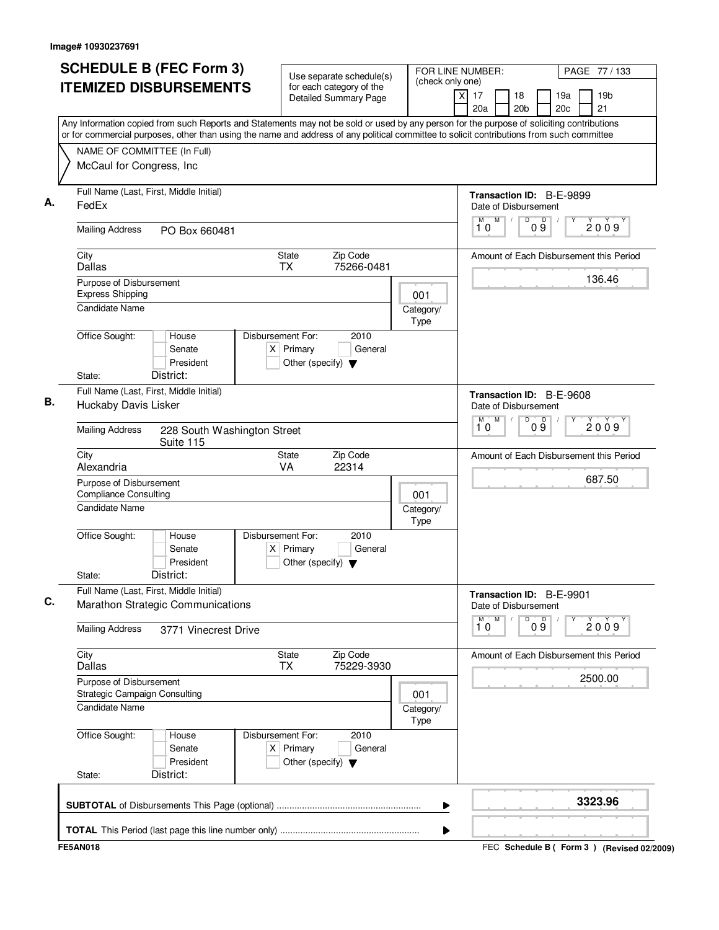| <b>SCHEDULE B (FEC Form 3)</b>                                                                                                                                                                                                                                                         | Use separate schedule(s)                                                                    | FOR LINE NUMBER:  | PAGE 77 / 133                                                                   |
|----------------------------------------------------------------------------------------------------------------------------------------------------------------------------------------------------------------------------------------------------------------------------------------|---------------------------------------------------------------------------------------------|-------------------|---------------------------------------------------------------------------------|
| <b>ITEMIZED DISBURSEMENTS</b>                                                                                                                                                                                                                                                          | for each category of the<br><b>Detailed Summary Page</b>                                    | (check only one)  | 17<br>18<br>19a<br>19 <sub>b</sub><br>ΧI<br>20a<br>20 <sub>b</sub><br>20c<br>21 |
| Any Information copied from such Reports and Statements may not be sold or used by any person for the purpose of soliciting contributions<br>or for commercial purposes, other than using the name and address of any political committee to solicit contributions from such committee |                                                                                             |                   |                                                                                 |
| NAME OF COMMITTEE (In Full)                                                                                                                                                                                                                                                            |                                                                                             |                   |                                                                                 |
| McCaul for Congress, Inc                                                                                                                                                                                                                                                               |                                                                                             |                   |                                                                                 |
| Full Name (Last, First, Middle Initial)<br>FedEx                                                                                                                                                                                                                                       |                                                                                             |                   | Transaction ID: B-E-9899<br>Date of Disbursement                                |
| <b>Mailing Address</b><br>PO Box 660481                                                                                                                                                                                                                                                |                                                                                             |                   | D<br>M<br>$0\overset{D}{9}$<br>М<br>2009<br>10                                  |
| City<br>Dallas                                                                                                                                                                                                                                                                         | <b>State</b><br>Zip Code<br><b>TX</b><br>75266-0481                                         |                   | Amount of Each Disbursement this Period                                         |
| Purpose of Disbursement<br><b>Express Shipping</b>                                                                                                                                                                                                                                     |                                                                                             | 001               | 136.46                                                                          |
| Candidate Name                                                                                                                                                                                                                                                                         |                                                                                             | Category/<br>Type |                                                                                 |
| Office Sought:<br>House<br>Senate<br>President<br>District:                                                                                                                                                                                                                            | Disbursement For:<br>2010<br>$X$ Primary<br>General<br>Other (specify) $\blacktriangledown$ |                   |                                                                                 |
| State:<br>Full Name (Last, First, Middle Initial)                                                                                                                                                                                                                                      |                                                                                             |                   |                                                                                 |
| Huckaby Davis Lisker                                                                                                                                                                                                                                                                   |                                                                                             |                   | Transaction ID: B-E-9608<br>Date of Disbursement                                |
| <b>Mailing Address</b><br>228 South Washington Street<br>Suite 115                                                                                                                                                                                                                     |                                                                                             |                   | $\overline{D}$<br>M<br>09<br>м<br>2009<br>10                                    |
| City<br>Alexandria                                                                                                                                                                                                                                                                     | <b>State</b><br>Zip Code<br>22314<br><b>VA</b>                                              |                   | Amount of Each Disbursement this Period                                         |
| Purpose of Disbursement<br><b>Compliance Consulting</b>                                                                                                                                                                                                                                |                                                                                             | 001               | 687.50                                                                          |
| <b>Candidate Name</b>                                                                                                                                                                                                                                                                  |                                                                                             | Category/<br>Type |                                                                                 |
| Office Sought:<br>House<br>Senate<br>President<br>District:<br>State:                                                                                                                                                                                                                  | Disbursement For:<br>2010<br>$X$ Primary<br>General<br>Other (specify) $\blacktriangledown$ |                   |                                                                                 |
| Full Name (Last, First, Middle Initial)                                                                                                                                                                                                                                                |                                                                                             |                   | Transaction ID: B-E-9901                                                        |
| Marathon Strategic Communications                                                                                                                                                                                                                                                      |                                                                                             |                   | Date of Disbursement<br>${\sf M}$<br>D<br>M                                     |
| <b>Mailing Address</b><br>3771 Vinecrest Drive                                                                                                                                                                                                                                         |                                                                                             |                   | 09<br>Υ<br>2009<br>10                                                           |
| City<br><b>Dallas</b>                                                                                                                                                                                                                                                                  | State<br>Zip Code<br><b>TX</b><br>75229-3930                                                |                   | Amount of Each Disbursement this Period                                         |
| Purpose of Disbursement<br>Strategic Campaign Consulting                                                                                                                                                                                                                               |                                                                                             | 001               | 2500.00                                                                         |
| Candidate Name                                                                                                                                                                                                                                                                         |                                                                                             | Category/<br>Type |                                                                                 |
| Office Sought:<br>House<br>Senate<br>President                                                                                                                                                                                                                                         | Disbursement For:<br>2010<br>$X$ Primary<br>General<br>Other (specify) $\blacktriangledown$ |                   |                                                                                 |
| District:<br>State:                                                                                                                                                                                                                                                                    |                                                                                             |                   |                                                                                 |
|                                                                                                                                                                                                                                                                                        |                                                                                             |                   | 3323.96                                                                         |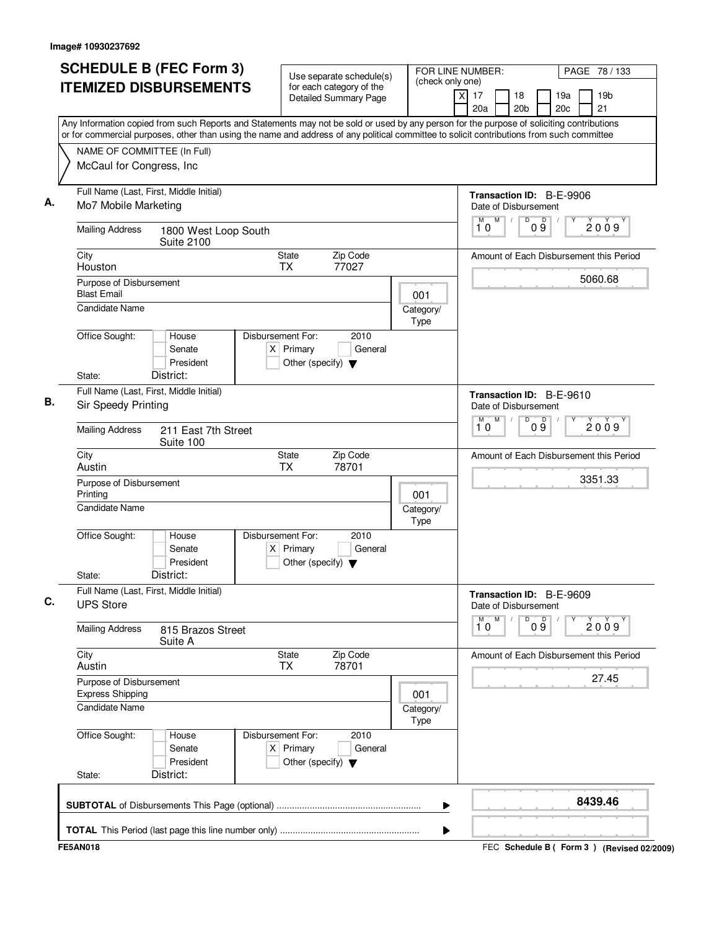|                                                    | <b>SCHEDULE B (FEC Form 3)</b><br><b>ITEMIZED DISBURSEMENTS</b>                                                                                                                                                                                                                        | Use separate schedule(s)<br>for each category of the<br><b>Detailed Summary Page</b>        | FOR LINE NUMBER:<br>(check only one) | $\times$<br>17<br>18<br>19a<br>20a<br>20 <sub>b</sub><br>20c      | PAGE 78 / 133<br>19 <sub>b</sub><br>21 |
|----------------------------------------------------|----------------------------------------------------------------------------------------------------------------------------------------------------------------------------------------------------------------------------------------------------------------------------------------|---------------------------------------------------------------------------------------------|--------------------------------------|-------------------------------------------------------------------|----------------------------------------|
|                                                    | Any Information copied from such Reports and Statements may not be sold or used by any person for the purpose of soliciting contributions<br>or for commercial purposes, other than using the name and address of any political committee to solicit contributions from such committee |                                                                                             |                                      |                                                                   |                                        |
| NAME OF COMMITTEE (In Full)                        |                                                                                                                                                                                                                                                                                        |                                                                                             |                                      |                                                                   |                                        |
| McCaul for Congress, Inc                           |                                                                                                                                                                                                                                                                                        |                                                                                             |                                      |                                                                   |                                        |
| Mo7 Mobile Marketing                               | Full Name (Last, First, Middle Initial)                                                                                                                                                                                                                                                |                                                                                             |                                      | Transaction ID: B-E-9906<br>Date of Disbursement                  |                                        |
| <b>Mailing Address</b>                             | 1800 West Loop South<br><b>Suite 2100</b>                                                                                                                                                                                                                                              |                                                                                             |                                      | M<br>$\overline{D}$<br>$\mathsf D$<br>M<br>$\sqrt{2}$<br>09<br>10 | 2009                                   |
| City<br>Houston                                    |                                                                                                                                                                                                                                                                                        | State<br>Zip Code<br><b>TX</b><br>77027                                                     |                                      | Amount of Each Disbursement this Period                           |                                        |
| Purpose of Disbursement<br><b>Blast Email</b>      |                                                                                                                                                                                                                                                                                        |                                                                                             | 001                                  |                                                                   | 5060.68                                |
| Candidate Name                                     |                                                                                                                                                                                                                                                                                        |                                                                                             | Category/<br>Type                    |                                                                   |                                        |
| Office Sought:                                     | House<br>Senate<br>President                                                                                                                                                                                                                                                           | Disbursement For:<br>2010<br>$X$ Primary<br>General<br>Other (specify) $\blacktriangledown$ |                                      |                                                                   |                                        |
| State:                                             | District:                                                                                                                                                                                                                                                                              |                                                                                             |                                      |                                                                   |                                        |
| Sir Speedy Printing                                | Full Name (Last, First, Middle Initial)                                                                                                                                                                                                                                                |                                                                                             |                                      | Transaction ID: B-E-9610<br>Date of Disbursement<br>M<br>M        |                                        |
| <b>Mailing Address</b>                             | 211 East 7th Street<br>Suite 100                                                                                                                                                                                                                                                       |                                                                                             |                                      | D<br>09<br>10                                                     | 2009                                   |
| City<br>Austin                                     |                                                                                                                                                                                                                                                                                        | Zip Code<br>State<br><b>TX</b><br>78701                                                     |                                      | Amount of Each Disbursement this Period                           |                                        |
| Purpose of Disbursement<br>Printing                |                                                                                                                                                                                                                                                                                        |                                                                                             | 001                                  |                                                                   | 3351.33                                |
| Candidate Name                                     |                                                                                                                                                                                                                                                                                        |                                                                                             | Category/<br>Type                    |                                                                   |                                        |
| Office Sought:                                     | House<br>Senate<br>President                                                                                                                                                                                                                                                           | Disbursement For:<br>2010<br>$X$ Primary<br>General<br>Other (specify) $\blacktriangledown$ |                                      |                                                                   |                                        |
| State:                                             | District:                                                                                                                                                                                                                                                                              |                                                                                             |                                      |                                                                   |                                        |
| <b>UPS Store</b>                                   | Full Name (Last, First, Middle Initial)                                                                                                                                                                                                                                                |                                                                                             |                                      | Transaction ID: B-E-9609<br>Date of Disbursement                  |                                        |
| <b>Mailing Address</b>                             | 815 Brazos Street<br>Suite A                                                                                                                                                                                                                                                           |                                                                                             |                                      | M<br>D<br>M<br>09<br>10                                           | 2009                                   |
| City<br>Austin                                     |                                                                                                                                                                                                                                                                                        | State<br>Zip Code<br>78701<br>TX                                                            |                                      | Amount of Each Disbursement this Period                           |                                        |
| Purpose of Disbursement<br><b>Express Shipping</b> |                                                                                                                                                                                                                                                                                        |                                                                                             | 001                                  |                                                                   | 27.45                                  |
| Candidate Name                                     |                                                                                                                                                                                                                                                                                        |                                                                                             | Category/<br>Type                    |                                                                   |                                        |
| Office Sought:                                     | House<br>Senate<br>President                                                                                                                                                                                                                                                           | Disbursement For:<br>2010<br>$X$ Primary<br>General<br>Other (specify) $\blacktriangledown$ |                                      |                                                                   |                                        |
| State:                                             | District:                                                                                                                                                                                                                                                                              |                                                                                             |                                      |                                                                   |                                        |
|                                                    |                                                                                                                                                                                                                                                                                        |                                                                                             | ▶                                    |                                                                   | 8439.46                                |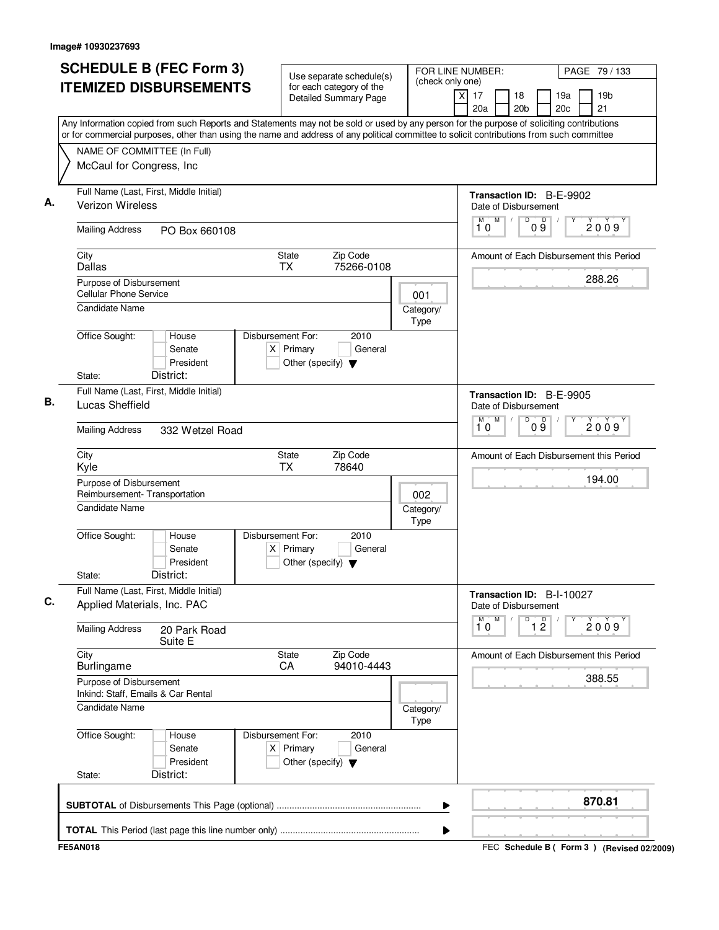| <b>ITEMIZED DISBURSEMENTS</b><br>or for commercial purposes, other than using the name and address of any political committee to solicit contributions from such committee<br>NAME OF COMMITTEE (In Full)<br>McCaul for Congress, Inc<br>Full Name (Last, First, Middle Initial)<br>Verizon Wireless |                 |                                                                          | for each category of the<br><b>Detailed Summary Page</b> |                   | 19 <sub>b</sub><br>xl<br>17<br>18<br>19a<br>20a<br>20 <sub>b</sub><br>20c<br>21<br>Any Information copied from such Reports and Statements may not be sold or used by any person for the purpose of soliciting contributions |
|------------------------------------------------------------------------------------------------------------------------------------------------------------------------------------------------------------------------------------------------------------------------------------------------------|-----------------|--------------------------------------------------------------------------|----------------------------------------------------------|-------------------|------------------------------------------------------------------------------------------------------------------------------------------------------------------------------------------------------------------------------|
|                                                                                                                                                                                                                                                                                                      |                 |                                                                          |                                                          |                   |                                                                                                                                                                                                                              |
|                                                                                                                                                                                                                                                                                                      |                 |                                                                          |                                                          |                   |                                                                                                                                                                                                                              |
|                                                                                                                                                                                                                                                                                                      |                 |                                                                          |                                                          |                   |                                                                                                                                                                                                                              |
|                                                                                                                                                                                                                                                                                                      |                 |                                                                          |                                                          |                   |                                                                                                                                                                                                                              |
|                                                                                                                                                                                                                                                                                                      |                 |                                                                          |                                                          |                   | Transaction ID: B-E-9902<br>Date of Disbursement                                                                                                                                                                             |
| <b>Mailing Address</b>                                                                                                                                                                                                                                                                               | PO Box 660108   |                                                                          |                                                          |                   | D<br>09<br>M<br>M<br>2009<br>10                                                                                                                                                                                              |
| City<br>Dallas                                                                                                                                                                                                                                                                                       |                 | State<br><b>TX</b>                                                       | Zip Code<br>75266-0108                                   |                   | Amount of Each Disbursement this Period                                                                                                                                                                                      |
| Purpose of Disbursement<br><b>Cellular Phone Service</b>                                                                                                                                                                                                                                             |                 |                                                                          |                                                          | 001               | 288.26                                                                                                                                                                                                                       |
| <b>Candidate Name</b>                                                                                                                                                                                                                                                                                |                 |                                                                          |                                                          | Category/<br>Type |                                                                                                                                                                                                                              |
| Office Sought:<br>House<br>Senate                                                                                                                                                                                                                                                                    | President       | Disbursement For:<br>$X$ Primary<br>Other (specify) $\blacktriangledown$ | 2010<br>General                                          |                   |                                                                                                                                                                                                                              |
| District:<br>State:                                                                                                                                                                                                                                                                                  |                 |                                                                          |                                                          |                   |                                                                                                                                                                                                                              |
| Full Name (Last, First, Middle Initial)<br>Lucas Sheffield                                                                                                                                                                                                                                           |                 |                                                                          |                                                          |                   | Transaction ID: B-E-9905<br>Date of Disbursement                                                                                                                                                                             |
| <b>Mailing Address</b>                                                                                                                                                                                                                                                                               | 332 Wetzel Road |                                                                          |                                                          |                   | $\overline{D}$<br>M<br>09<br>M<br>2009<br>10                                                                                                                                                                                 |
| City<br>Kyle                                                                                                                                                                                                                                                                                         |                 | State<br><b>TX</b>                                                       | Zip Code<br>78640                                        |                   | Amount of Each Disbursement this Period                                                                                                                                                                                      |
| Purpose of Disbursement<br>Reimbursement- Transportation                                                                                                                                                                                                                                             |                 |                                                                          |                                                          | 002               | 194.00                                                                                                                                                                                                                       |
| Candidate Name                                                                                                                                                                                                                                                                                       |                 |                                                                          |                                                          | Category/<br>Type |                                                                                                                                                                                                                              |
| Office Sought:<br>House<br>Senate<br>District:<br>State:                                                                                                                                                                                                                                             | President       | Disbursement For:<br>$X$ Primary<br>Other (specify) $\blacktriangledown$ | 2010<br>General                                          |                   |                                                                                                                                                                                                                              |
| Full Name (Last, First, Middle Initial)<br>Applied Materials, Inc. PAC                                                                                                                                                                                                                               |                 |                                                                          |                                                          |                   | Transaction ID: B-I-10027<br>Date of Disbursement                                                                                                                                                                            |
| <b>Mailing Address</b><br>Suite E                                                                                                                                                                                                                                                                    | 20 Park Road    |                                                                          |                                                          |                   | M<br>$\overline{\mathbf{1}^M \mathbf{0}}$<br>D<br>$\overline{1}$ $\overline{2}$<br>2009                                                                                                                                      |
| City<br>Burlingame                                                                                                                                                                                                                                                                                   |                 | State<br>CA                                                              | Zip Code<br>94010-4443                                   |                   | Amount of Each Disbursement this Period                                                                                                                                                                                      |
| Purpose of Disbursement<br>Inkind: Staff, Emails & Car Rental                                                                                                                                                                                                                                        |                 |                                                                          |                                                          |                   | 388.55                                                                                                                                                                                                                       |
| <b>Candidate Name</b>                                                                                                                                                                                                                                                                                |                 |                                                                          |                                                          | Category/<br>Type |                                                                                                                                                                                                                              |
| Office Sought:<br>House<br>Senate                                                                                                                                                                                                                                                                    | President       | Disbursement For:<br>$X$ Primary<br>Other (specify) $\blacktriangledown$ | 2010<br>General                                          |                   |                                                                                                                                                                                                                              |
| District:<br>State:                                                                                                                                                                                                                                                                                  |                 |                                                                          |                                                          |                   |                                                                                                                                                                                                                              |
|                                                                                                                                                                                                                                                                                                      |                 |                                                                          |                                                          | ▶                 | 870.81                                                                                                                                                                                                                       |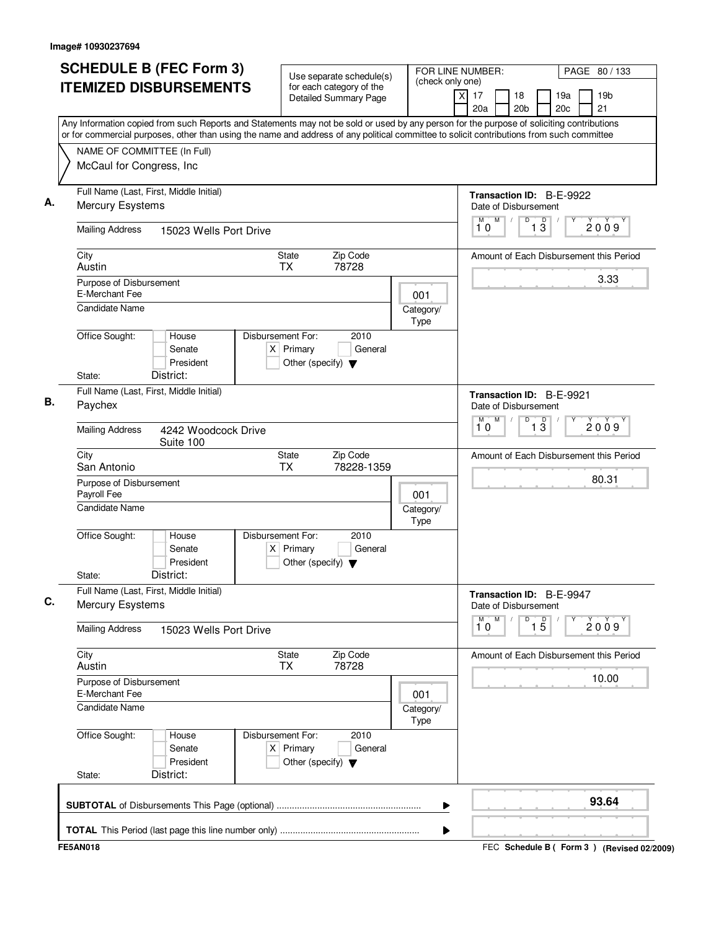| <b>SCHEDULE B (FEC Form 3)</b><br><b>ITEMIZED DISBURSEMENTS</b>                                                                                                                                                                                                                        | Use separate schedule(s)<br>for each category of the                                        | FOR LINE NUMBER:<br>(check only one) |                                                               | PAGE 80 / 133                                   |
|----------------------------------------------------------------------------------------------------------------------------------------------------------------------------------------------------------------------------------------------------------------------------------------|---------------------------------------------------------------------------------------------|--------------------------------------|---------------------------------------------------------------|-------------------------------------------------|
|                                                                                                                                                                                                                                                                                        | <b>Detailed Summary Page</b>                                                                |                                      | $\overline{\mathsf{x}}$<br>17<br>18<br>20a<br>20 <sub>b</sub> | 19a<br>19 <sub>b</sub><br>21<br>20 <sub>c</sub> |
| Any Information copied from such Reports and Statements may not be sold or used by any person for the purpose of soliciting contributions<br>or for commercial purposes, other than using the name and address of any political committee to solicit contributions from such committee |                                                                                             |                                      |                                                               |                                                 |
| NAME OF COMMITTEE (In Full)                                                                                                                                                                                                                                                            |                                                                                             |                                      |                                                               |                                                 |
| McCaul for Congress, Inc                                                                                                                                                                                                                                                               |                                                                                             |                                      |                                                               |                                                 |
| Full Name (Last, First, Middle Initial)<br>Mercury Esystems                                                                                                                                                                                                                            |                                                                                             |                                      | Date of Disbursement                                          | Transaction ID: B-E-9922                        |
| <b>Mailing Address</b><br>15023 Wells Port Drive                                                                                                                                                                                                                                       |                                                                                             |                                      | M<br>D<br>M<br>$\sqrt{2}$<br>10                               | $\mathsf D$<br>2009<br>13                       |
| City<br>Austin                                                                                                                                                                                                                                                                         | Zip Code<br>State<br>78728<br>TX                                                            |                                      |                                                               | Amount of Each Disbursement this Period         |
| Purpose of Disbursement<br>E-Merchant Fee                                                                                                                                                                                                                                              |                                                                                             | 001                                  |                                                               | 3.33                                            |
| Candidate Name                                                                                                                                                                                                                                                                         |                                                                                             | Category/<br>Type                    |                                                               |                                                 |
| Office Sought:<br>House<br>Senate<br>President<br>District:                                                                                                                                                                                                                            | Disbursement For:<br>2010<br>$X$ Primary<br>General<br>Other (specify) $\blacktriangledown$ |                                      |                                                               |                                                 |
| State:<br>Full Name (Last, First, Middle Initial)                                                                                                                                                                                                                                      |                                                                                             |                                      |                                                               |                                                 |
| Paychex                                                                                                                                                                                                                                                                                |                                                                                             |                                      | Date of Disbursement<br>M<br>D<br>М                           | Transaction ID: B-E-9921                        |
| <b>Mailing Address</b><br>4242 Woodcock Drive<br>Suite 100                                                                                                                                                                                                                             |                                                                                             |                                      | 10                                                            | $\overline{1\,3}$<br>2009                       |
| City<br>San Antonio                                                                                                                                                                                                                                                                    | Zip Code<br>State<br>TX<br>78228-1359                                                       |                                      |                                                               | Amount of Each Disbursement this Period         |
| Purpose of Disbursement<br>Payroll Fee                                                                                                                                                                                                                                                 |                                                                                             | 001                                  |                                                               | 80.31                                           |
| Candidate Name                                                                                                                                                                                                                                                                         |                                                                                             | Category/<br>Type                    |                                                               |                                                 |
| Office Sought:<br>House<br>Senate<br>President<br>District:<br>State:                                                                                                                                                                                                                  | Disbursement For:<br>2010<br>$X$ Primary<br>General<br>Other (specify) $\blacktriangledown$ |                                      |                                                               |                                                 |
| Full Name (Last, First, Middle Initial)<br>Mercury Esystems                                                                                                                                                                                                                            |                                                                                             |                                      | Date of Disbursement                                          | Transaction ID: B-E-9947                        |
| <b>Mailing Address</b><br>15023 Wells Port Drive                                                                                                                                                                                                                                       |                                                                                             |                                      | $\overline{1}^M$ 0<br>M<br>D                                  | $\overline{1\phantom{1}5}$<br>2009              |
| City<br>Austin                                                                                                                                                                                                                                                                         | State<br>Zip Code<br>78728<br><b>TX</b>                                                     |                                      |                                                               | Amount of Each Disbursement this Period         |
| Purpose of Disbursement<br>E-Merchant Fee                                                                                                                                                                                                                                              |                                                                                             | 001                                  |                                                               | 10.00                                           |
| <b>Candidate Name</b>                                                                                                                                                                                                                                                                  |                                                                                             | Category/<br>Type                    |                                                               |                                                 |
| Office Sought:<br>House<br>Senate<br>President<br>District:<br>State:                                                                                                                                                                                                                  | Disbursement For:<br>2010<br>$X$ Primary<br>General<br>Other (specify) $\blacktriangledown$ |                                      |                                                               |                                                 |
|                                                                                                                                                                                                                                                                                        |                                                                                             | ▶                                    |                                                               | 93.64                                           |
|                                                                                                                                                                                                                                                                                        |                                                                                             | ▶                                    |                                                               |                                                 |
| <b>FE5AN018</b>                                                                                                                                                                                                                                                                        |                                                                                             |                                      |                                                               | FEC Schedule B ( Form 3 ) (Revised 02/2009)     |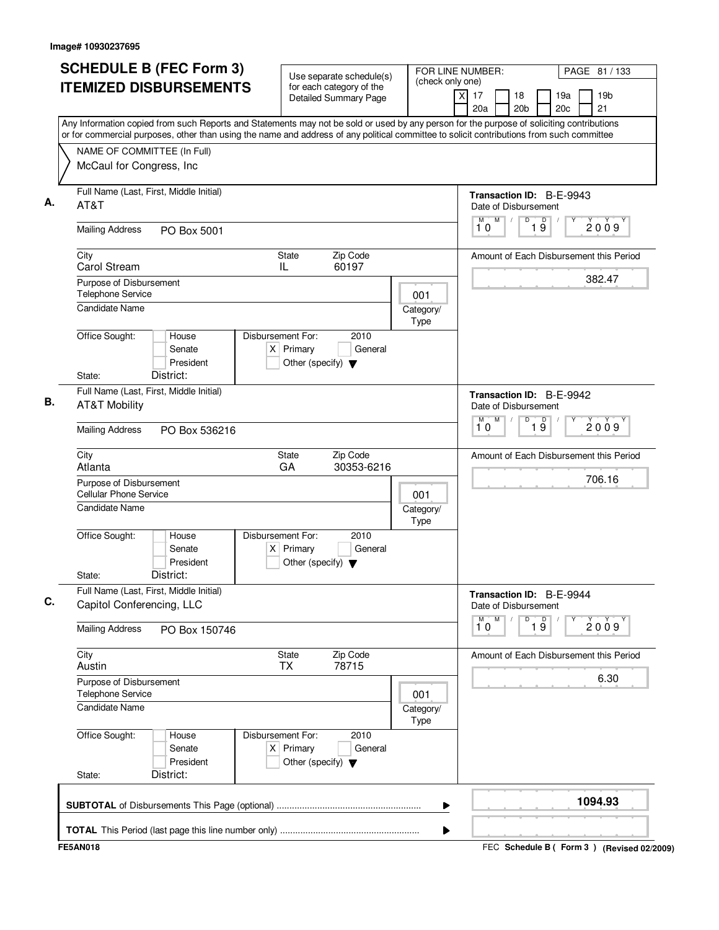| <b>ITEMIZED DISBURSEMENTS</b><br>for each category of the<br>19 <sub>b</sub><br>17<br>18<br>19a<br>Χ<br><b>Detailed Summary Page</b><br>20a<br>20 <sub>b</sub><br>20c<br>21<br>Any Information copied from such Reports and Statements may not be sold or used by any person for the purpose of soliciting contributions<br>or for commercial purposes, other than using the name and address of any political committee to solicit contributions from such committee<br>NAME OF COMMITTEE (In Full)<br>McCaul for Congress, Inc<br>Full Name (Last, First, Middle Initial)<br><b>Transaction ID: B-E-9943</b><br>AT&T<br>Date of Disbursement<br>M<br>D<br>M<br>D<br>2009<br>19<br>10<br><b>Mailing Address</b><br>PO Box 5001<br>Zip Code<br>State<br>City<br>Carol Stream<br>60197<br>IL<br>382.47<br>Purpose of Disbursement<br><b>Telephone Service</b><br>001<br>Candidate Name<br>Category/<br>Type<br>Office Sought:<br>Disbursement For:<br>2010<br>House<br>$X$ Primary<br>General<br>Senate<br>President<br>Other (specify) $\blacktriangledown$<br>District:<br>State:<br>Full Name (Last, First, Middle Initial)<br>Transaction ID: B-E-9942<br><b>AT&amp;T Mobility</b><br>Date of Disbursement<br>M<br>$\overline{D}$<br>$\overline{19}$<br>M<br>10<br><b>Mailing Address</b><br>PO Box 536216<br>State<br>Zip Code<br>City<br>Atlanta<br>GA<br>30353-6216<br>706.16<br>Purpose of Disbursement<br><b>Cellular Phone Service</b><br>001<br><b>Candidate Name</b><br>Category/<br>Type<br>Office Sought:<br>Disbursement For:<br>2010<br>House<br>Senate<br>$X$ Primary<br>General<br>President<br>Other (specify) $\blacktriangledown$<br>District:<br>State:<br>Full Name (Last, First, Middle Initial)<br>Transaction ID: B-E-9944<br>Capitol Conferencing, LLC<br>Date of Disbursement<br>M<br>D<br>$\overline{19}$<br>$\overline{\overset{M}{10}}$<br><b>Mailing Address</b><br>PO Box 150746<br>City<br>Zip Code<br>State<br><b>TX</b><br>78715<br>Austin<br>6.30<br>Purpose of Disbursement<br><b>Telephone Service</b><br>001<br><b>Candidate Name</b><br>Category/<br>Type<br>Office Sought:<br>Disbursement For:<br>2010<br>House<br>$X$ Primary<br>Senate<br>General<br>President<br>Other (specify) $\blacktriangledown$<br>District:<br>State:<br>1094.93 | <b>SCHEDULE B (FEC Form 3)</b> | Use separate schedule(s) | FOR LINE NUMBER:<br>(check only one) | PAGE 81 / 133                           |
|--------------------------------------------------------------------------------------------------------------------------------------------------------------------------------------------------------------------------------------------------------------------------------------------------------------------------------------------------------------------------------------------------------------------------------------------------------------------------------------------------------------------------------------------------------------------------------------------------------------------------------------------------------------------------------------------------------------------------------------------------------------------------------------------------------------------------------------------------------------------------------------------------------------------------------------------------------------------------------------------------------------------------------------------------------------------------------------------------------------------------------------------------------------------------------------------------------------------------------------------------------------------------------------------------------------------------------------------------------------------------------------------------------------------------------------------------------------------------------------------------------------------------------------------------------------------------------------------------------------------------------------------------------------------------------------------------------------------------------------------------------------------------------------------------------------------------------------------------------------------------------------------------------------------------------------------------------------------------------------------------------------------------------------------------------------------------------------------------------------------------------------------------------------------------------------------------------------------------------------------------------------------------------------|--------------------------------|--------------------------|--------------------------------------|-----------------------------------------|
|                                                                                                                                                                                                                                                                                                                                                                                                                                                                                                                                                                                                                                                                                                                                                                                                                                                                                                                                                                                                                                                                                                                                                                                                                                                                                                                                                                                                                                                                                                                                                                                                                                                                                                                                                                                                                                                                                                                                                                                                                                                                                                                                                                                                                                                                                      |                                |                          |                                      |                                         |
|                                                                                                                                                                                                                                                                                                                                                                                                                                                                                                                                                                                                                                                                                                                                                                                                                                                                                                                                                                                                                                                                                                                                                                                                                                                                                                                                                                                                                                                                                                                                                                                                                                                                                                                                                                                                                                                                                                                                                                                                                                                                                                                                                                                                                                                                                      |                                |                          |                                      |                                         |
|                                                                                                                                                                                                                                                                                                                                                                                                                                                                                                                                                                                                                                                                                                                                                                                                                                                                                                                                                                                                                                                                                                                                                                                                                                                                                                                                                                                                                                                                                                                                                                                                                                                                                                                                                                                                                                                                                                                                                                                                                                                                                                                                                                                                                                                                                      |                                |                          |                                      |                                         |
|                                                                                                                                                                                                                                                                                                                                                                                                                                                                                                                                                                                                                                                                                                                                                                                                                                                                                                                                                                                                                                                                                                                                                                                                                                                                                                                                                                                                                                                                                                                                                                                                                                                                                                                                                                                                                                                                                                                                                                                                                                                                                                                                                                                                                                                                                      |                                |                          |                                      |                                         |
|                                                                                                                                                                                                                                                                                                                                                                                                                                                                                                                                                                                                                                                                                                                                                                                                                                                                                                                                                                                                                                                                                                                                                                                                                                                                                                                                                                                                                                                                                                                                                                                                                                                                                                                                                                                                                                                                                                                                                                                                                                                                                                                                                                                                                                                                                      |                                |                          |                                      |                                         |
|                                                                                                                                                                                                                                                                                                                                                                                                                                                                                                                                                                                                                                                                                                                                                                                                                                                                                                                                                                                                                                                                                                                                                                                                                                                                                                                                                                                                                                                                                                                                                                                                                                                                                                                                                                                                                                                                                                                                                                                                                                                                                                                                                                                                                                                                                      |                                |                          |                                      |                                         |
|                                                                                                                                                                                                                                                                                                                                                                                                                                                                                                                                                                                                                                                                                                                                                                                                                                                                                                                                                                                                                                                                                                                                                                                                                                                                                                                                                                                                                                                                                                                                                                                                                                                                                                                                                                                                                                                                                                                                                                                                                                                                                                                                                                                                                                                                                      |                                |                          |                                      |                                         |
|                                                                                                                                                                                                                                                                                                                                                                                                                                                                                                                                                                                                                                                                                                                                                                                                                                                                                                                                                                                                                                                                                                                                                                                                                                                                                                                                                                                                                                                                                                                                                                                                                                                                                                                                                                                                                                                                                                                                                                                                                                                                                                                                                                                                                                                                                      |                                |                          |                                      | Amount of Each Disbursement this Period |
|                                                                                                                                                                                                                                                                                                                                                                                                                                                                                                                                                                                                                                                                                                                                                                                                                                                                                                                                                                                                                                                                                                                                                                                                                                                                                                                                                                                                                                                                                                                                                                                                                                                                                                                                                                                                                                                                                                                                                                                                                                                                                                                                                                                                                                                                                      |                                |                          |                                      |                                         |
|                                                                                                                                                                                                                                                                                                                                                                                                                                                                                                                                                                                                                                                                                                                                                                                                                                                                                                                                                                                                                                                                                                                                                                                                                                                                                                                                                                                                                                                                                                                                                                                                                                                                                                                                                                                                                                                                                                                                                                                                                                                                                                                                                                                                                                                                                      |                                |                          |                                      |                                         |
|                                                                                                                                                                                                                                                                                                                                                                                                                                                                                                                                                                                                                                                                                                                                                                                                                                                                                                                                                                                                                                                                                                                                                                                                                                                                                                                                                                                                                                                                                                                                                                                                                                                                                                                                                                                                                                                                                                                                                                                                                                                                                                                                                                                                                                                                                      |                                |                          |                                      |                                         |
|                                                                                                                                                                                                                                                                                                                                                                                                                                                                                                                                                                                                                                                                                                                                                                                                                                                                                                                                                                                                                                                                                                                                                                                                                                                                                                                                                                                                                                                                                                                                                                                                                                                                                                                                                                                                                                                                                                                                                                                                                                                                                                                                                                                                                                                                                      |                                |                          |                                      |                                         |
|                                                                                                                                                                                                                                                                                                                                                                                                                                                                                                                                                                                                                                                                                                                                                                                                                                                                                                                                                                                                                                                                                                                                                                                                                                                                                                                                                                                                                                                                                                                                                                                                                                                                                                                                                                                                                                                                                                                                                                                                                                                                                                                                                                                                                                                                                      |                                |                          |                                      |                                         |
|                                                                                                                                                                                                                                                                                                                                                                                                                                                                                                                                                                                                                                                                                                                                                                                                                                                                                                                                                                                                                                                                                                                                                                                                                                                                                                                                                                                                                                                                                                                                                                                                                                                                                                                                                                                                                                                                                                                                                                                                                                                                                                                                                                                                                                                                                      |                                |                          |                                      | 2009                                    |
|                                                                                                                                                                                                                                                                                                                                                                                                                                                                                                                                                                                                                                                                                                                                                                                                                                                                                                                                                                                                                                                                                                                                                                                                                                                                                                                                                                                                                                                                                                                                                                                                                                                                                                                                                                                                                                                                                                                                                                                                                                                                                                                                                                                                                                                                                      |                                |                          |                                      | Amount of Each Disbursement this Period |
|                                                                                                                                                                                                                                                                                                                                                                                                                                                                                                                                                                                                                                                                                                                                                                                                                                                                                                                                                                                                                                                                                                                                                                                                                                                                                                                                                                                                                                                                                                                                                                                                                                                                                                                                                                                                                                                                                                                                                                                                                                                                                                                                                                                                                                                                                      |                                |                          |                                      |                                         |
|                                                                                                                                                                                                                                                                                                                                                                                                                                                                                                                                                                                                                                                                                                                                                                                                                                                                                                                                                                                                                                                                                                                                                                                                                                                                                                                                                                                                                                                                                                                                                                                                                                                                                                                                                                                                                                                                                                                                                                                                                                                                                                                                                                                                                                                                                      |                                |                          |                                      |                                         |
|                                                                                                                                                                                                                                                                                                                                                                                                                                                                                                                                                                                                                                                                                                                                                                                                                                                                                                                                                                                                                                                                                                                                                                                                                                                                                                                                                                                                                                                                                                                                                                                                                                                                                                                                                                                                                                                                                                                                                                                                                                                                                                                                                                                                                                                                                      |                                |                          |                                      |                                         |
|                                                                                                                                                                                                                                                                                                                                                                                                                                                                                                                                                                                                                                                                                                                                                                                                                                                                                                                                                                                                                                                                                                                                                                                                                                                                                                                                                                                                                                                                                                                                                                                                                                                                                                                                                                                                                                                                                                                                                                                                                                                                                                                                                                                                                                                                                      |                                |                          |                                      |                                         |
|                                                                                                                                                                                                                                                                                                                                                                                                                                                                                                                                                                                                                                                                                                                                                                                                                                                                                                                                                                                                                                                                                                                                                                                                                                                                                                                                                                                                                                                                                                                                                                                                                                                                                                                                                                                                                                                                                                                                                                                                                                                                                                                                                                                                                                                                                      |                                |                          |                                      |                                         |
|                                                                                                                                                                                                                                                                                                                                                                                                                                                                                                                                                                                                                                                                                                                                                                                                                                                                                                                                                                                                                                                                                                                                                                                                                                                                                                                                                                                                                                                                                                                                                                                                                                                                                                                                                                                                                                                                                                                                                                                                                                                                                                                                                                                                                                                                                      |                                |                          |                                      | 2009                                    |
|                                                                                                                                                                                                                                                                                                                                                                                                                                                                                                                                                                                                                                                                                                                                                                                                                                                                                                                                                                                                                                                                                                                                                                                                                                                                                                                                                                                                                                                                                                                                                                                                                                                                                                                                                                                                                                                                                                                                                                                                                                                                                                                                                                                                                                                                                      |                                |                          |                                      | Amount of Each Disbursement this Period |
|                                                                                                                                                                                                                                                                                                                                                                                                                                                                                                                                                                                                                                                                                                                                                                                                                                                                                                                                                                                                                                                                                                                                                                                                                                                                                                                                                                                                                                                                                                                                                                                                                                                                                                                                                                                                                                                                                                                                                                                                                                                                                                                                                                                                                                                                                      |                                |                          |                                      |                                         |
|                                                                                                                                                                                                                                                                                                                                                                                                                                                                                                                                                                                                                                                                                                                                                                                                                                                                                                                                                                                                                                                                                                                                                                                                                                                                                                                                                                                                                                                                                                                                                                                                                                                                                                                                                                                                                                                                                                                                                                                                                                                                                                                                                                                                                                                                                      |                                |                          |                                      |                                         |
|                                                                                                                                                                                                                                                                                                                                                                                                                                                                                                                                                                                                                                                                                                                                                                                                                                                                                                                                                                                                                                                                                                                                                                                                                                                                                                                                                                                                                                                                                                                                                                                                                                                                                                                                                                                                                                                                                                                                                                                                                                                                                                                                                                                                                                                                                      |                                |                          |                                      |                                         |
|                                                                                                                                                                                                                                                                                                                                                                                                                                                                                                                                                                                                                                                                                                                                                                                                                                                                                                                                                                                                                                                                                                                                                                                                                                                                                                                                                                                                                                                                                                                                                                                                                                                                                                                                                                                                                                                                                                                                                                                                                                                                                                                                                                                                                                                                                      |                                |                          |                                      |                                         |
|                                                                                                                                                                                                                                                                                                                                                                                                                                                                                                                                                                                                                                                                                                                                                                                                                                                                                                                                                                                                                                                                                                                                                                                                                                                                                                                                                                                                                                                                                                                                                                                                                                                                                                                                                                                                                                                                                                                                                                                                                                                                                                                                                                                                                                                                                      |                                |                          | ▶                                    |                                         |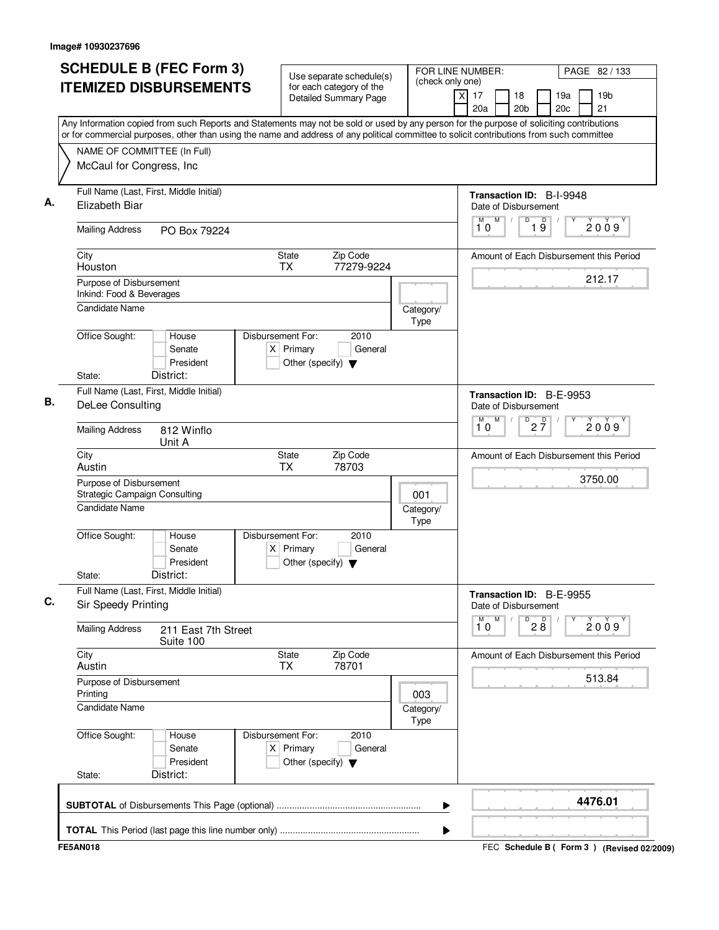| <b>SCHEDULE B (FEC Form 3)</b>                                                                                                                                                                                                                                                         | Use separate schedule(s)                                                                    | FOR LINE NUMBER:<br>(check only one) | PAGE 82 / 133                                                                         |
|----------------------------------------------------------------------------------------------------------------------------------------------------------------------------------------------------------------------------------------------------------------------------------------|---------------------------------------------------------------------------------------------|--------------------------------------|---------------------------------------------------------------------------------------|
| <b>ITEMIZED DISBURSEMENTS</b>                                                                                                                                                                                                                                                          | for each category of the<br><b>Detailed Summary Page</b>                                    | $\boldsymbol{\mathsf{X}}$            | 19 <sub>b</sub><br>17<br>18<br>19a<br>20 <sub>b</sub><br>20 <sub>c</sub><br>21<br>20a |
| Any Information copied from such Reports and Statements may not be sold or used by any person for the purpose of soliciting contributions<br>or for commercial purposes, other than using the name and address of any political committee to solicit contributions from such committee |                                                                                             |                                      |                                                                                       |
| NAME OF COMMITTEE (In Full)                                                                                                                                                                                                                                                            |                                                                                             |                                      |                                                                                       |
| McCaul for Congress, Inc                                                                                                                                                                                                                                                               |                                                                                             |                                      |                                                                                       |
| Full Name (Last, First, Middle Initial)<br>Elizabeth Biar                                                                                                                                                                                                                              |                                                                                             |                                      | Transaction ID: B-I-9948<br>Date of Disbursement                                      |
| <b>Mailing Address</b><br>PO Box 79224                                                                                                                                                                                                                                                 |                                                                                             |                                      | M<br>D<br>D<br>М<br>2009<br>$1\overline{9}$<br>10                                     |
| City<br>Houston                                                                                                                                                                                                                                                                        | <b>State</b><br>Zip Code<br>77279-9224<br><b>TX</b>                                         |                                      | Amount of Each Disbursement this Period                                               |
| Purpose of Disbursement<br>Inkind: Food & Beverages                                                                                                                                                                                                                                    |                                                                                             |                                      | 212.17                                                                                |
| <b>Candidate Name</b>                                                                                                                                                                                                                                                                  |                                                                                             | Category/<br>Type                    |                                                                                       |
| Office Sought:<br>House<br>Senate<br>President                                                                                                                                                                                                                                         | Disbursement For:<br>2010<br>$X$ Primary<br>General<br>Other (specify) $\blacktriangledown$ |                                      |                                                                                       |
| District:<br>State:                                                                                                                                                                                                                                                                    |                                                                                             |                                      |                                                                                       |
| Full Name (Last, First, Middle Initial)<br><b>DeLee Consulting</b>                                                                                                                                                                                                                     |                                                                                             |                                      | Transaction ID: B-E-9953<br>Date of Disbursement                                      |
| <b>Mailing Address</b><br>812 Winflo<br>Unit A                                                                                                                                                                                                                                         |                                                                                             |                                      | M<br>$D$ <sub>2</sub> $\frac{D}{7}$<br>M<br>2009<br>10                                |
| City<br>Austin                                                                                                                                                                                                                                                                         | Zip Code<br>State<br><b>TX</b><br>78703                                                     |                                      | Amount of Each Disbursement this Period                                               |
| Purpose of Disbursement<br><b>Strategic Campaign Consulting</b>                                                                                                                                                                                                                        |                                                                                             | 001                                  | 3750.00                                                                               |
| Candidate Name                                                                                                                                                                                                                                                                         |                                                                                             | Category/<br>Type                    |                                                                                       |
| Office Sought:<br>House<br>Senate<br>President                                                                                                                                                                                                                                         | Disbursement For:<br>2010<br>$X$ Primary<br>General<br>Other (specify) $\blacktriangledown$ |                                      |                                                                                       |
| District:<br>State:                                                                                                                                                                                                                                                                    |                                                                                             |                                      |                                                                                       |
| Full Name (Last, First, Middle Initial)<br>Sir Speedy Printing                                                                                                                                                                                                                         |                                                                                             |                                      | Transaction ID: B-E-9955<br>Date of Disbursement                                      |
| <b>Mailing Address</b><br>211 East 7th Street<br>Suite 100                                                                                                                                                                                                                             |                                                                                             |                                      | M<br>$\overline{P}$ 2 8<br>$\overline{\overline{1}^M \overline{0}}$<br>2009           |
| City<br>Austin                                                                                                                                                                                                                                                                         | Zip Code<br>State<br>78701<br><b>TX</b>                                                     |                                      | Amount of Each Disbursement this Period                                               |
| Purpose of Disbursement<br>Printing                                                                                                                                                                                                                                                    |                                                                                             | 003                                  | 513.84                                                                                |
| <b>Candidate Name</b>                                                                                                                                                                                                                                                                  |                                                                                             | Category/<br>Type                    |                                                                                       |
| Office Sought:<br>House<br>Senate<br>President                                                                                                                                                                                                                                         | Disbursement For:<br>2010<br>$X$ Primary<br>General<br>Other (specify) $\blacktriangledown$ |                                      |                                                                                       |
| District:<br>State:                                                                                                                                                                                                                                                                    |                                                                                             |                                      |                                                                                       |
|                                                                                                                                                                                                                                                                                        |                                                                                             |                                      | 4476.01                                                                               |
|                                                                                                                                                                                                                                                                                        |                                                                                             |                                      |                                                                                       |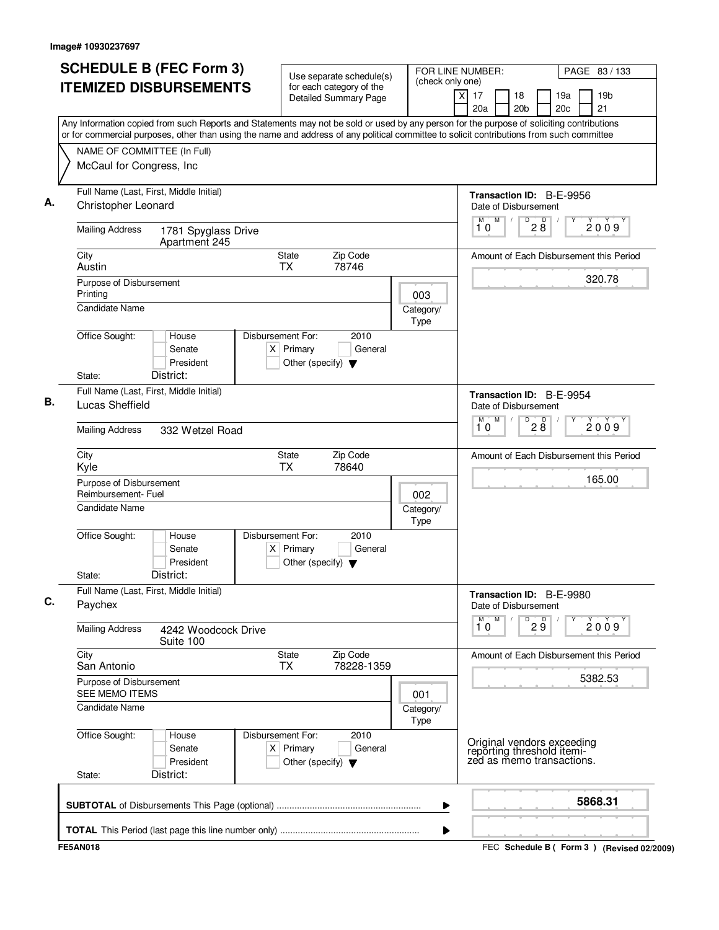|                |                                                  | <b>SCHEDULE B (FEC Form 3)</b>                                                                                                                                                                                                                                                         |                                                                            | Use separate schedule(s)                                 |                   | (check only one) | FOR LINE NUMBER:            |                                                                                       |                                 |                      |            | PAGE 83 / 133                           |
|----------------|--------------------------------------------------|----------------------------------------------------------------------------------------------------------------------------------------------------------------------------------------------------------------------------------------------------------------------------------------|----------------------------------------------------------------------------|----------------------------------------------------------|-------------------|------------------|-----------------------------|---------------------------------------------------------------------------------------|---------------------------------|----------------------|------------|-----------------------------------------|
|                |                                                  | <b>ITEMIZED DISBURSEMENTS</b>                                                                                                                                                                                                                                                          |                                                                            | for each category of the<br><b>Detailed Summary Page</b> |                   |                  | $\overline{X}$<br>17<br>20a | 18<br>20 <sub>b</sub>                                                                 |                                 |                      | 19a<br>20c | 19 <sub>b</sub><br>21                   |
|                |                                                  | Any Information copied from such Reports and Statements may not be sold or used by any person for the purpose of soliciting contributions<br>or for commercial purposes, other than using the name and address of any political committee to solicit contributions from such committee |                                                                            |                                                          |                   |                  |                             |                                                                                       |                                 |                      |            |                                         |
|                |                                                  | NAME OF COMMITTEE (In Full)                                                                                                                                                                                                                                                            |                                                                            |                                                          |                   |                  |                             |                                                                                       |                                 |                      |            |                                         |
|                |                                                  | McCaul for Congress, Inc                                                                                                                                                                                                                                                               |                                                                            |                                                          |                   |                  |                             |                                                                                       |                                 |                      |            |                                         |
|                |                                                  | Full Name (Last, First, Middle Initial)                                                                                                                                                                                                                                                |                                                                            |                                                          |                   |                  |                             | Transaction ID: B-E-9956                                                              |                                 |                      |            |                                         |
|                | Christopher Leonard                              |                                                                                                                                                                                                                                                                                        |                                                                            |                                                          |                   |                  |                             | Date of Disbursement                                                                  |                                 |                      |            |                                         |
|                | <b>Mailing Address</b>                           | 1781 Spyglass Drive<br>Apartment 245                                                                                                                                                                                                                                                   |                                                                            |                                                          |                   |                  | M<br>10                     | M<br>$\sqrt{2}$                                                                       | D                               | D<br>$2\overline{8}$ |            | 2009                                    |
| City<br>Austin |                                                  |                                                                                                                                                                                                                                                                                        | State<br><b>TX</b>                                                         | Zip Code<br>78746                                        |                   |                  |                             |                                                                                       |                                 |                      |            | Amount of Each Disbursement this Period |
|                | Purpose of Disbursement                          |                                                                                                                                                                                                                                                                                        |                                                                            |                                                          |                   |                  |                             |                                                                                       |                                 |                      |            | 320.78                                  |
| Printing       |                                                  |                                                                                                                                                                                                                                                                                        |                                                                            |                                                          | 003               |                  |                             |                                                                                       |                                 |                      |            |                                         |
|                | <b>Candidate Name</b>                            |                                                                                                                                                                                                                                                                                        |                                                                            |                                                          | Category/<br>Type |                  |                             |                                                                                       |                                 |                      |            |                                         |
| State:         | Office Sought:                                   | House<br>Senate<br>President<br>District:                                                                                                                                                                                                                                              | Disbursement For:<br>$X$ Primary<br>Other (specify) $\blacktriangledown$   | 2010<br>General                                          |                   |                  |                             |                                                                                       |                                 |                      |            |                                         |
|                |                                                  | Full Name (Last, First, Middle Initial)                                                                                                                                                                                                                                                |                                                                            |                                                          |                   |                  |                             |                                                                                       |                                 |                      |            |                                         |
|                | Lucas Sheffield                                  |                                                                                                                                                                                                                                                                                        |                                                                            |                                                          |                   |                  | M                           | Transaction ID: B-E-9954<br>Date of Disbursement<br>M                                 | D                               |                      |            |                                         |
|                | <b>Mailing Address</b>                           | 332 Wetzel Road                                                                                                                                                                                                                                                                        |                                                                            |                                                          |                   |                  | 10                          |                                                                                       |                                 | 28                   |            | 2009                                    |
| City<br>Kyle   |                                                  |                                                                                                                                                                                                                                                                                        | State<br><b>TX</b>                                                         | Zip Code<br>78640                                        |                   |                  |                             |                                                                                       |                                 |                      |            | Amount of Each Disbursement this Period |
|                | Purpose of Disbursement<br>Reimbursement- Fuel   |                                                                                                                                                                                                                                                                                        |                                                                            |                                                          | 002               |                  |                             |                                                                                       |                                 |                      |            | 165.00                                  |
|                | <b>Candidate Name</b>                            |                                                                                                                                                                                                                                                                                        |                                                                            |                                                          | Category/<br>Type |                  |                             |                                                                                       |                                 |                      |            |                                         |
| State:         | Office Sought:                                   | House<br>Senate<br>President<br>District:                                                                                                                                                                                                                                              | Disbursement For:<br>Primary<br>ΧI<br>Other (specify) $\blacktriangledown$ | 2010<br>General                                          |                   |                  |                             |                                                                                       |                                 |                      |            |                                         |
| Paychex        |                                                  | Full Name (Last, First, Middle Initial)                                                                                                                                                                                                                                                |                                                                            |                                                          |                   |                  |                             | Transaction ID: B-E-9980<br>Date of Disbursement                                      |                                 |                      |            |                                         |
|                | <b>Mailing Address</b>                           | 4242 Woodcock Drive<br>Suite 100                                                                                                                                                                                                                                                       |                                                                            |                                                          |                   |                  | M<br>10                     | M                                                                                     | $\overline{P}$ 2 $\overline{9}$ |                      |            | 2009                                    |
| City           | San Antonio                                      |                                                                                                                                                                                                                                                                                        | <b>State</b><br><b>TX</b>                                                  | Zip Code<br>78228-1359                                   |                   |                  |                             |                                                                                       |                                 |                      |            | Amount of Each Disbursement this Period |
|                | Purpose of Disbursement<br><b>SEE MEMO ITEMS</b> |                                                                                                                                                                                                                                                                                        |                                                                            |                                                          | 001               |                  |                             |                                                                                       |                                 |                      |            | 5382.53                                 |
|                | Candidate Name                                   |                                                                                                                                                                                                                                                                                        |                                                                            |                                                          | Category/<br>Type |                  |                             |                                                                                       |                                 |                      |            |                                         |
|                | Office Sought:                                   | House<br>Senate<br>President<br>District:                                                                                                                                                                                                                                              | Disbursement For:<br>$X$ Primary<br>Other (specify) $\blacktriangledown$   | 2010<br>General                                          |                   |                  |                             | Original vendors exceeding<br>reporting threshold itemi-<br>zed as memo transactions. |                                 |                      |            |                                         |
| State:         |                                                  |                                                                                                                                                                                                                                                                                        |                                                                            |                                                          |                   |                  |                             |                                                                                       |                                 |                      |            |                                         |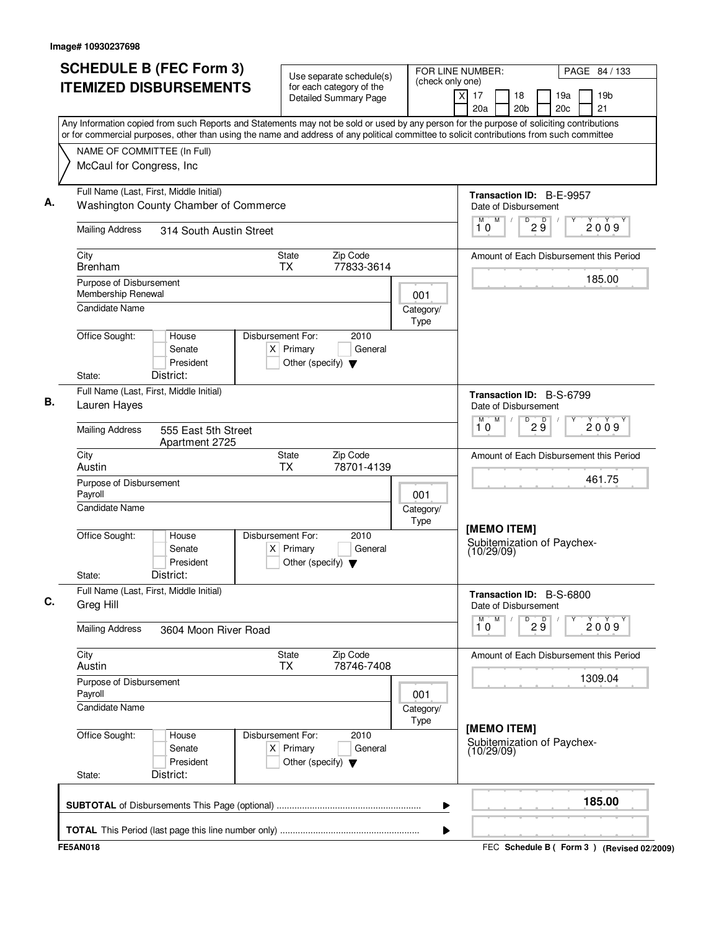| <b>SCHEDULE B (FEC Form 3)</b>                                                                                                                                                                                                                                                         | Use separate schedule(s)                                                                    | (check only one)  | FOR LINE NUMBER:                                        | PAGE 84 / 133                                         |
|----------------------------------------------------------------------------------------------------------------------------------------------------------------------------------------------------------------------------------------------------------------------------------------|---------------------------------------------------------------------------------------------|-------------------|---------------------------------------------------------|-------------------------------------------------------|
| <b>ITEMIZED DISBURSEMENTS</b>                                                                                                                                                                                                                                                          | for each category of the<br><b>Detailed Summary Page</b>                                    |                   | $\times$<br>17<br>18<br>20a<br>20 <sub>b</sub>          | 19 <sub>b</sub><br>19a<br>20 <sub>c</sub><br>21       |
| Any Information copied from such Reports and Statements may not be sold or used by any person for the purpose of soliciting contributions<br>or for commercial purposes, other than using the name and address of any political committee to solicit contributions from such committee |                                                                                             |                   |                                                         |                                                       |
| NAME OF COMMITTEE (In Full)                                                                                                                                                                                                                                                            |                                                                                             |                   |                                                         |                                                       |
| McCaul for Congress, Inc                                                                                                                                                                                                                                                               |                                                                                             |                   |                                                         |                                                       |
|                                                                                                                                                                                                                                                                                        |                                                                                             |                   |                                                         |                                                       |
| Full Name (Last, First, Middle Initial)<br>Washington County Chamber of Commerce                                                                                                                                                                                                       |                                                                                             |                   | Transaction ID: B-E-9957                                |                                                       |
|                                                                                                                                                                                                                                                                                        |                                                                                             |                   | Date of Disbursement<br>M<br>D<br>M<br>$\prime$         |                                                       |
| <b>Mailing Address</b><br>314 South Austin Street                                                                                                                                                                                                                                      |                                                                                             |                   | 10                                                      | $2\overset{D}{9}$<br>2009                             |
| City<br><b>Brenham</b>                                                                                                                                                                                                                                                                 | Zip Code<br><b>State</b><br>77833-3614<br><b>TX</b>                                         |                   |                                                         | Amount of Each Disbursement this Period               |
| Purpose of Disbursement                                                                                                                                                                                                                                                                |                                                                                             |                   |                                                         | 185.00                                                |
| Membership Renewal<br><b>Candidate Name</b>                                                                                                                                                                                                                                            |                                                                                             | 001               |                                                         |                                                       |
|                                                                                                                                                                                                                                                                                        |                                                                                             | Category/<br>Type |                                                         |                                                       |
| Office Sought:<br>House                                                                                                                                                                                                                                                                | Disbursement For:<br>2010                                                                   |                   |                                                         |                                                       |
| Senate                                                                                                                                                                                                                                                                                 | $X$ Primary<br>General                                                                      |                   |                                                         |                                                       |
| President<br>District:<br>State:                                                                                                                                                                                                                                                       | Other (specify) $\blacktriangledown$                                                        |                   |                                                         |                                                       |
| Full Name (Last, First, Middle Initial)                                                                                                                                                                                                                                                |                                                                                             |                   |                                                         |                                                       |
| Lauren Hayes                                                                                                                                                                                                                                                                           |                                                                                             |                   | Transaction ID: B-S-6799<br>Date of Disbursement        |                                                       |
| <b>Mailing Address</b><br>555 East 5th Street<br>Apartment 2725                                                                                                                                                                                                                        |                                                                                             |                   | M<br>D<br>М<br>10                                       | $\mathsf D$<br>2009<br>$2\overset{\shortparallel}{9}$ |
| City<br>Austin                                                                                                                                                                                                                                                                         | Zip Code<br><b>State</b><br><b>TX</b><br>78701-4139                                         |                   |                                                         | Amount of Each Disbursement this Period               |
| Purpose of Disbursement<br>Payroll                                                                                                                                                                                                                                                     |                                                                                             | 001               |                                                         | 461.75                                                |
| <b>Candidate Name</b>                                                                                                                                                                                                                                                                  |                                                                                             | Category/<br>Type |                                                         |                                                       |
| Office Sought:<br>House<br>Senate<br>President<br>District:<br>State:                                                                                                                                                                                                                  | Disbursement For:<br>2010<br>$X$ Primary<br>General<br>Other (specify) $\blacktriangledown$ |                   | [MEMO ITEM]<br>Subitemization of Paychex-<br>(10/29/09) |                                                       |
| Full Name (Last, First, Middle Initial)                                                                                                                                                                                                                                                |                                                                                             |                   | Transaction ID: B-S-6800                                |                                                       |
| Greg Hill                                                                                                                                                                                                                                                                              |                                                                                             |                   | Date of Disbursement                                    |                                                       |
| <b>Mailing Address</b><br>3604 Moon River Road                                                                                                                                                                                                                                         |                                                                                             |                   | M<br>м<br>D<br>10                                       | 29<br>2009                                            |
| City<br>Austin                                                                                                                                                                                                                                                                         | <b>State</b><br>Zip Code<br>78746-7408<br><b>TX</b>                                         |                   |                                                         | Amount of Each Disbursement this Period               |
| Purpose of Disbursement<br>Payroll                                                                                                                                                                                                                                                     |                                                                                             | 001               |                                                         | 1309.04                                               |
| <b>Candidate Name</b>                                                                                                                                                                                                                                                                  |                                                                                             | Category/<br>Type |                                                         |                                                       |
| Office Sought:<br>House<br>Senate<br>President                                                                                                                                                                                                                                         | 2010<br>Disbursement For:<br>$X$ Primary<br>General<br>Other (specify) $\blacktriangledown$ |                   | [MEMO ITEM]<br>Subitemization of Paychex-<br>(10/29/09) |                                                       |
| District:<br>State:                                                                                                                                                                                                                                                                    |                                                                                             |                   |                                                         |                                                       |
|                                                                                                                                                                                                                                                                                        |                                                                                             | ▶                 |                                                         | 185.00                                                |
|                                                                                                                                                                                                                                                                                        |                                                                                             | ▶                 |                                                         |                                                       |
| <b>FE5AN018</b>                                                                                                                                                                                                                                                                        |                                                                                             |                   |                                                         | FEC Schedule B ( Form 3 ) (Revised 02/2009)           |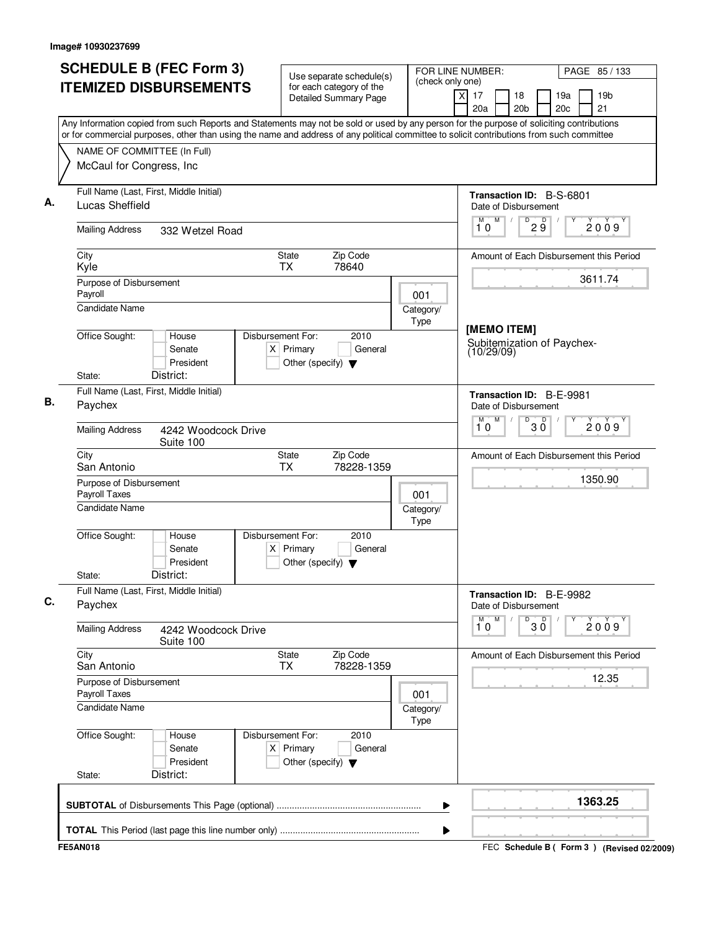| <b>SCHEDULE B (FEC Form 3)</b>                                                                                                                                                                                                                                                         |                                                                          | Use separate schedule(s)                                 | (check only one)  | FOR LINE NUMBER:                                        | PAGE 85 / 133                                   |
|----------------------------------------------------------------------------------------------------------------------------------------------------------------------------------------------------------------------------------------------------------------------------------------|--------------------------------------------------------------------------|----------------------------------------------------------|-------------------|---------------------------------------------------------|-------------------------------------------------|
| <b>ITEMIZED DISBURSEMENTS</b>                                                                                                                                                                                                                                                          |                                                                          | for each category of the<br><b>Detailed Summary Page</b> |                   | xl<br>17<br>18<br>20a<br>20 <sub>b</sub>                | 19a<br>19 <sub>b</sub><br>20 <sub>c</sub><br>21 |
| Any Information copied from such Reports and Statements may not be sold or used by any person for the purpose of soliciting contributions<br>or for commercial purposes, other than using the name and address of any political committee to solicit contributions from such committee |                                                                          |                                                          |                   |                                                         |                                                 |
| NAME OF COMMITTEE (In Full)                                                                                                                                                                                                                                                            |                                                                          |                                                          |                   |                                                         |                                                 |
| McCaul for Congress, Inc                                                                                                                                                                                                                                                               |                                                                          |                                                          |                   |                                                         |                                                 |
| Full Name (Last, First, Middle Initial)<br>Lucas Sheffield                                                                                                                                                                                                                             |                                                                          |                                                          |                   | Transaction ID: B-S-6801<br>Date of Disbursement        |                                                 |
| <b>Mailing Address</b><br>332 Wetzel Road                                                                                                                                                                                                                                              |                                                                          |                                                          |                   | M<br>D<br>M<br>10                                       | $2\overset{D}{9}$<br>2009                       |
| City<br>Kyle                                                                                                                                                                                                                                                                           | State<br><b>TX</b>                                                       | Zip Code<br>78640                                        |                   |                                                         | Amount of Each Disbursement this Period         |
| Purpose of Disbursement<br>Payroll                                                                                                                                                                                                                                                     |                                                                          |                                                          | 001               |                                                         | 3611.74                                         |
| Candidate Name                                                                                                                                                                                                                                                                         |                                                                          |                                                          | Category/<br>Type |                                                         |                                                 |
| Office Sought:<br>House<br>Senate<br>President                                                                                                                                                                                                                                         | Disbursement For:<br>$X$ Primary<br>Other (specify) $\blacktriangledown$ | 2010<br>General                                          |                   | [MEMO ITEM]<br>Subitemization of Paychex-<br>(10/29/09) |                                                 |
| District:<br>State:<br>Full Name (Last, First, Middle Initial)                                                                                                                                                                                                                         |                                                                          |                                                          |                   |                                                         |                                                 |
| Paychex                                                                                                                                                                                                                                                                                |                                                                          |                                                          |                   | Transaction ID: B-E-9981<br>Date of Disbursement        |                                                 |
| <b>Mailing Address</b><br>4242 Woodcock Drive<br>Suite 100                                                                                                                                                                                                                             |                                                                          |                                                          |                   | M<br>D<br>M<br>10                                       | $30^{\circ}$<br>2009                            |
| City<br>San Antonio                                                                                                                                                                                                                                                                    | State<br><b>TX</b>                                                       | Zip Code<br>78228-1359                                   |                   |                                                         | Amount of Each Disbursement this Period         |
| Purpose of Disbursement<br>Payroll Taxes                                                                                                                                                                                                                                               |                                                                          |                                                          | 001               |                                                         | 1350.90                                         |
| Candidate Name                                                                                                                                                                                                                                                                         |                                                                          |                                                          | Category/<br>Type |                                                         |                                                 |
| Office Sought:<br>House<br>Senate<br>President<br>District:<br>State:                                                                                                                                                                                                                  | Disbursement For:<br>$X$ Primary<br>Other (specify) $\blacktriangledown$ | 2010<br>General                                          |                   |                                                         |                                                 |
| Full Name (Last, First, Middle Initial)<br>Paychex                                                                                                                                                                                                                                     |                                                                          |                                                          |                   | Transaction ID: B-E-9982<br>Date of Disbursement        |                                                 |
| <b>Mailing Address</b><br>4242 Woodcock Drive                                                                                                                                                                                                                                          |                                                                          |                                                          |                   | M<br>M<br>$\overline{30}$<br>10                         | Υ<br>2009                                       |
| Suite 100<br>City<br>San Antonio                                                                                                                                                                                                                                                       | State<br><b>TX</b>                                                       | Zip Code<br>78228-1359                                   |                   |                                                         | Amount of Each Disbursement this Period         |
| Purpose of Disbursement<br>Payroll Taxes                                                                                                                                                                                                                                               |                                                                          |                                                          | 001               |                                                         | 12.35                                           |
| Candidate Name                                                                                                                                                                                                                                                                         |                                                                          |                                                          | Category/<br>Type |                                                         |                                                 |
| Office Sought:<br>House<br>Senate<br>President                                                                                                                                                                                                                                         | Disbursement For:<br>$X$ Primary<br>Other (specify) $\blacktriangledown$ | 2010<br>General                                          |                   |                                                         |                                                 |
| District:<br>State:                                                                                                                                                                                                                                                                    |                                                                          |                                                          |                   |                                                         |                                                 |
|                                                                                                                                                                                                                                                                                        |                                                                          |                                                          | ▶                 |                                                         | 1363.25                                         |
|                                                                                                                                                                                                                                                                                        |                                                                          |                                                          |                   |                                                         |                                                 |
|                                                                                                                                                                                                                                                                                        |                                                                          |                                                          |                   |                                                         |                                                 |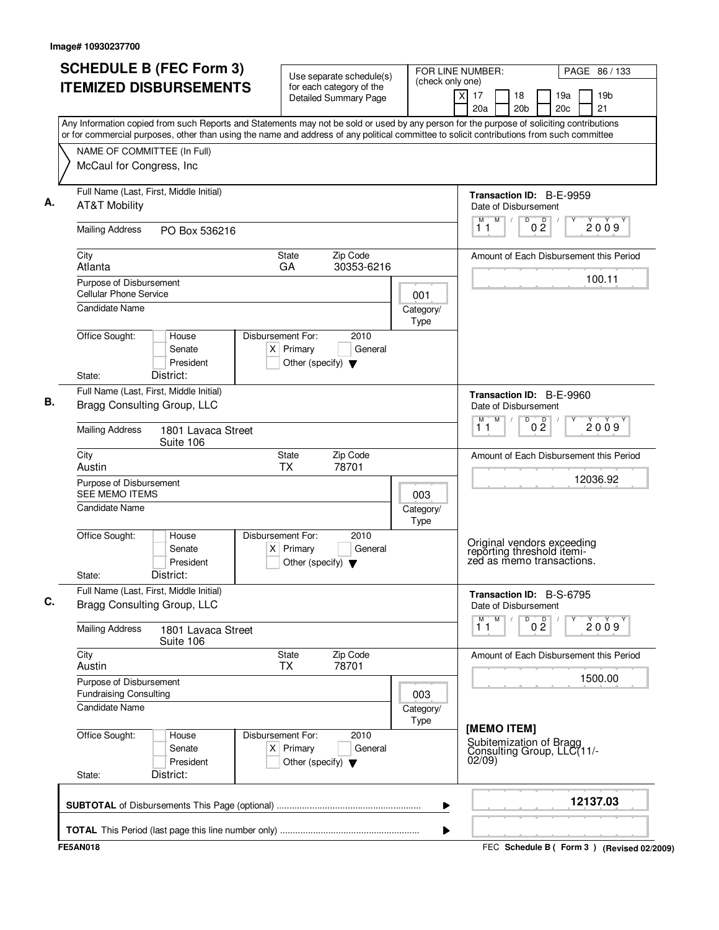|                                                                 | <b>SCHEDULE B (FEC Form 3)</b>                                         | Use separate schedule(s)                                                                                                                                                                                                                                                               |                        | FOR LINE NUMBER:<br>(check only one) |          |           |                                                                                       |                     |            |  | PAGE 86 / 133                           |
|-----------------------------------------------------------------|------------------------------------------------------------------------|----------------------------------------------------------------------------------------------------------------------------------------------------------------------------------------------------------------------------------------------------------------------------------------|------------------------|--------------------------------------|----------|-----------|---------------------------------------------------------------------------------------|---------------------|------------|--|-----------------------------------------|
|                                                                 | <b>ITEMIZED DISBURSEMENTS</b>                                          | for each category of the<br><b>Detailed Summary Page</b>                                                                                                                                                                                                                               |                        |                                      | $\times$ | 17<br>20a | 18<br>20 <sub>b</sub>                                                                 |                     | 19a<br>20c |  | 19 <sub>b</sub><br>21                   |
|                                                                 |                                                                        | Any Information copied from such Reports and Statements may not be sold or used by any person for the purpose of soliciting contributions<br>or for commercial purposes, other than using the name and address of any political committee to solicit contributions from such committee |                        |                                      |          |           |                                                                                       |                     |            |  |                                         |
| McCaul for Congress, Inc.                                       | NAME OF COMMITTEE (In Full)                                            |                                                                                                                                                                                                                                                                                        |                        |                                      |          |           |                                                                                       |                     |            |  |                                         |
|                                                                 | Full Name (Last, First, Middle Initial)                                |                                                                                                                                                                                                                                                                                        |                        |                                      |          |           | Transaction ID: B-E-9959                                                              |                     |            |  |                                         |
| <b>AT&amp;T Mobility</b>                                        |                                                                        |                                                                                                                                                                                                                                                                                        |                        |                                      |          |           | Date of Disbursement                                                                  |                     |            |  |                                         |
| <b>Mailing Address</b>                                          | PO Box 536216                                                          |                                                                                                                                                                                                                                                                                        |                        |                                      |          | м<br>11   | M<br>$\sqrt{2}$                                                                       | D<br>$0\frac{D}{2}$ |            |  | 2009                                    |
| City<br>Atlanta                                                 |                                                                        | State<br>GA                                                                                                                                                                                                                                                                            | Zip Code<br>30353-6216 |                                      |          |           |                                                                                       |                     |            |  | Amount of Each Disbursement this Period |
| Purpose of Disbursement                                         |                                                                        |                                                                                                                                                                                                                                                                                        |                        |                                      |          |           |                                                                                       |                     |            |  | 100.11                                  |
| <b>Cellular Phone Service</b><br><b>Candidate Name</b>          |                                                                        |                                                                                                                                                                                                                                                                                        |                        | 001<br>Category/<br>Type             |          |           |                                                                                       |                     |            |  |                                         |
| Office Sought:                                                  | House<br>Senate<br>President                                           | Disbursement For:<br>$X$ Primary<br>Other (specify) $\blacktriangledown$                                                                                                                                                                                                               | 2010<br>General        |                                      |          |           |                                                                                       |                     |            |  |                                         |
| State:                                                          | District:                                                              |                                                                                                                                                                                                                                                                                        |                        |                                      |          |           |                                                                                       |                     |            |  |                                         |
|                                                                 | Full Name (Last, First, Middle Initial)<br>Bragg Consulting Group, LLC |                                                                                                                                                                                                                                                                                        |                        |                                      |          | м         | Transaction ID: B-E-9960<br>Date of Disbursement<br>M                                 | D                   |            |  |                                         |
| <b>Mailing Address</b>                                          | 1801 Lavaca Street<br>Suite 106                                        |                                                                                                                                                                                                                                                                                        |                        |                                      |          | 11        |                                                                                       | 0 <sup>0</sup>      |            |  | 2009                                    |
| City<br>Austin                                                  |                                                                        | State<br><b>TX</b>                                                                                                                                                                                                                                                                     | Zip Code<br>78701      |                                      |          |           |                                                                                       |                     |            |  | Amount of Each Disbursement this Period |
|                                                                 | Purpose of Disbursement<br><b>SEE MEMO ITEMS</b><br>003                |                                                                                                                                                                                                                                                                                        |                        |                                      |          |           |                                                                                       |                     |            |  | 12036.92                                |
| <b>Candidate Name</b>                                           |                                                                        | Category/<br>Type                                                                                                                                                                                                                                                                      |                        |                                      |          |           |                                                                                       |                     |            |  |                                         |
| Office Sought:<br>State:                                        | House<br>Senate<br>President<br>District:                              | Disbursement For:<br>$X$ Primary<br>Other (specify) $\blacktriangledown$                                                                                                                                                                                                               | 2010<br>General        |                                      |          |           | Original vendors exceeding<br>reporting threshold itemi-<br>zed as memo transactions. |                     |            |  |                                         |
|                                                                 | Full Name (Last, First, Middle Initial)<br>Bragg Consulting Group, LLC |                                                                                                                                                                                                                                                                                        |                        |                                      |          |           | Transaction ID: B-S-6795<br>Date of Disbursement                                      |                     |            |  |                                         |
| <b>Mailing Address</b>                                          | M<br>D<br>0 <sup>0</sup><br>М<br>2009<br>11                            |                                                                                                                                                                                                                                                                                        |                        |                                      |          |           |                                                                                       |                     |            |  |                                         |
| City<br>Austin                                                  | Suite 106                                                              | State<br><b>TX</b>                                                                                                                                                                                                                                                                     | Zip Code<br>78701      |                                      |          |           |                                                                                       |                     |            |  | Amount of Each Disbursement this Period |
| Purpose of Disbursement<br><b>Fundraising Consulting</b><br>003 |                                                                        |                                                                                                                                                                                                                                                                                        |                        |                                      |          |           |                                                                                       |                     |            |  | 1500.00                                 |
| <b>Candidate Name</b>                                           |                                                                        |                                                                                                                                                                                                                                                                                        |                        | Category/<br>Type                    |          |           |                                                                                       |                     |            |  |                                         |
| Office Sought:<br>State:                                        | House<br>Senate<br>President<br>District:                              | Disbursement For:<br>$X$ Primary<br>Other (specify) $\blacktriangledown$                                                                                                                                                                                                               | 2010<br>General        |                                      |          |           | [MEMO ITEM]<br>Subitemization of Bragg<br>Consulting Group, LLC(11/-02/09)            |                     |            |  |                                         |
|                                                                 |                                                                        |                                                                                                                                                                                                                                                                                        |                        |                                      |          |           |                                                                                       |                     |            |  | 12137.03                                |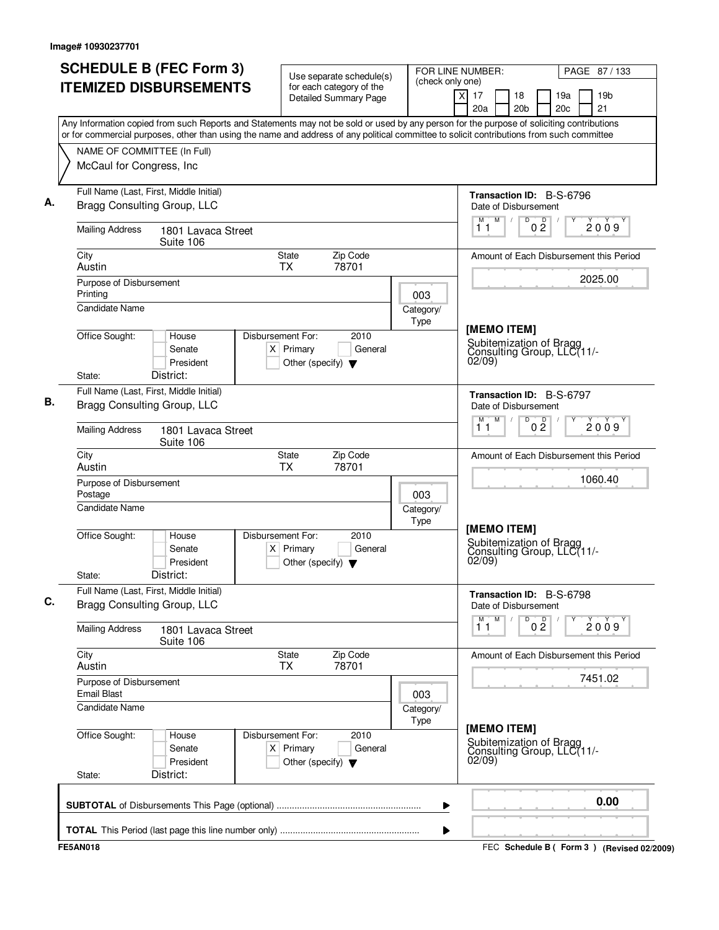| <b>ITEMIZED DISBURSEMENTS</b><br>for each category of the<br>$\overline{\mathsf{x}}$<br>17<br>19 <sub>b</sub><br>18<br>19a<br><b>Detailed Summary Page</b><br>21<br>20a<br>20 <sub>b</sub><br>20 <sub>c</sub><br>Any Information copied from such Reports and Statements may not be sold or used by any person for the purpose of soliciting contributions<br>or for commercial purposes, other than using the name and address of any political committee to solicit contributions from such committee<br>NAME OF COMMITTEE (In Full)<br>McCaul for Congress, Inc.<br>Full Name (Last, First, Middle Initial)<br>Transaction ID: B-S-6796<br>Bragg Consulting Group, LLC<br>Date of Disbursement<br>$M$ /<br>D<br>D<br>2009<br>0 <sub>2</sub><br>11<br><b>Mailing Address</b><br>1801 Lavaca Street<br>Suite 106<br>Zip Code<br>City<br>State<br>Amount of Each Disbursement this Period<br><b>TX</b><br>78701<br>Austin<br>2025.00<br>Purpose of Disbursement<br>Printing<br>003<br>Candidate Name<br>Category/<br>Type<br>[MEMO ITEM]<br>Office Sought:<br>Disbursement For:<br>House<br>2010<br>Subitemization of Bragg<br>Consulting Group, LLC(11/-<br>$X$ Primary<br>General<br>Senate<br>02/09)<br>President<br>Other (specify) $\blacktriangledown$<br>District:<br>State:<br>Full Name (Last, First, Middle Initial)<br>Transaction ID: B-S-6797<br>Bragg Consulting Group, LLC<br>Date of Disbursement<br>M<br>D<br>M<br>0 <sup>D</sup><br>2009<br>11<br><b>Mailing Address</b><br>1801 Lavaca Street<br>Suite 106<br>Zip Code<br>City<br>State<br>Amount of Each Disbursement this Period<br>Austin<br><b>TX</b><br>78701<br>1060.40<br>Purpose of Disbursement<br>Postage<br>003<br><b>Candidate Name</b><br>Category/<br>Type<br>[MEMO ITEM]<br>Office Sought:<br>Disbursement For:<br>2010<br>House<br>Subitemization of Bragg<br>Senate<br>$X$ Primary<br>General<br>Consulting Group, LLC(11/-<br>02/09<br>President<br>Other (specify) $\blacktriangledown$<br>District:<br>State:<br>Full Name (Last, First, Middle Initial)<br>Transaction ID: B-S-6798<br>Bragg Consulting Group, LLC<br>Date of Disbursement<br>М<br>M<br>0 <sup>D</sup><br>D<br>2009<br>11<br><b>Mailing Address</b><br>1801 Lavaca Street<br>Suite 106<br>City<br>Zip Code<br>State<br>Amount of Each Disbursement this Period<br>78701<br>Austin<br><b>TX</b><br>7451.02<br>Purpose of Disbursement<br><b>Email Blast</b><br>003<br>Candidate Name<br>Category/<br>Type<br>[MEMO ITEM]<br>Office Sought:<br>Disbursement For:<br>2010<br>House<br>Subitemization of Bragg<br>Consulting Group, LLC(11/-02/09)<br>$X$ Primary<br>General<br>Senate<br>President<br>Other (specify) $\blacktriangledown$<br>District:<br>State: | PAGE 87/133 |
|------------------------------------------------------------------------------------------------------------------------------------------------------------------------------------------------------------------------------------------------------------------------------------------------------------------------------------------------------------------------------------------------------------------------------------------------------------------------------------------------------------------------------------------------------------------------------------------------------------------------------------------------------------------------------------------------------------------------------------------------------------------------------------------------------------------------------------------------------------------------------------------------------------------------------------------------------------------------------------------------------------------------------------------------------------------------------------------------------------------------------------------------------------------------------------------------------------------------------------------------------------------------------------------------------------------------------------------------------------------------------------------------------------------------------------------------------------------------------------------------------------------------------------------------------------------------------------------------------------------------------------------------------------------------------------------------------------------------------------------------------------------------------------------------------------------------------------------------------------------------------------------------------------------------------------------------------------------------------------------------------------------------------------------------------------------------------------------------------------------------------------------------------------------------------------------------------------------------------------------------------------------------------------------------------------------------------------------------------------------------------------------------------------------------------------------------------------------------------------------------------------------------------------------------------------------------------------------------------------------------------------------------------------------------------------------------------------------------|-------------|
|                                                                                                                                                                                                                                                                                                                                                                                                                                                                                                                                                                                                                                                                                                                                                                                                                                                                                                                                                                                                                                                                                                                                                                                                                                                                                                                                                                                                                                                                                                                                                                                                                                                                                                                                                                                                                                                                                                                                                                                                                                                                                                                                                                                                                                                                                                                                                                                                                                                                                                                                                                                                                                                                                                                        |             |
|                                                                                                                                                                                                                                                                                                                                                                                                                                                                                                                                                                                                                                                                                                                                                                                                                                                                                                                                                                                                                                                                                                                                                                                                                                                                                                                                                                                                                                                                                                                                                                                                                                                                                                                                                                                                                                                                                                                                                                                                                                                                                                                                                                                                                                                                                                                                                                                                                                                                                                                                                                                                                                                                                                                        |             |
|                                                                                                                                                                                                                                                                                                                                                                                                                                                                                                                                                                                                                                                                                                                                                                                                                                                                                                                                                                                                                                                                                                                                                                                                                                                                                                                                                                                                                                                                                                                                                                                                                                                                                                                                                                                                                                                                                                                                                                                                                                                                                                                                                                                                                                                                                                                                                                                                                                                                                                                                                                                                                                                                                                                        |             |
|                                                                                                                                                                                                                                                                                                                                                                                                                                                                                                                                                                                                                                                                                                                                                                                                                                                                                                                                                                                                                                                                                                                                                                                                                                                                                                                                                                                                                                                                                                                                                                                                                                                                                                                                                                                                                                                                                                                                                                                                                                                                                                                                                                                                                                                                                                                                                                                                                                                                                                                                                                                                                                                                                                                        |             |
|                                                                                                                                                                                                                                                                                                                                                                                                                                                                                                                                                                                                                                                                                                                                                                                                                                                                                                                                                                                                                                                                                                                                                                                                                                                                                                                                                                                                                                                                                                                                                                                                                                                                                                                                                                                                                                                                                                                                                                                                                                                                                                                                                                                                                                                                                                                                                                                                                                                                                                                                                                                                                                                                                                                        |             |
|                                                                                                                                                                                                                                                                                                                                                                                                                                                                                                                                                                                                                                                                                                                                                                                                                                                                                                                                                                                                                                                                                                                                                                                                                                                                                                                                                                                                                                                                                                                                                                                                                                                                                                                                                                                                                                                                                                                                                                                                                                                                                                                                                                                                                                                                                                                                                                                                                                                                                                                                                                                                                                                                                                                        |             |
|                                                                                                                                                                                                                                                                                                                                                                                                                                                                                                                                                                                                                                                                                                                                                                                                                                                                                                                                                                                                                                                                                                                                                                                                                                                                                                                                                                                                                                                                                                                                                                                                                                                                                                                                                                                                                                                                                                                                                                                                                                                                                                                                                                                                                                                                                                                                                                                                                                                                                                                                                                                                                                                                                                                        |             |
|                                                                                                                                                                                                                                                                                                                                                                                                                                                                                                                                                                                                                                                                                                                                                                                                                                                                                                                                                                                                                                                                                                                                                                                                                                                                                                                                                                                                                                                                                                                                                                                                                                                                                                                                                                                                                                                                                                                                                                                                                                                                                                                                                                                                                                                                                                                                                                                                                                                                                                                                                                                                                                                                                                                        |             |
|                                                                                                                                                                                                                                                                                                                                                                                                                                                                                                                                                                                                                                                                                                                                                                                                                                                                                                                                                                                                                                                                                                                                                                                                                                                                                                                                                                                                                                                                                                                                                                                                                                                                                                                                                                                                                                                                                                                                                                                                                                                                                                                                                                                                                                                                                                                                                                                                                                                                                                                                                                                                                                                                                                                        |             |
|                                                                                                                                                                                                                                                                                                                                                                                                                                                                                                                                                                                                                                                                                                                                                                                                                                                                                                                                                                                                                                                                                                                                                                                                                                                                                                                                                                                                                                                                                                                                                                                                                                                                                                                                                                                                                                                                                                                                                                                                                                                                                                                                                                                                                                                                                                                                                                                                                                                                                                                                                                                                                                                                                                                        |             |
|                                                                                                                                                                                                                                                                                                                                                                                                                                                                                                                                                                                                                                                                                                                                                                                                                                                                                                                                                                                                                                                                                                                                                                                                                                                                                                                                                                                                                                                                                                                                                                                                                                                                                                                                                                                                                                                                                                                                                                                                                                                                                                                                                                                                                                                                                                                                                                                                                                                                                                                                                                                                                                                                                                                        |             |
|                                                                                                                                                                                                                                                                                                                                                                                                                                                                                                                                                                                                                                                                                                                                                                                                                                                                                                                                                                                                                                                                                                                                                                                                                                                                                                                                                                                                                                                                                                                                                                                                                                                                                                                                                                                                                                                                                                                                                                                                                                                                                                                                                                                                                                                                                                                                                                                                                                                                                                                                                                                                                                                                                                                        |             |
|                                                                                                                                                                                                                                                                                                                                                                                                                                                                                                                                                                                                                                                                                                                                                                                                                                                                                                                                                                                                                                                                                                                                                                                                                                                                                                                                                                                                                                                                                                                                                                                                                                                                                                                                                                                                                                                                                                                                                                                                                                                                                                                                                                                                                                                                                                                                                                                                                                                                                                                                                                                                                                                                                                                        |             |
|                                                                                                                                                                                                                                                                                                                                                                                                                                                                                                                                                                                                                                                                                                                                                                                                                                                                                                                                                                                                                                                                                                                                                                                                                                                                                                                                                                                                                                                                                                                                                                                                                                                                                                                                                                                                                                                                                                                                                                                                                                                                                                                                                                                                                                                                                                                                                                                                                                                                                                                                                                                                                                                                                                                        |             |
|                                                                                                                                                                                                                                                                                                                                                                                                                                                                                                                                                                                                                                                                                                                                                                                                                                                                                                                                                                                                                                                                                                                                                                                                                                                                                                                                                                                                                                                                                                                                                                                                                                                                                                                                                                                                                                                                                                                                                                                                                                                                                                                                                                                                                                                                                                                                                                                                                                                                                                                                                                                                                                                                                                                        |             |
|                                                                                                                                                                                                                                                                                                                                                                                                                                                                                                                                                                                                                                                                                                                                                                                                                                                                                                                                                                                                                                                                                                                                                                                                                                                                                                                                                                                                                                                                                                                                                                                                                                                                                                                                                                                                                                                                                                                                                                                                                                                                                                                                                                                                                                                                                                                                                                                                                                                                                                                                                                                                                                                                                                                        |             |
|                                                                                                                                                                                                                                                                                                                                                                                                                                                                                                                                                                                                                                                                                                                                                                                                                                                                                                                                                                                                                                                                                                                                                                                                                                                                                                                                                                                                                                                                                                                                                                                                                                                                                                                                                                                                                                                                                                                                                                                                                                                                                                                                                                                                                                                                                                                                                                                                                                                                                                                                                                                                                                                                                                                        |             |
|                                                                                                                                                                                                                                                                                                                                                                                                                                                                                                                                                                                                                                                                                                                                                                                                                                                                                                                                                                                                                                                                                                                                                                                                                                                                                                                                                                                                                                                                                                                                                                                                                                                                                                                                                                                                                                                                                                                                                                                                                                                                                                                                                                                                                                                                                                                                                                                                                                                                                                                                                                                                                                                                                                                        |             |
|                                                                                                                                                                                                                                                                                                                                                                                                                                                                                                                                                                                                                                                                                                                                                                                                                                                                                                                                                                                                                                                                                                                                                                                                                                                                                                                                                                                                                                                                                                                                                                                                                                                                                                                                                                                                                                                                                                                                                                                                                                                                                                                                                                                                                                                                                                                                                                                                                                                                                                                                                                                                                                                                                                                        |             |
| 0.00                                                                                                                                                                                                                                                                                                                                                                                                                                                                                                                                                                                                                                                                                                                                                                                                                                                                                                                                                                                                                                                                                                                                                                                                                                                                                                                                                                                                                                                                                                                                                                                                                                                                                                                                                                                                                                                                                                                                                                                                                                                                                                                                                                                                                                                                                                                                                                                                                                                                                                                                                                                                                                                                                                                   |             |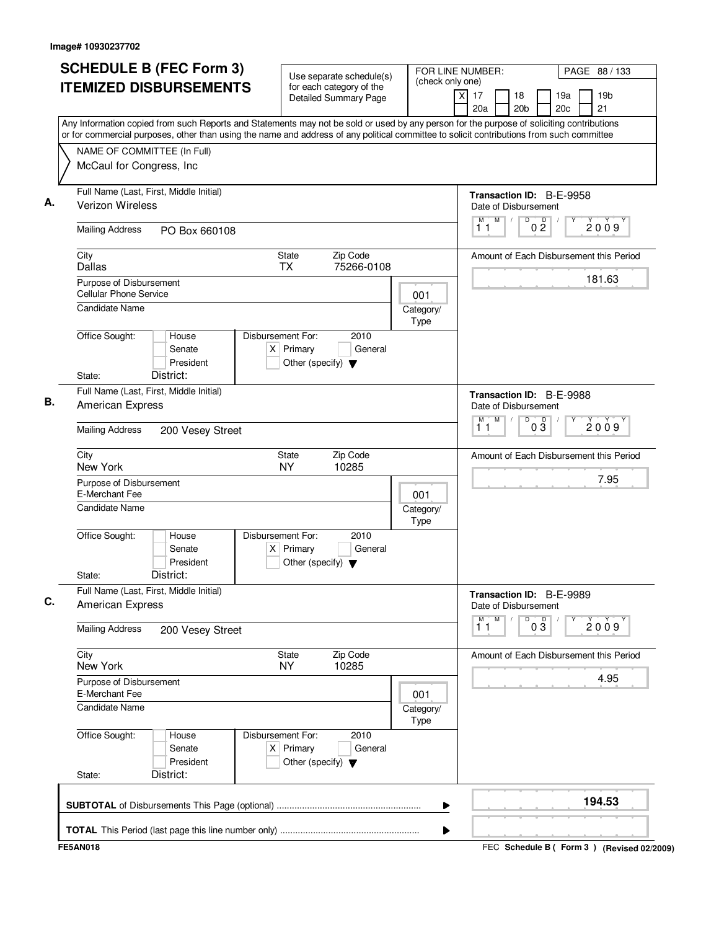| (check only one)<br><b>ITEMIZED DISBURSEMENTS</b><br>for each category of the<br>$\boldsymbol{\mathsf{X}}$<br>17<br>18<br><b>Detailed Summary Page</b><br>20 <sub>b</sub><br>20a<br>Any Information copied from such Reports and Statements may not be sold or used by any person for the purpose of soliciting contributions<br>or for commercial purposes, other than using the name and address of any political committee to solicit contributions from such committee<br>NAME OF COMMITTEE (In Full)<br>McCaul for Congress, Inc<br>Full Name (Last, First, Middle Initial)<br>Verizon Wireless<br>Date of Disbursement<br>M<br>D<br>0 <sup>0</sup><br>М<br>$\sqrt{ }$<br>11<br><b>Mailing Address</b><br>PO Box 660108<br><b>State</b><br>Zip Code<br>City<br>75266-0108<br>Dallas<br><b>TX</b><br>Purpose of Disbursement<br>Cellular Phone Service<br>001<br><b>Candidate Name</b><br>Category/<br>Type<br>Office Sought:<br>Disbursement For:<br>2010<br>House<br>$X$ Primary<br>Senate<br>General<br>President<br>Other (specify) $\blacktriangledown$<br>District:<br>State:<br>Full Name (Last, First, Middle Initial)<br><b>American Express</b><br>Date of Disbursement<br>M<br>D<br>M<br>$0\frac{D}{3}$<br>$\sqrt{ }$<br>11<br><b>Mailing Address</b><br>200 Vesey Street<br>Zip Code<br>City<br>State<br>New York<br><b>NY</b><br>10285<br>Purpose of Disbursement<br>E-Merchant Fee<br>001<br>Candidate Name<br>Category/<br>Type<br>Office Sought:<br>Disbursement For:<br>2010<br>House<br>Senate<br>$X$ Primary<br>General<br>President<br>Other (specify) $\blacktriangledown$<br>District:<br>State:<br>Full Name (Last, First, Middle Initial)<br><b>American Express</b><br>Date of Disbursement<br>$\overline{M}$<br>M<br>D<br>$0\overline{3}$<br>11<br><b>Mailing Address</b><br>200 Vesey Street<br>City<br>Zip Code<br>State<br><b>NY</b><br>New York<br>10285<br>Purpose of Disbursement<br>E-Merchant Fee<br>001<br><b>Candidate Name</b><br>Category/<br>Type<br>Office Sought:<br>Disbursement For:<br>2010<br>House<br>$X$ Primary<br>Senate<br>General<br>President<br>Other (specify) $\blacktriangledown$ | PAGE 88 / 133         |                                         | FOR LINE NUMBER: | Use separate schedule(s) |  | <b>SCHEDULE B (FEC Form 3)</b> |  |  |  |  |
|-----------------------------------------------------------------------------------------------------------------------------------------------------------------------------------------------------------------------------------------------------------------------------------------------------------------------------------------------------------------------------------------------------------------------------------------------------------------------------------------------------------------------------------------------------------------------------------------------------------------------------------------------------------------------------------------------------------------------------------------------------------------------------------------------------------------------------------------------------------------------------------------------------------------------------------------------------------------------------------------------------------------------------------------------------------------------------------------------------------------------------------------------------------------------------------------------------------------------------------------------------------------------------------------------------------------------------------------------------------------------------------------------------------------------------------------------------------------------------------------------------------------------------------------------------------------------------------------------------------------------------------------------------------------------------------------------------------------------------------------------------------------------------------------------------------------------------------------------------------------------------------------------------------------------------------------------------------------------------------------------------------------------------------------------------------------------------------------------------------------------------------------------|-----------------------|-----------------------------------------|------------------|--------------------------|--|--------------------------------|--|--|--|--|
|                                                                                                                                                                                                                                                                                                                                                                                                                                                                                                                                                                                                                                                                                                                                                                                                                                                                                                                                                                                                                                                                                                                                                                                                                                                                                                                                                                                                                                                                                                                                                                                                                                                                                                                                                                                                                                                                                                                                                                                                                                                                                                                                               | 19 <sub>b</sub><br>21 | 19a<br>20 <sub>c</sub>                  |                  |                          |  |                                |  |  |  |  |
|                                                                                                                                                                                                                                                                                                                                                                                                                                                                                                                                                                                                                                                                                                                                                                                                                                                                                                                                                                                                                                                                                                                                                                                                                                                                                                                                                                                                                                                                                                                                                                                                                                                                                                                                                                                                                                                                                                                                                                                                                                                                                                                                               |                       |                                         |                  |                          |  |                                |  |  |  |  |
|                                                                                                                                                                                                                                                                                                                                                                                                                                                                                                                                                                                                                                                                                                                                                                                                                                                                                                                                                                                                                                                                                                                                                                                                                                                                                                                                                                                                                                                                                                                                                                                                                                                                                                                                                                                                                                                                                                                                                                                                                                                                                                                                               |                       |                                         |                  |                          |  |                                |  |  |  |  |
|                                                                                                                                                                                                                                                                                                                                                                                                                                                                                                                                                                                                                                                                                                                                                                                                                                                                                                                                                                                                                                                                                                                                                                                                                                                                                                                                                                                                                                                                                                                                                                                                                                                                                                                                                                                                                                                                                                                                                                                                                                                                                                                                               |                       |                                         |                  |                          |  |                                |  |  |  |  |
|                                                                                                                                                                                                                                                                                                                                                                                                                                                                                                                                                                                                                                                                                                                                                                                                                                                                                                                                                                                                                                                                                                                                                                                                                                                                                                                                                                                                                                                                                                                                                                                                                                                                                                                                                                                                                                                                                                                                                                                                                                                                                                                                               |                       | Transaction ID: B-E-9958                |                  |                          |  |                                |  |  |  |  |
|                                                                                                                                                                                                                                                                                                                                                                                                                                                                                                                                                                                                                                                                                                                                                                                                                                                                                                                                                                                                                                                                                                                                                                                                                                                                                                                                                                                                                                                                                                                                                                                                                                                                                                                                                                                                                                                                                                                                                                                                                                                                                                                                               | 2009                  |                                         |                  |                          |  |                                |  |  |  |  |
|                                                                                                                                                                                                                                                                                                                                                                                                                                                                                                                                                                                                                                                                                                                                                                                                                                                                                                                                                                                                                                                                                                                                                                                                                                                                                                                                                                                                                                                                                                                                                                                                                                                                                                                                                                                                                                                                                                                                                                                                                                                                                                                                               |                       | Amount of Each Disbursement this Period |                  |                          |  |                                |  |  |  |  |
|                                                                                                                                                                                                                                                                                                                                                                                                                                                                                                                                                                                                                                                                                                                                                                                                                                                                                                                                                                                                                                                                                                                                                                                                                                                                                                                                                                                                                                                                                                                                                                                                                                                                                                                                                                                                                                                                                                                                                                                                                                                                                                                                               | 181.63                |                                         |                  |                          |  |                                |  |  |  |  |
|                                                                                                                                                                                                                                                                                                                                                                                                                                                                                                                                                                                                                                                                                                                                                                                                                                                                                                                                                                                                                                                                                                                                                                                                                                                                                                                                                                                                                                                                                                                                                                                                                                                                                                                                                                                                                                                                                                                                                                                                                                                                                                                                               |                       |                                         |                  |                          |  |                                |  |  |  |  |
|                                                                                                                                                                                                                                                                                                                                                                                                                                                                                                                                                                                                                                                                                                                                                                                                                                                                                                                                                                                                                                                                                                                                                                                                                                                                                                                                                                                                                                                                                                                                                                                                                                                                                                                                                                                                                                                                                                                                                                                                                                                                                                                                               |                       |                                         |                  |                          |  |                                |  |  |  |  |
|                                                                                                                                                                                                                                                                                                                                                                                                                                                                                                                                                                                                                                                                                                                                                                                                                                                                                                                                                                                                                                                                                                                                                                                                                                                                                                                                                                                                                                                                                                                                                                                                                                                                                                                                                                                                                                                                                                                                                                                                                                                                                                                                               |                       |                                         |                  |                          |  |                                |  |  |  |  |
|                                                                                                                                                                                                                                                                                                                                                                                                                                                                                                                                                                                                                                                                                                                                                                                                                                                                                                                                                                                                                                                                                                                                                                                                                                                                                                                                                                                                                                                                                                                                                                                                                                                                                                                                                                                                                                                                                                                                                                                                                                                                                                                                               |                       | Transaction ID: B-E-9988                |                  |                          |  |                                |  |  |  |  |
|                                                                                                                                                                                                                                                                                                                                                                                                                                                                                                                                                                                                                                                                                                                                                                                                                                                                                                                                                                                                                                                                                                                                                                                                                                                                                                                                                                                                                                                                                                                                                                                                                                                                                                                                                                                                                                                                                                                                                                                                                                                                                                                                               | 2009                  |                                         |                  |                          |  |                                |  |  |  |  |
|                                                                                                                                                                                                                                                                                                                                                                                                                                                                                                                                                                                                                                                                                                                                                                                                                                                                                                                                                                                                                                                                                                                                                                                                                                                                                                                                                                                                                                                                                                                                                                                                                                                                                                                                                                                                                                                                                                                                                                                                                                                                                                                                               |                       | Amount of Each Disbursement this Period |                  |                          |  |                                |  |  |  |  |
|                                                                                                                                                                                                                                                                                                                                                                                                                                                                                                                                                                                                                                                                                                                                                                                                                                                                                                                                                                                                                                                                                                                                                                                                                                                                                                                                                                                                                                                                                                                                                                                                                                                                                                                                                                                                                                                                                                                                                                                                                                                                                                                                               | 7.95                  |                                         |                  |                          |  |                                |  |  |  |  |
|                                                                                                                                                                                                                                                                                                                                                                                                                                                                                                                                                                                                                                                                                                                                                                                                                                                                                                                                                                                                                                                                                                                                                                                                                                                                                                                                                                                                                                                                                                                                                                                                                                                                                                                                                                                                                                                                                                                                                                                                                                                                                                                                               |                       |                                         |                  |                          |  |                                |  |  |  |  |
|                                                                                                                                                                                                                                                                                                                                                                                                                                                                                                                                                                                                                                                                                                                                                                                                                                                                                                                                                                                                                                                                                                                                                                                                                                                                                                                                                                                                                                                                                                                                                                                                                                                                                                                                                                                                                                                                                                                                                                                                                                                                                                                                               |                       |                                         |                  |                          |  |                                |  |  |  |  |
|                                                                                                                                                                                                                                                                                                                                                                                                                                                                                                                                                                                                                                                                                                                                                                                                                                                                                                                                                                                                                                                                                                                                                                                                                                                                                                                                                                                                                                                                                                                                                                                                                                                                                                                                                                                                                                                                                                                                                                                                                                                                                                                                               |                       |                                         |                  |                          |  |                                |  |  |  |  |
|                                                                                                                                                                                                                                                                                                                                                                                                                                                                                                                                                                                                                                                                                                                                                                                                                                                                                                                                                                                                                                                                                                                                                                                                                                                                                                                                                                                                                                                                                                                                                                                                                                                                                                                                                                                                                                                                                                                                                                                                                                                                                                                                               |                       | Transaction ID: B-E-9989                |                  |                          |  |                                |  |  |  |  |
|                                                                                                                                                                                                                                                                                                                                                                                                                                                                                                                                                                                                                                                                                                                                                                                                                                                                                                                                                                                                                                                                                                                                                                                                                                                                                                                                                                                                                                                                                                                                                                                                                                                                                                                                                                                                                                                                                                                                                                                                                                                                                                                                               | 2009                  |                                         |                  |                          |  |                                |  |  |  |  |
|                                                                                                                                                                                                                                                                                                                                                                                                                                                                                                                                                                                                                                                                                                                                                                                                                                                                                                                                                                                                                                                                                                                                                                                                                                                                                                                                                                                                                                                                                                                                                                                                                                                                                                                                                                                                                                                                                                                                                                                                                                                                                                                                               |                       | Amount of Each Disbursement this Period |                  |                          |  |                                |  |  |  |  |
|                                                                                                                                                                                                                                                                                                                                                                                                                                                                                                                                                                                                                                                                                                                                                                                                                                                                                                                                                                                                                                                                                                                                                                                                                                                                                                                                                                                                                                                                                                                                                                                                                                                                                                                                                                                                                                                                                                                                                                                                                                                                                                                                               | 4.95                  |                                         |                  |                          |  |                                |  |  |  |  |
|                                                                                                                                                                                                                                                                                                                                                                                                                                                                                                                                                                                                                                                                                                                                                                                                                                                                                                                                                                                                                                                                                                                                                                                                                                                                                                                                                                                                                                                                                                                                                                                                                                                                                                                                                                                                                                                                                                                                                                                                                                                                                                                                               |                       |                                         |                  |                          |  |                                |  |  |  |  |
|                                                                                                                                                                                                                                                                                                                                                                                                                                                                                                                                                                                                                                                                                                                                                                                                                                                                                                                                                                                                                                                                                                                                                                                                                                                                                                                                                                                                                                                                                                                                                                                                                                                                                                                                                                                                                                                                                                                                                                                                                                                                                                                                               |                       |                                         |                  |                          |  |                                |  |  |  |  |
| District:<br>State:                                                                                                                                                                                                                                                                                                                                                                                                                                                                                                                                                                                                                                                                                                                                                                                                                                                                                                                                                                                                                                                                                                                                                                                                                                                                                                                                                                                                                                                                                                                                                                                                                                                                                                                                                                                                                                                                                                                                                                                                                                                                                                                           |                       |                                         |                  |                          |  |                                |  |  |  |  |
|                                                                                                                                                                                                                                                                                                                                                                                                                                                                                                                                                                                                                                                                                                                                                                                                                                                                                                                                                                                                                                                                                                                                                                                                                                                                                                                                                                                                                                                                                                                                                                                                                                                                                                                                                                                                                                                                                                                                                                                                                                                                                                                                               | 194.53                |                                         |                  |                          |  |                                |  |  |  |  |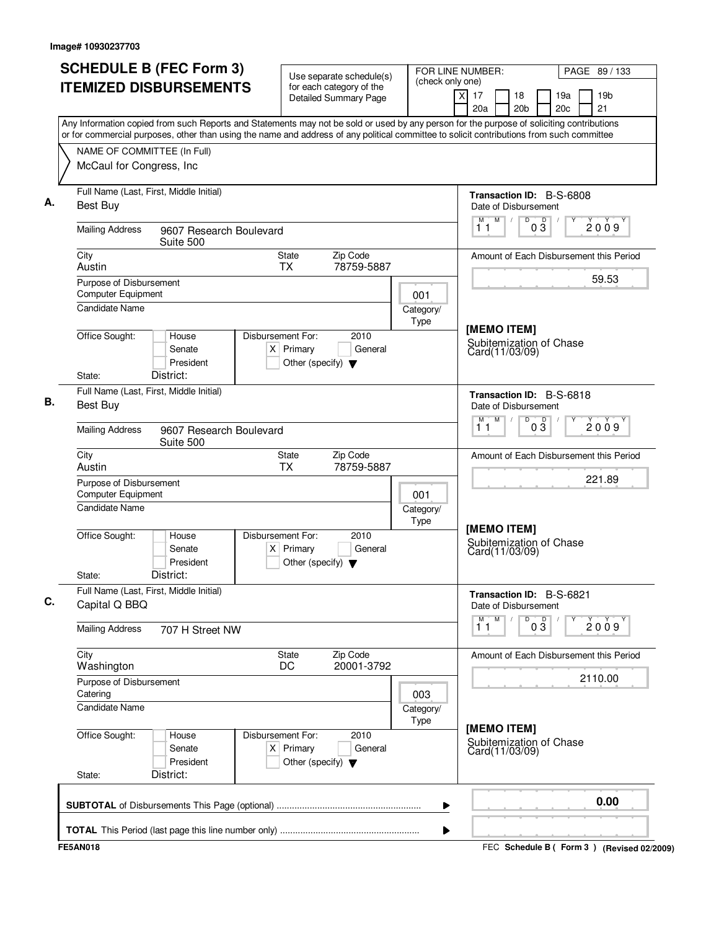| <b>SCHEDULE B (FEC Form 3)</b><br><b>ITEMIZED DISBURSEMENTS</b>                                                                                                                                                                                                                        | Use separate schedule(s)<br>for each category of the                                        | FOR LINE NUMBER:<br>(check only one) |                                                          | PAGE 89 / 133                               |
|----------------------------------------------------------------------------------------------------------------------------------------------------------------------------------------------------------------------------------------------------------------------------------------|---------------------------------------------------------------------------------------------|--------------------------------------|----------------------------------------------------------|---------------------------------------------|
|                                                                                                                                                                                                                                                                                        | <b>Detailed Summary Page</b>                                                                |                                      | $\times$<br>17<br>18<br>20a<br>20 <sub>b</sub>           | 19a<br>19 <sub>b</sub><br>21<br>20c         |
| Any Information copied from such Reports and Statements may not be sold or used by any person for the purpose of soliciting contributions<br>or for commercial purposes, other than using the name and address of any political committee to solicit contributions from such committee |                                                                                             |                                      |                                                          |                                             |
| NAME OF COMMITTEE (In Full)                                                                                                                                                                                                                                                            |                                                                                             |                                      |                                                          |                                             |
| McCaul for Congress, Inc                                                                                                                                                                                                                                                               |                                                                                             |                                      |                                                          |                                             |
| Full Name (Last, First, Middle Initial)<br><b>Best Buy</b>                                                                                                                                                                                                                             |                                                                                             |                                      | Transaction ID: B-S-6808<br>Date of Disbursement         |                                             |
| <b>Mailing Address</b><br>9607 Research Boulevard<br>Suite 500                                                                                                                                                                                                                         |                                                                                             |                                      | M<br>$\sqrt{2}$<br>D<br>D<br>M<br>03<br>11               | 2009                                        |
| City<br>Austin                                                                                                                                                                                                                                                                         | Zip Code<br><b>State</b><br>78759-5887<br><b>TX</b>                                         |                                      |                                                          | Amount of Each Disbursement this Period     |
| Purpose of Disbursement<br>Computer Equipment                                                                                                                                                                                                                                          |                                                                                             |                                      |                                                          | 59.53                                       |
| <b>Candidate Name</b>                                                                                                                                                                                                                                                                  |                                                                                             | 001<br>Category/<br>Type             |                                                          |                                             |
| Office Sought:<br>House<br>Senate<br>President<br>District:<br>State:                                                                                                                                                                                                                  | Disbursement For:<br>2010<br>$X$ Primary<br>General<br>Other (specify) $\blacktriangledown$ |                                      | [MEMO ITEM]<br>Subitemization of Chase<br>Card(11/03/09) |                                             |
| Full Name (Last, First, Middle Initial)<br><b>Best Buy</b>                                                                                                                                                                                                                             |                                                                                             |                                      | Transaction ID: B-S-6818<br>Date of Disbursement         |                                             |
| <b>Mailing Address</b><br>9607 Research Boulevard<br>Suite 500                                                                                                                                                                                                                         |                                                                                             |                                      | M<br>D<br>$0\overline{3}$<br>М<br>11                     | 2009                                        |
| City<br>Austin                                                                                                                                                                                                                                                                         | Zip Code<br>State<br>TX<br>78759-5887                                                       |                                      |                                                          | Amount of Each Disbursement this Period     |
| Purpose of Disbursement<br><b>Computer Equipment</b>                                                                                                                                                                                                                                   |                                                                                             | 001                                  |                                                          | 221.89                                      |
| Candidate Name                                                                                                                                                                                                                                                                         |                                                                                             | Category/<br>Type                    |                                                          |                                             |
| Office Sought:<br>House<br>Senate<br>President<br>District:<br>State:                                                                                                                                                                                                                  | Disbursement For:<br>2010<br>$X$ Primary<br>General<br>Other (specify) $\blacktriangledown$ |                                      | [MEMO ITEM]<br>Subitemization of Chase<br>Card(11/03/09) |                                             |
| Full Name (Last, First, Middle Initial)<br>Capital Q BBQ                                                                                                                                                                                                                               |                                                                                             |                                      | Transaction ID: B-S-6821<br>Date of Disbursement         |                                             |
| <b>Mailing Address</b><br>707 H Street NW                                                                                                                                                                                                                                              |                                                                                             |                                      | M<br>D<br>$0\overline{3}$<br>$\overline{1}^M$            | 2009                                        |
| City<br>Washington                                                                                                                                                                                                                                                                     | State<br>Zip Code<br>DC<br>20001-3792                                                       |                                      |                                                          | Amount of Each Disbursement this Period     |
| Purpose of Disbursement<br>Catering                                                                                                                                                                                                                                                    |                                                                                             | 003                                  |                                                          | 2110.00                                     |
| <b>Candidate Name</b>                                                                                                                                                                                                                                                                  |                                                                                             | Category/<br>Type                    |                                                          |                                             |
| Office Sought:<br>House<br>Senate<br>President<br>District:<br>State:                                                                                                                                                                                                                  | Disbursement For:<br>2010<br>$X$ Primary<br>General<br>Other (specify) $\blacktriangledown$ |                                      | [MEMO ITEM]<br>Subitemization of Chase<br>Card(11/03/09) |                                             |
|                                                                                                                                                                                                                                                                                        |                                                                                             | ▶                                    |                                                          | 0.00                                        |
|                                                                                                                                                                                                                                                                                        |                                                                                             | ▶                                    |                                                          |                                             |
| <b>FE5AN018</b>                                                                                                                                                                                                                                                                        |                                                                                             |                                      |                                                          | FEC Schedule B ( Form 3 ) (Revised 02/2009) |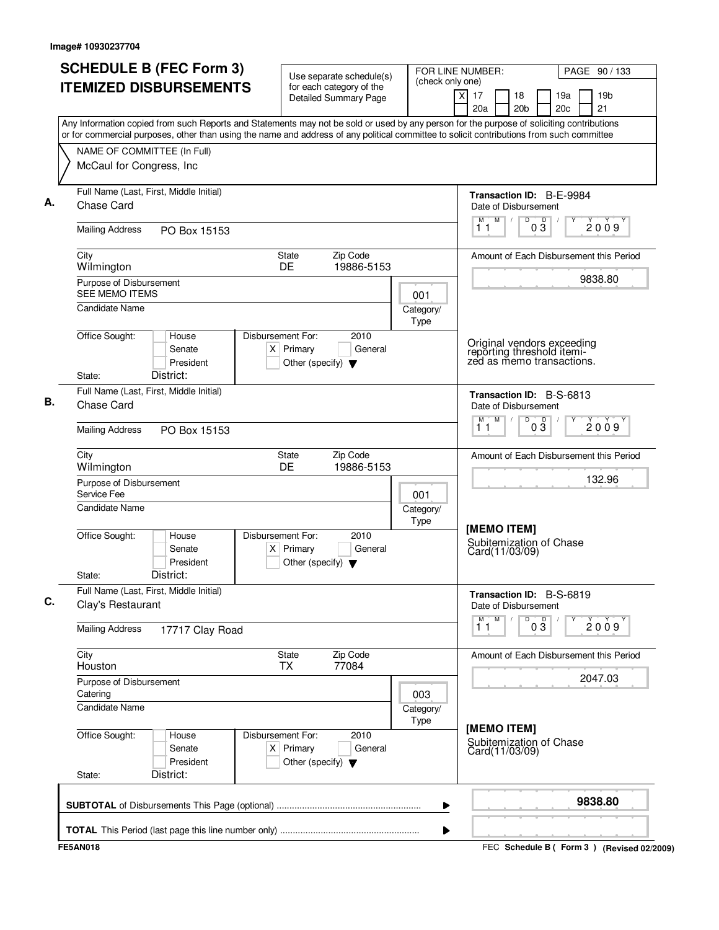| <b>SCHEDULE B (FEC Form 3)</b>                                                                                                                                                                                                                                                         | Use separate schedule(s)                                                                    | FOR LINE NUMBER:<br>(check only one) |                                                                                       |                       |                | PAGE 90 / 133                               |
|----------------------------------------------------------------------------------------------------------------------------------------------------------------------------------------------------------------------------------------------------------------------------------------|---------------------------------------------------------------------------------------------|--------------------------------------|---------------------------------------------------------------------------------------|-----------------------|----------------|---------------------------------------------|
| <b>ITEMIZED DISBURSEMENTS</b>                                                                                                                                                                                                                                                          | for each category of the<br><b>Detailed Summary Page</b>                                    |                                      | x<br>17<br>20a                                                                        | 18<br>20 <sub>b</sub> | 19a<br>20c     | 19 <sub>b</sub><br>21                       |
| Any Information copied from such Reports and Statements may not be sold or used by any person for the purpose of soliciting contributions<br>or for commercial purposes, other than using the name and address of any political committee to solicit contributions from such committee |                                                                                             |                                      |                                                                                       |                       |                |                                             |
| NAME OF COMMITTEE (In Full)                                                                                                                                                                                                                                                            |                                                                                             |                                      |                                                                                       |                       |                |                                             |
| McCaul for Congress, Inc                                                                                                                                                                                                                                                               |                                                                                             |                                      |                                                                                       |                       |                |                                             |
| Full Name (Last, First, Middle Initial)<br>Chase Card                                                                                                                                                                                                                                  |                                                                                             |                                      | Transaction ID: B-E-9984<br>Date of Disbursement                                      |                       |                |                                             |
| <b>Mailing Address</b><br>PO Box 15153                                                                                                                                                                                                                                                 |                                                                                             |                                      | M<br>M<br>11                                                                          | D<br>03               | $\overline{D}$ | 2009                                        |
| City<br>Wilmington                                                                                                                                                                                                                                                                     | Zip Code<br>State<br><b>DE</b><br>19886-5153                                                |                                      |                                                                                       |                       |                | Amount of Each Disbursement this Period     |
| Purpose of Disbursement<br><b>SEE MEMO ITEMS</b>                                                                                                                                                                                                                                       |                                                                                             | 001                                  |                                                                                       |                       |                | 9838.80                                     |
| <b>Candidate Name</b>                                                                                                                                                                                                                                                                  |                                                                                             | Category/<br>Type                    |                                                                                       |                       |                |                                             |
| Office Sought:<br>House<br>Senate<br>President<br>District:<br>State:                                                                                                                                                                                                                  | Disbursement For:<br>2010<br>$X$ Primary<br>General<br>Other (specify) $\blacktriangledown$ |                                      | Original vendors exceeding<br>reporting threshold itemi-<br>zed as memo transactions. |                       |                |                                             |
| Full Name (Last, First, Middle Initial)<br><b>Chase Card</b>                                                                                                                                                                                                                           |                                                                                             |                                      | <b>Transaction ID: B-S-6813</b><br>Date of Disbursement                               |                       |                |                                             |
| <b>Mailing Address</b><br>PO Box 15153                                                                                                                                                                                                                                                 |                                                                                             |                                      | M<br>М<br>11                                                                          | D<br>$0\overline{3}$  |                | 2009                                        |
| City<br>Wilmington                                                                                                                                                                                                                                                                     | Zip Code<br>State<br>DE<br>19886-5153                                                       |                                      |                                                                                       |                       |                | Amount of Each Disbursement this Period     |
| Purpose of Disbursement<br>Service Fee                                                                                                                                                                                                                                                 |                                                                                             | 001                                  |                                                                                       |                       |                | 132.96                                      |
| <b>Candidate Name</b>                                                                                                                                                                                                                                                                  |                                                                                             | Category/<br>Type                    | [MEMO ITEM]                                                                           |                       |                |                                             |
| Office Sought:<br>House<br>Senate<br>President<br>District:<br>State:                                                                                                                                                                                                                  | Disbursement For:<br>2010<br>General<br>$X$ Primary<br>Other (specify) $\blacktriangledown$ |                                      | Subitemization of Chase<br>Card(11/03/09)                                             |                       |                |                                             |
| Full Name (Last, First, Middle Initial)<br>Clay's Restaurant                                                                                                                                                                                                                           |                                                                                             |                                      | Transaction ID: B-S-6819<br>Date of Disbursement                                      |                       |                |                                             |
| <b>Mailing Address</b><br>17717 Clay Road                                                                                                                                                                                                                                              |                                                                                             |                                      | M<br>M<br>11                                                                          | D<br>$0\overline{3}$  |                | 2009                                        |
| City<br>Houston                                                                                                                                                                                                                                                                        | Zip Code<br>State<br>77084<br><b>TX</b>                                                     |                                      |                                                                                       |                       |                | Amount of Each Disbursement this Period     |
| Purpose of Disbursement<br>Catering                                                                                                                                                                                                                                                    |                                                                                             | 003                                  |                                                                                       |                       |                | 2047.03                                     |
| Candidate Name                                                                                                                                                                                                                                                                         |                                                                                             | Category/<br>Type                    | [MEMO ITEM]                                                                           |                       |                |                                             |
| Office Sought:<br>House<br>Senate<br>President<br>District:<br>State:                                                                                                                                                                                                                  | Disbursement For:<br>2010<br>$X$ Primary<br>General<br>Other (specify) $\blacktriangledown$ |                                      | Subitemization of Chase<br>Card(11/03/09)                                             |                       |                |                                             |
|                                                                                                                                                                                                                                                                                        |                                                                                             | ▶                                    |                                                                                       |                       |                | 9838.80                                     |
|                                                                                                                                                                                                                                                                                        |                                                                                             | ▶                                    |                                                                                       |                       |                |                                             |
| <b>FE5AN018</b>                                                                                                                                                                                                                                                                        |                                                                                             |                                      |                                                                                       |                       |                | FEC Schedule B ( Form 3 ) (Revised 02/2009) |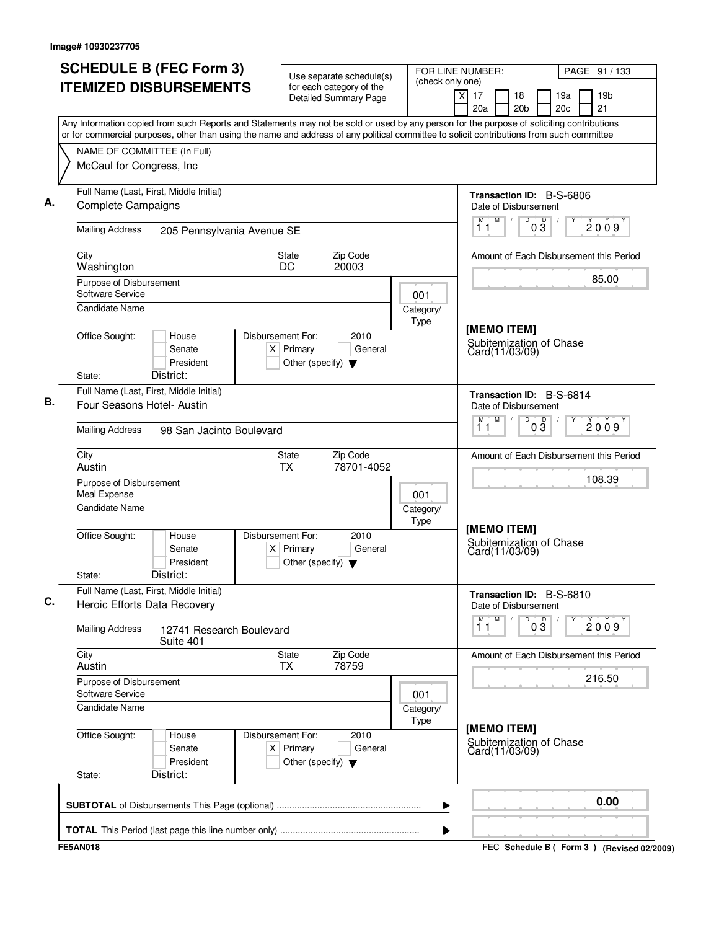| (check only one)<br><b>ITEMIZED DISBURSEMENTS</b><br>for each category of the<br>$\overline{\mathsf{x}}$<br>17<br><b>Detailed Summary Page</b><br>20a<br>Any Information copied from such Reports and Statements may not be sold or used by any person for the purpose of soliciting contributions<br>or for commercial purposes, other than using the name and address of any political committee to solicit contributions from such committee<br>NAME OF COMMITTEE (In Full)<br>McCaul for Congress, Inc.<br>Full Name (Last, First, Middle Initial)<br><b>Complete Campaigns</b><br><b>Mailing Address</b><br>205 Pennsylvania Avenue SE<br>City<br><b>State</b><br>Zip Code<br>Washington<br>DC<br>20003<br>Purpose of Disbursement<br>Software Service<br>001<br><b>Candidate Name</b><br>Category/<br>Type<br>Office Sought:<br>Disbursement For:<br>2010<br>House<br>$X$ Primary<br>Senate<br>General<br>President<br>Other (specify) $\blacktriangledown$<br>District:<br>State:<br>Full Name (Last, First, Middle Initial)<br>Four Seasons Hotel- Austin<br><b>Mailing Address</b><br>98 San Jacinto Boulevard<br>City<br>Zip Code<br>State<br><b>TX</b><br>Austin<br>78701-4052<br>Purpose of Disbursement<br>Meal Expense<br>001<br><b>Candidate Name</b><br>Category/<br>Type<br>Office Sought:<br><b>Disbursement For:</b><br>2010<br>House<br>Senate<br>$X$ Primary<br>General<br>President<br>Other (specify) $\blacktriangledown$<br>District:<br>State:<br>Full Name (Last, First, Middle Initial)<br>Heroic Efforts Data Recovery<br><b>Mailing Address</b><br>12741 Research Boulevard<br>Suite 401<br>City<br>Zip Code<br>State<br>Austin<br>78759<br><b>TX</b><br>Purpose of Disbursement<br>Software Service<br>001<br><b>Candidate Name</b><br>Category/<br>Type<br>Office Sought:<br>Disbursement For:<br>2010<br>House<br>Senate<br>$X$ Primary<br>General | FOR LINE NUMBER:                                         | PAGE 91 / 133         |  |  |  |  |  |
|-------------------------------------------------------------------------------------------------------------------------------------------------------------------------------------------------------------------------------------------------------------------------------------------------------------------------------------------------------------------------------------------------------------------------------------------------------------------------------------------------------------------------------------------------------------------------------------------------------------------------------------------------------------------------------------------------------------------------------------------------------------------------------------------------------------------------------------------------------------------------------------------------------------------------------------------------------------------------------------------------------------------------------------------------------------------------------------------------------------------------------------------------------------------------------------------------------------------------------------------------------------------------------------------------------------------------------------------------------------------------------------------------------------------------------------------------------------------------------------------------------------------------------------------------------------------------------------------------------------------------------------------------------------------------------------------------------------------------------------------------------------------------------------------------------------------------------------------------------------------------------------|----------------------------------------------------------|-----------------------|--|--|--|--|--|
|                                                                                                                                                                                                                                                                                                                                                                                                                                                                                                                                                                                                                                                                                                                                                                                                                                                                                                                                                                                                                                                                                                                                                                                                                                                                                                                                                                                                                                                                                                                                                                                                                                                                                                                                                                                                                                                                                     | 18<br>19a<br>20 <sub>b</sub><br>20c                      | 19 <sub>b</sub><br>21 |  |  |  |  |  |
|                                                                                                                                                                                                                                                                                                                                                                                                                                                                                                                                                                                                                                                                                                                                                                                                                                                                                                                                                                                                                                                                                                                                                                                                                                                                                                                                                                                                                                                                                                                                                                                                                                                                                                                                                                                                                                                                                     |                                                          |                       |  |  |  |  |  |
|                                                                                                                                                                                                                                                                                                                                                                                                                                                                                                                                                                                                                                                                                                                                                                                                                                                                                                                                                                                                                                                                                                                                                                                                                                                                                                                                                                                                                                                                                                                                                                                                                                                                                                                                                                                                                                                                                     |                                                          |                       |  |  |  |  |  |
|                                                                                                                                                                                                                                                                                                                                                                                                                                                                                                                                                                                                                                                                                                                                                                                                                                                                                                                                                                                                                                                                                                                                                                                                                                                                                                                                                                                                                                                                                                                                                                                                                                                                                                                                                                                                                                                                                     |                                                          |                       |  |  |  |  |  |
|                                                                                                                                                                                                                                                                                                                                                                                                                                                                                                                                                                                                                                                                                                                                                                                                                                                                                                                                                                                                                                                                                                                                                                                                                                                                                                                                                                                                                                                                                                                                                                                                                                                                                                                                                                                                                                                                                     | Transaction ID: B-S-6806<br>Date of Disbursement         |                       |  |  |  |  |  |
|                                                                                                                                                                                                                                                                                                                                                                                                                                                                                                                                                                                                                                                                                                                                                                                                                                                                                                                                                                                                                                                                                                                                                                                                                                                                                                                                                                                                                                                                                                                                                                                                                                                                                                                                                                                                                                                                                     | $\overline{D}$<br>M<br>$0\overline{3}$<br>11             | 2009                  |  |  |  |  |  |
|                                                                                                                                                                                                                                                                                                                                                                                                                                                                                                                                                                                                                                                                                                                                                                                                                                                                                                                                                                                                                                                                                                                                                                                                                                                                                                                                                                                                                                                                                                                                                                                                                                                                                                                                                                                                                                                                                     | Amount of Each Disbursement this Period                  |                       |  |  |  |  |  |
|                                                                                                                                                                                                                                                                                                                                                                                                                                                                                                                                                                                                                                                                                                                                                                                                                                                                                                                                                                                                                                                                                                                                                                                                                                                                                                                                                                                                                                                                                                                                                                                                                                                                                                                                                                                                                                                                                     |                                                          | 85.00                 |  |  |  |  |  |
|                                                                                                                                                                                                                                                                                                                                                                                                                                                                                                                                                                                                                                                                                                                                                                                                                                                                                                                                                                                                                                                                                                                                                                                                                                                                                                                                                                                                                                                                                                                                                                                                                                                                                                                                                                                                                                                                                     |                                                          |                       |  |  |  |  |  |
|                                                                                                                                                                                                                                                                                                                                                                                                                                                                                                                                                                                                                                                                                                                                                                                                                                                                                                                                                                                                                                                                                                                                                                                                                                                                                                                                                                                                                                                                                                                                                                                                                                                                                                                                                                                                                                                                                     |                                                          |                       |  |  |  |  |  |
|                                                                                                                                                                                                                                                                                                                                                                                                                                                                                                                                                                                                                                                                                                                                                                                                                                                                                                                                                                                                                                                                                                                                                                                                                                                                                                                                                                                                                                                                                                                                                                                                                                                                                                                                                                                                                                                                                     | [MEMO ITEM]<br>Subitemization of Chase<br>Card(11/03/09) |                       |  |  |  |  |  |
|                                                                                                                                                                                                                                                                                                                                                                                                                                                                                                                                                                                                                                                                                                                                                                                                                                                                                                                                                                                                                                                                                                                                                                                                                                                                                                                                                                                                                                                                                                                                                                                                                                                                                                                                                                                                                                                                                     |                                                          |                       |  |  |  |  |  |
|                                                                                                                                                                                                                                                                                                                                                                                                                                                                                                                                                                                                                                                                                                                                                                                                                                                                                                                                                                                                                                                                                                                                                                                                                                                                                                                                                                                                                                                                                                                                                                                                                                                                                                                                                                                                                                                                                     | Transaction ID: B-S-6814<br>Date of Disbursement         |                       |  |  |  |  |  |
|                                                                                                                                                                                                                                                                                                                                                                                                                                                                                                                                                                                                                                                                                                                                                                                                                                                                                                                                                                                                                                                                                                                                                                                                                                                                                                                                                                                                                                                                                                                                                                                                                                                                                                                                                                                                                                                                                     | D<br>M<br>$0\frac{5}{3}$<br>м<br>11                      | 2009                  |  |  |  |  |  |
|                                                                                                                                                                                                                                                                                                                                                                                                                                                                                                                                                                                                                                                                                                                                                                                                                                                                                                                                                                                                                                                                                                                                                                                                                                                                                                                                                                                                                                                                                                                                                                                                                                                                                                                                                                                                                                                                                     | Amount of Each Disbursement this Period                  |                       |  |  |  |  |  |
|                                                                                                                                                                                                                                                                                                                                                                                                                                                                                                                                                                                                                                                                                                                                                                                                                                                                                                                                                                                                                                                                                                                                                                                                                                                                                                                                                                                                                                                                                                                                                                                                                                                                                                                                                                                                                                                                                     |                                                          | 108.39                |  |  |  |  |  |
|                                                                                                                                                                                                                                                                                                                                                                                                                                                                                                                                                                                                                                                                                                                                                                                                                                                                                                                                                                                                                                                                                                                                                                                                                                                                                                                                                                                                                                                                                                                                                                                                                                                                                                                                                                                                                                                                                     |                                                          |                       |  |  |  |  |  |
|                                                                                                                                                                                                                                                                                                                                                                                                                                                                                                                                                                                                                                                                                                                                                                                                                                                                                                                                                                                                                                                                                                                                                                                                                                                                                                                                                                                                                                                                                                                                                                                                                                                                                                                                                                                                                                                                                     | [MEMO ITEM]                                              |                       |  |  |  |  |  |
|                                                                                                                                                                                                                                                                                                                                                                                                                                                                                                                                                                                                                                                                                                                                                                                                                                                                                                                                                                                                                                                                                                                                                                                                                                                                                                                                                                                                                                                                                                                                                                                                                                                                                                                                                                                                                                                                                     | Subitemization of Chase<br>Card(11/03/09)                |                       |  |  |  |  |  |
|                                                                                                                                                                                                                                                                                                                                                                                                                                                                                                                                                                                                                                                                                                                                                                                                                                                                                                                                                                                                                                                                                                                                                                                                                                                                                                                                                                                                                                                                                                                                                                                                                                                                                                                                                                                                                                                                                     |                                                          |                       |  |  |  |  |  |
|                                                                                                                                                                                                                                                                                                                                                                                                                                                                                                                                                                                                                                                                                                                                                                                                                                                                                                                                                                                                                                                                                                                                                                                                                                                                                                                                                                                                                                                                                                                                                                                                                                                                                                                                                                                                                                                                                     | Transaction ID: B-S-6810<br>Date of Disbursement         |                       |  |  |  |  |  |
|                                                                                                                                                                                                                                                                                                                                                                                                                                                                                                                                                                                                                                                                                                                                                                                                                                                                                                                                                                                                                                                                                                                                                                                                                                                                                                                                                                                                                                                                                                                                                                                                                                                                                                                                                                                                                                                                                     | D<br>$0\frac{D}{3}$<br>M<br>Y<br>2009<br>11              |                       |  |  |  |  |  |
|                                                                                                                                                                                                                                                                                                                                                                                                                                                                                                                                                                                                                                                                                                                                                                                                                                                                                                                                                                                                                                                                                                                                                                                                                                                                                                                                                                                                                                                                                                                                                                                                                                                                                                                                                                                                                                                                                     | Amount of Each Disbursement this Period                  |                       |  |  |  |  |  |
|                                                                                                                                                                                                                                                                                                                                                                                                                                                                                                                                                                                                                                                                                                                                                                                                                                                                                                                                                                                                                                                                                                                                                                                                                                                                                                                                                                                                                                                                                                                                                                                                                                                                                                                                                                                                                                                                                     | 216.50                                                   |                       |  |  |  |  |  |
|                                                                                                                                                                                                                                                                                                                                                                                                                                                                                                                                                                                                                                                                                                                                                                                                                                                                                                                                                                                                                                                                                                                                                                                                                                                                                                                                                                                                                                                                                                                                                                                                                                                                                                                                                                                                                                                                                     |                                                          |                       |  |  |  |  |  |
| President<br>Other (specify) $\blacktriangledown$                                                                                                                                                                                                                                                                                                                                                                                                                                                                                                                                                                                                                                                                                                                                                                                                                                                                                                                                                                                                                                                                                                                                                                                                                                                                                                                                                                                                                                                                                                                                                                                                                                                                                                                                                                                                                                   | [MEMO ITEM]<br>Subitemization of Chase<br>Card(11/03/09) |                       |  |  |  |  |  |
| District:<br>State:                                                                                                                                                                                                                                                                                                                                                                                                                                                                                                                                                                                                                                                                                                                                                                                                                                                                                                                                                                                                                                                                                                                                                                                                                                                                                                                                                                                                                                                                                                                                                                                                                                                                                                                                                                                                                                                                 |                                                          |                       |  |  |  |  |  |
| ▶                                                                                                                                                                                                                                                                                                                                                                                                                                                                                                                                                                                                                                                                                                                                                                                                                                                                                                                                                                                                                                                                                                                                                                                                                                                                                                                                                                                                                                                                                                                                                                                                                                                                                                                                                                                                                                                                                   |                                                          | 0.00                  |  |  |  |  |  |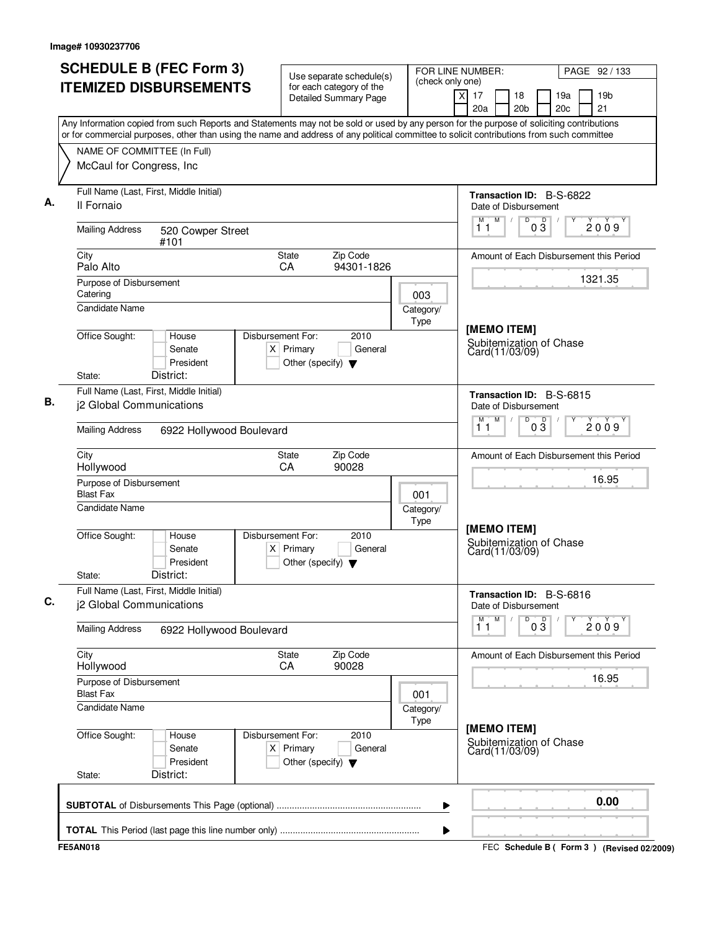| (check only one)<br><b>ITEMIZED DISBURSEMENTS</b><br>for each category of the<br>19 <sub>b</sub><br>x<br>17<br>18<br>19a<br>Detailed Summary Page<br>20c<br>21<br>20a<br>20 <sub>b</sub><br>Any Information copied from such Reports and Statements may not be sold or used by any person for the purpose of soliciting contributions<br>or for commercial purposes, other than using the name and address of any political committee to solicit contributions from such committee<br>NAME OF COMMITTEE (In Full)<br>McCaul for Congress, Inc<br>Full Name (Last, First, Middle Initial)<br>Transaction ID: B-S-6822<br>Il Fornaio<br>Date of Disbursement<br>$M$ /<br>D<br>$0\overline{3}$<br>М<br>2009<br>11<br><b>Mailing Address</b><br>520 Cowper Street<br>#101<br>Zip Code<br>City<br>State<br>Amount of Each Disbursement this Period<br>94301-1826<br>Palo Alto<br><b>CA</b><br>1321.35<br>Purpose of Disbursement<br>Catering<br>003<br><b>Candidate Name</b><br>Category/<br>Type<br>[MEMO ITEM]<br>Office Sought:<br>Disbursement For:<br>2010<br>House<br>Subitemization of Chase<br>$X$ Primary<br>General<br>Senate<br>Card(11/03/09)<br>President<br>Other (specify) $\blacktriangledown$<br>District:<br>State:<br>Full Name (Last, First, Middle Initial)<br>Transaction ID: B-S-6815<br>j2 Global Communications<br>Date of Disbursement<br>M<br>M<br>D<br>$0\overline{3}$<br>2009<br>11<br><b>Mailing Address</b><br>6922 Hollywood Boulevard<br>Zip Code<br>City<br>State<br>Amount of Each Disbursement this Period<br>Hollywood<br>CA<br>90028<br>16.95<br>Purpose of Disbursement<br><b>Blast Fax</b><br>001<br>Candidate Name<br>Category/<br>Type<br>[MEMO ITEM]<br>Office Sought:<br>Disbursement For:<br>2010<br>House<br>Subitemization of Chase<br>Senate<br>$X$ Primary<br>General<br>Card(11/03/09)<br>President<br>Other (specify) $\blacktriangledown$<br>District:<br>State:<br>Full Name (Last, First, Middle Initial)<br>Transaction ID: B-S-6816<br>j2 Global Communications<br>Date of Disbursement<br>M<br>M.<br>D<br>03<br>2009<br>11<br><b>Mailing Address</b><br>6922 Hollywood Boulevard<br>City<br>Zip Code<br>State<br>Amount of Each Disbursement this Period<br>90028<br>Hollywood<br>CA<br>16.95<br>Purpose of Disbursement<br><b>Blast Fax</b><br>001<br><b>Candidate Name</b><br>Category/<br>Type<br>[MEMO ITEM]<br>Office Sought:<br>Disbursement For:<br>2010<br>House<br>Subitemization of Chase<br>$X$ Primary<br>Senate<br>General<br>Card(11/03/09)<br>President<br>Other (specify) $\blacktriangledown$<br>District:<br>State:<br>0.00<br>▶ | <b>SCHEDULE B (FEC Form 3)</b> | Use separate schedule(s) | FOR LINE NUMBER: | PAGE 92 / 133 |
|--------------------------------------------------------------------------------------------------------------------------------------------------------------------------------------------------------------------------------------------------------------------------------------------------------------------------------------------------------------------------------------------------------------------------------------------------------------------------------------------------------------------------------------------------------------------------------------------------------------------------------------------------------------------------------------------------------------------------------------------------------------------------------------------------------------------------------------------------------------------------------------------------------------------------------------------------------------------------------------------------------------------------------------------------------------------------------------------------------------------------------------------------------------------------------------------------------------------------------------------------------------------------------------------------------------------------------------------------------------------------------------------------------------------------------------------------------------------------------------------------------------------------------------------------------------------------------------------------------------------------------------------------------------------------------------------------------------------------------------------------------------------------------------------------------------------------------------------------------------------------------------------------------------------------------------------------------------------------------------------------------------------------------------------------------------------------------------------------------------------------------------------------------------------------------------------------------------------------------------------------------------------------------------------------------------------------------------------------------------------------------------------------------------------------------------------------------------------------------------------------------------------------------------------------------------------------------------------------------|--------------------------------|--------------------------|------------------|---------------|
|                                                                                                                                                                                                                                                                                                                                                                                                                                                                                                                                                                                                                                                                                                                                                                                                                                                                                                                                                                                                                                                                                                                                                                                                                                                                                                                                                                                                                                                                                                                                                                                                                                                                                                                                                                                                                                                                                                                                                                                                                                                                                                                                                                                                                                                                                                                                                                                                                                                                                                                                                                                                        |                                |                          |                  |               |
|                                                                                                                                                                                                                                                                                                                                                                                                                                                                                                                                                                                                                                                                                                                                                                                                                                                                                                                                                                                                                                                                                                                                                                                                                                                                                                                                                                                                                                                                                                                                                                                                                                                                                                                                                                                                                                                                                                                                                                                                                                                                                                                                                                                                                                                                                                                                                                                                                                                                                                                                                                                                        |                                |                          |                  |               |
|                                                                                                                                                                                                                                                                                                                                                                                                                                                                                                                                                                                                                                                                                                                                                                                                                                                                                                                                                                                                                                                                                                                                                                                                                                                                                                                                                                                                                                                                                                                                                                                                                                                                                                                                                                                                                                                                                                                                                                                                                                                                                                                                                                                                                                                                                                                                                                                                                                                                                                                                                                                                        |                                |                          |                  |               |
|                                                                                                                                                                                                                                                                                                                                                                                                                                                                                                                                                                                                                                                                                                                                                                                                                                                                                                                                                                                                                                                                                                                                                                                                                                                                                                                                                                                                                                                                                                                                                                                                                                                                                                                                                                                                                                                                                                                                                                                                                                                                                                                                                                                                                                                                                                                                                                                                                                                                                                                                                                                                        |                                |                          |                  |               |
|                                                                                                                                                                                                                                                                                                                                                                                                                                                                                                                                                                                                                                                                                                                                                                                                                                                                                                                                                                                                                                                                                                                                                                                                                                                                                                                                                                                                                                                                                                                                                                                                                                                                                                                                                                                                                                                                                                                                                                                                                                                                                                                                                                                                                                                                                                                                                                                                                                                                                                                                                                                                        |                                |                          |                  |               |
|                                                                                                                                                                                                                                                                                                                                                                                                                                                                                                                                                                                                                                                                                                                                                                                                                                                                                                                                                                                                                                                                                                                                                                                                                                                                                                                                                                                                                                                                                                                                                                                                                                                                                                                                                                                                                                                                                                                                                                                                                                                                                                                                                                                                                                                                                                                                                                                                                                                                                                                                                                                                        |                                |                          |                  |               |
|                                                                                                                                                                                                                                                                                                                                                                                                                                                                                                                                                                                                                                                                                                                                                                                                                                                                                                                                                                                                                                                                                                                                                                                                                                                                                                                                                                                                                                                                                                                                                                                                                                                                                                                                                                                                                                                                                                                                                                                                                                                                                                                                                                                                                                                                                                                                                                                                                                                                                                                                                                                                        |                                |                          |                  |               |
|                                                                                                                                                                                                                                                                                                                                                                                                                                                                                                                                                                                                                                                                                                                                                                                                                                                                                                                                                                                                                                                                                                                                                                                                                                                                                                                                                                                                                                                                                                                                                                                                                                                                                                                                                                                                                                                                                                                                                                                                                                                                                                                                                                                                                                                                                                                                                                                                                                                                                                                                                                                                        |                                |                          |                  |               |
|                                                                                                                                                                                                                                                                                                                                                                                                                                                                                                                                                                                                                                                                                                                                                                                                                                                                                                                                                                                                                                                                                                                                                                                                                                                                                                                                                                                                                                                                                                                                                                                                                                                                                                                                                                                                                                                                                                                                                                                                                                                                                                                                                                                                                                                                                                                                                                                                                                                                                                                                                                                                        |                                |                          |                  |               |
|                                                                                                                                                                                                                                                                                                                                                                                                                                                                                                                                                                                                                                                                                                                                                                                                                                                                                                                                                                                                                                                                                                                                                                                                                                                                                                                                                                                                                                                                                                                                                                                                                                                                                                                                                                                                                                                                                                                                                                                                                                                                                                                                                                                                                                                                                                                                                                                                                                                                                                                                                                                                        |                                |                          |                  |               |
|                                                                                                                                                                                                                                                                                                                                                                                                                                                                                                                                                                                                                                                                                                                                                                                                                                                                                                                                                                                                                                                                                                                                                                                                                                                                                                                                                                                                                                                                                                                                                                                                                                                                                                                                                                                                                                                                                                                                                                                                                                                                                                                                                                                                                                                                                                                                                                                                                                                                                                                                                                                                        |                                |                          |                  |               |
|                                                                                                                                                                                                                                                                                                                                                                                                                                                                                                                                                                                                                                                                                                                                                                                                                                                                                                                                                                                                                                                                                                                                                                                                                                                                                                                                                                                                                                                                                                                                                                                                                                                                                                                                                                                                                                                                                                                                                                                                                                                                                                                                                                                                                                                                                                                                                                                                                                                                                                                                                                                                        |                                |                          |                  |               |
|                                                                                                                                                                                                                                                                                                                                                                                                                                                                                                                                                                                                                                                                                                                                                                                                                                                                                                                                                                                                                                                                                                                                                                                                                                                                                                                                                                                                                                                                                                                                                                                                                                                                                                                                                                                                                                                                                                                                                                                                                                                                                                                                                                                                                                                                                                                                                                                                                                                                                                                                                                                                        |                                |                          |                  |               |
|                                                                                                                                                                                                                                                                                                                                                                                                                                                                                                                                                                                                                                                                                                                                                                                                                                                                                                                                                                                                                                                                                                                                                                                                                                                                                                                                                                                                                                                                                                                                                                                                                                                                                                                                                                                                                                                                                                                                                                                                                                                                                                                                                                                                                                                                                                                                                                                                                                                                                                                                                                                                        |                                |                          |                  |               |
|                                                                                                                                                                                                                                                                                                                                                                                                                                                                                                                                                                                                                                                                                                                                                                                                                                                                                                                                                                                                                                                                                                                                                                                                                                                                                                                                                                                                                                                                                                                                                                                                                                                                                                                                                                                                                                                                                                                                                                                                                                                                                                                                                                                                                                                                                                                                                                                                                                                                                                                                                                                                        |                                |                          |                  |               |
|                                                                                                                                                                                                                                                                                                                                                                                                                                                                                                                                                                                                                                                                                                                                                                                                                                                                                                                                                                                                                                                                                                                                                                                                                                                                                                                                                                                                                                                                                                                                                                                                                                                                                                                                                                                                                                                                                                                                                                                                                                                                                                                                                                                                                                                                                                                                                                                                                                                                                                                                                                                                        |                                |                          |                  |               |
|                                                                                                                                                                                                                                                                                                                                                                                                                                                                                                                                                                                                                                                                                                                                                                                                                                                                                                                                                                                                                                                                                                                                                                                                                                                                                                                                                                                                                                                                                                                                                                                                                                                                                                                                                                                                                                                                                                                                                                                                                                                                                                                                                                                                                                                                                                                                                                                                                                                                                                                                                                                                        |                                |                          |                  |               |
|                                                                                                                                                                                                                                                                                                                                                                                                                                                                                                                                                                                                                                                                                                                                                                                                                                                                                                                                                                                                                                                                                                                                                                                                                                                                                                                                                                                                                                                                                                                                                                                                                                                                                                                                                                                                                                                                                                                                                                                                                                                                                                                                                                                                                                                                                                                                                                                                                                                                                                                                                                                                        |                                |                          |                  |               |
|                                                                                                                                                                                                                                                                                                                                                                                                                                                                                                                                                                                                                                                                                                                                                                                                                                                                                                                                                                                                                                                                                                                                                                                                                                                                                                                                                                                                                                                                                                                                                                                                                                                                                                                                                                                                                                                                                                                                                                                                                                                                                                                                                                                                                                                                                                                                                                                                                                                                                                                                                                                                        |                                |                          |                  |               |
|                                                                                                                                                                                                                                                                                                                                                                                                                                                                                                                                                                                                                                                                                                                                                                                                                                                                                                                                                                                                                                                                                                                                                                                                                                                                                                                                                                                                                                                                                                                                                                                                                                                                                                                                                                                                                                                                                                                                                                                                                                                                                                                                                                                                                                                                                                                                                                                                                                                                                                                                                                                                        |                                |                          |                  |               |
|                                                                                                                                                                                                                                                                                                                                                                                                                                                                                                                                                                                                                                                                                                                                                                                                                                                                                                                                                                                                                                                                                                                                                                                                                                                                                                                                                                                                                                                                                                                                                                                                                                                                                                                                                                                                                                                                                                                                                                                                                                                                                                                                                                                                                                                                                                                                                                                                                                                                                                                                                                                                        |                                |                          |                  |               |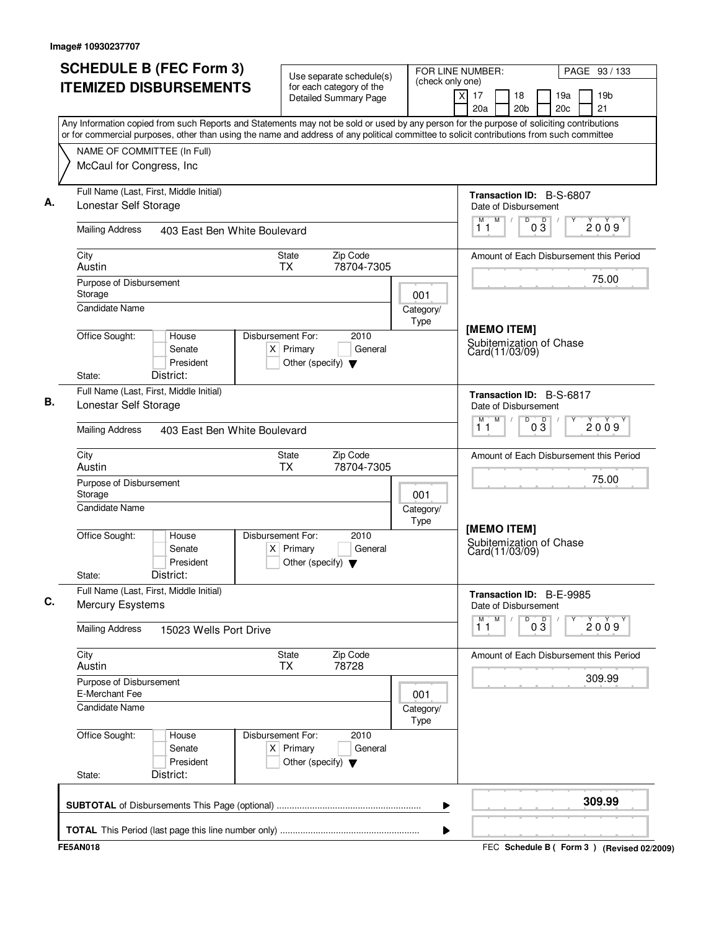| <b>SCHEDULE B (FEC Form 3)</b><br><b>ITEMIZED DISBURSEMENTS</b>                                                                                                                                                                                                                        | Use separate schedule(s)<br>for each category of the                                        | (check only one)  | FOR LINE NUMBER:<br>PAGE 93 / 133                                              |
|----------------------------------------------------------------------------------------------------------------------------------------------------------------------------------------------------------------------------------------------------------------------------------------|---------------------------------------------------------------------------------------------|-------------------|--------------------------------------------------------------------------------|
|                                                                                                                                                                                                                                                                                        | <b>Detailed Summary Page</b>                                                                |                   | 19 <sub>b</sub><br>X<br>17<br>18<br>19a<br>20c<br>21<br>20a<br>20 <sub>b</sub> |
| Any Information copied from such Reports and Statements may not be sold or used by any person for the purpose of soliciting contributions<br>or for commercial purposes, other than using the name and address of any political committee to solicit contributions from such committee |                                                                                             |                   |                                                                                |
| NAME OF COMMITTEE (In Full)                                                                                                                                                                                                                                                            |                                                                                             |                   |                                                                                |
| McCaul for Congress, Inc                                                                                                                                                                                                                                                               |                                                                                             |                   |                                                                                |
| Full Name (Last, First, Middle Initial)<br>Lonestar Self Storage                                                                                                                                                                                                                       |                                                                                             |                   | Transaction ID: B-S-6807<br>Date of Disbursement                               |
| <b>Mailing Address</b><br>403 East Ben White Boulevard                                                                                                                                                                                                                                 |                                                                                             |                   | M<br>D<br>$0\sqrt{3}$<br>M<br>$\sqrt{ }$<br>2009<br>11                         |
| City<br>Austin                                                                                                                                                                                                                                                                         | Zip Code<br>State<br>78704-7305<br><b>TX</b>                                                |                   | Amount of Each Disbursement this Period                                        |
| Purpose of Disbursement<br>Storage                                                                                                                                                                                                                                                     |                                                                                             | 001               | 75.00                                                                          |
| <b>Candidate Name</b>                                                                                                                                                                                                                                                                  |                                                                                             | Category/<br>Type | [MEMO ITEM]                                                                    |
| Office Sought:<br>House<br>Senate<br>President<br>District:<br>State:                                                                                                                                                                                                                  | Disbursement For:<br>2010<br>$X$ Primary<br>General<br>Other (specify) $\blacktriangledown$ |                   | Subitemization of Chase<br>Card(11/03/09)                                      |
| Full Name (Last, First, Middle Initial)                                                                                                                                                                                                                                                |                                                                                             |                   | Transaction ID: B-S-6817                                                       |
| Lonestar Self Storage                                                                                                                                                                                                                                                                  |                                                                                             |                   | Date of Disbursement<br>M<br>M<br>D                                            |
| <b>Mailing Address</b><br>403 East Ben White Boulevard                                                                                                                                                                                                                                 |                                                                                             |                   | $0\frac{D}{3}$<br>2009<br>11                                                   |
| City<br>Austin                                                                                                                                                                                                                                                                         | Zip Code<br>State<br><b>TX</b><br>78704-7305                                                |                   | Amount of Each Disbursement this Period                                        |
| Purpose of Disbursement<br>Storage                                                                                                                                                                                                                                                     |                                                                                             | 001               | 75.00                                                                          |
| <b>Candidate Name</b>                                                                                                                                                                                                                                                                  |                                                                                             | Category/<br>Type | [MEMO ITEM]                                                                    |
| Office Sought:<br>House<br>Senate<br>President<br>District:<br>State:                                                                                                                                                                                                                  | Disbursement For:<br>2010<br>$X$ Primary<br>General<br>Other (specify) $\blacktriangledown$ |                   | Subitemization of Chase<br>Card(11/03/09)                                      |
| Full Name (Last, First, Middle Initial)<br><b>Mercury Esystems</b>                                                                                                                                                                                                                     |                                                                                             |                   | Transaction ID: B-E-9985<br>Date of Disbursement                               |
| <b>Mailing Address</b><br>15023 Wells Port Drive                                                                                                                                                                                                                                       |                                                                                             |                   | м<br>M<br>D<br>$0\overline{3}$<br>2009<br>11                                   |
| City<br>Austin                                                                                                                                                                                                                                                                         | Zip Code<br>State<br><b>TX</b><br>78728                                                     |                   | Amount of Each Disbursement this Period                                        |
| Purpose of Disbursement<br>E-Merchant Fee                                                                                                                                                                                                                                              |                                                                                             | 001               | 309.99                                                                         |
| <b>Candidate Name</b>                                                                                                                                                                                                                                                                  |                                                                                             | Category/<br>Type |                                                                                |
| Office Sought:<br>House<br>Senate<br>President<br>District:<br>State:                                                                                                                                                                                                                  | Disbursement For:<br>2010<br>$X$ Primary<br>General<br>Other (specify) $\blacktriangledown$ |                   |                                                                                |
|                                                                                                                                                                                                                                                                                        |                                                                                             | ▶                 | 309.99                                                                         |
|                                                                                                                                                                                                                                                                                        |                                                                                             | ▶                 |                                                                                |
| <b>FE5AN018</b>                                                                                                                                                                                                                                                                        |                                                                                             |                   | FEC Schedule B ( Form 3 ) (Revised 02/2009)                                    |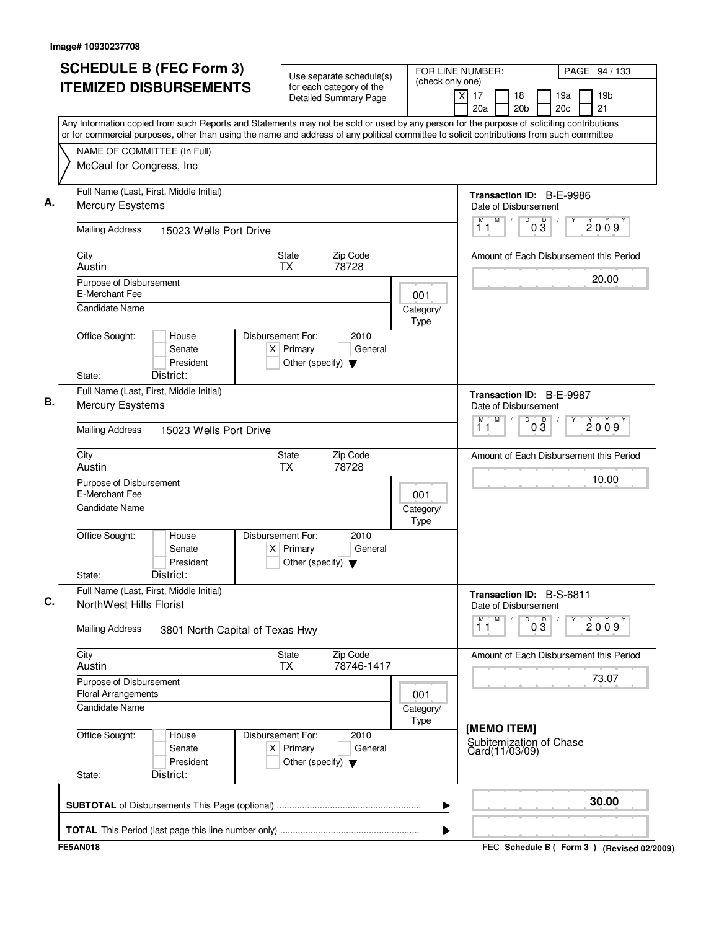| <b>SCHEDULE B (FEC Form 3)</b>                                                                                                                                                                                                                                                         |                                 |                                                          | Use separate schedule(s)                                | FOR LINE NUMBER:<br>(check only one) |          |           |                                                          |                 |            |  | PAGE 94 / 133                             |  |
|----------------------------------------------------------------------------------------------------------------------------------------------------------------------------------------------------------------------------------------------------------------------------------------|---------------------------------|----------------------------------------------------------|---------------------------------------------------------|--------------------------------------|----------|-----------|----------------------------------------------------------|-----------------|------------|--|-------------------------------------------|--|
| <b>ITEMIZED DISBURSEMENTS</b>                                                                                                                                                                                                                                                          |                                 | for each category of the<br><b>Detailed Summary Page</b> |                                                         |                                      | $\times$ | 17<br>20a | 18<br>20 <sub>b</sub>                                    |                 | 19a<br>20c |  | 19 <sub>b</sub><br>21                     |  |
| Any Information copied from such Reports and Statements may not be sold or used by any person for the purpose of soliciting contributions<br>or for commercial purposes, other than using the name and address of any political committee to solicit contributions from such committee |                                 |                                                          |                                                         |                                      |          |           |                                                          |                 |            |  |                                           |  |
| NAME OF COMMITTEE (In Full)<br>McCaul for Congress, Inc                                                                                                                                                                                                                                |                                 |                                                          |                                                         |                                      |          |           |                                                          |                 |            |  |                                           |  |
| Full Name (Last, First, Middle Initial)                                                                                                                                                                                                                                                |                                 |                                                          |                                                         |                                      |          |           | Transaction ID: B-E-9986                                 |                 |            |  |                                           |  |
| Mercury Esystems                                                                                                                                                                                                                                                                       |                                 |                                                          |                                                         |                                      |          | M         | Date of Disbursement<br>M                                |                 |            |  |                                           |  |
| <b>Mailing Address</b>                                                                                                                                                                                                                                                                 | 15023 Wells Port Drive          |                                                          |                                                         |                                      |          | 11        | D<br>$\sqrt{2}$                                          | $0\overline{3}$ |            |  | 2009                                      |  |
| City                                                                                                                                                                                                                                                                                   |                                 | State                                                    | Zip Code                                                |                                      |          |           |                                                          |                 |            |  | Amount of Each Disbursement this Period   |  |
| Austin                                                                                                                                                                                                                                                                                 |                                 | <b>TX</b>                                                | 78728                                                   |                                      |          |           |                                                          |                 |            |  | 20.00                                     |  |
| Purpose of Disbursement<br>E-Merchant Fee                                                                                                                                                                                                                                              |                                 |                                                          |                                                         | 001                                  |          |           |                                                          |                 |            |  |                                           |  |
| <b>Candidate Name</b>                                                                                                                                                                                                                                                                  |                                 |                                                          |                                                         | Category/<br>Type                    |          |           |                                                          |                 |            |  |                                           |  |
| Office Sought:<br>House                                                                                                                                                                                                                                                                | Senate<br>President             | Disbursement For:<br>$X$ Primary                         | 2010<br>General<br>Other (specify) $\blacktriangledown$ |                                      |          |           |                                                          |                 |            |  |                                           |  |
| District:<br>State:                                                                                                                                                                                                                                                                    |                                 |                                                          |                                                         |                                      |          |           |                                                          |                 |            |  |                                           |  |
| Full Name (Last, First, Middle Initial)<br>Mercury Esystems                                                                                                                                                                                                                            |                                 |                                                          |                                                         |                                      |          |           | Transaction ID: B-E-9987<br>Date of Disbursement         |                 |            |  |                                           |  |
| <b>Mailing Address</b>                                                                                                                                                                                                                                                                 | 15023 Wells Port Drive          |                                                          |                                                         |                                      |          | М<br>11   | M<br>D                                                   | $0\overline{3}$ |            |  | 2009                                      |  |
| City<br>Austin                                                                                                                                                                                                                                                                         |                                 | State<br>TX                                              | Zip Code<br>78728                                       |                                      |          |           |                                                          |                 |            |  | Amount of Each Disbursement this Period   |  |
| Purpose of Disbursement<br>E-Merchant Fee                                                                                                                                                                                                                                              |                                 |                                                          |                                                         | 001                                  |          |           |                                                          |                 |            |  | 10.00                                     |  |
| Candidate Name                                                                                                                                                                                                                                                                         |                                 |                                                          |                                                         | Category/<br>Type                    |          |           |                                                          |                 |            |  |                                           |  |
| Office Sought:<br>House<br>District:<br>State:                                                                                                                                                                                                                                         | Senate<br>President             | Disbursement For:<br>$X$ Primary                         | 2010<br>General<br>Other (specify) $\blacktriangledown$ |                                      |          |           |                                                          |                 |            |  |                                           |  |
| Full Name (Last, First, Middle Initial)<br>NorthWest Hills Florist                                                                                                                                                                                                                     |                                 |                                                          |                                                         |                                      |          |           | Transaction ID: B-S-6811<br>Date of Disbursement         |                 |            |  |                                           |  |
| <b>Mailing Address</b>                                                                                                                                                                                                                                                                 | 3801 North Capital of Texas Hwy |                                                          |                                                         |                                      |          | M<br>11   | M<br>D                                                   | $0\frac{D}{3}$  |            |  | 2009                                      |  |
| City<br>Zip Code<br>State<br>78746-1417<br>Austin<br><b>TX</b>                                                                                                                                                                                                                         |                                 |                                                          |                                                         |                                      |          |           | Amount of Each Disbursement this Period                  |                 |            |  |                                           |  |
| Purpose of Disbursement<br><b>Floral Arrangements</b><br>001                                                                                                                                                                                                                           |                                 |                                                          |                                                         |                                      |          |           |                                                          |                 |            |  | 73.07                                     |  |
| <b>Candidate Name</b><br>Category/<br>Type                                                                                                                                                                                                                                             |                                 |                                                          |                                                         |                                      |          |           |                                                          |                 |            |  |                                           |  |
| Office Sought:<br>House<br>District:<br>State:                                                                                                                                                                                                                                         | Senate<br>President             | Disbursement For:<br>$X$ Primary                         | 2010<br>General<br>Other (specify) $\blacktriangledown$ |                                      |          |           | [MEMO ITEM]<br>Subitemization of Chase<br>Card(11/03/09) |                 |            |  |                                           |  |
|                                                                                                                                                                                                                                                                                        |                                 |                                                          |                                                         |                                      |          |           |                                                          |                 |            |  | 30.00                                     |  |
|                                                                                                                                                                                                                                                                                        |                                 |                                                          |                                                         | ▶                                    |          |           |                                                          |                 |            |  |                                           |  |
| <b>FE5AN018</b>                                                                                                                                                                                                                                                                        |                                 |                                                          |                                                         | ▶                                    |          |           |                                                          |                 |            |  | FEC Schedule B (Form 3) (Revised 02/2009) |  |
|                                                                                                                                                                                                                                                                                        |                                 |                                                          |                                                         |                                      |          |           |                                                          |                 |            |  |                                           |  |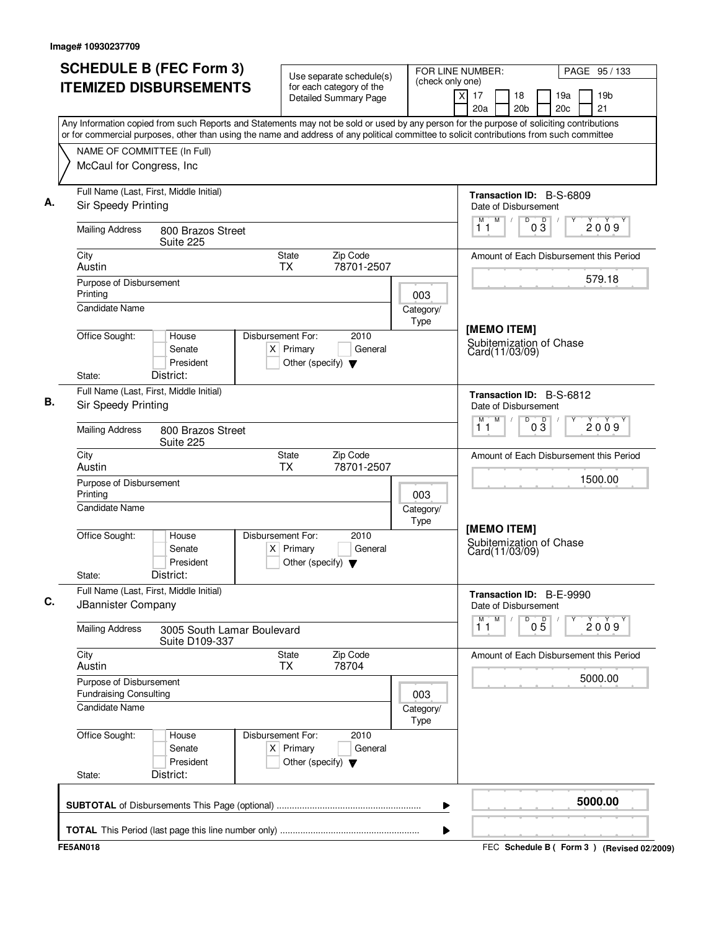| <b>SCHEDULE B (FEC Form 3)</b><br><b>ITEMIZED DISBURSEMENTS</b>                                                                                                                                                                                                                        | Use separate schedule(s)<br>for each category of the                                        | (check only one)         | FOR LINE NUMBER:                                                | PAGE 95 / 133                               |
|----------------------------------------------------------------------------------------------------------------------------------------------------------------------------------------------------------------------------------------------------------------------------------------|---------------------------------------------------------------------------------------------|--------------------------|-----------------------------------------------------------------|---------------------------------------------|
|                                                                                                                                                                                                                                                                                        | <b>Detailed Summary Page</b>                                                                |                          | x<br>17<br>18<br>20 <sub>b</sub><br>20a                         | 19a<br>19 <sub>b</sub><br>21<br>20c         |
| Any Information copied from such Reports and Statements may not be sold or used by any person for the purpose of soliciting contributions<br>or for commercial purposes, other than using the name and address of any political committee to solicit contributions from such committee |                                                                                             |                          |                                                                 |                                             |
| NAME OF COMMITTEE (In Full)                                                                                                                                                                                                                                                            |                                                                                             |                          |                                                                 |                                             |
| McCaul for Congress, Inc                                                                                                                                                                                                                                                               |                                                                                             |                          |                                                                 |                                             |
| Full Name (Last, First, Middle Initial)<br>Sir Speedy Printing                                                                                                                                                                                                                         |                                                                                             |                          | <b>Transaction ID: B-S-6809</b><br>Date of Disbursement         |                                             |
| <b>Mailing Address</b><br>800 Brazos Street<br>Suite 225                                                                                                                                                                                                                               |                                                                                             |                          | M<br>$\sqrt{2}$<br>D<br>03<br>11                                | D<br>2009                                   |
| City<br>Austin                                                                                                                                                                                                                                                                         | Zip Code<br>State<br>78701-2507<br><b>TX</b>                                                |                          |                                                                 | Amount of Each Disbursement this Period     |
| Purpose of Disbursement                                                                                                                                                                                                                                                                |                                                                                             |                          |                                                                 | 579.18                                      |
| Printing<br><b>Candidate Name</b>                                                                                                                                                                                                                                                      |                                                                                             | 003<br>Category/<br>Type |                                                                 |                                             |
| Office Sought:<br>House<br>Senate<br>President<br>District:<br>State:                                                                                                                                                                                                                  | Disbursement For:<br>2010<br>$X$ Primary<br>General<br>Other (specify) $\blacktriangledown$ |                          | [MEMO ITEM]<br>Subitemization of Chase<br>Card(11/03/09)        |                                             |
| Full Name (Last, First, Middle Initial)                                                                                                                                                                                                                                                |                                                                                             |                          |                                                                 |                                             |
| Sir Speedy Printing                                                                                                                                                                                                                                                                    |                                                                                             |                          | Transaction ID: B-S-6812<br>Date of Disbursement<br>M<br>M<br>D |                                             |
| <b>Mailing Address</b><br>800 Brazos Street<br>Suite 225                                                                                                                                                                                                                               |                                                                                             |                          | $0\overline{3}$<br>11                                           | 2009                                        |
| City<br>Austin                                                                                                                                                                                                                                                                         | Zip Code<br>State<br>78701-2507<br><b>TX</b>                                                |                          |                                                                 | Amount of Each Disbursement this Period     |
| Purpose of Disbursement<br>Printing                                                                                                                                                                                                                                                    |                                                                                             | 003                      |                                                                 | 1500.00                                     |
| <b>Candidate Name</b>                                                                                                                                                                                                                                                                  |                                                                                             | Category/<br>Type        | [MEMO ITEM]                                                     |                                             |
| Office Sought:<br>House<br>Senate<br>President<br>District:<br>State:                                                                                                                                                                                                                  | Disbursement For:<br>2010<br>$X$ Primary<br>General<br>Other (specify) $\blacktriangledown$ |                          | Subitemization of Chase<br>Card(11/03/09)                       |                                             |
| Full Name (Last, First, Middle Initial)<br>JBannister Company                                                                                                                                                                                                                          |                                                                                             |                          | Transaction ID: B-E-9990<br>Date of Disbursement                |                                             |
| <b>Mailing Address</b><br>3005 South Lamar Boulevard<br>Suite D109-337                                                                                                                                                                                                                 |                                                                                             |                          | M<br>M<br>$0\overline{5}$<br>D<br>11                            | 2009                                        |
| City<br>Austin                                                                                                                                                                                                                                                                         | State<br>Zip Code<br>78704<br><b>TX</b>                                                     |                          |                                                                 | Amount of Each Disbursement this Period     |
| Purpose of Disbursement<br><b>Fundraising Consulting</b>                                                                                                                                                                                                                               |                                                                                             | 003                      |                                                                 | 5000.00                                     |
| <b>Candidate Name</b>                                                                                                                                                                                                                                                                  |                                                                                             | Category/<br>Type        |                                                                 |                                             |
| Office Sought:<br>House<br>Senate<br>President<br>District:<br>State:                                                                                                                                                                                                                  | Disbursement For:<br>2010<br>$X$ Primary<br>General<br>Other (specify) $\blacktriangledown$ |                          |                                                                 |                                             |
|                                                                                                                                                                                                                                                                                        |                                                                                             | ▶                        |                                                                 | 5000.00                                     |
|                                                                                                                                                                                                                                                                                        |                                                                                             | ▶                        |                                                                 |                                             |
| <b>FE5AN018</b>                                                                                                                                                                                                                                                                        |                                                                                             |                          |                                                                 | FEC Schedule B ( Form 3 ) (Revised 02/2009) |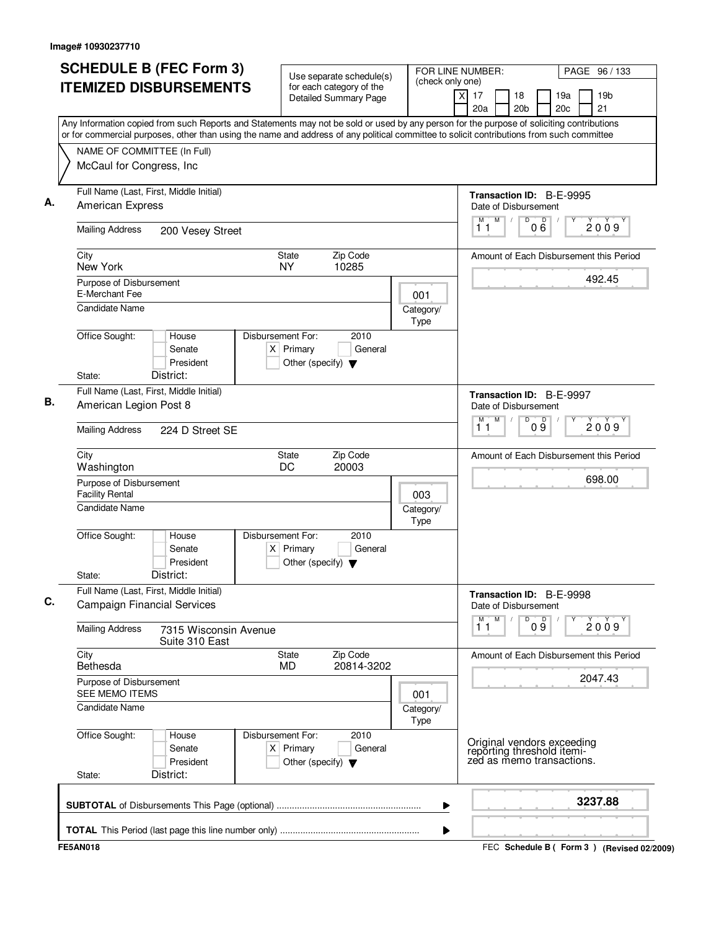|                                                                    | <b>SCHEDULE B (FEC Form 3)</b>                                                                                                                                                                                                                                                         |                                  |                                                          | Use separate schedule(s)                                |  | FOR LINE NUMBER:<br>(check only one) |                |           |                                                                                       |                 |                               |            | PAGE 96 / 133                           |
|--------------------------------------------------------------------|----------------------------------------------------------------------------------------------------------------------------------------------------------------------------------------------------------------------------------------------------------------------------------------|----------------------------------|----------------------------------------------------------|---------------------------------------------------------|--|--------------------------------------|----------------|-----------|---------------------------------------------------------------------------------------|-----------------|-------------------------------|------------|-----------------------------------------|
|                                                                    | <b>ITEMIZED DISBURSEMENTS</b>                                                                                                                                                                                                                                                          |                                  | for each category of the<br><b>Detailed Summary Page</b> |                                                         |  |                                      | $\overline{X}$ | 17<br>20a | 18                                                                                    | 20 <sub>b</sub> |                               | 19a<br>20c | 19 <sub>b</sub><br>21                   |
|                                                                    | Any Information copied from such Reports and Statements may not be sold or used by any person for the purpose of soliciting contributions<br>or for commercial purposes, other than using the name and address of any political committee to solicit contributions from such committee |                                  |                                                          |                                                         |  |                                      |                |           |                                                                                       |                 |                               |            |                                         |
| McCaul for Congress, Inc                                           | NAME OF COMMITTEE (In Full)                                                                                                                                                                                                                                                            |                                  |                                                          |                                                         |  |                                      |                |           |                                                                                       |                 |                               |            |                                         |
| American Express                                                   | Full Name (Last, First, Middle Initial)                                                                                                                                                                                                                                                |                                  |                                                          |                                                         |  |                                      |                |           | Transaction ID: B-E-9995<br>Date of Disbursement                                      |                 |                               |            |                                         |
| <b>Mailing Address</b>                                             | 200 Vesey Street                                                                                                                                                                                                                                                                       |                                  |                                                          |                                                         |  |                                      |                | М<br>11   | M<br>$\sqrt{ }$                                                                       | D               | 000                           |            | 2009                                    |
| City<br>New York                                                   |                                                                                                                                                                                                                                                                                        | State<br><b>NY</b>               |                                                          | Zip Code<br>10285                                       |  |                                      |                |           |                                                                                       |                 |                               |            | Amount of Each Disbursement this Period |
| Purpose of Disbursement<br>E-Merchant Fee<br><b>Candidate Name</b> |                                                                                                                                                                                                                                                                                        |                                  |                                                          |                                                         |  | 001<br>Category/                     |                |           |                                                                                       |                 |                               |            | 492.45                                  |
| Office Sought:<br>State:                                           | House<br>Senate<br>President<br>District:                                                                                                                                                                                                                                              | Disbursement For:<br>$X$ Primary |                                                          | 2010<br>General<br>Other (specify) $\blacktriangledown$ |  | Type                                 |                |           |                                                                                       |                 |                               |            |                                         |
| American Legion Post 8                                             | Full Name (Last, First, Middle Initial)                                                                                                                                                                                                                                                |                                  |                                                          |                                                         |  |                                      |                |           | Transaction ID: B-E-9997<br>Date of Disbursement                                      |                 |                               |            |                                         |
| <b>Mailing Address</b>                                             | 224 D Street SE                                                                                                                                                                                                                                                                        |                                  |                                                          |                                                         |  |                                      |                | М<br>11   | M                                                                                     | D               | 09                            |            | 2009                                    |
| City<br>Washington                                                 |                                                                                                                                                                                                                                                                                        | State<br>DC                      |                                                          | Zip Code<br>20003                                       |  |                                      |                |           |                                                                                       |                 |                               |            | Amount of Each Disbursement this Period |
| <b>Facility Rental</b>                                             | Purpose of Disbursement<br>003<br>Candidate Name<br>Category/<br>Type                                                                                                                                                                                                                  |                                  |                                                          |                                                         |  |                                      |                |           |                                                                                       |                 |                               |            | 698.00                                  |
| Office Sought:<br>State:                                           | House<br>Senate<br>President<br>District:                                                                                                                                                                                                                                              | Disbursement For:<br>$X$ Primary |                                                          | 2010<br>General<br>Other (specify) $\blacktriangledown$ |  |                                      |                |           |                                                                                       |                 |                               |            |                                         |
|                                                                    | Full Name (Last, First, Middle Initial)<br><b>Campaign Financial Services</b>                                                                                                                                                                                                          |                                  |                                                          |                                                         |  |                                      |                |           | Transaction ID: B-E-9998<br>Date of Disbursement                                      |                 |                               |            |                                         |
| <b>Mailing Address</b><br>7315 Wisconsin Avenue<br>Suite 310 East  |                                                                                                                                                                                                                                                                                        |                                  |                                                          |                                                         |  |                                      |                | M<br>11   | M                                                                                     |                 | $\overline{9}$ o <sup>o</sup> |            | 2009                                    |
| City<br>Zip Code<br>State<br>20814-3202<br>Bethesda<br><b>MD</b>   |                                                                                                                                                                                                                                                                                        |                                  |                                                          |                                                         |  |                                      |                |           |                                                                                       |                 |                               |            | Amount of Each Disbursement this Period |
|                                                                    | Purpose of Disbursement<br>SEE MEMO ITEMS<br>001<br><b>Candidate Name</b><br>Category/<br>Type                                                                                                                                                                                         |                                  |                                                          |                                                         |  |                                      |                |           |                                                                                       |                 |                               |            | 2047.43                                 |
| Office Sought:<br>State:                                           | House<br>Senate<br>President<br>District:                                                                                                                                                                                                                                              | Disbursement For:<br>$X$ Primary |                                                          | 2010<br>General<br>Other (specify) $\blacktriangledown$ |  |                                      |                |           | Original vendors exceeding<br>reporting threshold itemi-<br>zed as memo transactions. |                 |                               |            |                                         |
|                                                                    |                                                                                                                                                                                                                                                                                        |                                  |                                                          |                                                         |  |                                      |                |           |                                                                                       |                 |                               |            | 3237.88                                 |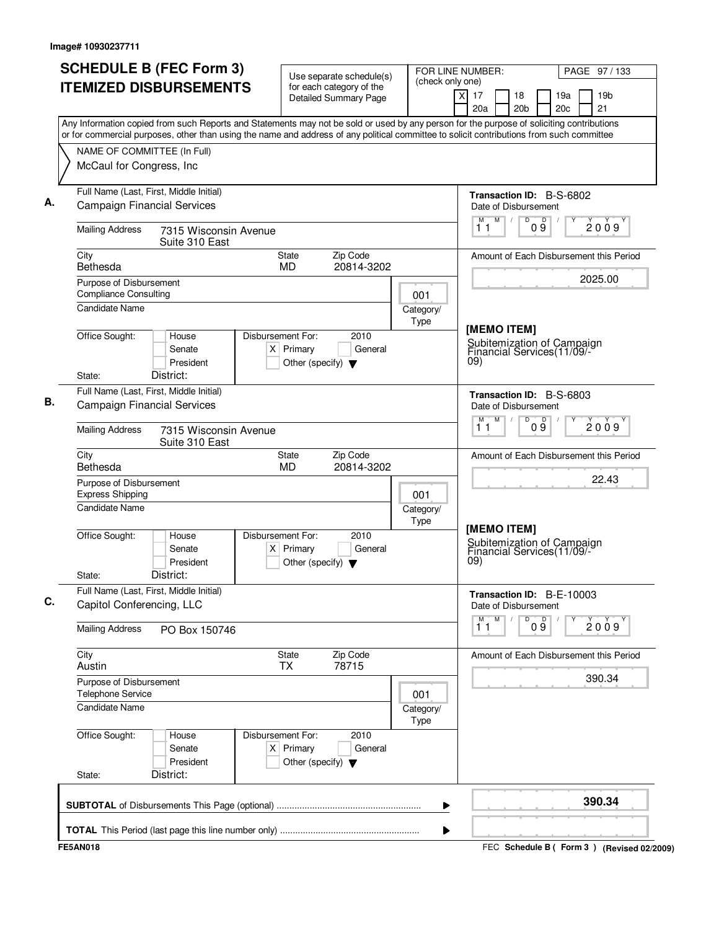| <b>SCHEDULE B (FEC Form 3)</b><br><b>ITEMIZED DISBURSEMENTS</b>                                                                           | Use separate schedule(s)<br>for each category of the<br><b>Detailed Summary Page</b>        | (check only one)  | FOR LINE NUMBER:<br>PAGE 97 / 133<br>$\times$<br>17<br>18<br>19a<br>19 <sub>b</sub> |
|-------------------------------------------------------------------------------------------------------------------------------------------|---------------------------------------------------------------------------------------------|-------------------|-------------------------------------------------------------------------------------|
| Any Information copied from such Reports and Statements may not be sold or used by any person for the purpose of soliciting contributions |                                                                                             |                   | 20c<br>21<br>20a<br>20 <sub>b</sub>                                                 |
| or for commercial purposes, other than using the name and address of any political committee to solicit contributions from such committee |                                                                                             |                   |                                                                                     |
| NAME OF COMMITTEE (In Full)                                                                                                               |                                                                                             |                   |                                                                                     |
| McCaul for Congress, Inc                                                                                                                  |                                                                                             |                   |                                                                                     |
| Full Name (Last, First, Middle Initial)<br><b>Campaign Financial Services</b>                                                             |                                                                                             |                   | Transaction ID: B-S-6802<br>Date of Disbursement                                    |
| <b>Mailing Address</b><br>7315 Wisconsin Avenue<br>Suite 310 East                                                                         |                                                                                             |                   | M<br>D<br>M<br>D<br>2009<br>0 9<br>11                                               |
| City<br>Bethesda                                                                                                                          | Zip Code<br>State<br>MD<br>20814-3202                                                       |                   | Amount of Each Disbursement this Period                                             |
| Purpose of Disbursement                                                                                                                   |                                                                                             |                   | 2025.00                                                                             |
| <b>Compliance Consulting</b>                                                                                                              |                                                                                             | 001               |                                                                                     |
| <b>Candidate Name</b>                                                                                                                     |                                                                                             | Category/<br>Type |                                                                                     |
| Office Sought:<br>House<br>Senate<br>President<br>District:<br>State:                                                                     | Disbursement For:<br>2010<br>$X$ Primary<br>General<br>Other (specify) $\blacktriangledown$ |                   | [MEMO ITEM]<br>Subitemization of Campaign<br>Financial Services(11/09/-<br>09)      |
| Full Name (Last, First, Middle Initial)                                                                                                   |                                                                                             |                   | Transaction ID: B-S-6803                                                            |
| <b>Campaign Financial Services</b>                                                                                                        |                                                                                             |                   | Date of Disbursement                                                                |
| <b>Mailing Address</b><br>7315 Wisconsin Avenue<br>Suite 310 East                                                                         |                                                                                             |                   | M<br>D<br>09<br>М<br>2009<br>11                                                     |
| City<br>Bethesda                                                                                                                          | Zip Code<br>State<br><b>MD</b><br>20814-3202                                                |                   | Amount of Each Disbursement this Period                                             |
| Purpose of Disbursement<br><b>Express Shipping</b>                                                                                        |                                                                                             | 001               | 22.43                                                                               |
| Candidate Name                                                                                                                            |                                                                                             | Category/<br>Type |                                                                                     |
| Office Sought:<br>House<br>Senate<br>President<br>District:<br>State:                                                                     | Disbursement For:<br>2010<br>$X$ Primary<br>General<br>Other (specify) $\blacktriangledown$ |                   | [MEMO ITEM]<br>Subitemization of Campaign<br>Financial Services (11/09/-<br>09)     |
| Full Name (Last, First, Middle Initial)                                                                                                   |                                                                                             |                   | Transaction ID: B-E-10003                                                           |
| Capitol Conferencing, LLC                                                                                                                 |                                                                                             |                   | Date of Disbursement                                                                |
| <b>Mailing Address</b><br>PO Box 150746                                                                                                   |                                                                                             |                   | M<br>M<br>D<br>09<br>2009<br>11                                                     |
| City<br>Austin                                                                                                                            | State<br>Zip Code<br>78715<br>ТX                                                            |                   | Amount of Each Disbursement this Period                                             |
| Purpose of Disbursement<br>Telephone Service                                                                                              |                                                                                             | 001               | 390.34                                                                              |
| Candidate Name                                                                                                                            |                                                                                             | Category/<br>Type |                                                                                     |
| Office Sought:<br>House<br>Senate<br>President<br>District:<br>State:                                                                     | Disbursement For:<br>2010<br>$X$ Primary<br>General<br>Other (specify) $\blacktriangledown$ |                   |                                                                                     |
|                                                                                                                                           |                                                                                             | ▶                 | 390.34                                                                              |
|                                                                                                                                           |                                                                                             | ▶                 |                                                                                     |
| <b>FE5AN018</b>                                                                                                                           |                                                                                             |                   | FEC Schedule B ( Form 3 ) (Revised 02/2009)                                         |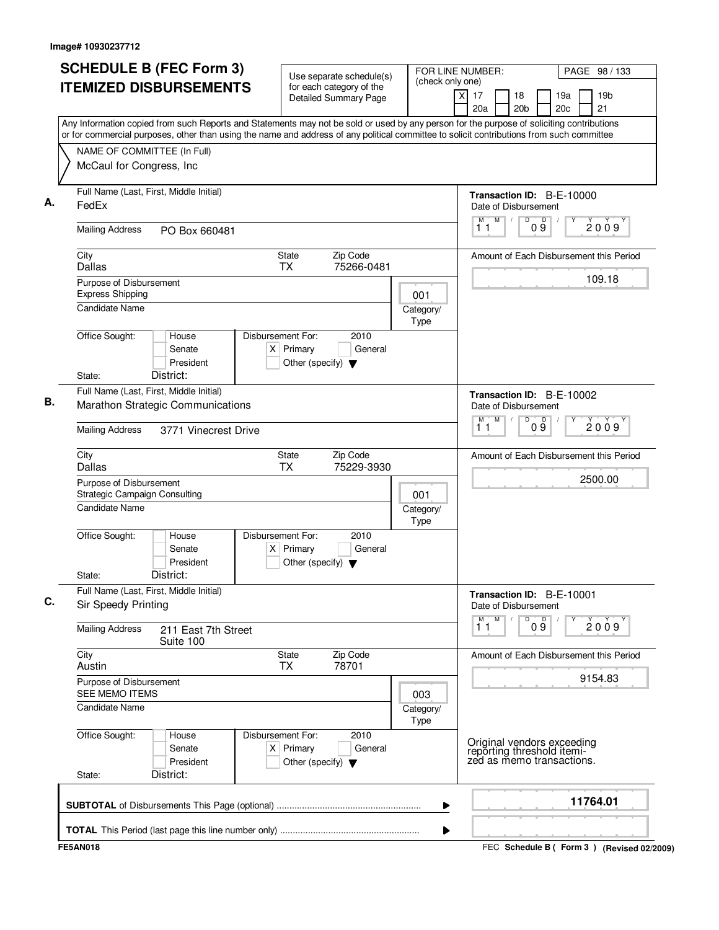| <b>SCHEDULE B (FEC Form 3)</b>                                                                                                            | Use separate schedule(s)                                                                    | FOR LINE NUMBER:      |                                                                                       | PAGE 98 / 133                                   |
|-------------------------------------------------------------------------------------------------------------------------------------------|---------------------------------------------------------------------------------------------|-----------------------|---------------------------------------------------------------------------------------|-------------------------------------------------|
| <b>ITEMIZED DISBURSEMENTS</b>                                                                                                             | for each category of the<br><b>Detailed Summary Page</b>                                    | (check only one)<br>X | 17<br>18<br>20a<br>20 <sub>b</sub>                                                    | 19 <sub>b</sub><br>19a<br>20 <sub>c</sub><br>21 |
| Any Information copied from such Reports and Statements may not be sold or used by any person for the purpose of soliciting contributions |                                                                                             |                       |                                                                                       |                                                 |
| or for commercial purposes, other than using the name and address of any political committee to solicit contributions from such committee |                                                                                             |                       |                                                                                       |                                                 |
| NAME OF COMMITTEE (In Full)<br>McCaul for Congress, Inc                                                                                   |                                                                                             |                       |                                                                                       |                                                 |
| Full Name (Last, First, Middle Initial)<br>FedEx                                                                                          |                                                                                             |                       | Transaction ID: B-E-10000<br>Date of Disbursement                                     |                                                 |
| <b>Mailing Address</b><br>PO Box 660481                                                                                                   |                                                                                             |                       | M<br>M<br>D<br>09<br>11                                                               | 2009                                            |
| City<br><b>Dallas</b>                                                                                                                     | State<br>Zip Code<br><b>TX</b><br>75266-0481                                                |                       |                                                                                       | Amount of Each Disbursement this Period         |
| Purpose of Disbursement<br><b>Express Shipping</b>                                                                                        |                                                                                             | 001                   |                                                                                       | 109.18                                          |
| <b>Candidate Name</b>                                                                                                                     |                                                                                             | Category/<br>Type     |                                                                                       |                                                 |
| Office Sought:<br>House<br>Senate<br>President<br>District:<br>State:                                                                     | Disbursement For:<br>2010<br>$X$ Primary<br>General<br>Other (specify) $\blacktriangledown$ |                       |                                                                                       |                                                 |
| Full Name (Last, First, Middle Initial)                                                                                                   |                                                                                             |                       |                                                                                       |                                                 |
| Marathon Strategic Communications                                                                                                         |                                                                                             |                       | Transaction ID: B-E-10002<br>Date of Disbursement<br>M<br>D<br>М                      |                                                 |
| <b>Mailing Address</b><br>3771 Vinecrest Drive                                                                                            |                                                                                             |                       | 09<br>11                                                                              | 2009                                            |
| City<br><b>Dallas</b>                                                                                                                     | Zip Code<br>State<br>75229-3930<br><b>TX</b>                                                |                       |                                                                                       | Amount of Each Disbursement this Period         |
| Purpose of Disbursement<br><b>Strategic Campaign Consulting</b>                                                                           |                                                                                             | 001                   |                                                                                       | 2500.00                                         |
| <b>Candidate Name</b>                                                                                                                     |                                                                                             | Category/<br>Type     |                                                                                       |                                                 |
| Office Sought:<br>House<br>Senate<br>President<br>District:<br>State:                                                                     | Disbursement For:<br>2010<br>$X$ Primary<br>General<br>Other (specify) $\blacktriangledown$ |                       |                                                                                       |                                                 |
| Full Name (Last, First, Middle Initial)<br>Sir Speedy Printing                                                                            |                                                                                             |                       | Transaction ID: B-E-10001<br>Date of Disbursement                                     |                                                 |
| <b>Mailing Address</b><br>211 East 7th Street<br>Suite 100                                                                                |                                                                                             |                       | $\overline{1}^M$<br>M<br>D<br>09                                                      | 2009                                            |
| City<br>Austin                                                                                                                            | Zip Code<br>State<br><b>TX</b><br>78701                                                     |                       |                                                                                       | Amount of Each Disbursement this Period         |
| Purpose of Disbursement<br><b>SEE MEMO ITEMS</b>                                                                                          |                                                                                             | 003                   |                                                                                       | 9154.83                                         |
| <b>Candidate Name</b>                                                                                                                     |                                                                                             | Category/<br>Type     |                                                                                       |                                                 |
| Office Sought:<br>House<br>Senate<br>President<br>District:<br>State:                                                                     | Disbursement For:<br>2010<br>$X$ Primary<br>General<br>Other (specify) $\blacktriangledown$ |                       | Original vendors exceeding<br>reporting threshold itemi-<br>zed as memo transactions. |                                                 |
|                                                                                                                                           |                                                                                             | ▶                     |                                                                                       | 11764.01                                        |
|                                                                                                                                           |                                                                                             | ▶                     |                                                                                       |                                                 |
| <b>FE5AN018</b>                                                                                                                           |                                                                                             |                       |                                                                                       | FEC Schedule B ( Form 3 ) (Revised 02/2009)     |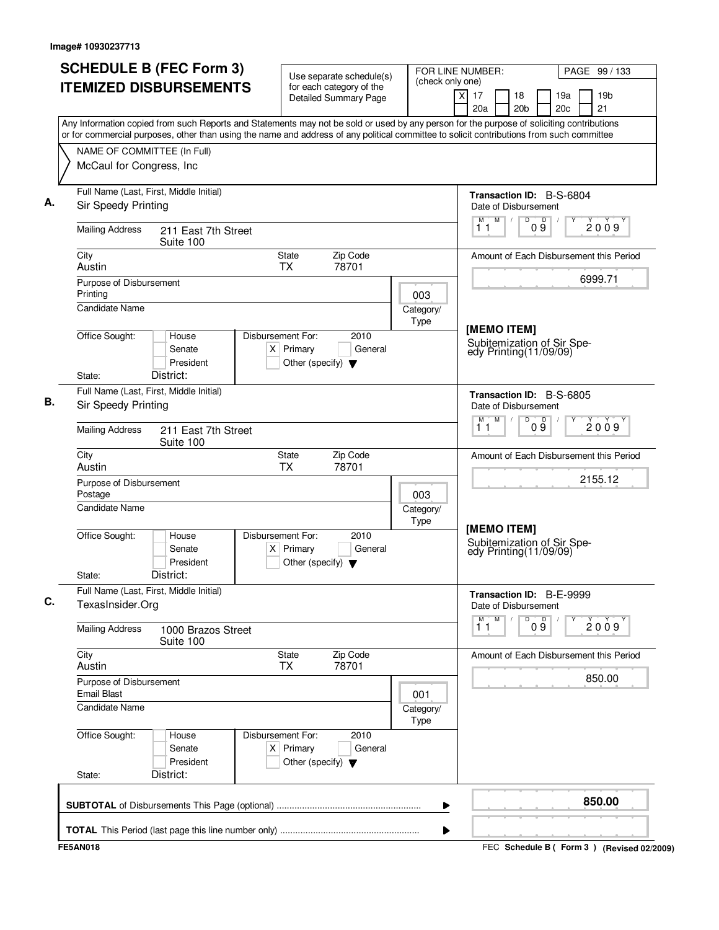| <b>SCHEDULE B (FEC Form 3)</b><br><b>ITEMIZED DISBURSEMENTS</b>                                                                                                                                                                                                                        | Use separate schedule(s)<br>for each category of the                                        | FOR LINE NUMBER:<br>(check only one) |                                                                       | PAGE 99 / 133                               |  |  |
|----------------------------------------------------------------------------------------------------------------------------------------------------------------------------------------------------------------------------------------------------------------------------------------|---------------------------------------------------------------------------------------------|--------------------------------------|-----------------------------------------------------------------------|---------------------------------------------|--|--|
|                                                                                                                                                                                                                                                                                        | <b>Detailed Summary Page</b>                                                                | $\times$                             | 17<br>18<br>20a<br>20 <sub>b</sub>                                    | 19a<br>19 <sub>b</sub><br>21<br>20c         |  |  |
| Any Information copied from such Reports and Statements may not be sold or used by any person for the purpose of soliciting contributions<br>or for commercial purposes, other than using the name and address of any political committee to solicit contributions from such committee |                                                                                             |                                      |                                                                       |                                             |  |  |
| NAME OF COMMITTEE (In Full)                                                                                                                                                                                                                                                            |                                                                                             |                                      |                                                                       |                                             |  |  |
| McCaul for Congress, Inc                                                                                                                                                                                                                                                               |                                                                                             |                                      |                                                                       |                                             |  |  |
| Full Name (Last, First, Middle Initial)<br>Sir Speedy Printing                                                                                                                                                                                                                         |                                                                                             |                                      | Transaction ID: B-S-6804<br>Date of Disbursement                      |                                             |  |  |
| <b>Mailing Address</b><br>211 East 7th Street<br>Suite 100                                                                                                                                                                                                                             |                                                                                             |                                      | M<br>$\sqrt{2}$<br>D<br>D<br>M<br>09<br>11                            | 2009                                        |  |  |
| City<br>Austin                                                                                                                                                                                                                                                                         | Zip Code<br><b>State</b><br>78701<br><b>TX</b>                                              |                                      |                                                                       | Amount of Each Disbursement this Period     |  |  |
| Purpose of Disbursement                                                                                                                                                                                                                                                                |                                                                                             |                                      |                                                                       | 6999.71                                     |  |  |
| Printing<br><b>Candidate Name</b>                                                                                                                                                                                                                                                      |                                                                                             | 003<br>Category/<br>Type             |                                                                       |                                             |  |  |
| Office Sought:<br>House<br>Senate<br>President<br>District:<br>State:                                                                                                                                                                                                                  | Disbursement For:<br>2010<br>$X$ Primary<br>General<br>Other (specify) $\blacktriangledown$ |                                      | [MEMO ITEM]<br>Subitemization of Sir Speedy Printing(11/09/09)        |                                             |  |  |
| Full Name (Last, First, Middle Initial)                                                                                                                                                                                                                                                |                                                                                             |                                      |                                                                       |                                             |  |  |
| Sir Speedy Printing                                                                                                                                                                                                                                                                    |                                                                                             |                                      | Transaction ID: B-S-6805<br>Date of Disbursement<br>M<br>D<br>09<br>М |                                             |  |  |
| <b>Mailing Address</b><br>211 East 7th Street<br>Suite 100                                                                                                                                                                                                                             |                                                                                             |                                      | 11                                                                    | 2009                                        |  |  |
| City<br>Austin                                                                                                                                                                                                                                                                         | Zip Code<br>State<br>78701<br>TX                                                            |                                      |                                                                       | Amount of Each Disbursement this Period     |  |  |
| Purpose of Disbursement<br>Postage                                                                                                                                                                                                                                                     |                                                                                             | 003                                  |                                                                       | 2155.12                                     |  |  |
| <b>Candidate Name</b>                                                                                                                                                                                                                                                                  |                                                                                             | Category/<br>Type                    |                                                                       |                                             |  |  |
| Office Sought:<br>House<br>Senate<br>President<br>District:<br>State:                                                                                                                                                                                                                  | Disbursement For:<br>2010<br>$X$ Primary<br>General<br>Other (specify) $\blacktriangledown$ |                                      | [MEMO ITEM]<br>Subitemization of Sir Spe-<br>edy Printing (11/09/09)  |                                             |  |  |
| Full Name (Last, First, Middle Initial)<br>TexasInsider.Org                                                                                                                                                                                                                            |                                                                                             |                                      | Transaction ID: B-E-9999<br>Date of Disbursement                      |                                             |  |  |
| <b>Mailing Address</b><br>1000 Brazos Street<br>Suite 100                                                                                                                                                                                                                              |                                                                                             |                                      | $\overline{1}^M$<br>M<br>D<br>09                                      | 2009                                        |  |  |
| City<br>Austin                                                                                                                                                                                                                                                                         | State<br>Zip Code<br>78701<br><b>TX</b>                                                     |                                      |                                                                       | Amount of Each Disbursement this Period     |  |  |
| Purpose of Disbursement<br><b>Email Blast</b>                                                                                                                                                                                                                                          |                                                                                             | 001                                  |                                                                       | 850.00                                      |  |  |
| <b>Candidate Name</b>                                                                                                                                                                                                                                                                  |                                                                                             | Category/<br>Type                    |                                                                       |                                             |  |  |
| Office Sought:<br>House<br>Senate<br>President<br>District:<br>State:                                                                                                                                                                                                                  | Disbursement For:<br>2010<br>$X$ Primary<br>General<br>Other (specify) $\blacktriangledown$ |                                      |                                                                       |                                             |  |  |
|                                                                                                                                                                                                                                                                                        |                                                                                             | ▶                                    |                                                                       | 850.00                                      |  |  |
|                                                                                                                                                                                                                                                                                        |                                                                                             | ▶                                    |                                                                       |                                             |  |  |
| <b>FE5AN018</b>                                                                                                                                                                                                                                                                        |                                                                                             |                                      |                                                                       | FEC Schedule B ( Form 3 ) (Revised 02/2009) |  |  |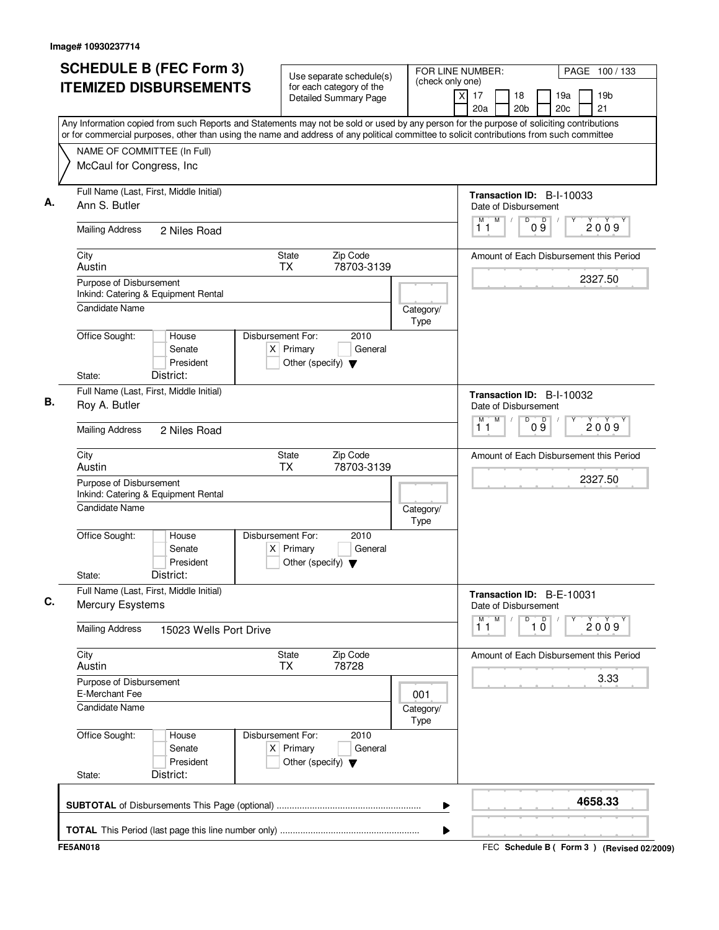|                                                         | <b>SCHEDULE B (FEC Form 3)</b><br><b>ITEMIZED DISBURSEMENTS</b> | Use separate schedule(s)<br>for each category of the<br>Detailed Summary Page               | FOR LINE NUMBER:<br>(check only one) | PAGE 100 / 133<br>19 <sub>b</sub><br>$\times$<br>17<br>18<br>19a<br>21<br>20a<br>20 <sub>b</sub><br>20c                                                                                                                                                                                |
|---------------------------------------------------------|-----------------------------------------------------------------|---------------------------------------------------------------------------------------------|--------------------------------------|----------------------------------------------------------------------------------------------------------------------------------------------------------------------------------------------------------------------------------------------------------------------------------------|
|                                                         |                                                                 |                                                                                             |                                      | Any Information copied from such Reports and Statements may not be sold or used by any person for the purpose of soliciting contributions<br>or for commercial purposes, other than using the name and address of any political committee to solicit contributions from such committee |
| NAME OF COMMITTEE (In Full)<br>McCaul for Congress, Inc |                                                                 |                                                                                             |                                      |                                                                                                                                                                                                                                                                                        |
| Ann S. Butler                                           | Full Name (Last, First, Middle Initial)                         |                                                                                             |                                      | Transaction ID: B-I-10033<br>Date of Disbursement                                                                                                                                                                                                                                      |
| <b>Mailing Address</b>                                  | 2 Niles Road                                                    |                                                                                             |                                      | M<br>D<br>$0\overset{D}{9}$<br>M<br>2009<br>11                                                                                                                                                                                                                                         |
| City<br>Austin                                          |                                                                 | State<br>Zip Code<br>TX<br>78703-3139                                                       |                                      | Amount of Each Disbursement this Period                                                                                                                                                                                                                                                |
| Purpose of Disbursement                                 | Inkind: Catering & Equipment Rental                             |                                                                                             |                                      | 2327.50                                                                                                                                                                                                                                                                                |
| <b>Candidate Name</b>                                   |                                                                 |                                                                                             | Category/<br>Type                    |                                                                                                                                                                                                                                                                                        |
| Office Sought:                                          | House<br>Senate<br>President                                    | Disbursement For:<br>2010<br>$X$ Primary<br>General<br>Other (specify) $\blacktriangledown$ |                                      |                                                                                                                                                                                                                                                                                        |
| State:                                                  | District:                                                       |                                                                                             |                                      |                                                                                                                                                                                                                                                                                        |
| Roy A. Butler                                           | Full Name (Last, First, Middle Initial)                         |                                                                                             |                                      | Transaction ID: B-I-10032<br>Date of Disbursement<br>M<br>D<br>М                                                                                                                                                                                                                       |
| <b>Mailing Address</b>                                  | 2 Niles Road                                                    |                                                                                             |                                      | 09<br>2009<br>11                                                                                                                                                                                                                                                                       |
| City<br>Austin                                          |                                                                 | <b>State</b><br>Zip Code<br><b>TX</b><br>78703-3139                                         |                                      | Amount of Each Disbursement this Period                                                                                                                                                                                                                                                |
| Purpose of Disbursement                                 | Inkind: Catering & Equipment Rental                             |                                                                                             |                                      | 2327.50                                                                                                                                                                                                                                                                                |
| <b>Candidate Name</b>                                   |                                                                 |                                                                                             | Category/<br>Type                    |                                                                                                                                                                                                                                                                                        |
| Office Sought:                                          | House<br>Senate<br>President                                    | Disbursement For:<br>2010<br>$X$ Primary<br>General<br>Other (specify) $\blacktriangledown$ |                                      |                                                                                                                                                                                                                                                                                        |
| State:                                                  | District:                                                       |                                                                                             |                                      |                                                                                                                                                                                                                                                                                        |
| <b>Mercury Esystems</b>                                 | Full Name (Last, First, Middle Initial)                         |                                                                                             |                                      | Transaction ID: B-E-10031<br>Date of Disbursement                                                                                                                                                                                                                                      |
| <b>Mailing Address</b>                                  | 15023 Wells Port Drive                                          |                                                                                             |                                      | M<br>D<br>$\overline{1}$ $\overline{0}$<br>M<br>2009<br>11                                                                                                                                                                                                                             |
| City<br>Austin                                          |                                                                 | <b>State</b><br>Zip Code<br>78728<br>TX                                                     |                                      | Amount of Each Disbursement this Period                                                                                                                                                                                                                                                |
| Purpose of Disbursement<br>E-Merchant Fee               |                                                                 |                                                                                             | 001                                  | 3.33                                                                                                                                                                                                                                                                                   |
| <b>Candidate Name</b>                                   |                                                                 |                                                                                             | Category/<br>Type                    |                                                                                                                                                                                                                                                                                        |
| Office Sought:                                          | House<br>Senate<br>President                                    | Disbursement For:<br>2010<br>$X$ Primary<br>General<br>Other (specify) $\blacktriangledown$ |                                      |                                                                                                                                                                                                                                                                                        |
| State:                                                  | District:                                                       |                                                                                             |                                      |                                                                                                                                                                                                                                                                                        |
|                                                         |                                                                 |                                                                                             | ▶                                    | 4658.33                                                                                                                                                                                                                                                                                |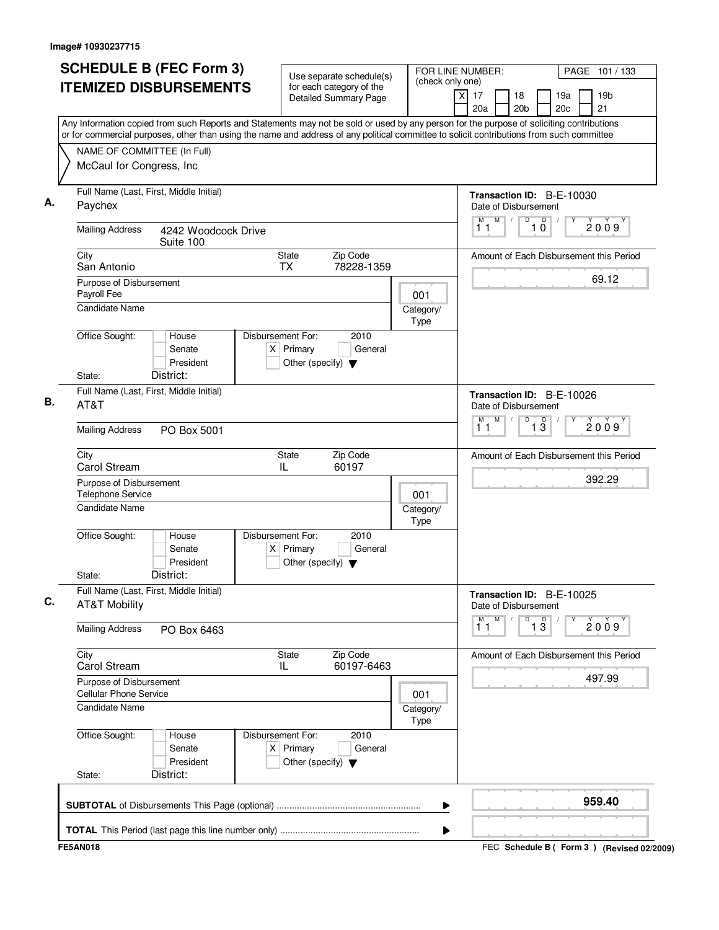| <b>SCHEDULE B (FEC Form 3)</b><br><b>ITEMIZED DISBURSEMENTS</b>                                                                                                                                                                                                                                                                                   | Use separate schedule(s)<br>for each category of the<br><b>Detailed Summary Page</b>        | FOR LINE NUMBER:<br>PAGE 101 / 133<br>(check only one)<br>17<br>19 <sub>b</sub><br>X<br>18<br>19a<br>21<br>20a<br>20 <sub>b</sub><br>20c |
|---------------------------------------------------------------------------------------------------------------------------------------------------------------------------------------------------------------------------------------------------------------------------------------------------------------------------------------------------|---------------------------------------------------------------------------------------------|------------------------------------------------------------------------------------------------------------------------------------------|
| Any Information copied from such Reports and Statements may not be sold or used by any person for the purpose of soliciting contributions<br>or for commercial purposes, other than using the name and address of any political committee to solicit contributions from such committee<br>NAME OF COMMITTEE (In Full)<br>McCaul for Congress, Inc |                                                                                             |                                                                                                                                          |
|                                                                                                                                                                                                                                                                                                                                                   |                                                                                             |                                                                                                                                          |
| Full Name (Last, First, Middle Initial)<br>Paychex                                                                                                                                                                                                                                                                                                |                                                                                             | Transaction ID: B-E-10030<br>Date of Disbursement                                                                                        |
| <b>Mailing Address</b><br>4242 Woodcock Drive<br>Suite 100                                                                                                                                                                                                                                                                                        |                                                                                             | $\overline{D}$<br>$\mathsf D$<br>M<br>М<br>2009<br>$1\bar{0}$<br>11                                                                      |
| City<br>San Antonio                                                                                                                                                                                                                                                                                                                               | <b>State</b><br>Zip Code<br><b>TX</b><br>78228-1359                                         | Amount of Each Disbursement this Period                                                                                                  |
| Purpose of Disbursement<br>Payroll Fee                                                                                                                                                                                                                                                                                                            | 001                                                                                         | 69.12                                                                                                                                    |
| <b>Candidate Name</b>                                                                                                                                                                                                                                                                                                                             | Category/<br>Type                                                                           |                                                                                                                                          |
| Office Sought:<br>House<br>Senate<br>President                                                                                                                                                                                                                                                                                                    | Disbursement For:<br>2010<br>$X$ Primary<br>General<br>Other (specify) $\blacktriangledown$ |                                                                                                                                          |
| District:<br>State:<br>Full Name (Last, First, Middle Initial)                                                                                                                                                                                                                                                                                    |                                                                                             |                                                                                                                                          |
| AT&T                                                                                                                                                                                                                                                                                                                                              |                                                                                             | Transaction ID: B-E-10026<br>Date of Disbursement<br>M<br>D                                                                              |
| <b>Mailing Address</b><br>PO Box 5001                                                                                                                                                                                                                                                                                                             |                                                                                             | $\overline{1\,3}$<br>M<br>2009<br>11                                                                                                     |
| City<br>Carol Stream                                                                                                                                                                                                                                                                                                                              | Zip Code<br>State<br>IL<br>60197                                                            | Amount of Each Disbursement this Period                                                                                                  |
| Purpose of Disbursement<br><b>Telephone Service</b>                                                                                                                                                                                                                                                                                               | 001                                                                                         | 392.29                                                                                                                                   |
| <b>Candidate Name</b>                                                                                                                                                                                                                                                                                                                             | Category/<br>Type                                                                           |                                                                                                                                          |
| Office Sought:<br>House<br>Senate<br>President<br>District:<br>State:                                                                                                                                                                                                                                                                             | Disbursement For:<br>2010<br>$X$ Primary<br>General<br>Other (specify) $\blacktriangledown$ |                                                                                                                                          |
| Full Name (Last, First, Middle Initial)                                                                                                                                                                                                                                                                                                           |                                                                                             | Transaction ID: B-E-10025                                                                                                                |
| <b>AT&amp;T Mobility</b>                                                                                                                                                                                                                                                                                                                          |                                                                                             | Date of Disbursement<br>M<br>M<br>D<br>$\overline{1\,3}$<br>2009                                                                         |
| <b>Mailing Address</b><br>PO Box 6463                                                                                                                                                                                                                                                                                                             |                                                                                             | 11                                                                                                                                       |
| City<br>Carol Stream                                                                                                                                                                                                                                                                                                                              | State<br>Zip Code<br>60197-6463<br>IL                                                       | Amount of Each Disbursement this Period                                                                                                  |
| Purpose of Disbursement<br><b>Cellular Phone Service</b>                                                                                                                                                                                                                                                                                          | 001                                                                                         | 497.99                                                                                                                                   |
| <b>Candidate Name</b>                                                                                                                                                                                                                                                                                                                             | Category/<br>Type                                                                           |                                                                                                                                          |
| Office Sought:<br>House<br>Senate<br>President                                                                                                                                                                                                                                                                                                    | Disbursement For:<br>2010<br>$X$ Primary<br>General<br>Other (specify) $\blacktriangledown$ |                                                                                                                                          |
| District:<br>State:                                                                                                                                                                                                                                                                                                                               |                                                                                             |                                                                                                                                          |
|                                                                                                                                                                                                                                                                                                                                                   |                                                                                             | 959.40<br>▶                                                                                                                              |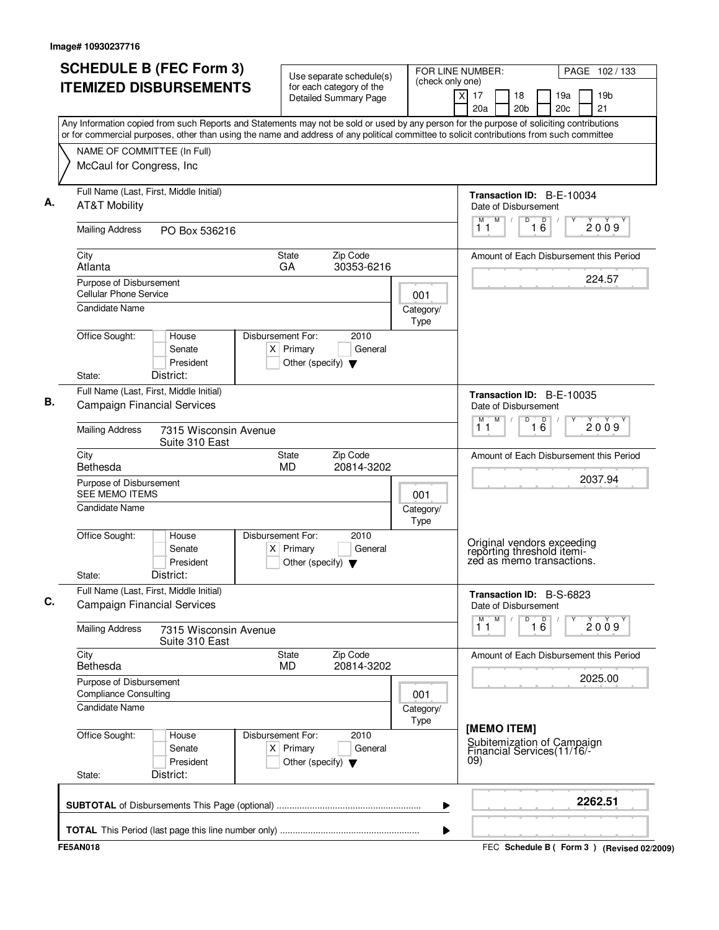| <b>SCHEDULE B (FEC Form 3)</b>                                                                                                                                                                                                                                                         | Use separate schedule(s)                                                                    | (check only one)         | FOR LINE NUMBER:        |           | PAGE 102 / 133                                                                        |                 |            |                                         |  |
|----------------------------------------------------------------------------------------------------------------------------------------------------------------------------------------------------------------------------------------------------------------------------------------|---------------------------------------------------------------------------------------------|--------------------------|-------------------------|-----------|---------------------------------------------------------------------------------------|-----------------|------------|-----------------------------------------|--|
| <b>ITEMIZED DISBURSEMENTS</b>                                                                                                                                                                                                                                                          | for each category of the<br><b>Detailed Summary Page</b>                                    |                          | $\overline{\mathsf{x}}$ | 17<br>20a | 18<br>20 <sub>b</sub>                                                                 |                 | 19a<br>20c | 19 <sub>b</sub><br>21                   |  |
| Any Information copied from such Reports and Statements may not be sold or used by any person for the purpose of soliciting contributions<br>or for commercial purposes, other than using the name and address of any political committee to solicit contributions from such committee |                                                                                             |                          |                         |           |                                                                                       |                 |            |                                         |  |
| NAME OF COMMITTEE (In Full)<br>McCaul for Congress, Inc.                                                                                                                                                                                                                               |                                                                                             |                          |                         |           |                                                                                       |                 |            |                                         |  |
| Full Name (Last, First, Middle Initial)<br><b>AT&amp;T Mobility</b>                                                                                                                                                                                                                    |                                                                                             |                          |                         |           | Transaction ID: B-E-10034<br>Date of Disbursement                                     |                 |            |                                         |  |
| <b>Mailing Address</b><br>PO Box 536216                                                                                                                                                                                                                                                |                                                                                             |                          |                         | 11        | M<br>D                                                                                | 1 <sup>D</sup>  |            | 2009                                    |  |
| City<br>Atlanta                                                                                                                                                                                                                                                                        | State<br>Zip Code<br>GA<br>30353-6216                                                       |                          |                         |           |                                                                                       |                 |            | Amount of Each Disbursement this Period |  |
| Purpose of Disbursement<br><b>Cellular Phone Service</b>                                                                                                                                                                                                                               |                                                                                             | 001                      |                         |           |                                                                                       |                 |            | 224.57                                  |  |
| <b>Candidate Name</b>                                                                                                                                                                                                                                                                  |                                                                                             | Category/<br>Type        |                         |           |                                                                                       |                 |            |                                         |  |
| Office Sought:<br>House<br>Senate<br>President                                                                                                                                                                                                                                         | Disbursement For:<br>2010<br>$X$ Primary<br>General<br>Other (specify) $\blacktriangledown$ |                          |                         |           |                                                                                       |                 |            |                                         |  |
| District:<br>State:<br>Full Name (Last, First, Middle Initial)                                                                                                                                                                                                                         |                                                                                             |                          |                         |           | <b>Transaction ID: B-E-10035</b>                                                      |                 |            |                                         |  |
| <b>Campaign Financial Services</b><br><b>Mailing Address</b><br>7315 Wisconsin Avenue                                                                                                                                                                                                  |                                                                                             |                          |                         | м<br>11   | Date of Disbursement<br>M<br>D                                                        | $\overline{16}$ |            | 2009                                    |  |
| Suite 310 East<br>City                                                                                                                                                                                                                                                                 | Zip Code<br><b>State</b>                                                                    |                          |                         |           |                                                                                       |                 |            | Amount of Each Disbursement this Period |  |
| Bethesda                                                                                                                                                                                                                                                                               | MD<br>20814-3202                                                                            |                          |                         |           |                                                                                       |                 |            | 2037.94                                 |  |
| Purpose of Disbursement<br><b>SEE MEMO ITEMS</b><br><b>Candidate Name</b>                                                                                                                                                                                                              |                                                                                             | 001<br>Category/<br>Type |                         |           |                                                                                       |                 |            |                                         |  |
| Office Sought:<br>House<br>Senate<br>President<br>District:<br>State:                                                                                                                                                                                                                  | Disbursement For:<br>2010<br>$X$ Primary<br>General<br>Other (specify) $\blacktriangledown$ |                          |                         |           | Original vendors exceeding<br>reporting threshold itemi-<br>zed as memo transactions. |                 |            |                                         |  |
| Full Name (Last, First, Middle Initial)<br><b>Campaign Financial Services</b>                                                                                                                                                                                                          |                                                                                             |                          |                         |           | Transaction ID: B-S-6823<br>Date of Disbursement                                      |                 |            |                                         |  |
| <b>Mailing Address</b><br>7315 Wisconsin Avenue<br>Suite 310 East                                                                                                                                                                                                                      |                                                                                             |                          |                         | 11        | D<br>M                                                                                | 16              |            | 2009                                    |  |
| City<br>Bethesda                                                                                                                                                                                                                                                                       | Zip Code<br>State<br>MD<br>20814-3202                                                       |                          |                         |           |                                                                                       |                 |            | Amount of Each Disbursement this Period |  |
| Purpose of Disbursement<br><b>Compliance Consulting</b><br>Candidate Name                                                                                                                                                                                                              |                                                                                             | 001<br>Category/         |                         |           |                                                                                       |                 |            | 2025.00                                 |  |
| Office Sought:<br>House<br>Senate<br>President<br>District:<br>State:                                                                                                                                                                                                                  | Disbursement For:<br>2010<br>$X$ Primary<br>General<br>Other (specify) $\blacktriangledown$ | Type                     |                         | (09)      | [MEMO ITEM]<br>Subitemization of Campaign<br>Financial Services (11/16/-              |                 |            |                                         |  |
|                                                                                                                                                                                                                                                                                        |                                                                                             |                          | ▶                       |           |                                                                                       |                 |            | 2262.51                                 |  |
|                                                                                                                                                                                                                                                                                        |                                                                                             |                          | ▶                       |           |                                                                                       |                 |            |                                         |  |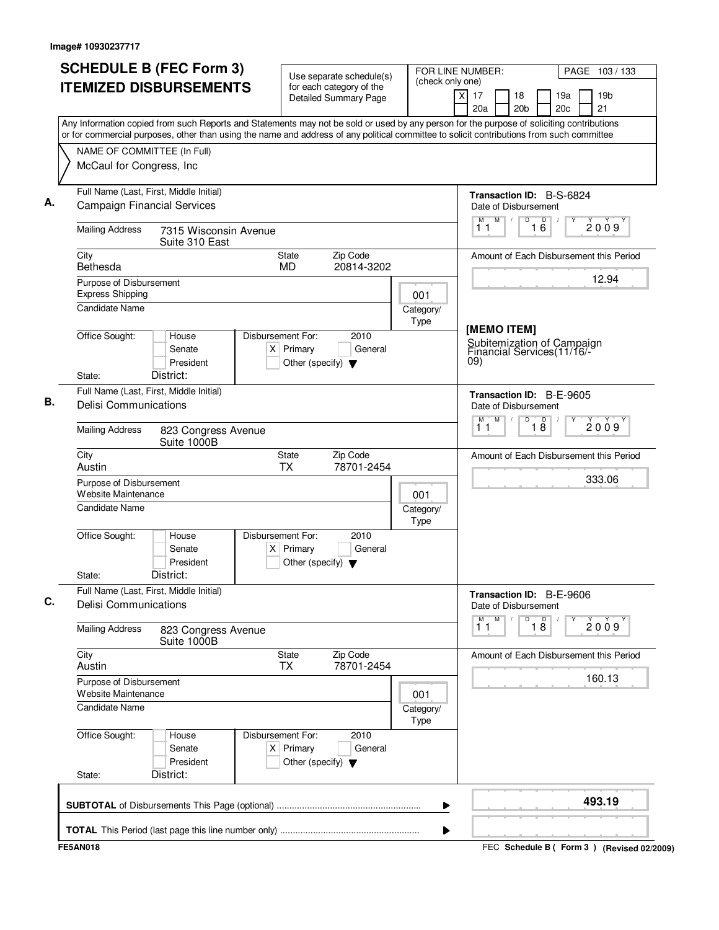| <b>ITEMIZED DISBURSEMENTS</b><br>Any Information copied from such Reports and Statements may not be sold or used by any person for the purpose of soliciting contributions<br>or for commercial purposes, other than using the name and address of any political committee to solicit contributions from such committee<br>NAME OF COMMITTEE (In Full)<br>McCaul for Congress, Inc.<br>Full Name (Last, First, Middle Initial)<br><b>Campaign Financial Services</b><br><b>Mailing Address</b><br>City<br>Bethesda<br>Purpose of Disbursement<br><b>Express Shipping</b><br><b>Candidate Name</b><br>Office Sought:<br>District:<br>State:<br>Full Name (Last, First, Middle Initial)<br><b>Delisi Communications</b><br><b>Mailing Address</b><br>City<br>Austin<br>Purpose of Disbursement<br>Website Maintenance<br>Candidate Name<br>Office Sought:<br>District:<br>State:<br>Full Name (Last, First, Middle Initial) | 7315 Wisconsin Avenue<br>Suite 310 East<br>House<br>Senate<br>President<br>823 Congress Avenue<br>Suite 1000B | State<br>MD.<br>Disbursement For:<br>$X$ Primary<br>Other (specify) $\blacktriangledown$<br><b>State</b> | for each category of the<br><b>Detailed Summary Page</b><br>Zip Code<br>20814-3202<br>2010<br>General | 001<br>Category/<br>Type | $\mathsf{x}$<br>17<br>18<br>20a<br>20 <sub>b</sub><br>Date of Disbursement<br>M<br>M<br>$\sqrt{2}$<br>11<br>[MEMO ITEM]<br>09)<br>Date of Disbursement<br>M<br>М<br>11 | 19a<br>19 <sub>b</sub><br>20c<br>21<br>Transaction ID: B-S-6824<br>D<br>16<br>2009<br>Amount of Each Disbursement this Period<br>12.94<br>Subitemization of Campaign<br>Financial Services(11/16/-<br>Transaction ID: B-E-9605<br>$\overline{D}$<br>$\overline{18}$<br>2009 |
|---------------------------------------------------------------------------------------------------------------------------------------------------------------------------------------------------------------------------------------------------------------------------------------------------------------------------------------------------------------------------------------------------------------------------------------------------------------------------------------------------------------------------------------------------------------------------------------------------------------------------------------------------------------------------------------------------------------------------------------------------------------------------------------------------------------------------------------------------------------------------------------------------------------------------|---------------------------------------------------------------------------------------------------------------|----------------------------------------------------------------------------------------------------------|-------------------------------------------------------------------------------------------------------|--------------------------|------------------------------------------------------------------------------------------------------------------------------------------------------------------------|-----------------------------------------------------------------------------------------------------------------------------------------------------------------------------------------------------------------------------------------------------------------------------|
|                                                                                                                                                                                                                                                                                                                                                                                                                                                                                                                                                                                                                                                                                                                                                                                                                                                                                                                           |                                                                                                               |                                                                                                          |                                                                                                       |                          |                                                                                                                                                                        |                                                                                                                                                                                                                                                                             |
|                                                                                                                                                                                                                                                                                                                                                                                                                                                                                                                                                                                                                                                                                                                                                                                                                                                                                                                           |                                                                                                               |                                                                                                          |                                                                                                       |                          |                                                                                                                                                                        |                                                                                                                                                                                                                                                                             |
|                                                                                                                                                                                                                                                                                                                                                                                                                                                                                                                                                                                                                                                                                                                                                                                                                                                                                                                           |                                                                                                               |                                                                                                          |                                                                                                       |                          |                                                                                                                                                                        |                                                                                                                                                                                                                                                                             |
|                                                                                                                                                                                                                                                                                                                                                                                                                                                                                                                                                                                                                                                                                                                                                                                                                                                                                                                           |                                                                                                               |                                                                                                          |                                                                                                       |                          |                                                                                                                                                                        |                                                                                                                                                                                                                                                                             |
|                                                                                                                                                                                                                                                                                                                                                                                                                                                                                                                                                                                                                                                                                                                                                                                                                                                                                                                           |                                                                                                               |                                                                                                          |                                                                                                       |                          |                                                                                                                                                                        |                                                                                                                                                                                                                                                                             |
|                                                                                                                                                                                                                                                                                                                                                                                                                                                                                                                                                                                                                                                                                                                                                                                                                                                                                                                           |                                                                                                               |                                                                                                          |                                                                                                       |                          |                                                                                                                                                                        |                                                                                                                                                                                                                                                                             |
|                                                                                                                                                                                                                                                                                                                                                                                                                                                                                                                                                                                                                                                                                                                                                                                                                                                                                                                           |                                                                                                               |                                                                                                          |                                                                                                       |                          |                                                                                                                                                                        |                                                                                                                                                                                                                                                                             |
|                                                                                                                                                                                                                                                                                                                                                                                                                                                                                                                                                                                                                                                                                                                                                                                                                                                                                                                           |                                                                                                               |                                                                                                          |                                                                                                       |                          |                                                                                                                                                                        |                                                                                                                                                                                                                                                                             |
|                                                                                                                                                                                                                                                                                                                                                                                                                                                                                                                                                                                                                                                                                                                                                                                                                                                                                                                           |                                                                                                               |                                                                                                          |                                                                                                       |                          |                                                                                                                                                                        |                                                                                                                                                                                                                                                                             |
|                                                                                                                                                                                                                                                                                                                                                                                                                                                                                                                                                                                                                                                                                                                                                                                                                                                                                                                           |                                                                                                               |                                                                                                          |                                                                                                       |                          |                                                                                                                                                                        |                                                                                                                                                                                                                                                                             |
|                                                                                                                                                                                                                                                                                                                                                                                                                                                                                                                                                                                                                                                                                                                                                                                                                                                                                                                           |                                                                                                               |                                                                                                          |                                                                                                       |                          |                                                                                                                                                                        |                                                                                                                                                                                                                                                                             |
|                                                                                                                                                                                                                                                                                                                                                                                                                                                                                                                                                                                                                                                                                                                                                                                                                                                                                                                           |                                                                                                               |                                                                                                          |                                                                                                       |                          |                                                                                                                                                                        |                                                                                                                                                                                                                                                                             |
|                                                                                                                                                                                                                                                                                                                                                                                                                                                                                                                                                                                                                                                                                                                                                                                                                                                                                                                           |                                                                                                               |                                                                                                          |                                                                                                       |                          |                                                                                                                                                                        |                                                                                                                                                                                                                                                                             |
|                                                                                                                                                                                                                                                                                                                                                                                                                                                                                                                                                                                                                                                                                                                                                                                                                                                                                                                           |                                                                                                               | <b>TX</b>                                                                                                | Zip Code<br>78701-2454                                                                                |                          |                                                                                                                                                                        | Amount of Each Disbursement this Period                                                                                                                                                                                                                                     |
|                                                                                                                                                                                                                                                                                                                                                                                                                                                                                                                                                                                                                                                                                                                                                                                                                                                                                                                           |                                                                                                               |                                                                                                          |                                                                                                       | 001                      |                                                                                                                                                                        | 333.06                                                                                                                                                                                                                                                                      |
|                                                                                                                                                                                                                                                                                                                                                                                                                                                                                                                                                                                                                                                                                                                                                                                                                                                                                                                           |                                                                                                               |                                                                                                          |                                                                                                       | Category/<br>Type        |                                                                                                                                                                        |                                                                                                                                                                                                                                                                             |
|                                                                                                                                                                                                                                                                                                                                                                                                                                                                                                                                                                                                                                                                                                                                                                                                                                                                                                                           | House<br>Senate<br>President                                                                                  | Disbursement For:<br>$X$ Primary<br>Other (specify) $\blacktriangledown$                                 | 2010<br>General                                                                                       |                          |                                                                                                                                                                        |                                                                                                                                                                                                                                                                             |
|                                                                                                                                                                                                                                                                                                                                                                                                                                                                                                                                                                                                                                                                                                                                                                                                                                                                                                                           |                                                                                                               |                                                                                                          |                                                                                                       |                          |                                                                                                                                                                        | Transaction ID: B-E-9606                                                                                                                                                                                                                                                    |
| <b>Delisi Communications</b>                                                                                                                                                                                                                                                                                                                                                                                                                                                                                                                                                                                                                                                                                                                                                                                                                                                                                              |                                                                                                               |                                                                                                          |                                                                                                       |                          | Date of Disbursement<br>M<br>M                                                                                                                                         | D                                                                                                                                                                                                                                                                           |
| <b>Mailing Address</b>                                                                                                                                                                                                                                                                                                                                                                                                                                                                                                                                                                                                                                                                                                                                                                                                                                                                                                    | 823 Congress Avenue<br>Suite 1000B                                                                            |                                                                                                          |                                                                                                       |                          | 11                                                                                                                                                                     | $\overline{18}$<br>2009                                                                                                                                                                                                                                                     |
| City<br>Austin                                                                                                                                                                                                                                                                                                                                                                                                                                                                                                                                                                                                                                                                                                                                                                                                                                                                                                            |                                                                                                               | State<br>TX                                                                                              | Zip Code<br>78701-2454                                                                                |                          |                                                                                                                                                                        | Amount of Each Disbursement this Period                                                                                                                                                                                                                                     |
| Purpose of Disbursement<br>Website Maintenance                                                                                                                                                                                                                                                                                                                                                                                                                                                                                                                                                                                                                                                                                                                                                                                                                                                                            |                                                                                                               |                                                                                                          |                                                                                                       | 001                      |                                                                                                                                                                        | 160.13                                                                                                                                                                                                                                                                      |
| <b>Candidate Name</b>                                                                                                                                                                                                                                                                                                                                                                                                                                                                                                                                                                                                                                                                                                                                                                                                                                                                                                     |                                                                                                               |                                                                                                          |                                                                                                       | Category/<br>Type        |                                                                                                                                                                        |                                                                                                                                                                                                                                                                             |
| Office Sought:                                                                                                                                                                                                                                                                                                                                                                                                                                                                                                                                                                                                                                                                                                                                                                                                                                                                                                            | House<br>Senate<br>President                                                                                  | Disbursement For:<br>$X$ Primary<br>Other (specify) $\blacktriangledown$                                 | 2010<br>General                                                                                       |                          |                                                                                                                                                                        |                                                                                                                                                                                                                                                                             |
| District:<br>State:                                                                                                                                                                                                                                                                                                                                                                                                                                                                                                                                                                                                                                                                                                                                                                                                                                                                                                       |                                                                                                               |                                                                                                          |                                                                                                       |                          |                                                                                                                                                                        |                                                                                                                                                                                                                                                                             |
|                                                                                                                                                                                                                                                                                                                                                                                                                                                                                                                                                                                                                                                                                                                                                                                                                                                                                                                           |                                                                                                               |                                                                                                          |                                                                                                       | ▶                        |                                                                                                                                                                        | 493.19                                                                                                                                                                                                                                                                      |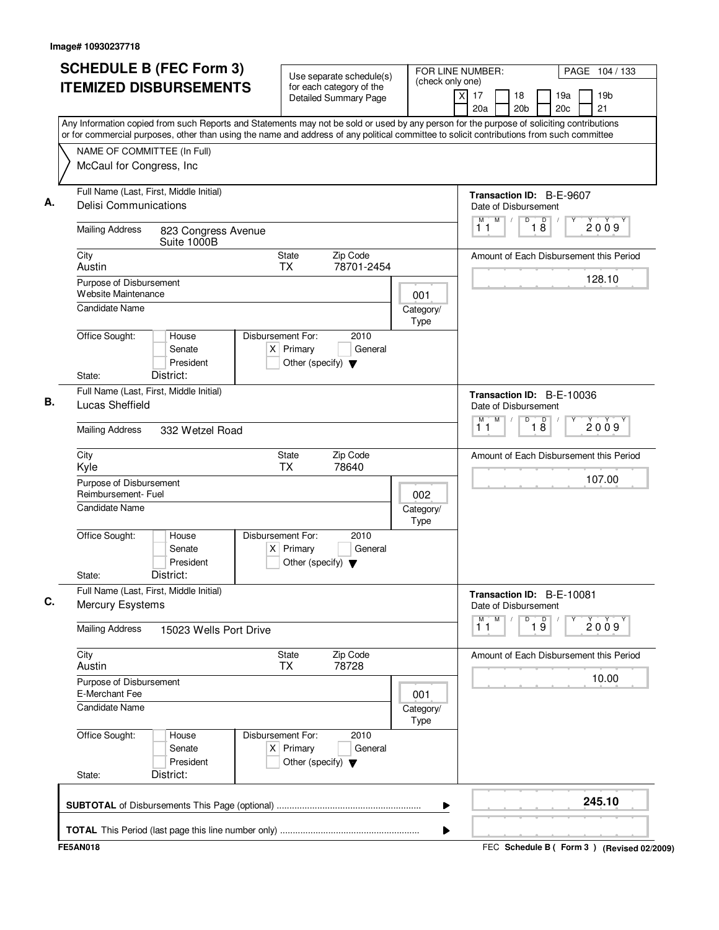|                                                                         | <b>SCHEDULE B (FEC Form 3)</b><br><b>ITEMIZED DISBURSEMENTS</b>         |                                                                                                                                                                                                                                                                                                                                                                                                                                                                                                                                                                                                                                                                                                                                                                                                                                                                                                                                                                                                                                                                                                                                                                                                                               |                              | PAGE 104 / 133<br>19 <sub>b</sub><br>$\times$<br>17<br>18<br>19a                       |
|-------------------------------------------------------------------------|-------------------------------------------------------------------------|-------------------------------------------------------------------------------------------------------------------------------------------------------------------------------------------------------------------------------------------------------------------------------------------------------------------------------------------------------------------------------------------------------------------------------------------------------------------------------------------------------------------------------------------------------------------------------------------------------------------------------------------------------------------------------------------------------------------------------------------------------------------------------------------------------------------------------------------------------------------------------------------------------------------------------------------------------------------------------------------------------------------------------------------------------------------------------------------------------------------------------------------------------------------------------------------------------------------------------|------------------------------|----------------------------------------------------------------------------------------|
|                                                                         |                                                                         | FOR LINE NUMBER:<br>Use separate schedule(s)<br>(check only one)<br>for each category of the<br><b>Detailed Summary Page</b><br>20a<br>Any Information copied from such Reports and Statements may not be sold or used by any person for the purpose of soliciting contributions<br>or for commercial purposes, other than using the name and address of any political committee to solicit contributions from such committee<br>M<br>11<br>823 Congress Avenue<br>Suite 1000B<br><b>State</b><br>Zip Code<br>78701-2454<br><b>TX</b><br>001<br>Category/<br>Type<br>Disbursement For:<br>2010<br>House<br>$X$ Primary<br>General<br>Senate<br>President<br>Other (specify) $\blacktriangledown$<br>District:<br>м<br>11<br>332 Wetzel Road<br>Zip Code<br><b>State</b><br><b>TX</b><br>78640<br>002<br>Category/<br>Type<br>Disbursement For:<br>2010<br>House<br>Senate<br>$X$ Primary<br>General<br>President<br>Other (specify) $\blacktriangledown$<br>District:<br>M<br>11<br>15023 Wells Port Drive<br>State<br>Zip Code<br><b>TX</b><br>78728<br>001<br>Category/<br>Type<br>Disbursement For:<br>2010<br>House<br>$X$ Primary<br>General<br>Senate<br>President<br>Other (specify) $\blacktriangledown$<br>District: | 21<br>20 <sub>b</sub><br>20c |                                                                                        |
|                                                                         | NAME OF COMMITTEE (In Full)<br>McCaul for Congress, Inc                 |                                                                                                                                                                                                                                                                                                                                                                                                                                                                                                                                                                                                                                                                                                                                                                                                                                                                                                                                                                                                                                                                                                                                                                                                                               |                              |                                                                                        |
|                                                                         | Full Name (Last, First, Middle Initial)<br><b>Delisi Communications</b> |                                                                                                                                                                                                                                                                                                                                                                                                                                                                                                                                                                                                                                                                                                                                                                                                                                                                                                                                                                                                                                                                                                                                                                                                                               |                              | Transaction ID: B-E-9607<br>Date of Disbursement                                       |
| <b>Mailing Address</b>                                                  |                                                                         |                                                                                                                                                                                                                                                                                                                                                                                                                                                                                                                                                                                                                                                                                                                                                                                                                                                                                                                                                                                                                                                                                                                                                                                                                               |                              | M<br>D<br>$\overline{18}$<br>$\sqrt{2}$<br>2009                                        |
| City<br>Austin                                                          |                                                                         |                                                                                                                                                                                                                                                                                                                                                                                                                                                                                                                                                                                                                                                                                                                                                                                                                                                                                                                                                                                                                                                                                                                                                                                                                               |                              | Amount of Each Disbursement this Period                                                |
| Purpose of Disbursement<br>Website Maintenance<br><b>Candidate Name</b> |                                                                         |                                                                                                                                                                                                                                                                                                                                                                                                                                                                                                                                                                                                                                                                                                                                                                                                                                                                                                                                                                                                                                                                                                                                                                                                                               |                              | 128.10                                                                                 |
| Office Sought:<br>State:                                                |                                                                         |                                                                                                                                                                                                                                                                                                                                                                                                                                                                                                                                                                                                                                                                                                                                                                                                                                                                                                                                                                                                                                                                                                                                                                                                                               |                              |                                                                                        |
| Lucas Sheffield                                                         | Full Name (Last, First, Middle Initial)                                 |                                                                                                                                                                                                                                                                                                                                                                                                                                                                                                                                                                                                                                                                                                                                                                                                                                                                                                                                                                                                                                                                                                                                                                                                                               |                              | Transaction ID: B-E-10036<br>Date of Disbursement<br>D<br>M<br>$\overline{18}$<br>2009 |
| <b>Mailing Address</b>                                                  |                                                                         |                                                                                                                                                                                                                                                                                                                                                                                                                                                                                                                                                                                                                                                                                                                                                                                                                                                                                                                                                                                                                                                                                                                                                                                                                               |                              |                                                                                        |
| City<br>Kyle                                                            |                                                                         |                                                                                                                                                                                                                                                                                                                                                                                                                                                                                                                                                                                                                                                                                                                                                                                                                                                                                                                                                                                                                                                                                                                                                                                                                               |                              | Amount of Each Disbursement this Period                                                |
| Purpose of Disbursement<br>Reimbursement- Fuel<br>Candidate Name        |                                                                         |                                                                                                                                                                                                                                                                                                                                                                                                                                                                                                                                                                                                                                                                                                                                                                                                                                                                                                                                                                                                                                                                                                                                                                                                                               |                              | 107.00                                                                                 |
| Office Sought:<br>State:                                                |                                                                         |                                                                                                                                                                                                                                                                                                                                                                                                                                                                                                                                                                                                                                                                                                                                                                                                                                                                                                                                                                                                                                                                                                                                                                                                                               |                              |                                                                                        |
| Mercury Esystems                                                        | Full Name (Last, First, Middle Initial)                                 |                                                                                                                                                                                                                                                                                                                                                                                                                                                                                                                                                                                                                                                                                                                                                                                                                                                                                                                                                                                                                                                                                                                                                                                                                               |                              | Transaction ID: B-E-10081<br>Date of Disbursement                                      |
| <b>Mailing Address</b>                                                  |                                                                         |                                                                                                                                                                                                                                                                                                                                                                                                                                                                                                                                                                                                                                                                                                                                                                                                                                                                                                                                                                                                                                                                                                                                                                                                                               |                              | ${\sf M}$<br>D<br>$\overline{19}$<br>2009                                              |
| City<br>Austin                                                          |                                                                         |                                                                                                                                                                                                                                                                                                                                                                                                                                                                                                                                                                                                                                                                                                                                                                                                                                                                                                                                                                                                                                                                                                                                                                                                                               |                              | Amount of Each Disbursement this Period                                                |
| Purpose of Disbursement<br>E-Merchant Fee<br><b>Candidate Name</b>      |                                                                         |                                                                                                                                                                                                                                                                                                                                                                                                                                                                                                                                                                                                                                                                                                                                                                                                                                                                                                                                                                                                                                                                                                                                                                                                                               |                              | 10.00                                                                                  |
| Office Sought:<br>State:                                                |                                                                         |                                                                                                                                                                                                                                                                                                                                                                                                                                                                                                                                                                                                                                                                                                                                                                                                                                                                                                                                                                                                                                                                                                                                                                                                                               |                              |                                                                                        |
|                                                                         |                                                                         |                                                                                                                                                                                                                                                                                                                                                                                                                                                                                                                                                                                                                                                                                                                                                                                                                                                                                                                                                                                                                                                                                                                                                                                                                               |                              | 245.10                                                                                 |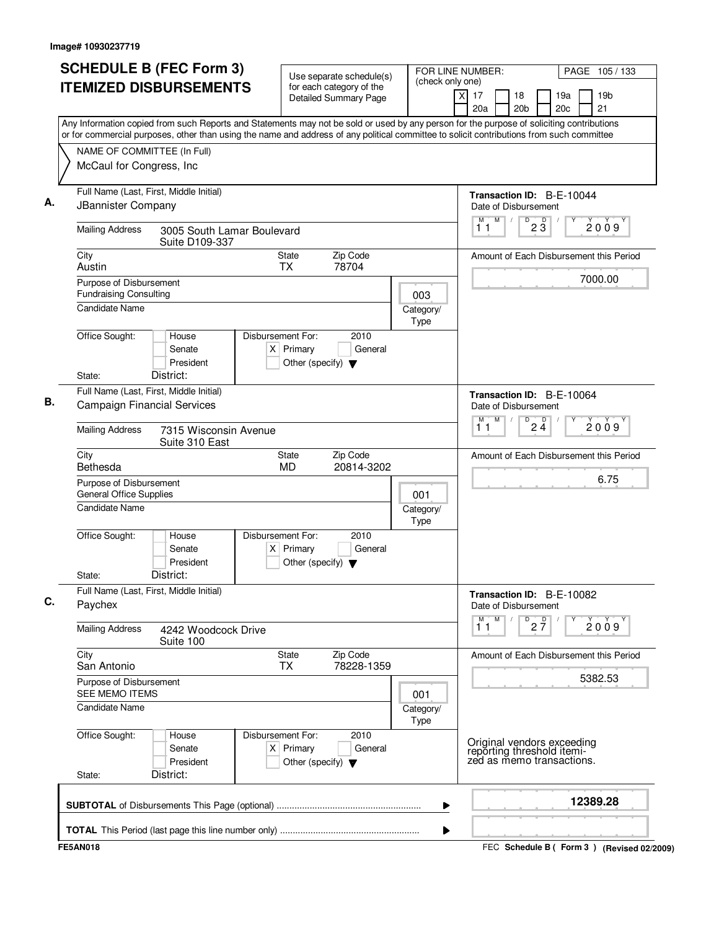|                          | <b>SCHEDULE B (FEC Form 3)</b><br><b>ITEMIZED DISBURSEMENTS</b>                   |                                              |  |                               | Use separate schedule(s)<br>for each category of the |                                                                                                                                                                                                                                                                                        |  |                   |                | FOR LINE NUMBER:<br>(check only one) |                                                                                       |   |                                 |            |  | PAGE 105 / 133                          |  |  |
|--------------------------|-----------------------------------------------------------------------------------|----------------------------------------------|--|-------------------------------|------------------------------------------------------|----------------------------------------------------------------------------------------------------------------------------------------------------------------------------------------------------------------------------------------------------------------------------------------|--|-------------------|----------------|--------------------------------------|---------------------------------------------------------------------------------------|---|---------------------------------|------------|--|-----------------------------------------|--|--|
|                          |                                                                                   |                                              |  |                               |                                                      | <b>Detailed Summary Page</b>                                                                                                                                                                                                                                                           |  |                   | $\overline{X}$ | 17<br>20a                            | 18<br>20 <sub>b</sub>                                                                 |   |                                 | 19a<br>20c |  | 19 <sub>b</sub><br>21                   |  |  |
|                          |                                                                                   |                                              |  |                               |                                                      | Any Information copied from such Reports and Statements may not be sold or used by any person for the purpose of soliciting contributions<br>or for commercial purposes, other than using the name and address of any political committee to solicit contributions from such committee |  |                   |                |                                      |                                                                                       |   |                                 |            |  |                                         |  |  |
|                          |                                                                                   | NAME OF COMMITTEE (In Full)                  |  |                               |                                                      |                                                                                                                                                                                                                                                                                        |  |                   |                |                                      |                                                                                       |   |                                 |            |  |                                         |  |  |
|                          |                                                                                   | McCaul for Congress, Inc                     |  |                               |                                                      |                                                                                                                                                                                                                                                                                        |  |                   |                |                                      |                                                                                       |   |                                 |            |  |                                         |  |  |
|                          | JBannister Company                                                                | Full Name (Last, First, Middle Initial)      |  |                               |                                                      |                                                                                                                                                                                                                                                                                        |  |                   |                |                                      | Transaction ID: B-E-10044<br>Date of Disbursement                                     |   |                                 |            |  |                                         |  |  |
|                          | <b>Mailing Address</b>                                                            | 3005 South Lamar Boulevard<br>Suite D109-337 |  |                               |                                                      |                                                                                                                                                                                                                                                                                        |  |                   |                | М<br>11                              | M<br>$\sqrt{2}$                                                                       | D | $2\overline{3}$                 |            |  | 2009                                    |  |  |
| City<br>Austin           |                                                                                   |                                              |  |                               | State<br><b>TX</b>                                   | Zip Code<br>78704                                                                                                                                                                                                                                                                      |  |                   |                |                                      |                                                                                       |   |                                 |            |  | Amount of Each Disbursement this Period |  |  |
|                          | Purpose of Disbursement<br><b>Fundraising Consulting</b><br><b>Candidate Name</b> |                                              |  |                               |                                                      |                                                                                                                                                                                                                                                                                        |  | 003               |                |                                      |                                                                                       |   |                                 |            |  | 7000.00                                 |  |  |
|                          |                                                                                   |                                              |  |                               |                                                      |                                                                                                                                                                                                                                                                                        |  | Category/<br>Type |                |                                      |                                                                                       |   |                                 |            |  |                                         |  |  |
| Office Sought:<br>State: |                                                                                   | House<br>Senate<br>President<br>District:    |  | Disbursement For:             | $X$ Primary<br>Other (specify) $\blacktriangledown$  | 2010<br>General                                                                                                                                                                                                                                                                        |  |                   |                |                                      |                                                                                       |   |                                 |            |  |                                         |  |  |
|                          |                                                                                   | Full Name (Last, First, Middle Initial)      |  |                               |                                                      |                                                                                                                                                                                                                                                                                        |  |                   |                |                                      |                                                                                       |   |                                 |            |  |                                         |  |  |
|                          |                                                                                   | <b>Campaign Financial Services</b>           |  |                               |                                                      |                                                                                                                                                                                                                                                                                        |  |                   |                | M                                    | Transaction ID: B-E-10064<br>Date of Disbursement<br>M                                | D | $2\frac{D}{4}$                  |            |  |                                         |  |  |
|                          | <b>Mailing Address</b>                                                            | 7315 Wisconsin Avenue<br>Suite 310 East      |  |                               |                                                      |                                                                                                                                                                                                                                                                                        |  |                   |                | 11                                   |                                                                                       |   |                                 |            |  | 2009                                    |  |  |
| City<br>Bethesda         |                                                                                   |                                              |  |                               | State<br><b>MD</b>                                   | Zip Code<br>20814-3202                                                                                                                                                                                                                                                                 |  |                   |                |                                      |                                                                                       |   |                                 |            |  | Amount of Each Disbursement this Period |  |  |
|                          | Purpose of Disbursement<br><b>General Office Supplies</b>                         |                                              |  |                               |                                                      |                                                                                                                                                                                                                                                                                        |  | 001               |                |                                      |                                                                                       |   |                                 |            |  | 6.75                                    |  |  |
|                          | <b>Candidate Name</b>                                                             |                                              |  |                               |                                                      |                                                                                                                                                                                                                                                                                        |  | Category/<br>Type |                |                                      |                                                                                       |   |                                 |            |  |                                         |  |  |
| Office Sought:<br>State: |                                                                                   | House<br>Senate<br>President<br>District:    |  | Disbursement For:<br>$\times$ | Primary<br>Other (specify) $\blacktriangledown$      | 2010<br>General                                                                                                                                                                                                                                                                        |  |                   |                |                                      |                                                                                       |   |                                 |            |  |                                         |  |  |
| Paychex                  |                                                                                   | Full Name (Last, First, Middle Initial)      |  |                               |                                                      |                                                                                                                                                                                                                                                                                        |  |                   |                |                                      | Transaction ID: B-E-10082<br>Date of Disbursement                                     |   |                                 |            |  |                                         |  |  |
|                          | <b>Mailing Address</b>                                                            | 4242 Woodcock Drive<br>Suite 100             |  |                               |                                                      |                                                                                                                                                                                                                                                                                        |  |                   |                | M<br>11                              | M                                                                                     |   | $\overline{P}$ 2 $\overline{7}$ |            |  | 2009                                    |  |  |
| City<br>San Antonio      |                                                                                   |                                              |  |                               | <b>State</b><br><b>TX</b>                            | Zip Code<br>78228-1359                                                                                                                                                                                                                                                                 |  |                   |                |                                      |                                                                                       |   |                                 |            |  | Amount of Each Disbursement this Period |  |  |
|                          | Purpose of Disbursement<br>SEE MEMO ITEMS                                         |                                              |  |                               |                                                      |                                                                                                                                                                                                                                                                                        |  | 001               |                |                                      |                                                                                       |   |                                 |            |  | 5382.53                                 |  |  |
|                          | <b>Candidate Name</b>                                                             |                                              |  |                               |                                                      |                                                                                                                                                                                                                                                                                        |  | Category/<br>Type |                |                                      |                                                                                       |   |                                 |            |  |                                         |  |  |
| Office Sought:<br>State: |                                                                                   | House<br>Senate<br>President<br>District:    |  | Disbursement For:             | $X$ Primary<br>Other (specify) $\blacktriangledown$  | 2010<br>General                                                                                                                                                                                                                                                                        |  |                   |                |                                      | Original vendors exceeding<br>reporting threshold itemi-<br>zed as memo transactions. |   |                                 |            |  |                                         |  |  |
|                          |                                                                                   |                                              |  |                               |                                                      |                                                                                                                                                                                                                                                                                        |  |                   |                |                                      |                                                                                       |   |                                 |            |  |                                         |  |  |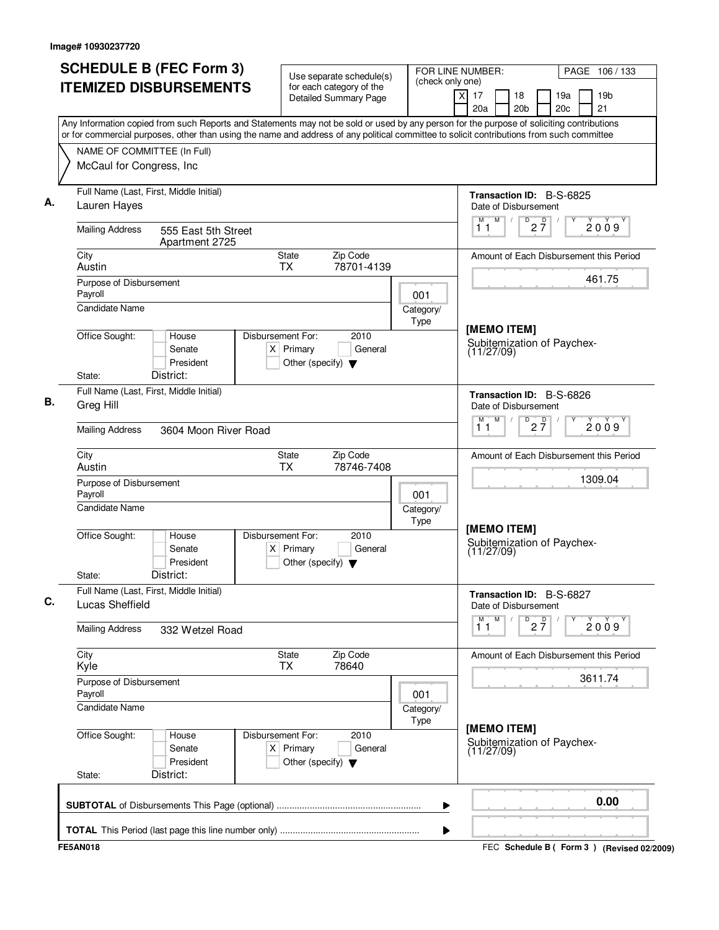| <b>SCHEDULE B (FEC Form 3)</b><br><b>ITEMIZED DISBURSEMENTS</b>                                                                                                                                                                                                                        | Use separate schedule(s)<br>for each category of the                                          | FOR LINE NUMBER:<br>(check only one) |                                                         | PAGE 106 / 133                              |
|----------------------------------------------------------------------------------------------------------------------------------------------------------------------------------------------------------------------------------------------------------------------------------------|-----------------------------------------------------------------------------------------------|--------------------------------------|---------------------------------------------------------|---------------------------------------------|
|                                                                                                                                                                                                                                                                                        | <b>Detailed Summary Page</b>                                                                  |                                      | $\overline{X}$<br>17<br>18<br>20a<br>20 <sub>b</sub>    | 19a<br>19 <sub>b</sub><br>21<br>20c         |
| Any Information copied from such Reports and Statements may not be sold or used by any person for the purpose of soliciting contributions<br>or for commercial purposes, other than using the name and address of any political committee to solicit contributions from such committee |                                                                                               |                                      |                                                         |                                             |
| NAME OF COMMITTEE (In Full)                                                                                                                                                                                                                                                            |                                                                                               |                                      |                                                         |                                             |
| McCaul for Congress, Inc                                                                                                                                                                                                                                                               |                                                                                               |                                      |                                                         |                                             |
| Full Name (Last, First, Middle Initial)<br>Lauren Hayes                                                                                                                                                                                                                                |                                                                                               |                                      | <b>Transaction ID: B-S-6825</b><br>Date of Disbursement |                                             |
| <b>Mailing Address</b><br>555 East 5th Street<br>Apartment 2725                                                                                                                                                                                                                        |                                                                                               |                                      | M<br>D<br>$2\frac{D}{7}$<br>M<br>$\sqrt{2}$<br>11       | 2009                                        |
| City<br>Austin                                                                                                                                                                                                                                                                         | Zip Code<br>State<br>78701-4139<br><b>TX</b>                                                  |                                      |                                                         | Amount of Each Disbursement this Period     |
| Purpose of Disbursement<br>Payroll<br><b>Candidate Name</b>                                                                                                                                                                                                                            |                                                                                               | 001                                  |                                                         | 461.75                                      |
|                                                                                                                                                                                                                                                                                        |                                                                                               | Category/<br>Type                    | [MEMO ITEM]                                             |                                             |
| Office Sought:<br>House<br>Senate<br>President<br>District:<br>State:                                                                                                                                                                                                                  | Disbursement For:<br>2010<br>$X$ Primary<br>General<br>Other (specify) $\blacktriangledown$   |                                      | Subitemization of Paychex-<br>(11/27/09)                |                                             |
| Full Name (Last, First, Middle Initial)<br>Greg Hill                                                                                                                                                                                                                                   |                                                                                               |                                      | Transaction ID: B-S-6826<br>Date of Disbursement        |                                             |
| <b>Mailing Address</b><br>3604 Moon River Road                                                                                                                                                                                                                                         |                                                                                               |                                      | M<br>$D$ <sub>2</sub> $\frac{D}{7}$<br>M<br>11          | 2009                                        |
| City                                                                                                                                                                                                                                                                                   | Zip Code<br>State                                                                             |                                      |                                                         | Amount of Each Disbursement this Period     |
| Austin                                                                                                                                                                                                                                                                                 | <b>TX</b><br>78746-7408                                                                       |                                      |                                                         |                                             |
| Purpose of Disbursement<br>Payroll                                                                                                                                                                                                                                                     |                                                                                               | 001                                  |                                                         | 1309.04                                     |
| Candidate Name                                                                                                                                                                                                                                                                         |                                                                                               | Category/<br>Type                    | [MEMO ITEM]                                             |                                             |
| Office Sought:<br>House<br>Senate<br>President<br>District:<br>State:                                                                                                                                                                                                                  | Disbursement For:<br>2010<br>Primary<br>General<br>ΧI<br>Other (specify) $\blacktriangledown$ |                                      | Subitemization of Paychex-<br>(11/27/09)                |                                             |
| Full Name (Last, First, Middle Initial)<br>Lucas Sheffield                                                                                                                                                                                                                             |                                                                                               |                                      | Transaction ID: B-S-6827<br>Date of Disbursement        |                                             |
| <b>Mailing Address</b><br>332 Wetzel Road                                                                                                                                                                                                                                              |                                                                                               |                                      | M<br>$\overline{P}$ 2 $\overline{7}$<br>M<br>11         | 2009                                        |
| City<br>Kyle                                                                                                                                                                                                                                                                           | <b>State</b><br>Zip Code<br>78640<br><b>TX</b>                                                |                                      |                                                         | Amount of Each Disbursement this Period     |
| Purpose of Disbursement<br>Payroll                                                                                                                                                                                                                                                     |                                                                                               | 001                                  |                                                         | 3611.74                                     |
| Candidate Name                                                                                                                                                                                                                                                                         |                                                                                               | Category/<br>Type                    |                                                         |                                             |
| Office Sought:<br>House<br>Senate<br>President<br>District:<br>State:                                                                                                                                                                                                                  | Disbursement For:<br>2010<br>$X$ Primary<br>General<br>Other (specify) $\blacktriangledown$   |                                      | [MEMO ITEM]<br>Subitemization of Paychex-<br>(11/27/09) |                                             |
|                                                                                                                                                                                                                                                                                        |                                                                                               | ▶                                    |                                                         | 0.00                                        |
|                                                                                                                                                                                                                                                                                        |                                                                                               | ▶                                    |                                                         |                                             |
| <b>FE5AN018</b>                                                                                                                                                                                                                                                                        |                                                                                               |                                      |                                                         | FEC Schedule B ( Form 3 ) (Revised 02/2009) |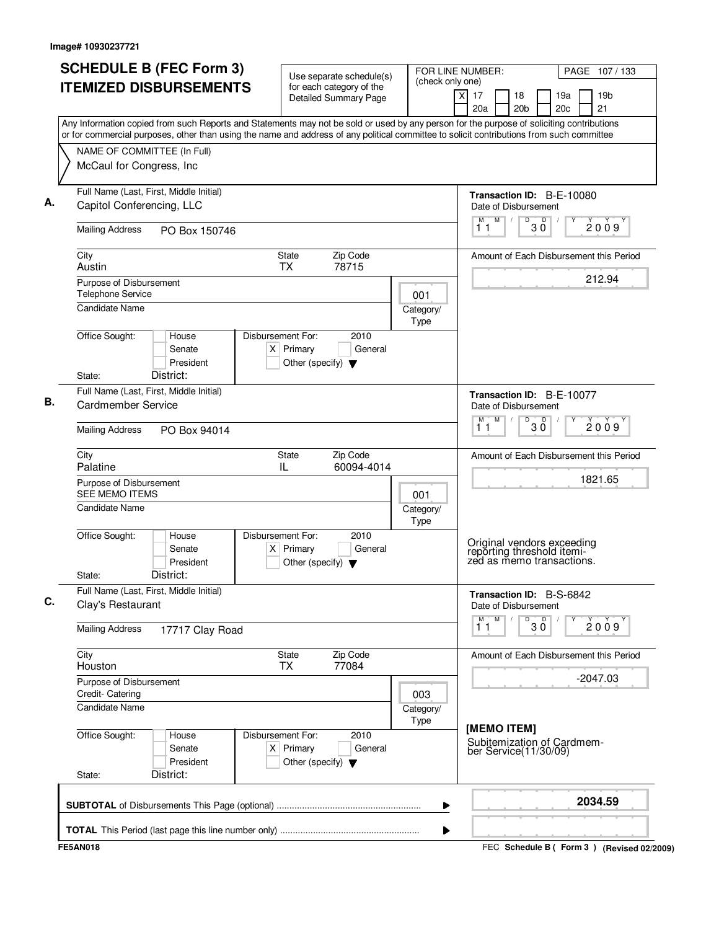|                                                  | <b>SCHEDULE B (FEC Form 3)</b><br><b>ITEMIZED DISBURSEMENTS</b>                                                                                                                                                                                                                        |                                                                          | Use separate schedule(s)<br>for each category of the |                   | FOR LINE NUMBER:<br>PAGE 107/133<br>(check only one)          |                                                                                       |  |  |  |  |  |  |
|--------------------------------------------------|----------------------------------------------------------------------------------------------------------------------------------------------------------------------------------------------------------------------------------------------------------------------------------------|--------------------------------------------------------------------------|------------------------------------------------------|-------------------|---------------------------------------------------------------|---------------------------------------------------------------------------------------|--|--|--|--|--|--|
|                                                  |                                                                                                                                                                                                                                                                                        |                                                                          | <b>Detailed Summary Page</b>                         |                   | $\overline{\mathsf{x}}$<br>17<br>18<br>20a<br>20 <sub>b</sub> | 19 <sub>b</sub><br>19a<br>21<br>20 <sub>c</sub>                                       |  |  |  |  |  |  |
|                                                  | Any Information copied from such Reports and Statements may not be sold or used by any person for the purpose of soliciting contributions<br>or for commercial purposes, other than using the name and address of any political committee to solicit contributions from such committee |                                                                          |                                                      |                   |                                                               |                                                                                       |  |  |  |  |  |  |
|                                                  | NAME OF COMMITTEE (In Full)                                                                                                                                                                                                                                                            |                                                                          |                                                      |                   |                                                               |                                                                                       |  |  |  |  |  |  |
|                                                  | McCaul for Congress, Inc                                                                                                                                                                                                                                                               |                                                                          |                                                      |                   |                                                               |                                                                                       |  |  |  |  |  |  |
|                                                  | Full Name (Last, First, Middle Initial)                                                                                                                                                                                                                                                |                                                                          |                                                      |                   |                                                               | Transaction ID: B-E-10080                                                             |  |  |  |  |  |  |
|                                                  | Capitol Conferencing, LLC                                                                                                                                                                                                                                                              |                                                                          |                                                      |                   | Date of Disbursement<br>M<br>M                                | D<br>D                                                                                |  |  |  |  |  |  |
| <b>Mailing Address</b>                           | PO Box 150746                                                                                                                                                                                                                                                                          |                                                                          |                                                      |                   | 11                                                            | 2009<br>ЗŐ                                                                            |  |  |  |  |  |  |
| City<br>Austin                                   |                                                                                                                                                                                                                                                                                        | State<br><b>TX</b>                                                       | Zip Code<br>78715                                    |                   |                                                               | Amount of Each Disbursement this Period                                               |  |  |  |  |  |  |
| Purpose of Disbursement                          |                                                                                                                                                                                                                                                                                        |                                                                          |                                                      |                   |                                                               | 212.94                                                                                |  |  |  |  |  |  |
| <b>Telephone Service</b>                         |                                                                                                                                                                                                                                                                                        |                                                                          |                                                      | 001               |                                                               |                                                                                       |  |  |  |  |  |  |
| <b>Candidate Name</b>                            |                                                                                                                                                                                                                                                                                        |                                                                          |                                                      | Category/<br>Type |                                                               |                                                                                       |  |  |  |  |  |  |
| Office Sought:                                   | House<br>Senate                                                                                                                                                                                                                                                                        | Disbursement For:<br>$X$ Primary                                         | 2010<br>General                                      |                   |                                                               |                                                                                       |  |  |  |  |  |  |
| State:                                           | President<br>District:                                                                                                                                                                                                                                                                 | Other (specify) $\blacktriangledown$                                     |                                                      |                   |                                                               |                                                                                       |  |  |  |  |  |  |
|                                                  | Full Name (Last, First, Middle Initial)                                                                                                                                                                                                                                                |                                                                          |                                                      |                   |                                                               |                                                                                       |  |  |  |  |  |  |
| <b>Cardmember Service</b>                        |                                                                                                                                                                                                                                                                                        |                                                                          |                                                      |                   | Date of Disbursement<br>M<br>M                                | Transaction ID: B-E-10077<br>D                                                        |  |  |  |  |  |  |
| <b>Mailing Address</b>                           | PO Box 94014                                                                                                                                                                                                                                                                           |                                                                          |                                                      |                   | 11                                                            | $30^{\circ}$<br>2009                                                                  |  |  |  |  |  |  |
| City<br>Palatine                                 |                                                                                                                                                                                                                                                                                        | State<br>IL                                                              | Zip Code<br>60094-4014                               |                   |                                                               | Amount of Each Disbursement this Period                                               |  |  |  |  |  |  |
| Purpose of Disbursement<br><b>SEE MEMO ITEMS</b> |                                                                                                                                                                                                                                                                                        |                                                                          |                                                      | 001               |                                                               | 1821.65                                                                               |  |  |  |  |  |  |
| Candidate Name                                   |                                                                                                                                                                                                                                                                                        |                                                                          |                                                      | Category/<br>Type |                                                               |                                                                                       |  |  |  |  |  |  |
| Office Sought:<br>State:                         | House<br>Senate<br>President<br>District:                                                                                                                                                                                                                                              | Disbursement For:<br>$X$ Primary<br>Other (specify) $\blacktriangledown$ | 2010<br>General                                      |                   |                                                               | Original vendors exceeding<br>reporting threshold itemi-<br>zed as memo transactions. |  |  |  |  |  |  |
| Clay's Restaurant                                | Full Name (Last, First, Middle Initial)                                                                                                                                                                                                                                                |                                                                          |                                                      |                   | Date of Disbursement                                          | Transaction ID: B-S-6842                                                              |  |  |  |  |  |  |
| <b>Mailing Address</b>                           | 17717 Clay Road                                                                                                                                                                                                                                                                        |                                                                          |                                                      |                   | M<br>м<br>11                                                  | $30^{\circ}$<br>D<br>2009                                                             |  |  |  |  |  |  |
| City<br>Houston                                  |                                                                                                                                                                                                                                                                                        | <b>State</b><br><b>TX</b>                                                | Zip Code<br>77084                                    |                   |                                                               | Amount of Each Disbursement this Period                                               |  |  |  |  |  |  |
| Purpose of Disbursement<br>Credit- Catering      |                                                                                                                                                                                                                                                                                        |                                                                          |                                                      | 003               |                                                               | $-2047.03$                                                                            |  |  |  |  |  |  |
| <b>Candidate Name</b>                            |                                                                                                                                                                                                                                                                                        |                                                                          |                                                      | Category/<br>Type |                                                               |                                                                                       |  |  |  |  |  |  |
| Office Sought:<br>State:                         | House<br>Senate<br>President<br>District:                                                                                                                                                                                                                                              | Disbursement For:<br>$X$ Primary<br>Other (specify) $\blacktriangledown$ | 2010<br>General                                      |                   | [MEMO ITEM]<br>ber Service(11/30/09)                          | Subitemization of Cardmem-                                                            |  |  |  |  |  |  |
|                                                  |                                                                                                                                                                                                                                                                                        |                                                                          |                                                      | ▶                 |                                                               | 2034.59                                                                               |  |  |  |  |  |  |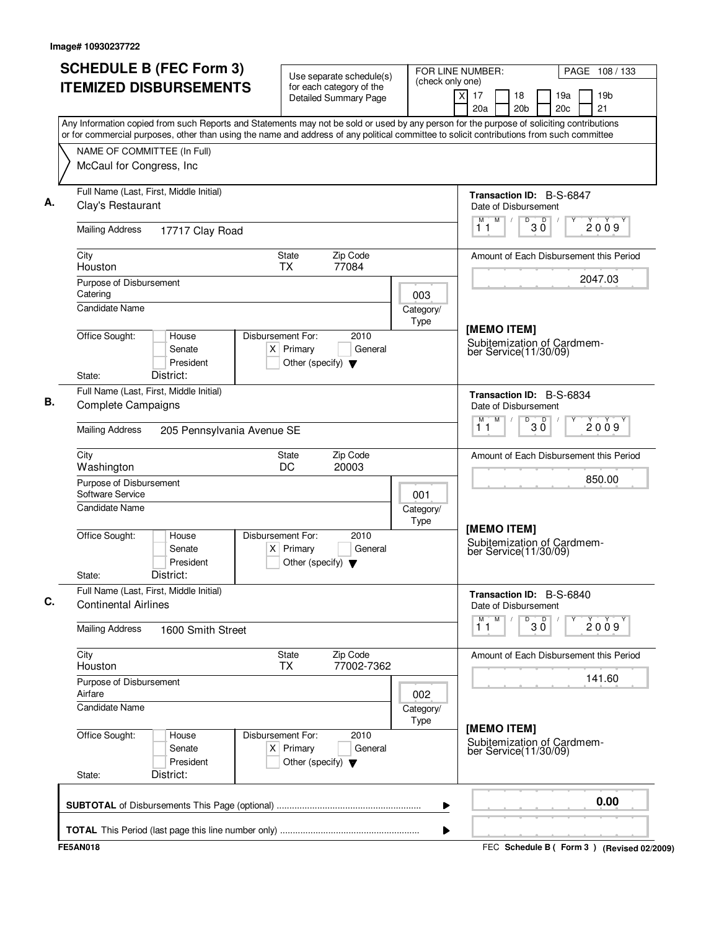|      | or for commercial purposes, other than using the name and address of any political committee to solicit contributions from such committee<br>NAME OF COMMITTEE (In Full) | <b>ITEMIZED DISBURSEMENTS</b><br>Any Information copied from such Reports and Statements may not be sold or used by any person for the purpose of soliciting contributions |                   |                                                     | FOR LINE NUMBER:<br>Use separate schedule(s)<br>(check only one)<br>for each category of the |  |                   |          |                  |                                                                    | PAGE 108 / 133  |            |  |                                         |
|------|--------------------------------------------------------------------------------------------------------------------------------------------------------------------------|----------------------------------------------------------------------------------------------------------------------------------------------------------------------------|-------------------|-----------------------------------------------------|----------------------------------------------------------------------------------------------|--|-------------------|----------|------------------|--------------------------------------------------------------------|-----------------|------------|--|-----------------------------------------|
|      |                                                                                                                                                                          |                                                                                                                                                                            |                   |                                                     | <b>Detailed Summary Page</b>                                                                 |  |                   | $\times$ | 17<br>20a        | 18<br>20 <sub>b</sub>                                              |                 | 19a<br>20c |  | 19 <sub>b</sub><br>21                   |
|      |                                                                                                                                                                          |                                                                                                                                                                            |                   |                                                     |                                                                                              |  |                   |          |                  |                                                                    |                 |            |  |                                         |
|      | McCaul for Congress, Inc                                                                                                                                                 |                                                                                                                                                                            |                   |                                                     |                                                                                              |  |                   |          |                  |                                                                    |                 |            |  |                                         |
|      | Clay's Restaurant                                                                                                                                                        | Full Name (Last, First, Middle Initial)                                                                                                                                    |                   |                                                     |                                                                                              |  |                   |          |                  | Transaction ID: B-S-6847<br>Date of Disbursement                   |                 |            |  |                                         |
|      | <b>Mailing Address</b>                                                                                                                                                   | 17717 Clay Road                                                                                                                                                            |                   |                                                     |                                                                                              |  |                   |          | M<br>11          | M<br>D<br>$\sqrt{2}$                                               | D<br>ЗŎ         |            |  | 2009                                    |
| City | Houston                                                                                                                                                                  |                                                                                                                                                                            |                   | <b>State</b><br><b>TX</b>                           | Zip Code<br>77084                                                                            |  |                   |          |                  |                                                                    |                 |            |  | Amount of Each Disbursement this Period |
|      | Purpose of Disbursement<br>Catering<br>Candidate Name                                                                                                                    |                                                                                                                                                                            |                   |                                                     |                                                                                              |  | 003<br>Category/  |          |                  |                                                                    |                 |            |  | 2047.03                                 |
|      | Office Sought:<br>State:                                                                                                                                                 | House<br>Senate<br>President<br>District:                                                                                                                                  | Disbursement For: | $X$ Primary<br>Other (specify) $\blacktriangledown$ | 2010<br>General                                                                              |  | Type              |          |                  | [MEMO ITEM]<br>Subitemization of Cardmem-<br>ber Service(11/30/09) |                 |            |  |                                         |
|      | <b>Complete Campaigns</b>                                                                                                                                                | Full Name (Last, First, Middle Initial)                                                                                                                                    |                   |                                                     |                                                                                              |  |                   |          | M<br>М           | Transaction ID: B-S-6834<br>Date of Disbursement<br>D              |                 |            |  |                                         |
|      | <b>Mailing Address</b>                                                                                                                                                   | 205 Pennsylvania Avenue SE                                                                                                                                                 |                   |                                                     |                                                                                              |  |                   |          | 11               |                                                                    | $30^{\circ}$    |            |  | 2009                                    |
| City | Washington                                                                                                                                                               |                                                                                                                                                                            |                   | State<br>DC                                         | Zip Code<br>20003                                                                            |  |                   |          |                  |                                                                    |                 |            |  | Amount of Each Disbursement this Period |
|      | Purpose of Disbursement<br>Software Service<br>Candidate Name                                                                                                            |                                                                                                                                                                            |                   |                                                     |                                                                                              |  | 001               |          |                  |                                                                    |                 |            |  | 850.00                                  |
|      | Office Sought:<br>State:                                                                                                                                                 | House<br>Senate<br>President<br>District:                                                                                                                                  | Disbursement For: | $X$ Primary<br>Other (specify) $\blacktriangledown$ | 2010<br>General                                                                              |  | Category/<br>Type |          |                  | [MEMO ITEM]<br>Subitemization of Cardmem-<br>ber Service(11/30/09) |                 |            |  |                                         |
|      | <b>Continental Airlines</b>                                                                                                                                              | Full Name (Last, First, Middle Initial)                                                                                                                                    |                   |                                                     |                                                                                              |  |                   |          |                  | Transaction ID: B-S-6840<br>Date of Disbursement                   |                 |            |  |                                         |
|      | <b>Mailing Address</b>                                                                                                                                                   | 1600 Smith Street                                                                                                                                                          |                   |                                                     |                                                                                              |  |                   |          | $\overline{1}^M$ | M                                                                  | $\overline{30}$ |            |  | 2009                                    |
| City | Houston                                                                                                                                                                  |                                                                                                                                                                            |                   | <b>State</b><br><b>TX</b>                           | Zip Code<br>77002-7362                                                                       |  |                   |          |                  |                                                                    |                 |            |  | Amount of Each Disbursement this Period |
|      | Purpose of Disbursement<br>Airfare<br><b>Candidate Name</b>                                                                                                              |                                                                                                                                                                            |                   |                                                     |                                                                                              |  | 002               |          |                  |                                                                    |                 |            |  | 141.60                                  |
|      |                                                                                                                                                                          |                                                                                                                                                                            |                   |                                                     |                                                                                              |  | Category/<br>Type |          |                  | [MEMO ITEM]                                                        |                 |            |  |                                         |
|      | Office Sought:<br>State:                                                                                                                                                 | House<br>Senate<br>President<br>District:                                                                                                                                  | Disbursement For: | $X$ Primary<br>Other (specify) $\blacktriangledown$ | 2010<br>General                                                                              |  |                   |          |                  | Subitemization of Cardmem-<br>ber Service(11/30/09)                |                 |            |  |                                         |
|      |                                                                                                                                                                          |                                                                                                                                                                            |                   |                                                     |                                                                                              |  | ▶                 |          |                  |                                                                    |                 |            |  | 0.00                                    |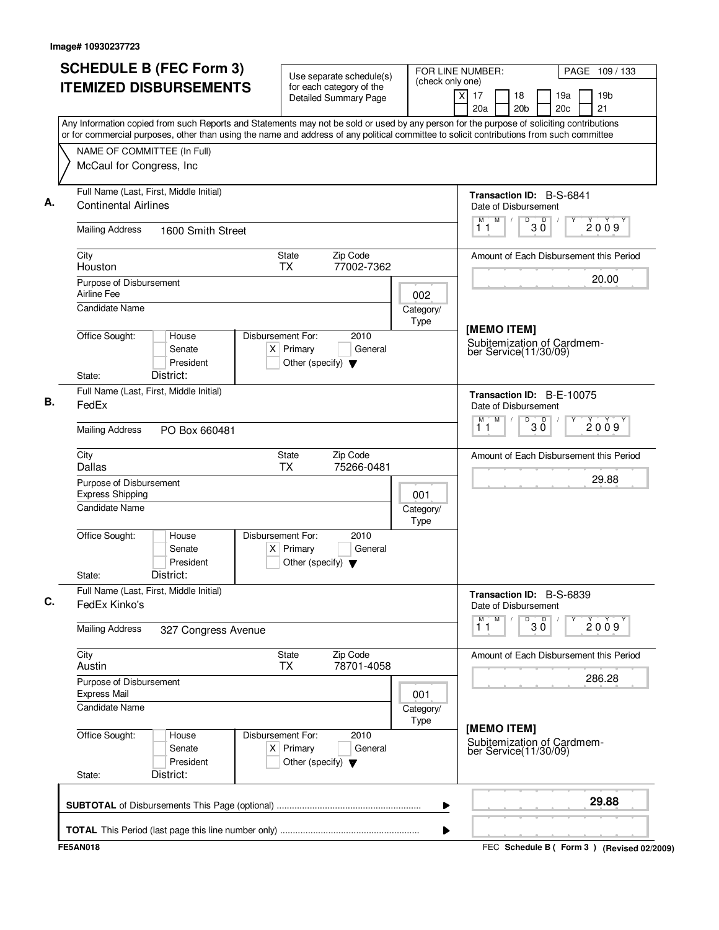| <b>SCHEDULE B (FEC Form 3)</b><br><b>ITEMIZED DISBURSEMENTS</b>                                                                                                                                                                                                                        | Use separate schedule(s)<br>for each category of the<br>Detailed Summary Page               | FOR LINE NUMBER:<br>(check only one)<br>$\times$ | PAGE 109 / 133<br>19a<br>19 <sub>b</sub>                           |                                             |  |  |  |  |  |
|----------------------------------------------------------------------------------------------------------------------------------------------------------------------------------------------------------------------------------------------------------------------------------------|---------------------------------------------------------------------------------------------|--------------------------------------------------|--------------------------------------------------------------------|---------------------------------------------|--|--|--|--|--|
|                                                                                                                                                                                                                                                                                        |                                                                                             |                                                  | 17<br>18<br>20a<br>20 <sub>b</sub>                                 | 21<br>20c                                   |  |  |  |  |  |
| Any Information copied from such Reports and Statements may not be sold or used by any person for the purpose of soliciting contributions<br>or for commercial purposes, other than using the name and address of any political committee to solicit contributions from such committee |                                                                                             |                                                  |                                                                    |                                             |  |  |  |  |  |
| NAME OF COMMITTEE (In Full)                                                                                                                                                                                                                                                            |                                                                                             |                                                  |                                                                    |                                             |  |  |  |  |  |
| McCaul for Congress, Inc                                                                                                                                                                                                                                                               |                                                                                             |                                                  |                                                                    |                                             |  |  |  |  |  |
| Full Name (Last, First, Middle Initial)<br><b>Continental Airlines</b>                                                                                                                                                                                                                 |                                                                                             |                                                  | Transaction ID: B-S-6841<br>Date of Disbursement                   |                                             |  |  |  |  |  |
| <b>Mailing Address</b><br>1600 Smith Street                                                                                                                                                                                                                                            |                                                                                             | M<br>D<br>D<br>M<br>$\sqrt{2}$<br>ЗŎ<br>11       | 2009                                                               |                                             |  |  |  |  |  |
| City<br>Houston                                                                                                                                                                                                                                                                        | Zip Code<br><b>State</b><br>77002-7362<br><b>TX</b>                                         |                                                  |                                                                    | Amount of Each Disbursement this Period     |  |  |  |  |  |
| Purpose of Disbursement<br>Airline Fee                                                                                                                                                                                                                                                 |                                                                                             | 002                                              |                                                                    | 20.00                                       |  |  |  |  |  |
| Candidate Name                                                                                                                                                                                                                                                                         | Category/<br>Type                                                                           |                                                  |                                                                    |                                             |  |  |  |  |  |
| Office Sought:<br>House<br>Senate<br>President<br>District:<br>State:                                                                                                                                                                                                                  | Disbursement For:<br>2010<br>$X$ Primary<br>General<br>Other (specify) $\blacktriangledown$ |                                                  | [MEMO ITEM]<br>Subitemization of Cardmem-<br>ber Service(11/30/09) |                                             |  |  |  |  |  |
| Full Name (Last, First, Middle Initial)                                                                                                                                                                                                                                                |                                                                                             |                                                  | Transaction ID: B-E-10075                                          |                                             |  |  |  |  |  |
| FedEx                                                                                                                                                                                                                                                                                  |                                                                                             |                                                  | Date of Disbursement                                               |                                             |  |  |  |  |  |
| <b>Mailing Address</b><br>PO Box 660481                                                                                                                                                                                                                                                |                                                                                             |                                                  | M<br>$D$ <sub>3</sub> $0$<br>М<br>11                               | 2009                                        |  |  |  |  |  |
| City<br>Dallas                                                                                                                                                                                                                                                                         | Zip Code<br>State<br>TX<br>75266-0481                                                       |                                                  |                                                                    | Amount of Each Disbursement this Period     |  |  |  |  |  |
| Purpose of Disbursement<br><b>Express Shipping</b>                                                                                                                                                                                                                                     |                                                                                             | 001                                              |                                                                    | 29.88                                       |  |  |  |  |  |
| Candidate Name                                                                                                                                                                                                                                                                         |                                                                                             | Category/<br><b>Type</b>                         |                                                                    |                                             |  |  |  |  |  |
| Office Sought:<br>House<br>Senate<br>President<br>District:<br>State:                                                                                                                                                                                                                  | Disbursement For:<br>2010<br>$X$ Primary<br>General<br>Other (specify) $\blacktriangledown$ |                                                  |                                                                    |                                             |  |  |  |  |  |
| Full Name (Last, First, Middle Initial)<br>FedEx Kinko's                                                                                                                                                                                                                               |                                                                                             |                                                  | Transaction ID: B-S-6839<br>Date of Disbursement                   |                                             |  |  |  |  |  |
| <b>Mailing Address</b><br>327 Congress Avenue                                                                                                                                                                                                                                          |                                                                                             |                                                  | M<br>$\overline{30}$<br>$\overline{1}^M$                           | 2009                                        |  |  |  |  |  |
| City<br>Austin                                                                                                                                                                                                                                                                         | <b>State</b><br>Zip Code<br>78701-4058<br><b>TX</b>                                         |                                                  |                                                                    | Amount of Each Disbursement this Period     |  |  |  |  |  |
| Purpose of Disbursement<br><b>Express Mail</b>                                                                                                                                                                                                                                         |                                                                                             | 001                                              |                                                                    | 286.28                                      |  |  |  |  |  |
| <b>Candidate Name</b>                                                                                                                                                                                                                                                                  |                                                                                             | Category/<br>Type                                |                                                                    |                                             |  |  |  |  |  |
| Office Sought:<br>House<br>Senate<br>President<br>District:<br>State:                                                                                                                                                                                                                  | Disbursement For:<br>2010<br>$X$ Primary<br>General<br>Other (specify) $\blacktriangledown$ |                                                  | [MEMO ITEM]<br>Subitemization of Cardmem-<br>ber Service(11/30/09) |                                             |  |  |  |  |  |
|                                                                                                                                                                                                                                                                                        |                                                                                             | ▶                                                |                                                                    | 29.88                                       |  |  |  |  |  |
|                                                                                                                                                                                                                                                                                        |                                                                                             | ▶                                                |                                                                    |                                             |  |  |  |  |  |
| <b>FE5AN018</b>                                                                                                                                                                                                                                                                        |                                                                                             |                                                  |                                                                    | FEC Schedule B ( Form 3 ) (Revised 02/2009) |  |  |  |  |  |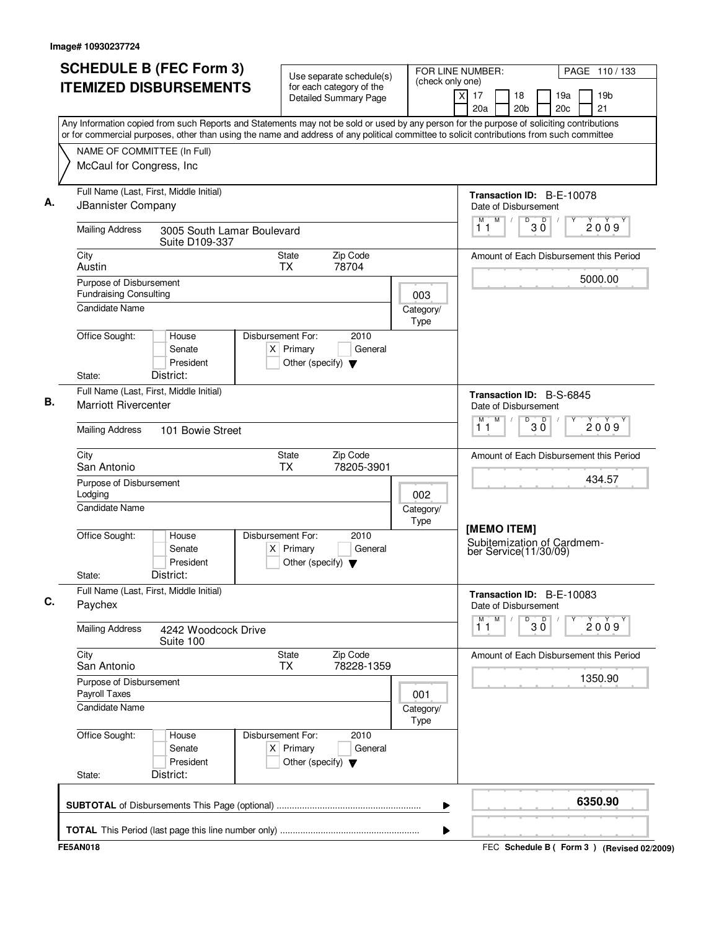| <b>SCHEDULE B (FEC Form 3)</b><br><b>ITEMIZED DISBURSEMENTS</b>                                                                                                                                                                                                                        | Use separate schedule(s)<br>for each category of the                                        | FOR LINE NUMBER:<br>(check only one) | PAGE 110/133                                                                          |
|----------------------------------------------------------------------------------------------------------------------------------------------------------------------------------------------------------------------------------------------------------------------------------------|---------------------------------------------------------------------------------------------|--------------------------------------|---------------------------------------------------------------------------------------|
|                                                                                                                                                                                                                                                                                        | <b>Detailed Summary Page</b>                                                                |                                      | $\times$<br>17<br>18<br>19a<br>19 <sub>b</sub><br>20c<br>21<br>20a<br>20 <sub>b</sub> |
| Any Information copied from such Reports and Statements may not be sold or used by any person for the purpose of soliciting contributions<br>or for commercial purposes, other than using the name and address of any political committee to solicit contributions from such committee |                                                                                             |                                      |                                                                                       |
| NAME OF COMMITTEE (In Full)                                                                                                                                                                                                                                                            |                                                                                             |                                      |                                                                                       |
| McCaul for Congress, Inc                                                                                                                                                                                                                                                               |                                                                                             |                                      |                                                                                       |
| Full Name (Last, First, Middle Initial)<br>JBannister Company                                                                                                                                                                                                                          |                                                                                             |                                      | Transaction ID: B-E-10078<br>Date of Disbursement                                     |
| <b>Mailing Address</b><br>3005 South Lamar Boulevard<br>Suite D109-337                                                                                                                                                                                                                 |                                                                                             |                                      | M<br>$\sqrt{D}$ $3\overline{0}$<br>M<br>2009<br>11                                    |
| City<br>Austin                                                                                                                                                                                                                                                                         | Zip Code<br>State<br><b>TX</b><br>78704                                                     |                                      | Amount of Each Disbursement this Period                                               |
| Purpose of Disbursement                                                                                                                                                                                                                                                                |                                                                                             |                                      | 5000.00                                                                               |
| <b>Fundraising Consulting</b><br><b>Candidate Name</b>                                                                                                                                                                                                                                 |                                                                                             | 003<br>Category/                     |                                                                                       |
|                                                                                                                                                                                                                                                                                        |                                                                                             | Type                                 |                                                                                       |
| Office Sought:<br>House<br>Senate<br>President<br>District:<br>State:                                                                                                                                                                                                                  | Disbursement For:<br>2010<br>$X$ Primary<br>General<br>Other (specify) $\blacktriangledown$ |                                      |                                                                                       |
| Full Name (Last, First, Middle Initial)                                                                                                                                                                                                                                                |                                                                                             |                                      | Transaction ID: B-S-6845                                                              |
| <b>Marriott Rivercenter</b>                                                                                                                                                                                                                                                            |                                                                                             |                                      | Date of Disbursement                                                                  |
| <b>Mailing Address</b><br>101 Bowie Street                                                                                                                                                                                                                                             |                                                                                             |                                      | M<br>M<br>D<br>$30^{\circ}$<br>2009<br>11                                             |
| City<br>San Antonio                                                                                                                                                                                                                                                                    | Zip Code<br>State<br><b>TX</b><br>78205-3901                                                |                                      | Amount of Each Disbursement this Period                                               |
| Purpose of Disbursement<br>Lodging                                                                                                                                                                                                                                                     |                                                                                             | 002                                  | 434.57                                                                                |
| <b>Candidate Name</b>                                                                                                                                                                                                                                                                  |                                                                                             | Category/<br>Type                    |                                                                                       |
| Office Sought:<br>House<br>Senate<br>President<br>District:<br>State:                                                                                                                                                                                                                  | Disbursement For:<br>2010<br>General<br>$X$ Primary<br>Other (specify) $\blacktriangledown$ |                                      | [MEMO ITEM]<br>Subitemization of Cardmem-<br>ber Service(11/30/09)                    |
| Full Name (Last, First, Middle Initial)<br>Paychex                                                                                                                                                                                                                                     |                                                                                             |                                      | Transaction ID: B-E-10083<br>Date of Disbursement                                     |
| <b>Mailing Address</b><br>4242 Woodcock Drive<br>Suite 100                                                                                                                                                                                                                             |                                                                                             |                                      | M<br>М<br>D<br>$\overline{D}$<br>2009<br>$3\,\mathrm{O}$<br>11                        |
| City<br>San Antonio                                                                                                                                                                                                                                                                    | State<br>Zip Code<br>78228-1359<br>TX                                                       |                                      | Amount of Each Disbursement this Period                                               |
| Purpose of Disbursement<br>Payroll Taxes                                                                                                                                                                                                                                               |                                                                                             | 001                                  | 1350.90                                                                               |
| <b>Candidate Name</b>                                                                                                                                                                                                                                                                  |                                                                                             | Category/<br>Type                    |                                                                                       |
| Office Sought:<br>House<br>Senate<br>President<br>District:<br>State:                                                                                                                                                                                                                  | Disbursement For:<br>2010<br>$X$ Primary<br>General<br>Other (specify) $\blacktriangledown$ |                                      |                                                                                       |
|                                                                                                                                                                                                                                                                                        |                                                                                             | ▶                                    | 6350.90                                                                               |
|                                                                                                                                                                                                                                                                                        |                                                                                             | ▶                                    |                                                                                       |
| <b>FE5AN018</b>                                                                                                                                                                                                                                                                        |                                                                                             |                                      | FEC Schedule B ( Form 3 ) (Revised 02/2009)                                           |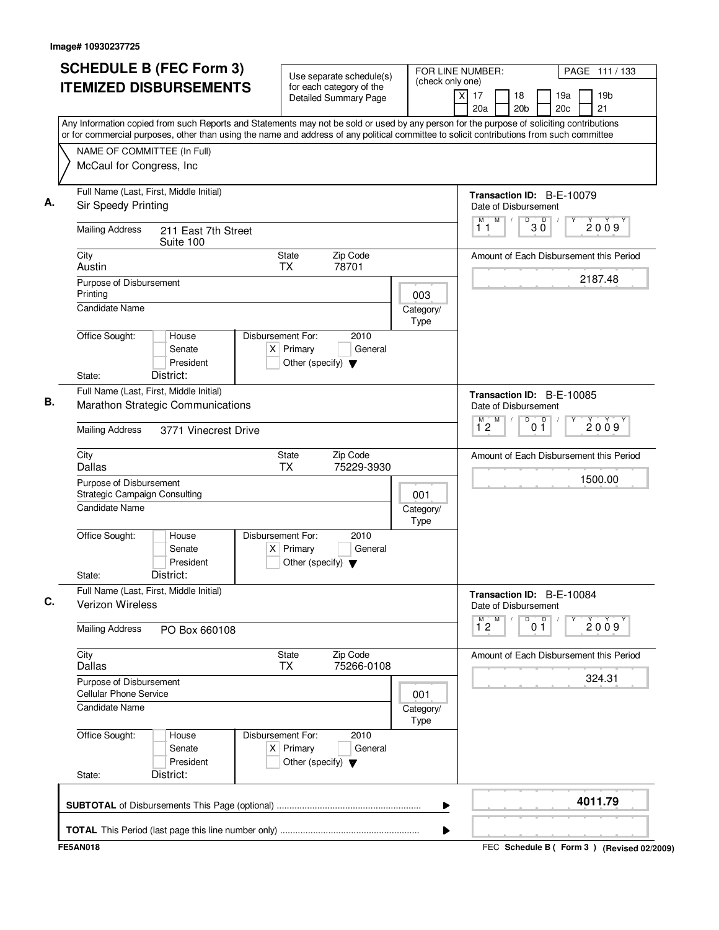|                                                                                                                                | <b>SCHEDULE B (FEC Form 3)</b><br><b>ITEMIZED DISBURSEMENTS</b>                                                                                                                                                                                                                        |                                  |                                      | Use separate schedule(s)<br>for each category of the<br><b>Detailed Summary Page</b> |  | FOR LINE NUMBER:<br>(check only one) | xl<br>17<br>20a                                                     |   | 18<br>20 <sub>b</sub> |                | 19a<br>20c | PAGE 111 / 133<br>19 <sub>b</sub><br>21           |
|--------------------------------------------------------------------------------------------------------------------------------|----------------------------------------------------------------------------------------------------------------------------------------------------------------------------------------------------------------------------------------------------------------------------------------|----------------------------------|--------------------------------------|--------------------------------------------------------------------------------------|--|--------------------------------------|---------------------------------------------------------------------|---|-----------------------|----------------|------------|---------------------------------------------------|
|                                                                                                                                | Any Information copied from such Reports and Statements may not be sold or used by any person for the purpose of soliciting contributions<br>or for commercial purposes, other than using the name and address of any political committee to solicit contributions from such committee |                                  |                                      |                                                                                      |  |                                      |                                                                     |   |                       |                |            |                                                   |
| NAME OF COMMITTEE (In Full)<br>McCaul for Congress, Inc                                                                        |                                                                                                                                                                                                                                                                                        |                                  |                                      |                                                                                      |  |                                      |                                                                     |   |                       |                |            |                                                   |
| Full Name (Last, First, Middle Initial)<br><b>Sir Speedy Printing</b>                                                          |                                                                                                                                                                                                                                                                                        |                                  |                                      |                                                                                      |  |                                      | Transaction ID: B-E-10079<br>Date of Disbursement                   |   |                       |                |            |                                                   |
| <b>Mailing Address</b><br>211 East 7th Street<br>Suite 100                                                                     |                                                                                                                                                                                                                                                                                        |                                  |                                      |                                                                                      |  |                                      | М<br>11                                                             | M | D                     | $30^{\circ}$   |            | 2009                                              |
| City<br>Austin                                                                                                                 |                                                                                                                                                                                                                                                                                        | State<br><b>TX</b>               |                                      | Zip Code<br>78701                                                                    |  |                                      |                                                                     |   |                       |                |            | Amount of Each Disbursement this Period           |
| Purpose of Disbursement<br>Printing<br><b>Candidate Name</b>                                                                   |                                                                                                                                                                                                                                                                                        |                                  |                                      |                                                                                      |  | 003<br>Category/                     |                                                                     |   |                       |                |            | 2187.48                                           |
| Office Sought:<br>State:                                                                                                       | House<br>Senate<br>President<br>District:                                                                                                                                                                                                                                              | Disbursement For:<br>$X$ Primary | Other (specify) $\blacktriangledown$ | 2010<br>General                                                                      |  | Type                                 |                                                                     |   |                       |                |            |                                                   |
| Full Name (Last, First, Middle Initial)<br>Marathon Strategic Communications<br><b>Mailing Address</b><br>3771 Vinecrest Drive |                                                                                                                                                                                                                                                                                        |                                  |                                      |                                                                                      |  |                                      | Transaction ID: B-E-10085<br>Date of Disbursement<br>$1^{\degree}2$ | M | D                     | 0 <sup>0</sup> |            | 2009                                              |
| City<br>Dallas                                                                                                                 |                                                                                                                                                                                                                                                                                        | State<br><b>TX</b>               |                                      | Zip Code<br>75229-3930                                                               |  |                                      |                                                                     |   |                       |                |            | Amount of Each Disbursement this Period           |
| Purpose of Disbursement<br><b>Strategic Campaign Consulting</b><br><b>Candidate Name</b>                                       |                                                                                                                                                                                                                                                                                        |                                  |                                      |                                                                                      |  | 001<br>Category/<br>Type             |                                                                     |   |                       |                |            | 1500.00                                           |
| Office Sought:<br>State:                                                                                                       | House<br>Senate<br>President<br>District:                                                                                                                                                                                                                                              | Disbursement For:<br>$X$ Primary | Other (specify) $\blacktriangledown$ | 2010<br>General                                                                      |  |                                      |                                                                     |   |                       |                |            |                                                   |
| <b>Verizon Wireless</b>                                                                                                        | Full Name (Last, First, Middle Initial)                                                                                                                                                                                                                                                |                                  |                                      |                                                                                      |  |                                      | Transaction ID: B-E-10084<br>Date of Disbursement                   |   |                       |                |            |                                                   |
| <b>Mailing Address</b>                                                                                                         | PO Box 660108                                                                                                                                                                                                                                                                          |                                  |                                      |                                                                                      |  |                                      | M<br>12                                                             | M | D                     | 0 <sup>0</sup> |            | 2009                                              |
| City<br>Dallas                                                                                                                 |                                                                                                                                                                                                                                                                                        | State<br><b>TX</b>               |                                      | Zip Code<br>75266-0108                                                               |  |                                      |                                                                     |   |                       |                |            | Amount of Each Disbursement this Period<br>324.31 |
| Purpose of Disbursement<br><b>Cellular Phone Service</b><br>Candidate Name                                                     |                                                                                                                                                                                                                                                                                        |                                  |                                      |                                                                                      |  | 001<br>Category/<br>Type             |                                                                     |   |                       |                |            |                                                   |
| Office Sought:<br>State:                                                                                                       | House<br>Senate<br>President<br>District:                                                                                                                                                                                                                                              | Disbursement For:<br>$X$ Primary | Other (specify) $\blacktriangledown$ | 2010<br>General                                                                      |  |                                      |                                                                     |   |                       |                |            |                                                   |
|                                                                                                                                |                                                                                                                                                                                                                                                                                        |                                  |                                      |                                                                                      |  |                                      |                                                                     |   |                       |                |            |                                                   |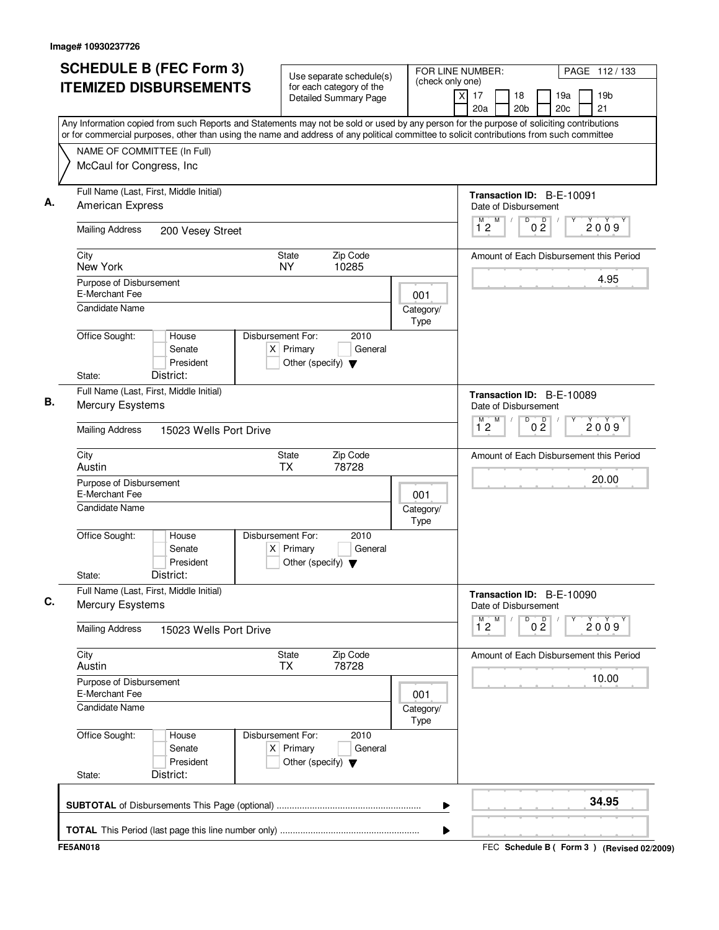|                                           | <b>SCHEDULE B (FEC Form 3)</b>                                                                                                                                                                                                                                                         | Use separate schedule(s)                                                                    | FOR LINE NUMBER:<br>(check only one) |                          | PAGE 112/133                                          |                                                   |
|-------------------------------------------|----------------------------------------------------------------------------------------------------------------------------------------------------------------------------------------------------------------------------------------------------------------------------------------|---------------------------------------------------------------------------------------------|--------------------------------------|--------------------------|-------------------------------------------------------|---------------------------------------------------|
|                                           | <b>ITEMIZED DISBURSEMENTS</b>                                                                                                                                                                                                                                                          | for each category of the<br><b>Detailed Summary Page</b>                                    |                                      |                          | $\times$<br>17<br>18<br>20 <sub>b</sub><br>20a        | 19 <sub>b</sub><br>19a<br>20c<br>21               |
|                                           | Any Information copied from such Reports and Statements may not be sold or used by any person for the purpose of soliciting contributions<br>or for commercial purposes, other than using the name and address of any political committee to solicit contributions from such committee |                                                                                             |                                      |                          |                                                       |                                                   |
| NAME OF COMMITTEE (In Full)               |                                                                                                                                                                                                                                                                                        |                                                                                             |                                      |                          |                                                       |                                                   |
| McCaul for Congress, Inc                  |                                                                                                                                                                                                                                                                                        |                                                                                             |                                      |                          |                                                       |                                                   |
| <b>American Express</b>                   | Full Name (Last, First, Middle Initial)                                                                                                                                                                                                                                                |                                                                                             |                                      |                          | Transaction ID: B-E-10091<br>Date of Disbursement     |                                                   |
| <b>Mailing Address</b>                    | 200 Vesey Street                                                                                                                                                                                                                                                                       |                                                                                             |                                      |                          | D<br>0 <sup>0</sup><br>M<br>12                        | 2009                                              |
| City<br>New York                          |                                                                                                                                                                                                                                                                                        | State<br>Zip Code<br><b>NY</b><br>10285                                                     |                                      |                          |                                                       | Amount of Each Disbursement this Period           |
| Purpose of Disbursement<br>E-Merchant Fee |                                                                                                                                                                                                                                                                                        |                                                                                             |                                      | 001                      |                                                       | 4.95                                              |
| Candidate Name                            |                                                                                                                                                                                                                                                                                        |                                                                                             |                                      | Category/<br>Type        |                                                       |                                                   |
| Office Sought:                            | House<br>Senate<br>President                                                                                                                                                                                                                                                           | Disbursement For:<br>2010<br>$X$ Primary<br>General<br>Other (specify) $\blacktriangledown$ |                                      |                          |                                                       |                                                   |
| State:                                    | District:                                                                                                                                                                                                                                                                              |                                                                                             |                                      |                          |                                                       |                                                   |
|                                           | Full Name (Last, First, Middle Initial)<br>Mercury Esystems                                                                                                                                                                                                                            |                                                                                             |                                      |                          |                                                       | Transaction ID: B-E-10089<br>Date of Disbursement |
| <b>Mailing Address</b>                    | 15023 Wells Port Drive                                                                                                                                                                                                                                                                 |                                                                                             |                                      |                          | $\overline{D}$<br>M<br>0 <sup>0</sup><br>$1^{\circ}2$ | 2009                                              |
| City<br>Austin                            |                                                                                                                                                                                                                                                                                        | Zip Code<br>State<br><b>TX</b><br>78728                                                     |                                      |                          |                                                       | Amount of Each Disbursement this Period           |
| Purpose of Disbursement<br>E-Merchant Fee |                                                                                                                                                                                                                                                                                        |                                                                                             |                                      | 001                      |                                                       | 20.00                                             |
| <b>Candidate Name</b>                     |                                                                                                                                                                                                                                                                                        |                                                                                             |                                      | Category/<br><b>Type</b> |                                                       |                                                   |
| Office Sought:<br>State:                  | House<br>Senate<br>President<br>District:                                                                                                                                                                                                                                              | Disbursement For:<br>2010<br>$X$ Primary<br>General<br>Other (specify) $\blacktriangledown$ |                                      |                          |                                                       |                                                   |
|                                           | Full Name (Last, First, Middle Initial)                                                                                                                                                                                                                                                |                                                                                             |                                      |                          |                                                       |                                                   |
| <b>Mercury Esystems</b>                   |                                                                                                                                                                                                                                                                                        |                                                                                             |                                      |                          | Transaction ID: B-E-10090<br>Date of Disbursement     |                                                   |
| <b>Mailing Address</b>                    | 15023 Wells Port Drive                                                                                                                                                                                                                                                                 |                                                                                             |                                      |                          | M<br>D<br>0 <sup>0</sup><br>$\overline{1}^M$ 2        | 2009                                              |
| City<br>Austin                            |                                                                                                                                                                                                                                                                                        | State<br>Zip Code<br><b>TX</b><br>78728                                                     |                                      |                          |                                                       | Amount of Each Disbursement this Period           |
| Purpose of Disbursement<br>E-Merchant Fee |                                                                                                                                                                                                                                                                                        |                                                                                             |                                      | 001                      |                                                       | 10.00                                             |
| <b>Candidate Name</b>                     |                                                                                                                                                                                                                                                                                        |                                                                                             |                                      | Category/<br>Type        |                                                       |                                                   |
| Office Sought:<br>State:                  | House<br>Senate<br>President<br>District:                                                                                                                                                                                                                                              | Disbursement For:<br>2010<br>$X$ Primary<br>General<br>Other (specify) $\blacktriangledown$ |                                      |                          |                                                       |                                                   |
|                                           |                                                                                                                                                                                                                                                                                        |                                                                                             |                                      |                          |                                                       |                                                   |
|                                           |                                                                                                                                                                                                                                                                                        |                                                                                             |                                      |                          |                                                       | 34.95                                             |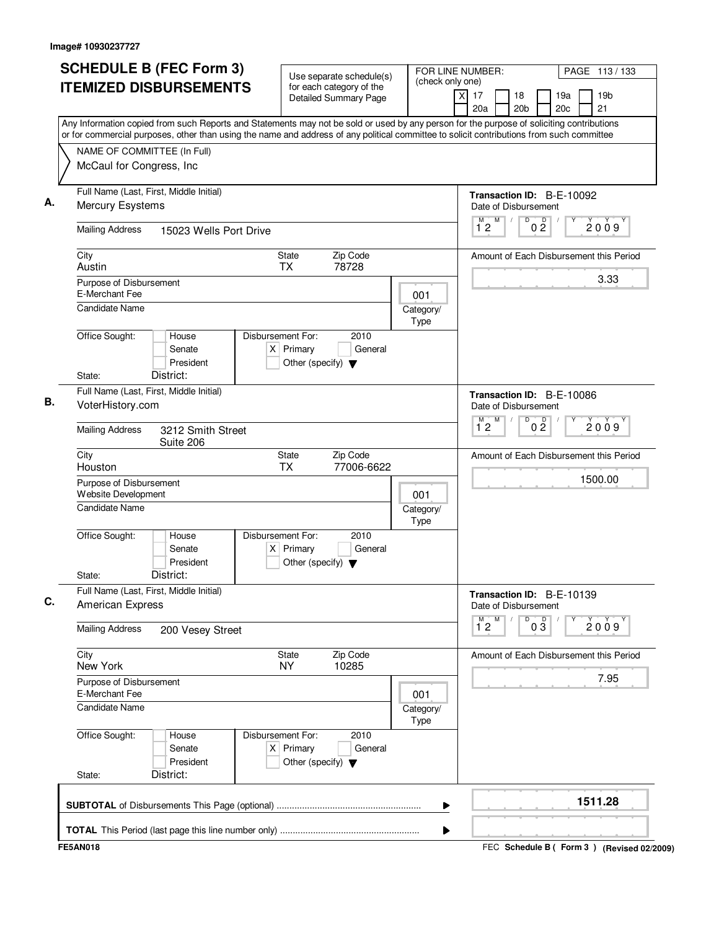| <b>SCHEDULE B (FEC Form 3)</b>                                                                                                                                                                                                                                                         | Use separate schedule(s)                                                                    | FOR LINE NUMBER:<br>PAGE 113/133                  |                                                          |                       |                |                                         |                                             |  |  |
|----------------------------------------------------------------------------------------------------------------------------------------------------------------------------------------------------------------------------------------------------------------------------------------|---------------------------------------------------------------------------------------------|---------------------------------------------------|----------------------------------------------------------|-----------------------|----------------|-----------------------------------------|---------------------------------------------|--|--|
| <b>ITEMIZED DISBURSEMENTS</b>                                                                                                                                                                                                                                                          | for each category of the<br><b>Detailed Summary Page</b>                                    | (check only one)                                  | $\overline{x}$<br>17<br>20a                              | 18<br>20 <sub>b</sub> |                | 19a<br>20 <sub>c</sub>                  | 19 <sub>b</sub><br>21                       |  |  |
| Any Information copied from such Reports and Statements may not be sold or used by any person for the purpose of soliciting contributions<br>or for commercial purposes, other than using the name and address of any political committee to solicit contributions from such committee |                                                                                             |                                                   |                                                          |                       |                |                                         |                                             |  |  |
| NAME OF COMMITTEE (In Full)<br>McCaul for Congress, Inc                                                                                                                                                                                                                                |                                                                                             |                                                   |                                                          |                       |                |                                         |                                             |  |  |
| Full Name (Last, First, Middle Initial)<br>Mercury Esystems                                                                                                                                                                                                                            |                                                                                             | Transaction ID: B-E-10092<br>Date of Disbursement |                                                          |                       |                |                                         |                                             |  |  |
| <b>Mailing Address</b><br>15023 Wells Port Drive                                                                                                                                                                                                                                       |                                                                                             | M<br>$\overline{1}^M$ 2                           | D                                                        | $0\frac{D}{2}$        |                | 2009                                    |                                             |  |  |
| City<br>State<br>Austin                                                                                                                                                                                                                                                                |                                                                                             |                                                   |                                                          |                       |                | Amount of Each Disbursement this Period |                                             |  |  |
| Purpose of Disbursement<br>E-Merchant Fee<br><b>Candidate Name</b>                                                                                                                                                                                                                     | 001<br>Category/                                                                            |                                                   |                                                          |                       |                | 3.33                                    |                                             |  |  |
| Office Sought:<br>House<br>Senate<br>President<br>District:<br>State:                                                                                                                                                                                                                  | Disbursement For:<br>2010<br>$X$ Primary<br>General<br>Other (specify) $\blacktriangledown$ | Type                                              |                                                          |                       |                |                                         |                                             |  |  |
| Full Name (Last, First, Middle Initial)<br>VoterHistory.com                                                                                                                                                                                                                            |                                                                                             | Transaction ID: B-E-10086<br>Date of Disbursement |                                                          |                       |                |                                         |                                             |  |  |
| <b>Mailing Address</b><br>3212 Smith Street<br>Suite 206                                                                                                                                                                                                                               |                                                                                             |                                                   | M<br>$\overline{1}^M$ 2                                  | D                     | 0 <sup>0</sup> |                                         | 2009                                        |  |  |
| City<br>Houston                                                                                                                                                                                                                                                                        | Zip Code<br>State<br>77006-6622<br>ТX                                                       |                                                   |                                                          |                       |                |                                         | Amount of Each Disbursement this Period     |  |  |
| Purpose of Disbursement<br>Website Development                                                                                                                                                                                                                                         | 001                                                                                         |                                                   |                                                          |                       |                | 1500.00                                 |                                             |  |  |
| Candidate Name                                                                                                                                                                                                                                                                         | Category/<br>Type                                                                           |                                                   |                                                          |                       |                |                                         |                                             |  |  |
| Office Sought:<br>House<br>Senate<br>President<br>District:<br>State:                                                                                                                                                                                                                  | Disbursement For:<br>2010<br>$X$ Primary<br>General<br>Other (specify) $\blacktriangledown$ |                                                   |                                                          |                       |                |                                         |                                             |  |  |
| Full Name (Last, First, Middle Initial)<br>American Express                                                                                                                                                                                                                            |                                                                                             |                                                   | Transaction ID: B-E-10139<br>Date of Disbursement        |                       |                |                                         |                                             |  |  |
| <b>Mailing Address</b><br>200 Vesey Street                                                                                                                                                                                                                                             |                                                                                             |                                                   | M<br>M<br>D<br>$0\overline{3}$<br>2009<br>$1^{\degree}2$ |                       |                |                                         |                                             |  |  |
| City<br>New York                                                                                                                                                                                                                                                                       | Zip Code<br>State<br>10285<br><b>NY</b>                                                     |                                                   |                                                          |                       |                |                                         | Amount of Each Disbursement this Period     |  |  |
| Purpose of Disbursement<br>E-Merchant Fee                                                                                                                                                                                                                                              |                                                                                             | 001                                               |                                                          |                       |                |                                         | 7.95                                        |  |  |
| <b>Candidate Name</b>                                                                                                                                                                                                                                                                  |                                                                                             | Category/<br>Type                                 |                                                          |                       |                |                                         |                                             |  |  |
| Office Sought:<br>House<br>Senate<br>President<br>District:<br>State:                                                                                                                                                                                                                  | 2010<br>Disbursement For:<br>$X$ Primary<br>General<br>Other (specify) $\blacktriangledown$ |                                                   |                                                          |                       |                |                                         |                                             |  |  |
|                                                                                                                                                                                                                                                                                        |                                                                                             | ▶                                                 |                                                          |                       |                |                                         | 1511.28                                     |  |  |
|                                                                                                                                                                                                                                                                                        |                                                                                             | ▶                                                 |                                                          |                       |                |                                         |                                             |  |  |
| <b>FE5AN018</b>                                                                                                                                                                                                                                                                        |                                                                                             |                                                   |                                                          |                       |                |                                         | FEC Schedule B ( Form 3 ) (Revised 02/2009) |  |  |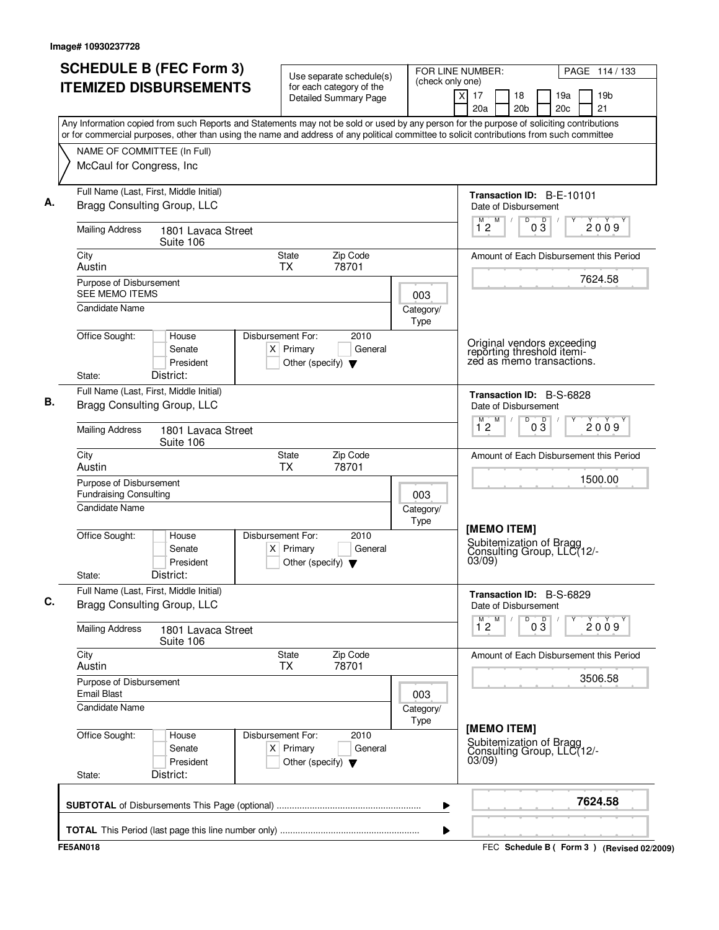|                                                                            | <b>SCHEDULE B (FEC Form 3)</b><br><b>ITEMIZED DISBURSEMENTS</b>        | Use separate schedule(s)<br>for each category of the                                        | (check only one)                                 | FOR LINE NUMBER:<br>PAGE 114 / 133                                                                                                                                                                                                                                                     |  |  |  |  |  |  |
|----------------------------------------------------------------------------|------------------------------------------------------------------------|---------------------------------------------------------------------------------------------|--------------------------------------------------|----------------------------------------------------------------------------------------------------------------------------------------------------------------------------------------------------------------------------------------------------------------------------------------|--|--|--|--|--|--|
|                                                                            |                                                                        | <b>Detailed Summary Page</b>                                                                |                                                  | $\overline{\mathsf{x}}$<br>17<br>19 <sub>b</sub><br>18<br>19a<br>21<br>20a<br>20 <sub>b</sub><br>20 <sub>c</sub>                                                                                                                                                                       |  |  |  |  |  |  |
|                                                                            |                                                                        |                                                                                             |                                                  | Any Information copied from such Reports and Statements may not be sold or used by any person for the purpose of soliciting contributions<br>or for commercial purposes, other than using the name and address of any political committee to solicit contributions from such committee |  |  |  |  |  |  |
| NAME OF COMMITTEE (In Full)<br>McCaul for Congress, Inc.                   |                                                                        |                                                                                             |                                                  |                                                                                                                                                                                                                                                                                        |  |  |  |  |  |  |
|                                                                            | Full Name (Last, First, Middle Initial)<br>Bragg Consulting Group, LLC |                                                                                             |                                                  | Transaction ID: B-E-10101<br>Date of Disbursement                                                                                                                                                                                                                                      |  |  |  |  |  |  |
| <b>Mailing Address</b>                                                     | 1801 Lavaca Street<br>Suite 106                                        |                                                                                             | M<br>D<br>D<br>2009<br>12<br>$0\bar{3}$          |                                                                                                                                                                                                                                                                                        |  |  |  |  |  |  |
| City<br>Austin                                                             |                                                                        |                                                                                             | Amount of Each Disbursement this Period          |                                                                                                                                                                                                                                                                                        |  |  |  |  |  |  |
| Purpose of Disbursement<br><b>SEE MEMO ITEMS</b>                           |                                                                        |                                                                                             | 003                                              | 7624.58                                                                                                                                                                                                                                                                                |  |  |  |  |  |  |
| Candidate Name<br>Office Sought:                                           | House                                                                  | Disbursement For:<br>2010                                                                   | Category/<br><b>Type</b>                         |                                                                                                                                                                                                                                                                                        |  |  |  |  |  |  |
| State:                                                                     | Senate<br>President<br>District:                                       | $X$ Primary<br>General<br>Other (specify) $\blacktriangledown$                              |                                                  | Original vendors exceeding<br>reporting threshold itemi-<br>zed as memo transactions.                                                                                                                                                                                                  |  |  |  |  |  |  |
|                                                                            | Full Name (Last, First, Middle Initial)<br>Bragg Consulting Group, LLC |                                                                                             | Transaction ID: B-S-6828<br>Date of Disbursement |                                                                                                                                                                                                                                                                                        |  |  |  |  |  |  |
| <b>Mailing Address</b>                                                     | 1801 Lavaca Street<br>Suite 106                                        |                                                                                             |                                                  | M<br>M<br>D<br>$0\overline{3}$<br>2009<br>12                                                                                                                                                                                                                                           |  |  |  |  |  |  |
| City<br>Austin                                                             |                                                                        | Zip Code<br>State<br><b>TX</b><br>78701                                                     |                                                  | Amount of Each Disbursement this Period                                                                                                                                                                                                                                                |  |  |  |  |  |  |
| Purpose of Disbursement<br><b>Fundraising Consulting</b><br>Candidate Name |                                                                        |                                                                                             | 003<br>Category/                                 | 1500.00                                                                                                                                                                                                                                                                                |  |  |  |  |  |  |
| Office Sought:<br>State:                                                   | House<br>Senate<br>President<br>District:                              | Disbursement For:<br>2010<br>$X$ Primary<br>General<br>Other (specify) $\blacktriangledown$ | Type                                             | [MEMO ITEM]<br>Subitemization of Bragg<br>Consulting Group, LLC(12/-<br>03/09                                                                                                                                                                                                          |  |  |  |  |  |  |
|                                                                            | Full Name (Last, First, Middle Initial)<br>Bragg Consulting Group, LLC |                                                                                             |                                                  | Transaction ID: B-S-6829<br>Date of Disbursement                                                                                                                                                                                                                                       |  |  |  |  |  |  |
| <b>Mailing Address</b>                                                     | 1801 Lavaca Street<br>Suite 106                                        |                                                                                             |                                                  | 03<br>$\overline{1}^M$ 2<br>М<br>D<br>2009                                                                                                                                                                                                                                             |  |  |  |  |  |  |
| City<br>Austin                                                             |                                                                        | Zip Code<br>State<br>78701<br><b>TX</b>                                                     |                                                  | Amount of Each Disbursement this Period                                                                                                                                                                                                                                                |  |  |  |  |  |  |
| Purpose of Disbursement<br><b>Email Blast</b><br>Candidate Name            |                                                                        |                                                                                             | 003                                              | 3506.58                                                                                                                                                                                                                                                                                |  |  |  |  |  |  |
| Office Sought:<br>State:                                                   | House<br>Senate<br>President<br>District:                              | Disbursement For:<br>2010<br>$X$ Primary<br>General<br>Other (specify) $\blacktriangledown$ | Category/<br><b>Type</b>                         | [MEMO ITEM]<br>Subitemization of Bragg<br>Consulting Group, LLC(12/-<br>03/09)                                                                                                                                                                                                         |  |  |  |  |  |  |
|                                                                            |                                                                        |                                                                                             |                                                  |                                                                                                                                                                                                                                                                                        |  |  |  |  |  |  |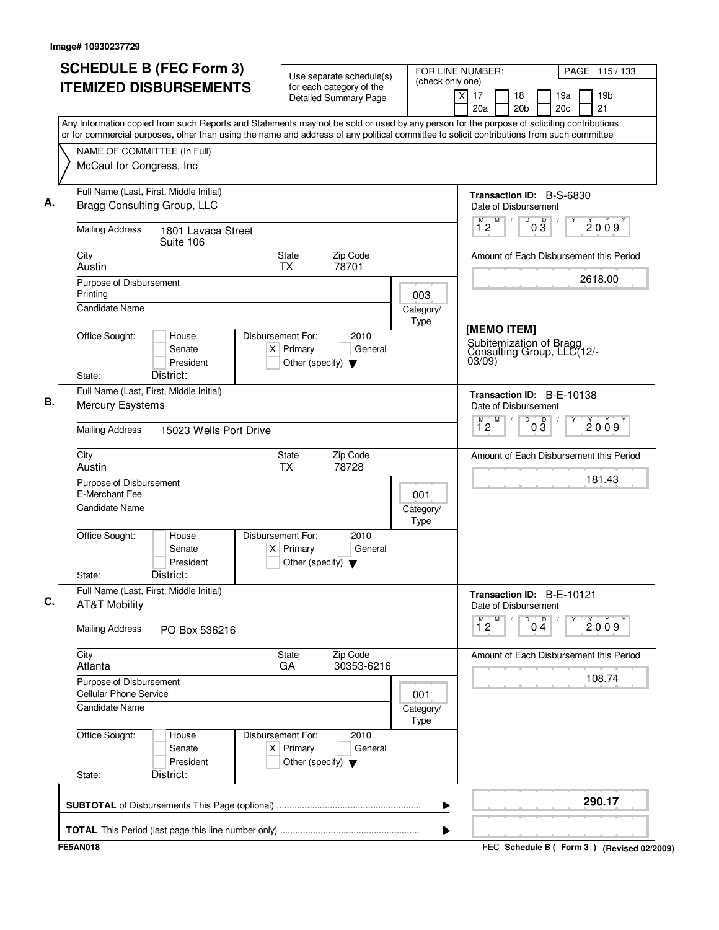| <b>SCHEDULE B (FEC Form 3)</b><br><b>ITEMIZED DISBURSEMENTS</b>                                                 | Use separate schedule(s)<br>(check only one)<br>for each category of the<br><b>Detailed Summary Page</b><br>Any Information copied from such Reports and Statements may not be sold or used by any person for the purpose of soliciting contributions | FOR LINE NUMBER:<br>PAGE 115/133<br>$\times$<br>17<br>19 <sub>b</sub><br>18<br>19a<br>20c<br>21<br>20a<br>20 <sub>b</sub> |
|-----------------------------------------------------------------------------------------------------------------|-------------------------------------------------------------------------------------------------------------------------------------------------------------------------------------------------------------------------------------------------------|---------------------------------------------------------------------------------------------------------------------------|
| NAME OF COMMITTEE (In Full)<br>McCaul for Congress, Inc.                                                        | or for commercial purposes, other than using the name and address of any political committee to solicit contributions from such committee                                                                                                             |                                                                                                                           |
| Full Name (Last, First, Middle Initial)<br>Bragg Consulting Group, LLC                                          |                                                                                                                                                                                                                                                       | Transaction ID: B-S-6830<br>Date of Disbursement                                                                          |
| <b>Mailing Address</b><br>1801 Lavaca Street<br>Suite 106                                                       |                                                                                                                                                                                                                                                       | D<br>M<br>$0\sqrt{3}$<br>$\overline{1}^M$ 2<br>$\sqrt{2}$<br>2009                                                         |
| City<br>Austin                                                                                                  | <b>State</b><br>Zip Code<br><b>TX</b><br>78701                                                                                                                                                                                                        | Amount of Each Disbursement this Period                                                                                   |
| Purpose of Disbursement<br>Printing<br>Candidate Name                                                           | 003<br>Category/                                                                                                                                                                                                                                      | 2618.00                                                                                                                   |
| Office Sought:<br>House<br>Senate<br>President<br>District:<br>State:                                           | Type<br>Disbursement For:<br>2010<br>$X$ Primary<br>General<br>Other (specify) $\blacktriangledown$                                                                                                                                                   | [MEMO ITEM]<br>Subitemization of Bragg<br>Consulting Group, LLC(12/-<br>03/09)                                            |
| Full Name (Last, First, Middle Initial)<br>Mercury Esystems<br><b>Mailing Address</b><br>15023 Wells Port Drive | Transaction ID: B-E-10138<br>Date of Disbursement<br>$1^M$ 2 $M$<br>D<br>$0\overline{3}$<br>2009                                                                                                                                                      |                                                                                                                           |
| City                                                                                                            | <b>State</b><br>Zip Code                                                                                                                                                                                                                              | Amount of Each Disbursement this Period                                                                                   |
| Austin<br>Purpose of Disbursement<br>E-Merchant Fee<br><b>Candidate Name</b>                                    | <b>TX</b><br>78728<br>001<br>Category/<br>Type                                                                                                                                                                                                        | 181.43                                                                                                                    |
| Office Sought:<br>House<br>Senate<br>President<br>District:<br>State:                                           | Disbursement For:<br>2010<br>$X$ Primary<br>General<br>Other (specify) $\blacktriangledown$                                                                                                                                                           |                                                                                                                           |
| Full Name (Last, First, Middle Initial)<br><b>AT&amp;T Mobility</b>                                             |                                                                                                                                                                                                                                                       | Transaction ID: B-E-10121<br>Date of Disbursement                                                                         |
| <b>Mailing Address</b><br>PO Box 536216                                                                         |                                                                                                                                                                                                                                                       | M<br>м<br>D<br>$0\overset{D}{4}$<br>2009<br>12                                                                            |
| City<br>Atlanta                                                                                                 | State<br>Zip Code<br>30353-6216<br>GA                                                                                                                                                                                                                 | Amount of Each Disbursement this Period                                                                                   |
| Purpose of Disbursement<br><b>Cellular Phone Service</b><br>Candidate Name                                      | 001<br>Category/<br>Type                                                                                                                                                                                                                              | 108.74                                                                                                                    |
| Office Sought:<br>House<br>Senate<br>President<br>District:<br>State:                                           | Disbursement For:<br>2010<br>$X$ Primary<br>General<br>Other (specify) $\blacktriangledown$                                                                                                                                                           |                                                                                                                           |
|                                                                                                                 | ▶                                                                                                                                                                                                                                                     | 290.17                                                                                                                    |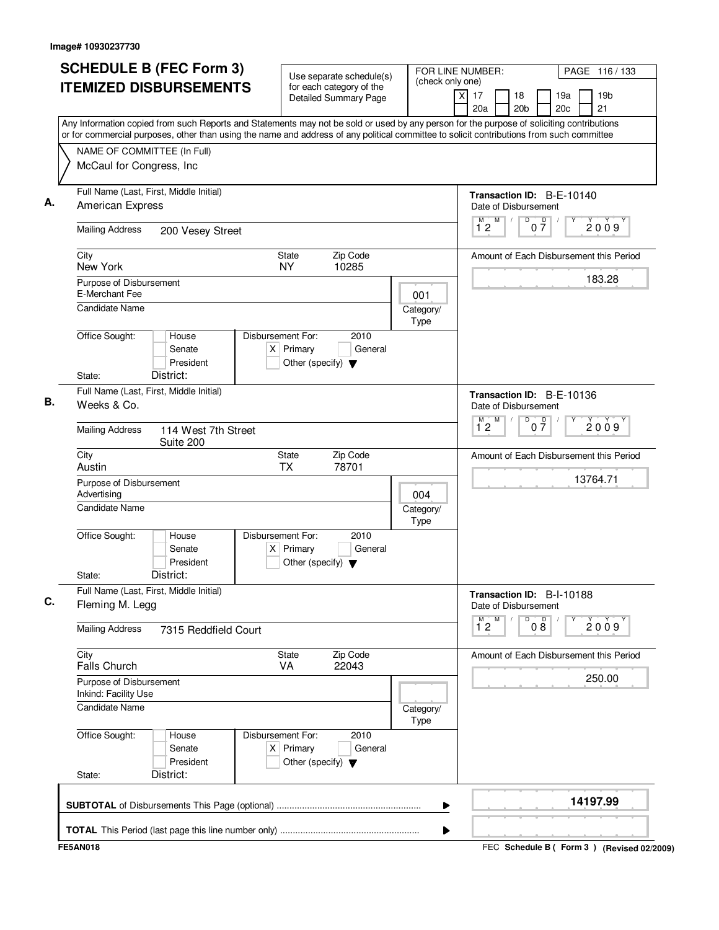| <b>SCHEDULE B (FEC Form 3)</b>                                                                                                                                                                                                                                                         | Use separate schedule(s)                                                                    |                                                   | FOR LINE NUMBER:                                          | PAGE 116/133                        |  |  |
|----------------------------------------------------------------------------------------------------------------------------------------------------------------------------------------------------------------------------------------------------------------------------------------|---------------------------------------------------------------------------------------------|---------------------------------------------------|-----------------------------------------------------------|-------------------------------------|--|--|
| <b>ITEMIZED DISBURSEMENTS</b>                                                                                                                                                                                                                                                          | for each category of the<br>Detailed Summary Page                                           | (check only one)                                  | x<br>17<br>18<br>20a<br>20 <sub>b</sub>                   | 19a<br>19 <sub>b</sub><br>20c<br>21 |  |  |
| Any Information copied from such Reports and Statements may not be sold or used by any person for the purpose of soliciting contributions<br>or for commercial purposes, other than using the name and address of any political committee to solicit contributions from such committee |                                                                                             |                                                   |                                                           |                                     |  |  |
| NAME OF COMMITTEE (In Full)                                                                                                                                                                                                                                                            |                                                                                             |                                                   |                                                           |                                     |  |  |
| McCaul for Congress, Inc                                                                                                                                                                                                                                                               |                                                                                             |                                                   |                                                           |                                     |  |  |
| Full Name (Last, First, Middle Initial)<br><b>American Express</b>                                                                                                                                                                                                                     |                                                                                             | Transaction ID: B-E-10140<br>Date of Disbursement |                                                           |                                     |  |  |
| <b>Mailing Address</b><br>200 Vesey Street                                                                                                                                                                                                                                             |                                                                                             |                                                   | $\overline{\mathsf{D}}$<br>M<br>M<br>$0\frac{D}{7}$<br>12 | 2009                                |  |  |
| City<br>New York                                                                                                                                                                                                                                                                       | <b>State</b><br>Zip Code<br>NY.<br>10285                                                    |                                                   | Amount of Each Disbursement this Period                   |                                     |  |  |
| Purpose of Disbursement<br>E-Merchant Fee                                                                                                                                                                                                                                              |                                                                                             | 001                                               |                                                           | 183.28                              |  |  |
| <b>Candidate Name</b>                                                                                                                                                                                                                                                                  |                                                                                             | Category/<br>Type                                 |                                                           |                                     |  |  |
| Office Sought:<br>House<br>Senate<br>President                                                                                                                                                                                                                                         | Disbursement For:<br>2010<br>$X$ Primary<br>General<br>Other (specify) $\blacktriangledown$ |                                                   |                                                           |                                     |  |  |
| District:<br>State:                                                                                                                                                                                                                                                                    |                                                                                             |                                                   |                                                           |                                     |  |  |
| Full Name (Last, First, Middle Initial)<br>Weeks & Co.                                                                                                                                                                                                                                 |                                                                                             |                                                   |                                                           |                                     |  |  |
| <b>Mailing Address</b><br>114 West 7th Street<br>Suite 200                                                                                                                                                                                                                             |                                                                                             |                                                   | D<br>M<br>$0\frac{D}{7}$<br>12                            | 2009                                |  |  |
| City<br>Austin                                                                                                                                                                                                                                                                         | Zip Code<br>State<br>TX<br>78701                                                            |                                                   | Amount of Each Disbursement this Period                   |                                     |  |  |
| Purpose of Disbursement<br>Advertising                                                                                                                                                                                                                                                 | 004                                                                                         |                                                   | 13764.71                                                  |                                     |  |  |
| <b>Candidate Name</b>                                                                                                                                                                                                                                                                  |                                                                                             | Category/<br><b>Type</b>                          |                                                           |                                     |  |  |
| Office Sought:<br>House<br>Senate<br>President                                                                                                                                                                                                                                         | Disbursement For:<br>2010<br>$X$ Primary<br>General<br>Other (specify) $\blacktriangledown$ |                                                   |                                                           |                                     |  |  |
| District:<br>State:                                                                                                                                                                                                                                                                    |                                                                                             |                                                   |                                                           |                                     |  |  |
| Full Name (Last, First, Middle Initial)<br>Fleming M. Legg                                                                                                                                                                                                                             |                                                                                             |                                                   | Transaction ID: B-I-10188<br>Date of Disbursement         |                                     |  |  |
| <b>Mailing Address</b><br>7315 Reddfield Court                                                                                                                                                                                                                                         |                                                                                             |                                                   | $1^{M}2$<br>M<br>000                                      | Υ<br>2009                           |  |  |
| City<br><b>Falls Church</b>                                                                                                                                                                                                                                                            | State<br>Zip Code<br>VA<br>22043                                                            |                                                   | Amount of Each Disbursement this Period                   |                                     |  |  |
| Purpose of Disbursement<br>Inkind: Facility Use                                                                                                                                                                                                                                        |                                                                                             |                                                   |                                                           | 250.00                              |  |  |
| Candidate Name                                                                                                                                                                                                                                                                         | Category/<br>Type                                                                           |                                                   |                                                           |                                     |  |  |
| Office Sought:<br>House<br>Senate<br>President                                                                                                                                                                                                                                         | Disbursement For:<br>2010<br>$X$ Primary<br>General<br>Other (specify) $\blacktriangledown$ |                                                   |                                                           |                                     |  |  |
| District:<br>State:                                                                                                                                                                                                                                                                    |                                                                                             |                                                   |                                                           |                                     |  |  |
|                                                                                                                                                                                                                                                                                        |                                                                                             | ▶                                                 |                                                           | 14197.99                            |  |  |
|                                                                                                                                                                                                                                                                                        |                                                                                             |                                                   |                                                           |                                     |  |  |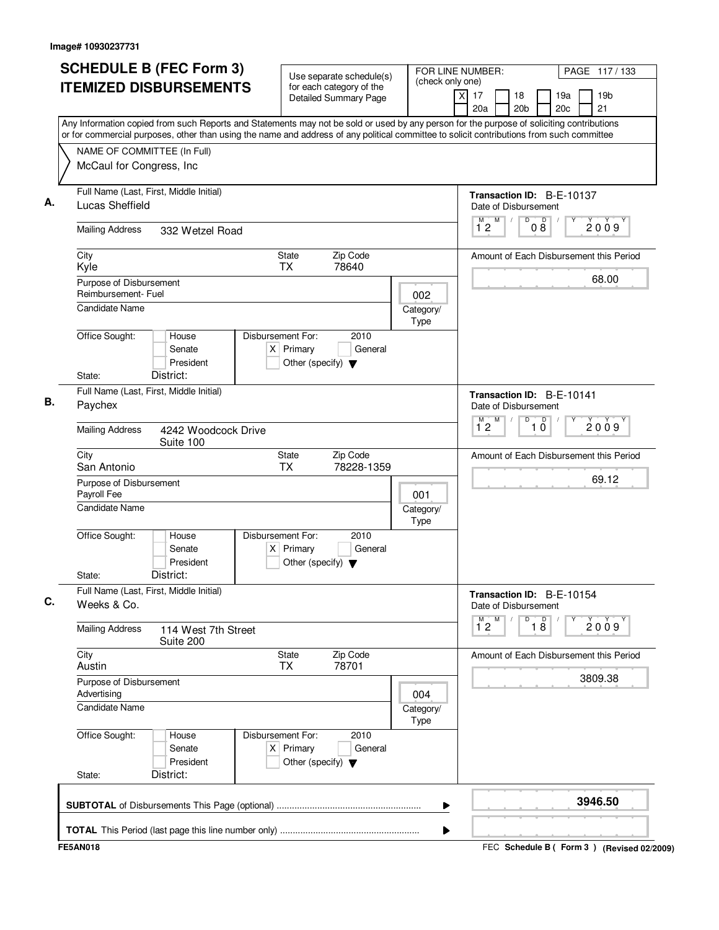| <b>SCHEDULE B (FEC Form 3)</b>                                                                                                                                                                                                                                                         | Use separate schedule(s)                                                                    | FOR LINE NUMBER:                                  | PAGE 117/133                                                 |
|----------------------------------------------------------------------------------------------------------------------------------------------------------------------------------------------------------------------------------------------------------------------------------------|---------------------------------------------------------------------------------------------|---------------------------------------------------|--------------------------------------------------------------|
| <b>ITEMIZED DISBURSEMENTS</b>                                                                                                                                                                                                                                                          | for each category of the<br>Detailed Summary Page                                           | (check only one)<br>$\times$<br>17<br>20a         | 18<br>19a<br>19 <sub>b</sub><br>20 <sub>b</sub><br>20c<br>21 |
| Any Information copied from such Reports and Statements may not be sold or used by any person for the purpose of soliciting contributions<br>or for commercial purposes, other than using the name and address of any political committee to solicit contributions from such committee |                                                                                             |                                                   |                                                              |
| NAME OF COMMITTEE (In Full)                                                                                                                                                                                                                                                            |                                                                                             |                                                   |                                                              |
| McCaul for Congress, Inc                                                                                                                                                                                                                                                               |                                                                                             |                                                   |                                                              |
| Full Name (Last, First, Middle Initial)<br>Lucas Sheffield                                                                                                                                                                                                                             |                                                                                             | Transaction ID: B-E-10137<br>Date of Disbursement |                                                              |
| <b>Mailing Address</b><br>332 Wetzel Road                                                                                                                                                                                                                                              |                                                                                             | M<br>M<br>12                                      | $\overline{\mathsf{D}}$<br>$0\overset{D}{8}$<br>2009         |
| City<br>Kyle                                                                                                                                                                                                                                                                           | <b>State</b><br>Zip Code<br><b>TX</b><br>78640                                              |                                                   | Amount of Each Disbursement this Period                      |
| Purpose of Disbursement<br>Reimbursement- Fuel                                                                                                                                                                                                                                         |                                                                                             | 002                                               | 68.00                                                        |
| <b>Candidate Name</b>                                                                                                                                                                                                                                                                  |                                                                                             | Category/<br><b>Type</b>                          |                                                              |
| Office Sought:<br>House<br>Senate<br>President                                                                                                                                                                                                                                         | Disbursement For:<br>2010<br>$X$ Primary<br>General<br>Other (specify) $\blacktriangledown$ |                                                   |                                                              |
| District:<br>State:                                                                                                                                                                                                                                                                    |                                                                                             |                                                   |                                                              |
| Full Name (Last, First, Middle Initial)<br>Paychex                                                                                                                                                                                                                                     |                                                                                             |                                                   | Transaction ID: B-E-10141<br>Date of Disbursement            |
| <b>Mailing Address</b><br>4242 Woodcock Drive<br>Suite 100                                                                                                                                                                                                                             |                                                                                             | M<br>12                                           | D<br>$\overline{10}$<br>2009                                 |
| City<br>San Antonio                                                                                                                                                                                                                                                                    | Zip Code<br>State<br>TX<br>78228-1359                                                       |                                                   | Amount of Each Disbursement this Period                      |
| Purpose of Disbursement<br>Payroll Fee<br><b>Candidate Name</b>                                                                                                                                                                                                                        |                                                                                             | 001<br>Category/                                  | 69.12                                                        |
| Office Sought:<br>House<br>Senate<br>President<br>District:<br>State:                                                                                                                                                                                                                  | Disbursement For:<br>2010<br>$X$ Primary<br>General<br>Other (specify) $\blacktriangledown$ | Type                                              |                                                              |
| Full Name (Last, First, Middle Initial)<br>Weeks & Co.                                                                                                                                                                                                                                 |                                                                                             |                                                   | Transaction ID: B-E-10154<br>Date of Disbursement            |
| <b>Mailing Address</b><br>114 West 7th Street<br>Suite 200                                                                                                                                                                                                                             |                                                                                             | $1^{M}2$<br>M                                     | D<br>$\overline{18}$<br>Υ<br>2009                            |
| City<br>Austin                                                                                                                                                                                                                                                                         | State<br>Zip Code<br>78701<br><b>TX</b>                                                     |                                                   | Amount of Each Disbursement this Period                      |
| Purpose of Disbursement<br>Advertising                                                                                                                                                                                                                                                 |                                                                                             | 004                                               | 3809.38                                                      |
| Candidate Name                                                                                                                                                                                                                                                                         |                                                                                             | Category/<br>Type                                 |                                                              |
| Office Sought:<br>House<br>Senate<br>President                                                                                                                                                                                                                                         | Disbursement For:<br>2010<br>$X$ Primary<br>General<br>Other (specify) $\blacktriangledown$ |                                                   |                                                              |
| District:<br>State:                                                                                                                                                                                                                                                                    |                                                                                             |                                                   |                                                              |
|                                                                                                                                                                                                                                                                                        |                                                                                             |                                                   |                                                              |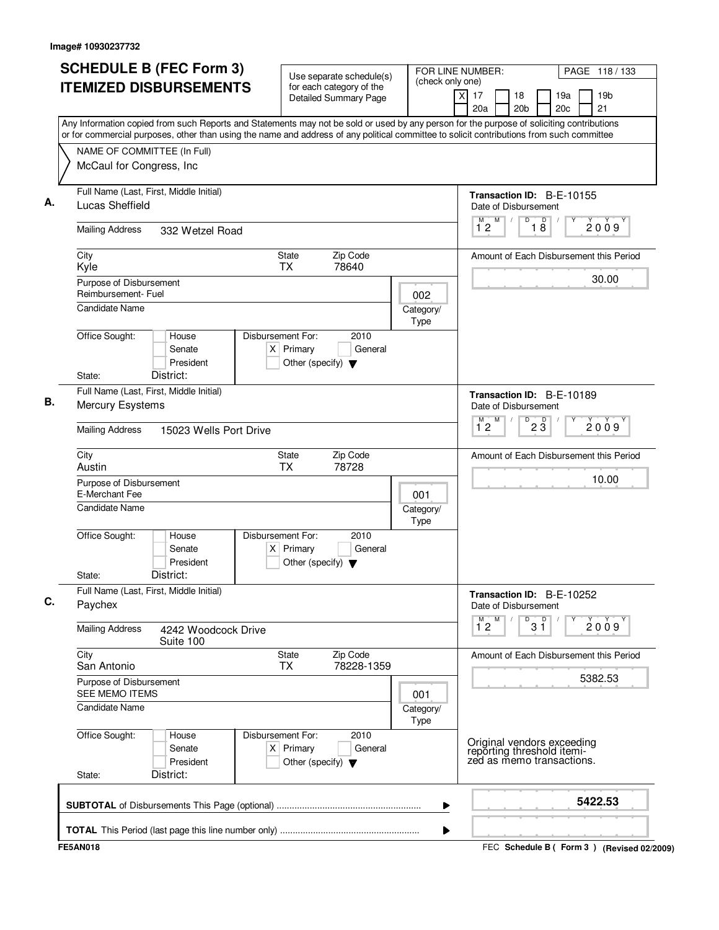| <b>SCHEDULE B (FEC Form 3)</b>                                                                                                                                                                                                                                                         | Use separate schedule(s)                                                                    |                   | FOR LINE NUMBER:<br>(check only one)                   |                                                                                       |                 | PAGE 118 / 133 |                                           |  |
|----------------------------------------------------------------------------------------------------------------------------------------------------------------------------------------------------------------------------------------------------------------------------------------|---------------------------------------------------------------------------------------------|-------------------|--------------------------------------------------------|---------------------------------------------------------------------------------------|-----------------|----------------|-------------------------------------------|--|
| <b>ITEMIZED DISBURSEMENTS</b>                                                                                                                                                                                                                                                          | for each category of the<br><b>Detailed Summary Page</b>                                    |                   | x<br>17<br>20a                                         | 18<br>20 <sub>b</sub>                                                                 |                 | 19a<br>20c     | 19 <sub>b</sub><br>21                     |  |
| Any Information copied from such Reports and Statements may not be sold or used by any person for the purpose of soliciting contributions<br>or for commercial purposes, other than using the name and address of any political committee to solicit contributions from such committee |                                                                                             |                   |                                                        |                                                                                       |                 |                |                                           |  |
| NAME OF COMMITTEE (In Full)                                                                                                                                                                                                                                                            |                                                                                             |                   |                                                        |                                                                                       |                 |                |                                           |  |
| McCaul for Congress, Inc                                                                                                                                                                                                                                                               |                                                                                             |                   |                                                        |                                                                                       |                 |                |                                           |  |
| Full Name (Last, First, Middle Initial)<br>Lucas Sheffield                                                                                                                                                                                                                             |                                                                                             | M<br>M            | Transaction ID: B-E-10155<br>Date of Disbursement<br>D | D                                                                                     |                 | 2009           |                                           |  |
| <b>Mailing Address</b><br>332 Wetzel Road                                                                                                                                                                                                                                              |                                                                                             |                   |                                                        |                                                                                       |                 |                |                                           |  |
| City<br>Kyle                                                                                                                                                                                                                                                                           | Zip Code<br>State<br><b>TX</b><br>78640                                                     |                   |                                                        |                                                                                       |                 |                | Amount of Each Disbursement this Period   |  |
| Purpose of Disbursement<br>Reimbursement- Fuel                                                                                                                                                                                                                                         |                                                                                             | 002               |                                                        |                                                                                       |                 |                | 30.00                                     |  |
| <b>Candidate Name</b>                                                                                                                                                                                                                                                                  |                                                                                             | Category/<br>Type |                                                        |                                                                                       |                 |                |                                           |  |
| Office Sought:<br>House<br>Senate<br>President<br>District:<br>State:                                                                                                                                                                                                                  | Disbursement For:<br>2010<br>$X$ Primary<br>General<br>Other (specify) $\blacktriangledown$ |                   |                                                        |                                                                                       |                 |                |                                           |  |
| Full Name (Last, First, Middle Initial)                                                                                                                                                                                                                                                |                                                                                             |                   |                                                        | Transaction ID: B-E-10189                                                             |                 |                |                                           |  |
| Mercury Esystems                                                                                                                                                                                                                                                                       |                                                                                             |                   |                                                        |                                                                                       |                 |                |                                           |  |
| <b>Mailing Address</b><br>15023 Wells Port Drive                                                                                                                                                                                                                                       |                                                                                             |                   | 12                                                     |                                                                                       | $2\overline{3}$ |                | 2009                                      |  |
| City<br>Austin                                                                                                                                                                                                                                                                         | Zip Code<br>State<br>78728<br><b>TX</b>                                                     |                   |                                                        |                                                                                       |                 |                | Amount of Each Disbursement this Period   |  |
| Purpose of Disbursement<br>E-Merchant Fee                                                                                                                                                                                                                                              |                                                                                             | 001               |                                                        |                                                                                       |                 |                | 10.00                                     |  |
| <b>Candidate Name</b>                                                                                                                                                                                                                                                                  |                                                                                             | Category/<br>Type |                                                        |                                                                                       |                 |                |                                           |  |
| Office Sought:<br>House<br>Senate<br>President<br>District:<br>State:                                                                                                                                                                                                                  | Disbursement For:<br>2010<br>$X$ Primary<br>General<br>Other (specify) $\blacktriangledown$ |                   |                                                        |                                                                                       |                 |                |                                           |  |
| Full Name (Last, First, Middle Initial)<br>Paychex                                                                                                                                                                                                                                     |                                                                                             |                   |                                                        | Transaction ID: B-E-10252<br>Date of Disbursement                                     |                 |                |                                           |  |
| <b>Mailing Address</b><br>4242 Woodcock Drive<br>Suite 100                                                                                                                                                                                                                             |                                                                                             |                   | $1^M$ 2 $M$                                            | D                                                                                     | $3^{\circ}$     |                | 2009                                      |  |
| City<br>San Antonio                                                                                                                                                                                                                                                                    | State<br>Zip Code<br>78228-1359<br><b>TX</b>                                                |                   |                                                        |                                                                                       |                 |                | Amount of Each Disbursement this Period   |  |
| Purpose of Disbursement<br>SEE MEMO ITEMS                                                                                                                                                                                                                                              |                                                                                             | 001               |                                                        |                                                                                       |                 |                | 5382.53                                   |  |
| <b>Candidate Name</b>                                                                                                                                                                                                                                                                  |                                                                                             | Category/<br>Type |                                                        |                                                                                       |                 |                |                                           |  |
| Office Sought:<br>House<br>Senate<br>President<br>District:<br>State:                                                                                                                                                                                                                  | Disbursement For:<br>2010<br>$X$ Primary<br>General<br>Other (specify) $\blacktriangledown$ |                   |                                                        | Original vendors exceeding<br>reporting threshold itemi-<br>zed as memo transactions. |                 |                |                                           |  |
|                                                                                                                                                                                                                                                                                        |                                                                                             | ▶                 |                                                        |                                                                                       |                 |                | 5422.53                                   |  |
|                                                                                                                                                                                                                                                                                        |                                                                                             | ▶                 |                                                        |                                                                                       |                 |                |                                           |  |
| <b>FE5AN018</b>                                                                                                                                                                                                                                                                        |                                                                                             |                   |                                                        |                                                                                       |                 |                | FEC Schedule B (Form 3) (Revised 02/2009) |  |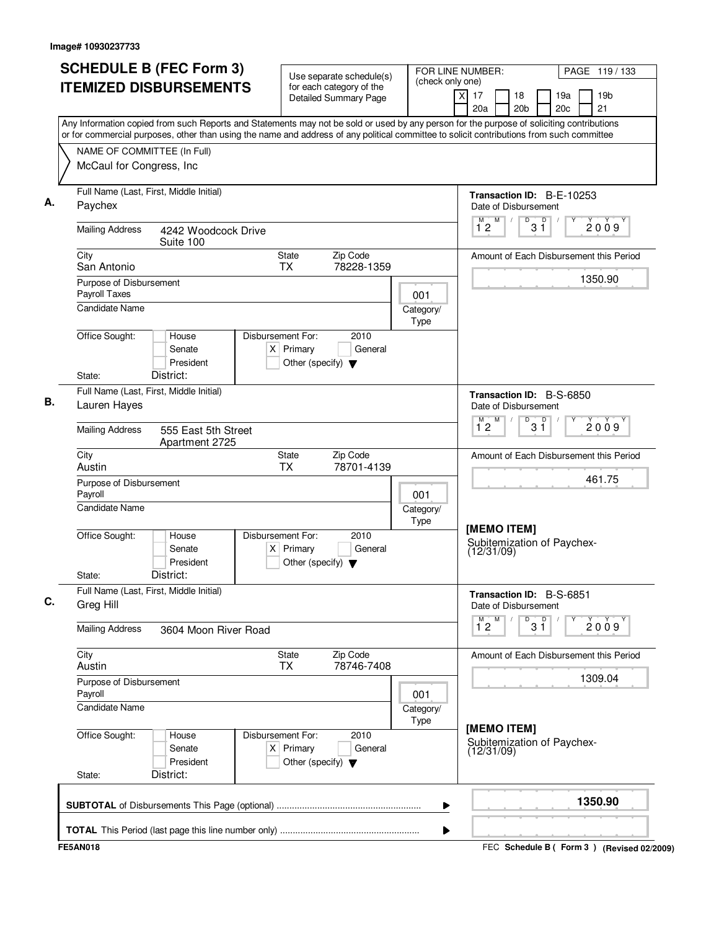| <b>SCHEDULE B (FEC Form 3)</b>                                                                                                                                                                                                                                                         | (check only one)                                                                            | FOR LINE NUMBER:<br>PAGE 119/133                        |                                                         |                                             |  |  |  |  |
|----------------------------------------------------------------------------------------------------------------------------------------------------------------------------------------------------------------------------------------------------------------------------------------|---------------------------------------------------------------------------------------------|---------------------------------------------------------|---------------------------------------------------------|---------------------------------------------|--|--|--|--|
| <b>ITEMIZED DISBURSEMENTS</b>                                                                                                                                                                                                                                                          | for each category of the<br><b>Detailed Summary Page</b>                                    |                                                         | $\overline{X}$<br>17<br>18<br>20a<br>20 <sub>b</sub>    | 19 <sub>b</sub><br>19a<br>21<br>20c         |  |  |  |  |
| Any Information copied from such Reports and Statements may not be sold or used by any person for the purpose of soliciting contributions<br>or for commercial purposes, other than using the name and address of any political committee to solicit contributions from such committee |                                                                                             |                                                         |                                                         |                                             |  |  |  |  |
| NAME OF COMMITTEE (In Full)                                                                                                                                                                                                                                                            |                                                                                             |                                                         |                                                         |                                             |  |  |  |  |
| McCaul for Congress, Inc                                                                                                                                                                                                                                                               |                                                                                             |                                                         |                                                         |                                             |  |  |  |  |
| Full Name (Last, First, Middle Initial)<br>Paychex                                                                                                                                                                                                                                     |                                                                                             |                                                         | Transaction ID: B-E-10253<br>Date of Disbursement       |                                             |  |  |  |  |
| <b>Mailing Address</b><br>4242 Woodcock Drive<br>Suite 100                                                                                                                                                                                                                             |                                                                                             |                                                         | M<br>D<br>$1^{\degree}2$<br>3 ĭ                         | D<br>2009                                   |  |  |  |  |
| City<br>San Antonio                                                                                                                                                                                                                                                                    |                                                                                             |                                                         | Amount of Each Disbursement this Period                 |                                             |  |  |  |  |
| Purpose of Disbursement<br>Payroll Taxes                                                                                                                                                                                                                                               |                                                                                             | 001                                                     |                                                         | 1350.90                                     |  |  |  |  |
| <b>Candidate Name</b>                                                                                                                                                                                                                                                                  |                                                                                             | Category/<br>Type                                       |                                                         |                                             |  |  |  |  |
| Office Sought:<br>House<br>Senate<br>President<br>District:<br>State:                                                                                                                                                                                                                  | Disbursement For:<br>2010<br>$X$ Primary<br>General<br>Other (specify) $\blacktriangledown$ |                                                         |                                                         |                                             |  |  |  |  |
| Full Name (Last, First, Middle Initial)                                                                                                                                                                                                                                                |                                                                                             |                                                         | Transaction ID: B-S-6850                                |                                             |  |  |  |  |
| Lauren Hayes                                                                                                                                                                                                                                                                           |                                                                                             |                                                         | Date of Disbursement<br>M<br>D                          |                                             |  |  |  |  |
| <b>Mailing Address</b><br>555 East 5th Street<br>Apartment 2725                                                                                                                                                                                                                        |                                                                                             |                                                         | $3^{\circ}$<br>12                                       | 2009                                        |  |  |  |  |
| City<br>Austin                                                                                                                                                                                                                                                                         | Zip Code<br>State<br>78701-4139<br><b>TX</b>                                                |                                                         |                                                         | Amount of Each Disbursement this Period     |  |  |  |  |
| Purpose of Disbursement<br>Payroll                                                                                                                                                                                                                                                     |                                                                                             | 001                                                     |                                                         | 461.75                                      |  |  |  |  |
| <b>Candidate Name</b>                                                                                                                                                                                                                                                                  |                                                                                             | Category/<br>Type                                       |                                                         |                                             |  |  |  |  |
| Office Sought:<br>House<br>Senate<br>President<br>District:<br>State:                                                                                                                                                                                                                  | 2010<br>Disbursement For:<br>$X$ Primary<br>General<br>Other (specify) $\blacktriangledown$ |                                                         | [MEMO ITEM]<br>Subitemization of Paychex-<br>(12/31/09) |                                             |  |  |  |  |
| Full Name (Last, First, Middle Initial)<br>Greg Hill                                                                                                                                                                                                                                   |                                                                                             |                                                         | Transaction ID: B-S-6851<br>Date of Disbursement        |                                             |  |  |  |  |
| <b>Mailing Address</b><br>3604 Moon River Road                                                                                                                                                                                                                                         |                                                                                             |                                                         | $\overline{1}^M$ 2<br>M<br>$3^{\circ}$<br>D             | 2009                                        |  |  |  |  |
| City<br>Austin                                                                                                                                                                                                                                                                         | Zip Code<br>State<br>78746-7408<br>ТX                                                       |                                                         |                                                         | Amount of Each Disbursement this Period     |  |  |  |  |
| Purpose of Disbursement<br>Payroll                                                                                                                                                                                                                                                     |                                                                                             | 001                                                     |                                                         | 1309.04                                     |  |  |  |  |
| <b>Candidate Name</b>                                                                                                                                                                                                                                                                  |                                                                                             | Category/<br>Type                                       |                                                         |                                             |  |  |  |  |
| Office Sought:<br>Disbursement For:<br>House<br>$X$ Primary<br>Senate<br>President<br>District:<br>State:                                                                                                                                                                              |                                                                                             | [MEMO ITEM]<br>Subitemization of Paychex-<br>(12/31/09) |                                                         |                                             |  |  |  |  |
|                                                                                                                                                                                                                                                                                        |                                                                                             | ▶                                                       |                                                         | 1350.90                                     |  |  |  |  |
|                                                                                                                                                                                                                                                                                        |                                                                                             | ▶                                                       |                                                         |                                             |  |  |  |  |
| <b>FE5AN018</b>                                                                                                                                                                                                                                                                        |                                                                                             |                                                         |                                                         | FEC Schedule B ( Form 3 ) (Revised 02/2009) |  |  |  |  |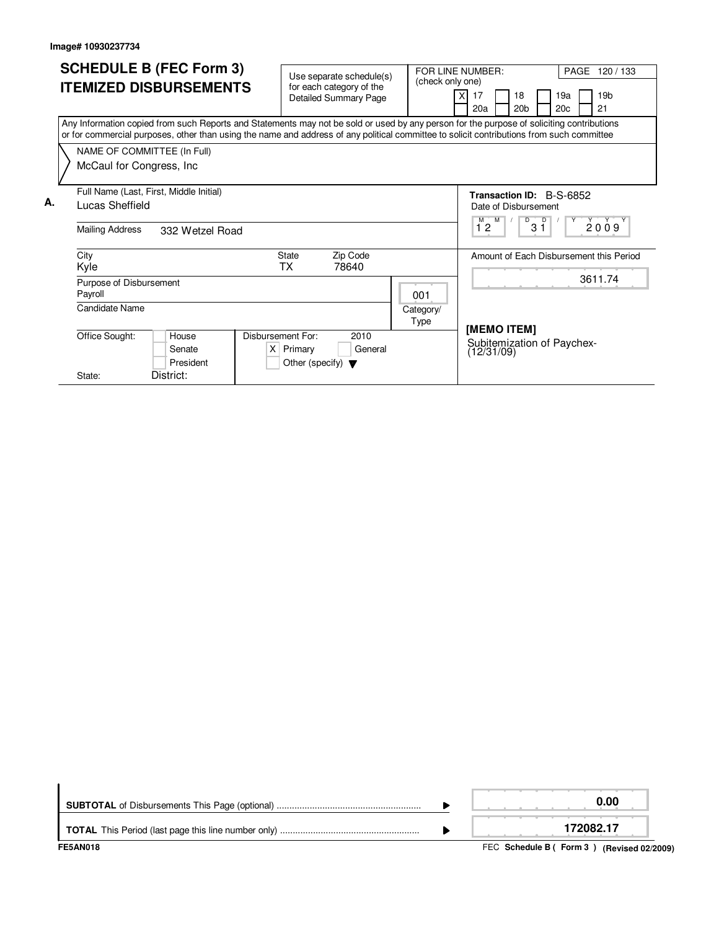|    |                                         | <b>SCHEDULE B (FEC Form 3)</b> |                 |                                                                                                                                                                                                                                                                                        | FOR LINE NUMBER:<br>Use separate schedule(s) |                              |     |                  |                                          |                                         |                      |                                 |     |    | PAGE 120/133    |  |  |  |
|----|-----------------------------------------|--------------------------------|-----------------|----------------------------------------------------------------------------------------------------------------------------------------------------------------------------------------------------------------------------------------------------------------------------------------|----------------------------------------------|------------------------------|-----|------------------|------------------------------------------|-----------------------------------------|----------------------|---------------------------------|-----|----|-----------------|--|--|--|
|    |                                         | <b>ITEMIZED DISBURSEMENTS</b>  |                 |                                                                                                                                                                                                                                                                                        | for each category of the                     | (check only one)             |     |                  |                                          |                                         |                      |                                 |     |    |                 |  |  |  |
|    |                                         |                                |                 |                                                                                                                                                                                                                                                                                        |                                              | <b>Detailed Summary Page</b> |     |                  | 17                                       |                                         | 18                   |                                 | 19a |    | 19 <sub>b</sub> |  |  |  |
|    |                                         |                                |                 |                                                                                                                                                                                                                                                                                        |                                              |                              |     | 20a              |                                          | 20 <sub>b</sub>                         |                      | 20 <sub>c</sub>                 |     | 21 |                 |  |  |  |
|    |                                         |                                |                 | Any Information copied from such Reports and Statements may not be sold or used by any person for the purpose of soliciting contributions<br>or for commercial purposes, other than using the name and address of any political committee to solicit contributions from such committee |                                              |                              |     |                  |                                          |                                         |                      |                                 |     |    |                 |  |  |  |
|    |                                         | NAME OF COMMITTEE (In Full)    |                 |                                                                                                                                                                                                                                                                                        |                                              |                              |     |                  |                                          |                                         |                      |                                 |     |    |                 |  |  |  |
|    |                                         | McCaul for Congress, Inc.      |                 |                                                                                                                                                                                                                                                                                        |                                              |                              |     |                  |                                          |                                         |                      |                                 |     |    |                 |  |  |  |
|    |                                         |                                |                 |                                                                                                                                                                                                                                                                                        |                                              |                              |     |                  |                                          |                                         |                      |                                 |     |    |                 |  |  |  |
|    | Full Name (Last, First, Middle Initial) |                                |                 |                                                                                                                                                                                                                                                                                        |                                              |                              |     |                  |                                          |                                         |                      | <b>Transaction ID: B-S-6852</b> |     |    |                 |  |  |  |
| А. |                                         | Lucas Sheffield                |                 |                                                                                                                                                                                                                                                                                        |                                              |                              |     |                  |                                          |                                         | Date of Disbursement |                                 |     |    |                 |  |  |  |
|    |                                         |                                |                 |                                                                                                                                                                                                                                                                                        |                                              |                              |     |                  |                                          |                                         | M<br>D<br>D          |                                 |     |    |                 |  |  |  |
|    |                                         | <b>Mailing Address</b>         | 332 Wetzel Road |                                                                                                                                                                                                                                                                                        |                                              |                              |     | 2009<br>12<br>31 |                                          |                                         |                      |                                 |     |    |                 |  |  |  |
|    |                                         |                                |                 |                                                                                                                                                                                                                                                                                        |                                              |                              |     |                  |                                          |                                         |                      |                                 |     |    |                 |  |  |  |
|    |                                         | City                           |                 |                                                                                                                                                                                                                                                                                        | State                                        | Zip Code                     |     |                  |                                          | Amount of Each Disbursement this Period |                      |                                 |     |    |                 |  |  |  |
|    |                                         | Kyle                           |                 |                                                                                                                                                                                                                                                                                        | <b>TX</b>                                    | 78640                        |     |                  |                                          |                                         |                      |                                 |     |    |                 |  |  |  |
|    |                                         | Purpose of Disbursement        |                 |                                                                                                                                                                                                                                                                                        |                                              |                              |     |                  |                                          |                                         |                      |                                 |     |    | 3611.74         |  |  |  |
|    |                                         | Payroll                        |                 |                                                                                                                                                                                                                                                                                        |                                              |                              | 001 |                  |                                          |                                         |                      |                                 |     |    |                 |  |  |  |
|    |                                         | Candidate Name<br>Category/    |                 |                                                                                                                                                                                                                                                                                        |                                              |                              |     |                  |                                          |                                         |                      |                                 |     |    |                 |  |  |  |
|    | Type                                    |                                |                 |                                                                                                                                                                                                                                                                                        |                                              |                              |     |                  |                                          |                                         |                      |                                 |     |    |                 |  |  |  |
|    |                                         | Office Sought:                 | House           | Disbursement For:                                                                                                                                                                                                                                                                      | 2010                                         |                              |     | [MEMO ITEM]      |                                          |                                         |                      |                                 |     |    |                 |  |  |  |
|    |                                         |                                | Senate          |                                                                                                                                                                                                                                                                                        | $X$ Primary                                  | General                      |     |                  | Subitemization of Paychex-<br>(12/31/09) |                                         |                      |                                 |     |    |                 |  |  |  |
|    |                                         |                                | President       |                                                                                                                                                                                                                                                                                        | Other (specify) $\blacktriangledown$         |                              |     |                  |                                          |                                         |                      |                                 |     |    |                 |  |  |  |
|    |                                         | State:                         | District:       |                                                                                                                                                                                                                                                                                        |                                              |                              |     |                  |                                          |                                         |                      |                                 |     |    |                 |  |  |  |

| <b>FE5AN018</b> | FEC Schedule B (Form 3) (Revised 02/2009) |
|-----------------|-------------------------------------------|
|                 | 172082.17                                 |
|                 | 0.00                                      |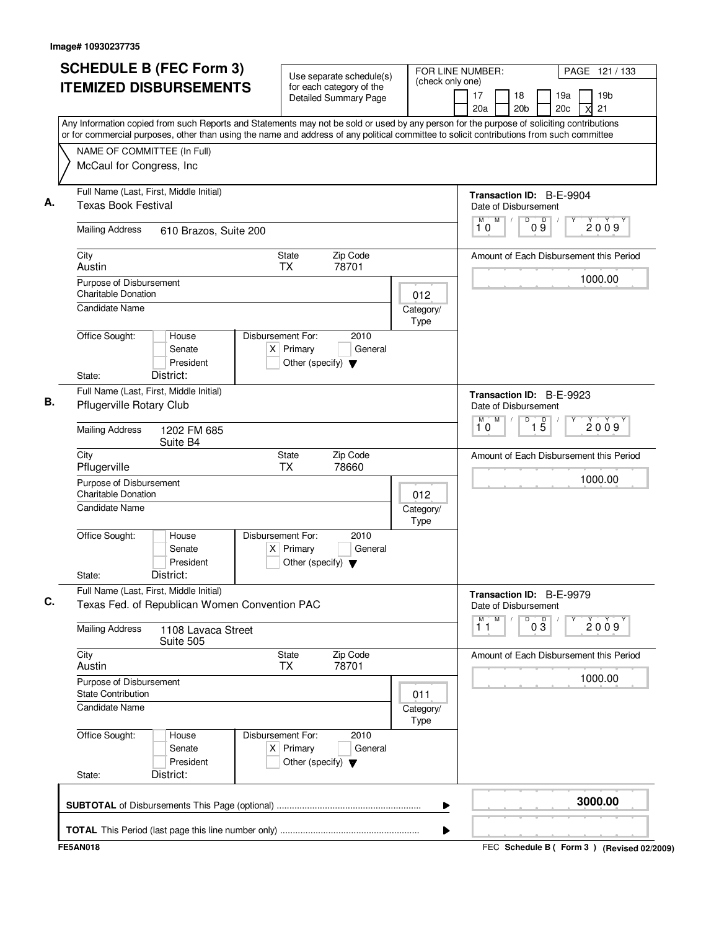| <b>SCHEDULE B (FEC Form 3)</b>                                                                                                                                                                                                                                                         | Use separate schedule(s)                                                                    | FOR LINE NUMBER:<br>(check only one) | PAGE 121 / 133                                                                 |
|----------------------------------------------------------------------------------------------------------------------------------------------------------------------------------------------------------------------------------------------------------------------------------------|---------------------------------------------------------------------------------------------|--------------------------------------|--------------------------------------------------------------------------------|
| <b>ITEMIZED DISBURSEMENTS</b>                                                                                                                                                                                                                                                          | for each category of the<br>Detailed Summary Page                                           |                                      | 19 <sub>b</sub><br>17<br>18<br>19a<br>20a<br>20 <sub>b</sub><br>20c<br>21<br>X |
| Any Information copied from such Reports and Statements may not be sold or used by any person for the purpose of soliciting contributions<br>or for commercial purposes, other than using the name and address of any political committee to solicit contributions from such committee |                                                                                             |                                      |                                                                                |
| NAME OF COMMITTEE (In Full)                                                                                                                                                                                                                                                            |                                                                                             |                                      |                                                                                |
| McCaul for Congress, Inc                                                                                                                                                                                                                                                               |                                                                                             |                                      |                                                                                |
| Full Name (Last, First, Middle Initial)<br><b>Texas Book Festival</b>                                                                                                                                                                                                                  |                                                                                             |                                      | Transaction ID: B-E-9904<br>Date of Disbursement                               |
| <b>Mailing Address</b><br>610 Brazos, Suite 200                                                                                                                                                                                                                                        |                                                                                             |                                      | $\mathsf D$<br>M<br>D<br>M<br>$\sqrt{ }$<br>2009<br>09<br>10                   |
| City<br>Austin                                                                                                                                                                                                                                                                         | <b>State</b><br>Zip Code<br>78701<br><b>TX</b>                                              |                                      | Amount of Each Disbursement this Period                                        |
| Purpose of Disbursement<br>Charitable Donation                                                                                                                                                                                                                                         |                                                                                             | 012                                  | 1000.00                                                                        |
| <b>Candidate Name</b>                                                                                                                                                                                                                                                                  |                                                                                             | Category/<br>Type                    |                                                                                |
| Office Sought:<br>House<br>Senate<br>President                                                                                                                                                                                                                                         | Disbursement For:<br>2010<br>$X$ Primary<br>General<br>Other (specify) $\blacktriangledown$ |                                      |                                                                                |
| District:<br>State:                                                                                                                                                                                                                                                                    |                                                                                             |                                      |                                                                                |
| Full Name (Last, First, Middle Initial)<br>Pflugerville Rotary Club                                                                                                                                                                                                                    |                                                                                             |                                      | Transaction ID: B-E-9923<br>Date of Disbursement<br>$\overline{D}$<br>M<br>М   |
| <b>Mailing Address</b><br>1202 FM 685<br>Suite B4                                                                                                                                                                                                                                      |                                                                                             |                                      | $\overline{15}$<br>2009<br>10                                                  |
| City<br>Pflugerville                                                                                                                                                                                                                                                                   | <b>State</b><br>Zip Code<br>ТX<br>78660                                                     |                                      | Amount of Each Disbursement this Period                                        |
| Purpose of Disbursement<br><b>Charitable Donation</b><br><b>Candidate Name</b>                                                                                                                                                                                                         |                                                                                             | 012<br>Category/                     | 1000.00                                                                        |
| Office Sought:<br>House<br>Senate<br>President<br>District:<br>State:                                                                                                                                                                                                                  | Disbursement For:<br>2010<br>$X$ Primary<br>General<br>Other (specify) $\blacktriangledown$ | Type                                 |                                                                                |
| Full Name (Last, First, Middle Initial)<br>Texas Fed. of Republican Women Convention PAC                                                                                                                                                                                               |                                                                                             |                                      | Transaction ID: B-E-9979<br>Date of Disbursement                               |
| <b>Mailing Address</b><br>1108 Lavaca Street<br>Suite 505                                                                                                                                                                                                                              |                                                                                             |                                      | M<br>M<br>D<br>$0\overline{3}$<br>2009<br>11                                   |
| City<br>Austin                                                                                                                                                                                                                                                                         | <b>State</b><br>Zip Code<br>78701<br><b>TX</b>                                              |                                      | Amount of Each Disbursement this Period                                        |
| Purpose of Disbursement<br><b>State Contribution</b>                                                                                                                                                                                                                                   |                                                                                             | 011                                  | 1000.00                                                                        |
| Candidate Name                                                                                                                                                                                                                                                                         |                                                                                             | Category/<br>Type                    |                                                                                |
| Office Sought:<br>House<br>Senate<br>President                                                                                                                                                                                                                                         | Disbursement For:<br>2010<br>$X$ Primary<br>General<br>Other (specify) $\blacktriangledown$ |                                      |                                                                                |
| District:<br>State:                                                                                                                                                                                                                                                                    |                                                                                             |                                      |                                                                                |
|                                                                                                                                                                                                                                                                                        |                                                                                             | ▶                                    | 3000.00                                                                        |
|                                                                                                                                                                                                                                                                                        |                                                                                             |                                      |                                                                                |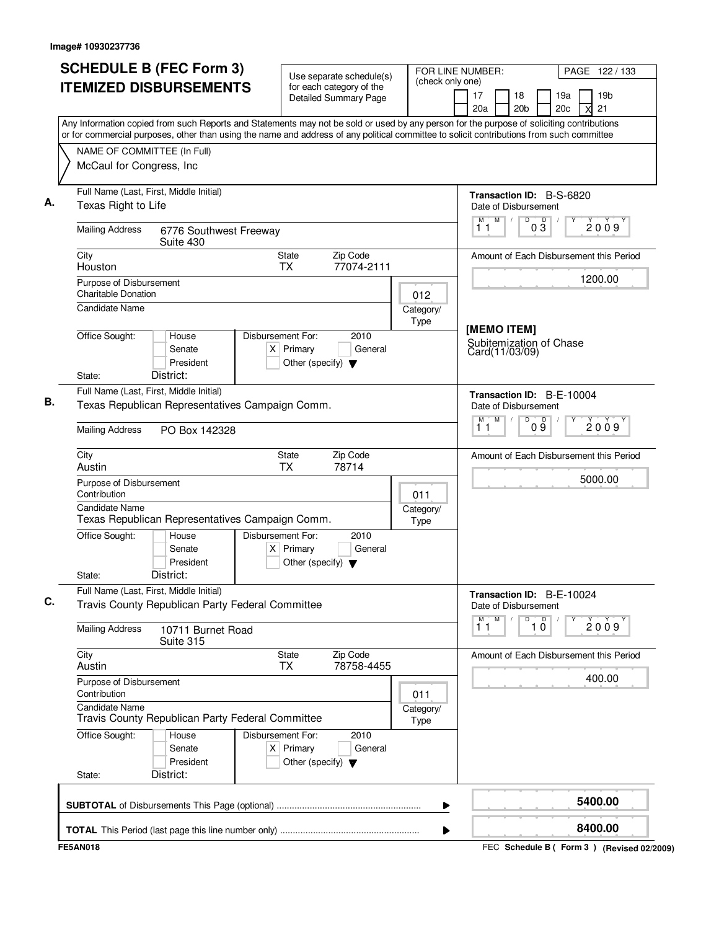| (check only one)<br><b>ITEMIZED DISBURSEMENTS</b><br>for each category of the<br>19 <sub>b</sub><br>17<br>18<br>19a<br><b>Detailed Summary Page</b><br>20a<br>20 <sub>b</sub><br>21<br>20c<br><b>X</b><br>Any Information copied from such Reports and Statements may not be sold or used by any person for the purpose of soliciting contributions<br>or for commercial purposes, other than using the name and address of any political committee to solicit contributions from such committee<br>NAME OF COMMITTEE (In Full)<br>McCaul for Congress, Inc<br>Full Name (Last, First, Middle Initial)<br>Transaction ID: B-S-6820<br>Α.<br>Texas Right to Life<br>Date of Disbursement<br>D<br>M<br>$0\overline{3}$<br>M<br>$\sqrt{2}$<br>2009<br>11<br><b>Mailing Address</b><br>6776 Southwest Freeway<br>Suite 430<br>Zip Code<br>City<br><b>State</b><br>Amount of Each Disbursement this Period<br>77074-2111<br>Houston<br><b>TX</b><br>1200.00<br>Purpose of Disbursement<br><b>Charitable Donation</b><br>012<br>Candidate Name<br>Category/<br>Type<br>[MEMO ITEM]<br>Office Sought:<br>Disbursement For:<br>House<br>2010<br>Subitemization of Chase<br>$X$ Primary<br>General<br>Senate<br>Card(11/03/09)<br>President<br>Other (specify) $\blacktriangledown$<br>District:<br>State:<br>Full Name (Last, First, Middle Initial)<br>Transaction ID: B-E-10004<br>В.<br>Texas Republican Representatives Campaign Comm.<br>Date of Disbursement<br>D<br>M<br>09<br>М<br>2009<br>11<br><b>Mailing Address</b><br>PO Box 142328<br>Zip Code<br>City<br><b>State</b><br>Austin<br>ТX<br>78714<br>Purpose of Disbursement<br>Contribution<br>011<br>Candidate Name<br>Category/<br>Texas Republican Representatives Campaign Comm.<br>Type<br>Office Sought:<br>Disbursement For:<br>2010<br>House<br>$X$ Primary<br>General<br>Senate<br>President<br>Other (specify) $\blacktriangledown$<br>District:<br>State:<br>Full Name (Last, First, Middle Initial)<br>Transaction ID: B-E-10024<br>C.<br>Travis County Republican Party Federal Committee<br>Date of Disbursement<br>$\overline{1}^M$<br>M<br>D<br>$\overline{1}$ $\overline{0}$<br><b>Mailing Address</b><br>10711 Burnet Road<br>Suite 315<br>City<br><b>State</b><br>Zip Code<br>78758-4455<br>Austin<br><b>TX</b><br>Purpose of Disbursement<br>Contribution<br>011<br><b>Candidate Name</b><br>Category/<br>Travis County Republican Party Federal Committee<br>Type<br>Office Sought:<br>Disbursement For:<br>2010<br>House<br>Senate<br>$X$ Primary<br>General<br>President<br>Other (specify) $\blacktriangledown$<br>District:<br>State:<br>▶ | <b>SCHEDULE B (FEC Form 3)</b> | Use separate schedule(s) | FOR LINE NUMBER:<br>PAGE 122/133        |
|--------------------------------------------------------------------------------------------------------------------------------------------------------------------------------------------------------------------------------------------------------------------------------------------------------------------------------------------------------------------------------------------------------------------------------------------------------------------------------------------------------------------------------------------------------------------------------------------------------------------------------------------------------------------------------------------------------------------------------------------------------------------------------------------------------------------------------------------------------------------------------------------------------------------------------------------------------------------------------------------------------------------------------------------------------------------------------------------------------------------------------------------------------------------------------------------------------------------------------------------------------------------------------------------------------------------------------------------------------------------------------------------------------------------------------------------------------------------------------------------------------------------------------------------------------------------------------------------------------------------------------------------------------------------------------------------------------------------------------------------------------------------------------------------------------------------------------------------------------------------------------------------------------------------------------------------------------------------------------------------------------------------------------------------------------------------------------------------------------------------------------------------------------------------------------------------------------------------------------------------------------------------------------------------------------------------------------------------------------------------------------------------------------------------------------------------------------------------------------------------------------------------------------------------------------------------------------------------------------------------------|--------------------------------|--------------------------|-----------------------------------------|
|                                                                                                                                                                                                                                                                                                                                                                                                                                                                                                                                                                                                                                                                                                                                                                                                                                                                                                                                                                                                                                                                                                                                                                                                                                                                                                                                                                                                                                                                                                                                                                                                                                                                                                                                                                                                                                                                                                                                                                                                                                                                                                                                                                                                                                                                                                                                                                                                                                                                                                                                                                                                                          |                                |                          |                                         |
|                                                                                                                                                                                                                                                                                                                                                                                                                                                                                                                                                                                                                                                                                                                                                                                                                                                                                                                                                                                                                                                                                                                                                                                                                                                                                                                                                                                                                                                                                                                                                                                                                                                                                                                                                                                                                                                                                                                                                                                                                                                                                                                                                                                                                                                                                                                                                                                                                                                                                                                                                                                                                          |                                |                          |                                         |
|                                                                                                                                                                                                                                                                                                                                                                                                                                                                                                                                                                                                                                                                                                                                                                                                                                                                                                                                                                                                                                                                                                                                                                                                                                                                                                                                                                                                                                                                                                                                                                                                                                                                                                                                                                                                                                                                                                                                                                                                                                                                                                                                                                                                                                                                                                                                                                                                                                                                                                                                                                                                                          |                                |                          |                                         |
|                                                                                                                                                                                                                                                                                                                                                                                                                                                                                                                                                                                                                                                                                                                                                                                                                                                                                                                                                                                                                                                                                                                                                                                                                                                                                                                                                                                                                                                                                                                                                                                                                                                                                                                                                                                                                                                                                                                                                                                                                                                                                                                                                                                                                                                                                                                                                                                                                                                                                                                                                                                                                          |                                |                          |                                         |
|                                                                                                                                                                                                                                                                                                                                                                                                                                                                                                                                                                                                                                                                                                                                                                                                                                                                                                                                                                                                                                                                                                                                                                                                                                                                                                                                                                                                                                                                                                                                                                                                                                                                                                                                                                                                                                                                                                                                                                                                                                                                                                                                                                                                                                                                                                                                                                                                                                                                                                                                                                                                                          |                                |                          |                                         |
|                                                                                                                                                                                                                                                                                                                                                                                                                                                                                                                                                                                                                                                                                                                                                                                                                                                                                                                                                                                                                                                                                                                                                                                                                                                                                                                                                                                                                                                                                                                                                                                                                                                                                                                                                                                                                                                                                                                                                                                                                                                                                                                                                                                                                                                                                                                                                                                                                                                                                                                                                                                                                          |                                |                          |                                         |
|                                                                                                                                                                                                                                                                                                                                                                                                                                                                                                                                                                                                                                                                                                                                                                                                                                                                                                                                                                                                                                                                                                                                                                                                                                                                                                                                                                                                                                                                                                                                                                                                                                                                                                                                                                                                                                                                                                                                                                                                                                                                                                                                                                                                                                                                                                                                                                                                                                                                                                                                                                                                                          |                                |                          |                                         |
|                                                                                                                                                                                                                                                                                                                                                                                                                                                                                                                                                                                                                                                                                                                                                                                                                                                                                                                                                                                                                                                                                                                                                                                                                                                                                                                                                                                                                                                                                                                                                                                                                                                                                                                                                                                                                                                                                                                                                                                                                                                                                                                                                                                                                                                                                                                                                                                                                                                                                                                                                                                                                          |                                |                          |                                         |
|                                                                                                                                                                                                                                                                                                                                                                                                                                                                                                                                                                                                                                                                                                                                                                                                                                                                                                                                                                                                                                                                                                                                                                                                                                                                                                                                                                                                                                                                                                                                                                                                                                                                                                                                                                                                                                                                                                                                                                                                                                                                                                                                                                                                                                                                                                                                                                                                                                                                                                                                                                                                                          |                                |                          |                                         |
|                                                                                                                                                                                                                                                                                                                                                                                                                                                                                                                                                                                                                                                                                                                                                                                                                                                                                                                                                                                                                                                                                                                                                                                                                                                                                                                                                                                                                                                                                                                                                                                                                                                                                                                                                                                                                                                                                                                                                                                                                                                                                                                                                                                                                                                                                                                                                                                                                                                                                                                                                                                                                          |                                |                          |                                         |
|                                                                                                                                                                                                                                                                                                                                                                                                                                                                                                                                                                                                                                                                                                                                                                                                                                                                                                                                                                                                                                                                                                                                                                                                                                                                                                                                                                                                                                                                                                                                                                                                                                                                                                                                                                                                                                                                                                                                                                                                                                                                                                                                                                                                                                                                                                                                                                                                                                                                                                                                                                                                                          |                                |                          |                                         |
|                                                                                                                                                                                                                                                                                                                                                                                                                                                                                                                                                                                                                                                                                                                                                                                                                                                                                                                                                                                                                                                                                                                                                                                                                                                                                                                                                                                                                                                                                                                                                                                                                                                                                                                                                                                                                                                                                                                                                                                                                                                                                                                                                                                                                                                                                                                                                                                                                                                                                                                                                                                                                          |                                |                          |                                         |
|                                                                                                                                                                                                                                                                                                                                                                                                                                                                                                                                                                                                                                                                                                                                                                                                                                                                                                                                                                                                                                                                                                                                                                                                                                                                                                                                                                                                                                                                                                                                                                                                                                                                                                                                                                                                                                                                                                                                                                                                                                                                                                                                                                                                                                                                                                                                                                                                                                                                                                                                                                                                                          |                                |                          |                                         |
|                                                                                                                                                                                                                                                                                                                                                                                                                                                                                                                                                                                                                                                                                                                                                                                                                                                                                                                                                                                                                                                                                                                                                                                                                                                                                                                                                                                                                                                                                                                                                                                                                                                                                                                                                                                                                                                                                                                                                                                                                                                                                                                                                                                                                                                                                                                                                                                                                                                                                                                                                                                                                          |                                |                          |                                         |
|                                                                                                                                                                                                                                                                                                                                                                                                                                                                                                                                                                                                                                                                                                                                                                                                                                                                                                                                                                                                                                                                                                                                                                                                                                                                                                                                                                                                                                                                                                                                                                                                                                                                                                                                                                                                                                                                                                                                                                                                                                                                                                                                                                                                                                                                                                                                                                                                                                                                                                                                                                                                                          |                                |                          |                                         |
|                                                                                                                                                                                                                                                                                                                                                                                                                                                                                                                                                                                                                                                                                                                                                                                                                                                                                                                                                                                                                                                                                                                                                                                                                                                                                                                                                                                                                                                                                                                                                                                                                                                                                                                                                                                                                                                                                                                                                                                                                                                                                                                                                                                                                                                                                                                                                                                                                                                                                                                                                                                                                          |                                |                          | Amount of Each Disbursement this Period |
|                                                                                                                                                                                                                                                                                                                                                                                                                                                                                                                                                                                                                                                                                                                                                                                                                                                                                                                                                                                                                                                                                                                                                                                                                                                                                                                                                                                                                                                                                                                                                                                                                                                                                                                                                                                                                                                                                                                                                                                                                                                                                                                                                                                                                                                                                                                                                                                                                                                                                                                                                                                                                          |                                |                          | 5000.00                                 |
|                                                                                                                                                                                                                                                                                                                                                                                                                                                                                                                                                                                                                                                                                                                                                                                                                                                                                                                                                                                                                                                                                                                                                                                                                                                                                                                                                                                                                                                                                                                                                                                                                                                                                                                                                                                                                                                                                                                                                                                                                                                                                                                                                                                                                                                                                                                                                                                                                                                                                                                                                                                                                          |                                |                          |                                         |
|                                                                                                                                                                                                                                                                                                                                                                                                                                                                                                                                                                                                                                                                                                                                                                                                                                                                                                                                                                                                                                                                                                                                                                                                                                                                                                                                                                                                                                                                                                                                                                                                                                                                                                                                                                                                                                                                                                                                                                                                                                                                                                                                                                                                                                                                                                                                                                                                                                                                                                                                                                                                                          |                                |                          |                                         |
|                                                                                                                                                                                                                                                                                                                                                                                                                                                                                                                                                                                                                                                                                                                                                                                                                                                                                                                                                                                                                                                                                                                                                                                                                                                                                                                                                                                                                                                                                                                                                                                                                                                                                                                                                                                                                                                                                                                                                                                                                                                                                                                                                                                                                                                                                                                                                                                                                                                                                                                                                                                                                          |                                |                          |                                         |
|                                                                                                                                                                                                                                                                                                                                                                                                                                                                                                                                                                                                                                                                                                                                                                                                                                                                                                                                                                                                                                                                                                                                                                                                                                                                                                                                                                                                                                                                                                                                                                                                                                                                                                                                                                                                                                                                                                                                                                                                                                                                                                                                                                                                                                                                                                                                                                                                                                                                                                                                                                                                                          |                                |                          |                                         |
|                                                                                                                                                                                                                                                                                                                                                                                                                                                                                                                                                                                                                                                                                                                                                                                                                                                                                                                                                                                                                                                                                                                                                                                                                                                                                                                                                                                                                                                                                                                                                                                                                                                                                                                                                                                                                                                                                                                                                                                                                                                                                                                                                                                                                                                                                                                                                                                                                                                                                                                                                                                                                          |                                |                          | 2009                                    |
|                                                                                                                                                                                                                                                                                                                                                                                                                                                                                                                                                                                                                                                                                                                                                                                                                                                                                                                                                                                                                                                                                                                                                                                                                                                                                                                                                                                                                                                                                                                                                                                                                                                                                                                                                                                                                                                                                                                                                                                                                                                                                                                                                                                                                                                                                                                                                                                                                                                                                                                                                                                                                          |                                |                          | Amount of Each Disbursement this Period |
|                                                                                                                                                                                                                                                                                                                                                                                                                                                                                                                                                                                                                                                                                                                                                                                                                                                                                                                                                                                                                                                                                                                                                                                                                                                                                                                                                                                                                                                                                                                                                                                                                                                                                                                                                                                                                                                                                                                                                                                                                                                                                                                                                                                                                                                                                                                                                                                                                                                                                                                                                                                                                          |                                |                          | 400.00                                  |
|                                                                                                                                                                                                                                                                                                                                                                                                                                                                                                                                                                                                                                                                                                                                                                                                                                                                                                                                                                                                                                                                                                                                                                                                                                                                                                                                                                                                                                                                                                                                                                                                                                                                                                                                                                                                                                                                                                                                                                                                                                                                                                                                                                                                                                                                                                                                                                                                                                                                                                                                                                                                                          |                                |                          |                                         |
|                                                                                                                                                                                                                                                                                                                                                                                                                                                                                                                                                                                                                                                                                                                                                                                                                                                                                                                                                                                                                                                                                                                                                                                                                                                                                                                                                                                                                                                                                                                                                                                                                                                                                                                                                                                                                                                                                                                                                                                                                                                                                                                                                                                                                                                                                                                                                                                                                                                                                                                                                                                                                          |                                |                          |                                         |
|                                                                                                                                                                                                                                                                                                                                                                                                                                                                                                                                                                                                                                                                                                                                                                                                                                                                                                                                                                                                                                                                                                                                                                                                                                                                                                                                                                                                                                                                                                                                                                                                                                                                                                                                                                                                                                                                                                                                                                                                                                                                                                                                                                                                                                                                                                                                                                                                                                                                                                                                                                                                                          |                                |                          |                                         |
|                                                                                                                                                                                                                                                                                                                                                                                                                                                                                                                                                                                                                                                                                                                                                                                                                                                                                                                                                                                                                                                                                                                                                                                                                                                                                                                                                                                                                                                                                                                                                                                                                                                                                                                                                                                                                                                                                                                                                                                                                                                                                                                                                                                                                                                                                                                                                                                                                                                                                                                                                                                                                          |                                |                          | 5400.00                                 |
|                                                                                                                                                                                                                                                                                                                                                                                                                                                                                                                                                                                                                                                                                                                                                                                                                                                                                                                                                                                                                                                                                                                                                                                                                                                                                                                                                                                                                                                                                                                                                                                                                                                                                                                                                                                                                                                                                                                                                                                                                                                                                                                                                                                                                                                                                                                                                                                                                                                                                                                                                                                                                          |                                |                          | 8400.00                                 |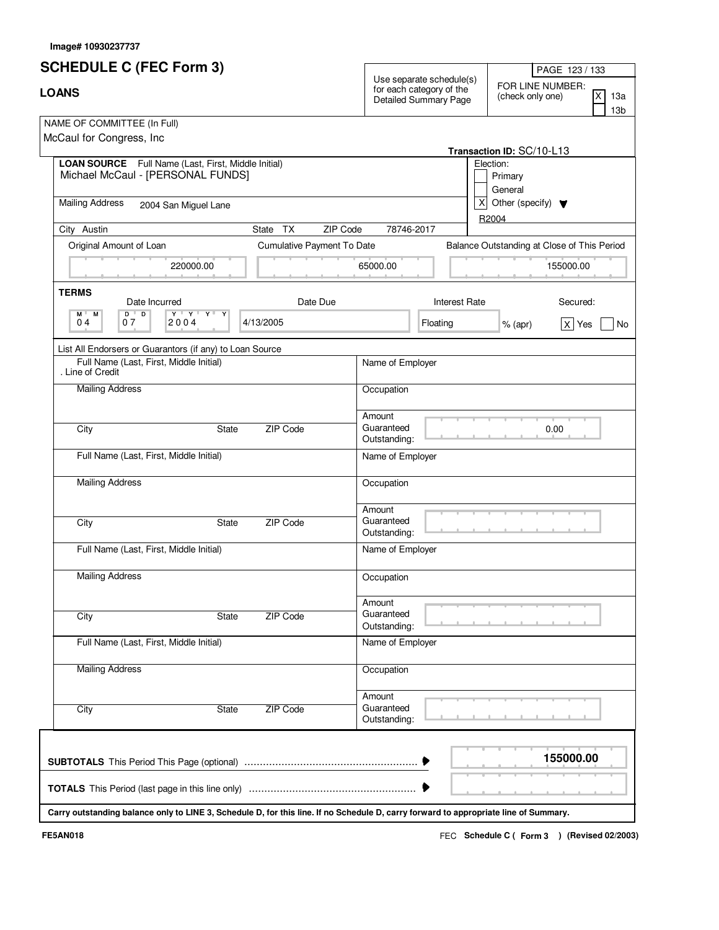| <b>SCHEDULE C (FEC Form 3)</b>                                                                                                               | PAGE 123 / 133                                                                                                                                       |
|----------------------------------------------------------------------------------------------------------------------------------------------|------------------------------------------------------------------------------------------------------------------------------------------------------|
| <b>LOANS</b>                                                                                                                                 | Use separate schedule(s)<br>FOR LINE NUMBER:<br>for each category of the<br>X<br>(check only one)<br>13a<br>Detailed Summary Page<br>13 <sub>b</sub> |
| NAME OF COMMITTEE (In Full)<br>McCaul for Congress, Inc.                                                                                     | Transaction ID: SC/10-L13                                                                                                                            |
| LOAN SOURCE Full Name (Last, First, Middle Initial)<br>Michael McCaul - [PERSONAL FUNDS]                                                     | Election:<br>Primary<br>General                                                                                                                      |
| <b>Mailing Address</b><br>2004 San Miguel Lane                                                                                               | x <sub>l</sub><br>Other (specify) $\blacktriangledown$<br>R2004                                                                                      |
| City Austin<br><b>TX</b><br>State                                                                                                            | ZIP Code<br>78746-2017                                                                                                                               |
| Original Amount of Loan<br>Cumulative Payment To Date                                                                                        | Balance Outstanding at Close of This Period                                                                                                          |
| 220000.00                                                                                                                                    | 65000.00<br>155000.00                                                                                                                                |
| <b>TERMS</b><br>Date Due<br>Date Incurred<br>$\mathbf{Y} + \mathbf{X} + \mathbf{X} +$<br>$D$ <sup><math>+</math></sup><br>D<br>Y<br>M L<br>М | <b>Interest Rate</b><br>Secured:                                                                                                                     |
| 04<br>07<br>2004<br>4/13/2005                                                                                                                | Floating<br>$x \mid Y$ es<br>$%$ (apr)<br>No                                                                                                         |
| List All Endorsers or Guarantors (if any) to Loan Source                                                                                     |                                                                                                                                                      |
| Full Name (Last, First, Middle Initial)<br>. Line of Credit                                                                                  | Name of Employer                                                                                                                                     |
| <b>Mailing Address</b>                                                                                                                       | Occupation                                                                                                                                           |
| City<br>ZIP Code<br><b>State</b>                                                                                                             | Amount<br>Guaranteed<br>0.00<br>Outstanding:                                                                                                         |
| Full Name (Last, First, Middle Initial)                                                                                                      | Name of Employer                                                                                                                                     |
| <b>Mailing Address</b>                                                                                                                       | Occupation                                                                                                                                           |
| ZIP Code<br>City<br><b>State</b>                                                                                                             | Amount<br>Guaranteed<br>Outstanding:                                                                                                                 |
| Full Name (Last, First, Middle Initial)                                                                                                      | Name of Employer                                                                                                                                     |
| <b>Mailing Address</b>                                                                                                                       | Occupation                                                                                                                                           |
| ZIP Code<br>City<br><b>State</b>                                                                                                             | Amount<br>Guaranteed<br>Outstanding:                                                                                                                 |
| Full Name (Last, First, Middle Initial)                                                                                                      | Name of Employer                                                                                                                                     |
| <b>Mailing Address</b>                                                                                                                       | Occupation                                                                                                                                           |
| ZIP Code<br>City<br><b>State</b>                                                                                                             | Amount<br>Guaranteed<br>Outstanding:                                                                                                                 |
| Carry outstanding balance only to LINE 3, Schedule D, for this line. If no Schedule D, carry forward to appropriate line of Summary.         | 155000.00                                                                                                                                            |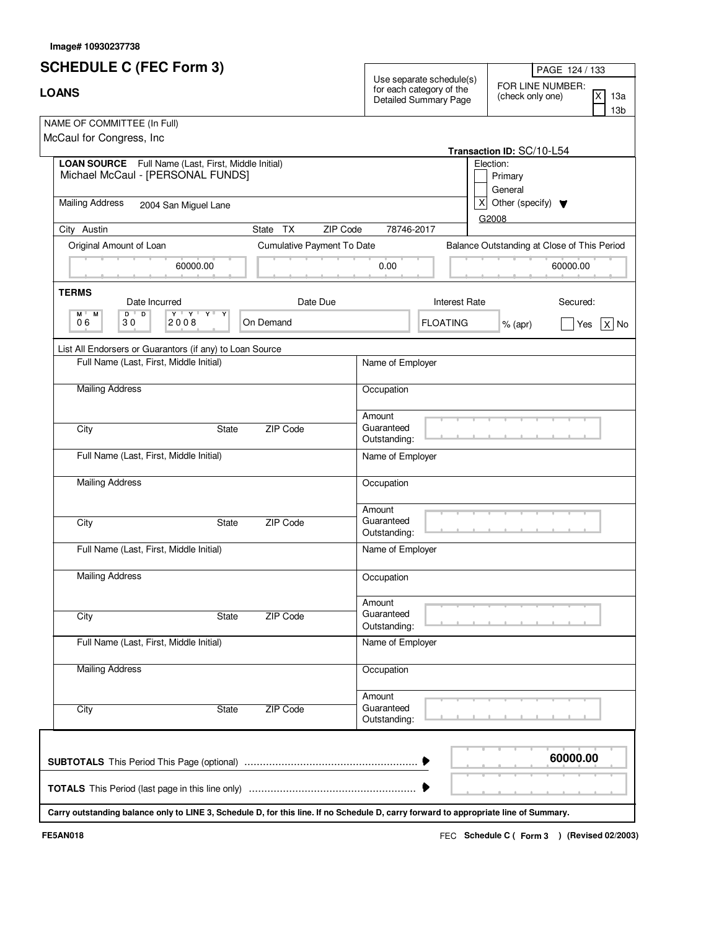| <b>SCHEDULE C (FEC Form 3)</b>                                                                                                            | PAGE 124 / 133                                                                                                                                                                    |
|-------------------------------------------------------------------------------------------------------------------------------------------|-----------------------------------------------------------------------------------------------------------------------------------------------------------------------------------|
| <b>LOANS</b>                                                                                                                              | Use separate schedule(s)<br>FOR LINE NUMBER:<br>for each category of the<br>$\overline{\mathsf{x}}$<br>(check only one)<br>13a<br><b>Detailed Summary Page</b><br>13 <sub>b</sub> |
| NAME OF COMMITTEE (In Full)<br>McCaul for Congress, Inc.                                                                                  | Transaction ID: SC/10-L54                                                                                                                                                         |
| LOAN SOURCE Full Name (Last, First, Middle Initial)<br>Michael McCaul - [PERSONAL FUNDS]                                                  | Election:<br>Primary<br>General                                                                                                                                                   |
| <b>Mailing Address</b><br>2004 San Miguel Lane                                                                                            | x<br>Other (specify) $\blacktriangledown$<br>G2008                                                                                                                                |
| City Austin<br>State TX                                                                                                                   | ZIP Code<br>78746-2017                                                                                                                                                            |
| Original Amount of Loan<br>Cumulative Payment To Date                                                                                     | Balance Outstanding at Close of This Period                                                                                                                                       |
| 60000.00                                                                                                                                  | 0.00<br>60000.00                                                                                                                                                                  |
| <b>TERMS</b><br>Date Incurred<br>Date Due                                                                                                 | <b>Interest Rate</b><br>Secured:                                                                                                                                                  |
| $\mathbf{Y} + \mathbf{Y} + \mathbf{Y} + \mathbf{Y}$<br>$D$ <sup><math>\top</math></sup><br>D<br>M L<br>М<br>06<br>On Demand<br>30<br>2008 | <b>FLOATING</b><br>$X $ No<br>$%$ (apr)<br>Yes                                                                                                                                    |
| List All Endorsers or Guarantors (if any) to Loan Source                                                                                  |                                                                                                                                                                                   |
| Full Name (Last, First, Middle Initial)                                                                                                   | Name of Employer                                                                                                                                                                  |
| <b>Mailing Address</b>                                                                                                                    | Occupation                                                                                                                                                                        |
| City<br><b>State</b><br>ZIP Code                                                                                                          | Amount<br>Guaranteed<br>Outstanding:                                                                                                                                              |
| Full Name (Last, First, Middle Initial)                                                                                                   | Name of Employer                                                                                                                                                                  |
| <b>Mailing Address</b>                                                                                                                    | Occupation                                                                                                                                                                        |
| City<br>ZIP Code<br><b>State</b>                                                                                                          | Amount<br>Guaranteed<br>Outstanding:                                                                                                                                              |
| Full Name (Last, First, Middle Initial)                                                                                                   | Name of Employer                                                                                                                                                                  |
| <b>Mailing Address</b>                                                                                                                    | Occupation                                                                                                                                                                        |
| ZIP Code<br>City<br>State                                                                                                                 | Amount<br>Guaranteed<br>Outstanding:                                                                                                                                              |
| Full Name (Last, First, Middle Initial)                                                                                                   | Name of Employer                                                                                                                                                                  |
| <b>Mailing Address</b>                                                                                                                    | Occupation                                                                                                                                                                        |
| ZIP Code<br>City<br>State                                                                                                                 | Amount<br>Guaranteed<br>Outstanding:                                                                                                                                              |
| Carry outstanding balance only to LINE 3, Schedule D, for this line. If no Schedule D, carry forward to appropriate line of Summary.      | 60000.00                                                                                                                                                                          |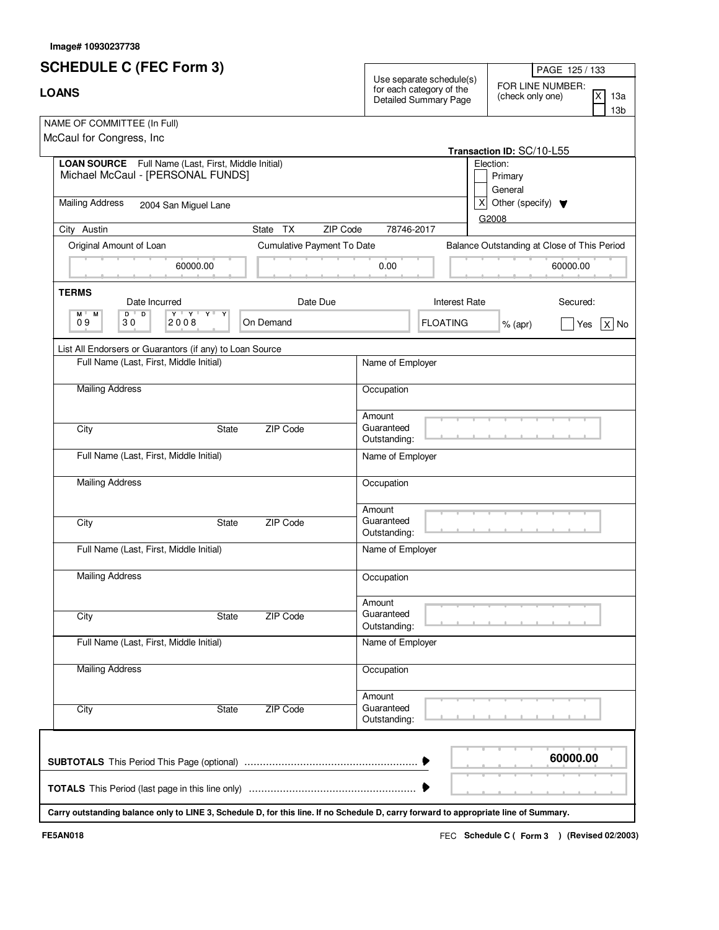| <b>SCHEDULE C (FEC Form 3)</b>                                                                                                       |                            |                                      |                                                                                      | PAGE 125 / 133                                                                            |  |
|--------------------------------------------------------------------------------------------------------------------------------------|----------------------------|--------------------------------------|--------------------------------------------------------------------------------------|-------------------------------------------------------------------------------------------|--|
| <b>LOANS</b>                                                                                                                         |                            |                                      | Use separate schedule(s)<br>for each category of the<br><b>Detailed Summary Page</b> | FOR LINE NUMBER:<br>$\overline{\mathsf{x}}$<br>(check only one)<br>13a<br>13 <sub>b</sub> |  |
| NAME OF COMMITTEE (In Full)<br>McCaul for Congress, Inc.                                                                             |                            |                                      |                                                                                      | Transaction ID: SC/10-L55                                                                 |  |
| LOAN SOURCE Full Name (Last, First, Middle Initial)<br>Michael McCaul - [PERSONAL FUNDS]                                             |                            |                                      |                                                                                      | Election:<br>Primary<br>General                                                           |  |
| <b>Mailing Address</b><br>2004 San Miguel Lane                                                                                       |                            |                                      | x                                                                                    | Other (specify) $\blacktriangledown$                                                      |  |
| City Austin                                                                                                                          | State TX<br>ZIP Code       | 78746-2017                           |                                                                                      | G2008                                                                                     |  |
| Original Amount of Loan                                                                                                              | Cumulative Payment To Date |                                      |                                                                                      | Balance Outstanding at Close of This Period                                               |  |
| 60000.00                                                                                                                             |                            | 0.00                                 |                                                                                      | 60000.00                                                                                  |  |
| <b>TERMS</b><br>Date Incurred                                                                                                        | Date Due                   |                                      | <b>Interest Rate</b>                                                                 | Secured:                                                                                  |  |
| $\mathbf{Y} + \mathbf{Y} + \mathbf{Y} + \mathbf{Y}$<br>$D$ <sup><math>\top</math></sup><br>D<br>M L<br>М<br>09<br>30<br>2008         | On Demand                  |                                      | <b>FLOATING</b>                                                                      | $X $ No<br>$%$ (apr)<br>Yes                                                               |  |
| List All Endorsers or Guarantors (if any) to Loan Source                                                                             |                            |                                      |                                                                                      |                                                                                           |  |
| Full Name (Last, First, Middle Initial)                                                                                              |                            | Name of Employer                     |                                                                                      |                                                                                           |  |
| <b>Mailing Address</b>                                                                                                               |                            | Occupation                           |                                                                                      |                                                                                           |  |
| City<br><b>State</b>                                                                                                                 | ZIP Code                   | Amount<br>Guaranteed<br>Outstanding: |                                                                                      |                                                                                           |  |
| Full Name (Last, First, Middle Initial)                                                                                              |                            | Name of Employer                     |                                                                                      |                                                                                           |  |
| <b>Mailing Address</b>                                                                                                               |                            | Occupation                           |                                                                                      |                                                                                           |  |
| City<br><b>State</b>                                                                                                                 | ZIP Code                   | Amount<br>Guaranteed<br>Outstanding: |                                                                                      |                                                                                           |  |
| Full Name (Last, First, Middle Initial)                                                                                              |                            | Name of Employer                     |                                                                                      |                                                                                           |  |
| <b>Mailing Address</b>                                                                                                               |                            | Occupation                           |                                                                                      |                                                                                           |  |
| City<br>State                                                                                                                        | ZIP Code                   | Amount<br>Guaranteed<br>Outstanding: |                                                                                      |                                                                                           |  |
| Full Name (Last, First, Middle Initial)                                                                                              |                            | Name of Employer                     |                                                                                      |                                                                                           |  |
| <b>Mailing Address</b>                                                                                                               |                            | Occupation                           |                                                                                      |                                                                                           |  |
| City<br>State                                                                                                                        | ZIP Code                   | Amount<br>Guaranteed<br>Outstanding: |                                                                                      |                                                                                           |  |
|                                                                                                                                      |                            |                                      |                                                                                      | 60000.00                                                                                  |  |
| Carry outstanding balance only to LINE 3, Schedule D, for this line. If no Schedule D, carry forward to appropriate line of Summary. |                            |                                      |                                                                                      |                                                                                           |  |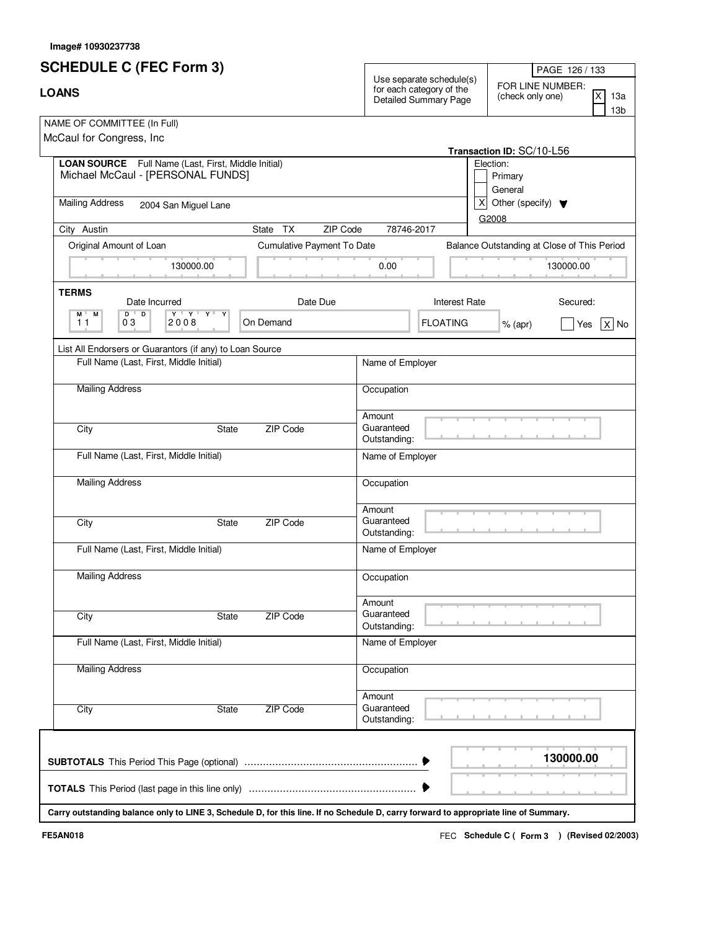| <b>SCHEDULE C (FEC Form 3)</b>                                                                                                       |                            |                                      |                                                                                      | PAGE 126 / 133                                                                            |  |
|--------------------------------------------------------------------------------------------------------------------------------------|----------------------------|--------------------------------------|--------------------------------------------------------------------------------------|-------------------------------------------------------------------------------------------|--|
| <b>LOANS</b>                                                                                                                         |                            |                                      | Use separate schedule(s)<br>for each category of the<br><b>Detailed Summary Page</b> | FOR LINE NUMBER:<br>$\overline{\mathsf{x}}$<br>(check only one)<br>13a<br>13 <sub>b</sub> |  |
| NAME OF COMMITTEE (In Full)<br>McCaul for Congress, Inc.                                                                             |                            |                                      |                                                                                      | Transaction ID: SC/10-L56                                                                 |  |
| LOAN SOURCE Full Name (Last, First, Middle Initial)<br>Michael McCaul - [PERSONAL FUNDS]                                             |                            |                                      |                                                                                      | Election:<br>Primary<br>General                                                           |  |
| <b>Mailing Address</b><br>2004 San Miguel Lane                                                                                       |                            |                                      | x                                                                                    | Other (specify) $\blacktriangledown$<br>G2008                                             |  |
| City Austin                                                                                                                          | State TX<br>ZIP Code       | 78746-2017                           |                                                                                      |                                                                                           |  |
| Original Amount of Loan                                                                                                              | Cumulative Payment To Date |                                      |                                                                                      | Balance Outstanding at Close of This Period                                               |  |
| 130000.00                                                                                                                            |                            | 0.00                                 |                                                                                      | 130000.00                                                                                 |  |
| <b>TERMS</b><br>Date Incurred                                                                                                        | Date Due                   |                                      | <b>Interest Rate</b>                                                                 | Secured:                                                                                  |  |
| $\mathbf{Y} + \mathbf{Y} + \mathbf{Y} + \mathbf{Y}$<br>$D$ <sup><math>\top</math></sup><br>D<br>M M<br>11<br>03<br>2008              | On Demand                  |                                      | <b>FLOATING</b>                                                                      | $X $ No<br>$%$ (apr)<br>Yes                                                               |  |
| List All Endorsers or Guarantors (if any) to Loan Source                                                                             |                            |                                      |                                                                                      |                                                                                           |  |
| Full Name (Last, First, Middle Initial)                                                                                              |                            | Name of Employer                     |                                                                                      |                                                                                           |  |
| <b>Mailing Address</b>                                                                                                               |                            | Occupation                           |                                                                                      |                                                                                           |  |
| City<br><b>State</b>                                                                                                                 | ZIP Code                   | Amount<br>Guaranteed<br>Outstanding: |                                                                                      |                                                                                           |  |
| Full Name (Last, First, Middle Initial)                                                                                              |                            | Name of Employer                     |                                                                                      |                                                                                           |  |
| <b>Mailing Address</b>                                                                                                               |                            | Occupation                           |                                                                                      |                                                                                           |  |
| City<br><b>State</b>                                                                                                                 | ZIP Code                   | Amount<br>Guaranteed<br>Outstanding: |                                                                                      |                                                                                           |  |
| Full Name (Last, First, Middle Initial)                                                                                              |                            | Name of Employer                     |                                                                                      |                                                                                           |  |
| <b>Mailing Address</b>                                                                                                               |                            | Occupation                           |                                                                                      |                                                                                           |  |
| City<br>State                                                                                                                        | ZIP Code                   | Amount<br>Guaranteed<br>Outstanding: |                                                                                      |                                                                                           |  |
| Full Name (Last, First, Middle Initial)                                                                                              |                            | Name of Employer                     |                                                                                      |                                                                                           |  |
| <b>Mailing Address</b>                                                                                                               |                            | Occupation                           |                                                                                      |                                                                                           |  |
| City<br>State                                                                                                                        | ZIP Code                   | Amount<br>Guaranteed<br>Outstanding: |                                                                                      |                                                                                           |  |
|                                                                                                                                      |                            |                                      |                                                                                      | 130000.00                                                                                 |  |
| Carry outstanding balance only to LINE 3, Schedule D, for this line. If no Schedule D, carry forward to appropriate line of Summary. |                            |                                      |                                                                                      |                                                                                           |  |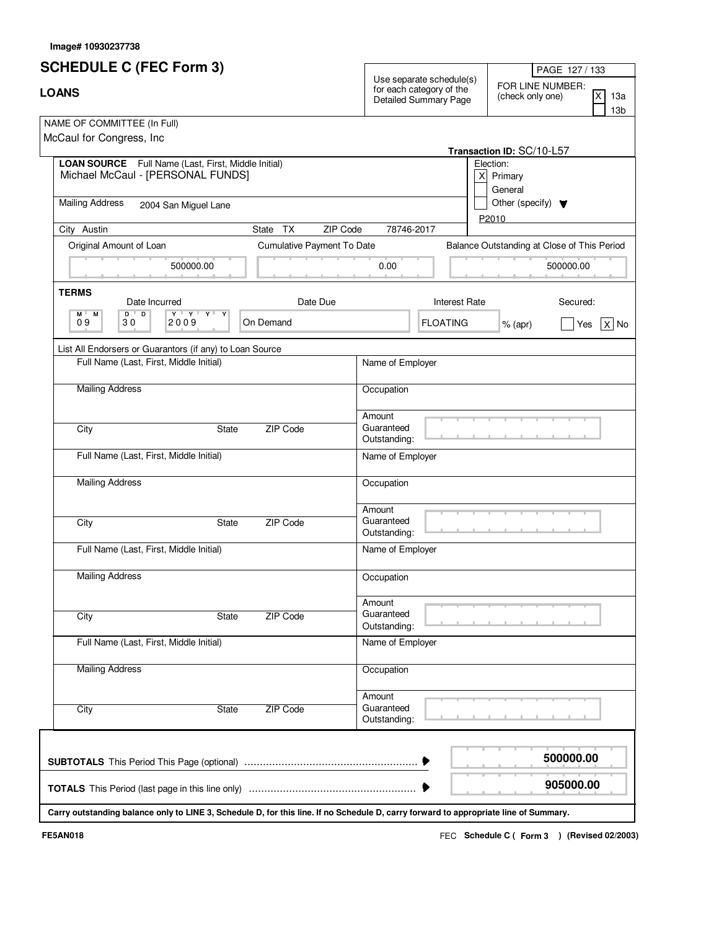| <b>SCHEDULE C (FEC Form 3)</b>                                                                                                       |                            |                                      |                                                                                      | PAGE 127 / 133                                                        |
|--------------------------------------------------------------------------------------------------------------------------------------|----------------------------|--------------------------------------|--------------------------------------------------------------------------------------|-----------------------------------------------------------------------|
| <b>LOANS</b>                                                                                                                         |                            |                                      | Use separate schedule(s)<br>for each category of the<br><b>Detailed Summary Page</b> | FOR LINE NUMBER:<br> X <br>(check only one)<br>13a<br>13 <sub>b</sub> |
| NAME OF COMMITTEE (In Full)<br>McCaul for Congress, Inc.                                                                             |                            |                                      |                                                                                      | Transaction ID: SC/10-L57                                             |
| LOAN SOURCE Full Name (Last, First, Middle Initial)<br>Michael McCaul - [PERSONAL FUNDS]                                             |                            |                                      | $\vert x \vert$                                                                      | Election:<br>Primary<br>General                                       |
| <b>Mailing Address</b><br>2004 San Miguel Lane                                                                                       |                            |                                      |                                                                                      | Other (specify) $\blacktriangledown$<br>P2010                         |
| City Austin                                                                                                                          | TX<br>ZIP Code<br>State    | 78746-2017                           |                                                                                      |                                                                       |
| Original Amount of Loan                                                                                                              | Cumulative Payment To Date |                                      |                                                                                      | Balance Outstanding at Close of This Period                           |
| 500000.00                                                                                                                            |                            | 0.00                                 |                                                                                      | 500000.00                                                             |
| <b>TERMS</b><br>Date Incurred                                                                                                        | Date Due                   |                                      | <b>Interest Rate</b>                                                                 | Secured:                                                              |
| $\mathbf{Y} + \mathbf{Y} + \mathbf{Y} + \mathbf{X}$<br>$D$ <sup><math>\top</math></sup><br>D<br>M L<br>М<br>09<br>30<br>2009         | On Demand                  |                                      | <b>FLOATING</b>                                                                      | $x $ No<br>Yes<br>$%$ (apr)                                           |
| List All Endorsers or Guarantors (if any) to Loan Source                                                                             |                            |                                      |                                                                                      |                                                                       |
| Full Name (Last, First, Middle Initial)                                                                                              |                            | Name of Employer                     |                                                                                      |                                                                       |
| <b>Mailing Address</b>                                                                                                               |                            | Occupation                           |                                                                                      |                                                                       |
| City<br>State                                                                                                                        | ZIP Code                   | Amount<br>Guaranteed<br>Outstanding: |                                                                                      |                                                                       |
| Full Name (Last, First, Middle Initial)                                                                                              |                            | Name of Employer                     |                                                                                      |                                                                       |
| <b>Mailing Address</b>                                                                                                               |                            | Occupation                           |                                                                                      |                                                                       |
| City<br>State                                                                                                                        | ZIP Code                   | Amount<br>Guaranteed<br>Outstanding: |                                                                                      |                                                                       |
| Full Name (Last, First, Middle Initial)                                                                                              |                            | Name of Employer                     |                                                                                      |                                                                       |
| <b>Mailing Address</b>                                                                                                               |                            | Occupation                           |                                                                                      |                                                                       |
| City<br>State                                                                                                                        | <b>ZIP Code</b>            | Amount<br>Guaranteed<br>Outstanding: |                                                                                      |                                                                       |
| Full Name (Last, First, Middle Initial)                                                                                              |                            | Name of Employer                     |                                                                                      |                                                                       |
| <b>Mailing Address</b>                                                                                                               |                            | Occupation                           |                                                                                      |                                                                       |
| City<br><b>State</b>                                                                                                                 | ZIP Code                   | Amount<br>Guaranteed<br>Outstanding: |                                                                                      |                                                                       |
|                                                                                                                                      |                            |                                      |                                                                                      | 500000.00                                                             |
|                                                                                                                                      |                            |                                      |                                                                                      | 905000.00                                                             |
| Carry outstanding balance only to LINE 3, Schedule D, for this line. If no Schedule D, carry forward to appropriate line of Summary. |                            |                                      |                                                                                      |                                                                       |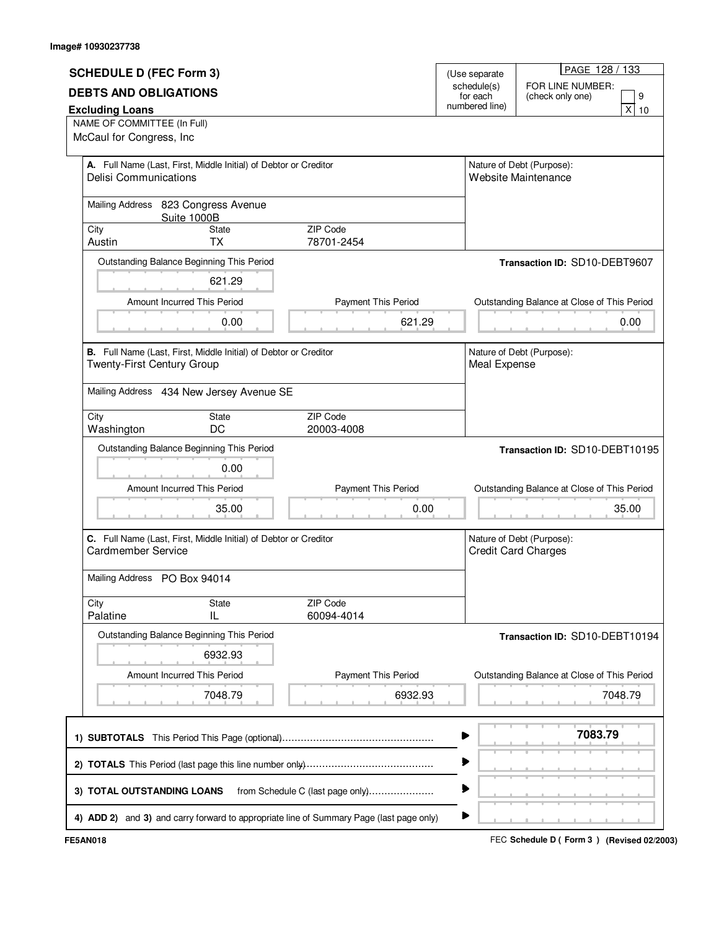|                                |                                                                  |                                                                                         |                            | PAGE 128 / 133                                          |  |
|--------------------------------|------------------------------------------------------------------|-----------------------------------------------------------------------------------------|----------------------------|---------------------------------------------------------|--|
| <b>SCHEDULE D (FEC Form 3)</b> |                                                                  |                                                                                         | (Use separate              |                                                         |  |
| <b>DEBTS AND OBLIGATIONS</b>   |                                                                  | schedule(s)                                                                             |                            | FOR LINE NUMBER:                                        |  |
|                                |                                                                  |                                                                                         | for each<br>numbered line) | 9<br>(check only one)                                   |  |
| <b>Excluding Loans</b>         |                                                                  |                                                                                         |                            | x <sub>l</sub><br>10                                    |  |
| NAME OF COMMITTEE (In Full)    |                                                                  |                                                                                         |                            |                                                         |  |
| McCaul for Congress, Inc       |                                                                  |                                                                                         |                            |                                                         |  |
|                                |                                                                  |                                                                                         |                            |                                                         |  |
| <b>Delisi Communications</b>   | A. Full Name (Last, First, Middle Initial) of Debtor or Creditor |                                                                                         |                            | Nature of Debt (Purpose):<br>Website Maintenance        |  |
|                                |                                                                  |                                                                                         |                            |                                                         |  |
|                                |                                                                  |                                                                                         |                            |                                                         |  |
|                                | Mailing Address 823 Congress Avenue<br>Suite 1000B               |                                                                                         |                            |                                                         |  |
| City                           | <b>State</b>                                                     | <b>ZIP Code</b>                                                                         |                            |                                                         |  |
| Austin                         | <b>TX</b>                                                        | 78701-2454                                                                              |                            |                                                         |  |
|                                |                                                                  |                                                                                         |                            |                                                         |  |
|                                | Outstanding Balance Beginning This Period                        |                                                                                         |                            | Transaction ID: SD10-DEBT9607                           |  |
|                                | 621.29                                                           |                                                                                         |                            |                                                         |  |
|                                |                                                                  |                                                                                         |                            |                                                         |  |
|                                | Amount Incurred This Period                                      | Payment This Period                                                                     |                            | Outstanding Balance at Close of This Period             |  |
|                                | 0.00                                                             | 621.29                                                                                  |                            | 0.00                                                    |  |
|                                |                                                                  |                                                                                         |                            |                                                         |  |
|                                | B. Full Name (Last, First, Middle Initial) of Debtor or Creditor |                                                                                         |                            | Nature of Debt (Purpose):                               |  |
| Twenty-First Century Group     |                                                                  |                                                                                         | Meal Expense               |                                                         |  |
|                                |                                                                  |                                                                                         |                            |                                                         |  |
|                                | Mailing Address 434 New Jersey Avenue SE                         |                                                                                         |                            |                                                         |  |
|                                |                                                                  |                                                                                         |                            |                                                         |  |
| City                           | State                                                            | ZIP Code                                                                                |                            |                                                         |  |
| Washington                     | DC                                                               | 20003-4008                                                                              |                            |                                                         |  |
|                                | Outstanding Balance Beginning This Period                        |                                                                                         |                            | Transaction ID: SD10-DEBT10195                          |  |
|                                |                                                                  |                                                                                         |                            |                                                         |  |
|                                | 0.00                                                             |                                                                                         |                            |                                                         |  |
|                                | Amount Incurred This Period                                      | Payment This Period                                                                     |                            | Outstanding Balance at Close of This Period             |  |
|                                | 35.00                                                            | 0.00                                                                                    |                            | 35.00                                                   |  |
|                                |                                                                  |                                                                                         |                            |                                                         |  |
|                                |                                                                  |                                                                                         |                            |                                                         |  |
| Cardmember Service             | C. Full Name (Last, First, Middle Initial) of Debtor or Creditor |                                                                                         |                            | Nature of Debt (Purpose):<br><b>Credit Card Charges</b> |  |
|                                |                                                                  |                                                                                         |                            |                                                         |  |
| Mailing Address PO Box 94014   |                                                                  |                                                                                         |                            |                                                         |  |
|                                |                                                                  |                                                                                         |                            |                                                         |  |
| City                           | State                                                            | ZIP Code                                                                                |                            |                                                         |  |
| Palatine                       | IL                                                               | 60094-4014                                                                              |                            |                                                         |  |
|                                | Outstanding Balance Beginning This Period                        |                                                                                         |                            |                                                         |  |
|                                |                                                                  |                                                                                         |                            | Transaction ID: SD10-DEBT10194                          |  |
|                                | 6932.93                                                          |                                                                                         |                            |                                                         |  |
|                                | Amount Incurred This Period                                      | <b>Payment This Period</b>                                                              |                            | Outstanding Balance at Close of This Period             |  |
|                                |                                                                  |                                                                                         |                            |                                                         |  |
|                                | 7048.79                                                          | 6932.93                                                                                 |                            | 7048.79                                                 |  |
|                                |                                                                  |                                                                                         |                            |                                                         |  |
|                                |                                                                  |                                                                                         |                            | 7083.79                                                 |  |
|                                |                                                                  |                                                                                         |                            |                                                         |  |
|                                |                                                                  |                                                                                         |                            |                                                         |  |
|                                |                                                                  |                                                                                         |                            |                                                         |  |
|                                |                                                                  |                                                                                         |                            |                                                         |  |
| 3) TOTAL OUTSTANDING LOANS     |                                                                  | from Schedule C (last page only)                                                        |                            |                                                         |  |
|                                |                                                                  |                                                                                         | ▶                          |                                                         |  |
|                                |                                                                  | 4) ADD 2) and 3) and carry forward to appropriate line of Summary Page (last page only) |                            |                                                         |  |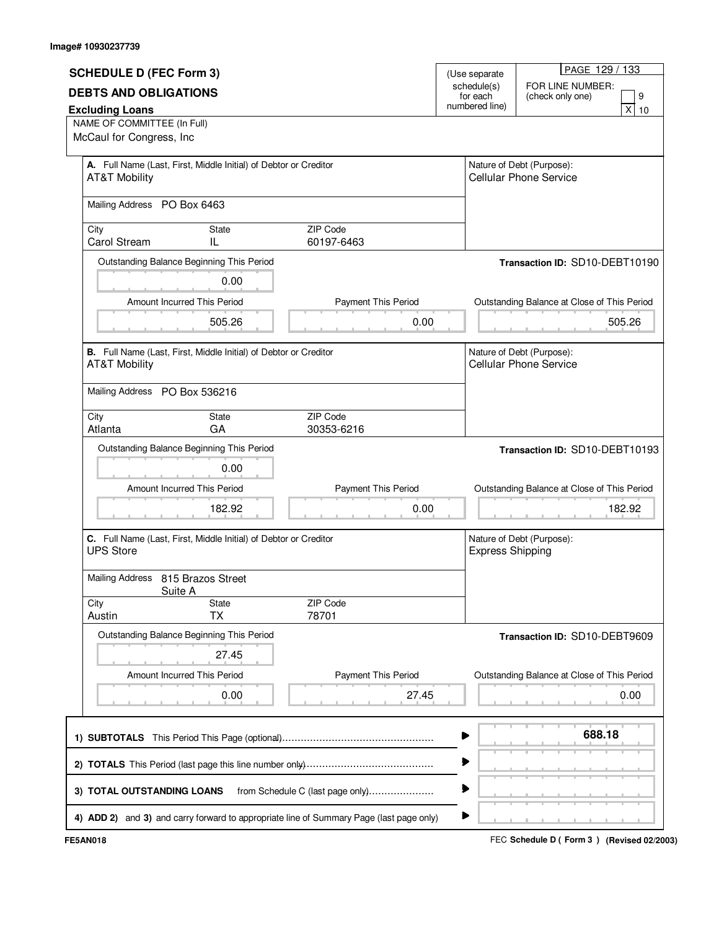|                                   |                                                                  |                                                                                         |   |                         | PAGE 129 / 133                              |  |
|-----------------------------------|------------------------------------------------------------------|-----------------------------------------------------------------------------------------|---|-------------------------|---------------------------------------------|--|
| <b>SCHEDULE D (FEC Form 3)</b>    |                                                                  |                                                                                         |   | (Use separate           |                                             |  |
| <b>DEBTS AND OBLIGATIONS</b>      |                                                                  |                                                                                         |   | schedule(s)<br>for each | FOR LINE NUMBER:<br>9<br>(check only one)   |  |
| <b>Excluding Loans</b>            |                                                                  |                                                                                         |   | numbered line)          | x<br>10                                     |  |
| NAME OF COMMITTEE (In Full)       |                                                                  |                                                                                         |   |                         |                                             |  |
| McCaul for Congress, Inc          |                                                                  |                                                                                         |   |                         |                                             |  |
|                                   | A. Full Name (Last, First, Middle Initial) of Debtor or Creditor |                                                                                         |   |                         | Nature of Debt (Purpose):                   |  |
| <b>AT&amp;T Mobility</b>          |                                                                  |                                                                                         |   |                         | <b>Cellular Phone Service</b>               |  |
| Mailing Address PO Box 6463       |                                                                  |                                                                                         |   |                         |                                             |  |
|                                   |                                                                  |                                                                                         |   |                         |                                             |  |
| City<br><b>Carol Stream</b>       | State<br>IL                                                      | <b>ZIP Code</b><br>60197-6463                                                           |   |                         |                                             |  |
|                                   | Outstanding Balance Beginning This Period                        |                                                                                         |   |                         | Transaction ID: SD10-DEBT10190              |  |
|                                   | 0.00                                                             |                                                                                         |   |                         |                                             |  |
|                                   | Amount Incurred This Period                                      | Payment This Period                                                                     |   |                         | Outstanding Balance at Close of This Period |  |
|                                   | 505.26                                                           | 0.00                                                                                    |   |                         | 505.26                                      |  |
|                                   |                                                                  |                                                                                         |   |                         |                                             |  |
|                                   | B. Full Name (Last, First, Middle Initial) of Debtor or Creditor |                                                                                         |   |                         | Nature of Debt (Purpose):                   |  |
| <b>AT&amp;T Mobility</b>          |                                                                  |                                                                                         |   |                         | <b>Cellular Phone Service</b>               |  |
| Mailing Address PO Box 536216     |                                                                  |                                                                                         |   |                         |                                             |  |
|                                   |                                                                  |                                                                                         |   |                         |                                             |  |
| City<br>Atlanta                   | State<br>GA                                                      | ZIP Code<br>30353-6216                                                                  |   |                         |                                             |  |
|                                   | Outstanding Balance Beginning This Period                        |                                                                                         |   |                         | Transaction ID: SD10-DEBT10193              |  |
|                                   | 0.00                                                             |                                                                                         |   |                         |                                             |  |
|                                   |                                                                  |                                                                                         |   |                         |                                             |  |
|                                   | Amount Incurred This Period                                      | Payment This Period                                                                     |   |                         | Outstanding Balance at Close of This Period |  |
|                                   | 182.92                                                           | 0.00                                                                                    |   |                         | 182.92                                      |  |
|                                   | C. Full Name (Last, First, Middle Initial) of Debtor or Creditor |                                                                                         |   |                         | Nature of Debt (Purpose):                   |  |
| <b>UPS Store</b>                  |                                                                  |                                                                                         |   | <b>Express Shipping</b> |                                             |  |
| Mailing Address 815 Brazos Street |                                                                  |                                                                                         |   |                         |                                             |  |
|                                   | Suite A                                                          |                                                                                         |   |                         |                                             |  |
| City                              | State                                                            | ZIP Code                                                                                |   |                         |                                             |  |
| Austin                            | <b>TX</b>                                                        | 78701                                                                                   |   |                         |                                             |  |
|                                   | Outstanding Balance Beginning This Period                        |                                                                                         |   |                         | Transaction ID: SD10-DEBT9609               |  |
|                                   | 27.45                                                            |                                                                                         |   |                         |                                             |  |
|                                   | Amount Incurred This Period                                      | <b>Payment This Period</b>                                                              |   |                         | Outstanding Balance at Close of This Period |  |
|                                   | 0.00                                                             | 27.45                                                                                   |   |                         | 0.00                                        |  |
|                                   |                                                                  |                                                                                         |   |                         |                                             |  |
|                                   |                                                                  |                                                                                         |   |                         | 688.18                                      |  |
|                                   |                                                                  |                                                                                         |   |                         |                                             |  |
|                                   |                                                                  |                                                                                         |   |                         |                                             |  |
|                                   |                                                                  |                                                                                         | ▶ |                         |                                             |  |
| 3) TOTAL OUTSTANDING LOANS        |                                                                  | from Schedule C (last page only)                                                        |   |                         |                                             |  |
|                                   |                                                                  | 4) ADD 2) and 3) and carry forward to appropriate line of Summary Page (last page only) | ▶ |                         |                                             |  |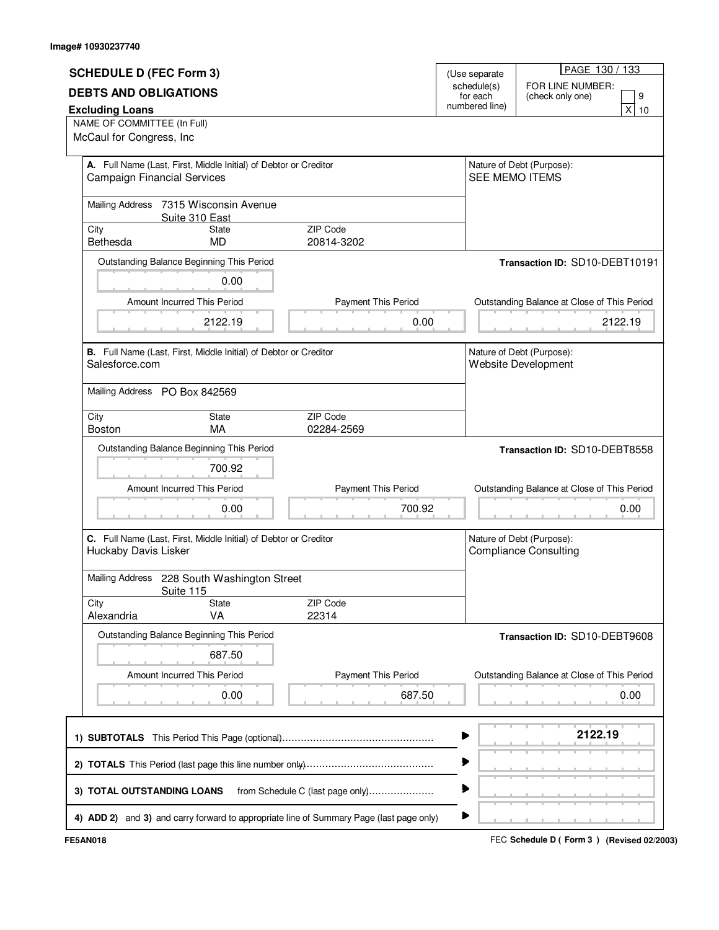|                                    |                                                                  |                                                                                         |                            | PAGE 130 / 133                              |  |
|------------------------------------|------------------------------------------------------------------|-----------------------------------------------------------------------------------------|----------------------------|---------------------------------------------|--|
| <b>SCHEDULE D (FEC Form 3)</b>     |                                                                  |                                                                                         | (Use separate              |                                             |  |
|                                    | <b>DEBTS AND OBLIGATIONS</b>                                     |                                                                                         | schedule(s)                | FOR LINE NUMBER:                            |  |
|                                    |                                                                  |                                                                                         | for each<br>numbered line) | 9<br>(check only one)                       |  |
| <b>Excluding Loans</b>             |                                                                  |                                                                                         |                            | x<br>10                                     |  |
| NAME OF COMMITTEE (In Full)        |                                                                  |                                                                                         |                            |                                             |  |
| McCaul for Congress, Inc           |                                                                  |                                                                                         |                            |                                             |  |
|                                    |                                                                  |                                                                                         |                            |                                             |  |
| <b>Campaign Financial Services</b> | A. Full Name (Last, First, Middle Initial) of Debtor or Creditor |                                                                                         | <b>SEE MEMO ITEMS</b>      | Nature of Debt (Purpose):                   |  |
|                                    |                                                                  |                                                                                         |                            |                                             |  |
|                                    | Mailing Address 7315 Wisconsin Avenue                            |                                                                                         |                            |                                             |  |
|                                    | Suite 310 East                                                   |                                                                                         |                            |                                             |  |
| City                               | <b>State</b>                                                     | ZIP Code                                                                                |                            |                                             |  |
| Bethesda                           | <b>MD</b>                                                        | 20814-3202                                                                              |                            |                                             |  |
|                                    | Outstanding Balance Beginning This Period                        |                                                                                         |                            | Transaction ID: SD10-DEBT10191              |  |
|                                    |                                                                  |                                                                                         |                            |                                             |  |
|                                    | 0.00                                                             |                                                                                         |                            |                                             |  |
|                                    | Amount Incurred This Period                                      | Payment This Period                                                                     |                            | Outstanding Balance at Close of This Period |  |
|                                    |                                                                  |                                                                                         |                            |                                             |  |
|                                    | 2122.19                                                          | 0.00                                                                                    |                            | 2122.19                                     |  |
|                                    |                                                                  |                                                                                         |                            |                                             |  |
|                                    | B. Full Name (Last, First, Middle Initial) of Debtor or Creditor |                                                                                         |                            | Nature of Debt (Purpose):                   |  |
| Salesforce.com                     |                                                                  |                                                                                         |                            | <b>Website Development</b>                  |  |
|                                    |                                                                  |                                                                                         |                            |                                             |  |
| Mailing Address PO Box 842569      |                                                                  |                                                                                         |                            |                                             |  |
|                                    |                                                                  | ZIP Code                                                                                |                            |                                             |  |
| City<br><b>Boston</b>              | State<br>MA                                                      | 02284-2569                                                                              |                            |                                             |  |
|                                    |                                                                  |                                                                                         |                            |                                             |  |
|                                    | Outstanding Balance Beginning This Period                        |                                                                                         |                            | Transaction ID: SD10-DEBT8558               |  |
|                                    | 700.92                                                           |                                                                                         |                            |                                             |  |
|                                    | Amount Incurred This Period                                      | Payment This Period                                                                     |                            | Outstanding Balance at Close of This Period |  |
|                                    |                                                                  |                                                                                         |                            |                                             |  |
|                                    | 0.00                                                             | 700.92                                                                                  |                            | 0.00                                        |  |
|                                    |                                                                  |                                                                                         |                            |                                             |  |
|                                    | C. Full Name (Last, First, Middle Initial) of Debtor or Creditor |                                                                                         |                            | Nature of Debt (Purpose):                   |  |
| Huckaby Davis Lisker               |                                                                  |                                                                                         |                            | <b>Compliance Consulting</b>                |  |
|                                    |                                                                  |                                                                                         |                            |                                             |  |
|                                    | Mailing Address 228 South Washington Street                      |                                                                                         |                            |                                             |  |
|                                    | Suite 115<br><b>State</b>                                        | ZIP Code                                                                                |                            |                                             |  |
| City<br>Alexandria                 | VA                                                               | 22314                                                                                   |                            |                                             |  |
|                                    |                                                                  |                                                                                         |                            |                                             |  |
|                                    | Outstanding Balance Beginning This Period                        |                                                                                         |                            | Transaction ID: SD10-DEBT9608               |  |
|                                    | 687.50                                                           |                                                                                         |                            |                                             |  |
|                                    | Amount Incurred This Period                                      |                                                                                         |                            |                                             |  |
|                                    |                                                                  | <b>Payment This Period</b>                                                              |                            | Outstanding Balance at Close of This Period |  |
|                                    | 0.00                                                             | 687.50                                                                                  |                            | 0.00                                        |  |
|                                    |                                                                  |                                                                                         |                            |                                             |  |
|                                    |                                                                  |                                                                                         |                            |                                             |  |
|                                    |                                                                  |                                                                                         |                            | 2122.19                                     |  |
|                                    |                                                                  |                                                                                         |                            |                                             |  |
|                                    |                                                                  |                                                                                         |                            |                                             |  |
|                                    |                                                                  |                                                                                         |                            |                                             |  |
|                                    |                                                                  |                                                                                         |                            |                                             |  |
| 3) TOTAL OUTSTANDING LOANS         |                                                                  | from Schedule C (last page only)                                                        |                            |                                             |  |
|                                    |                                                                  | 4) ADD 2) and 3) and carry forward to appropriate line of Summary Page (last page only) | ▶                          |                                             |  |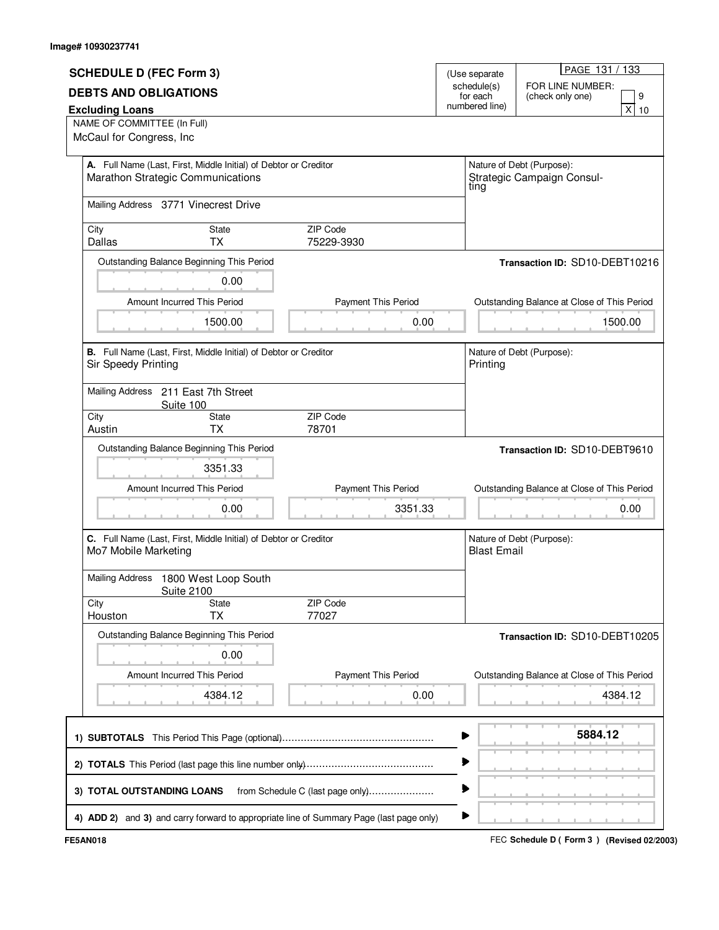|                                |                                                                                                       |                                  |                         | PAGE 131 / 133                                          |  |
|--------------------------------|-------------------------------------------------------------------------------------------------------|----------------------------------|-------------------------|---------------------------------------------------------|--|
| <b>SCHEDULE D (FEC Form 3)</b> |                                                                                                       |                                  | (Use separate           |                                                         |  |
| <b>DEBTS AND OBLIGATIONS</b>   |                                                                                                       |                                  | schedule(s)<br>for each | FOR LINE NUMBER:<br>9<br>(check only one)               |  |
| <b>Excluding Loans</b>         |                                                                                                       |                                  | numbered line)          | x<br>10                                                 |  |
| NAME OF COMMITTEE (In Full)    |                                                                                                       |                                  |                         |                                                         |  |
| McCaul for Congress, Inc       |                                                                                                       |                                  |                         |                                                         |  |
|                                |                                                                                                       |                                  |                         |                                                         |  |
|                                | A. Full Name (Last, First, Middle Initial) of Debtor or Creditor<br>Marathon Strategic Communications |                                  | tıng                    | Nature of Debt (Purpose):<br>Strategic Campaign Consul- |  |
|                                | Mailing Address 3771 Vinecrest Drive                                                                  |                                  |                         |                                                         |  |
| City                           | State                                                                                                 | <b>ZIP Code</b>                  |                         |                                                         |  |
| Dallas                         | <b>TX</b>                                                                                             | 75229-3930                       |                         |                                                         |  |
|                                | Outstanding Balance Beginning This Period                                                             |                                  |                         | Transaction ID: SD10-DEBT10216                          |  |
|                                | 0.00                                                                                                  |                                  |                         |                                                         |  |
|                                | Amount Incurred This Period                                                                           | Payment This Period              |                         | Outstanding Balance at Close of This Period             |  |
|                                | 1500.00                                                                                               | 0.00                             |                         | 1500.00                                                 |  |
|                                |                                                                                                       |                                  |                         |                                                         |  |
| Sir Speedy Printing            | B. Full Name (Last, First, Middle Initial) of Debtor or Creditor                                      |                                  | Printing                | Nature of Debt (Purpose):                               |  |
|                                | Mailing Address 211 East 7th Street                                                                   |                                  |                         |                                                         |  |
| City                           | Suite 100<br>State                                                                                    | ZIP Code                         |                         |                                                         |  |
| Austin                         | <b>TX</b>                                                                                             | 78701                            |                         |                                                         |  |
|                                | Outstanding Balance Beginning This Period                                                             |                                  |                         | Transaction ID: SD10-DEBT9610                           |  |
|                                | 3351.33                                                                                               |                                  |                         |                                                         |  |
|                                |                                                                                                       |                                  |                         |                                                         |  |
|                                | Amount Incurred This Period                                                                           | Payment This Period              |                         | Outstanding Balance at Close of This Period             |  |
|                                | 0.00                                                                                                  | 3351.33                          |                         | 0.00                                                    |  |
|                                | C. Full Name (Last, First, Middle Initial) of Debtor or Creditor                                      |                                  |                         | Nature of Debt (Purpose):                               |  |
| Mo7 Mobile Marketing           |                                                                                                       |                                  | <b>Blast Email</b>      |                                                         |  |
|                                | Mailing Address 1800 West Loop South<br><b>Suite 2100</b>                                             |                                  |                         |                                                         |  |
| City                           | <b>State</b>                                                                                          | ZIP Code                         |                         |                                                         |  |
| Houston                        | <b>TX</b>                                                                                             | 77027                            |                         |                                                         |  |
|                                | Outstanding Balance Beginning This Period                                                             |                                  |                         | Transaction ID: SD10-DEBT10205                          |  |
|                                | 0.00                                                                                                  |                                  |                         |                                                         |  |
|                                | Amount Incurred This Period                                                                           | <b>Payment This Period</b>       |                         | Outstanding Balance at Close of This Period             |  |
|                                | 4384.12                                                                                               | 0.00                             |                         | 4384.12                                                 |  |
|                                |                                                                                                       |                                  |                         |                                                         |  |
|                                |                                                                                                       |                                  |                         | 5884.12                                                 |  |
|                                |                                                                                                       |                                  | ▶                       |                                                         |  |
| 3) TOTAL OUTSTANDING LOANS     |                                                                                                       | from Schedule C (last page only) | ▶                       |                                                         |  |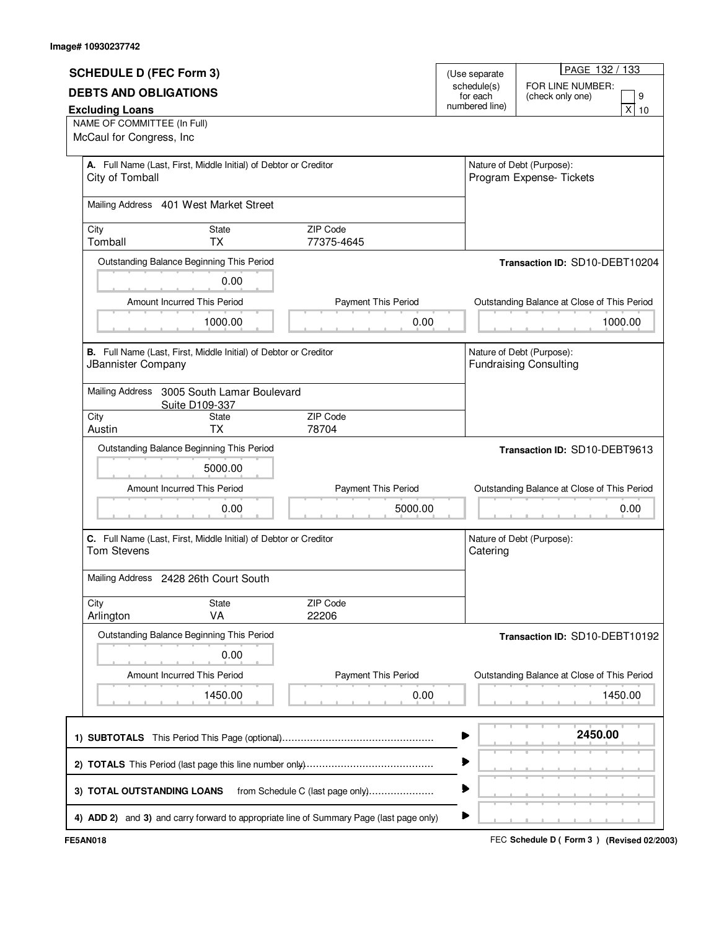|                                                                                              |                                                                     |                            |                                | PAGE 132 / 133                              |  |  |
|----------------------------------------------------------------------------------------------|---------------------------------------------------------------------|----------------------------|--------------------------------|---------------------------------------------|--|--|
| <b>SCHEDULE D (FEC Form 3)</b><br>(Use separate                                              |                                                                     |                            |                                | FOR LINE NUMBER:                            |  |  |
| <b>DEBTS AND OBLIGATIONS</b>                                                                 |                                                                     |                            | schedule(s)<br>for each        | (check only one)<br>9                       |  |  |
| <b>Excluding Loans</b>                                                                       |                                                                     |                            | numbered line)                 | x<br>10                                     |  |  |
| NAME OF COMMITTEE (In Full)<br>McCaul for Congress, Inc                                      |                                                                     |                            |                                |                                             |  |  |
|                                                                                              |                                                                     |                            |                                |                                             |  |  |
| A. Full Name (Last, First, Middle Initial) of Debtor or Creditor                             |                                                                     |                            |                                | Nature of Debt (Purpose):                   |  |  |
| City of Tomball                                                                              |                                                                     |                            |                                | Program Expense- Tickets                    |  |  |
| Mailing Address 401 West Market Street                                                       |                                                                     |                            |                                |                                             |  |  |
|                                                                                              |                                                                     |                            |                                |                                             |  |  |
| City                                                                                         | State                                                               | ZIP Code                   |                                |                                             |  |  |
| Tomball                                                                                      | <b>TX</b>                                                           | 77375-4645                 |                                |                                             |  |  |
|                                                                                              | Outstanding Balance Beginning This Period                           |                            | Transaction ID: SD10-DEBT10204 |                                             |  |  |
|                                                                                              | 0.00                                                                |                            |                                |                                             |  |  |
|                                                                                              | Payment This Period<br>Amount Incurred This Period                  |                            |                                | Outstanding Balance at Close of This Period |  |  |
|                                                                                              | 1000.00                                                             | 0.00                       |                                | 1000.00                                     |  |  |
|                                                                                              |                                                                     |                            |                                |                                             |  |  |
|                                                                                              | B. Full Name (Last, First, Middle Initial) of Debtor or Creditor    |                            |                                | Nature of Debt (Purpose):                   |  |  |
|                                                                                              | JBannister Company                                                  |                            |                                | <b>Fundraising Consulting</b>               |  |  |
|                                                                                              | Mailing Address 3005 South Lamar Boulevard                          |                            |                                |                                             |  |  |
|                                                                                              | Suite D109-337                                                      |                            |                                |                                             |  |  |
| City                                                                                         | State                                                               | ZIP Code                   |                                |                                             |  |  |
| Austin                                                                                       | <b>TX</b>                                                           | 78704                      |                                |                                             |  |  |
| Outstanding Balance Beginning This Period                                                    |                                                                     |                            |                                | Transaction ID: SD10-DEBT9613               |  |  |
|                                                                                              | 5000.00                                                             |                            |                                |                                             |  |  |
|                                                                                              | Amount Incurred This Period                                         | Payment This Period        |                                | Outstanding Balance at Close of This Period |  |  |
|                                                                                              | 0.00                                                                | 5000.00                    |                                | 0.00                                        |  |  |
|                                                                                              |                                                                     |                            |                                |                                             |  |  |
| C. Full Name (Last, First, Middle Initial) of Debtor or Creditor                             |                                                                     |                            |                                | Nature of Debt (Purpose):                   |  |  |
| <b>Tom Stevens</b>                                                                           |                                                                     |                            | Catering                       |                                             |  |  |
| Mailing Address 2428 26th Court South                                                        |                                                                     |                            |                                |                                             |  |  |
|                                                                                              |                                                                     |                            |                                |                                             |  |  |
| City                                                                                         | State                                                               | ZIP Code                   |                                |                                             |  |  |
| Arlington                                                                                    | VA                                                                  | 22206                      |                                |                                             |  |  |
| Outstanding Balance Beginning This Period                                                    |                                                                     |                            |                                | Transaction ID: SD10-DEBT10192              |  |  |
| 0.00                                                                                         |                                                                     |                            |                                |                                             |  |  |
|                                                                                              | Amount Incurred This Period                                         | <b>Payment This Period</b> |                                | Outstanding Balance at Close of This Period |  |  |
|                                                                                              | 1450.00                                                             | 0.00                       |                                | 1450.00                                     |  |  |
|                                                                                              |                                                                     |                            |                                |                                             |  |  |
|                                                                                              |                                                                     |                            |                                |                                             |  |  |
| 2450.00                                                                                      |                                                                     |                            |                                |                                             |  |  |
| ▶                                                                                            |                                                                     |                            |                                |                                             |  |  |
|                                                                                              |                                                                     |                            |                                |                                             |  |  |
|                                                                                              | ▶<br>3) TOTAL OUTSTANDING LOANS<br>from Schedule C (last page only) |                            |                                |                                             |  |  |
| ▶<br>4) ADD 2) and 3) and carry forward to appropriate line of Summary Page (last page only) |                                                                     |                            |                                |                                             |  |  |
|                                                                                              |                                                                     |                            |                                |                                             |  |  |